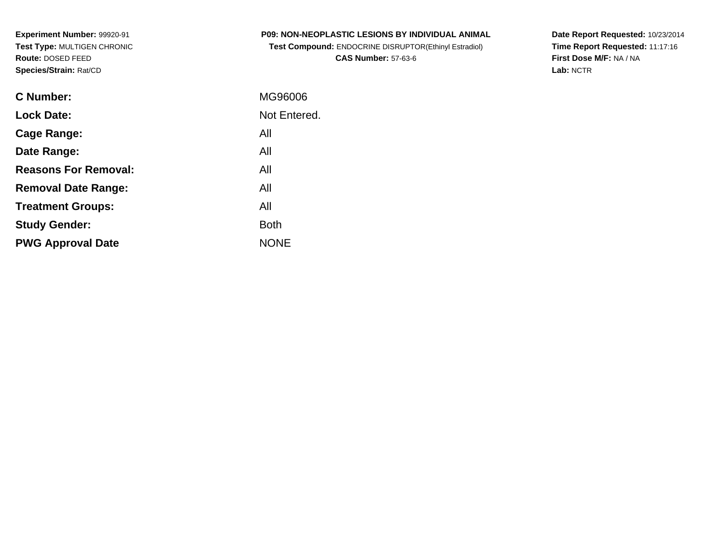**Experiment Number:** 99920-91 **Test Type:** MULTIGEN CHRONIC**Route:** DOSED FEED**Species/Strain:** Rat/CD

| <b>P09: NON-NEOPLASTIC LESIONS BY INDIVIDUAL ANIMAL</b>      |  |
|--------------------------------------------------------------|--|
| <b>Test Compound: ENDOCRINE DISRUPTOR(Ethinyl Estradiol)</b> |  |

**CAS Number:** 57-63-6

**Date Report Requested:** 10/23/2014 **Time Report Requested:** 11:17:16**First Dose M/F:** NA / NA**Lab:** NCTR

| <b>C</b> Number:            | MG96006      |
|-----------------------------|--------------|
| <b>Lock Date:</b>           | Not Entered. |
| Cage Range:                 | All          |
| Date Range:                 | All          |
| <b>Reasons For Removal:</b> | All          |
| <b>Removal Date Range:</b>  | All          |
| <b>Treatment Groups:</b>    | All          |
| <b>Study Gender:</b>        | <b>Both</b>  |
| <b>PWG Approval Date</b>    | <b>NONF</b>  |
|                             |              |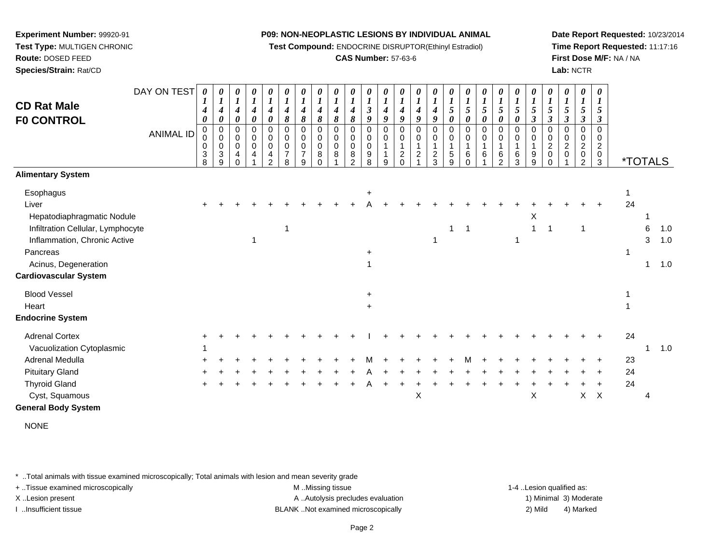**Test Compound:** ENDOCRINE DISRUPTOR(Ethinyl Estradiol)

# **CAS Number:** 57-63-6

**Date Report Requested:** 10/23/2014**Time Report Requested:** 11:17:16**First Dose M/F:** NA / NA**Lab:** NCTR

|                                   | DAY ON TEST      | 0                     | $\boldsymbol{\theta}$                         | 0                                              | 0                                       | 0                                                              | 0                                     | 0                                            | 0                                    | 0                                     | 0                                                   | 0                                    | 0                     | 0                                                          | 0                                                            |                                                 | 0                                            | $\boldsymbol{\theta}$                 | 0                     | $\boldsymbol{\theta}$                           | 0                                  | 0                                          | 0                                                   | 0                                           | 0                                                     | 0                                                              |              |                       |       |
|-----------------------------------|------------------|-----------------------|-----------------------------------------------|------------------------------------------------|-----------------------------------------|----------------------------------------------------------------|---------------------------------------|----------------------------------------------|--------------------------------------|---------------------------------------|-----------------------------------------------------|--------------------------------------|-----------------------|------------------------------------------------------------|--------------------------------------------------------------|-------------------------------------------------|----------------------------------------------|---------------------------------------|-----------------------|-------------------------------------------------|------------------------------------|--------------------------------------------|-----------------------------------------------------|---------------------------------------------|-------------------------------------------------------|----------------------------------------------------------------|--------------|-----------------------|-------|
| <b>CD Rat Male</b>                |                  | 1<br>$\boldsymbol{4}$ | 1<br>4                                        | $\boldsymbol{l}$<br>$\boldsymbol{4}$           | $\boldsymbol{l}$<br>$\boldsymbol{4}$    | $\boldsymbol{l}$<br>$\boldsymbol{4}$                           | $\boldsymbol{l}$<br>$\boldsymbol{4}$  | $\boldsymbol{l}$<br>4                        | $\boldsymbol{l}$<br>$\boldsymbol{4}$ | $\boldsymbol{l}$<br>4                 | $\boldsymbol{l}$<br>4                               | $\boldsymbol{l}$<br>$\mathfrak{z}$   | $\boldsymbol{l}$<br>4 | $\boldsymbol{l}$<br>$\boldsymbol{4}$                       | $\boldsymbol{l}$<br>$\boldsymbol{4}$                         | $\frac{\theta}{I}$<br>$\boldsymbol{4}$          | $\boldsymbol{l}$<br>5                        | $\boldsymbol{l}$<br>5                 | $\boldsymbol{l}$<br>5 | $\boldsymbol{l}$<br>$\sqrt{5}$                  | $\boldsymbol{l}$<br>$\mathfrak{s}$ | $\boldsymbol{l}$<br>$\overline{5}$         | $\boldsymbol{l}$<br>5                               | $\boldsymbol{l}$<br>5                       | $\boldsymbol{l}$<br>5                                 | 5                                                              |              |                       |       |
| <b>F0 CONTROL</b>                 |                  | 0                     | 0                                             | $\pmb{\theta}$                                 | 0                                       | $\boldsymbol{\theta}$                                          | $\pmb{8}$                             | 8                                            | $\pmb{8}$                            | 8                                     | $\pmb{8}$                                           | 9                                    | 9                     | 9                                                          | $\boldsymbol{g}$                                             | 9                                               | 0                                            | $\boldsymbol{\theta}$                 | 0                     | $\boldsymbol{\theta}$                           | 0                                  | $\boldsymbol{\beta}$                       | $\boldsymbol{\beta}$                                | 3                                           | 3                                                     | 3                                                              |              |                       |       |
|                                   | <b>ANIMAL ID</b> | 0<br>0<br>0<br>3<br>8 | $\pmb{0}$<br>$\pmb{0}$<br>$\pmb{0}$<br>3<br>9 | 0<br>$\pmb{0}$<br>$\mathsf 0$<br>4<br>$\Omega$ | 0<br>$\boldsymbol{0}$<br>$\pmb{0}$<br>4 | $\mathbf 0$<br>$\mathbf 0$<br>$\pmb{0}$<br>4<br>$\overline{2}$ | $\pmb{0}$<br>0<br>$\pmb{0}$<br>7<br>8 | $\mathbf 0$<br>0<br>0<br>$\overline{7}$<br>9 | 0<br>0<br>0<br>8<br>$\Omega$         | $\Omega$<br>$\Omega$<br>$\Omega$<br>8 | $\mathbf 0$<br>0<br>$\pmb{0}$<br>8<br>$\mathcal{D}$ | $\Omega$<br>0<br>$\pmb{0}$<br>9<br>8 | $\Omega$<br>0<br>9    | $\mathbf 0$<br>0<br>$\mathbf{1}$<br>$\sqrt{2}$<br>$\Omega$ | $\mathbf 0$<br>$\pmb{0}$<br>$\mathbf{1}$<br>$\boldsymbol{2}$ | $\pmb{0}$<br>0<br>$\mathbf{1}$<br>$\frac{2}{3}$ | 0<br>0<br>$\overline{1}$<br>$\,$ 5 $\,$<br>9 | $\mathbf 0$<br>0<br>$\mathbf{1}$<br>6 | 0<br>0<br>6           | 0<br>0<br>$\mathbf 1$<br>$\,6$<br>$\mathcal{P}$ | 0<br>0<br>1<br>$\,6$<br>3          | $\mathbf 0$<br>0<br>$\mathbf{1}$<br>9<br>9 | $\mathbf 0$<br>0<br>$\overline{a}$<br>0<br>$\Omega$ | $\Omega$<br>0<br>$\overline{c}$<br>$\Omega$ | $\Omega$<br>0<br>$\overline{c}$<br>0<br>$\mathcal{P}$ | $\Omega$<br>0<br>$\overline{c}$<br>$\pmb{0}$<br>$\mathfrak{Z}$ |              | <i><b>*TOTALS</b></i> |       |
| <b>Alimentary System</b>          |                  |                       |                                               |                                                |                                         |                                                                |                                       |                                              |                                      |                                       |                                                     |                                      |                       |                                                            |                                                              |                                                 |                                              |                                       |                       |                                                 |                                    |                                            |                                                     |                                             |                                                       |                                                                |              |                       |       |
| Esophagus                         |                  |                       |                                               |                                                |                                         |                                                                |                                       |                                              |                                      |                                       |                                                     | +                                    |                       |                                                            |                                                              |                                                 |                                              |                                       |                       |                                                 |                                    |                                            |                                                     |                                             |                                                       |                                                                |              |                       |       |
| Liver                             |                  | $\ddot{}$             |                                               |                                                |                                         |                                                                |                                       |                                              |                                      |                                       |                                                     |                                      |                       |                                                            |                                                              |                                                 |                                              |                                       |                       |                                                 |                                    |                                            |                                                     |                                             |                                                       |                                                                | 24           |                       |       |
| Hepatodiaphragmatic Nodule        |                  |                       |                                               |                                                |                                         |                                                                |                                       |                                              |                                      |                                       |                                                     |                                      |                       |                                                            |                                                              |                                                 |                                              |                                       |                       |                                                 |                                    | X                                          |                                                     |                                             |                                                       |                                                                |              |                       |       |
| Infiltration Cellular, Lymphocyte |                  |                       |                                               |                                                |                                         |                                                                | -1                                    |                                              |                                      |                                       |                                                     |                                      |                       |                                                            |                                                              |                                                 | 1                                            | $\mathbf 1$                           |                       |                                                 |                                    | $\overline{1}$                             | -1                                                  |                                             | 1                                                     |                                                                |              | 6                     | 1.0   |
| Inflammation, Chronic Active      |                  |                       |                                               |                                                |                                         |                                                                |                                       |                                              |                                      |                                       |                                                     |                                      |                       |                                                            |                                                              | 1                                               |                                              |                                       |                       |                                                 |                                    |                                            |                                                     |                                             |                                                       |                                                                |              | 3                     | 1.0   |
| Pancreas                          |                  |                       |                                               |                                                |                                         |                                                                |                                       |                                              |                                      |                                       |                                                     |                                      |                       |                                                            |                                                              |                                                 |                                              |                                       |                       |                                                 |                                    |                                            |                                                     |                                             |                                                       |                                                                | $\mathbf{1}$ |                       |       |
| Acinus, Degeneration              |                  |                       |                                               |                                                |                                         |                                                                |                                       |                                              |                                      |                                       |                                                     |                                      |                       |                                                            |                                                              |                                                 |                                              |                                       |                       |                                                 |                                    |                                            |                                                     |                                             |                                                       |                                                                |              | 1                     | 1.0   |
| <b>Cardiovascular System</b>      |                  |                       |                                               |                                                |                                         |                                                                |                                       |                                              |                                      |                                       |                                                     |                                      |                       |                                                            |                                                              |                                                 |                                              |                                       |                       |                                                 |                                    |                                            |                                                     |                                             |                                                       |                                                                |              |                       |       |
| <b>Blood Vessel</b>               |                  |                       |                                               |                                                |                                         |                                                                |                                       |                                              |                                      |                                       |                                                     | +                                    |                       |                                                            |                                                              |                                                 |                                              |                                       |                       |                                                 |                                    |                                            |                                                     |                                             |                                                       |                                                                |              |                       |       |
| Heart                             |                  |                       |                                               |                                                |                                         |                                                                |                                       |                                              |                                      |                                       |                                                     | $\ddot{}$                            |                       |                                                            |                                                              |                                                 |                                              |                                       |                       |                                                 |                                    |                                            |                                                     |                                             |                                                       |                                                                |              |                       |       |
| <b>Endocrine System</b>           |                  |                       |                                               |                                                |                                         |                                                                |                                       |                                              |                                      |                                       |                                                     |                                      |                       |                                                            |                                                              |                                                 |                                              |                                       |                       |                                                 |                                    |                                            |                                                     |                                             |                                                       |                                                                |              |                       |       |
| <b>Adrenal Cortex</b>             |                  |                       |                                               |                                                |                                         |                                                                |                                       |                                              |                                      |                                       |                                                     |                                      |                       |                                                            |                                                              |                                                 |                                              |                                       |                       |                                                 |                                    |                                            |                                                     |                                             |                                                       |                                                                | 24           |                       |       |
| Vacuolization Cytoplasmic         |                  |                       |                                               |                                                |                                         |                                                                |                                       |                                              |                                      |                                       |                                                     |                                      |                       |                                                            |                                                              |                                                 |                                              |                                       |                       |                                                 |                                    |                                            |                                                     |                                             |                                                       |                                                                |              | 1                     | $1.0$ |
| Adrenal Medulla                   |                  |                       |                                               |                                                |                                         |                                                                |                                       |                                              |                                      |                                       |                                                     |                                      |                       |                                                            |                                                              |                                                 |                                              |                                       |                       |                                                 |                                    |                                            |                                                     |                                             |                                                       |                                                                | 23           |                       |       |
| <b>Pituitary Gland</b>            |                  |                       |                                               |                                                |                                         |                                                                |                                       |                                              |                                      |                                       |                                                     |                                      |                       |                                                            |                                                              |                                                 |                                              |                                       |                       |                                                 |                                    |                                            |                                                     |                                             |                                                       |                                                                | 24           |                       |       |
| <b>Thyroid Gland</b>              |                  |                       |                                               |                                                |                                         |                                                                |                                       |                                              |                                      |                                       |                                                     |                                      |                       |                                                            |                                                              |                                                 |                                              |                                       |                       |                                                 |                                    |                                            |                                                     |                                             |                                                       |                                                                | 24           |                       |       |
| Cyst, Squamous                    |                  |                       |                                               |                                                |                                         |                                                                |                                       |                                              |                                      |                                       |                                                     |                                      |                       |                                                            | X                                                            |                                                 |                                              |                                       |                       |                                                 |                                    | X                                          |                                                     |                                             | X                                                     | $\mathsf{X}$                                                   |              |                       |       |
| <b>General Body System</b>        |                  |                       |                                               |                                                |                                         |                                                                |                                       |                                              |                                      |                                       |                                                     |                                      |                       |                                                            |                                                              |                                                 |                                              |                                       |                       |                                                 |                                    |                                            |                                                     |                                             |                                                       |                                                                |              |                       |       |

NONE

\* ..Total animals with tissue examined microscopically; Total animals with lesion and mean severity grade

**Experiment Number:** 99920-91**Test Type:** MULTIGEN CHRONIC

**Route:** DOSED FEED**Species/Strain:** Rat/CD

+ ..Tissue examined microscopically examined microscopically examined as:  $M$  ..Missing tissue 1-4 ..Lesion qualified as: X..Lesion present **A ..Autolysis precludes evaluation** A ..Autolysis precludes evaluation 1) Minimal 3) Moderate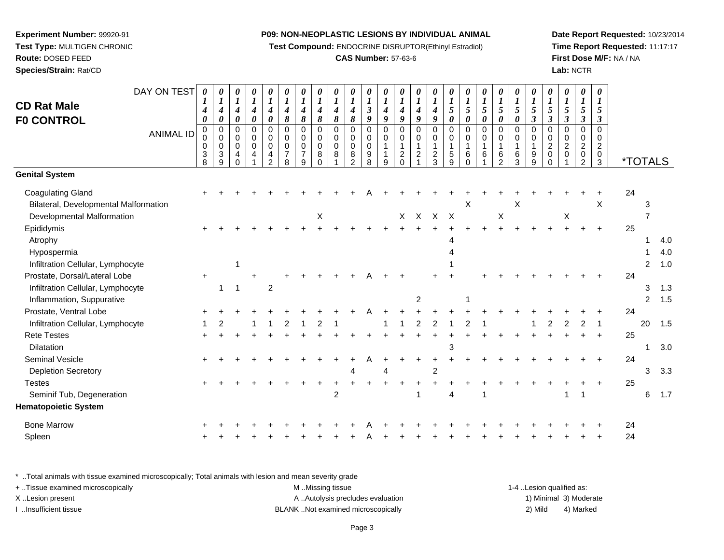**Test Compound:** ENDOCRINE DISRUPTOR(Ethinyl Estradiol)

# **CAS Number:** 57-63-6

**Date Report Requested:** 10/23/2014**Time Report Requested:** 11:17:17**First Dose M/F:** NA / NA**Lab:** NCTR

|                                       | DAY ON TEST      | 0                     | 0                                         | 0<br>$\boldsymbol{l}$                  | 0<br>$\boldsymbol{l}$                | 0<br>$\boldsymbol{l}$                     | 0<br>1                                              | 0<br>1                                                 | 0<br>$\boldsymbol{l}$                            | $\boldsymbol{l}$                  | 0<br>$\boldsymbol{l}$                               | 0<br>$\boldsymbol{l}$                  | 0<br>$\boldsymbol{l}$       | 0<br>$\boldsymbol{l}$                                               | 0<br>$\boldsymbol{l}$                                    | 0<br>$\boldsymbol{l}$                                         | 0<br>$\boldsymbol{l}$                               | $\boldsymbol{l}$                                         | 0<br>$\boldsymbol{l}$              | 0<br>$\boldsymbol{l}$                                                 | 0<br>$\boldsymbol{l}$                    | 0<br>$\boldsymbol{l}$                                                  | 0<br>$\boldsymbol{l}$                                             | 0<br>$\boldsymbol{l}$                         | 0<br>$\boldsymbol{l}$                                                     | 0<br>$\boldsymbol{l}$                                                    |    |                       |     |
|---------------------------------------|------------------|-----------------------|-------------------------------------------|----------------------------------------|--------------------------------------|-------------------------------------------|-----------------------------------------------------|--------------------------------------------------------|--------------------------------------------------|-----------------------------------|-----------------------------------------------------|----------------------------------------|-----------------------------|---------------------------------------------------------------------|----------------------------------------------------------|---------------------------------------------------------------|-----------------------------------------------------|----------------------------------------------------------|------------------------------------|-----------------------------------------------------------------------|------------------------------------------|------------------------------------------------------------------------|-------------------------------------------------------------------|-----------------------------------------------|---------------------------------------------------------------------------|--------------------------------------------------------------------------|----|-----------------------|-----|
| <b>CD Rat Male</b>                    |                  | 1<br>4                | $\boldsymbol{l}$<br>4                     | $\boldsymbol{4}$                       | $\boldsymbol{4}$                     | $\boldsymbol{4}$                          | 4                                                   | $\boldsymbol{4}$                                       | 4                                                | $\boldsymbol{4}$                  | $\boldsymbol{4}$                                    | $\overline{\mathbf{3}}$                | $\boldsymbol{4}$            | $\boldsymbol{4}$                                                    | $\boldsymbol{4}$                                         | 4                                                             | 5                                                   | 5                                                        | 5                                  | 5                                                                     | 5                                        | 5                                                                      | 5                                                                 | 5                                             | $\sqrt{5}$                                                                | $\mathfrak{s}$                                                           |    |                       |     |
| <b>FO CONTROL</b>                     |                  | 0                     | $\boldsymbol{\theta}$                     | 0                                      | $\boldsymbol{\theta}$                | 0                                         | $\pmb{8}$                                           | 8                                                      | 8                                                | 8                                 | $\pmb{8}$                                           | 9                                      | 9                           | 9                                                                   | 9                                                        | 9                                                             | $\boldsymbol{\theta}$                               | $\boldsymbol{\theta}$                                    | $\boldsymbol{\theta}$              | $\pmb{\theta}$                                                        | 0                                        | $\boldsymbol{\beta}$                                                   | $\boldsymbol{\beta}$                                              | $\boldsymbol{\beta}$                          | $\boldsymbol{\beta}$                                                      | $\boldsymbol{\beta}$                                                     |    |                       |     |
|                                       | <b>ANIMAL ID</b> | 0<br>0<br>0<br>3<br>8 | $\mathbf 0$<br>0<br>$\mathbf 0$<br>3<br>9 | 0<br>0<br>$\mathbf 0$<br>4<br>$\Omega$ | $\mathbf 0$<br>0<br>$\mathbf 0$<br>4 | $\mathbf 0$<br>0<br>$\mathbf 0$<br>4<br>2 | $\Omega$<br>0<br>$\mathbf 0$<br>$\overline{7}$<br>8 | $\mathbf 0$<br>0<br>$\mathbf 0$<br>$\overline{7}$<br>9 | $\mathbf 0$<br>0<br>$\mathbf 0$<br>8<br>$\Omega$ | $\Omega$<br>0<br>$\mathbf 0$<br>8 | $\Omega$<br>0<br>$\mathbf 0$<br>8<br>$\mathfrak{p}$ | $\Omega$<br>0<br>$\mathbf 0$<br>9<br>8 | 0<br>0<br>$\mathbf{1}$<br>9 | $\Omega$<br>$\,0\,$<br>$\mathbf{1}$<br>$\boldsymbol{2}$<br>$\Omega$ | $\mathbf 0$<br>$\,0\,$<br>$\mathbf{1}$<br>$\overline{c}$ | $\Omega$<br>0<br>$\mathbf{1}$<br>$\overline{\mathbf{c}}$<br>3 | $\mathbf 0$<br>0<br>$\mathbf{1}$<br>$\sqrt{5}$<br>9 | $\Omega$<br>$\mathbf 0$<br>$\mathbf{1}$<br>6<br>$\Omega$ | $\mathbf 0$<br>$\pmb{0}$<br>1<br>6 | $\pmb{0}$<br>$\mathbf 0$<br>$\mathbf{1}$<br>$\,6\,$<br>$\mathfrak{p}$ | 0<br>$\pmb{0}$<br>$\mathbf{1}$<br>6<br>3 | $\mathbf 0$<br>$\overline{0}$<br>$\mathbf{1}$<br>$\boldsymbol{9}$<br>9 | $\pmb{0}$<br>$\pmb{0}$<br>$\overline{2}$<br>$\pmb{0}$<br>$\Omega$ | $\mathbf 0$<br>0<br>$\sqrt{2}$<br>$\mathbf 0$ | $\mathbf 0$<br>$\pmb{0}$<br>$\overline{c}$<br>$\pmb{0}$<br>$\overline{2}$ | $\Omega$<br>$\mathbf 0$<br>$\overline{2}$<br>$\mathbf 0$<br>$\mathbf{3}$ |    | <i><b>*TOTALS</b></i> |     |
| <b>Genital System</b>                 |                  |                       |                                           |                                        |                                      |                                           |                                                     |                                                        |                                                  |                                   |                                                     |                                        |                             |                                                                     |                                                          |                                                               |                                                     |                                                          |                                    |                                                                       |                                          |                                                                        |                                                                   |                                               |                                                                           |                                                                          |    |                       |     |
| <b>Coagulating Gland</b>              |                  |                       |                                           |                                        |                                      |                                           |                                                     |                                                        |                                                  |                                   |                                                     |                                        |                             |                                                                     |                                                          |                                                               |                                                     |                                                          |                                    |                                                                       |                                          |                                                                        |                                                                   |                                               |                                                                           |                                                                          | 24 |                       |     |
| Bilateral, Developmental Malformation |                  |                       |                                           |                                        |                                      |                                           |                                                     |                                                        |                                                  |                                   |                                                     |                                        |                             |                                                                     |                                                          |                                                               |                                                     | X                                                        |                                    |                                                                       | X                                        |                                                                        |                                                                   |                                               |                                                                           | $\times$                                                                 |    | 3                     |     |
| Developmental Malformation            |                  |                       |                                           |                                        |                                      |                                           |                                                     |                                                        | $\pmb{\mathsf{X}}$                               |                                   |                                                     |                                        |                             |                                                                     | $X$ $X$                                                  | $\mathsf{X}$                                                  | $\mathsf{X}$                                        |                                                          |                                    | $\sf X$                                                               |                                          |                                                                        |                                                                   | Χ                                             |                                                                           |                                                                          |    | $\overline{7}$        |     |
| Epididymis                            |                  |                       |                                           |                                        |                                      |                                           |                                                     |                                                        |                                                  |                                   |                                                     |                                        |                             |                                                                     |                                                          |                                                               |                                                     |                                                          |                                    |                                                                       |                                          |                                                                        |                                                                   |                                               |                                                                           | $\ddot{}$                                                                | 25 |                       |     |
| Atrophy                               |                  |                       |                                           |                                        |                                      |                                           |                                                     |                                                        |                                                  |                                   |                                                     |                                        |                             |                                                                     |                                                          |                                                               |                                                     |                                                          |                                    |                                                                       |                                          |                                                                        |                                                                   |                                               |                                                                           |                                                                          |    | 1                     | 4.0 |
| Hypospermia                           |                  |                       |                                           |                                        |                                      |                                           |                                                     |                                                        |                                                  |                                   |                                                     |                                        |                             |                                                                     |                                                          |                                                               |                                                     |                                                          |                                    |                                                                       |                                          |                                                                        |                                                                   |                                               |                                                                           |                                                                          |    |                       | 4.0 |
| Infiltration Cellular, Lymphocyte     |                  |                       |                                           | 1                                      |                                      |                                           |                                                     |                                                        |                                                  |                                   |                                                     |                                        |                             |                                                                     |                                                          |                                                               |                                                     |                                                          |                                    |                                                                       |                                          |                                                                        |                                                                   |                                               |                                                                           |                                                                          |    | 2                     | 1.0 |
| Prostate, Dorsal/Lateral Lobe         |                  | $\ddot{}$             |                                           |                                        |                                      |                                           |                                                     |                                                        |                                                  |                                   |                                                     |                                        |                             |                                                                     |                                                          |                                                               |                                                     |                                                          |                                    |                                                                       |                                          |                                                                        |                                                                   |                                               |                                                                           |                                                                          | 24 |                       |     |
| Infiltration Cellular, Lymphocyte     |                  |                       | 1                                         | $\mathbf{1}$                           |                                      | $\overline{2}$                            |                                                     |                                                        |                                                  |                                   |                                                     |                                        |                             |                                                                     |                                                          |                                                               |                                                     |                                                          |                                    |                                                                       |                                          |                                                                        |                                                                   |                                               |                                                                           |                                                                          |    | 3                     | 1.3 |
| Inflammation, Suppurative             |                  |                       |                                           |                                        |                                      |                                           |                                                     |                                                        |                                                  |                                   |                                                     |                                        |                             |                                                                     | 2                                                        |                                                               |                                                     |                                                          |                                    |                                                                       |                                          |                                                                        |                                                                   |                                               |                                                                           |                                                                          |    | $\overline{2}$        | 1.5 |
| Prostate, Ventral Lobe                |                  |                       |                                           |                                        |                                      |                                           |                                                     |                                                        |                                                  |                                   |                                                     |                                        |                             |                                                                     |                                                          |                                                               |                                                     |                                                          |                                    |                                                                       |                                          |                                                                        |                                                                   |                                               |                                                                           |                                                                          | 24 |                       |     |
| Infiltration Cellular, Lymphocyte     |                  |                       |                                           |                                        |                                      |                                           |                                                     |                                                        |                                                  |                                   |                                                     |                                        |                             |                                                                     | 2                                                        | 2                                                             |                                                     |                                                          |                                    |                                                                       |                                          |                                                                        | 2                                                                 |                                               | 2                                                                         |                                                                          |    | 20                    | 1.5 |
| <b>Rete Testes</b>                    |                  |                       |                                           |                                        |                                      |                                           |                                                     |                                                        |                                                  |                                   |                                                     |                                        |                             |                                                                     |                                                          |                                                               |                                                     |                                                          |                                    |                                                                       |                                          |                                                                        |                                                                   |                                               |                                                                           |                                                                          | 25 |                       |     |
| <b>Dilatation</b>                     |                  |                       |                                           |                                        |                                      |                                           |                                                     |                                                        |                                                  |                                   |                                                     |                                        |                             |                                                                     |                                                          |                                                               | 3                                                   |                                                          |                                    |                                                                       |                                          |                                                                        |                                                                   |                                               |                                                                           |                                                                          |    | 1                     | 3.0 |
| <b>Seminal Vesicle</b>                |                  |                       |                                           |                                        |                                      |                                           |                                                     |                                                        |                                                  |                                   |                                                     |                                        |                             |                                                                     |                                                          |                                                               |                                                     |                                                          |                                    |                                                                       |                                          |                                                                        |                                                                   |                                               |                                                                           |                                                                          | 24 |                       |     |
| <b>Depletion Secretory</b>            |                  |                       |                                           |                                        |                                      |                                           |                                                     |                                                        |                                                  |                                   |                                                     |                                        |                             |                                                                     |                                                          | $\overline{c}$                                                |                                                     |                                                          |                                    |                                                                       |                                          |                                                                        |                                                                   |                                               |                                                                           |                                                                          |    | 3                     | 3.3 |
| <b>Testes</b>                         |                  |                       |                                           |                                        |                                      |                                           |                                                     |                                                        |                                                  |                                   |                                                     |                                        |                             |                                                                     |                                                          |                                                               |                                                     |                                                          |                                    |                                                                       |                                          |                                                                        |                                                                   |                                               |                                                                           |                                                                          | 25 |                       |     |
| Seminif Tub, Degeneration             |                  |                       |                                           |                                        |                                      |                                           |                                                     |                                                        |                                                  | 2                                 |                                                     |                                        |                             |                                                                     |                                                          |                                                               | Δ                                                   |                                                          |                                    |                                                                       |                                          |                                                                        |                                                                   |                                               |                                                                           |                                                                          |    | 6                     | 1.7 |
| <b>Hematopoietic System</b>           |                  |                       |                                           |                                        |                                      |                                           |                                                     |                                                        |                                                  |                                   |                                                     |                                        |                             |                                                                     |                                                          |                                                               |                                                     |                                                          |                                    |                                                                       |                                          |                                                                        |                                                                   |                                               |                                                                           |                                                                          |    |                       |     |
| <b>Bone Marrow</b>                    |                  |                       |                                           |                                        |                                      |                                           |                                                     |                                                        |                                                  |                                   |                                                     |                                        |                             |                                                                     |                                                          |                                                               |                                                     |                                                          |                                    |                                                                       |                                          |                                                                        |                                                                   |                                               |                                                                           |                                                                          | 24 |                       |     |
| Spleen                                |                  |                       |                                           |                                        |                                      |                                           |                                                     |                                                        |                                                  |                                   |                                                     |                                        |                             |                                                                     |                                                          |                                                               |                                                     |                                                          |                                    |                                                                       |                                          |                                                                        |                                                                   |                                               |                                                                           |                                                                          | 24 |                       |     |

\* ..Total animals with tissue examined microscopically; Total animals with lesion and mean severity grade

**Experiment Number:** 99920-91**Test Type:** MULTIGEN CHRONIC

| + Tissue examined microscopically | M Missing tissue                   | 1-4 Lesion qualified as: |                        |
|-----------------------------------|------------------------------------|--------------------------|------------------------|
| X Lesion present                  | A Autolysis precludes evaluation   |                          | 1) Minimal 3) Moderate |
| Insufficient tissue               | BLANK Not examined microscopically | 2) Mild                  | 4) Marked              |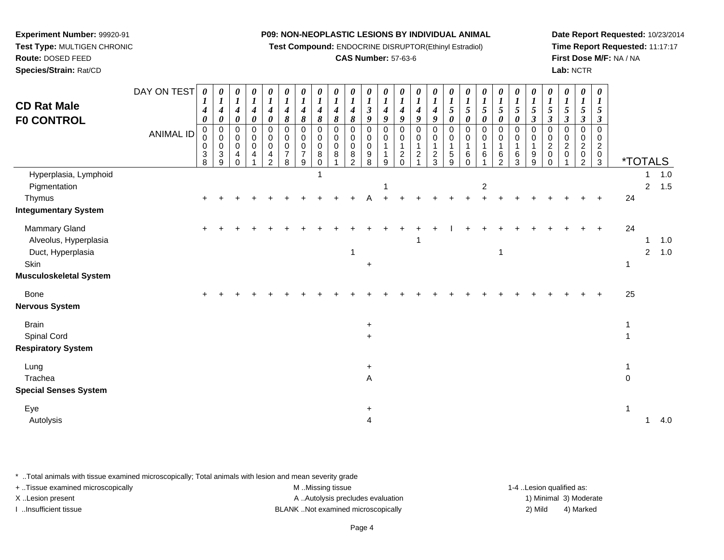**Test Compound:** ENDOCRINE DISRUPTOR(Ethinyl Estradiol)

# **CAS Number:** 57-63-6

**Date Report Requested:** 10/23/2014**Time Report Requested:** 11:17:17**First Dose M/F:** NA / NA**Lab:** NCTR

| <b>CD Rat Male</b><br><b>FO CONTROL</b>                                                       | DAY ON TEST<br><b>ANIMAL ID</b> | $\boldsymbol{\theta}$<br>1<br>$\boldsymbol{4}$<br>$\boldsymbol{\theta}$<br>$\mathbf 0$<br>0<br>0<br>$\ensuremath{\mathsf{3}}$<br>8 | 0<br>$\boldsymbol{l}$<br>$\boldsymbol{4}$<br>$\pmb{\theta}$<br>$\mathsf 0$<br>0<br>$\pmb{0}$<br>$\ensuremath{\mathsf{3}}$<br>9 | 0<br>$\boldsymbol{l}$<br>4<br>0<br>$\pmb{0}$<br>$\mathsf 0$<br>0<br>4<br>$\Omega$ | $\pmb{\theta}$<br>$\boldsymbol{l}$<br>$\boldsymbol{4}$<br>$\boldsymbol{\theta}$<br>$\Omega$<br>$\pmb{0}$<br>0<br>$\overline{\mathbf{4}}$ | 0<br>$\boldsymbol{l}$<br>$\boldsymbol{4}$<br>$\boldsymbol{\theta}$<br>$\pmb{0}$<br>$\mathbf 0$<br>$\pmb{0}$<br>$\overline{\mathbf{4}}$<br>2 | 0<br>$\boldsymbol{l}$<br>$\boldsymbol{4}$<br>8<br>$\Omega$<br>0<br>0<br>$\overline{7}$<br>8 | 0<br>$\boldsymbol{l}$<br>$\boldsymbol{4}$<br>$\pmb{8}$<br>$\Omega$<br>0<br>$\mathbf 0$<br>$\overline{7}$<br>9 | 0<br>$\boldsymbol{l}$<br>$\boldsymbol{4}$<br>8<br>$\Omega$<br>0<br>$\mathbf 0$<br>8<br>$\Omega$ | $\begin{matrix} 0 \\ 1 \end{matrix}$<br>$\boldsymbol{4}$<br>8<br>$\mathbf 0$<br>0<br>$\pmb{0}$<br>8 | $\frac{\boldsymbol{\theta}}{\boldsymbol{I}}$<br>$\boldsymbol{4}$<br>8<br>0<br>0<br>0<br>$\bf8$<br>$\mathcal{P}$ | 0<br>$\boldsymbol{l}$<br>$\boldsymbol{\mathfrak{z}}$<br>9<br>0<br>$\mathsf 0$<br>$\pmb{0}$<br>9<br>8 | 0<br>$\boldsymbol{l}$<br>$\boldsymbol{4}$<br>9<br>$\Omega$<br>0<br>$\mathbf{1}$<br>1<br>9 | 0<br>$\boldsymbol{l}$<br>$\boldsymbol{4}$<br>9<br>$\Omega$<br>0<br>$\mathbf{1}$<br>$\overline{\mathbf{c}}$<br>$\Omega$ | 0<br>$\boldsymbol{l}$<br>$\boldsymbol{4}$<br>$\boldsymbol{g}$<br>$\Omega$<br>0<br>$\mathbf 1$<br>$\overline{c}$ | 0<br>$\boldsymbol{l}$<br>$\boldsymbol{4}$<br>9<br>$\mathbf 0$<br>0<br>1<br>$\frac{2}{3}$ | 0<br>$\boldsymbol{l}$<br>$\sqrt{5}$<br>$\boldsymbol{\theta}$<br>$\mathbf 0$<br>0<br>1<br>$\,$ 5 $\,$<br>$\mathbf{q}$ | 0<br>$\boldsymbol{l}$<br>5<br>0<br>0<br>0<br>6<br>$\Omega$ | 0<br>$\boldsymbol{l}$<br>$\mathfrak{s}$<br>0<br>0<br>0<br>6 | 0<br>$\boldsymbol{l}$<br>5<br>$\boldsymbol{\theta}$<br>$\Omega$<br>$\pmb{0}$<br>$\mathbf{1}$<br>$\frac{6}{2}$ | 0<br>$\boldsymbol{l}$<br>$\mathfrak{s}$<br>$\pmb{\theta}$<br>$\mathbf 0$<br>$\mathbf 0$<br>1<br>$^6_3$ | 0<br>$\boldsymbol{l}$<br>$\mathfrak{S}$<br>$\boldsymbol{\beta}$<br>$\Omega$<br>0<br>9<br>9 | 0<br>$\boldsymbol{l}$<br>5<br>$\boldsymbol{\beta}$<br>$\Omega$<br>0<br>$\overline{c}$<br>$\pmb{0}$<br>$\Omega$ | 0<br>$\boldsymbol{l}$<br>$\sqrt{5}$<br>$\boldsymbol{\beta}$<br>$\Omega$<br>0<br>$\overline{c}$<br>$\pmb{0}$ | $\pmb{\theta}$<br>$\boldsymbol{l}$<br>5<br>$\boldsymbol{\beta}$<br>$\mathbf 0$<br>$\mathbf 0$<br>$\boldsymbol{2}$<br>$\pmb{0}$<br>$\mathfrak{p}$ | 0<br>$\boldsymbol{l}$<br>5<br>$\mathfrak{z}$<br>0<br>0<br>$\overline{c}$<br>$_{3}^{\rm 0}$ | <i><b>*TOTALS</b></i> |                     |            |
|-----------------------------------------------------------------------------------------------|---------------------------------|------------------------------------------------------------------------------------------------------------------------------------|--------------------------------------------------------------------------------------------------------------------------------|-----------------------------------------------------------------------------------|------------------------------------------------------------------------------------------------------------------------------------------|---------------------------------------------------------------------------------------------------------------------------------------------|---------------------------------------------------------------------------------------------|---------------------------------------------------------------------------------------------------------------|-------------------------------------------------------------------------------------------------|-----------------------------------------------------------------------------------------------------|-----------------------------------------------------------------------------------------------------------------|------------------------------------------------------------------------------------------------------|-------------------------------------------------------------------------------------------|------------------------------------------------------------------------------------------------------------------------|-----------------------------------------------------------------------------------------------------------------|------------------------------------------------------------------------------------------|----------------------------------------------------------------------------------------------------------------------|------------------------------------------------------------|-------------------------------------------------------------|---------------------------------------------------------------------------------------------------------------|--------------------------------------------------------------------------------------------------------|--------------------------------------------------------------------------------------------|----------------------------------------------------------------------------------------------------------------|-------------------------------------------------------------------------------------------------------------|--------------------------------------------------------------------------------------------------------------------------------------------------|--------------------------------------------------------------------------------------------|-----------------------|---------------------|------------|
| Hyperplasia, Lymphoid<br>Pigmentation<br>Thymus<br><b>Integumentary System</b>                |                                 |                                                                                                                                    |                                                                                                                                |                                                                                   |                                                                                                                                          |                                                                                                                                             |                                                                                             |                                                                                                               |                                                                                                 |                                                                                                     |                                                                                                                 |                                                                                                      | 1                                                                                         |                                                                                                                        |                                                                                                                 |                                                                                          |                                                                                                                      |                                                            | 2                                                           |                                                                                                               |                                                                                                        |                                                                                            |                                                                                                                |                                                                                                             |                                                                                                                                                  |                                                                                            | 24                    | $\overline{2}$      | 1.0<br>1.5 |
| Mammary Gland<br>Alveolus, Hyperplasia<br>Duct, Hyperplasia<br>Skin<br>Musculoskeletal System |                                 | $\pm$                                                                                                                              |                                                                                                                                |                                                                                   |                                                                                                                                          |                                                                                                                                             |                                                                                             |                                                                                                               |                                                                                                 |                                                                                                     | 1                                                                                                               | ÷                                                                                                    |                                                                                           |                                                                                                                        |                                                                                                                 |                                                                                          |                                                                                                                      |                                                            |                                                             | 1                                                                                                             |                                                                                                        |                                                                                            |                                                                                                                |                                                                                                             |                                                                                                                                                  |                                                                                            | 24<br>-1              | 1<br>$\overline{2}$ | 1.0<br>1.0 |
| Bone<br>Nervous System                                                                        |                                 |                                                                                                                                    |                                                                                                                                |                                                                                   |                                                                                                                                          |                                                                                                                                             |                                                                                             |                                                                                                               |                                                                                                 |                                                                                                     |                                                                                                                 |                                                                                                      |                                                                                           |                                                                                                                        |                                                                                                                 |                                                                                          |                                                                                                                      |                                                            |                                                             |                                                                                                               |                                                                                                        |                                                                                            |                                                                                                                |                                                                                                             |                                                                                                                                                  |                                                                                            | 25                    |                     |            |
| <b>Brain</b><br>Spinal Cord<br><b>Respiratory System</b>                                      |                                 |                                                                                                                                    |                                                                                                                                |                                                                                   |                                                                                                                                          |                                                                                                                                             |                                                                                             |                                                                                                               |                                                                                                 |                                                                                                     |                                                                                                                 | $\pm$<br>$+$                                                                                         |                                                                                           |                                                                                                                        |                                                                                                                 |                                                                                          |                                                                                                                      |                                                            |                                                             |                                                                                                               |                                                                                                        |                                                                                            |                                                                                                                |                                                                                                             |                                                                                                                                                  |                                                                                            |                       |                     |            |
| Lung<br>Trachea<br><b>Special Senses System</b>                                               |                                 |                                                                                                                                    |                                                                                                                                |                                                                                   |                                                                                                                                          |                                                                                                                                             |                                                                                             |                                                                                                               |                                                                                                 |                                                                                                     |                                                                                                                 | $\ddot{}$<br>Α                                                                                       |                                                                                           |                                                                                                                        |                                                                                                                 |                                                                                          |                                                                                                                      |                                                            |                                                             |                                                                                                               |                                                                                                        |                                                                                            |                                                                                                                |                                                                                                             |                                                                                                                                                  |                                                                                            | $\mathbf 0$           |                     |            |
| Eye<br>Autolysis                                                                              |                                 |                                                                                                                                    |                                                                                                                                |                                                                                   |                                                                                                                                          |                                                                                                                                             |                                                                                             |                                                                                                               |                                                                                                 |                                                                                                     |                                                                                                                 | $\pm$<br>4                                                                                           |                                                                                           |                                                                                                                        |                                                                                                                 |                                                                                          |                                                                                                                      |                                                            |                                                             |                                                                                                               |                                                                                                        |                                                                                            |                                                                                                                |                                                                                                             |                                                                                                                                                  |                                                                                            | 1                     | 1                   | 4.0        |

\* ..Total animals with tissue examined microscopically; Total animals with lesion and mean severity grade

**Experiment Number:** 99920-91**Test Type:** MULTIGEN CHRONIC

| + Tissue examined microscopically | M Missing tissue                   | 1-4 Lesion qualified as: |                        |
|-----------------------------------|------------------------------------|--------------------------|------------------------|
| X Lesion present                  | A Autolysis precludes evaluation   |                          | 1) Minimal 3) Moderate |
| Insufficient tissue               | BLANK Not examined microscopically | 2) Mild                  | 4) Marked              |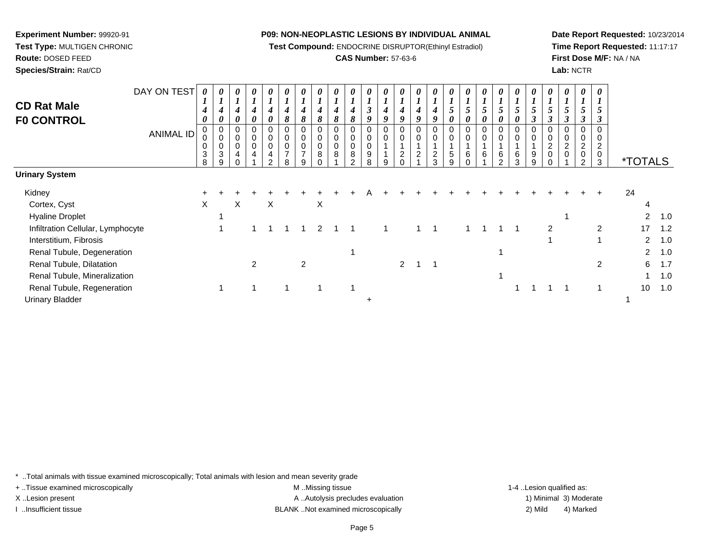**Test Compound:** ENDOCRINE DISRUPTOR(Ethinyl Estradiol)

# **CAS Number:** 57-63-6

**Date Report Requested:** 10/23/2014**Time Report Requested:** 11:17:17**First Dose M/F:** NA / NA**Lab:** NCTR

| <b>CD Rat Male</b>                | DAY ON TEST      | 0<br>$\mathbf{I}$ | $\boldsymbol{\theta}$<br>$\mathbf{I}$ | $\boldsymbol{\theta}$                  | $\boldsymbol{\theta}$<br>$\mathbf{I}$<br>$\mathbf{I}$ | 0<br>$\mathbf{I}$                           | $\boldsymbol{\theta}$<br>$\mathbf{I}$<br>$\mathbf{I}$ | $\boldsymbol{\theta}$<br>$\mathbf{r}$              | $\boldsymbol{\theta}$      | $\boldsymbol{\theta}$ |                  | $\boldsymbol{\mathit{U}}$ | $\boldsymbol{\theta}$ | $\boldsymbol{\theta}$    | $\boldsymbol{\theta}$ | $\boldsymbol{\theta}$         | $\boldsymbol{\theta}$              | $\boldsymbol{\theta}$           | $\boldsymbol{\theta}$<br>$\boldsymbol{l}$ | U                    | $\boldsymbol{\theta}$    | $\boldsymbol{\theta}$ | 0<br>$\mathbf{I}$                      | 0                   | 0                                           | $\boldsymbol{\theta}$ |                       |     |
|-----------------------------------|------------------|-------------------|---------------------------------------|----------------------------------------|-------------------------------------------------------|---------------------------------------------|-------------------------------------------------------|----------------------------------------------------|----------------------------|-----------------------|------------------|---------------------------|-----------------------|--------------------------|-----------------------|-------------------------------|------------------------------------|---------------------------------|-------------------------------------------|----------------------|--------------------------|-----------------------|----------------------------------------|---------------------|---------------------------------------------|-----------------------|-----------------------|-----|
|                                   |                  | 4<br>0            | 4<br>$\boldsymbol{\theta}$            | 4<br>0                                 | 4<br>$\boldsymbol{\theta}$                            | 4<br>0                                      | 4<br>8                                                | 4<br>8                                             | 4<br>8                     | 4<br>8                |                  |                           | O                     | 4<br>$\boldsymbol{a}$    | 4<br>O                | 4<br>$\boldsymbol{q}$         | 5<br>0                             | 5<br>0                          | 0                                         | J<br>0               | 0                        |                       | 5<br>3                                 | $5\overline{)}$     | 5<br>3                                      |                       |                       |     |
| <b>FO CONTROL</b>                 | <b>ANIMAL ID</b> | 0<br>3<br>8       | $\mathbf 0$<br>3                      | 0<br>0<br>0<br>$\overline{\mathbf{4}}$ | 0<br>$\mathsf 0$<br>$\pmb{0}$<br>4                    | 0<br>0<br>$\mathbf 0$<br>4<br>$\mathcal{P}$ | $\mathbf 0$<br>$\pmb{0}$<br>$\,0\,$<br>7<br>8         | 0<br>$\pmb{0}$<br>$\pmb{0}$<br>$\overline{ }$<br>9 | 0<br>0<br>$\mathbf 0$<br>8 | 0<br>0<br>0<br>8      | 0<br>0<br>8<br>ົ | 9<br>8                    | 0<br>g                | 0<br>0<br>$\overline{2}$ | $\overline{c}$        | 0<br>0<br>$\overline{c}$<br>3 | 0<br>$\pmb{0}$<br>$\,$ 5 $\,$<br>9 | 0<br>$\pmb{0}$<br>6<br>$\Omega$ | 6                                         | $6\phantom{1}6$<br>ົ | 0<br>$\pmb{0}$<br>6<br>3 | 0<br>9<br>9           | 0<br>0<br>$\overline{\mathbf{c}}$<br>0 | 2<br>$\overline{0}$ | 0<br>0<br>2<br>$\mathbf 0$<br>$\mathcal{P}$ | ∠<br>0<br>3           | <i><b>*TOTALS</b></i> |     |
| <b>Urinary System</b>             |                  |                   |                                       |                                        |                                                       |                                             |                                                       |                                                    |                            |                       |                  |                           |                       |                          |                       |                               |                                    |                                 |                                           |                      |                          |                       |                                        |                     |                                             |                       |                       |     |
| Kidney                            |                  |                   |                                       |                                        |                                                       |                                             |                                                       |                                                    |                            |                       |                  |                           |                       |                          |                       |                               |                                    |                                 |                                           |                      |                          |                       |                                        |                     |                                             |                       | 24                    |     |
| Cortex, Cyst                      |                  | X                 |                                       | X                                      |                                                       | X                                           |                                                       |                                                    | X                          |                       |                  |                           |                       |                          |                       |                               |                                    |                                 |                                           |                      |                          |                       |                                        |                     |                                             |                       | 4                     |     |
| <b>Hyaline Droplet</b>            |                  |                   |                                       |                                        |                                                       |                                             |                                                       |                                                    |                            |                       |                  |                           |                       |                          |                       |                               |                                    |                                 |                                           |                      |                          |                       |                                        |                     |                                             |                       | $\overline{2}$        | 1.0 |
| Infiltration Cellular, Lymphocyte |                  |                   |                                       |                                        |                                                       |                                             |                                                       |                                                    |                            |                       |                  |                           |                       |                          |                       |                               |                                    |                                 |                                           |                      |                          |                       | 2                                      |                     |                                             | $\overline{2}$        | 17                    | 1.2 |
| Interstitium, Fibrosis            |                  |                   |                                       |                                        |                                                       |                                             |                                                       |                                                    |                            |                       |                  |                           |                       |                          |                       |                               |                                    |                                 |                                           |                      |                          |                       |                                        |                     |                                             | 1                     | $\overline{2}$        | 1.0 |
| Renal Tubule, Degeneration        |                  |                   |                                       |                                        |                                                       |                                             |                                                       |                                                    |                            |                       |                  |                           |                       |                          |                       |                               |                                    |                                 |                                           |                      |                          |                       |                                        |                     |                                             |                       | $2^{\circ}$           | 1.0 |
| Renal Tubule, Dilatation          |                  |                   |                                       |                                        | 2                                                     |                                             |                                                       | $\overline{2}$                                     |                            |                       |                  |                           |                       | $\overline{2}$           |                       | -1                            |                                    |                                 |                                           |                      |                          |                       |                                        |                     |                                             | 2                     | 6                     | 1.7 |
| Renal Tubule, Mineralization      |                  |                   |                                       |                                        |                                                       |                                             |                                                       |                                                    |                            |                       |                  |                           |                       |                          |                       |                               |                                    |                                 |                                           |                      |                          |                       |                                        |                     |                                             |                       |                       | 1.0 |
| Renal Tubule, Regeneration        |                  |                   |                                       |                                        |                                                       |                                             |                                                       |                                                    |                            |                       |                  |                           |                       |                          |                       |                               |                                    |                                 |                                           |                      |                          |                       |                                        |                     |                                             | -1                    | 10                    | 1.0 |
|                                   |                  |                   |                                       |                                        |                                                       |                                             |                                                       |                                                    |                            |                       |                  |                           |                       |                          |                       |                               |                                    |                                 |                                           |                      |                          |                       |                                        |                     |                                             |                       |                       |     |

 $\mathbf{r}$  + 1  $\mathbf{r}$  + 1  $\mathbf{r}$ 

\* ..Total animals with tissue examined microscopically; Total animals with lesion and mean severity grade

**Experiment Number:** 99920-91**Test Type:** MULTIGEN CHRONIC

**Route:** DOSED FEED**Species/Strain:** Rat/CD

Urinary Bladder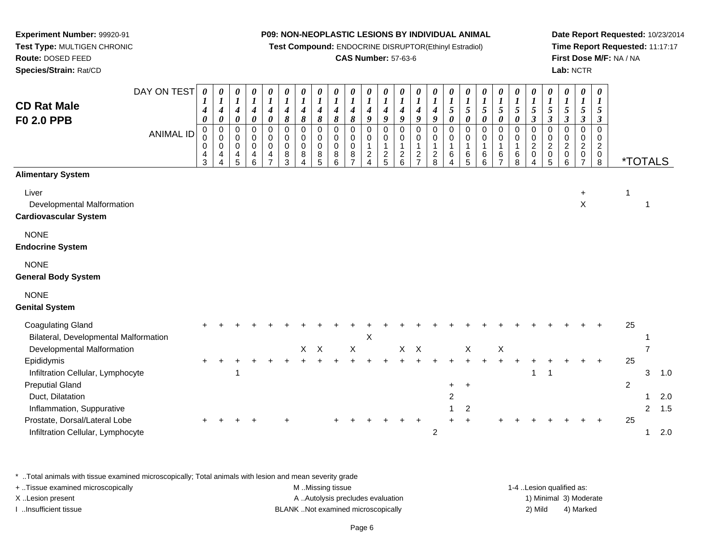**Test Compound:** ENDOCRINE DISRUPTOR(Ethinyl Estradiol)

# **CAS Number:** 57-63-6

**Date Report Requested:** 10/23/2014**Time Report Requested:** 11:17:17**First Dose M/F:** NA / NA**Lab:** NCTR

| <b>CD Rat Male</b><br>F0 2.0 PPB                                                                | DAY ON TEST<br><b>ANIMAL ID</b> | $\boldsymbol{\theta}$<br>4<br>$\boldsymbol{\theta}$<br>$\mathbf 0$<br>$\mathbf 0$<br>0<br>4<br>3 | 0<br>$\boldsymbol{l}$<br>4<br>$\pmb{\theta}$<br>0<br>0<br>0<br>4 | 0<br>$\boldsymbol{I}$<br>$\boldsymbol{4}$<br>$\boldsymbol{\theta}$<br>0<br>0<br>$\mathbf 0$<br>$\overline{4}$<br>5 | 0<br>$\boldsymbol{l}$<br>$\boldsymbol{4}$<br>$\boldsymbol{\theta}$<br>0<br>0<br>$\pmb{0}$<br>4<br>6 | 0<br>$\boldsymbol{l}$<br>4<br>0<br>$\mathbf 0$<br>$\mathbf 0$<br>$\mathbf 0$<br>4<br>$\overline{ }$ | 0<br>$\boldsymbol{l}$<br>$\boldsymbol{4}$<br>8<br>$\Omega$<br>$\mathbf 0$<br>0<br>8<br>3 | 0<br>$\boldsymbol{l}$<br>4<br>$\pmb{8}$<br>$\Omega$<br>$\Omega$<br>$\mathbf 0$<br>8 | 0<br>$\boldsymbol{l}$<br>8<br>$\Omega$<br>$\Omega$<br>$\mathbf 0$<br>8<br>5 | 0<br>$\boldsymbol{l}$<br>4<br>8<br>$\Omega$<br>$\Omega$<br>$\mathbf 0$<br>8<br>6 | 0<br>$\boldsymbol{l}$<br>4<br>8<br>0<br>0<br>$\pmb{0}$<br>8<br>$\overline{ }$ | 0<br>$\boldsymbol{l}$<br>4<br>9<br>0<br>0<br>$\overline{1}$<br>$\frac{2}{4}$ | 0<br>$\boldsymbol{l}$<br>$\boldsymbol{4}$<br>9<br>$\mathbf 0$<br>$\mathbf 0$<br>$\mathbf{1}$<br>$\frac{2}{5}$ | 0<br>$\boldsymbol{l}$<br>$\boldsymbol{4}$<br>9<br>$\mathbf 0$<br>0<br>$\mathbf 1$<br>$\frac{2}{6}$ | 0<br>$\boldsymbol{l}$<br>$\boldsymbol{4}$<br>$\boldsymbol{g}$<br>$\mathbf 0$<br>0<br>1<br>$\overline{a}$<br>$\overline{7}$ | 0<br>$\boldsymbol{l}$<br>$\frac{4}{9}$<br>$\pmb{0}$<br>0<br>$\mathbf{1}$<br>$\frac{2}{8}$ | 0<br>$\boldsymbol{l}$<br>$\sqrt{5}$<br>$\boldsymbol{\theta}$<br>$\overline{0}$<br>0<br>$\mathbf{1}$<br>$\,6$ | 0<br>$\boldsymbol{l}$<br>$\frac{5}{\theta}$<br>$\overline{0}$<br>$\mathsf 0$<br>$\mathbf{1}$<br>6<br>5 | 0<br>$\boldsymbol{l}$<br>5<br>$\boldsymbol{\theta}$<br>0<br>$\mathbf 0$<br>6<br>6 | 0<br>$\boldsymbol{l}$<br>$\sqrt{5}$<br>$\pmb{\theta}$<br>0<br>$\mathbf 0$<br>$\mathbf{1}$<br>6<br>$\overline{7}$ | 0<br>$\boldsymbol{l}$<br>$5\overline{)}$<br>$\boldsymbol{\theta}$<br>$\pmb{0}$<br>$\mathbf 0$<br>$\mathbf{1}$<br>$\,6\,$<br>8 | 0<br>$\boldsymbol{l}$<br>$\sqrt{5}$<br>$\boldsymbol{\mathfrak{z}}$<br>$\pmb{0}$<br>0<br>$\overline{2}$<br>$\pmb{0}$<br>$\overline{4}$ | 0<br>$\boldsymbol{l}$<br>$5\overline{)}$<br>$\boldsymbol{\beta}$<br>$\Omega$<br>0<br>$\overline{c}$<br>$\pmb{0}$<br>5 | 0<br>$\boldsymbol{l}$<br>$\mathfrak{s}$<br>$\boldsymbol{\beta}$<br>$\Omega$<br>0<br>$\overline{c}$<br>$\pmb{0}$<br>6 | 0<br>$\boldsymbol{l}$<br>5<br>$\boldsymbol{\beta}$<br>$\Omega$<br>0<br>$\boldsymbol{2}$<br>$\pmb{0}$<br>$\overline{7}$ | 0<br>1<br>5<br>$\boldsymbol{\beta}$<br>$\overline{0}$<br>0<br>$\overline{c}$<br>$_{\rm 8}^{\rm 0}$ | <i><b>*TOTALS</b></i> |                |            |
|-------------------------------------------------------------------------------------------------|---------------------------------|--------------------------------------------------------------------------------------------------|------------------------------------------------------------------|--------------------------------------------------------------------------------------------------------------------|-----------------------------------------------------------------------------------------------------|-----------------------------------------------------------------------------------------------------|------------------------------------------------------------------------------------------|-------------------------------------------------------------------------------------|-----------------------------------------------------------------------------|----------------------------------------------------------------------------------|-------------------------------------------------------------------------------|------------------------------------------------------------------------------|---------------------------------------------------------------------------------------------------------------|----------------------------------------------------------------------------------------------------|----------------------------------------------------------------------------------------------------------------------------|-------------------------------------------------------------------------------------------|--------------------------------------------------------------------------------------------------------------|--------------------------------------------------------------------------------------------------------|-----------------------------------------------------------------------------------|------------------------------------------------------------------------------------------------------------------|-------------------------------------------------------------------------------------------------------------------------------|---------------------------------------------------------------------------------------------------------------------------------------|-----------------------------------------------------------------------------------------------------------------------|----------------------------------------------------------------------------------------------------------------------|------------------------------------------------------------------------------------------------------------------------|----------------------------------------------------------------------------------------------------|-----------------------|----------------|------------|
| <b>Alimentary System</b>                                                                        |                                 |                                                                                                  |                                                                  |                                                                                                                    |                                                                                                     |                                                                                                     |                                                                                          |                                                                                     |                                                                             |                                                                                  |                                                                               |                                                                              |                                                                                                               |                                                                                                    |                                                                                                                            |                                                                                           |                                                                                                              |                                                                                                        |                                                                                   |                                                                                                                  |                                                                                                                               |                                                                                                                                       |                                                                                                                       |                                                                                                                      |                                                                                                                        |                                                                                                    |                       |                |            |
| Liver<br>Developmental Malformation<br><b>Cardiovascular System</b>                             |                                 |                                                                                                  |                                                                  |                                                                                                                    |                                                                                                     |                                                                                                     |                                                                                          |                                                                                     |                                                                             |                                                                                  |                                                                               |                                                                              |                                                                                                               |                                                                                                    |                                                                                                                            |                                                                                           |                                                                                                              |                                                                                                        |                                                                                   |                                                                                                                  |                                                                                                                               |                                                                                                                                       |                                                                                                                       |                                                                                                                      | $\ddot{}$<br>$\mathsf X$                                                                                               |                                                                                                    | 1                     | $\mathbf 1$    |            |
| <b>NONE</b><br><b>Endocrine System</b>                                                          |                                 |                                                                                                  |                                                                  |                                                                                                                    |                                                                                                     |                                                                                                     |                                                                                          |                                                                                     |                                                                             |                                                                                  |                                                                               |                                                                              |                                                                                                               |                                                                                                    |                                                                                                                            |                                                                                           |                                                                                                              |                                                                                                        |                                                                                   |                                                                                                                  |                                                                                                                               |                                                                                                                                       |                                                                                                                       |                                                                                                                      |                                                                                                                        |                                                                                                    |                       |                |            |
| <b>NONE</b><br><b>General Body System</b>                                                       |                                 |                                                                                                  |                                                                  |                                                                                                                    |                                                                                                     |                                                                                                     |                                                                                          |                                                                                     |                                                                             |                                                                                  |                                                                               |                                                                              |                                                                                                               |                                                                                                    |                                                                                                                            |                                                                                           |                                                                                                              |                                                                                                        |                                                                                   |                                                                                                                  |                                                                                                                               |                                                                                                                                       |                                                                                                                       |                                                                                                                      |                                                                                                                        |                                                                                                    |                       |                |            |
| <b>NONE</b><br><b>Genital System</b>                                                            |                                 |                                                                                                  |                                                                  |                                                                                                                    |                                                                                                     |                                                                                                     |                                                                                          |                                                                                     |                                                                             |                                                                                  |                                                                               |                                                                              |                                                                                                               |                                                                                                    |                                                                                                                            |                                                                                           |                                                                                                              |                                                                                                        |                                                                                   |                                                                                                                  |                                                                                                                               |                                                                                                                                       |                                                                                                                       |                                                                                                                      |                                                                                                                        |                                                                                                    |                       |                |            |
| <b>Coagulating Gland</b><br>Bilateral, Developmental Malformation<br>Developmental Malformation |                                 |                                                                                                  |                                                                  |                                                                                                                    |                                                                                                     |                                                                                                     |                                                                                          | $\mathsf X$                                                                         | $\boldsymbol{\mathsf{X}}$                                                   |                                                                                  | $\mathsf X$                                                                   | X                                                                            |                                                                                                               | X                                                                                                  | $\boldsymbol{X}$                                                                                                           |                                                                                           |                                                                                                              | $\mathsf X$                                                                                            |                                                                                   | X                                                                                                                |                                                                                                                               |                                                                                                                                       |                                                                                                                       |                                                                                                                      |                                                                                                                        |                                                                                                    | 25                    | $\overline{7}$ |            |
| Epididymis<br>Infiltration Cellular, Lymphocyte<br><b>Preputial Gland</b>                       |                                 |                                                                                                  |                                                                  | 1                                                                                                                  |                                                                                                     |                                                                                                     |                                                                                          |                                                                                     |                                                                             |                                                                                  |                                                                               |                                                                              |                                                                                                               |                                                                                                    |                                                                                                                            |                                                                                           | +                                                                                                            | $\div$                                                                                                 |                                                                                   |                                                                                                                  |                                                                                                                               | $\overline{1}$                                                                                                                        | $\mathbf{1}$                                                                                                          |                                                                                                                      |                                                                                                                        |                                                                                                    | 25<br>$\overline{2}$  | 3              | 1.0        |
| Duct, Dilatation<br>Inflammation, Suppurative                                                   |                                 |                                                                                                  |                                                                  |                                                                                                                    |                                                                                                     |                                                                                                     |                                                                                          |                                                                                     |                                                                             |                                                                                  |                                                                               |                                                                              |                                                                                                               |                                                                                                    |                                                                                                                            |                                                                                           | $\overline{c}$                                                                                               | 2                                                                                                      |                                                                                   |                                                                                                                  |                                                                                                                               |                                                                                                                                       |                                                                                                                       |                                                                                                                      |                                                                                                                        |                                                                                                    |                       | 1<br>2         | 2.0<br>1.5 |
| Prostate, Dorsal/Lateral Lobe<br>Infiltration Cellular, Lymphocyte                              |                                 |                                                                                                  |                                                                  |                                                                                                                    |                                                                                                     |                                                                                                     |                                                                                          |                                                                                     |                                                                             |                                                                                  |                                                                               |                                                                              |                                                                                                               |                                                                                                    |                                                                                                                            | $\overline{2}$                                                                            |                                                                                                              |                                                                                                        |                                                                                   |                                                                                                                  |                                                                                                                               |                                                                                                                                       |                                                                                                                       |                                                                                                                      |                                                                                                                        |                                                                                                    | 25                    | 1              | 2.0        |

\* ..Total animals with tissue examined microscopically; Total animals with lesion and mean severity grade

**Experiment Number:** 99920-91**Test Type:** MULTIGEN CHRONIC

**Route:** DOSED FEED**Species/Strain:** Rat/CD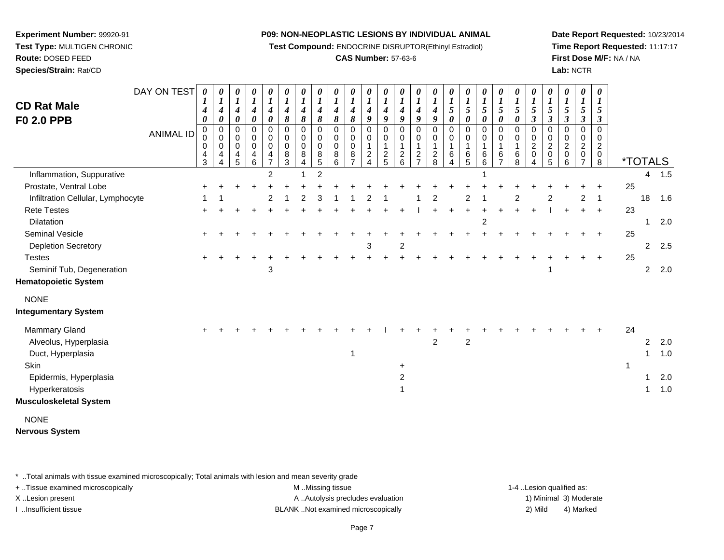**Experiment Number:** 99920-91 **Test Type:** MULTIGEN CHRONIC**Route:** DOSED FEED**Species/Strain:** Rat/CD

# **Test Compound:** ENDOCRINE DISRUPTOR(Ethinyl Estradiol)

# **CAS Number:** 57-63-6

**Date Report Requested:** 10/23/2014**Time Report Requested:** 11:17:17**First Dose M/F:** NA / NA**Lab:** NCTR

| <b>CD Rat Male</b><br>F0 2.0 PPB                                                                                                                        | DAY ON TEST      | $\boldsymbol{\theta}$<br>1<br>4<br>0 | 0<br>$\boldsymbol{l}$<br>4<br>0 | 0<br>$\boldsymbol{l}$<br>4<br>0 | 0<br>$\boldsymbol{l}$<br>4<br>0 | 0<br>$\boldsymbol{l}$<br>$\boldsymbol{4}$<br>0 | $\boldsymbol{\theta}$<br>$\boldsymbol{l}$<br>$\boldsymbol{4}$<br>8 | 0<br>$\boldsymbol{l}$<br>4<br>8 | 0<br>$\boldsymbol{l}$<br>4<br>8 | 0<br>1<br>4<br>8      | 0<br>$\boldsymbol{l}$<br>4<br>8 | 0<br>$\boldsymbol{l}$<br>4<br>9                      | 0<br>$\boldsymbol{l}$<br>4<br>9   | 0<br>$\boldsymbol{l}$<br>$\boldsymbol{4}$<br>9      | 0<br>$\boldsymbol{l}$<br>4<br>9 | 0<br>$\boldsymbol{l}$<br>$\boldsymbol{4}$<br>9             | 0<br>1<br>$\mathfrak{s}$<br>0 | 0<br>$\boldsymbol{l}$<br>$\mathfrak{s}$<br>0 | 0<br>$\boldsymbol{l}$<br>5<br>0 | 0<br>$\boldsymbol{l}$<br>5<br>0         | 0<br>$\boldsymbol{l}$<br>$\sqrt{5}$<br>0 | 0<br>1<br>5<br>3                   | 0<br>$\boldsymbol{l}$<br>5<br>$\boldsymbol{\beta}$                        | 0<br>1<br>5<br>3                                       | 0<br>1<br>5<br>3              | $\boldsymbol{\theta}$<br>$\boldsymbol{l}$<br>5<br>$\boldsymbol{\beta}$ |         |                               |                          |
|---------------------------------------------------------------------------------------------------------------------------------------------------------|------------------|--------------------------------------|---------------------------------|---------------------------------|---------------------------------|------------------------------------------------|--------------------------------------------------------------------|---------------------------------|---------------------------------|-----------------------|---------------------------------|------------------------------------------------------|-----------------------------------|-----------------------------------------------------|---------------------------------|------------------------------------------------------------|-------------------------------|----------------------------------------------|---------------------------------|-----------------------------------------|------------------------------------------|------------------------------------|---------------------------------------------------------------------------|--------------------------------------------------------|-------------------------------|------------------------------------------------------------------------|---------|-------------------------------|--------------------------|
|                                                                                                                                                         | <b>ANIMAL ID</b> | 0<br>0<br>0<br>4<br>3                | 0<br>0<br>0<br>4<br>4           | 0<br>0<br>$\pmb{0}$<br>4<br>5   | 0<br>0<br>$\pmb{0}$<br>4<br>6   | 0<br>0<br>$\mathbf 0$<br>4                     | 0<br>0<br>$\pmb{0}$<br>8<br>3                                      | 0<br>0<br>0<br>8<br>4           | 0<br>0<br>0<br>8<br>5           | 0<br>0<br>0<br>8<br>6 | 0<br>0<br>$\pmb{0}$<br>8        | 0<br>$\mathbf 0$<br>$\overline{c}$<br>$\overline{4}$ | 0<br>$\mathbf 0$<br>$\frac{2}{5}$ | 0<br>0<br>$\mathbf{1}$<br>$\boldsymbol{2}$<br>$\,6$ | 0<br>0<br>1<br>$\frac{2}{7}$    | $\mathbf 0$<br>$\mathbf 0$<br>$\mathbf 1$<br>$\frac{2}{8}$ | 0<br>0<br>1<br>6<br>4         | 0<br>0<br>6<br>$\overline{5}$                | 0<br>0<br>$\,6$<br>6            | 0<br>$\mathbf 0$<br>6<br>$\overline{7}$ | 0<br>0<br>$\mathbf 1$<br>6<br>8          | 0<br>0<br>$\overline{c}$<br>0<br>4 | $\mathbf 0$<br>$\mathbf 0$<br>$\overline{2}$<br>$\mathbf 0$<br>$\sqrt{5}$ | $\mathbf 0$<br>0<br>$\overline{c}$<br>$\mathbf 0$<br>6 | 0<br>0<br>$\overline{c}$<br>0 | 0<br>0<br>$\overline{c}$<br>$\boldsymbol{0}$<br>8                      |         | <i><b>*TOTALS</b></i>         |                          |
| Inflammation, Suppurative                                                                                                                               |                  |                                      |                                 |                                 |                                 | 2                                              |                                                                    |                                 | $\overline{2}$                  |                       |                                 |                                                      |                                   |                                                     |                                 |                                                            |                               |                                              |                                 |                                         |                                          |                                    |                                                                           |                                                        |                               |                                                                        |         | 4                             | 1.5                      |
| Prostate, Ventral Lobe                                                                                                                                  |                  |                                      |                                 |                                 |                                 |                                                |                                                                    |                                 |                                 |                       |                                 |                                                      |                                   |                                                     |                                 |                                                            |                               |                                              |                                 |                                         |                                          |                                    |                                                                           |                                                        |                               |                                                                        | 25      |                               |                          |
| Infiltration Cellular, Lymphocyte                                                                                                                       |                  |                                      |                                 |                                 |                                 | 2                                              |                                                                    | 2                               | 3                               |                       |                                 |                                                      |                                   |                                                     |                                 |                                                            |                               |                                              |                                 |                                         |                                          |                                    | 2                                                                         |                                                        | 2                             | -1                                                                     |         | 18                            | 1.6                      |
| <b>Rete Testes</b><br><b>Dilatation</b>                                                                                                                 |                  |                                      |                                 |                                 |                                 |                                                |                                                                    |                                 |                                 |                       |                                 |                                                      |                                   |                                                     |                                 |                                                            |                               |                                              | 2                               |                                         |                                          |                                    |                                                                           |                                                        |                               |                                                                        | 23      |                               | 2.0                      |
| Seminal Vesicle<br><b>Depletion Secretory</b>                                                                                                           |                  |                                      |                                 |                                 |                                 |                                                |                                                                    |                                 |                                 |                       |                                 | 3                                                    |                                   | 2                                                   |                                 |                                                            |                               |                                              |                                 |                                         |                                          |                                    |                                                                           |                                                        |                               |                                                                        | 25      | $\overline{c}$                | 2.5                      |
| <b>Testes</b><br>Seminif Tub, Degeneration<br><b>Hematopoietic System</b>                                                                               |                  |                                      |                                 |                                 |                                 | 3                                              |                                                                    |                                 |                                 |                       |                                 |                                                      |                                   |                                                     |                                 |                                                            |                               |                                              |                                 |                                         |                                          |                                    |                                                                           |                                                        |                               |                                                                        | 25      | 2                             | 2.0                      |
| <b>NONE</b><br><b>Integumentary System</b>                                                                                                              |                  |                                      |                                 |                                 |                                 |                                                |                                                                    |                                 |                                 |                       |                                 |                                                      |                                   |                                                     |                                 |                                                            |                               |                                              |                                 |                                         |                                          |                                    |                                                                           |                                                        |                               |                                                                        |         |                               |                          |
| <b>Mammary Gland</b><br>Alveolus, Hyperplasia<br>Duct, Hyperplasia<br>Skin<br>Epidermis, Hyperplasia<br>Hyperkeratosis<br><b>Musculoskeletal System</b> |                  |                                      |                                 |                                 |                                 |                                                |                                                                    |                                 |                                 |                       | 1                               |                                                      |                                   | $\ddot{}$<br>$\overline{c}$                         |                                 | $\overline{c}$                                             |                               | $\overline{2}$                               |                                 |                                         |                                          |                                    |                                                                           |                                                        |                               |                                                                        | 24<br>1 | $\overline{c}$<br>1<br>1<br>1 | 2.0<br>1.0<br>2.0<br>1.0 |
| <b>NONE</b><br><b>Nervous System</b>                                                                                                                    |                  |                                      |                                 |                                 |                                 |                                                |                                                                    |                                 |                                 |                       |                                 |                                                      |                                   |                                                     |                                 |                                                            |                               |                                              |                                 |                                         |                                          |                                    |                                                                           |                                                        |                               |                                                                        |         |                               |                          |

\* ..Total animals with tissue examined microscopically; Total animals with lesion and mean severity grade

+ ..Tissue examined microscopically examined microscopically examined as:  $M$  ..Missing tissue 1-4 ..Lesion qualified as: X..Lesion present **A ..Autolysis precludes evaluation** A ..Autolysis precludes evaluation 1) Minimal 3) Moderate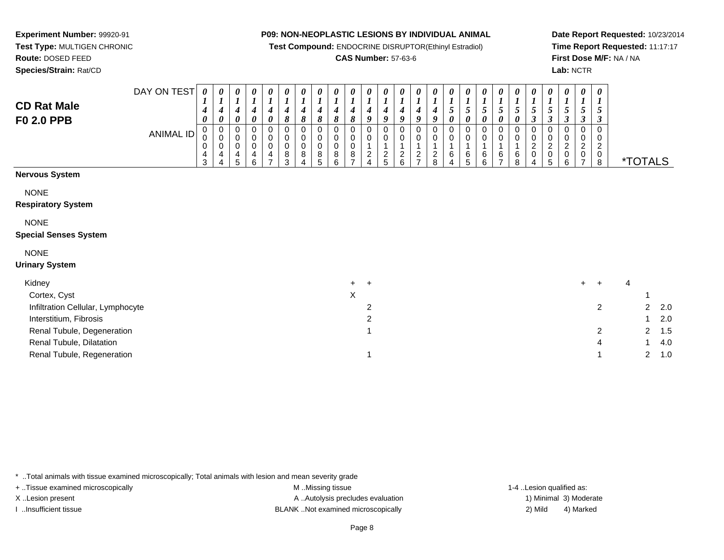**Test Compound:** ENDOCRINE DISRUPTOR(Ethinyl Estradiol)

#### **CAS Number:** 57-63-6

*0 1*

*0 1*

*1 5*

0

**Date Report Requested:** 10/23/2014**Time Report Requested:** 11:17:17**First Dose M/F:** NA / NA**Lab:** NCTR

\*TOTALS

|                    | DAY ON TEST | 0      | $\boldsymbol{\theta}$ | $\boldsymbol{\theta}$ | 0      | 0                          | 0             | 0      | 0      | 0      | 0      | $\boldsymbol{\theta}$ | 0      | 0      | 0      |
|--------------------|-------------|--------|-----------------------|-----------------------|--------|----------------------------|---------------|--------|--------|--------|--------|-----------------------|--------|--------|--------|
| <b>CD Rat Male</b> |             | 4<br>0 | 4<br>0                | 4<br>0                | 4<br>0 | 4<br>$\boldsymbol{\theta}$ | 4<br>8        | 4<br>8 | 4<br>8 | 4<br>8 | 4<br>8 | 4<br>9                | 4<br>9 | 4<br>9 | 4<br>9 |
| <b>F0 2.0 PPB</b>  | ANIMAL ID   | 0      | 0                     | 0                     | 0      | 0                          | 0             | 0      | 0      | 0      | 0      | 0                     | 0      | 0      | 0      |
|                    |             | 0      | 0                     | 0<br>0                | 0<br>0 | 0<br>0                     | 0<br>$\Omega$ | 0<br>0 | 0<br>0 | 0<br>0 | 0<br>0 | 0                     | 0      | 0      | 0      |
|                    |             | 4<br>3 | 4<br>4                | 4<br>5                | 4<br>6 | $\overline{4}$<br>⇁        | 8<br>3        | 8<br>4 | 8<br>5 | 8<br>6 | 8<br>⇁ | 2<br>4                | 2<br>5 | 2<br>6 | 2      |
| Nervous System     |             |        |                       |                       |        |                            |               |        |        |        |        |                       |        |        |        |
| <b>NONE</b>        |             |        |                       |                       |        |                            |               |        |        |        |        |                       |        |        |        |

#### **Respiratory System**

NONE

#### **Special Senses System**

**Experiment Number:** 99920-91**Test Type:** MULTIGEN CHRONIC

**Route:** DOSED FEED**Species/Strain:** Rat/CD

#### NONE

#### **Urinary System**

| Kidney                            | $+$ $+$ | 4 |                |            |
|-----------------------------------|---------|---|----------------|------------|
| Cortex, Cyst                      | $\sim$  |   |                |            |
| Infiltration Cellular, Lymphocyte |         |   | $\overline{2}$ | 2.0        |
| Interstitium, Fibrosis            |         |   |                | 2.0        |
| Renal Tubule, Degeneration        |         | າ |                | $2 \t 1.5$ |
| Renal Tubule, Dilatation          |         | 4 |                | 4.0        |
| Renal Tubule, Regeneration        |         |   | $\mathbf{2}$   | 1.0        |

\* ..Total animals with tissue examined microscopically; Total animals with lesion and mean severity grade

+ ..Tissue examined microscopically examined microscopically examined as:  $M$  ..Missing tissue 1-4 ..Lesion qualified as: X..Lesion present **A ..Autolysis precludes evaluation** A ..Autolysis precludes evaluation 1) Minimal 3) Moderate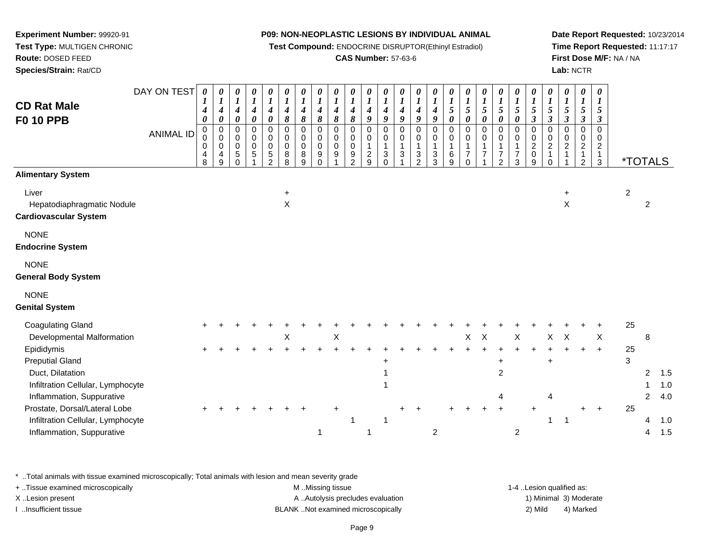**Test Compound:** ENDOCRINE DISRUPTOR(Ethinyl Estradiol)

# **CAS Number:** 57-63-6

**Date Report Requested:** 10/23/2014**Time Report Requested:** 11:17:17**First Dose M/F:** NA / NA**Lab:** NCTR

| <b>CD Rat Male</b><br><b>F0 10 PPB</b><br><b>Alimentary System</b>                                                                                                                                                                                                                      | DAY ON TEST<br><b>ANIMAL ID</b> | 0<br>$\boldsymbol{l}$<br>$\boldsymbol{4}$<br>0<br>$\pmb{0}$<br>0<br>0<br>4<br>8 | 0<br>$\boldsymbol{l}$<br>$\boldsymbol{4}$<br>$\boldsymbol{\theta}$<br>$\pmb{0}$<br>$\mathbf 0$<br>$\mathbf 0$<br>4<br>9 | 0<br>$\boldsymbol{l}$<br>$\boldsymbol{4}$<br>$\boldsymbol{\theta}$<br>0<br>0<br>$\mathbf 0$<br>5<br>$\Omega$ | 0<br>$\boldsymbol{l}$<br>$\boldsymbol{4}$<br>$\pmb{\theta}$<br>0<br>0<br>0<br>5 | 0<br>$\boldsymbol{l}$<br>$\boldsymbol{4}$<br>$\boldsymbol{\theta}$<br>$\mathbf 0$<br>$\mathbf 0$<br>$\mathbf 0$<br>5<br>2 | 0<br>$\boldsymbol{l}$<br>$\boldsymbol{4}$<br>$\pmb{8}$<br>$\pmb{0}$<br>$\mathbf 0$<br>$\pmb{0}$<br>8<br>8 | 0<br>$\boldsymbol{l}$<br>4<br>8<br>0<br>0<br>$\mathbf 0$<br>8<br>9 | 0<br>$\boldsymbol{l}$<br>$\boldsymbol{4}$<br>8<br>0<br>0<br>$\mathbf 0$<br>9<br>$\Omega$ | 0<br>$\boldsymbol{l}$<br>$\boldsymbol{4}$<br>$\pmb{8}$<br>$\mathbf 0$<br>$\mathbf 0$<br>$\mathbf 0$<br>9 | 0<br>$\boldsymbol{l}$<br>$\boldsymbol{4}$<br>8<br>0<br>0<br>$\mathbf 0$<br>9<br>$\overline{2}$ | 0<br>$\boldsymbol{l}$<br>$\boldsymbol{4}$<br>9<br>$\mathbf 0$<br>0<br>$\mathbf{1}$<br>$\overline{2}$<br>9 | 0<br>$\boldsymbol{l}$<br>$\boldsymbol{4}$<br>9<br>$\pmb{0}$<br>$\pmb{0}$<br>$\mathbf{1}$<br>3<br>$\Omega$ | 0<br>$\boldsymbol{l}$<br>$\boldsymbol{4}$<br>9<br>$\mathbf 0$<br>$\pmb{0}$<br>$\mathbf{1}$<br>3 | 0<br>$\boldsymbol{l}$<br>$\boldsymbol{4}$<br>9<br>$\mathbf 0$<br>0<br>$\overline{1}$<br>$\mathbf{3}$<br>$\overline{2}$ | 0<br>$\boldsymbol{l}$<br>4<br>9<br>$\mathbf 0$<br>0<br>$\mathbf{1}$<br>3<br>3 | 0<br>$\boldsymbol{l}$<br>$\sqrt{5}$<br>$\pmb{\theta}$<br>$\mathbf 0$<br>$\pmb{0}$<br>$\mathbf{1}$<br>$\,6$<br>9 | $\begin{matrix} 0 \ 1 \end{matrix}$<br>5<br>$\pmb{\theta}$<br>0<br>$\mathbf 0$<br>1<br>$\overline{7}$<br>$\Omega$ | 0<br>$\boldsymbol{l}$<br>5<br>$\pmb{\theta}$<br>0<br>$\pmb{0}$<br>$\mathbf{1}$<br>$\boldsymbol{7}$ | 0<br>$\boldsymbol{l}$<br>5<br>0<br>$\mathbf 0$<br>$\pmb{0}$<br>$\mathbf{1}$<br>$\boldsymbol{7}$<br>$\overline{2}$ | 0<br>$\boldsymbol{l}$<br>$5\overline{)}$<br>0<br>$\mathbf 0$<br>0<br>$\mathbf{1}$<br>$\overline{7}$<br>3 | 0<br>$\boldsymbol{l}$<br>$\mathfrak{s}$<br>$\boldsymbol{\beta}$<br>$\mathbf 0$<br>$\pmb{0}$<br>$\boldsymbol{2}$<br>$\pmb{0}$<br>9 | 0<br>$\boldsymbol{l}$<br>$\mathfrak{s}$<br>$\boldsymbol{\beta}$<br>$\mathbf 0$<br>$\mathbf 0$<br>$\sqrt{2}$<br>$\mathbf{1}$<br>$\Omega$ | 0<br>$\boldsymbol{l}$<br>5<br>$\boldsymbol{\beta}$<br>$\pmb{0}$<br>$\frac{0}{2}$<br>1 | 0<br>$\boldsymbol{l}$<br>$\sqrt{5}$<br>$\boldsymbol{\beta}$<br>0<br>$\mathbf 0$<br>$\overline{c}$<br>$\mathbf{1}$<br>$\overline{2}$ | 0<br>$\bm{l}$<br>5<br>$\boldsymbol{\beta}$<br>$\Omega$<br>$\mathbf 0$<br>$\overline{c}$<br>$\mathbf{1}$<br>3 |                     | <i><b>*TOTALS</b></i>                                |                                 |
|-----------------------------------------------------------------------------------------------------------------------------------------------------------------------------------------------------------------------------------------------------------------------------------------|---------------------------------|---------------------------------------------------------------------------------|-------------------------------------------------------------------------------------------------------------------------|--------------------------------------------------------------------------------------------------------------|---------------------------------------------------------------------------------|---------------------------------------------------------------------------------------------------------------------------|-----------------------------------------------------------------------------------------------------------|--------------------------------------------------------------------|------------------------------------------------------------------------------------------|----------------------------------------------------------------------------------------------------------|------------------------------------------------------------------------------------------------|-----------------------------------------------------------------------------------------------------------|-----------------------------------------------------------------------------------------------------------|-------------------------------------------------------------------------------------------------|------------------------------------------------------------------------------------------------------------------------|-------------------------------------------------------------------------------|-----------------------------------------------------------------------------------------------------------------|-------------------------------------------------------------------------------------------------------------------|----------------------------------------------------------------------------------------------------|-------------------------------------------------------------------------------------------------------------------|----------------------------------------------------------------------------------------------------------|-----------------------------------------------------------------------------------------------------------------------------------|-----------------------------------------------------------------------------------------------------------------------------------------|---------------------------------------------------------------------------------------|-------------------------------------------------------------------------------------------------------------------------------------|--------------------------------------------------------------------------------------------------------------|---------------------|------------------------------------------------------|---------------------------------|
| Liver<br>Hepatodiaphragmatic Nodule<br><b>Cardiovascular System</b>                                                                                                                                                                                                                     |                                 |                                                                                 |                                                                                                                         |                                                                                                              |                                                                                 |                                                                                                                           | $\ddot{}$<br>$\pmb{\times}$                                                                               |                                                                    |                                                                                          |                                                                                                          |                                                                                                |                                                                                                           |                                                                                                           |                                                                                                 |                                                                                                                        |                                                                               |                                                                                                                 |                                                                                                                   |                                                                                                    |                                                                                                                   |                                                                                                          |                                                                                                                                   |                                                                                                                                         | $\ddot{}$<br>X                                                                        |                                                                                                                                     |                                                                                                              | $\overline{c}$      | $\overline{c}$                                       |                                 |
| <b>NONE</b><br><b>Endocrine System</b>                                                                                                                                                                                                                                                  |                                 |                                                                                 |                                                                                                                         |                                                                                                              |                                                                                 |                                                                                                                           |                                                                                                           |                                                                    |                                                                                          |                                                                                                          |                                                                                                |                                                                                                           |                                                                                                           |                                                                                                 |                                                                                                                        |                                                                               |                                                                                                                 |                                                                                                                   |                                                                                                    |                                                                                                                   |                                                                                                          |                                                                                                                                   |                                                                                                                                         |                                                                                       |                                                                                                                                     |                                                                                                              |                     |                                                      |                                 |
| <b>NONE</b><br><b>General Body System</b>                                                                                                                                                                                                                                               |                                 |                                                                                 |                                                                                                                         |                                                                                                              |                                                                                 |                                                                                                                           |                                                                                                           |                                                                    |                                                                                          |                                                                                                          |                                                                                                |                                                                                                           |                                                                                                           |                                                                                                 |                                                                                                                        |                                                                               |                                                                                                                 |                                                                                                                   |                                                                                                    |                                                                                                                   |                                                                                                          |                                                                                                                                   |                                                                                                                                         |                                                                                       |                                                                                                                                     |                                                                                                              |                     |                                                      |                                 |
| <b>NONE</b><br><b>Genital System</b>                                                                                                                                                                                                                                                    |                                 |                                                                                 |                                                                                                                         |                                                                                                              |                                                                                 |                                                                                                                           |                                                                                                           |                                                                    |                                                                                          |                                                                                                          |                                                                                                |                                                                                                           |                                                                                                           |                                                                                                 |                                                                                                                        |                                                                               |                                                                                                                 |                                                                                                                   |                                                                                                    |                                                                                                                   |                                                                                                          |                                                                                                                                   |                                                                                                                                         |                                                                                       |                                                                                                                                     |                                                                                                              |                     |                                                      |                                 |
| <b>Coagulating Gland</b><br>Developmental Malformation<br>Epididymis<br><b>Preputial Gland</b><br>Duct, Dilatation<br>Infiltration Cellular, Lymphocyte<br>Inflammation, Suppurative<br>Prostate, Dorsal/Lateral Lobe<br>Infiltration Cellular, Lymphocyte<br>Inflammation, Suppurative |                                 | $+$                                                                             |                                                                                                                         |                                                                                                              |                                                                                 |                                                                                                                           | X                                                                                                         |                                                                    | 1                                                                                        | $\sf X$                                                                                                  | 1                                                                                              | 1                                                                                                         | -1                                                                                                        |                                                                                                 |                                                                                                                        | $\overline{2}$                                                                |                                                                                                                 | $\mathsf X$                                                                                                       | $\mathsf{X}$                                                                                       | $\ddot{}$<br>$\overline{2}$<br>4<br>$\ddot{}$                                                                     | $\mathsf X$<br>$\overline{c}$                                                                            | ÷                                                                                                                                 | $\mathsf{X}$<br>÷<br>4                                                                                                                  | $\mathsf{X}$<br>-1                                                                    | $\ddot{}$                                                                                                                           | $\boldsymbol{X}$<br>$\ddot{}$<br>$\pm$                                                                       | 25<br>25<br>3<br>25 | 8<br>$\overline{2}$<br>1<br>$\overline{2}$<br>4<br>4 | 1.5<br>1.0<br>4.0<br>1.0<br>1.5 |

\* ..Total animals with tissue examined microscopically; Total animals with lesion and mean severity grade

**Experiment Number:** 99920-91**Test Type:** MULTIGEN CHRONIC

**Route:** DOSED FEED**Species/Strain:** Rat/CD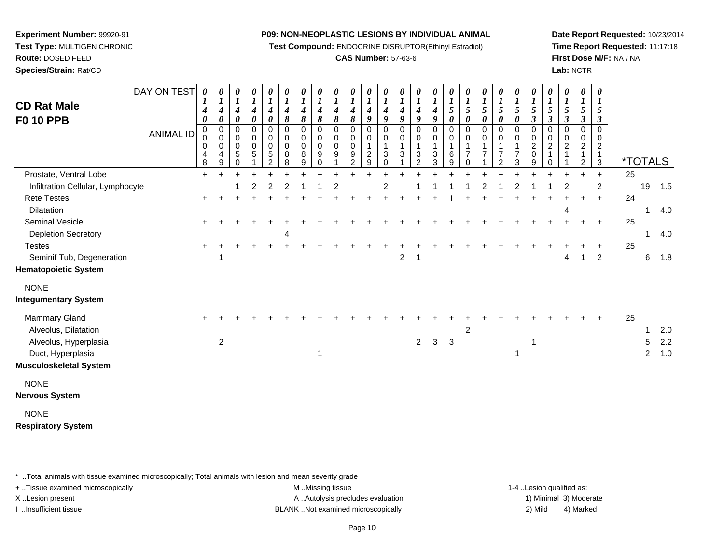**Test Compound:** ENDOCRINE DISRUPTOR(Ethinyl Estradiol)

# **CAS Number:** 57-63-6

**Date Report Requested:** 10/23/2014**Time Report Requested:** 11:17:18**First Dose M/F:** NA / NA**Lab:** NCTR

| <b>CD Rat Male</b><br><b>F0 10 PPB</b>   | DAY ON TEST<br><b>ANIMAL ID</b> | 0<br>4<br>0<br>$\pmb{0}$<br>0<br>0<br>4<br>8 | 0<br>$\boldsymbol{l}$<br>$\boldsymbol{4}$<br>$\boldsymbol{\theta}$<br>0<br>$\pmb{0}$<br>0<br>4<br>9 | 0<br>$\boldsymbol{l}$<br>$\boldsymbol{4}$<br>$\pmb{\theta}$<br>$\mathsf 0$<br>$\mathbf 0$<br>$\mathbf 0$<br>$\mathbf 5$<br>$\Omega$ | 0<br>$\boldsymbol{l}$<br>$\boldsymbol{4}$<br>$\boldsymbol{\theta}$<br>$\pmb{0}$<br>$\mathsf 0$<br>0<br>5 | 0<br>$\boldsymbol{l}$<br>$\boldsymbol{4}$<br>$\pmb{\theta}$<br>$\pmb{0}$<br>0<br>0<br>5<br>2 | 0<br>$\boldsymbol{l}$<br>$\boldsymbol{4}$<br>8<br>$\pmb{0}$<br>0<br>$\mathbf 0$<br>8<br>8 | 0<br>$\boldsymbol{l}$<br>4<br>$\pmb{8}$<br>0<br>0<br>$\mathbf 0$<br>8<br>9 | $\boldsymbol{\theta}$<br>$\boldsymbol{l}$<br>$\boldsymbol{4}$<br>$\pmb{8}$<br>$\boldsymbol{0}$<br>$\mathbf 0$<br>$\mathbf 0$<br>9<br>$\Omega$ | 0<br>$\boldsymbol{l}$<br>$\boldsymbol{4}$<br>8<br>$\pmb{0}$<br>0<br>$\mathbf 0$<br>9 | 0<br>$\boldsymbol{l}$<br>$\boldsymbol{4}$<br>8<br>0<br>0<br>$\mathbf 0$<br>9<br>$\overline{2}$ | 0<br>$\boldsymbol{l}$<br>$\boldsymbol{4}$<br>9<br>0<br>0<br>$\frac{2}{9}$ | 0<br>$\boldsymbol{l}$<br>$\boldsymbol{4}$<br>9<br>$\pmb{0}$<br>$\mathbf 0$<br>$\mathbf{1}$<br>$\ensuremath{\mathsf{3}}$<br>$\Omega$ | $\begin{matrix} 0 \\ 1 \end{matrix}$<br>$\boldsymbol{4}$<br>9<br>$\mathbf 0$<br>$\,0\,$<br>$\mathbf{1}$<br>3 | $\boldsymbol{\theta}$<br>$\boldsymbol{l}$<br>$\boldsymbol{4}$<br>9<br>$\pmb{0}$<br>$\pmb{0}$<br>$\mathbf{1}$<br>3<br>2 | 0<br>$\boldsymbol{l}$<br>4<br>9<br>0<br>0<br>$\mathbf{1}$<br>$\frac{3}{3}$ | $\boldsymbol{\theta}$<br>$\boldsymbol{l}$<br>$\sqrt{5}$<br>$\boldsymbol{\theta}$<br>$\mathbf 0$<br>0<br>$\mathbf{1}$<br>6<br>9 | 0<br>$\boldsymbol{l}$<br>$\mathfrak{s}$<br>$\pmb{\theta}$<br>0<br>$\mathbf 0$<br>$\mathbf{1}$<br>7<br>$\Omega$ | 0<br>$\boldsymbol{l}$<br>$\sqrt{5}$<br>$\pmb{\theta}$<br>0<br>$\mathsf 0$<br>7 | 0<br>$\boldsymbol{l}$<br>5<br>0<br>0<br>0<br>$\overline{1}$<br>7<br>$\overline{2}$ | 0<br>$\boldsymbol{l}$<br>$\mathfrak{s}$<br>$\pmb{\theta}$<br>$\pmb{0}$<br>$\mathbf 0$<br>1<br>7<br>3 | 0<br>$\boldsymbol{l}$<br>5<br>$\boldsymbol{\beta}$<br>$\pmb{0}$<br>0<br>$\overline{c}$<br>$\pmb{0}$<br>9 | 0<br>$\boldsymbol{l}$<br>5<br>$\boldsymbol{\beta}$<br>$\mathbf 0$<br>0<br>$\overline{c}$<br>$\Omega$ | 0<br>$\boldsymbol{l}$<br>5<br>$\boldsymbol{\beta}$<br>$\mathbf 0$<br>0<br>$\overline{\mathbf{c}}$ | 0<br>$\boldsymbol{l}$<br>5<br>3<br>$\pmb{0}$<br>0<br>$\overline{\mathbf{c}}$<br>2 | 0<br>1<br>5<br>3<br>0<br>0<br>$\overline{a}$<br>$\mathbf{1}$<br>3 |    | <i><b>*TOTALS</b></i> |     |
|------------------------------------------|---------------------------------|----------------------------------------------|-----------------------------------------------------------------------------------------------------|-------------------------------------------------------------------------------------------------------------------------------------|----------------------------------------------------------------------------------------------------------|----------------------------------------------------------------------------------------------|-------------------------------------------------------------------------------------------|----------------------------------------------------------------------------|-----------------------------------------------------------------------------------------------------------------------------------------------|--------------------------------------------------------------------------------------|------------------------------------------------------------------------------------------------|---------------------------------------------------------------------------|-------------------------------------------------------------------------------------------------------------------------------------|--------------------------------------------------------------------------------------------------------------|------------------------------------------------------------------------------------------------------------------------|----------------------------------------------------------------------------|--------------------------------------------------------------------------------------------------------------------------------|----------------------------------------------------------------------------------------------------------------|--------------------------------------------------------------------------------|------------------------------------------------------------------------------------|------------------------------------------------------------------------------------------------------|----------------------------------------------------------------------------------------------------------|------------------------------------------------------------------------------------------------------|---------------------------------------------------------------------------------------------------|-----------------------------------------------------------------------------------|-------------------------------------------------------------------|----|-----------------------|-----|
| Prostate, Ventral Lobe                   |                                 | $+$                                          | $\ddot{}$                                                                                           |                                                                                                                                     |                                                                                                          |                                                                                              |                                                                                           |                                                                            |                                                                                                                                               |                                                                                      |                                                                                                |                                                                           |                                                                                                                                     |                                                                                                              |                                                                                                                        |                                                                            |                                                                                                                                |                                                                                                                |                                                                                |                                                                                    |                                                                                                      |                                                                                                          |                                                                                                      |                                                                                                   |                                                                                   | $\ddot{}$                                                         | 25 |                       |     |
| Infiltration Cellular, Lymphocyte        |                                 |                                              |                                                                                                     |                                                                                                                                     | 2                                                                                                        | 2                                                                                            | 2                                                                                         |                                                                            |                                                                                                                                               | 2                                                                                    |                                                                                                |                                                                           | 2                                                                                                                                   |                                                                                                              |                                                                                                                        |                                                                            |                                                                                                                                |                                                                                                                |                                                                                |                                                                                    |                                                                                                      |                                                                                                          |                                                                                                      |                                                                                                   |                                                                                   | $\overline{c}$                                                    |    | 19                    | 1.5 |
| <b>Rete Testes</b>                       |                                 |                                              |                                                                                                     |                                                                                                                                     |                                                                                                          |                                                                                              |                                                                                           |                                                                            |                                                                                                                                               |                                                                                      |                                                                                                |                                                                           |                                                                                                                                     |                                                                                                              |                                                                                                                        |                                                                            |                                                                                                                                |                                                                                                                |                                                                                |                                                                                    |                                                                                                      |                                                                                                          |                                                                                                      |                                                                                                   |                                                                                   | $\ddot{}$                                                         | 24 |                       |     |
| <b>Dilatation</b>                        |                                 |                                              |                                                                                                     |                                                                                                                                     |                                                                                                          |                                                                                              |                                                                                           |                                                                            |                                                                                                                                               |                                                                                      |                                                                                                |                                                                           |                                                                                                                                     |                                                                                                              |                                                                                                                        |                                                                            |                                                                                                                                |                                                                                                                |                                                                                |                                                                                    |                                                                                                      |                                                                                                          |                                                                                                      |                                                                                                   |                                                                                   |                                                                   |    | 1                     | 4.0 |
| Seminal Vesicle                          |                                 | $\ddot{}$                                    |                                                                                                     |                                                                                                                                     |                                                                                                          |                                                                                              |                                                                                           |                                                                            |                                                                                                                                               |                                                                                      |                                                                                                |                                                                           |                                                                                                                                     |                                                                                                              |                                                                                                                        |                                                                            |                                                                                                                                |                                                                                                                |                                                                                |                                                                                    |                                                                                                      |                                                                                                          |                                                                                                      |                                                                                                   |                                                                                   | $\ddot{}$                                                         | 25 |                       |     |
| <b>Depletion Secretory</b>               |                                 |                                              |                                                                                                     |                                                                                                                                     |                                                                                                          |                                                                                              | 4                                                                                         |                                                                            |                                                                                                                                               |                                                                                      |                                                                                                |                                                                           |                                                                                                                                     |                                                                                                              |                                                                                                                        |                                                                            |                                                                                                                                |                                                                                                                |                                                                                |                                                                                    |                                                                                                      |                                                                                                          |                                                                                                      |                                                                                                   |                                                                                   |                                                                   |    | 1                     | 4.0 |
| <b>Testes</b>                            |                                 |                                              |                                                                                                     |                                                                                                                                     |                                                                                                          |                                                                                              |                                                                                           |                                                                            |                                                                                                                                               |                                                                                      |                                                                                                |                                                                           |                                                                                                                                     |                                                                                                              |                                                                                                                        |                                                                            |                                                                                                                                |                                                                                                                |                                                                                |                                                                                    |                                                                                                      |                                                                                                          |                                                                                                      |                                                                                                   |                                                                                   |                                                                   | 25 |                       |     |
| Seminif Tub, Degeneration                |                                 |                                              |                                                                                                     |                                                                                                                                     |                                                                                                          |                                                                                              |                                                                                           |                                                                            |                                                                                                                                               |                                                                                      |                                                                                                |                                                                           |                                                                                                                                     | $\overline{c}$                                                                                               | 1                                                                                                                      |                                                                            |                                                                                                                                |                                                                                                                |                                                                                |                                                                                    |                                                                                                      |                                                                                                          |                                                                                                      | 4                                                                                                 | 1                                                                                 | $\sqrt{2}$                                                        |    | 6                     | 1.8 |
| <b>Hematopoietic System</b>              |                                 |                                              |                                                                                                     |                                                                                                                                     |                                                                                                          |                                                                                              |                                                                                           |                                                                            |                                                                                                                                               |                                                                                      |                                                                                                |                                                                           |                                                                                                                                     |                                                                                                              |                                                                                                                        |                                                                            |                                                                                                                                |                                                                                                                |                                                                                |                                                                                    |                                                                                                      |                                                                                                          |                                                                                                      |                                                                                                   |                                                                                   |                                                                   |    |                       |     |
| <b>NONE</b>                              |                                 |                                              |                                                                                                     |                                                                                                                                     |                                                                                                          |                                                                                              |                                                                                           |                                                                            |                                                                                                                                               |                                                                                      |                                                                                                |                                                                           |                                                                                                                                     |                                                                                                              |                                                                                                                        |                                                                            |                                                                                                                                |                                                                                                                |                                                                                |                                                                                    |                                                                                                      |                                                                                                          |                                                                                                      |                                                                                                   |                                                                                   |                                                                   |    |                       |     |
| <b>Integumentary System</b>              |                                 |                                              |                                                                                                     |                                                                                                                                     |                                                                                                          |                                                                                              |                                                                                           |                                                                            |                                                                                                                                               |                                                                                      |                                                                                                |                                                                           |                                                                                                                                     |                                                                                                              |                                                                                                                        |                                                                            |                                                                                                                                |                                                                                                                |                                                                                |                                                                                    |                                                                                                      |                                                                                                          |                                                                                                      |                                                                                                   |                                                                                   |                                                                   |    |                       |     |
| Mammary Gland                            |                                 |                                              |                                                                                                     |                                                                                                                                     |                                                                                                          |                                                                                              |                                                                                           |                                                                            |                                                                                                                                               |                                                                                      |                                                                                                |                                                                           |                                                                                                                                     |                                                                                                              |                                                                                                                        |                                                                            |                                                                                                                                |                                                                                                                |                                                                                |                                                                                    |                                                                                                      |                                                                                                          |                                                                                                      |                                                                                                   |                                                                                   |                                                                   | 25 |                       |     |
| Alveolus, Dilatation                     |                                 |                                              |                                                                                                     |                                                                                                                                     |                                                                                                          |                                                                                              |                                                                                           |                                                                            |                                                                                                                                               |                                                                                      |                                                                                                |                                                                           |                                                                                                                                     |                                                                                                              |                                                                                                                        |                                                                            |                                                                                                                                | $\overline{2}$                                                                                                 |                                                                                |                                                                                    |                                                                                                      |                                                                                                          |                                                                                                      |                                                                                                   |                                                                                   |                                                                   |    | 1                     | 2.0 |
| Alveolus, Hyperplasia                    |                                 |                                              | $\overline{2}$                                                                                      |                                                                                                                                     |                                                                                                          |                                                                                              |                                                                                           |                                                                            |                                                                                                                                               |                                                                                      |                                                                                                |                                                                           |                                                                                                                                     |                                                                                                              | $\overline{2}$                                                                                                         | 3                                                                          | $\mathbf{3}$                                                                                                                   |                                                                                                                |                                                                                |                                                                                    |                                                                                                      | 1                                                                                                        |                                                                                                      |                                                                                                   |                                                                                   |                                                                   |    | 5                     | 2.2 |
| Duct, Hyperplasia                        |                                 |                                              |                                                                                                     |                                                                                                                                     |                                                                                                          |                                                                                              |                                                                                           |                                                                            | 1                                                                                                                                             |                                                                                      |                                                                                                |                                                                           |                                                                                                                                     |                                                                                                              |                                                                                                                        |                                                                            |                                                                                                                                |                                                                                                                |                                                                                |                                                                                    | $\overline{1}$                                                                                       |                                                                                                          |                                                                                                      |                                                                                                   |                                                                                   |                                                                   |    | $\overline{c}$        | 1.0 |
| Musculoskeletal System                   |                                 |                                              |                                                                                                     |                                                                                                                                     |                                                                                                          |                                                                                              |                                                                                           |                                                                            |                                                                                                                                               |                                                                                      |                                                                                                |                                                                           |                                                                                                                                     |                                                                                                              |                                                                                                                        |                                                                            |                                                                                                                                |                                                                                                                |                                                                                |                                                                                    |                                                                                                      |                                                                                                          |                                                                                                      |                                                                                                   |                                                                                   |                                                                   |    |                       |     |
| <b>NONE</b><br>Nervous System            |                                 |                                              |                                                                                                     |                                                                                                                                     |                                                                                                          |                                                                                              |                                                                                           |                                                                            |                                                                                                                                               |                                                                                      |                                                                                                |                                                                           |                                                                                                                                     |                                                                                                              |                                                                                                                        |                                                                            |                                                                                                                                |                                                                                                                |                                                                                |                                                                                    |                                                                                                      |                                                                                                          |                                                                                                      |                                                                                                   |                                                                                   |                                                                   |    |                       |     |
| <b>NONE</b><br><b>Respiratory System</b> |                                 |                                              |                                                                                                     |                                                                                                                                     |                                                                                                          |                                                                                              |                                                                                           |                                                                            |                                                                                                                                               |                                                                                      |                                                                                                |                                                                           |                                                                                                                                     |                                                                                                              |                                                                                                                        |                                                                            |                                                                                                                                |                                                                                                                |                                                                                |                                                                                    |                                                                                                      |                                                                                                          |                                                                                                      |                                                                                                   |                                                                                   |                                                                   |    |                       |     |

\* ..Total animals with tissue examined microscopically; Total animals with lesion and mean severity grade

**Experiment Number:** 99920-91**Test Type:** MULTIGEN CHRONIC

**Route:** DOSED FEED**Species/Strain:** Rat/CD

+ ..Tissue examined microscopically examined microscopically examined as:  $M$  ..Missing tissue 1-4 ..Lesion qualified as: X..Lesion present **A ..Autolysis precludes evaluation** A ..Autolysis precludes evaluation 1) Minimal 3) Moderate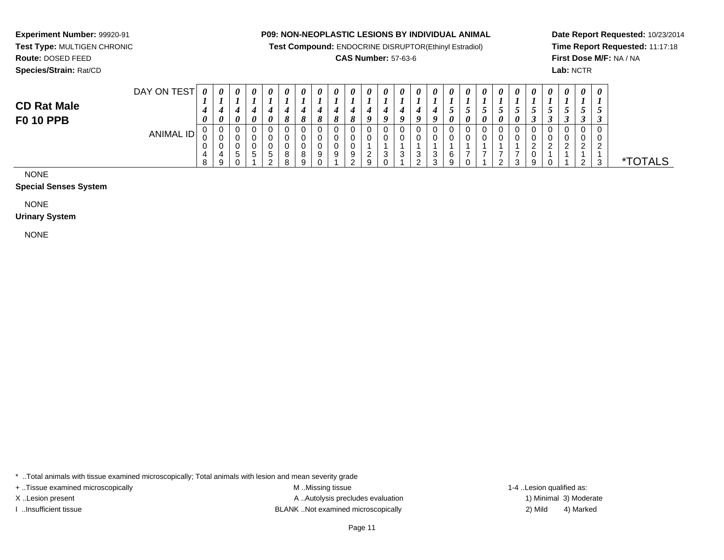**Test Compound:** ENDOCRINE DISRUPTOR(Ethinyl Estradiol)

# **CAS Number:** 57-63-6

**Date Report Requested:** 10/23/2014**Time Report Requested:** 11:17:18**First Dose M/F:** NA / NA**Lab:** NCTR

**Experiment Number:** 99920-91

**Species/Strain:** Rat/CD

**CD Rat MaleF0 10 PPB**

| DAY ON TEST      | $\boldsymbol{\theta}$ | $\boldsymbol{\theta}$ | $\boldsymbol{\theta}$ | $\theta$ | $\theta$    | 0 | $\boldsymbol{\theta}$ | $\boldsymbol{\theta}$ | $\boldsymbol{\theta}$ | $\boldsymbol{\theta}$ | $\theta$ | 0                | $\boldsymbol{\theta}$ | $\boldsymbol{\theta}$ | $\theta$ | $\boldsymbol{\theta}$ | $\boldsymbol{\theta}$ | $\theta$              | 0             | 0 | 0               | $\theta$ | 0 | $\boldsymbol{\theta}$ | 0   |      |
|------------------|-----------------------|-----------------------|-----------------------|----------|-------------|---|-----------------------|-----------------------|-----------------------|-----------------------|----------|------------------|-----------------------|-----------------------|----------|-----------------------|-----------------------|-----------------------|---------------|---|-----------------|----------|---|-----------------------|-----|------|
|                  |                       | <b>I</b>              |                       |          |             |   |                       |                       |                       |                       |          |                  |                       | -                     | -4       | -                     |                       |                       |               |   |                 |          |   |                       |     |      |
|                  |                       | 4                     |                       |          |             | 4 |                       | $\overline{a}$        |                       | 4                     | 4        |                  |                       |                       |          | ັ                     | J                     | $\ddot{\phantom{0}}$  | ູ             |   | J               |          | ູ | ັ                     | - 1 |      |
|                  | v                     | $\boldsymbol{\theta}$ | $\boldsymbol{\theta}$ | U        | $\theta$    | 8 | o                     | Ω                     | 8                     | - 62<br>$\mathbf o$   | - 0      | $\boldsymbol{0}$ | o                     | Q                     | 9        | 0                     | $\boldsymbol{\theta}$ | $\boldsymbol{\theta}$ | 0             | 0 | $\sqrt{2}$<br>Í | J        | ◡ | J                     | ◡   |      |
| <b>ANIMAL ID</b> |                       | U                     | 0                     | ັບ       | ັບ          | U | υ                     |                       | U                     | U                     |          | υ                |                       |                       |          |                       | U                     |                       | υ             | υ | ັບ              | U        |   | U                     |     |      |
|                  |                       | U                     | U                     |          | ັ           | u | <u>_0</u>             |                       | 0                     |                       |          |                  |                       |                       |          |                       |                       |                       |               | U | ্∪              | ◡        |   |                       |     |      |
|                  |                       | <b>U</b>              | 0                     |          | ັ           | ັ | υ                     | ∼                     | U                     | u                     |          |                  |                       |                       |          |                       |                       |                       |               |   | ົ               | $\sim$   | ົ | ി                     |     |      |
|                  |                       | 4                     | đ                     | .5       | $5^{\circ}$ | 8 | 8                     | 9                     | 9                     | 9                     | £        | ົ<br>J           | 3                     | - 2<br>J.             | 3        | b                     |                       |                       |               |   | ັບ              |          |   |                       |     |      |
|                  |                       | 9                     |                       |          | ◠           | 8 | 9                     |                       |                       | ി                     |          |                  |                       | $\sim$                | c        | a                     | v                     |                       | ົ<br><u>.</u> | 3 | 9               |          |   |                       |     | TALS |

NONE

#### **Special Senses System**

NONE

**Urinary System**

NONE

\* ..Total animals with tissue examined microscopically; Total animals with lesion and mean severity grade

+ ..Tissue examined microscopically examined microscopically examined as:  $M$  ..Missing tissue 1-4 ..Lesion qualified as:

X..Lesion present **A ..Autolysis precludes evaluation** A ..Autolysis precludes evaluation 1) Minimal 3) Moderate I ..Insufficient tissue BLANK ..Not examined microscopically 2) Mild 4) Marked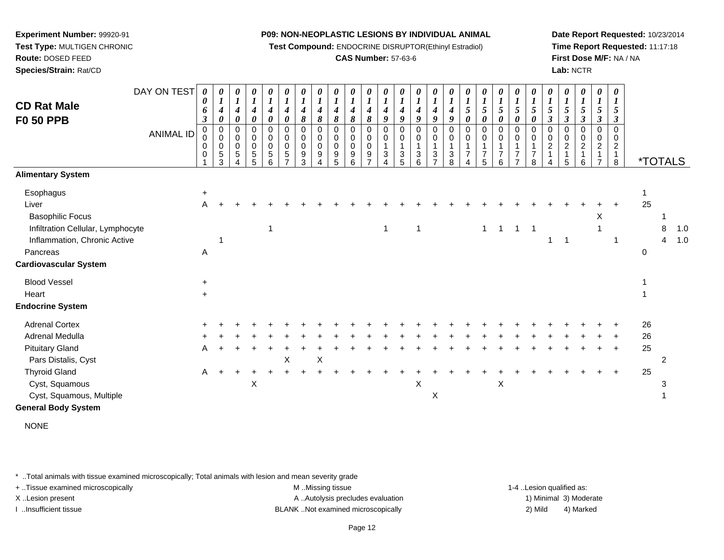**Test Compound:** ENDOCRINE DISRUPTOR(Ethinyl Estradiol)

# **CAS Number:** 57-63-6

**Date Report Requested:** 10/23/2014**Time Report Requested:** 11:17:18**First Dose M/F:** NA / NA**Lab:** NCTR

| 0<br>$\boldsymbol{\theta}$<br>0<br>0<br>0<br>0<br>$\boldsymbol{l}$<br>$\boldsymbol{l}$<br>$\boldsymbol{l}$<br>$\boldsymbol{l}$<br>$\boldsymbol{l}$<br>$\boldsymbol{l}$<br>$\boldsymbol{l}$<br>$\boldsymbol{l}$<br>$\boldsymbol{l}$<br>$\boldsymbol{l}$<br>$\boldsymbol{l}$<br>$\boldsymbol{l}$<br>$\boldsymbol{l}$<br>$\boldsymbol{l}$<br>$\boldsymbol{l}$<br>$\boldsymbol{l}$<br>$\boldsymbol{l}$<br>0<br>$\boldsymbol{l}$<br>$\boldsymbol{l}$<br>$\boldsymbol{l}$<br>1<br><b>CD Rat Male</b><br>$\mathfrak{s}$<br>5<br>$\mathfrak{s}$<br>5<br>$\sqrt{5}$<br>$\sqrt{5}$<br>$\sqrt{5}$<br>$\sqrt{5}$<br>5<br>$\boldsymbol{4}$<br>$\boldsymbol{4}$<br>$\boldsymbol{4}$<br>$\boldsymbol{4}$<br>$\boldsymbol{4}$<br>4<br>$\boldsymbol{4}$<br>4<br>4<br>5<br>6<br>4<br>4<br>4<br>4<br>4<br>4<br>$\pmb{8}$<br>8<br>8<br>9<br>$\boldsymbol{9}$<br>$\pmb{8}$<br>8<br>$\pmb{\theta}$<br>$\boldsymbol{\beta}$<br>$\boldsymbol{\beta}$<br>$\boldsymbol{\beta}$<br>$\boldsymbol{\beta}$<br>$\boldsymbol{\theta}$<br>$\pmb{\theta}$<br>9<br>9<br>9<br>0<br>0<br>$\boldsymbol{\theta}$<br>$\boldsymbol{\beta}$<br>0<br>$\boldsymbol{\theta}$<br>0<br>0<br>3<br>$\pmb{0}$<br>0<br>$\pmb{0}$<br>$\mathbf 0$<br>0<br>$\mathbf 0$<br>$\mathbf 0$<br>$\mathbf 0$<br>$\,0\,$<br>$\pmb{0}$<br>$\pmb{0}$<br>$\pmb{0}$<br>0<br>0<br>0<br>$\mathbf 0$<br>$\mathbf 0$<br>0<br>0<br>0<br>0<br>0<br>0<br>0<br>$\Omega$<br>0<br><b>ANIMAL ID</b><br>$\pmb{0}$<br>0<br>$\mathbf 0$<br>0<br>$\mathbf 0$<br>$\mathbf 0$<br>0<br>$\mathbf 0$<br>$\pmb{0}$<br>$\mathbf 0$<br>$\pmb{0}$<br>0<br>0<br>$\mathbf 0$<br>0<br>0<br>0<br>0<br>$\mathbf 0$<br>$\mathbf{0}$<br>0<br>0<br>0<br>0<br>0<br>0<br>$\overline{c}$<br>$\overline{c}$<br>$\pmb{0}$<br>$\pmb{0}$<br>0<br>$\pmb{0}$<br>$\pmb{0}$<br>$\pmb{0}$<br>$\sqrt{2}$<br>$\overline{c}$<br>$\pmb{0}$<br>0<br>$\mathbf 0$<br>$\mathbf{1}$<br>$\mathbf{1}$<br>$\mathbf{1}$<br>$\mathbf{1}$<br>$\mathbf{1}$<br>1<br>$\overline{2}$<br>0<br>0<br>1<br>1<br>$\frac{5}{3}$<br>$\sqrt{5}$<br>9<br>$\ensuremath{\mathsf{3}}$<br>$\frac{3}{5}$<br>$\ensuremath{\mathsf{3}}$<br>$\boldsymbol{7}$<br>$\overline{7}$<br>$\overline{7}$<br>$\mathbf{1}$<br>5<br>5<br>$\sqrt{5}$<br>9<br>$\begin{array}{c} 9 \\ 5 \end{array}$<br>9<br>9<br>3<br>$\mathbf{3}$<br>$\overline{7}$<br>$\overline{7}$<br>1<br>0<br>$\mathbf{1}$<br><i><b>*TOTALS</b></i><br>3<br>5<br>8<br>6<br>$\overline{ }$<br>6<br>6<br>$\overline{7}$<br>5<br>$\overline{7}$<br>5<br>6<br>$\mathsf{R}$<br>6<br>4<br>4<br>8<br><b>Alimentary System</b><br>Esophagus<br>1<br>$\ddot{}$<br>25<br>Liver<br>A<br><b>Basophilic Focus</b><br>X<br>Infiltration Cellular, Lymphocyte<br>$\mathbf{1}$<br>$\mathbf{1}$<br>$\overline{1}$<br>$\mathbf{1}$<br>$\overline{1}$<br>Inflammation, Chronic Active<br>$\overline{\mathbf{1}}$<br>1<br>-1<br>-1<br>Pancreas<br>Α<br>$\mathbf 0$<br><b>Blood Vessel</b><br>+<br>Heart<br>$\ddot{}$<br><b>Adrenal Cortex</b><br>26<br>Adrenal Medulla<br>26<br><b>Pituitary Gland</b><br>25<br>A<br>X<br>Pars Distalis, Cyst<br>X<br><b>Thyroid Gland</b><br>25<br>A<br>Χ<br>Χ<br>Cyst, Squamous<br>X |          |
|----------------------------------------------------------------------------------------------------------------------------------------------------------------------------------------------------------------------------------------------------------------------------------------------------------------------------------------------------------------------------------------------------------------------------------------------------------------------------------------------------------------------------------------------------------------------------------------------------------------------------------------------------------------------------------------------------------------------------------------------------------------------------------------------------------------------------------------------------------------------------------------------------------------------------------------------------------------------------------------------------------------------------------------------------------------------------------------------------------------------------------------------------------------------------------------------------------------------------------------------------------------------------------------------------------------------------------------------------------------------------------------------------------------------------------------------------------------------------------------------------------------------------------------------------------------------------------------------------------------------------------------------------------------------------------------------------------------------------------------------------------------------------------------------------------------------------------------------------------------------------------------------------------------------------------------------------------------------------------------------------------------------------------------------------------------------------------------------------------------------------------------------------------------------------------------------------------------------------------------------------------------------------------------------------------------------------------------------------------------------------------------------------------------------------------------------------------------------------------------------------------------------------------------------------------------------------------------------------------------------------------------------------------------------------------------------------------------------------------------------------------------------------------------------------------------------------------------------------------------------------------------------------------------------------------------------------------------------------------------------------------------------------------------------------------------------------------------------------------|----------|
| <b>F0 50 PPB</b><br><b>Cardiovascular System</b><br><b>Endocrine System</b>                                                                                                                                                                                                                                                                                                                                                                                                                                                                                                                                                                                                                                                                                                                                                                                                                                                                                                                                                                                                                                                                                                                                                                                                                                                                                                                                                                                                                                                                                                                                                                                                                                                                                                                                                                                                                                                                                                                                                                                                                                                                                                                                                                                                                                                                                                                                                                                                                                                                                                                                                                                                                                                                                                                                                                                                                                                                                                                                                                                                                              |          |
|                                                                                                                                                                                                                                                                                                                                                                                                                                                                                                                                                                                                                                                                                                                                                                                                                                                                                                                                                                                                                                                                                                                                                                                                                                                                                                                                                                                                                                                                                                                                                                                                                                                                                                                                                                                                                                                                                                                                                                                                                                                                                                                                                                                                                                                                                                                                                                                                                                                                                                                                                                                                                                                                                                                                                                                                                                                                                                                                                                                                                                                                                                          |          |
|                                                                                                                                                                                                                                                                                                                                                                                                                                                                                                                                                                                                                                                                                                                                                                                                                                                                                                                                                                                                                                                                                                                                                                                                                                                                                                                                                                                                                                                                                                                                                                                                                                                                                                                                                                                                                                                                                                                                                                                                                                                                                                                                                                                                                                                                                                                                                                                                                                                                                                                                                                                                                                                                                                                                                                                                                                                                                                                                                                                                                                                                                                          |          |
|                                                                                                                                                                                                                                                                                                                                                                                                                                                                                                                                                                                                                                                                                                                                                                                                                                                                                                                                                                                                                                                                                                                                                                                                                                                                                                                                                                                                                                                                                                                                                                                                                                                                                                                                                                                                                                                                                                                                                                                                                                                                                                                                                                                                                                                                                                                                                                                                                                                                                                                                                                                                                                                                                                                                                                                                                                                                                                                                                                                                                                                                                                          |          |
|                                                                                                                                                                                                                                                                                                                                                                                                                                                                                                                                                                                                                                                                                                                                                                                                                                                                                                                                                                                                                                                                                                                                                                                                                                                                                                                                                                                                                                                                                                                                                                                                                                                                                                                                                                                                                                                                                                                                                                                                                                                                                                                                                                                                                                                                                                                                                                                                                                                                                                                                                                                                                                                                                                                                                                                                                                                                                                                                                                                                                                                                                                          |          |
|                                                                                                                                                                                                                                                                                                                                                                                                                                                                                                                                                                                                                                                                                                                                                                                                                                                                                                                                                                                                                                                                                                                                                                                                                                                                                                                                                                                                                                                                                                                                                                                                                                                                                                                                                                                                                                                                                                                                                                                                                                                                                                                                                                                                                                                                                                                                                                                                                                                                                                                                                                                                                                                                                                                                                                                                                                                                                                                                                                                                                                                                                                          |          |
|                                                                                                                                                                                                                                                                                                                                                                                                                                                                                                                                                                                                                                                                                                                                                                                                                                                                                                                                                                                                                                                                                                                                                                                                                                                                                                                                                                                                                                                                                                                                                                                                                                                                                                                                                                                                                                                                                                                                                                                                                                                                                                                                                                                                                                                                                                                                                                                                                                                                                                                                                                                                                                                                                                                                                                                                                                                                                                                                                                                                                                                                                                          |          |
|                                                                                                                                                                                                                                                                                                                                                                                                                                                                                                                                                                                                                                                                                                                                                                                                                                                                                                                                                                                                                                                                                                                                                                                                                                                                                                                                                                                                                                                                                                                                                                                                                                                                                                                                                                                                                                                                                                                                                                                                                                                                                                                                                                                                                                                                                                                                                                                                                                                                                                                                                                                                                                                                                                                                                                                                                                                                                                                                                                                                                                                                                                          |          |
|                                                                                                                                                                                                                                                                                                                                                                                                                                                                                                                                                                                                                                                                                                                                                                                                                                                                                                                                                                                                                                                                                                                                                                                                                                                                                                                                                                                                                                                                                                                                                                                                                                                                                                                                                                                                                                                                                                                                                                                                                                                                                                                                                                                                                                                                                                                                                                                                                                                                                                                                                                                                                                                                                                                                                                                                                                                                                                                                                                                                                                                                                                          |          |
|                                                                                                                                                                                                                                                                                                                                                                                                                                                                                                                                                                                                                                                                                                                                                                                                                                                                                                                                                                                                                                                                                                                                                                                                                                                                                                                                                                                                                                                                                                                                                                                                                                                                                                                                                                                                                                                                                                                                                                                                                                                                                                                                                                                                                                                                                                                                                                                                                                                                                                                                                                                                                                                                                                                                                                                                                                                                                                                                                                                                                                                                                                          |          |
|                                                                                                                                                                                                                                                                                                                                                                                                                                                                                                                                                                                                                                                                                                                                                                                                                                                                                                                                                                                                                                                                                                                                                                                                                                                                                                                                                                                                                                                                                                                                                                                                                                                                                                                                                                                                                                                                                                                                                                                                                                                                                                                                                                                                                                                                                                                                                                                                                                                                                                                                                                                                                                                                                                                                                                                                                                                                                                                                                                                                                                                                                                          | 8<br>1.0 |
|                                                                                                                                                                                                                                                                                                                                                                                                                                                                                                                                                                                                                                                                                                                                                                                                                                                                                                                                                                                                                                                                                                                                                                                                                                                                                                                                                                                                                                                                                                                                                                                                                                                                                                                                                                                                                                                                                                                                                                                                                                                                                                                                                                                                                                                                                                                                                                                                                                                                                                                                                                                                                                                                                                                                                                                                                                                                                                                                                                                                                                                                                                          | 1.0<br>4 |
|                                                                                                                                                                                                                                                                                                                                                                                                                                                                                                                                                                                                                                                                                                                                                                                                                                                                                                                                                                                                                                                                                                                                                                                                                                                                                                                                                                                                                                                                                                                                                                                                                                                                                                                                                                                                                                                                                                                                                                                                                                                                                                                                                                                                                                                                                                                                                                                                                                                                                                                                                                                                                                                                                                                                                                                                                                                                                                                                                                                                                                                                                                          |          |
|                                                                                                                                                                                                                                                                                                                                                                                                                                                                                                                                                                                                                                                                                                                                                                                                                                                                                                                                                                                                                                                                                                                                                                                                                                                                                                                                                                                                                                                                                                                                                                                                                                                                                                                                                                                                                                                                                                                                                                                                                                                                                                                                                                                                                                                                                                                                                                                                                                                                                                                                                                                                                                                                                                                                                                                                                                                                                                                                                                                                                                                                                                          |          |
|                                                                                                                                                                                                                                                                                                                                                                                                                                                                                                                                                                                                                                                                                                                                                                                                                                                                                                                                                                                                                                                                                                                                                                                                                                                                                                                                                                                                                                                                                                                                                                                                                                                                                                                                                                                                                                                                                                                                                                                                                                                                                                                                                                                                                                                                                                                                                                                                                                                                                                                                                                                                                                                                                                                                                                                                                                                                                                                                                                                                                                                                                                          |          |
|                                                                                                                                                                                                                                                                                                                                                                                                                                                                                                                                                                                                                                                                                                                                                                                                                                                                                                                                                                                                                                                                                                                                                                                                                                                                                                                                                                                                                                                                                                                                                                                                                                                                                                                                                                                                                                                                                                                                                                                                                                                                                                                                                                                                                                                                                                                                                                                                                                                                                                                                                                                                                                                                                                                                                                                                                                                                                                                                                                                                                                                                                                          |          |
|                                                                                                                                                                                                                                                                                                                                                                                                                                                                                                                                                                                                                                                                                                                                                                                                                                                                                                                                                                                                                                                                                                                                                                                                                                                                                                                                                                                                                                                                                                                                                                                                                                                                                                                                                                                                                                                                                                                                                                                                                                                                                                                                                                                                                                                                                                                                                                                                                                                                                                                                                                                                                                                                                                                                                                                                                                                                                                                                                                                                                                                                                                          |          |
|                                                                                                                                                                                                                                                                                                                                                                                                                                                                                                                                                                                                                                                                                                                                                                                                                                                                                                                                                                                                                                                                                                                                                                                                                                                                                                                                                                                                                                                                                                                                                                                                                                                                                                                                                                                                                                                                                                                                                                                                                                                                                                                                                                                                                                                                                                                                                                                                                                                                                                                                                                                                                                                                                                                                                                                                                                                                                                                                                                                                                                                                                                          |          |
|                                                                                                                                                                                                                                                                                                                                                                                                                                                                                                                                                                                                                                                                                                                                                                                                                                                                                                                                                                                                                                                                                                                                                                                                                                                                                                                                                                                                                                                                                                                                                                                                                                                                                                                                                                                                                                                                                                                                                                                                                                                                                                                                                                                                                                                                                                                                                                                                                                                                                                                                                                                                                                                                                                                                                                                                                                                                                                                                                                                                                                                                                                          |          |
|                                                                                                                                                                                                                                                                                                                                                                                                                                                                                                                                                                                                                                                                                                                                                                                                                                                                                                                                                                                                                                                                                                                                                                                                                                                                                                                                                                                                                                                                                                                                                                                                                                                                                                                                                                                                                                                                                                                                                                                                                                                                                                                                                                                                                                                                                                                                                                                                                                                                                                                                                                                                                                                                                                                                                                                                                                                                                                                                                                                                                                                                                                          |          |
|                                                                                                                                                                                                                                                                                                                                                                                                                                                                                                                                                                                                                                                                                                                                                                                                                                                                                                                                                                                                                                                                                                                                                                                                                                                                                                                                                                                                                                                                                                                                                                                                                                                                                                                                                                                                                                                                                                                                                                                                                                                                                                                                                                                                                                                                                                                                                                                                                                                                                                                                                                                                                                                                                                                                                                                                                                                                                                                                                                                                                                                                                                          |          |
|                                                                                                                                                                                                                                                                                                                                                                                                                                                                                                                                                                                                                                                                                                                                                                                                                                                                                                                                                                                                                                                                                                                                                                                                                                                                                                                                                                                                                                                                                                                                                                                                                                                                                                                                                                                                                                                                                                                                                                                                                                                                                                                                                                                                                                                                                                                                                                                                                                                                                                                                                                                                                                                                                                                                                                                                                                                                                                                                                                                                                                                                                                          |          |
|                                                                                                                                                                                                                                                                                                                                                                                                                                                                                                                                                                                                                                                                                                                                                                                                                                                                                                                                                                                                                                                                                                                                                                                                                                                                                                                                                                                                                                                                                                                                                                                                                                                                                                                                                                                                                                                                                                                                                                                                                                                                                                                                                                                                                                                                                                                                                                                                                                                                                                                                                                                                                                                                                                                                                                                                                                                                                                                                                                                                                                                                                                          |          |
| Χ<br>Cyst, Squamous, Multiple                                                                                                                                                                                                                                                                                                                                                                                                                                                                                                                                                                                                                                                                                                                                                                                                                                                                                                                                                                                                                                                                                                                                                                                                                                                                                                                                                                                                                                                                                                                                                                                                                                                                                                                                                                                                                                                                                                                                                                                                                                                                                                                                                                                                                                                                                                                                                                                                                                                                                                                                                                                                                                                                                                                                                                                                                                                                                                                                                                                                                                                                            |          |
| <b>General Body System</b>                                                                                                                                                                                                                                                                                                                                                                                                                                                                                                                                                                                                                                                                                                                                                                                                                                                                                                                                                                                                                                                                                                                                                                                                                                                                                                                                                                                                                                                                                                                                                                                                                                                                                                                                                                                                                                                                                                                                                                                                                                                                                                                                                                                                                                                                                                                                                                                                                                                                                                                                                                                                                                                                                                                                                                                                                                                                                                                                                                                                                                                                               |          |

NONE

\* ..Total animals with tissue examined microscopically; Total animals with lesion and mean severity grade

**Experiment Number:** 99920-91**Test Type:** MULTIGEN CHRONIC

**Route:** DOSED FEED**Species/Strain:** Rat/CD

+ ..Tissue examined microscopically examined microscopically examined as:  $M$  ..Missing tissue 1-4 ..Lesion qualified as: X..Lesion present **A ..Autolysis precludes evaluation** A ..Autolysis precludes evaluation 1) Minimal 3) Moderate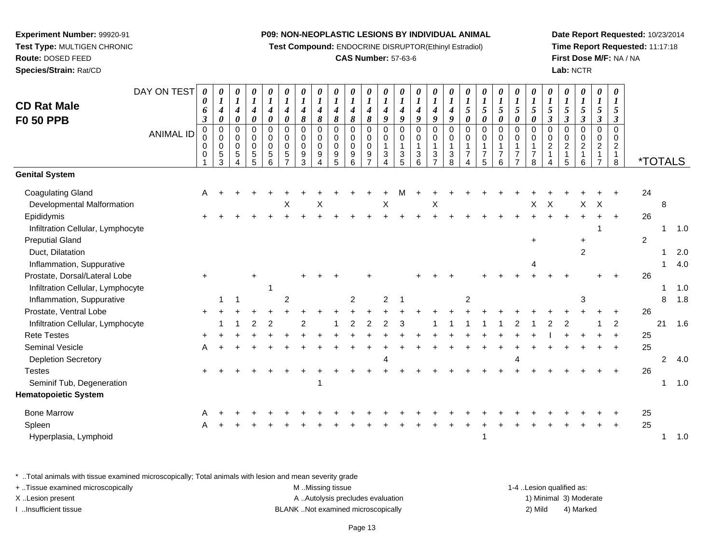**Test Compound:** ENDOCRINE DISRUPTOR(Ethinyl Estradiol)

# **CAS Number:** 57-63-6

**Date Report Requested:** 10/23/2014**Time Report Requested:** 11:17:18**First Dose M/F:** NA / NA**Lab:** NCTR

| <b>CD Rat Male</b><br><b>F0 50 PPB</b>                         | DAY ON TEST      | 0<br>0<br>6<br>$\boldsymbol{\beta}$ | 0<br>$\boldsymbol{l}$<br>4<br>$\boldsymbol{\theta}$      | 0<br>$\boldsymbol{l}$<br>$\boldsymbol{4}$<br>$\boldsymbol{\theta}$ | 0<br>$\boldsymbol{l}$<br>$\boldsymbol{4}$<br>$\boldsymbol{\theta}$ | 0<br>$\boldsymbol{l}$<br>$\boldsymbol{4}$<br>$\boldsymbol{\theta}$ | 0<br>$\boldsymbol{\mathit{1}}$<br>$\boldsymbol{4}$<br>$\boldsymbol{\theta}$ | 0<br>$\boldsymbol{l}$<br>4<br>8                  | 0<br>$\boldsymbol{l}$<br>4<br>8                   | 0<br>$\boldsymbol{l}$<br>$\boldsymbol{4}$<br>$\boldsymbol{\delta}$ | 0<br>$\boldsymbol{l}$<br>4<br>8                  | 0<br>$\boldsymbol{l}$<br>$\boldsymbol{4}$<br>8 | 0<br>$\boldsymbol{l}$<br>$\boldsymbol{4}$<br>$\boldsymbol{9}$    | 0<br>$\boldsymbol{l}$<br>$\boldsymbol{4}$<br>9       | 0<br>$\boldsymbol{l}$<br>$\boldsymbol{4}$<br>9 | 0<br>$\boldsymbol{l}$<br>$\boldsymbol{4}$<br>$\boldsymbol{g}$               | $\boldsymbol{l}$<br>4<br>9                     | 0<br>$\boldsymbol{l}$<br>5<br>$\pmb{\theta}$                 | 0<br>$\boldsymbol{l}$<br>$\sqrt{5}$<br>$\boldsymbol{\theta}$ | 0<br>$\boldsymbol{l}$<br>$\sqrt{5}$<br>$\boldsymbol{\theta}$      | 0<br>$\boldsymbol{l}$<br>5<br>$\pmb{\theta}$            | 0<br>$\boldsymbol{l}$<br>$\sqrt{5}$<br>$\boldsymbol{\theta}$ | $\boldsymbol{\theta}$<br>$\boldsymbol{l}$<br>$\sqrt{5}$<br>$\boldsymbol{\beta}$ | 0<br>$\boldsymbol{l}$<br>$\sqrt{5}$<br>$\boldsymbol{\beta}$     | 0<br>$\boldsymbol{l}$<br>$\sqrt{5}$<br>$\boldsymbol{\beta}$ | 0<br>$\boldsymbol{l}$<br>$5\overline{)}$<br>$\boldsymbol{\beta}$               | 0<br>$\boldsymbol{I}$<br>5<br>3                         |                |                       |            |
|----------------------------------------------------------------|------------------|-------------------------------------|----------------------------------------------------------|--------------------------------------------------------------------|--------------------------------------------------------------------|--------------------------------------------------------------------|-----------------------------------------------------------------------------|--------------------------------------------------|---------------------------------------------------|--------------------------------------------------------------------|--------------------------------------------------|------------------------------------------------|------------------------------------------------------------------|------------------------------------------------------|------------------------------------------------|-----------------------------------------------------------------------------|------------------------------------------------|--------------------------------------------------------------|--------------------------------------------------------------|-------------------------------------------------------------------|---------------------------------------------------------|--------------------------------------------------------------|---------------------------------------------------------------------------------|-----------------------------------------------------------------|-------------------------------------------------------------|--------------------------------------------------------------------------------|---------------------------------------------------------|----------------|-----------------------|------------|
|                                                                | <b>ANIMAL ID</b> | 0<br>0<br>0<br>$\mathbf 0$          | $\pmb{0}$<br>$\pmb{0}$<br>$\mathbf 0$<br>$\sqrt{5}$<br>3 | $\mathbf 0$<br>0<br>$\mathbf 0$<br>$\sqrt{5}$<br>4                 | $\Omega$<br>$\Omega$<br>$\Omega$<br>5<br>5                         | $\mathbf 0$<br>$\mathbf 0$<br>$\mathbf 0$<br>$\sqrt{5}$<br>6       | $\mathbf 0$<br>$\mathbf 0$<br>$\mathbf 0$<br>$\sqrt{5}$<br>$\overline{7}$   | $\mathbf 0$<br>$\mathbf 0$<br>$\Omega$<br>9<br>3 | $\pmb{0}$<br>$\mathbf 0$<br>$\mathbf 0$<br>9<br>4 | $\mathbf 0$<br>0<br>$\mathbf 0$<br>9<br>5                          | $\mathbf 0$<br>$\mathbf 0$<br>$\Omega$<br>9<br>6 | 0<br>0<br>$\mathbf 0$<br>9                     | 0<br>0<br>$\mathbf{1}$<br>$\mathbf{3}$<br>$\boldsymbol{\Lambda}$ | $\mathbf 0$<br>$\mathbf 0$<br>$\mathbf{1}$<br>3<br>5 | $\mathbf 0$<br>0<br>$\mathbf{1}$<br>3<br>6     | $\Omega$<br>$\mathbf 0$<br>$\overline{1}$<br>$\mathbf{3}$<br>$\overline{7}$ | $\Omega$<br>$\Omega$<br>$\mathbf{1}$<br>3<br>8 | $\mathbf 0$<br>$\mathbf 0$<br>$\mathbf{1}$<br>$\overline{7}$ | $\Omega$<br>$\mathbf 0$<br>$\overline{7}$<br>5               | $\mathbf 0$<br>$\mathbf 0$<br>$\mathbf{1}$<br>$\overline{7}$<br>6 | $\mathbf 0$<br>0<br>$\mathbf{1}$<br>$\overline{7}$<br>7 | $\mathbf 0$<br>$\mathbf 0$<br>$\overline{7}$<br>8            | $\mathbf 0$<br>$\mathbf 0$<br>$\overline{c}$<br>$\mathbf{1}$                    | $\mathbf 0$<br>$\pmb{0}$<br>$\overline{c}$<br>$\mathbf{1}$<br>5 | $\mathbf 0$<br>$\mathbf 0$<br>$\sqrt{2}$<br>-1<br>6         | $\mathbf 0$<br>$\mathbf 0$<br>$\overline{c}$<br>$\mathbf{1}$<br>$\overline{7}$ | $\mathbf 0$<br>0<br>$\overline{c}$<br>$\mathbf{1}$<br>8 |                | <i><b>*TOTALS</b></i> |            |
| <b>Genital System</b>                                          |                  |                                     |                                                          |                                                                    |                                                                    |                                                                    |                                                                             |                                                  |                                                   |                                                                    |                                                  |                                                |                                                                  |                                                      |                                                |                                                                             |                                                |                                                              |                                                              |                                                                   |                                                         |                                                              |                                                                                 |                                                                 |                                                             |                                                                                |                                                         |                |                       |            |
| <b>Coagulating Gland</b><br>Developmental Malformation         |                  | A                                   |                                                          |                                                                    |                                                                    |                                                                    | х                                                                           |                                                  | X                                                 |                                                                    |                                                  |                                                | X                                                                |                                                      |                                                | X                                                                           |                                                |                                                              |                                                              |                                                                   |                                                         | X                                                            | X                                                                               |                                                                 | X                                                           | $\times$                                                                       |                                                         | 24             | 8                     |            |
| Epididymis<br>Infiltration Cellular, Lymphocyte                |                  |                                     |                                                          |                                                                    |                                                                    |                                                                    |                                                                             |                                                  |                                                   |                                                                    |                                                  |                                                |                                                                  |                                                      |                                                |                                                                             |                                                |                                                              |                                                              |                                                                   |                                                         |                                                              |                                                                                 |                                                                 |                                                             |                                                                                | $+$                                                     | 26             | 1                     | 1.0        |
| <b>Preputial Gland</b><br>Duct, Dilatation                     |                  |                                     |                                                          |                                                                    |                                                                    |                                                                    |                                                                             |                                                  |                                                   |                                                                    |                                                  |                                                |                                                                  |                                                      |                                                |                                                                             |                                                |                                                              |                                                              |                                                                   |                                                         | $\ddot{}$                                                    |                                                                                 |                                                                 | $\ddot{}$<br>$\overline{2}$                                 |                                                                                |                                                         | $\overline{2}$ |                       | 2.0        |
| Inflammation, Suppurative<br>Prostate, Dorsal/Lateral Lobe     |                  | $\ddot{}$                           |                                                          |                                                                    |                                                                    |                                                                    |                                                                             |                                                  |                                                   |                                                                    |                                                  |                                                |                                                                  |                                                      |                                                |                                                                             |                                                |                                                              |                                                              |                                                                   |                                                         | 4                                                            |                                                                                 |                                                                 |                                                             |                                                                                |                                                         | 26             |                       | 4.0        |
| Infiltration Cellular, Lymphocyte<br>Inflammation, Suppurative |                  |                                     |                                                          |                                                                    |                                                                    |                                                                    | $\overline{2}$                                                              |                                                  |                                                   |                                                                    | 2                                                |                                                | 2                                                                | -1                                                   |                                                |                                                                             |                                                | 2                                                            |                                                              |                                                                   |                                                         |                                                              |                                                                                 |                                                                 | 3                                                           |                                                                                |                                                         |                | 8                     | 1.0<br>1.8 |
| Prostate, Ventral Lobe<br>Infiltration Cellular, Lymphocyte    |                  |                                     |                                                          |                                                                    |                                                                    | $\overline{c}$                                                     |                                                                             |                                                  |                                                   |                                                                    |                                                  | $\overline{c}$                                 | 2                                                                |                                                      |                                                |                                                                             |                                                |                                                              |                                                              |                                                                   |                                                         |                                                              |                                                                                 |                                                                 |                                                             |                                                                                | $\overline{2}$                                          | 26             | 21                    | 1.6        |
| <b>Rete Testes</b><br><b>Seminal Vesicle</b>                   |                  | A                                   |                                                          |                                                                    |                                                                    |                                                                    |                                                                             |                                                  |                                                   |                                                                    |                                                  |                                                |                                                                  |                                                      |                                                |                                                                             |                                                |                                                              |                                                              |                                                                   |                                                         |                                                              |                                                                                 |                                                                 |                                                             |                                                                                | $+$                                                     | 25<br>25       |                       |            |
| <b>Depletion Secretory</b><br><b>Testes</b>                    |                  |                                     |                                                          |                                                                    |                                                                    |                                                                    |                                                                             |                                                  |                                                   |                                                                    |                                                  |                                                |                                                                  |                                                      |                                                |                                                                             |                                                |                                                              |                                                              |                                                                   |                                                         |                                                              |                                                                                 |                                                                 |                                                             |                                                                                |                                                         | 26             | $\overline{2}$        | 4.0        |
| Seminif Tub, Degeneration<br><b>Hematopoietic System</b>       |                  |                                     |                                                          |                                                                    |                                                                    |                                                                    |                                                                             |                                                  |                                                   |                                                                    |                                                  |                                                |                                                                  |                                                      |                                                |                                                                             |                                                |                                                              |                                                              |                                                                   |                                                         |                                                              |                                                                                 |                                                                 |                                                             |                                                                                |                                                         |                | 1                     | 1.0        |
| <b>Bone Marrow</b>                                             |                  |                                     |                                                          |                                                                    |                                                                    |                                                                    |                                                                             |                                                  |                                                   |                                                                    |                                                  |                                                |                                                                  |                                                      |                                                |                                                                             |                                                |                                                              |                                                              |                                                                   |                                                         |                                                              |                                                                                 |                                                                 |                                                             |                                                                                |                                                         | 25             |                       |            |
| Spleen<br>Hyperplasia, Lymphoid                                |                  |                                     |                                                          |                                                                    |                                                                    |                                                                    |                                                                             |                                                  |                                                   |                                                                    |                                                  |                                                |                                                                  |                                                      |                                                |                                                                             |                                                |                                                              |                                                              |                                                                   |                                                         |                                                              |                                                                                 |                                                                 |                                                             |                                                                                | $\ddot{}$                                               | 25             |                       | 1.0        |

\* ..Total animals with tissue examined microscopically; Total animals with lesion and mean severity grade

**Experiment Number:** 99920-91**Test Type:** MULTIGEN CHRONIC

| + Tissue examined microscopically | M Missing tissue                   | 1-4 Lesion qualified as: |                        |
|-----------------------------------|------------------------------------|--------------------------|------------------------|
| X Lesion present                  | A Autolysis precludes evaluation   |                          | 1) Minimal 3) Moderate |
| Insufficient tissue               | BLANK Not examined microscopically | 2) Mild                  | 4) Marked              |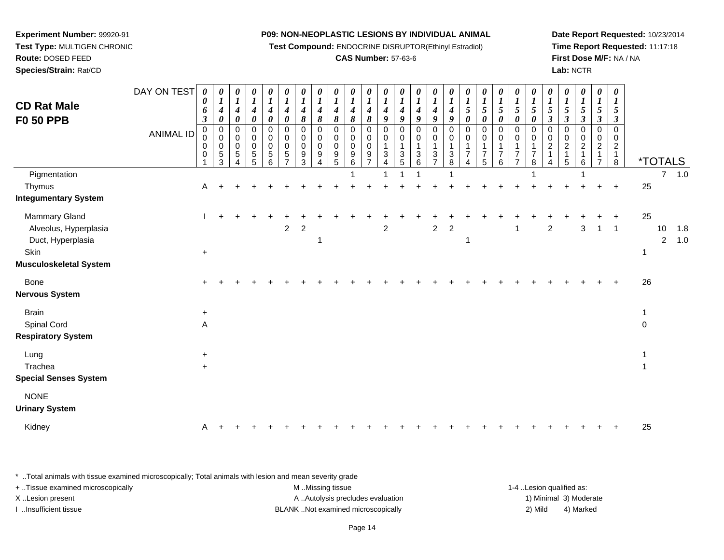**Test Compound:** ENDOCRINE DISRUPTOR(Ethinyl Estradiol)

# **CAS Number:** 57-63-6

**Date Report Requested:** 10/23/2014**Time Report Requested:** 11:17:18**First Dose M/F:** NA / NA**Lab:** NCTR

| <b>CD Rat Male</b><br><b>F0 50 PPB</b>                                                        | DAY ON TEST<br>ANIMAL ID | 0<br>$\boldsymbol{\theta}$<br>6<br>$\mathbf{3}$<br>0<br>0<br>0<br>$\mathbf 0$ | 0<br>$\boldsymbol{l}$<br>$\boldsymbol{4}$<br>0<br>$\pmb{0}$<br>$\pmb{0}$<br>$\pmb{0}$<br>$\mathbf 5$<br>$\mathfrak{S}$ | 0<br>$\boldsymbol{l}$<br>$\boldsymbol{4}$<br>0<br>$\mathbf 0$<br>0<br>$\mathbf 0$<br>$\,$ 5 $\,$<br>4 | 0<br>$\boldsymbol{l}$<br>$\boldsymbol{4}$<br>$\boldsymbol{\theta}$<br>$\mathbf 0$<br>$\mathbf 0$<br>$\mathbf 0$<br>$\sqrt{5}$<br>5 | 0<br>$\boldsymbol{l}$<br>$\boldsymbol{4}$<br>$\boldsymbol{\theta}$<br>0<br>0<br>0<br>5<br>6 | 0<br>$\boldsymbol{l}$<br>4<br>0<br>0<br>$\mathbf 0$<br>0<br>$\sqrt{5}$<br>$\overline{7}$ | 0<br>$\boldsymbol{l}$<br>4<br>8<br>$\mathbf 0$<br>0<br>$\mathbf 0$<br>9<br>3 | 0<br>$\boldsymbol{l}$<br>$\boldsymbol{4}$<br>8<br>0<br>$\mathbf 0$<br>$\mathbf 0$<br>9<br>4 | 0<br>$\boldsymbol{l}$<br>$\boldsymbol{4}$<br>$\pmb{8}$<br>0<br>$\pmb{0}$<br>$\pmb{0}$<br>$\boldsymbol{9}$<br>5 | 0<br>$\boldsymbol{l}$<br>$\boldsymbol{4}$<br>$\pmb{8}$<br>0<br>$\pmb{0}$<br>$\pmb{0}$<br>9<br>6 | 0<br>$\boldsymbol{l}$<br>$\boldsymbol{4}$<br>8<br>$\mathbf 0$<br>0<br>$\mathbf 0$<br>9 | 0<br>$\boldsymbol{l}$<br>$\boldsymbol{4}$<br>9<br>0<br>$\mathbf 0$<br>$\mathbf{1}$<br>$\ensuremath{\mathsf{3}}$<br>4 | 0<br>$\boldsymbol{l}$<br>$\boldsymbol{4}$<br>9<br>$\mathbf 0$<br>$\pmb{0}$<br>$\mathbf{1}$<br>$\ensuremath{\mathsf{3}}$<br>$\overline{5}$ | 0<br>$\boldsymbol{I}$<br>$\boldsymbol{4}$<br>9<br>$\Omega$<br>0<br>1<br>3<br>6 | 0<br>$\boldsymbol{l}$<br>$\boldsymbol{4}$<br>9<br>$\mathbf 0$<br>0<br>$\mathbf{3}$<br>$\overline{7}$ | $\boldsymbol{\theta}$<br>$\boldsymbol{l}$<br>4<br>9<br>0<br>$\pmb{0}$<br>$\mathbf{1}$<br>$\sqrt{3}$<br>8 | 0<br>$\boldsymbol{l}$<br>5<br>$\boldsymbol{\theta}$<br>0<br>0<br>$\overline{7}$<br>4 | 0<br>$\boldsymbol{l}$<br>5<br>0<br>$\mathbf 0$<br>$\mathbf 0$<br>$\overline{7}$<br>5 | $\boldsymbol{\theta}$<br>$\boldsymbol{l}$<br>$\mathfrak{s}$<br>$\boldsymbol{\theta}$<br>$\mathbf 0$<br>$\mathbf 0$<br>$\mathbf 1$<br>$\overline{7}$<br>6 | 0<br>$\boldsymbol{l}$<br>$\mathfrak{s}$<br>$\boldsymbol{\theta}$<br>$\mathbf 0$<br>0<br>1<br>$\overline{7}$<br>$\overline{7}$ | 0<br>$\boldsymbol{l}$<br>$\mathfrak{s}$<br>$\boldsymbol{\theta}$<br>$\Omega$<br>0<br>$\overline{7}$<br>8 | 0<br>$\boldsymbol{l}$<br>$\mathfrak{s}$<br>$\mathfrak{z}$<br>0<br>$\pmb{0}$<br>$\boldsymbol{2}$<br>1<br>4 | 0<br>$\boldsymbol{l}$<br>$\mathfrak{s}$<br>$\mathfrak{z}$<br>0<br>$\mathbf 0$<br>$\overline{c}$<br>1<br>5 | 0<br>$\boldsymbol{l}$<br>$\mathfrak{s}$<br>$\mathfrak{z}$<br>$\pmb{0}$<br>$\mathbf 0$<br>$\overline{c}$<br>$\mathbf{1}$<br>6 | 0<br>$\boldsymbol{l}$<br>$\mathfrak{s}$<br>$\mathfrak{z}$<br>$\mathbf 0$<br>$\mathbf 0$<br>$\boldsymbol{2}$<br>1<br>$\overline{7}$ | $\boldsymbol{\theta}$<br>$\boldsymbol{l}$<br>5<br>$\boldsymbol{\beta}$<br>$\Omega$<br>0<br>$\overline{2}$<br>1<br>8 |                           | <i><b>*TOTALS</b></i> |              |  |
|-----------------------------------------------------------------------------------------------|--------------------------|-------------------------------------------------------------------------------|------------------------------------------------------------------------------------------------------------------------|-------------------------------------------------------------------------------------------------------|------------------------------------------------------------------------------------------------------------------------------------|---------------------------------------------------------------------------------------------|------------------------------------------------------------------------------------------|------------------------------------------------------------------------------|---------------------------------------------------------------------------------------------|----------------------------------------------------------------------------------------------------------------|-------------------------------------------------------------------------------------------------|----------------------------------------------------------------------------------------|----------------------------------------------------------------------------------------------------------------------|-------------------------------------------------------------------------------------------------------------------------------------------|--------------------------------------------------------------------------------|------------------------------------------------------------------------------------------------------|----------------------------------------------------------------------------------------------------------|--------------------------------------------------------------------------------------|--------------------------------------------------------------------------------------|----------------------------------------------------------------------------------------------------------------------------------------------------------|-------------------------------------------------------------------------------------------------------------------------------|----------------------------------------------------------------------------------------------------------|-----------------------------------------------------------------------------------------------------------|-----------------------------------------------------------------------------------------------------------|------------------------------------------------------------------------------------------------------------------------------|------------------------------------------------------------------------------------------------------------------------------------|---------------------------------------------------------------------------------------------------------------------|---------------------------|-----------------------|--------------|--|
| Pigmentation<br>Thymus<br><b>Integumentary System</b>                                         |                          | A                                                                             |                                                                                                                        |                                                                                                       |                                                                                                                                    |                                                                                             |                                                                                          |                                                                              |                                                                                             |                                                                                                                |                                                                                                 |                                                                                        |                                                                                                                      |                                                                                                                                           |                                                                                |                                                                                                      |                                                                                                          |                                                                                      |                                                                                      |                                                                                                                                                          |                                                                                                                               |                                                                                                          |                                                                                                           |                                                                                                           |                                                                                                                              |                                                                                                                                    |                                                                                                                     | 25                        |                       | $7 - 1.0$    |  |
| Mammary Gland<br>Alveolus, Hyperplasia<br>Duct, Hyperplasia<br>Skin<br>Musculoskeletal System |                          | $\ddot{}$                                                                     | $+$                                                                                                                    |                                                                                                       |                                                                                                                                    |                                                                                             | $\overline{2}$                                                                           | $\overline{2}$                                                               |                                                                                             |                                                                                                                |                                                                                                 |                                                                                        | $\overline{2}$                                                                                                       |                                                                                                                                           |                                                                                | $\overline{2}$                                                                                       | $\overline{2}$                                                                                           | 1                                                                                    |                                                                                      |                                                                                                                                                          | 1                                                                                                                             |                                                                                                          | $\overline{2}$                                                                                            |                                                                                                           | 3                                                                                                                            | $\mathbf{1}$                                                                                                                       | $\overline{1}$                                                                                                      | 25<br>$\mathbf{1}$        | 10                    | 1.8<br>2 1.0 |  |
| Bone<br>Nervous System                                                                        |                          |                                                                               |                                                                                                                        |                                                                                                       |                                                                                                                                    |                                                                                             |                                                                                          |                                                                              |                                                                                             |                                                                                                                |                                                                                                 |                                                                                        |                                                                                                                      |                                                                                                                                           |                                                                                |                                                                                                      |                                                                                                          |                                                                                      |                                                                                      |                                                                                                                                                          |                                                                                                                               |                                                                                                          |                                                                                                           |                                                                                                           |                                                                                                                              |                                                                                                                                    |                                                                                                                     | 26                        |                       |              |  |
| <b>Brain</b><br>Spinal Cord<br><b>Respiratory System</b>                                      |                          | $\ddot{}$<br>A                                                                |                                                                                                                        |                                                                                                       |                                                                                                                                    |                                                                                             |                                                                                          |                                                                              |                                                                                             |                                                                                                                |                                                                                                 |                                                                                        |                                                                                                                      |                                                                                                                                           |                                                                                |                                                                                                      |                                                                                                          |                                                                                      |                                                                                      |                                                                                                                                                          |                                                                                                                               |                                                                                                          |                                                                                                           |                                                                                                           |                                                                                                                              |                                                                                                                                    |                                                                                                                     | $\mathbf{1}$<br>$\pmb{0}$ |                       |              |  |
| Lung<br>Trachea<br><b>Special Senses System</b>                                               |                          | $\ddot{}$<br>$+$                                                              |                                                                                                                        |                                                                                                       |                                                                                                                                    |                                                                                             |                                                                                          |                                                                              |                                                                                             |                                                                                                                |                                                                                                 |                                                                                        |                                                                                                                      |                                                                                                                                           |                                                                                |                                                                                                      |                                                                                                          |                                                                                      |                                                                                      |                                                                                                                                                          |                                                                                                                               |                                                                                                          |                                                                                                           |                                                                                                           |                                                                                                                              |                                                                                                                                    |                                                                                                                     | 1<br>$\mathbf{1}$         |                       |              |  |
| <b>NONE</b><br><b>Urinary System</b>                                                          |                          |                                                                               |                                                                                                                        |                                                                                                       |                                                                                                                                    |                                                                                             |                                                                                          |                                                                              |                                                                                             |                                                                                                                |                                                                                                 |                                                                                        |                                                                                                                      |                                                                                                                                           |                                                                                |                                                                                                      |                                                                                                          |                                                                                      |                                                                                      |                                                                                                                                                          |                                                                                                                               |                                                                                                          |                                                                                                           |                                                                                                           |                                                                                                                              |                                                                                                                                    |                                                                                                                     |                           |                       |              |  |
| Kidney                                                                                        |                          | A                                                                             |                                                                                                                        |                                                                                                       |                                                                                                                                    |                                                                                             |                                                                                          |                                                                              |                                                                                             |                                                                                                                |                                                                                                 |                                                                                        |                                                                                                                      |                                                                                                                                           |                                                                                |                                                                                                      |                                                                                                          |                                                                                      |                                                                                      |                                                                                                                                                          |                                                                                                                               |                                                                                                          |                                                                                                           |                                                                                                           |                                                                                                                              |                                                                                                                                    |                                                                                                                     | 25                        |                       |              |  |

\* ..Total animals with tissue examined microscopically; Total animals with lesion and mean severity grade

**Experiment Number:** 99920-91**Test Type:** MULTIGEN CHRONIC

| + Tissue examined microscopically | M Missing tissue                   | 1-4 Lesion qualified as: |                        |
|-----------------------------------|------------------------------------|--------------------------|------------------------|
| X Lesion present                  | A Autolysis precludes evaluation   |                          | 1) Minimal 3) Moderate |
| Insufficient tissue               | BLANK Not examined microscopically | 2) Mild                  | 4) Marked              |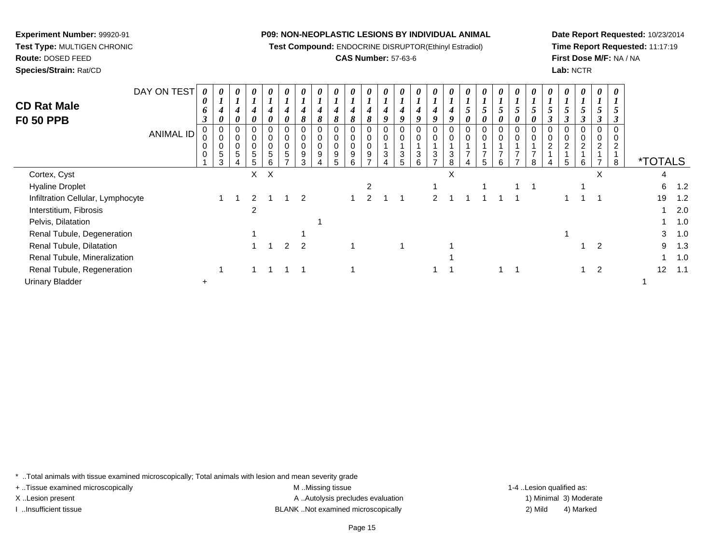**Test Compound:** ENDOCRINE DISRUPTOR(Ethinyl Estradiol)

# **CAS Number:** 57-63-6

**Date Report Requested:** 10/23/2014**Time Report Requested:** 11:17:19**First Dose M/F:** NA / NA**Lab:** NCTR

| <b>CD Rat Male</b><br><b>F0 50 PPB</b> | DAY ON TEST | $\boldsymbol{\theta}$<br>0 | 0<br>4<br>0           | $\boldsymbol{\theta}$<br>$\overline{ }$<br>4<br>0 | 0 | 0<br>0                | $\boldsymbol{\theta}$<br>$\mathbf{I}$<br>4<br>0 | $\boldsymbol{\theta}$<br>4<br>8 | 0<br>4<br>8 | $\boldsymbol{\theta}$<br><b>L</b><br>4<br>8 | 0<br>8 | 0<br>4<br>8 | $\boldsymbol{\theta}$<br>ı<br>4<br>9 | $\boldsymbol{\theta}$<br>$\overline{ }$<br>4<br>9 | $\boldsymbol{\theta}$<br>4<br>9 | $\boldsymbol{\theta}$<br>4<br>9 | 0      | 0<br>0 | $\boldsymbol{\theta}$<br>0 | $\boldsymbol{\theta}$<br>0 | 0<br>0 | $\boldsymbol{\theta}$<br>0 | 0<br>$\overline{ }$<br>3 | 0      | $\boldsymbol{\theta}$<br>$\boldsymbol{\beta}$ | $\boldsymbol{\theta}$<br>$\mathbf{I}$<br>$\mathbf{I}$<br>5<br>3 | $\boldsymbol{\theta}$<br>$\mathcal{L}$<br>Ĵ |                       |     |
|----------------------------------------|-------------|----------------------------|-----------------------|---------------------------------------------------|---|-----------------------|-------------------------------------------------|---------------------------------|-------------|---------------------------------------------|--------|-------------|--------------------------------------|---------------------------------------------------|---------------------------------|---------------------------------|--------|--------|----------------------------|----------------------------|--------|----------------------------|--------------------------|--------|-----------------------------------------------|-----------------------------------------------------------------|---------------------------------------------|-----------------------|-----|
|                                        | ANIMAL ID   |                            | 0<br>0<br>0<br>5<br>3 | 0<br>0<br>5                                       |   | 0<br>0<br>0<br>5<br>6 | 0<br>0<br>0<br>$\sqrt{5}$<br>$\overline{ }$     | 9                               | 0<br>0<br>9 | 0<br>$\pmb{0}$<br>0<br>9<br>5               | 9      | 0<br>0<br>9 | 0<br>0<br>3                          | 0<br>3<br>5                                       | 0<br>3<br>6                     | 0<br>3<br>$\overline{ }$        | 3<br>8 |        | 0<br>5                     | 0<br>ี                     | 0      | 8                          |                          | 0<br>5 | 0<br>2<br>6                                   | 0<br>$\overline{c}$<br>⇁                                        | 0<br>0<br>ົ<br>∠<br>8                       | <i><b>*TOTALS</b></i> |     |
| Cortex, Cyst                           |             |                            |                       |                                                   |   | $X$ $X$               |                                                 |                                 |             |                                             |        |             |                                      |                                                   |                                 |                                 | X      |        |                            |                            |        |                            |                          |        |                                               | ㅅ                                                               |                                             | 4                     |     |
| <b>Hyaline Droplet</b>                 |             |                            |                       |                                                   |   |                       |                                                 |                                 |             |                                             |        |             |                                      |                                                   |                                 |                                 |        |        |                            |                            |        |                            |                          |        |                                               |                                                                 |                                             | 6                     | 1.2 |
| Infiltration Cellular, Lymphocyte      |             |                            |                       |                                                   |   |                       |                                                 | 2                               |             |                                             |        |             |                                      |                                                   |                                 | 2                               |        |        |                            |                            |        |                            |                          |        |                                               |                                                                 |                                             | 19                    | 1.2 |
| Interstitium, Fibrosis                 |             |                            |                       |                                                   | 2 |                       |                                                 |                                 |             |                                             |        |             |                                      |                                                   |                                 |                                 |        |        |                            |                            |        |                            |                          |        |                                               |                                                                 |                                             |                       | 2.0 |
| Pelvis, Dilatation                     |             |                            |                       |                                                   |   |                       |                                                 |                                 |             |                                             |        |             |                                      |                                                   |                                 |                                 |        |        |                            |                            |        |                            |                          |        |                                               |                                                                 |                                             |                       | 1.0 |
| Renal Tubule, Degeneration             |             |                            |                       |                                                   |   |                       |                                                 |                                 |             |                                             |        |             |                                      |                                                   |                                 |                                 |        |        |                            |                            |        |                            |                          |        |                                               |                                                                 |                                             | 3                     | 1.0 |
| Renal Tubule, Dilatation               |             |                            |                       |                                                   |   |                       | $\mathbf{2}$                                    | $\overline{2}$                  |             |                                             |        |             |                                      |                                                   |                                 |                                 |        |        |                            |                            |        |                            |                          |        |                                               | $\overline{2}$                                                  |                                             | 9                     | 1.3 |
| Renal Tubule, Mineralization           |             |                            |                       |                                                   |   |                       |                                                 |                                 |             |                                             |        |             |                                      |                                                   |                                 |                                 |        |        |                            |                            |        |                            |                          |        |                                               |                                                                 |                                             |                       | 1.0 |
| Renal Tubule, Regeneration             |             |                            |                       |                                                   |   |                       |                                                 |                                 |             |                                             |        |             |                                      |                                                   |                                 |                                 |        |        |                            |                            |        |                            |                          |        |                                               | $\overline{2}$                                                  |                                             | 12 <sup>2</sup>       | 1.1 |
| <b>Urinary Bladder</b>                 |             |                            |                       |                                                   |   |                       |                                                 |                                 |             |                                             |        |             |                                      |                                                   |                                 |                                 |        |        |                            |                            |        |                            |                          |        |                                               |                                                                 |                                             |                       |     |

\* ..Total animals with tissue examined microscopically; Total animals with lesion and mean severity grade

+ ..Tissue examined microscopically examined microscopically examined as:  $M$  ..Missing tissue 1-4 ..Lesion qualified as:

**Experiment Number:** 99920-91**Test Type:** MULTIGEN CHRONIC

**Route:** DOSED FEED**Species/Strain:** Rat/CD

X..Lesion present **A ..Autolysis precludes evaluation** A ..Autolysis precludes evaluation 1) Minimal 3) Moderate I ..Insufficient tissue BLANK ..Not examined microscopically 2) Mild 4) Marked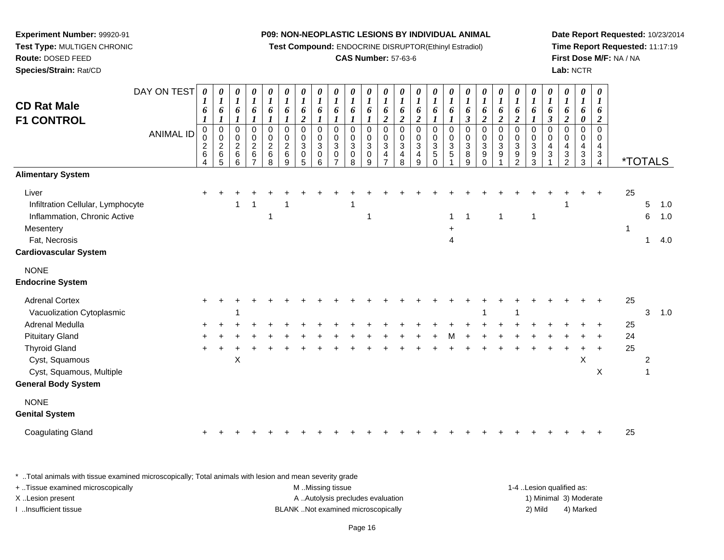**Test Compound:** ENDOCRINE DISRUPTOR(Ethinyl Estradiol)

# **CAS Number:** 57-63-6

**Date Report Requested:** 10/23/2014**Time Report Requested:** 11:17:19**First Dose M/F:** NA / NA**Lab:** NCTR

| <b>CD Rat Male</b><br><b>F1 CONTROL</b>                                                                                                                              | DAY ON TEST<br><b>ANIMAL ID</b> | 0<br>1<br>6<br>0<br>0<br>$\overline{c}$<br>6<br>4 | 0<br>$\boldsymbol{l}$<br>6<br>$\boldsymbol{l}$<br>$\,0\,$<br>$\pmb{0}$<br>$\overline{c}$<br>$\,6\,$<br>5 | 0<br>$\boldsymbol{l}$<br>6<br>$\pmb{0}$<br>$\pmb{0}$<br>$\overline{2}$<br>$6\phantom{1}6$<br>6 | 0<br>$\boldsymbol{l}$<br>6<br>$\mathbf 0$<br>0<br>$\overline{2}$<br>6<br>$\overline{ }$ | 0<br>$\boldsymbol{l}$<br>6<br>0<br>$\pmb{0}$<br>$\overline{2}$<br>$\,6\,$<br>8 | 0<br>$\boldsymbol{l}$<br>6<br>0<br>$\mathbf 0$<br>$\overline{c}$<br>$\,6\,$<br>9 | 0<br>1<br>6<br>$\boldsymbol{2}$<br>$\mathbf 0$<br>0<br>$\mathbf{3}$<br>$\mathbf 0$<br>5 | 0<br>$\boldsymbol{l}$<br>6<br>$\mathbf 0$<br>0<br>$\mathbf{3}$<br>0<br>6 | 0<br>$\boldsymbol{l}$<br>6<br>1<br>$\mathbf 0$<br>0<br>$\mathbf{3}$<br>0 | 0<br>$\boldsymbol{l}$<br>6<br>$\mathbf 0$<br>0<br>3<br>$\Omega$<br>8 | 0<br>1<br>6<br>$\mathbf 0$<br>0<br>$\mathfrak{Z}$<br>0<br>9 | 0<br>$\boldsymbol{l}$<br>6<br>$\overline{2}$<br>$\mathbf 0$<br>0<br>$\mathbf{3}$<br>4<br>$\overline{ }$ | 0<br>$\boldsymbol{l}$<br>6<br>$\boldsymbol{2}$<br>0<br>$\pmb{0}$<br>$\overline{3}$<br>4<br>8 | 0<br>$\boldsymbol{l}$<br>6<br>$\boldsymbol{2}$<br>$\mathbf 0$<br>$\mathbf 0$<br>$\mathbf{3}$<br>4<br>9 | 0<br>$\boldsymbol{l}$<br>6<br>$\mathbf 0$<br>0<br>$\sqrt{3}$<br>$\,$ 5 $\,$<br>$\Omega$ | 0<br>$\boldsymbol{l}$<br>6<br>$\mathbf 0$<br>0<br>$\mathbf{3}$<br>5 | 0<br>$\boldsymbol{l}$<br>6<br>$\boldsymbol{\beta}$<br>$\mathbf 0$<br>0<br>$\mathbf{3}$<br>$\bf 8$<br>9 | $\boldsymbol{\theta}$<br>$\boldsymbol{l}$<br>6<br>$\boldsymbol{2}$<br>$\mathbf 0$<br>0<br>$\mathsf 3$<br>9<br>$\Omega$ | 0<br>$\boldsymbol{l}$<br>6<br>$\boldsymbol{2}$<br>$\pmb{0}$<br>$\frac{0}{3}$<br>9 | 0<br>$\boldsymbol{l}$<br>6<br>$\boldsymbol{2}$<br>0<br>$\pmb{0}$<br>$\overline{3}$<br>$\boldsymbol{9}$<br>$\overline{2}$ | 0<br>$\boldsymbol{l}$<br>6<br>0<br>$_{3}^{\rm 0}$<br>9<br>3 | 0<br>$\boldsymbol{l}$<br>6<br>$\boldsymbol{\beta}$<br>$\mathbf 0$<br>0<br>4<br>3 | 0<br>1<br>6<br>$\overline{2}$<br>0<br>0<br>4<br>3<br>$\mathfrak{p}$ | $\boldsymbol{\theta}$<br>$\boldsymbol{l}$<br>6<br>$\boldsymbol{\theta}$<br>$\mathbf 0$<br>0<br>4<br>$\sqrt{3}$<br>3 | 0<br>1<br>6<br>$\boldsymbol{2}$<br>$\mathbf 0$<br>0<br>4<br>$\ensuremath{\mathsf{3}}$<br>4 |                    | <i><b>*TOTALS</b></i> |                   |
|----------------------------------------------------------------------------------------------------------------------------------------------------------------------|---------------------------------|---------------------------------------------------|----------------------------------------------------------------------------------------------------------|------------------------------------------------------------------------------------------------|-----------------------------------------------------------------------------------------|--------------------------------------------------------------------------------|----------------------------------------------------------------------------------|-----------------------------------------------------------------------------------------|--------------------------------------------------------------------------|--------------------------------------------------------------------------|----------------------------------------------------------------------|-------------------------------------------------------------|---------------------------------------------------------------------------------------------------------|----------------------------------------------------------------------------------------------|--------------------------------------------------------------------------------------------------------|-----------------------------------------------------------------------------------------|---------------------------------------------------------------------|--------------------------------------------------------------------------------------------------------|------------------------------------------------------------------------------------------------------------------------|-----------------------------------------------------------------------------------|--------------------------------------------------------------------------------------------------------------------------|-------------------------------------------------------------|----------------------------------------------------------------------------------|---------------------------------------------------------------------|---------------------------------------------------------------------------------------------------------------------|--------------------------------------------------------------------------------------------|--------------------|-----------------------|-------------------|
| <b>Alimentary System</b><br>Liver<br>Infiltration Cellular, Lymphocyte<br>Inflammation, Chronic Active<br>Mesentery<br>Fat, Necrosis<br><b>Cardiovascular System</b> |                                 |                                                   |                                                                                                          | 1                                                                                              |                                                                                         | 1                                                                              |                                                                                  |                                                                                         |                                                                          |                                                                          |                                                                      | 1                                                           |                                                                                                         |                                                                                              |                                                                                                        |                                                                                         | 1<br>$\ddot{}$<br>4                                                 |                                                                                                        |                                                                                                                        | 1                                                                                 |                                                                                                                          | $\mathbf{1}$                                                |                                                                                  |                                                                     |                                                                                                                     |                                                                                            | 25<br>$\mathbf{1}$ | 5<br>6                | 1.0<br>1.0<br>4.0 |
| <b>NONE</b><br><b>Endocrine System</b><br><b>Adrenal Cortex</b><br>Vacuolization Cytoplasmic<br>Adrenal Medulla                                                      |                                 |                                                   |                                                                                                          |                                                                                                |                                                                                         |                                                                                |                                                                                  |                                                                                         |                                                                          |                                                                          |                                                                      |                                                             |                                                                                                         |                                                                                              |                                                                                                        |                                                                                         |                                                                     |                                                                                                        |                                                                                                                        |                                                                                   |                                                                                                                          |                                                             |                                                                                  |                                                                     |                                                                                                                     |                                                                                            | 25<br>25           | 3                     | 1.0               |
| <b>Pituitary Gland</b><br><b>Thyroid Gland</b><br>Cyst, Squamous<br>Cyst, Squamous, Multiple<br><b>General Body System</b>                                           |                                 |                                                   |                                                                                                          | $\boldsymbol{\mathsf{X}}$                                                                      |                                                                                         |                                                                                |                                                                                  |                                                                                         |                                                                          |                                                                          |                                                                      |                                                             |                                                                                                         |                                                                                              |                                                                                                        |                                                                                         |                                                                     |                                                                                                        |                                                                                                                        |                                                                                   |                                                                                                                          |                                                             |                                                                                  |                                                                     | $\boldsymbol{\mathsf{X}}$                                                                                           | X                                                                                          | 24<br>25           | 2                     |                   |
| <b>NONE</b><br><b>Genital System</b><br><b>Coagulating Gland</b>                                                                                                     |                                 |                                                   |                                                                                                          |                                                                                                |                                                                                         |                                                                                |                                                                                  |                                                                                         |                                                                          |                                                                          |                                                                      |                                                             |                                                                                                         |                                                                                              |                                                                                                        |                                                                                         |                                                                     |                                                                                                        |                                                                                                                        |                                                                                   |                                                                                                                          |                                                             |                                                                                  |                                                                     |                                                                                                                     |                                                                                            | 25                 |                       |                   |

\* ..Total animals with tissue examined microscopically; Total animals with lesion and mean severity grade

**Experiment Number:** 99920-91**Test Type:** MULTIGEN CHRONIC

| + Tissue examined microscopically | M Missing tissue                   | 1-4 Lesion qualified as: |                        |
|-----------------------------------|------------------------------------|--------------------------|------------------------|
| X Lesion present                  | A Autolysis precludes evaluation   |                          | 1) Minimal 3) Moderate |
| Insufficient tissue               | BLANK Not examined microscopically | 2) Mild                  | 4) Marked              |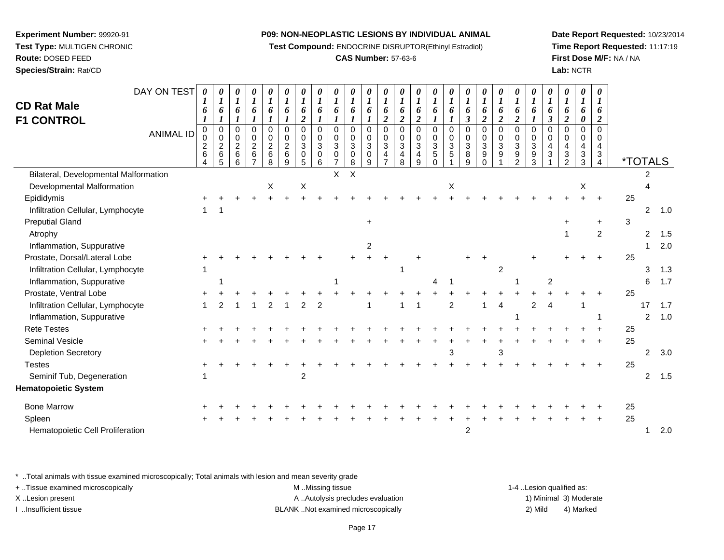**Test Compound:** ENDOCRINE DISRUPTOR(Ethinyl Estradiol)

# **CAS Number:** 57-63-6

**Date Report Requested:** 10/23/2014**Time Report Requested:** 11:17:19**First Dose M/F:** NA / NA**Lab:** NCTR

| <b>CD Rat Male</b><br><b>F1 CONTROL</b> | DAY ON TEST      | 0<br>6                                                                 | 0<br>$\boldsymbol{l}$<br>6                                   | 0<br>$\boldsymbol{l}$<br>6                                   | 0<br>$\boldsymbol{l}$<br>6<br>$\boldsymbol{l}$                        | $\pmb{\theta}$<br>$\boldsymbol{l}$<br>6<br>$\boldsymbol{l}$ | 0<br>$\boldsymbol{l}$<br>6                                   | 0<br>$\boldsymbol{l}$<br>6<br>$\boldsymbol{2}$            | 0<br>$\boldsymbol{l}$<br>6                        | 0<br>6                  | 0<br>1<br>6                                               | 0<br>1<br>6                             | 0<br>1<br>6<br>$\boldsymbol{2}$                                   | 0<br>$\bm{l}$<br>6<br>$\boldsymbol{2}$            | 0<br>$\bm{l}$<br>6<br>$\boldsymbol{2}$     | 0<br>$\boldsymbol{l}$<br>6<br>$\boldsymbol{l}$              | 0<br>$\boldsymbol{l}$<br>6                   | 0<br>$\boldsymbol{l}$<br>6<br>$\mathfrak{z}$ | 0<br>$\boldsymbol{l}$<br>6<br>$\boldsymbol{2}$    | 0<br>$\boldsymbol{l}$<br>6<br>$\boldsymbol{2}$ | $\pmb{\theta}$<br>$\boldsymbol{l}$<br>6<br>$\boldsymbol{2}$   | 0<br>$\boldsymbol{l}$<br>6                 | 0<br>6<br>$\boldsymbol{\beta}$ | 0<br>$\boldsymbol{l}$<br>6<br>$\boldsymbol{2}$         | 0<br>6<br>0                  | 0<br>1<br>6<br>$\overline{c}$                                    |                       |                |     |
|-----------------------------------------|------------------|------------------------------------------------------------------------|--------------------------------------------------------------|--------------------------------------------------------------|-----------------------------------------------------------------------|-------------------------------------------------------------|--------------------------------------------------------------|-----------------------------------------------------------|---------------------------------------------------|-------------------------|-----------------------------------------------------------|-----------------------------------------|-------------------------------------------------------------------|---------------------------------------------------|--------------------------------------------|-------------------------------------------------------------|----------------------------------------------|----------------------------------------------|---------------------------------------------------|------------------------------------------------|---------------------------------------------------------------|--------------------------------------------|--------------------------------|--------------------------------------------------------|------------------------------|------------------------------------------------------------------|-----------------------|----------------|-----|
|                                         | <b>ANIMAL ID</b> | 0<br>0<br>$\overline{\mathbf{c}}$<br>$\,6\,$<br>$\boldsymbol{\Lambda}$ | $\pmb{0}$<br>$\mathbf 0$<br>$\boldsymbol{2}$<br>$\,6\,$<br>5 | $\mathbf 0$<br>$\mathbf 0$<br>$\overline{c}$<br>$\,6\,$<br>6 | $\mathbf 0$<br>$\mathbf 0$<br>$\boldsymbol{2}$<br>6<br>$\overline{7}$ | $\pmb{0}$<br>$\mathbf 0$<br>$\boldsymbol{2}$<br>6<br>8      | $\mathbf 0$<br>$\mathbf 0$<br>$\overline{2}$<br>$\,6\,$<br>9 | $\Omega$<br>$\mathbf 0$<br>$\mathbf{3}$<br>$\pmb{0}$<br>5 | $\Omega$<br>$\mathbf 0$<br>$\mathbf{3}$<br>0<br>6 | $\Omega$<br>0<br>3<br>0 | $\Omega$<br>$\mathbf 0$<br>$\sqrt{3}$<br>$\mathbf 0$<br>8 | $\Omega$<br>0<br>$\mathbf{3}$<br>0<br>9 | $\mathbf 0$<br>$\mathbf 0$<br>$\mathbf{3}$<br>4<br>$\overline{7}$ | $\Omega$<br>$\mathbf 0$<br>$\mathbf{3}$<br>4<br>8 | $\mathbf 0$<br>0<br>$\mathbf{3}$<br>4<br>9 | $\mathbf 0$<br>$\mathbf 0$<br>$\mathbf{3}$<br>5<br>$\Omega$ | 0<br>$\mathbf 0$<br>$\sqrt{3}$<br>$\sqrt{5}$ | $\Omega$<br>$\mathbf 0$<br>3<br>8<br>9       | $\mathbf 0$<br>0<br>$\mathbf{3}$<br>9<br>$\Omega$ | $\pmb{0}$<br>$\pmb{0}$<br>$\mathbf{3}$<br>9    | $\mathbf 0$<br>$\pmb{0}$<br>$\sqrt{3}$<br>9<br>$\overline{2}$ | $\mathbf 0$<br>0<br>$\mathbf{3}$<br>9<br>3 | 0<br>4<br>3                    | $\Omega$<br>0<br>$\overline{4}$<br>3<br>$\mathfrak{p}$ | $\Omega$<br>0<br>4<br>3<br>3 | $\Omega$<br>$\mathbf 0$<br>$\overline{4}$<br>3<br>$\overline{4}$ | <i><b>*TOTALS</b></i> |                |     |
| Bilateral, Developmental Malformation   |                  |                                                                        |                                                              |                                                              |                                                                       |                                                             |                                                              |                                                           |                                                   | X.                      | X                                                         |                                         |                                                                   |                                                   |                                            |                                                             |                                              |                                              |                                                   |                                                |                                                               |                                            |                                |                                                        |                              |                                                                  |                       | 2              |     |
| Developmental Malformation              |                  |                                                                        |                                                              |                                                              |                                                                       | X                                                           |                                                              | $\mathsf X$                                               |                                                   |                         |                                                           |                                         |                                                                   |                                                   |                                            |                                                             | $\mathsf X$                                  |                                              |                                                   |                                                |                                                               |                                            |                                |                                                        | X                            |                                                                  |                       |                |     |
| Epididymis                              |                  |                                                                        |                                                              |                                                              |                                                                       |                                                             |                                                              |                                                           |                                                   |                         |                                                           |                                         |                                                                   |                                                   |                                            |                                                             |                                              |                                              |                                                   |                                                |                                                               |                                            |                                |                                                        |                              | $+$                                                              | 25                    |                |     |
| Infiltration Cellular, Lymphocyte       |                  | 1                                                                      | 1                                                            |                                                              |                                                                       |                                                             |                                                              |                                                           |                                                   |                         |                                                           |                                         |                                                                   |                                                   |                                            |                                                             |                                              |                                              |                                                   |                                                |                                                               |                                            |                                |                                                        |                              |                                                                  |                       | $\overline{2}$ | 1.0 |
| <b>Preputial Gland</b>                  |                  |                                                                        |                                                              |                                                              |                                                                       |                                                             |                                                              |                                                           |                                                   |                         |                                                           | $\pm$                                   |                                                                   |                                                   |                                            |                                                             |                                              |                                              |                                                   |                                                |                                                               |                                            |                                |                                                        |                              |                                                                  | 3                     |                |     |
| Atrophy                                 |                  |                                                                        |                                                              |                                                              |                                                                       |                                                             |                                                              |                                                           |                                                   |                         |                                                           |                                         |                                                                   |                                                   |                                            |                                                             |                                              |                                              |                                                   |                                                |                                                               |                                            |                                |                                                        |                              | $\overline{c}$                                                   |                       | 2              | 1.5 |
| Inflammation, Suppurative               |                  |                                                                        |                                                              |                                                              |                                                                       |                                                             |                                                              |                                                           |                                                   |                         |                                                           | 2                                       |                                                                   |                                                   |                                            |                                                             |                                              |                                              |                                                   |                                                |                                                               |                                            |                                |                                                        |                              |                                                                  |                       |                | 2.0 |
| Prostate, Dorsal/Lateral Lobe           |                  |                                                                        |                                                              |                                                              |                                                                       |                                                             |                                                              |                                                           |                                                   |                         |                                                           |                                         |                                                                   |                                                   |                                            |                                                             |                                              |                                              |                                                   |                                                |                                                               |                                            |                                |                                                        |                              |                                                                  | 25                    |                |     |
| Infiltration Cellular, Lymphocyte       |                  |                                                                        |                                                              |                                                              |                                                                       |                                                             |                                                              |                                                           |                                                   |                         |                                                           |                                         |                                                                   |                                                   |                                            |                                                             |                                              |                                              |                                                   | $\overline{2}$                                 |                                                               |                                            |                                |                                                        |                              |                                                                  |                       | 3              | 1.3 |
| Inflammation, Suppurative               |                  |                                                                        |                                                              |                                                              |                                                                       |                                                             |                                                              |                                                           |                                                   |                         |                                                           |                                         |                                                                   |                                                   |                                            | 4                                                           | -1                                           |                                              |                                                   |                                                |                                                               |                                            | $\overline{c}$                 |                                                        |                              |                                                                  |                       | 6              | 1.7 |
| Prostate, Ventral Lobe                  |                  |                                                                        |                                                              |                                                              |                                                                       |                                                             |                                                              |                                                           |                                                   |                         |                                                           |                                         |                                                                   |                                                   |                                            |                                                             |                                              |                                              |                                                   |                                                |                                                               |                                            |                                |                                                        |                              |                                                                  | 25                    |                |     |
| Infiltration Cellular, Lymphocyte       |                  |                                                                        | 2                                                            |                                                              |                                                                       | $\overline{2}$                                              |                                                              | 2                                                         | 2                                                 |                         |                                                           |                                         |                                                                   |                                                   |                                            |                                                             | $\overline{2}$                               |                                              |                                                   | 4                                              |                                                               | $\overline{2}$                             |                                |                                                        |                              |                                                                  |                       | 17             | 1.7 |
| Inflammation, Suppurative               |                  |                                                                        |                                                              |                                                              |                                                                       |                                                             |                                                              |                                                           |                                                   |                         |                                                           |                                         |                                                                   |                                                   |                                            |                                                             |                                              |                                              |                                                   |                                                |                                                               |                                            |                                |                                                        |                              |                                                                  |                       | 2              | 1.0 |
| <b>Rete Testes</b>                      |                  |                                                                        |                                                              |                                                              |                                                                       |                                                             |                                                              |                                                           |                                                   |                         |                                                           |                                         |                                                                   |                                                   |                                            |                                                             |                                              |                                              |                                                   |                                                |                                                               |                                            |                                |                                                        |                              |                                                                  | 25                    |                |     |
| Seminal Vesicle                         |                  |                                                                        |                                                              |                                                              |                                                                       |                                                             |                                                              |                                                           |                                                   |                         |                                                           |                                         |                                                                   |                                                   |                                            |                                                             |                                              |                                              |                                                   |                                                |                                                               |                                            |                                |                                                        |                              |                                                                  | 25                    |                |     |
| <b>Depletion Secretory</b>              |                  |                                                                        |                                                              |                                                              |                                                                       |                                                             |                                                              |                                                           |                                                   |                         |                                                           |                                         |                                                                   |                                                   |                                            |                                                             |                                              |                                              |                                                   | 3                                              |                                                               |                                            |                                |                                                        |                              |                                                                  |                       | $\overline{2}$ | 3.0 |
| <b>Testes</b>                           |                  |                                                                        |                                                              |                                                              |                                                                       |                                                             |                                                              |                                                           |                                                   |                         |                                                           |                                         |                                                                   |                                                   |                                            |                                                             |                                              |                                              |                                                   |                                                |                                                               |                                            |                                |                                                        |                              |                                                                  | 25                    |                |     |
| Seminif Tub, Degeneration               |                  |                                                                        |                                                              |                                                              |                                                                       |                                                             |                                                              | $\overline{2}$                                            |                                                   |                         |                                                           |                                         |                                                                   |                                                   |                                            |                                                             |                                              |                                              |                                                   |                                                |                                                               |                                            |                                |                                                        |                              |                                                                  |                       | $\overline{2}$ | 1.5 |
| <b>Hematopoietic System</b>             |                  |                                                                        |                                                              |                                                              |                                                                       |                                                             |                                                              |                                                           |                                                   |                         |                                                           |                                         |                                                                   |                                                   |                                            |                                                             |                                              |                                              |                                                   |                                                |                                                               |                                            |                                |                                                        |                              |                                                                  |                       |                |     |
| <b>Bone Marrow</b>                      |                  |                                                                        |                                                              |                                                              |                                                                       |                                                             |                                                              |                                                           |                                                   |                         |                                                           |                                         |                                                                   |                                                   |                                            |                                                             |                                              |                                              |                                                   |                                                |                                                               |                                            |                                |                                                        |                              |                                                                  | 25                    |                |     |
| Spleen                                  |                  |                                                                        |                                                              |                                                              |                                                                       |                                                             |                                                              |                                                           |                                                   |                         |                                                           |                                         |                                                                   |                                                   |                                            |                                                             |                                              |                                              |                                                   |                                                |                                                               |                                            |                                |                                                        |                              |                                                                  | 25                    |                |     |
| Hematopoietic Cell Proliferation        |                  |                                                                        |                                                              |                                                              |                                                                       |                                                             |                                                              |                                                           |                                                   |                         |                                                           |                                         |                                                                   |                                                   |                                            |                                                             |                                              | 2                                            |                                                   |                                                |                                                               |                                            |                                |                                                        |                              |                                                                  |                       |                | 2.0 |
|                                         |                  |                                                                        |                                                              |                                                              |                                                                       |                                                             |                                                              |                                                           |                                                   |                         |                                                           |                                         |                                                                   |                                                   |                                            |                                                             |                                              |                                              |                                                   |                                                |                                                               |                                            |                                |                                                        |                              |                                                                  |                       |                |     |

\* ..Total animals with tissue examined microscopically; Total animals with lesion and mean severity grade

**Experiment Number:** 99920-91**Test Type:** MULTIGEN CHRONIC

| + . Tissue examined microscopically | M Missing tissue                   | 1-4 Lesion qualified as: |                        |
|-------------------------------------|------------------------------------|--------------------------|------------------------|
| X Lesion present                    | A Autolysis precludes evaluation   |                          | 1) Minimal 3) Moderate |
| lnsufficient tissue                 | BLANK Not examined microscopically | 2) Mild                  | 4) Marked              |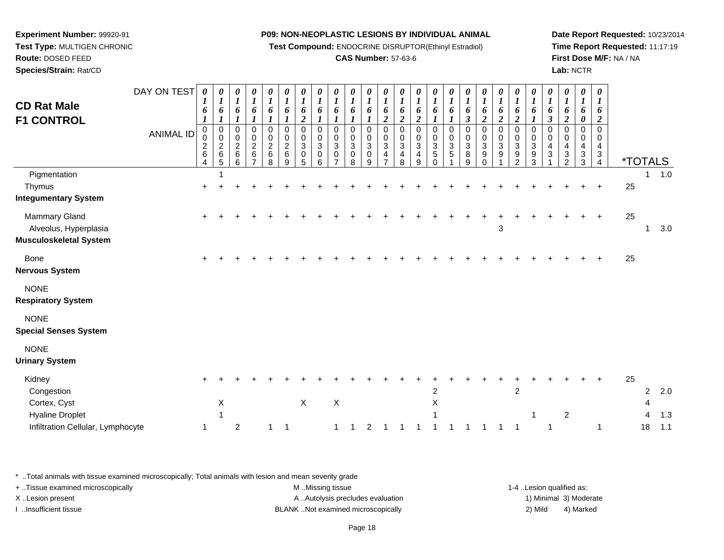**Test Compound:** ENDOCRINE DISRUPTOR(Ethinyl Estradiol)

# **CAS Number:** 57-63-6

**Date Report Requested:** 10/23/2014**Time Report Requested:** 11:17:19**First Dose M/F:** NA / NA**Lab:** NCTR

| <b>CD Rat Male</b><br><b>F1 CONTROL</b>                          | DAY ON TEST<br><b>ANIMAL ID</b> | $\boldsymbol{\theta}$<br>$\boldsymbol{l}$<br>6<br>1<br>0<br>0<br>$\begin{array}{c} 2 \\ 6 \end{array}$<br>4 | 0<br>$\boldsymbol{l}$<br>6<br>1<br>$\mathbf 0$<br>$\pmb{0}$<br>$\begin{array}{c} 2 \\ 6 \\ 5 \end{array}$ | $\frac{\theta}{I}$<br>$\boldsymbol{6}$<br>0<br>$\mathbf 0$<br>$\overline{c}$<br>$\,6\,$<br>6 | $\begin{matrix} 0 \\ 1 \end{matrix}$<br>6<br>$\mathbf{I}$<br>0<br>$\pmb{0}$<br>$\frac{2}{6}$<br>$\overline{7}$ | $\frac{\theta}{I}$<br>6<br>$\boldsymbol{l}$<br>$\pmb{0}$<br>$\pmb{0}$<br>$\boldsymbol{2}$<br>$\,6$<br>8 | $\frac{\boldsymbol{\theta}}{\boldsymbol{I}}$<br>6<br>$\mathbf{I}$<br>$\,0\,$<br>$\mathbf 0$<br>$\frac{2}{6}$<br>9 | $\boldsymbol{\theta}$<br>$\boldsymbol{l}$<br>6<br>$\overline{2}$<br>0<br>0<br>3<br>0<br>5 | $\frac{\theta}{I}$<br>6<br>$\boldsymbol{l}$<br>0<br>0<br>$\sqrt{3}$<br>0<br>6 | $\boldsymbol{\theta}$<br>$\boldsymbol{l}$<br>6<br>$\mathbf 0$<br>$\mathbf 0$<br>$\mathbf{3}$<br>$\mathbf 0$ | $\boldsymbol{\theta}$<br>$\boldsymbol{l}$<br>6<br>0<br>0<br>3<br>0<br>8 | 0<br>$\boldsymbol{l}$<br>6<br>0<br>0<br>$\ensuremath{\mathsf{3}}$<br>$\mathbf 0$<br>9 | 0<br>$\boldsymbol{l}$<br>6<br>$\overline{2}$<br>0<br>$\pmb{0}$<br>$\sqrt{3}$<br>$\overline{4}$<br>$\overline{7}$ | U<br>$\boldsymbol{l}$<br>6<br>$\overline{2}$<br>$\Omega$<br>0<br>$\sqrt{3}$<br>4<br>8 | $\boldsymbol{\theta}$<br>$\boldsymbol{l}$<br>6<br>$\boldsymbol{2}$<br>0<br>0<br>3<br>4<br>9 | $\boldsymbol{\theta}$<br>$\boldsymbol{l}$<br>6<br>1<br>$\mathbf 0$<br>0<br>$\mathbf{3}$<br>5<br>$\Omega$ | $\boldsymbol{l}$<br>6<br>1<br>0<br>$\mathbf 0$<br>3<br>5 | $\boldsymbol{\theta}$<br>$\boldsymbol{l}$<br>6<br>$\mathfrak{z}$<br>$\mathbf 0$<br>$\mathbf 0$<br>$\mathbf{3}$<br>8<br>9 | 0<br>$\boldsymbol{l}$<br>6<br>$\overline{\mathbf{c}}$<br>0<br>$\pmb{0}$<br>$\mathbf{3}$<br>9<br>0 | 0<br>$\boldsymbol{l}$<br>6<br>$\overline{c}$<br>0<br>$\pmb{0}$<br>$\ensuremath{\mathsf{3}}$<br>9 | 0<br>$\boldsymbol{l}$<br>6<br>$\boldsymbol{2}$<br>$\mathbf 0$<br>$\pmb{0}$<br>$\mathbf{3}$<br>9<br>$\overline{2}$ | 0<br>$\boldsymbol{l}$<br>6<br>0<br>$\pmb{0}$<br>$\sqrt{3}$<br>9<br>$\overline{3}$ | 0<br>$\boldsymbol{l}$<br>6<br>$\boldsymbol{\beta}$<br>0<br>$\mathbf 0$<br>4<br>3 | 0<br>$\boldsymbol{l}$<br>6<br>$\boldsymbol{2}$<br>$\Omega$<br>$\Omega$<br>4<br>$\frac{3}{2}$ | 0<br>$\boldsymbol{l}$<br>6<br>0<br>$\mathbf 0$<br>0<br>4<br>3<br>3 | $\boldsymbol{\theta}$<br>1<br>6<br>$\overline{c}$<br>$\Omega$<br>0<br>4<br>$\sqrt{3}$<br>$\overline{4}$ |    | <i><b>*TOTALS</b></i>                              |            |
|------------------------------------------------------------------|---------------------------------|-------------------------------------------------------------------------------------------------------------|-----------------------------------------------------------------------------------------------------------|----------------------------------------------------------------------------------------------|----------------------------------------------------------------------------------------------------------------|---------------------------------------------------------------------------------------------------------|-------------------------------------------------------------------------------------------------------------------|-------------------------------------------------------------------------------------------|-------------------------------------------------------------------------------|-------------------------------------------------------------------------------------------------------------|-------------------------------------------------------------------------|---------------------------------------------------------------------------------------|------------------------------------------------------------------------------------------------------------------|---------------------------------------------------------------------------------------|---------------------------------------------------------------------------------------------|----------------------------------------------------------------------------------------------------------|----------------------------------------------------------|--------------------------------------------------------------------------------------------------------------------------|---------------------------------------------------------------------------------------------------|--------------------------------------------------------------------------------------------------|-------------------------------------------------------------------------------------------------------------------|-----------------------------------------------------------------------------------|----------------------------------------------------------------------------------|----------------------------------------------------------------------------------------------|--------------------------------------------------------------------|---------------------------------------------------------------------------------------------------------|----|----------------------------------------------------|------------|
| Pigmentation<br>Thymus<br><b>Integumentary System</b>            |                                 |                                                                                                             |                                                                                                           |                                                                                              |                                                                                                                |                                                                                                         |                                                                                                                   |                                                                                           |                                                                               |                                                                                                             |                                                                         |                                                                                       |                                                                                                                  |                                                                                       |                                                                                             |                                                                                                          |                                                          |                                                                                                                          |                                                                                                   |                                                                                                  |                                                                                                                   |                                                                                   |                                                                                  |                                                                                              |                                                                    |                                                                                                         | 25 | 1                                                  | 1.0        |
| Mammary Gland<br>Alveolus, Hyperplasia<br>Musculoskeletal System |                                 |                                                                                                             |                                                                                                           |                                                                                              |                                                                                                                |                                                                                                         |                                                                                                                   |                                                                                           |                                                                               |                                                                                                             |                                                                         |                                                                                       |                                                                                                                  |                                                                                       |                                                                                             |                                                                                                          |                                                          |                                                                                                                          |                                                                                                   | 3                                                                                                |                                                                                                                   |                                                                                   |                                                                                  |                                                                                              |                                                                    |                                                                                                         | 25 |                                                    | 3.0        |
| <b>Bone</b><br>Nervous System                                    |                                 |                                                                                                             |                                                                                                           |                                                                                              |                                                                                                                |                                                                                                         |                                                                                                                   |                                                                                           |                                                                               |                                                                                                             |                                                                         |                                                                                       |                                                                                                                  |                                                                                       |                                                                                             |                                                                                                          |                                                          |                                                                                                                          |                                                                                                   |                                                                                                  |                                                                                                                   |                                                                                   |                                                                                  |                                                                                              |                                                                    |                                                                                                         | 25 |                                                    |            |
| <b>NONE</b><br><b>Respiratory System</b>                         |                                 |                                                                                                             |                                                                                                           |                                                                                              |                                                                                                                |                                                                                                         |                                                                                                                   |                                                                                           |                                                                               |                                                                                                             |                                                                         |                                                                                       |                                                                                                                  |                                                                                       |                                                                                             |                                                                                                          |                                                          |                                                                                                                          |                                                                                                   |                                                                                                  |                                                                                                                   |                                                                                   |                                                                                  |                                                                                              |                                                                    |                                                                                                         |    |                                                    |            |
| <b>NONE</b><br><b>Special Senses System</b>                      |                                 |                                                                                                             |                                                                                                           |                                                                                              |                                                                                                                |                                                                                                         |                                                                                                                   |                                                                                           |                                                                               |                                                                                                             |                                                                         |                                                                                       |                                                                                                                  |                                                                                       |                                                                                             |                                                                                                          |                                                          |                                                                                                                          |                                                                                                   |                                                                                                  |                                                                                                                   |                                                                                   |                                                                                  |                                                                                              |                                                                    |                                                                                                         |    |                                                    |            |
| <b>NONE</b><br><b>Urinary System</b>                             |                                 |                                                                                                             |                                                                                                           |                                                                                              |                                                                                                                |                                                                                                         |                                                                                                                   |                                                                                           |                                                                               |                                                                                                             |                                                                         |                                                                                       |                                                                                                                  |                                                                                       |                                                                                             |                                                                                                          |                                                          |                                                                                                                          |                                                                                                   |                                                                                                  |                                                                                                                   |                                                                                   |                                                                                  |                                                                                              |                                                                    |                                                                                                         |    |                                                    |            |
| Kidney<br>Congestion<br>Cortex, Cyst<br><b>Hyaline Droplet</b>   |                                 |                                                                                                             | X                                                                                                         |                                                                                              |                                                                                                                |                                                                                                         |                                                                                                                   | $\sf X$                                                                                   |                                                                               | $\mathsf X$                                                                                                 |                                                                         |                                                                                       |                                                                                                                  |                                                                                       |                                                                                             | $\overline{c}$<br>Χ                                                                                      |                                                          |                                                                                                                          |                                                                                                   |                                                                                                  | $\overline{c}$                                                                                                    | $\mathbf 1$                                                                       |                                                                                  | $\boldsymbol{2}$                                                                             |                                                                    |                                                                                                         | 25 | $\overline{2}$<br>$\overline{4}$<br>$\overline{4}$ | 2.0<br>1.3 |
| Infiltration Cellular, Lymphocyte                                |                                 | 1                                                                                                           |                                                                                                           | $\overline{\mathbf{c}}$                                                                      |                                                                                                                |                                                                                                         | -1                                                                                                                |                                                                                           |                                                                               | 1                                                                                                           |                                                                         | $\overline{2}$                                                                        |                                                                                                                  |                                                                                       |                                                                                             |                                                                                                          |                                                          |                                                                                                                          |                                                                                                   |                                                                                                  |                                                                                                                   |                                                                                   | 1                                                                                |                                                                                              |                                                                    | $\mathbf 1$                                                                                             |    | 18                                                 | 1.1        |

\* ..Total animals with tissue examined microscopically; Total animals with lesion and mean severity grade

**Experiment Number:** 99920-91**Test Type:** MULTIGEN CHRONIC

**Route:** DOSED FEED**Species/Strain:** Rat/CD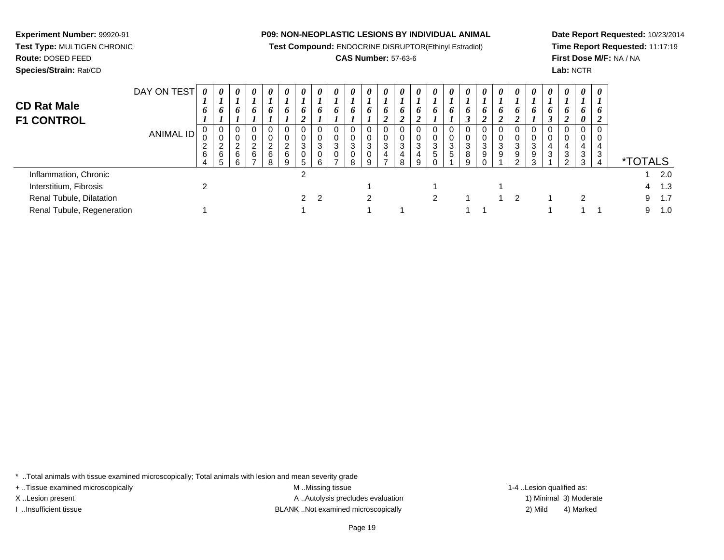**Test Compound:** ENDOCRINE DISRUPTOR(Ethinyl Estradiol)

# **CAS Number:** 57-63-6

n 2 2 2 2 2 1 1 2 1 2 9 1.7

n 1 1 1 1 1 1 1 1 1 1 1 1 9 1.0

<sup>1</sup> <sup>1</sup> <sup>1</sup> <sup>4</sup> 1.3

**Date Report Requested:** 10/23/2014**Time Report Requested:** 11:17:19**First Dose M/F:** NA / NA**Lab:** NCTR

| Species/Strain: Rat/CD                  |                  |                            |                                       |                            |                                            |                            |                                             |                       |                            |                                           |                            |                            |                            |                       |                            |                            |                                   |               |                  |                            |                            |                                   |                            |                                 | Lab: NCTR                              |                            |                       |
|-----------------------------------------|------------------|----------------------------|---------------------------------------|----------------------------|--------------------------------------------|----------------------------|---------------------------------------------|-----------------------|----------------------------|-------------------------------------------|----------------------------|----------------------------|----------------------------|-----------------------|----------------------------|----------------------------|-----------------------------------|---------------|------------------|----------------------------|----------------------------|-----------------------------------|----------------------------|---------------------------------|----------------------------------------|----------------------------|-----------------------|
| <b>CD Rat Male</b><br><b>F1 CONTROL</b> | DAY ON TEST      | $\boldsymbol{\theta}$<br>6 | $\boldsymbol{\theta}$<br>6            | $\boldsymbol{\theta}$<br>6 | $\boldsymbol{\theta}$<br>$\mathbf{r}$<br>6 | $\boldsymbol{\theta}$<br>6 | $\boldsymbol{\theta}$<br>$\bm{o}$           | 0<br>6<br>◢           | $\boldsymbol{\theta}$<br>6 | $\boldsymbol{\theta}$<br>6                | $\boldsymbol{\theta}$<br>6 | $\boldsymbol{\theta}$<br>O | $\boldsymbol{\theta}$<br>6 | 0<br>6                | $\boldsymbol{\theta}$<br>6 | $\boldsymbol{\theta}$<br>6 | $\boldsymbol{\theta}$<br>$\bm{o}$ | 0<br>$\bm{b}$ | 0<br>o<br>◠<br>◢ | $\boldsymbol{\theta}$<br>6 | $\boldsymbol{\theta}$<br>o | $\boldsymbol{\theta}$<br>$\bm{o}$ | $\boldsymbol{\theta}$<br>6 | $\boldsymbol{\theta}$<br>6<br>2 | $\boldsymbol{\theta}$<br>$\bm{b}$<br>0 | $\boldsymbol{\theta}$<br>6 |                       |
|                                         | <b>ANIMAL ID</b> | 6                          | $\mathbf{0}$<br>0<br>ົ<br>∠<br>6<br>5 | 0<br>0<br>◠<br>6<br>6      | $\overline{0}$<br>0<br>$\overline{2}$<br>6 | 0<br>റ<br>6<br>8           | 0<br>$\sim$<br>υ<br>ົ<br><u>_</u><br>6<br>9 | 0<br>0<br>3<br>0<br>5 | 0<br>0<br>3<br>0<br>6      | $\Omega$<br>3<br>$\sim$<br>$\overline{ }$ | 0<br>0<br>3<br>0<br>8      | 0<br>0<br>3<br>0<br>9      | $\sim$<br>-3<br>4          | 0<br>0<br>3<br>4<br>8 | 0<br>U.<br>3<br>4<br>9     | 0<br>0<br>3<br>5<br>0      | 3<br>$5^{\circ}$                  | 3<br>8<br>-9  | 0<br>0<br>3<br>9 | 0<br>0<br>3<br>9           | 3<br>9<br>າ                | 0<br>0<br>3<br>9<br>ર             | 0<br>0<br>4<br>3           | 3<br>$\overline{2}$             | 0<br>0<br>4<br>3<br>3                  | 0<br>0<br>4<br>3<br>4      | <i><b>*TOTALS</b></i> |
| Inflammation, Chronic                   |                  |                            |                                       |                            |                                            |                            |                                             | ົ                     |                            |                                           |                            |                            |                            |                       |                            |                            |                                   |               |                  |                            |                            |                                   |                            |                                 |                                        |                            | 2.0                   |

\* ..Total animals with tissue examined microscopically; Total animals with lesion and mean severity grade

+ ..Tissue examined microscopically examined microscopically examined as:  $M$  ..Missing tissue 1-4 ..Lesion qualified as:

**Experiment Number:** 99920-91**Test Type:** MULTIGEN CHRONIC

Interstitium, Fibrosis

Renal Tubule, Dilatation

Renal Tubule, Regeneration

s 2

**Route:** DOSED FEED

X..Lesion present **A ..Autolysis precludes evaluation** A ..Autolysis precludes evaluation 1) Minimal 3) Moderate I ..Insufficient tissue BLANK ..Not examined microscopically 2) Mild 4) Marked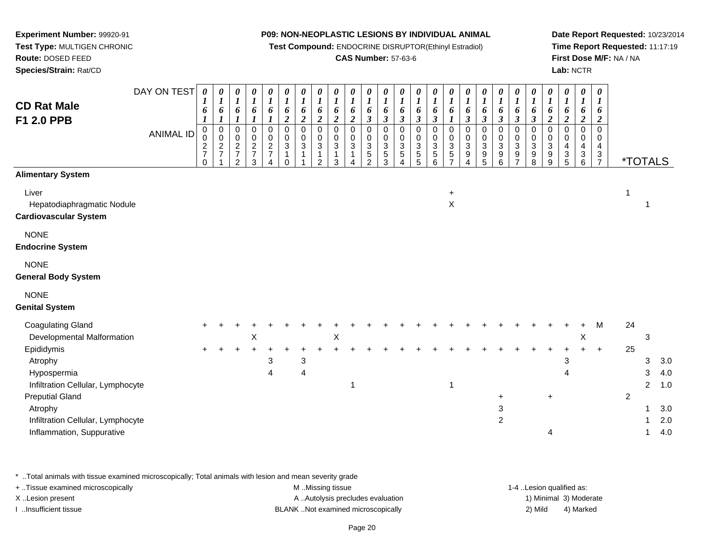**Test Compound:** ENDOCRINE DISRUPTOR(Ethinyl Estradiol)

# **CAS Number:** 57-63-6

**Date Report Requested:** 10/23/2014**Time Report Requested:** 11:17:19**First Dose M/F:** NA / NA**Lab:** NCTR

| <b>CD Rat Male</b><br>F1 2.0 PPB                                          | DAY ON TEST<br><b>ANIMAL ID</b> | $\boldsymbol{\theta}$<br>1<br>6<br>1<br>$\mathbf 0$<br>0<br>$\frac{2}{7}$<br>$\Omega$ | $\pmb{\theta}$<br>$\boldsymbol{l}$<br>6<br>$\boldsymbol{l}$<br>$\overline{0}$<br>$\overline{0}$<br>$\frac{2}{7}$ | $\pmb{\theta}$<br>$\boldsymbol{l}$<br>6<br>$\boldsymbol{l}$<br>$\mathbf 0$<br>$\pmb{0}$<br>$\frac{2}{7}$<br>2 | 0<br>$\boldsymbol{l}$<br>6<br>$\boldsymbol{l}$<br>0<br>$\pmb{0}$<br>$\frac{2}{7}$<br>3 | $\pmb{\theta}$<br>$\boldsymbol{l}$<br>6<br>1<br>$\mathsf 0$<br>$\pmb{0}$<br>$\frac{2}{7}$<br>4 | 0<br>$\boldsymbol{l}$<br>6<br>$\overline{2}$<br>$\mathbf 0$<br>0<br>3<br>1<br>0 | $\pmb{\theta}$<br>$\boldsymbol{l}$<br>6<br>$\boldsymbol{2}$<br>$\mathsf 0$<br>$\mathbf 0$<br>$\sqrt{3}$<br>$\overline{1}$ | $\boldsymbol{\theta}$<br>$\boldsymbol{l}$<br>6<br>$\boldsymbol{2}$<br>$\overline{0}$<br>$\mathbf 0$<br>$\mathbf{3}$<br>$\mathbf{1}$<br>2 | $\pmb{\theta}$<br>$\boldsymbol{l}$<br>6<br>$\boldsymbol{2}$<br>$\overline{0}$<br>$\pmb{0}$<br>$\sqrt{3}$<br>$\mathbf{1}$<br>3 | $\pmb{\theta}$<br>$\boldsymbol{l}$<br>6<br>$\overline{2}$<br>0<br>$\mathbf 0$<br>$\mathbf{3}$<br>$\mathbf{1}$<br>Δ | 0<br>$\boldsymbol{I}$<br>6<br>$\mathfrak{z}$<br>0<br>0<br>$\mathfrak{S}$<br>5<br>2 | 0<br>1<br>6<br>$\mathfrak{z}$<br>$\pmb{0}$<br>$\pmb{0}$<br>3<br>$\sqrt{5}$<br>3 | 0<br>$\boldsymbol{l}$<br>6<br>$\boldsymbol{\beta}$<br>$\mathbf 0$<br>0<br>3<br>5<br>4 | $\pmb{\theta}$<br>$\boldsymbol{l}$<br>6<br>$\boldsymbol{\beta}$<br>$\mathsf 0$<br>$\mathbf 0$<br>$\ensuremath{\mathsf{3}}$<br>$\begin{array}{c} 5 \\ 5 \end{array}$ | $\boldsymbol{\theta}$<br>$\boldsymbol{l}$<br>6<br>$\mathfrak{z}$<br>$\mathbf 0$<br>$\pmb{0}$<br>$\mathbf{3}$<br>$\,$ 5 $\,$<br>6 | 0<br>$\boldsymbol{l}$<br>6<br>$\boldsymbol{l}$<br>$\overline{0}$<br>$\pmb{0}$<br>$\frac{3}{5}$<br>$\overline{z}$ | $\pmb{\theta}$<br>$\boldsymbol{l}$<br>$\pmb{6}$<br>$\mathfrak{z}$<br>$\pmb{0}$<br>$\pmb{0}$<br>$\ensuremath{\mathsf{3}}$<br>9<br>4 | 0<br>$\boldsymbol{\mathit{1}}$<br>6<br>$\boldsymbol{\beta}$<br>$\pmb{0}$<br>$\mathbf 0$<br>$\mathbf{3}$<br>9<br>5 | $\boldsymbol{\theta}$<br>$\boldsymbol{l}$<br>6<br>$\boldsymbol{\beta}$<br>$\pmb{0}$<br>$\pmb{0}$<br>$\mathbf{3}$<br>9<br>6 | $\boldsymbol{\theta}$<br>$\boldsymbol{l}$<br>6<br>$\boldsymbol{\beta}$<br>$\mathbf 0$<br>0<br>3<br>9<br>$\overline{ }$ | $\pmb{\theta}$<br>$\boldsymbol{l}$<br>6<br>$\boldsymbol{\beta}$<br>$\mathbf 0$<br>0<br>$\mathbf{3}$<br>9<br>8 | $\boldsymbol{\theta}$<br>$\boldsymbol{l}$<br>6<br>$\boldsymbol{2}$<br>$\mathbf 0$<br>$\mathbf 0$<br>$\mathbf{3}$<br>9<br>9 | 0<br>$\boldsymbol{l}$<br>6<br>$\boldsymbol{2}$<br>$\mathbf 0$<br>0<br>4<br>3<br>$\overline{5}$ | 0<br>$\boldsymbol{l}$<br>6<br>$\boldsymbol{2}$<br>0<br>0<br>4<br>3<br>6 | $\pmb{\theta}$<br>1<br>6<br>$\boldsymbol{2}$<br>$\Omega$<br>$\mathbf 0$<br>4<br>3<br>$\overline{7}$ | <i><b>*TOTALS</b></i> |                          |                   |
|---------------------------------------------------------------------------|---------------------------------|---------------------------------------------------------------------------------------|------------------------------------------------------------------------------------------------------------------|---------------------------------------------------------------------------------------------------------------|----------------------------------------------------------------------------------------|------------------------------------------------------------------------------------------------|---------------------------------------------------------------------------------|---------------------------------------------------------------------------------------------------------------------------|------------------------------------------------------------------------------------------------------------------------------------------|-------------------------------------------------------------------------------------------------------------------------------|--------------------------------------------------------------------------------------------------------------------|------------------------------------------------------------------------------------|---------------------------------------------------------------------------------|---------------------------------------------------------------------------------------|---------------------------------------------------------------------------------------------------------------------------------------------------------------------|----------------------------------------------------------------------------------------------------------------------------------|------------------------------------------------------------------------------------------------------------------|------------------------------------------------------------------------------------------------------------------------------------|-------------------------------------------------------------------------------------------------------------------|----------------------------------------------------------------------------------------------------------------------------|------------------------------------------------------------------------------------------------------------------------|---------------------------------------------------------------------------------------------------------------|----------------------------------------------------------------------------------------------------------------------------|------------------------------------------------------------------------------------------------|-------------------------------------------------------------------------|-----------------------------------------------------------------------------------------------------|-----------------------|--------------------------|-------------------|
| <b>Alimentary System</b>                                                  |                                 |                                                                                       |                                                                                                                  |                                                                                                               |                                                                                        |                                                                                                |                                                                                 |                                                                                                                           |                                                                                                                                          |                                                                                                                               |                                                                                                                    |                                                                                    |                                                                                 |                                                                                       |                                                                                                                                                                     |                                                                                                                                  |                                                                                                                  |                                                                                                                                    |                                                                                                                   |                                                                                                                            |                                                                                                                        |                                                                                                               |                                                                                                                            |                                                                                                |                                                                         |                                                                                                     |                       |                          |                   |
| Liver<br>Hepatodiaphragmatic Nodule<br><b>Cardiovascular System</b>       |                                 |                                                                                       |                                                                                                                  |                                                                                                               |                                                                                        |                                                                                                |                                                                                 |                                                                                                                           |                                                                                                                                          |                                                                                                                               |                                                                                                                    |                                                                                    |                                                                                 |                                                                                       |                                                                                                                                                                     |                                                                                                                                  | $\ddot{}$<br>$\pmb{\times}$                                                                                      |                                                                                                                                    |                                                                                                                   |                                                                                                                            |                                                                                                                        |                                                                                                               |                                                                                                                            |                                                                                                |                                                                         |                                                                                                     | 1                     |                          |                   |
| <b>NONE</b><br><b>Endocrine System</b>                                    |                                 |                                                                                       |                                                                                                                  |                                                                                                               |                                                                                        |                                                                                                |                                                                                 |                                                                                                                           |                                                                                                                                          |                                                                                                                               |                                                                                                                    |                                                                                    |                                                                                 |                                                                                       |                                                                                                                                                                     |                                                                                                                                  |                                                                                                                  |                                                                                                                                    |                                                                                                                   |                                                                                                                            |                                                                                                                        |                                                                                                               |                                                                                                                            |                                                                                                |                                                                         |                                                                                                     |                       |                          |                   |
| <b>NONE</b><br><b>General Body System</b>                                 |                                 |                                                                                       |                                                                                                                  |                                                                                                               |                                                                                        |                                                                                                |                                                                                 |                                                                                                                           |                                                                                                                                          |                                                                                                                               |                                                                                                                    |                                                                                    |                                                                                 |                                                                                       |                                                                                                                                                                     |                                                                                                                                  |                                                                                                                  |                                                                                                                                    |                                                                                                                   |                                                                                                                            |                                                                                                                        |                                                                                                               |                                                                                                                            |                                                                                                |                                                                         |                                                                                                     |                       |                          |                   |
| <b>NONE</b><br><b>Genital System</b>                                      |                                 |                                                                                       |                                                                                                                  |                                                                                                               |                                                                                        |                                                                                                |                                                                                 |                                                                                                                           |                                                                                                                                          |                                                                                                                               |                                                                                                                    |                                                                                    |                                                                                 |                                                                                       |                                                                                                                                                                     |                                                                                                                                  |                                                                                                                  |                                                                                                                                    |                                                                                                                   |                                                                                                                            |                                                                                                                        |                                                                                                               |                                                                                                                            |                                                                                                |                                                                         |                                                                                                     |                       |                          |                   |
| <b>Coagulating Gland</b>                                                  |                                 |                                                                                       |                                                                                                                  |                                                                                                               |                                                                                        |                                                                                                |                                                                                 |                                                                                                                           |                                                                                                                                          |                                                                                                                               |                                                                                                                    |                                                                                    |                                                                                 |                                                                                       |                                                                                                                                                                     |                                                                                                                                  |                                                                                                                  |                                                                                                                                    |                                                                                                                   |                                                                                                                            |                                                                                                                        |                                                                                                               |                                                                                                                            |                                                                                                |                                                                         | M                                                                                                   | 24                    |                          |                   |
| Developmental Malformation                                                |                                 |                                                                                       |                                                                                                                  |                                                                                                               | Χ                                                                                      |                                                                                                |                                                                                 |                                                                                                                           |                                                                                                                                          | X                                                                                                                             |                                                                                                                    |                                                                                    |                                                                                 |                                                                                       |                                                                                                                                                                     |                                                                                                                                  |                                                                                                                  |                                                                                                                                    |                                                                                                                   |                                                                                                                            |                                                                                                                        |                                                                                                               |                                                                                                                            |                                                                                                | X                                                                       |                                                                                                     |                       | 3                        |                   |
| Epididymis<br>Atrophy<br>Hypospermia<br>Infiltration Cellular, Lymphocyte |                                 |                                                                                       |                                                                                                                  |                                                                                                               |                                                                                        | 3<br>4                                                                                         |                                                                                 | $\sqrt{3}$<br>4                                                                                                           |                                                                                                                                          |                                                                                                                               | 1                                                                                                                  |                                                                                    |                                                                                 |                                                                                       |                                                                                                                                                                     |                                                                                                                                  |                                                                                                                  |                                                                                                                                    |                                                                                                                   |                                                                                                                            |                                                                                                                        |                                                                                                               |                                                                                                                            | 3<br>Δ                                                                                         |                                                                         | $\ddot{}$                                                                                           | 25                    | 3<br>3<br>$\overline{c}$ | 3.0<br>4.0<br>1.0 |
| <b>Preputial Gland</b>                                                    |                                 |                                                                                       |                                                                                                                  |                                                                                                               |                                                                                        |                                                                                                |                                                                                 |                                                                                                                           |                                                                                                                                          |                                                                                                                               |                                                                                                                    |                                                                                    |                                                                                 |                                                                                       |                                                                                                                                                                     |                                                                                                                                  |                                                                                                                  |                                                                                                                                    |                                                                                                                   | $\ddot{}$                                                                                                                  |                                                                                                                        |                                                                                                               | $\ddot{}$                                                                                                                  |                                                                                                |                                                                         |                                                                                                     | $\overline{c}$        |                          |                   |
| Atrophy<br>Infiltration Cellular, Lymphocyte<br>Inflammation, Suppurative |                                 |                                                                                       |                                                                                                                  |                                                                                                               |                                                                                        |                                                                                                |                                                                                 |                                                                                                                           |                                                                                                                                          |                                                                                                                               |                                                                                                                    |                                                                                    |                                                                                 |                                                                                       |                                                                                                                                                                     |                                                                                                                                  |                                                                                                                  |                                                                                                                                    |                                                                                                                   | $\sqrt{3}$<br>$\overline{2}$                                                                                               |                                                                                                                        |                                                                                                               | 4                                                                                                                          |                                                                                                |                                                                         |                                                                                                     |                       | 1<br>1                   | 3.0<br>2.0<br>4.0 |

\* ..Total animals with tissue examined microscopically; Total animals with lesion and mean severity grade

**Experiment Number:** 99920-91**Test Type:** MULTIGEN CHRONIC

**Route:** DOSED FEED**Species/Strain:** Rat/CD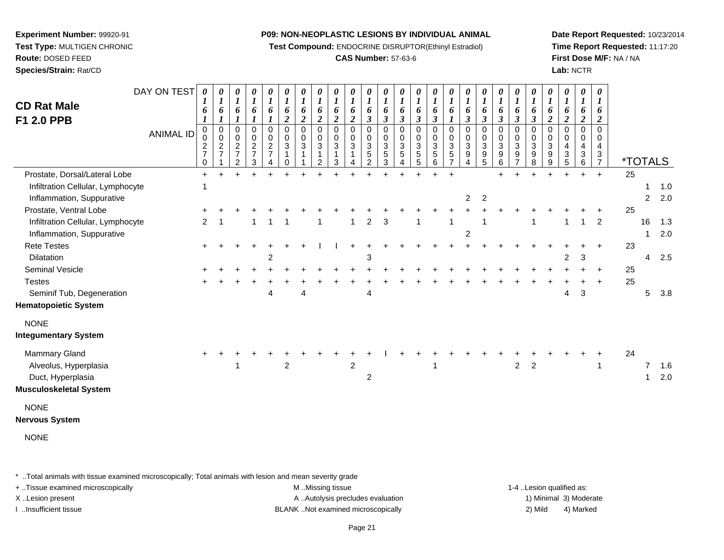**Test Compound:** ENDOCRINE DISRUPTOR(Ethinyl Estradiol)

# **CAS Number:** 57-63-6

**Date Report Requested:** 10/23/2014**Time Report Requested:** 11:17:20**First Dose M/F:** NA / NA**Lab:** NCTR

| <b>CD Rat Male</b><br>F1 2.0 PPB                                                                | DAY ON TEST      | 0<br>$\boldsymbol{l}$<br>6<br>1               | $\frac{\boldsymbol{\theta}}{\boldsymbol{I}}$<br>6<br>1 | $\frac{\boldsymbol{\theta}}{\boldsymbol{I}}$<br>6<br>$\boldsymbol{l}$ | $\boldsymbol{\theta}$<br>$\boldsymbol{l}$<br>6<br>$\boldsymbol{l}$ | $\boldsymbol{\theta}$<br>$\boldsymbol{l}$<br>6 | 0<br>$\boldsymbol{l}$<br>6<br>$\overline{2}$ | $\boldsymbol{l}$<br>6<br>$\boldsymbol{2}$ | 0<br>$\boldsymbol{l}$<br>6<br>$\boldsymbol{2}$  | 0<br>$\boldsymbol{l}$<br>6<br>$\overline{\mathbf{c}}$ | 0<br>$\boldsymbol{l}$<br>6<br>$\boldsymbol{2}$ | 0<br>$\boldsymbol{l}$<br>6<br>$\mathfrak{z}$       | 0<br>$\boldsymbol{l}$<br>6<br>$\mathfrak{z}$                                         | 0<br>$\boldsymbol{l}$<br>6<br>$\mathbf{3}$ | $\frac{\theta}{I}$<br>6<br>$\mathfrak{z}$ | $\frac{\theta}{I}$<br>6<br>$\boldsymbol{\beta}$       | $\frac{\theta}{I}$<br>6<br>$\boldsymbol{l}$ | $\boldsymbol{\theta}$<br>$\boldsymbol{l}$<br>$\pmb{6}$<br>$\boldsymbol{\beta}$    | 0<br>$\boldsymbol{l}$<br>6<br>$\boldsymbol{\beta}$                                               | 0<br>$\boldsymbol{l}$<br>6<br>$\mathfrak{z}$ | 0<br>$\boldsymbol{l}$<br>6<br>$\mathfrak{z}$ | 0<br>$\boldsymbol{l}$<br>6<br>$\boldsymbol{\beta}$ | 0<br>$\boldsymbol{l}$<br>6<br>$\boldsymbol{2}$ | 0<br>$\boldsymbol{l}$<br>6<br>$\boldsymbol{2}$ | 0<br>$\boldsymbol{l}$<br>6<br>$\boldsymbol{2}$ | 0<br>$\boldsymbol{l}$<br>6<br>$\boldsymbol{2}$ |          |                       |            |
|-------------------------------------------------------------------------------------------------|------------------|-----------------------------------------------|--------------------------------------------------------|-----------------------------------------------------------------------|--------------------------------------------------------------------|------------------------------------------------|----------------------------------------------|-------------------------------------------|-------------------------------------------------|-------------------------------------------------------|------------------------------------------------|----------------------------------------------------|--------------------------------------------------------------------------------------|--------------------------------------------|-------------------------------------------|-------------------------------------------------------|---------------------------------------------|-----------------------------------------------------------------------------------|--------------------------------------------------------------------------------------------------|----------------------------------------------|----------------------------------------------|----------------------------------------------------|------------------------------------------------|------------------------------------------------|------------------------------------------------|------------------------------------------------|----------|-----------------------|------------|
|                                                                                                 | <b>ANIMAL ID</b> | $\mathbf 0$<br>0<br>$\frac{2}{7}$<br>$\Omega$ | $\pmb{0}$<br>$\pmb{0}$<br>$\frac{2}{7}$                | 0<br>$\pmb{0}$<br>$\overline{c}$<br>$\overline{7}$<br>$\overline{2}$  | $\pmb{0}$<br>$\pmb{0}$<br>$\frac{2}{7}$<br>3                       | $\mathbf 0$<br>0<br>$\frac{2}{7}$<br>4         | $\Omega$<br>0<br>3<br>$\Omega$               | $\Omega$<br>0<br>3                        | $\Omega$<br>0<br>$\mathbf{3}$<br>$\overline{2}$ | 0<br>0<br>$\ensuremath{\mathsf{3}}$<br>3              | 0<br>0<br>$\sqrt{3}$<br>4                      | $\mathbf 0$<br>$\mathbf 0$<br>$\sqrt{3}$<br>5<br>2 | $\mathbf 0$<br>$\mathbf 0$<br>$\ensuremath{\mathsf{3}}$<br>$\,$ 5 $\,$<br>$\sqrt{3}$ | 0<br>0<br>3<br>5<br>4                      | 0<br>0<br>3<br>$\,$ 5 $\,$<br>5           | $\pmb{0}$<br>0<br>$\mathbf{3}$<br>$\overline{5}$<br>6 | 0<br>$\pmb{0}$<br>$rac{3}{5}$               | 0<br>$\pmb{0}$<br>$\ensuremath{\mathsf{3}}$<br>$\boldsymbol{9}$<br>$\overline{4}$ | $\mathbf 0$<br>$\mathbf 0$<br>$\ensuremath{\mathsf{3}}$<br>$\begin{array}{c} 9 \\ 5 \end{array}$ | $\mathbf 0$<br>$\mathbf 0$<br>3<br>9<br>6    | 0<br>0<br>3<br>9<br>$\overline{7}$           | 0<br>0<br>3<br>$_{8}^{\rm 9}$                      | $\Omega$<br>0<br>3<br>9<br>9                   | 0<br>0<br>4<br>$\frac{3}{5}$                   | 0<br>0<br>4<br>3<br>6                          | $\Omega$<br>$\Omega$<br>4<br>$\frac{3}{7}$     |          | <i><b>*TOTALS</b></i> |            |
| Prostate, Dorsal/Lateral Lobe<br>Infiltration Cellular, Lymphocyte<br>Inflammation, Suppurative |                  | $\ddot{}$                                     |                                                        |                                                                       |                                                                    | ÷                                              |                                              |                                           |                                                 |                                                       |                                                |                                                    |                                                                                      |                                            |                                           |                                                       | $\overline{+}$                              | $\overline{\mathbf{c}}$                                                           | $\overline{c}$                                                                                   | $+$                                          |                                              |                                                    |                                                |                                                |                                                | $+$                                            | 25       | $\overline{2}$        | 1.0<br>2.0 |
| Prostate, Ventral Lobe<br>Infiltration Cellular, Lymphocyte<br>Inflammation, Suppurative        |                  | $\overline{2}$                                |                                                        |                                                                       |                                                                    |                                                |                                              |                                           |                                                 |                                                       |                                                | $\overline{2}$                                     | 3                                                                                    |                                            |                                           |                                                       |                                             | $\overline{c}$                                                                    |                                                                                                  |                                              |                                              |                                                    |                                                |                                                |                                                | $\overline{c}$                                 | 25       | 16                    | 1.3<br>2.0 |
| <b>Rete Testes</b><br><b>Dilatation</b><br>Seminal Vesicle                                      |                  |                                               |                                                        |                                                                       |                                                                    | 2                                              |                                              |                                           |                                                 |                                                       |                                                | 3                                                  |                                                                                      |                                            |                                           |                                                       |                                             |                                                                                   |                                                                                                  |                                              |                                              |                                                    |                                                | 2                                              | 3                                              |                                                | 23<br>25 | 4                     | 2.5        |
| <b>Testes</b><br>Seminif Tub, Degeneration                                                      |                  |                                               |                                                        |                                                                       |                                                                    | 4                                              |                                              | 4                                         |                                                 |                                                       |                                                | 4                                                  |                                                                                      |                                            |                                           |                                                       |                                             |                                                                                   |                                                                                                  |                                              |                                              |                                                    |                                                | 4                                              | 3                                              | $\pm$                                          | 25       | 5                     | 3.8        |
| <b>Hematopoietic System</b><br><b>NONE</b><br><b>Integumentary System</b>                       |                  |                                               |                                                        |                                                                       |                                                                    |                                                |                                              |                                           |                                                 |                                                       |                                                |                                                    |                                                                                      |                                            |                                           |                                                       |                                             |                                                                                   |                                                                                                  |                                              |                                              |                                                    |                                                |                                                |                                                |                                                |          |                       |            |
| Mammary Gland<br>Alveolus, Hyperplasia<br>Duct, Hyperplasia<br>Musculoskeletal System           |                  |                                               |                                                        |                                                                       |                                                                    |                                                | $\overline{2}$                               |                                           |                                                 |                                                       | $\overline{2}$                                 | $\overline{c}$                                     |                                                                                      |                                            |                                           |                                                       |                                             |                                                                                   |                                                                                                  |                                              | 2                                            | $\overline{c}$                                     |                                                |                                                |                                                |                                                | 24       | $\overline{7}$<br>1   | 1.6<br>2.0 |
| <b>NONE</b><br>Nervous System<br><b>NONE</b>                                                    |                  |                                               |                                                        |                                                                       |                                                                    |                                                |                                              |                                           |                                                 |                                                       |                                                |                                                    |                                                                                      |                                            |                                           |                                                       |                                             |                                                                                   |                                                                                                  |                                              |                                              |                                                    |                                                |                                                |                                                |                                                |          |                       |            |

\* ..Total animals with tissue examined microscopically; Total animals with lesion and mean severity grade

**Experiment Number:** 99920-91**Test Type:** MULTIGEN CHRONIC

**Route:** DOSED FEED**Species/Strain:** Rat/CD

+ ..Tissue examined microscopically examined microscopically examined as:  $M$  ..Missing tissue 1-4 ..Lesion qualified as: X..Lesion present **A ..Autolysis precludes evaluation** A ..Autolysis precludes evaluation 1) Minimal 3) Moderate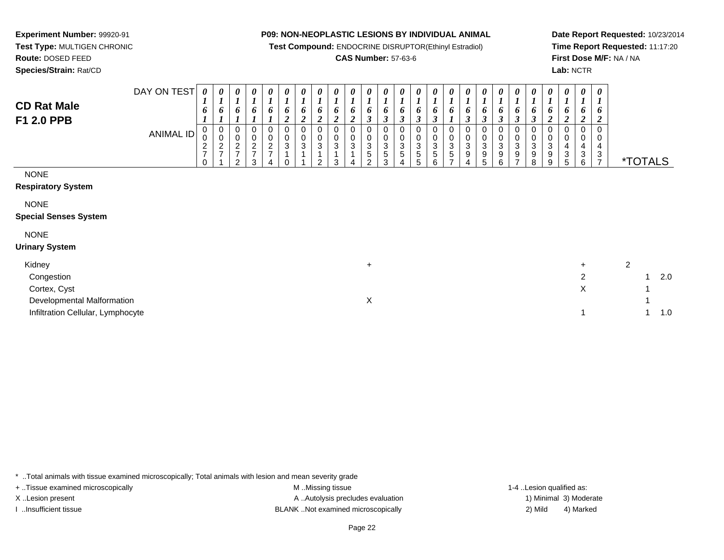**Test Compound:** ENDOCRINE DISRUPTOR(Ethinyl Estradiol)

# **CAS Number:** 57-63-6

**Date Report Requested:** 10/23/2014**Time Report Requested:** 11:17:20**First Dose M/F:** NA / NA**Lab:** NCTR

**Species/Strain:** Rat/CD

**Experiment Number:** 99920-91

| <b>CD Rat Male</b><br>F1 2.0 PPB            | DAY ON TEST<br>ANIMAL ID | $\boldsymbol{\theta}$<br>L<br>6<br>0<br>$\frac{2}{7}$<br>0 | 0<br>$\boldsymbol{l}$<br>6<br>$\boldsymbol{0}$<br>$\frac{2}{7}$ | $\boldsymbol{\theta}$<br>$\boldsymbol{l}$<br>6<br>0<br>$\pmb{0}$<br>$\frac{2}{7}$<br>$\overline{2}$ | 0<br>6<br>0<br>$\pmb{0}$<br>$\frac{2}{7}$<br>3 | $\boldsymbol{\theta}$<br>$\overline{I}$<br>6<br>0<br>0<br>$\frac{2}{7}$<br>4 | 0<br>$\mathbf{I}$<br>6<br>0<br>0<br>3 | $\boldsymbol{\theta}$<br>6<br>C<br>0<br>$\,0\,$<br>$\ensuremath{\mathsf{3}}$ | $\boldsymbol{\theta}$<br>6<br>$\mathbf{\mathcal{P}}$<br>0<br>0<br>3<br>2 | 0<br>$\overline{I}$<br>6<br>2<br>0<br>0<br>$\mathbf{3}$<br>3 | $\boldsymbol{\theta}$<br>3 | $\boldsymbol{\theta}$<br>6<br>0<br>0<br>$\,$ 3 $\,$<br>5<br>ົ | $\boldsymbol{\theta}$<br>6<br>0<br>0<br>$\mathbf{3}$<br>5<br>3 | 0<br>6<br>$\overline{\mathbf{2}}$<br>0<br>0<br>$\ensuremath{\mathsf{3}}$<br>$\sqrt{5}$<br>4 | 0<br>$\boldsymbol{l}$<br>6<br>3<br>0<br>$\mathbf 0$<br>$\ensuremath{\mathsf{3}}$<br>$\sqrt{5}$<br>5 | 0<br>6<br>3<br>0<br>$\pmb{0}$<br>$\frac{3}{5}$<br>6 | $\boldsymbol{\theta}$<br>$\mathbf{I}$<br>6<br>0<br>$\mathbf 0$<br>$\ensuremath{\mathsf{3}}$<br>$\sqrt{5}$<br>$\overline{\phantom{a}}$ | $\boldsymbol{\theta}$<br>$\boldsymbol{l}$<br>0<br>$\,0\,$<br>3<br>9<br>4 | $\boldsymbol{\theta}$<br>$\overline{ }$<br>o<br>0<br>0<br>$\ensuremath{\mathsf{3}}$<br>$\boldsymbol{9}$<br>5 | 0<br>$\overline{ }$<br>6<br>3<br>0<br>0<br>3<br>$\boldsymbol{9}$<br>6 | $\boldsymbol{\theta}$<br>1<br>6<br>3<br>0<br>0<br>3<br>$\boldsymbol{9}$<br>$\overline{ }$ | 0<br>$\mathbf{I}$<br>6<br>0<br>0<br>3<br>9<br>8 | 0<br>6<br><u>า</u><br>0<br>0<br>3<br>$\boldsymbol{9}$<br>9 | $\boldsymbol{\theta}$<br>$\mathbf{I}$<br>6<br>2<br>0<br>$\mathbf 0$<br>$\overline{4}$<br>3<br>5 | $\pmb{\theta}$<br>$\boldsymbol{l}$<br>6<br>2<br>4<br>3<br>6 | $\boldsymbol{\theta}$<br>$\boldsymbol{l}$<br>6<br>$\overline{2}$<br>$\mathbf 0$<br>$\mathbf 0$<br>4<br>3<br>$\overline{ }$ |                | <i><b>*TOTALS</b></i> |     |
|---------------------------------------------|--------------------------|------------------------------------------------------------|-----------------------------------------------------------------|-----------------------------------------------------------------------------------------------------|------------------------------------------------|------------------------------------------------------------------------------|---------------------------------------|------------------------------------------------------------------------------|--------------------------------------------------------------------------|--------------------------------------------------------------|----------------------------|---------------------------------------------------------------|----------------------------------------------------------------|---------------------------------------------------------------------------------------------|-----------------------------------------------------------------------------------------------------|-----------------------------------------------------|---------------------------------------------------------------------------------------------------------------------------------------|--------------------------------------------------------------------------|--------------------------------------------------------------------------------------------------------------|-----------------------------------------------------------------------|-------------------------------------------------------------------------------------------|-------------------------------------------------|------------------------------------------------------------|-------------------------------------------------------------------------------------------------|-------------------------------------------------------------|----------------------------------------------------------------------------------------------------------------------------|----------------|-----------------------|-----|
| <b>NONE</b><br><b>Respiratory System</b>    |                          |                                                            |                                                                 |                                                                                                     |                                                |                                                                              |                                       |                                                                              |                                                                          |                                                              |                            |                                                               |                                                                |                                                                                             |                                                                                                     |                                                     |                                                                                                                                       |                                                                          |                                                                                                              |                                                                       |                                                                                           |                                                 |                                                            |                                                                                                 |                                                             |                                                                                                                            |                |                       |     |
| <b>NONE</b><br><b>Special Senses System</b> |                          |                                                            |                                                                 |                                                                                                     |                                                |                                                                              |                                       |                                                                              |                                                                          |                                                              |                            |                                                               |                                                                |                                                                                             |                                                                                                     |                                                     |                                                                                                                                       |                                                                          |                                                                                                              |                                                                       |                                                                                           |                                                 |                                                            |                                                                                                 |                                                             |                                                                                                                            |                |                       |     |
| <b>NONE</b><br><b>Urinary System</b>        |                          |                                                            |                                                                 |                                                                                                     |                                                |                                                                              |                                       |                                                                              |                                                                          |                                                              |                            |                                                               |                                                                |                                                                                             |                                                                                                     |                                                     |                                                                                                                                       |                                                                          |                                                                                                              |                                                                       |                                                                                           |                                                 |                                                            |                                                                                                 |                                                             |                                                                                                                            |                |                       |     |
| Kidney<br>Congestion<br>Cortex, Cyst        |                          |                                                            |                                                                 |                                                                                                     |                                                |                                                                              |                                       |                                                                              |                                                                          |                                                              |                            | $\ddot{}$                                                     |                                                                |                                                                                             |                                                                                                     |                                                     |                                                                                                                                       |                                                                          |                                                                                                              |                                                                       |                                                                                           |                                                 |                                                            |                                                                                                 | $\ddot{}$<br>$\overline{c}$<br>X                            |                                                                                                                            | $\overline{c}$ |                       | 2.0 |

e 1 1 1.0

Developmental Malformationn  $X$ Infiltration Cellular, Lymphocyte

\* ..Total animals with tissue examined microscopically; Total animals with lesion and mean severity grade

+ ..Tissue examined microscopically examined microscopically examined as:  $M$  ..Missing tissue 1-4 ..Lesion qualified as: X..Lesion present **A ..Autolysis precludes evaluation** A ..Autolysis precludes evaluation 1) Minimal 3) Moderate I ..Insufficient tissue BLANK ..Not examined microscopically 2) Mild 4) Marked

 $\chi$  1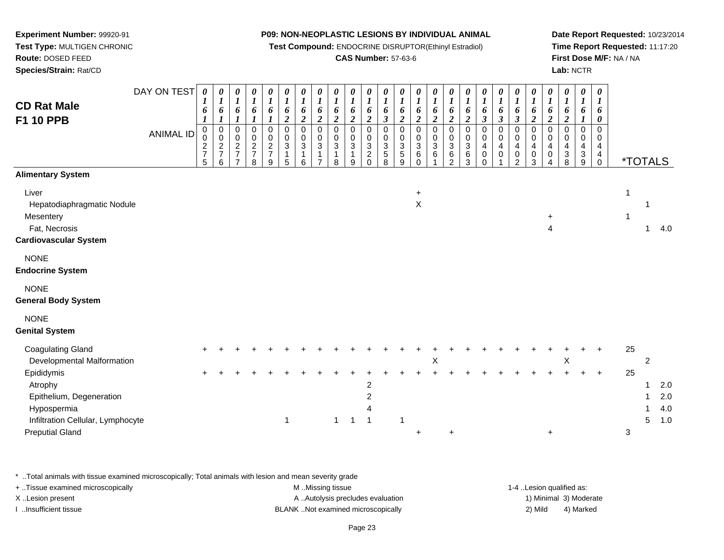**Test Compound:** ENDOCRINE DISRUPTOR(Ethinyl Estradiol)

# **CAS Number:** 57-63-6

**Date Report Requested:** 10/23/2014**Time Report Requested:** 11:17:20**First Dose M/F:** NA / NA**Lab:** NCTR

| <b>CD Rat Male</b><br><b>F1 10 PPB</b>                                                                            | DAY ON TEST<br><b>ANIMAL ID</b> | $\boldsymbol{\theta}$<br>6<br>1<br>$\mathbf 0$<br>0<br>$\frac{2}{7}$<br>5 | 0<br>$\boldsymbol{l}$<br>6<br>$\boldsymbol{l}$<br>$\pmb{0}$<br>$\pmb{0}$<br>$\frac{2}{7}$<br>6 | 0<br>$\boldsymbol{l}$<br>6<br>$\boldsymbol{l}$<br>$\pmb{0}$<br>$\mathbf 0$<br>$\overline{c}$<br>$\overline{7}$<br>$\overline{7}$ | $\pmb{\theta}$<br>$\boldsymbol{l}$<br>6<br>$\boldsymbol{l}$<br>$\pmb{0}$<br>$\mathbf 0$<br>$\overline{2}$<br>$\overline{\mathbf{7}}$<br>8 | 0<br>$\boldsymbol{l}$<br>6<br>$\mathbf{I}$<br>$\,0\,$<br>$\pmb{0}$<br>$\overline{c}$<br>$\overline{7}$<br>9 | $\boldsymbol{\theta}$<br>$\boldsymbol{l}$<br>6<br>$\overline{2}$<br>$\pmb{0}$<br>0<br>3<br>1<br>5 | 0<br>$\boldsymbol{l}$<br>6<br>$\overline{2}$<br>$\mathbf 0$<br>0<br>$\sqrt{3}$<br>1<br>6 | 0<br>$\boldsymbol{l}$<br>6<br>$\boldsymbol{2}$<br>$\mathbf 0$<br>$\mathbf 0$<br>3<br>1<br>$\overline{7}$ | 0<br>$\boldsymbol{l}$<br>6<br>$\overline{c}$<br>0<br>0<br>3<br>8 | $\pmb{\theta}$<br>$\boldsymbol{l}$<br>6<br>$\overline{2}$<br>$\pmb{0}$<br>$\mathbf 0$<br>$\sqrt{3}$<br>$\mathbf{1}$<br>9 | $\boldsymbol{\theta}$<br>$\boldsymbol{l}$<br>6<br>$\boldsymbol{2}$<br>$\boldsymbol{0}$<br>$\mathsf 0$<br>3<br>$\sqrt{2}$<br>$\Omega$ | 0<br>$\boldsymbol{l}$<br>6<br>$\mathfrak{z}$<br>$\,0\,$<br>$\mathbf 0$<br>3<br>$\overline{5}$<br>8 | 0<br>$\boldsymbol{l}$<br>6<br>$\boldsymbol{2}$<br>$\pmb{0}$<br>$\mathbf 0$<br>$\mathbf{3}$<br>$\mathbf 5$<br>9 | 0<br>$\boldsymbol{l}$<br>6<br>$\boldsymbol{2}$<br>0<br>$\mathbf 0$<br>$\sqrt{3}$<br>6<br>$\mathbf 0$ | 0<br>$\boldsymbol{l}$<br>6<br>$\boldsymbol{2}$<br>$\mathbf 0$<br>$\mathbf 0$<br>$\mathbf{3}$<br>$\,6$ | 0<br>$\boldsymbol{l}$<br>6<br>$\overline{\mathbf{c}}$<br>$\pmb{0}$<br>$\mathsf{O}$<br>3<br>$\frac{6}{2}$ | $\pmb{\theta}$<br>$\boldsymbol{l}$<br>$\pmb{6}$<br>$\overline{\mathbf{c}}$<br>$\pmb{0}$<br>$\pmb{0}$<br>$\frac{3}{6}$ | $\boldsymbol{\theta}$<br>$\boldsymbol{l}$<br>6<br>$\mathfrak{z}$<br>$\pmb{0}$<br>$\mathbf 0$<br>4<br>$\pmb{0}$<br>$\Omega$ | 0<br>$\boldsymbol{l}$<br>6<br>$\boldsymbol{\mathfrak{z}}$<br>$\mathbf 0$<br>$\pmb{0}$<br>4<br>0 | $\boldsymbol{\theta}$<br>$\boldsymbol{l}$<br>6<br>$\mathfrak{z}$<br>$\pmb{0}$<br>$\mathbf 0$<br>4<br>$\pmb{0}$<br>$\overline{2}$ | 0<br>$\boldsymbol{l}$<br>6<br>$\overline{2}$<br>$\Omega$<br>$\mathbf 0$<br>$\overline{4}$<br>$\pmb{0}$<br>$\mathbf{3}$ | 0<br>$\boldsymbol{l}$<br>6<br>$\boldsymbol{2}$<br>$\Omega$<br>$\mathbf 0$<br>4<br>0<br>$\boldsymbol{\Lambda}$ | 0<br>$\boldsymbol{l}$<br>6<br>$\overline{2}$<br>$\mathbf 0$<br>$\mathbf 0$<br>4<br>$\ensuremath{\mathsf{3}}$<br>8 | $\boldsymbol{\theta}$<br>$\boldsymbol{l}$<br>6<br>0<br>$\mathbf 0$<br>$\overline{4}$<br>$_9^3$ | $\boldsymbol{\theta}$<br>1<br>6<br>0<br>$\Omega$<br>0<br>4<br>4<br>$\mathbf 0$ | *TOTALS  |                  |                          |
|-------------------------------------------------------------------------------------------------------------------|---------------------------------|---------------------------------------------------------------------------|------------------------------------------------------------------------------------------------|----------------------------------------------------------------------------------------------------------------------------------|-------------------------------------------------------------------------------------------------------------------------------------------|-------------------------------------------------------------------------------------------------------------|---------------------------------------------------------------------------------------------------|------------------------------------------------------------------------------------------|----------------------------------------------------------------------------------------------------------|------------------------------------------------------------------|--------------------------------------------------------------------------------------------------------------------------|--------------------------------------------------------------------------------------------------------------------------------------|----------------------------------------------------------------------------------------------------|----------------------------------------------------------------------------------------------------------------|------------------------------------------------------------------------------------------------------|-------------------------------------------------------------------------------------------------------|----------------------------------------------------------------------------------------------------------|-----------------------------------------------------------------------------------------------------------------------|----------------------------------------------------------------------------------------------------------------------------|-------------------------------------------------------------------------------------------------|----------------------------------------------------------------------------------------------------------------------------------|------------------------------------------------------------------------------------------------------------------------|---------------------------------------------------------------------------------------------------------------|-------------------------------------------------------------------------------------------------------------------|------------------------------------------------------------------------------------------------|--------------------------------------------------------------------------------|----------|------------------|--------------------------|
| <b>Alimentary System</b>                                                                                          |                                 |                                                                           |                                                                                                |                                                                                                                                  |                                                                                                                                           |                                                                                                             |                                                                                                   |                                                                                          |                                                                                                          |                                                                  |                                                                                                                          |                                                                                                                                      |                                                                                                    |                                                                                                                |                                                                                                      |                                                                                                       |                                                                                                          |                                                                                                                       |                                                                                                                            |                                                                                                 |                                                                                                                                  |                                                                                                                        |                                                                                                               |                                                                                                                   |                                                                                                |                                                                                |          |                  |                          |
| Liver<br>Hepatodiaphragmatic Nodule<br>Mesentery<br>Fat, Necrosis<br><b>Cardiovascular System</b>                 |                                 |                                                                           |                                                                                                |                                                                                                                                  |                                                                                                                                           |                                                                                                             |                                                                                                   |                                                                                          |                                                                                                          |                                                                  |                                                                                                                          |                                                                                                                                      |                                                                                                    |                                                                                                                | $\ddot{}$<br>$\sf X$                                                                                 |                                                                                                       |                                                                                                          |                                                                                                                       |                                                                                                                            |                                                                                                 |                                                                                                                                  |                                                                                                                        | $\ddot{}$<br>4                                                                                                |                                                                                                                   |                                                                                                |                                                                                | 1        | $\overline{1}$   | 4.0                      |
| <b>NONE</b><br><b>Endocrine System</b>                                                                            |                                 |                                                                           |                                                                                                |                                                                                                                                  |                                                                                                                                           |                                                                                                             |                                                                                                   |                                                                                          |                                                                                                          |                                                                  |                                                                                                                          |                                                                                                                                      |                                                                                                    |                                                                                                                |                                                                                                      |                                                                                                       |                                                                                                          |                                                                                                                       |                                                                                                                            |                                                                                                 |                                                                                                                                  |                                                                                                                        |                                                                                                               |                                                                                                                   |                                                                                                |                                                                                |          |                  |                          |
| <b>NONE</b><br><b>General Body System</b>                                                                         |                                 |                                                                           |                                                                                                |                                                                                                                                  |                                                                                                                                           |                                                                                                             |                                                                                                   |                                                                                          |                                                                                                          |                                                                  |                                                                                                                          |                                                                                                                                      |                                                                                                    |                                                                                                                |                                                                                                      |                                                                                                       |                                                                                                          |                                                                                                                       |                                                                                                                            |                                                                                                 |                                                                                                                                  |                                                                                                                        |                                                                                                               |                                                                                                                   |                                                                                                |                                                                                |          |                  |                          |
| <b>NONE</b><br><b>Genital System</b>                                                                              |                                 |                                                                           |                                                                                                |                                                                                                                                  |                                                                                                                                           |                                                                                                             |                                                                                                   |                                                                                          |                                                                                                          |                                                                  |                                                                                                                          |                                                                                                                                      |                                                                                                    |                                                                                                                |                                                                                                      |                                                                                                       |                                                                                                          |                                                                                                                       |                                                                                                                            |                                                                                                 |                                                                                                                                  |                                                                                                                        |                                                                                                               |                                                                                                                   |                                                                                                |                                                                                |          |                  |                          |
| <b>Coagulating Gland</b><br>Developmental Malformation<br>Epididymis                                              |                                 |                                                                           |                                                                                                |                                                                                                                                  |                                                                                                                                           |                                                                                                             |                                                                                                   |                                                                                          |                                                                                                          |                                                                  |                                                                                                                          |                                                                                                                                      |                                                                                                    |                                                                                                                |                                                                                                      | $\sf X$                                                                                               |                                                                                                          |                                                                                                                       |                                                                                                                            |                                                                                                 |                                                                                                                                  |                                                                                                                        |                                                                                                               | $\sf X$                                                                                                           | +                                                                                              | $+$                                                                            | 25<br>25 | $\overline{2}$   |                          |
| Atrophy<br>Epithelium, Degeneration<br>Hypospermia<br>Infiltration Cellular, Lymphocyte<br><b>Preputial Gland</b> |                                 |                                                                           |                                                                                                |                                                                                                                                  |                                                                                                                                           |                                                                                                             | 1                                                                                                 |                                                                                          |                                                                                                          | $\mathbf{1}$                                                     | $\mathbf{1}$                                                                                                             | $\overline{c}$<br>2<br>4<br>$\overline{1}$                                                                                           |                                                                                                    | $\overline{1}$                                                                                                 |                                                                                                      |                                                                                                       | $\ddot{}$                                                                                                |                                                                                                                       |                                                                                                                            |                                                                                                 |                                                                                                                                  |                                                                                                                        | $\ddot{}$                                                                                                     |                                                                                                                   |                                                                                                |                                                                                | 3        | 1<br>1<br>1<br>5 | 2.0<br>2.0<br>4.0<br>1.0 |

\* ..Total animals with tissue examined microscopically; Total animals with lesion and mean severity grade

**Experiment Number:** 99920-91**Test Type:** MULTIGEN CHRONIC

**Route:** DOSED FEED**Species/Strain:** Rat/CD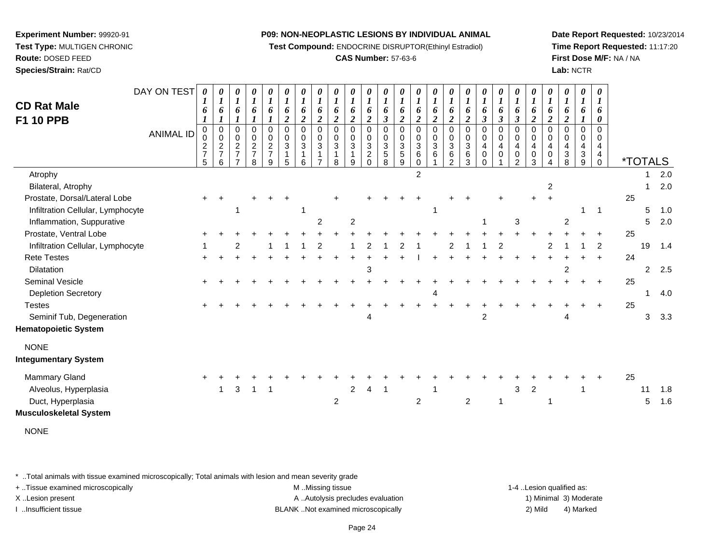**Test Compound:** ENDOCRINE DISRUPTOR(Ethinyl Estradiol)

# **CAS Number:** 57-63-6

**Date Report Requested:** 10/23/2014**Time Report Requested:** 11:17:20**First Dose M/F:** NA / NA**Lab:** NCTR

| <b>CD Rat Male</b><br>F1 10 PPB   | DAY ON TEST      | $\boldsymbol{\theta}$<br>6<br>1   | 0<br>1<br>6                                 | 0<br>$\boldsymbol{l}$<br>6<br>1                                       | 0<br>$\boldsymbol{l}$<br>6<br>$\boldsymbol{l}$                     | $\boldsymbol{\theta}$<br>$\boldsymbol{l}$<br>6<br>$\boldsymbol{\eta}$ | $\boldsymbol{\theta}$<br>$\boldsymbol{l}$<br>6<br>$\overline{2}$ | 0<br>$\boldsymbol{l}$<br>6<br>$\boldsymbol{2}$       | 0<br>$\boldsymbol{l}$<br>6<br>$\overline{c}$      | 0<br>$\boldsymbol{l}$<br>6<br>$\overline{c}$ | 0<br>1<br>6<br>$\overline{2}$ | 0<br>$\bm{l}$<br>6<br>$\boldsymbol{2}$                | 0<br>$\boldsymbol{l}$<br>6<br>$\boldsymbol{\beta}$ | 0<br>$\boldsymbol{l}$<br>6<br>$\boldsymbol{2}$ | 0<br>$\boldsymbol{l}$<br>6<br>$\overline{\mathbf{c}}$ | 0<br>$\boldsymbol{l}$<br>6<br>$\boldsymbol{2}$ | 0<br>$\boldsymbol{l}$<br>6<br>$\boldsymbol{2}$            | 0<br>$\boldsymbol{l}$<br>6<br>$\boldsymbol{2}$ | 0<br>$\boldsymbol{l}$<br>6<br>3           | 0<br>$\boldsymbol{l}$<br>6<br>3 | 0<br>$\boldsymbol{l}$<br>6<br>$\boldsymbol{\beta}$ | 0<br>1<br>6<br>$\boldsymbol{2}$ | 0<br>1<br>6<br>$\boldsymbol{2}$ | 0<br>1<br>6<br>$\boldsymbol{2}$ | 0<br>1<br>6                              | 0<br>1<br>6<br>0                |    |                       |     |
|-----------------------------------|------------------|-----------------------------------|---------------------------------------------|-----------------------------------------------------------------------|--------------------------------------------------------------------|-----------------------------------------------------------------------|------------------------------------------------------------------|------------------------------------------------------|---------------------------------------------------|----------------------------------------------|-------------------------------|-------------------------------------------------------|----------------------------------------------------|------------------------------------------------|-------------------------------------------------------|------------------------------------------------|-----------------------------------------------------------|------------------------------------------------|-------------------------------------------|---------------------------------|----------------------------------------------------|---------------------------------|---------------------------------|---------------------------------|------------------------------------------|---------------------------------|----|-----------------------|-----|
|                                   | <b>ANIMAL ID</b> | $\mathbf 0$<br>$\frac{2}{7}$<br>5 | 0<br>$\boldsymbol{0}$<br>$\frac{2}{7}$<br>6 | 0<br>0<br>$\overline{\mathbf{c}}$<br>$\overline{7}$<br>$\overline{7}$ | $\mathbf 0$<br>0<br>$\overline{\mathbf{c}}$<br>$\overline{7}$<br>8 | $\pmb{0}$<br>$\,0\,$<br>$\frac{2}{7}$<br>9                            | 0<br>0<br>3<br>1<br>5                                            | $\mathbf 0$<br>0<br>$\mathbf{3}$<br>$\mathbf 1$<br>6 | $\boldsymbol{0}$<br>0<br>3<br>1<br>$\overline{7}$ | $\pmb{0}$<br>0<br>$\sqrt{3}$<br>8            | 0<br>0<br>3<br>9              | 0<br>0<br>3<br>$\overline{\mathbf{c}}$<br>$\mathbf 0$ | 0<br>0<br>3<br>$\mathbf 5$<br>8                    | 0<br>0<br>$\frac{3}{5}$                        | 0<br>0<br>3<br>6<br>$\mathbf 0$                       | 0<br>0<br>3<br>6                               | $\mathbf 0$<br>0<br>$\sqrt{3}$<br>$\,6$<br>$\overline{2}$ | 0<br>$^{\rm 0}_{\rm 3}$<br>$\frac{6}{3}$       | 0<br>0<br>$\overline{4}$<br>0<br>$\Omega$ | 0<br>0<br>4<br>0                | $\mathbf 0$<br>0<br>4<br>0<br>2                    | 0<br>0<br>4<br>0<br>3           | $\Omega$<br>0<br>4<br>0<br>4    | $\Omega$<br>0<br>3<br>8         | 0<br>0<br>$\ensuremath{\mathsf{3}}$<br>9 | 0<br>0<br>4<br>4<br>$\mathbf 0$ |    | <i><b>*TOTALS</b></i> |     |
| Atrophy                           |                  |                                   |                                             |                                                                       |                                                                    |                                                                       |                                                                  |                                                      |                                                   |                                              |                               |                                                       |                                                    |                                                | $\overline{2}$                                        |                                                |                                                           |                                                |                                           |                                 |                                                    |                                 |                                 |                                 |                                          |                                 |    | 1                     | 2.0 |
| Bilateral, Atrophy                |                  |                                   |                                             |                                                                       |                                                                    |                                                                       |                                                                  |                                                      |                                                   |                                              |                               |                                                       |                                                    |                                                |                                                       |                                                |                                                           |                                                |                                           |                                 |                                                    |                                 | $\overline{c}$                  |                                 |                                          |                                 |    | 1                     | 2.0 |
| Prostate, Dorsal/Lateral Lobe     |                  | $+$                               |                                             |                                                                       |                                                                    |                                                                       |                                                                  |                                                      |                                                   |                                              |                               |                                                       |                                                    |                                                |                                                       |                                                |                                                           |                                                |                                           |                                 |                                                    |                                 |                                 |                                 |                                          |                                 | 25 |                       |     |
| Infiltration Cellular, Lymphocyte |                  |                                   |                                             |                                                                       |                                                                    |                                                                       |                                                                  |                                                      |                                                   |                                              |                               |                                                       |                                                    |                                                |                                                       |                                                |                                                           |                                                |                                           |                                 |                                                    |                                 |                                 |                                 | 1                                        | $\overline{1}$                  |    | 5                     | 1.0 |
| Inflammation, Suppurative         |                  |                                   |                                             |                                                                       |                                                                    |                                                                       |                                                                  |                                                      | $\overline{c}$                                    |                                              | $\overline{c}$                |                                                       |                                                    |                                                |                                                       |                                                |                                                           |                                                |                                           |                                 | 3                                                  |                                 |                                 | $\overline{c}$                  |                                          |                                 |    | 5                     | 2.0 |
| Prostate, Ventral Lobe            |                  |                                   |                                             |                                                                       |                                                                    |                                                                       |                                                                  |                                                      |                                                   |                                              |                               |                                                       |                                                    |                                                |                                                       |                                                |                                                           |                                                |                                           |                                 |                                                    |                                 |                                 |                                 |                                          |                                 | 25 |                       |     |
| Infiltration Cellular, Lymphocyte |                  |                                   |                                             | 2                                                                     |                                                                    |                                                                       |                                                                  |                                                      |                                                   |                                              |                               |                                                       |                                                    | 2                                              |                                                       |                                                |                                                           |                                                |                                           |                                 |                                                    |                                 | 2                               |                                 |                                          | $\overline{2}$                  |    | 19                    | 1.4 |
| <b>Rete Testes</b>                |                  |                                   |                                             |                                                                       |                                                                    |                                                                       |                                                                  |                                                      |                                                   |                                              |                               |                                                       |                                                    |                                                |                                                       |                                                |                                                           |                                                |                                           |                                 |                                                    |                                 |                                 |                                 |                                          | $\ddot{}$                       | 24 |                       |     |
| Dilatation                        |                  |                                   |                                             |                                                                       |                                                                    |                                                                       |                                                                  |                                                      |                                                   |                                              |                               | 3                                                     |                                                    |                                                |                                                       |                                                |                                                           |                                                |                                           |                                 |                                                    |                                 |                                 | 2                               |                                          |                                 |    | 2                     | 2.5 |
| <b>Seminal Vesicle</b>            |                  |                                   |                                             |                                                                       |                                                                    |                                                                       |                                                                  |                                                      |                                                   |                                              |                               |                                                       |                                                    |                                                |                                                       |                                                |                                                           |                                                |                                           |                                 |                                                    |                                 |                                 |                                 |                                          | $\ddot{}$                       | 25 |                       |     |
| <b>Depletion Secretory</b>        |                  |                                   |                                             |                                                                       |                                                                    |                                                                       |                                                                  |                                                      |                                                   |                                              |                               |                                                       |                                                    |                                                |                                                       | Δ                                              |                                                           |                                                |                                           |                                 |                                                    |                                 |                                 |                                 |                                          |                                 |    |                       | 4.0 |
| <b>Testes</b>                     |                  |                                   |                                             |                                                                       |                                                                    |                                                                       |                                                                  |                                                      |                                                   |                                              |                               |                                                       |                                                    |                                                |                                                       |                                                |                                                           |                                                |                                           |                                 |                                                    |                                 |                                 |                                 |                                          |                                 | 25 |                       |     |
| Seminif Tub, Degeneration         |                  |                                   |                                             |                                                                       |                                                                    |                                                                       |                                                                  |                                                      |                                                   |                                              |                               | 4                                                     |                                                    |                                                |                                                       |                                                |                                                           |                                                | $\overline{c}$                            |                                 |                                                    |                                 |                                 | 4                               |                                          |                                 |    | 3                     | 3.3 |
| <b>Hematopoietic System</b>       |                  |                                   |                                             |                                                                       |                                                                    |                                                                       |                                                                  |                                                      |                                                   |                                              |                               |                                                       |                                                    |                                                |                                                       |                                                |                                                           |                                                |                                           |                                 |                                                    |                                 |                                 |                                 |                                          |                                 |    |                       |     |
| <b>NONE</b>                       |                  |                                   |                                             |                                                                       |                                                                    |                                                                       |                                                                  |                                                      |                                                   |                                              |                               |                                                       |                                                    |                                                |                                                       |                                                |                                                           |                                                |                                           |                                 |                                                    |                                 |                                 |                                 |                                          |                                 |    |                       |     |
| <b>Integumentary System</b>       |                  |                                   |                                             |                                                                       |                                                                    |                                                                       |                                                                  |                                                      |                                                   |                                              |                               |                                                       |                                                    |                                                |                                                       |                                                |                                                           |                                                |                                           |                                 |                                                    |                                 |                                 |                                 |                                          |                                 |    |                       |     |
| Mammary Gland                     |                  |                                   |                                             |                                                                       |                                                                    |                                                                       |                                                                  |                                                      |                                                   |                                              |                               |                                                       |                                                    |                                                |                                                       |                                                |                                                           |                                                |                                           |                                 |                                                    |                                 |                                 |                                 |                                          |                                 | 25 |                       |     |
| Alveolus, Hyperplasia             |                  |                                   | 1                                           | 3                                                                     |                                                                    | -1                                                                    |                                                                  |                                                      |                                                   |                                              | 2                             | 4                                                     | -1                                                 |                                                |                                                       |                                                |                                                           |                                                |                                           |                                 | 3                                                  | $\overline{c}$                  |                                 |                                 |                                          |                                 |    | 11                    | 1.8 |
| Duct, Hyperplasia                 |                  |                                   |                                             |                                                                       |                                                                    |                                                                       |                                                                  |                                                      |                                                   | $\boldsymbol{2}$                             |                               |                                                       |                                                    |                                                | $\overline{c}$                                        |                                                |                                                           | $\overline{c}$                                 |                                           | 1                               |                                                    |                                 | -1                              |                                 |                                          |                                 |    | 5                     | 1.6 |
| Musculoskeletal System            |                  |                                   |                                             |                                                                       |                                                                    |                                                                       |                                                                  |                                                      |                                                   |                                              |                               |                                                       |                                                    |                                                |                                                       |                                                |                                                           |                                                |                                           |                                 |                                                    |                                 |                                 |                                 |                                          |                                 |    |                       |     |
| <b>NONE</b>                       |                  |                                   |                                             |                                                                       |                                                                    |                                                                       |                                                                  |                                                      |                                                   |                                              |                               |                                                       |                                                    |                                                |                                                       |                                                |                                                           |                                                |                                           |                                 |                                                    |                                 |                                 |                                 |                                          |                                 |    |                       |     |

\* ..Total animals with tissue examined microscopically; Total animals with lesion and mean severity grade

+ ..Tissue examined microscopically examined microscopically examined as:  $M$  ..Missing tissue 1-4 ..Lesion qualified as: X..Lesion present **A ..Autolysis precludes evaluation** A ..Autolysis precludes evaluation 1) Minimal 3) Moderate

I ..Insufficient tissue BLANK ..Not examined microscopically 2) Mild 4) Marked

# **Experiment Number:** 99920-91 **Test Type:** MULTIGEN CHRONIC**Route:** DOSED FEED

**Species/Strain:** Rat/CD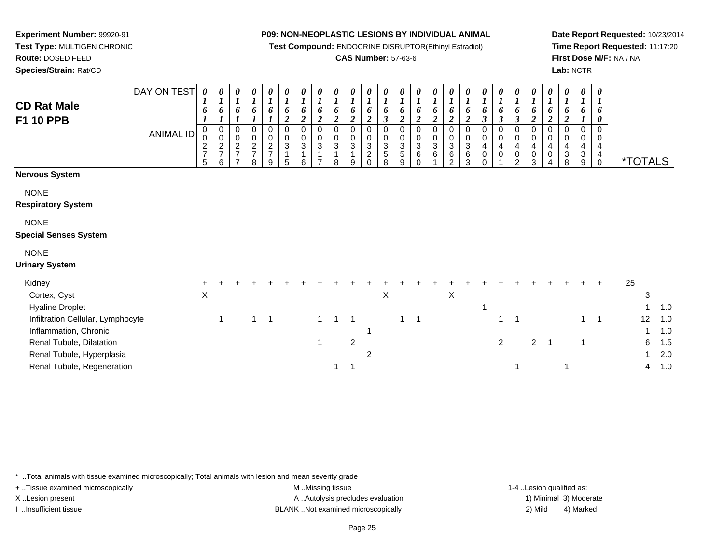**Test Compound:** ENDOCRINE DISRUPTOR(Ethinyl Estradiol)

# **CAS Number:** 57-63-6

**Date Report Requested:** 10/23/2014**Time Report Requested:** 11:17:20**First Dose M/F:** NA / NA**Lab:** NCTR

| <b>CD Rat Male</b><br><b>F1 10 PPB</b>                     | DAY ON TEST<br><b>ANIMAL ID</b> | $\boldsymbol{\theta}$<br>1<br>6<br>$\mathbf 0$<br>0<br>$\frac{2}{7}$<br>5 | $\bm{l}$<br>$\boldsymbol{l}$<br>$\mathbf 0$<br>$\pmb{0}$<br>$\frac{2}{7}$<br>6 | 0<br>$\boldsymbol{l}$<br>6<br>0<br>$\pmb{0}$<br>$\frac{2}{7}$ | 0<br>$\boldsymbol{l}$<br>6<br>0<br>$\mathbf 0$<br>$\frac{2}{7}$<br>8 | 0<br>$\boldsymbol{l}$<br>6<br>0<br>$\pmb{0}$<br>$\frac{2}{7}$<br>9 | 0<br>$\boldsymbol{l}$<br>6<br>$\boldsymbol{2}$<br>$\mathbf 0$<br>$\pmb{0}$<br>$\ensuremath{\mathsf{3}}$<br>$\mathbf 1$<br>5 | 0<br>$\boldsymbol{l}$<br>6<br>$\boldsymbol{2}$<br>$\mathbf 0$<br>$\pmb{0}$<br>$\sqrt{3}$<br>1<br>6 | 0<br>$\boldsymbol{l}$<br>6<br>$\overline{2}$<br>$\Omega$<br>0<br>$\mathbf{3}$<br>1 | $\boldsymbol{l}$<br>6<br>$\boldsymbol{2}$<br>0<br>3<br>8 | $\boldsymbol{l}$<br>6<br>$\boldsymbol{2}$<br>$\Omega$<br>0<br>3<br>9 | 0<br>$\boldsymbol{l}$<br>6<br>$\overline{2}$<br>$\Omega$<br>$\boldsymbol{0}$<br>$\mathbf{3}$<br>$\overline{a}$<br>$\Omega$ | 0<br>$\boldsymbol{l}$<br>6<br>3<br>0<br>$\boldsymbol{0}$<br>3<br>5<br>8 | 0<br>$\boldsymbol{l}$<br>6<br>$\boldsymbol{2}$<br>$\Omega$<br>$\overline{0}$<br>$\sqrt{3}$<br>$\sqrt{5}$<br>9 | $\boldsymbol{\theta}$<br>$\boldsymbol{l}$<br>6<br>$\boldsymbol{2}$<br>0<br>$\pmb{0}$<br>$\sqrt{3}$<br>$\,6$<br>$\Omega$ | $\boldsymbol{\theta}$<br>$\boldsymbol{l}$<br>6<br>$\boldsymbol{2}$<br>$\Omega$<br>0<br>3<br>6 | $\boldsymbol{\theta}$<br>$\boldsymbol{l}$<br>6<br>$\boldsymbol{2}$<br>$\Omega$<br>$\pmb{0}$<br>$\mathbf{3}$<br>6<br>2 | $\boldsymbol{\theta}$<br>$\boldsymbol{l}$<br>6<br>$\boldsymbol{2}$<br>0<br>$\pmb{0}$<br>$\sqrt{3}$<br>$\,6\,$<br>3 | $\boldsymbol{\theta}$<br>$\boldsymbol{l}$<br>6<br>3<br>0<br>0<br>4<br>0<br>O | 0<br>$\boldsymbol{l}$<br>6<br>$\boldsymbol{\beta}$<br>$\Omega$<br>$\pmb{0}$<br>$\overline{4}$<br>$\pmb{0}$ | 0<br>$\boldsymbol{l}$<br>6<br>$\boldsymbol{\beta}$<br>$\Omega$<br>$\boldsymbol{0}$<br>4<br>$\pmb{0}$<br>$\mathfrak{p}$ | 0<br>$\boldsymbol{l}$<br>6<br>$\overline{2}$<br>$\Omega$<br>0<br>4<br>0<br>3 | 0<br>$\boldsymbol{I}$<br>6<br>$\overline{2}$<br>$\Omega$<br>0<br>4<br>0 | 0<br>$\boldsymbol{l}$<br>6<br>$\boldsymbol{2}$<br>0<br>4<br>$\ensuremath{\mathsf{3}}$<br>8 | 0<br>$\boldsymbol{l}$<br>6<br>$\Omega$<br>0<br>4<br>$\sqrt{3}$<br>9 | 0<br>$\boldsymbol{l}$<br>6<br>0<br>$\mathbf 0$<br>0<br>4<br>$\overline{4}$<br>$\mathsf 0$ | <i><b>*TOTALS</b></i> |            |
|------------------------------------------------------------|---------------------------------|---------------------------------------------------------------------------|--------------------------------------------------------------------------------|---------------------------------------------------------------|----------------------------------------------------------------------|--------------------------------------------------------------------|-----------------------------------------------------------------------------------------------------------------------------|----------------------------------------------------------------------------------------------------|------------------------------------------------------------------------------------|----------------------------------------------------------|----------------------------------------------------------------------|----------------------------------------------------------------------------------------------------------------------------|-------------------------------------------------------------------------|---------------------------------------------------------------------------------------------------------------|-------------------------------------------------------------------------------------------------------------------------|-----------------------------------------------------------------------------------------------|-----------------------------------------------------------------------------------------------------------------------|--------------------------------------------------------------------------------------------------------------------|------------------------------------------------------------------------------|------------------------------------------------------------------------------------------------------------|------------------------------------------------------------------------------------------------------------------------|------------------------------------------------------------------------------|-------------------------------------------------------------------------|--------------------------------------------------------------------------------------------|---------------------------------------------------------------------|-------------------------------------------------------------------------------------------|-----------------------|------------|
| <b>Nervous System</b>                                      |                                 |                                                                           |                                                                                |                                                               |                                                                      |                                                                    |                                                                                                                             |                                                                                                    |                                                                                    |                                                          |                                                                      |                                                                                                                            |                                                                         |                                                                                                               |                                                                                                                         |                                                                                               |                                                                                                                       |                                                                                                                    |                                                                              |                                                                                                            |                                                                                                                        |                                                                              |                                                                         |                                                                                            |                                                                     |                                                                                           |                       |            |
| <b>NONE</b><br><b>Respiratory System</b>                   |                                 |                                                                           |                                                                                |                                                               |                                                                      |                                                                    |                                                                                                                             |                                                                                                    |                                                                                    |                                                          |                                                                      |                                                                                                                            |                                                                         |                                                                                                               |                                                                                                                         |                                                                                               |                                                                                                                       |                                                                                                                    |                                                                              |                                                                                                            |                                                                                                                        |                                                                              |                                                                         |                                                                                            |                                                                     |                                                                                           |                       |            |
| <b>NONE</b>                                                |                                 |                                                                           |                                                                                |                                                               |                                                                      |                                                                    |                                                                                                                             |                                                                                                    |                                                                                    |                                                          |                                                                      |                                                                                                                            |                                                                         |                                                                                                               |                                                                                                                         |                                                                                               |                                                                                                                       |                                                                                                                    |                                                                              |                                                                                                            |                                                                                                                        |                                                                              |                                                                         |                                                                                            |                                                                     |                                                                                           |                       |            |
| <b>Special Senses System</b>                               |                                 |                                                                           |                                                                                |                                                               |                                                                      |                                                                    |                                                                                                                             |                                                                                                    |                                                                                    |                                                          |                                                                      |                                                                                                                            |                                                                         |                                                                                                               |                                                                                                                         |                                                                                               |                                                                                                                       |                                                                                                                    |                                                                              |                                                                                                            |                                                                                                                        |                                                                              |                                                                         |                                                                                            |                                                                     |                                                                                           |                       |            |
| <b>NONE</b><br><b>Urinary System</b>                       |                                 |                                                                           |                                                                                |                                                               |                                                                      |                                                                    |                                                                                                                             |                                                                                                    |                                                                                    |                                                          |                                                                      |                                                                                                                            |                                                                         |                                                                                                               |                                                                                                                         |                                                                                               |                                                                                                                       |                                                                                                                    |                                                                              |                                                                                                            |                                                                                                                        |                                                                              |                                                                         |                                                                                            |                                                                     |                                                                                           |                       |            |
| Kidney<br>Cortex, Cyst<br><b>Hyaline Droplet</b>           |                                 | X                                                                         |                                                                                |                                                               |                                                                      |                                                                    |                                                                                                                             |                                                                                                    |                                                                                    |                                                          |                                                                      |                                                                                                                            | X                                                                       |                                                                                                               |                                                                                                                         |                                                                                               | X                                                                                                                     |                                                                                                                    |                                                                              |                                                                                                            |                                                                                                                        |                                                                              |                                                                         |                                                                                            |                                                                     |                                                                                           | 25<br>3               | 1.0        |
| Infiltration Cellular, Lymphocyte<br>Inflammation, Chronic |                                 |                                                                           | 1                                                                              |                                                               | 1                                                                    | $\overline{\phantom{0}}$ 1                                         |                                                                                                                             |                                                                                                    | $\mathbf{1}$                                                                       | $\mathbf{1}$                                             | $\overline{1}$                                                       |                                                                                                                            |                                                                         | $\mathbf{1}$                                                                                                  | $\overline{1}$                                                                                                          |                                                                                               |                                                                                                                       |                                                                                                                    |                                                                              | 1                                                                                                          | -1                                                                                                                     |                                                                              |                                                                         |                                                                                            | $\mathbf{1}$                                                        | $\overline{1}$                                                                            | 12                    | 1.0<br>1.0 |
| Renal Tubule, Dilatation<br>Renal Tubule, Hyperplasia      |                                 |                                                                           |                                                                                |                                                               |                                                                      |                                                                    |                                                                                                                             |                                                                                                    | $\mathbf{1}$                                                                       |                                                          | $\overline{2}$                                                       | $\overline{2}$                                                                                                             |                                                                         |                                                                                                               |                                                                                                                         |                                                                                               |                                                                                                                       |                                                                                                                    |                                                                              | $\overline{2}$                                                                                             |                                                                                                                        | $\overline{2}$                                                               | $\overline{1}$                                                          |                                                                                            | $\overline{1}$                                                      |                                                                                           | 6                     | 1.5<br>2.0 |
| Renal Tubule, Regeneration                                 |                                 |                                                                           |                                                                                |                                                               |                                                                      |                                                                    |                                                                                                                             |                                                                                                    |                                                                                    | $\mathbf{1}$                                             | -1                                                                   |                                                                                                                            |                                                                         |                                                                                                               |                                                                                                                         |                                                                                               |                                                                                                                       |                                                                                                                    |                                                                              |                                                                                                            |                                                                                                                        |                                                                              |                                                                         |                                                                                            |                                                                     |                                                                                           | 4                     | 1.0        |

\* ..Total animals with tissue examined microscopically; Total animals with lesion and mean severity grade

+ ..Tissue examined microscopically examined microscopically examined as:  $M$  ..Missing tissue 1-4 ..Lesion qualified as: X..Lesion present **A ..Autolysis precludes evaluation** A ..Autolysis precludes evaluation 1) Minimal 3) Moderate

I ..Insufficient tissue BLANK ..Not examined microscopically 2) Mild 4) Marked

# **Experiment Number:** 99920-91 **Test Type:** MULTIGEN CHRONIC**Route:** DOSED FEED

**Species/Strain:** Rat/CD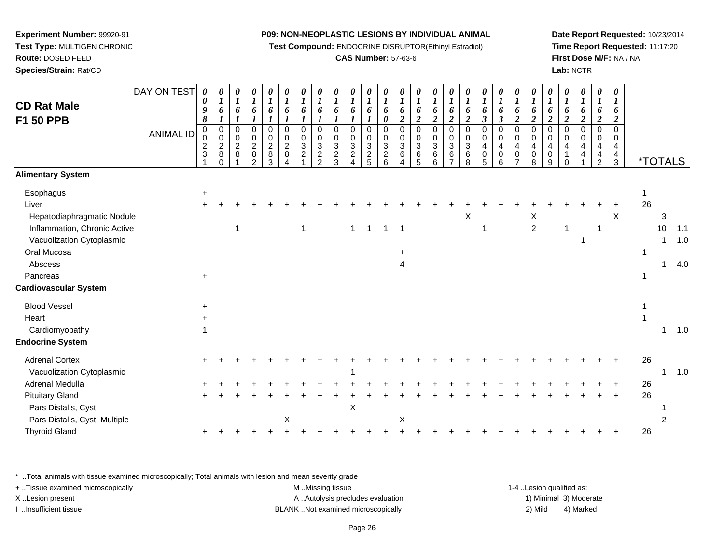**Test Compound:** ENDOCRINE DISRUPTOR(Ethinyl Estradiol)

# **CAS Number:** 57-63-6

**Date Report Requested:** 10/23/2014**Time Report Requested:** 11:17:20**First Dose M/F:** NA / NA**Lab:** NCTR

| <b>CD Rat Male</b><br>F1 50 PPB                                                                                                                                                                            | DAY ON TEST<br><b>ANIMAL ID</b> | 0<br>0<br>9<br>8<br>0<br>$\mathbf 0$<br>$\overline{c}$<br>$\mathfrak{S}$ | $\boldsymbol{\theta}$<br>$\boldsymbol{l}$<br>6<br>$\pmb{0}$<br>$\pmb{0}$<br>$\overline{c}$<br>8<br>$\Omega$ | 0<br>$\boldsymbol{l}$<br>6<br>$\mathbf 0$<br>$\mathbf 0$<br>$\overline{c}$<br>8 | 0<br>$\boldsymbol{l}$<br>6<br>$\Omega$<br>0<br>$\sqrt{2}$<br>$\bf 8$<br>$\mathfrak{D}$ | 0<br>6<br>$\mathbf 0$<br>$\mathbf 0$<br>$\overline{c}$<br>$\bf 8$<br>$\mathcal{R}$ | 0<br>6<br>0<br>0<br>$\frac{2}{8}$ | 0<br>$\boldsymbol{l}$<br>6<br>0<br>0<br>$\sqrt{3}$<br>$\overline{c}$ | 0<br>$\boldsymbol{l}$<br>6<br>$\mathbf 0$<br>$\mathbf 0$<br>$\sqrt{3}$<br>$\frac{2}{2}$ | 0<br>$\boldsymbol{l}$<br>6<br>$\mathbf 0$<br>$\mathbf 0$<br>3<br>$\frac{2}{3}$ | $\boldsymbol{\theta}$<br>6<br>$\mathbf 0$<br>0<br>$\sqrt{3}$<br>$\boldsymbol{2}$<br>$\overline{A}$ | $\boldsymbol{\theta}$<br>6<br>1<br>$\mathbf 0$<br>$\mathbf 0$<br>$\sqrt{3}$<br>$\frac{2}{5}$ | 0<br>6<br>$\boldsymbol{\theta}$<br>0<br>$\mathbf 0$<br>$\ensuremath{\mathsf{3}}$<br>$\overline{a}$<br>6 | 0<br>$\boldsymbol{l}$<br>6<br>$\overline{2}$<br>0<br>$\pmb{0}$<br>$\mathbf 3$<br>6<br>$\overline{4}$ | 0<br>$\boldsymbol{l}$<br>6<br>$\overline{2}$<br>$\mathbf 0$<br>$\mathbf 0$<br>$\mathbf{3}$<br>$\,6\,$<br>5 | 0<br>$\boldsymbol{l}$<br>6<br>$\overline{2}$<br>$\mathbf 0$<br>$\Omega$<br>3<br>6<br>6 | 0<br>$\boldsymbol{l}$<br>6<br>$\overline{2}$<br>$\Omega$<br>$\mathbf 0$<br>$\mathbf{3}$<br>6 | $\boldsymbol{\theta}$<br>6<br>$\overline{2}$<br>$\Omega$<br>0<br>$\sqrt{3}$<br>6<br>8 | 0<br>6<br>$\mathbf{3}$<br>0<br>$\Omega$<br>4<br>0<br>5 | 0<br>$\boldsymbol{l}$<br>6<br>$\mathfrak{z}$<br>0<br>0<br>$\overline{4}$<br>$\mathsf{O}\xspace$<br>6 | $\boldsymbol{\theta}$<br>$\boldsymbol{l}$<br>6<br>$\boldsymbol{2}$<br>$\mathbf 0$<br>$\pmb{0}$<br>$\overline{4}$<br>0<br>$\overline{7}$ | 0<br>1<br>6<br>$\overline{2}$<br>$\mathbf 0$<br>$\mathbf 0$<br>4<br>0<br>8 | 0<br>$\boldsymbol{l}$<br>6<br>$\boldsymbol{2}$<br>$\mathbf 0$<br>0<br>4<br>0<br>9 | 0<br>$\boldsymbol{l}$<br>6<br>$\overline{2}$<br>$\mathbf 0$<br>$\mathbf 0$<br>4<br>-1 | 0<br>6<br>$\overline{2}$<br>0<br>$\mathbf 0$<br>4<br>4 | 0<br>$\boldsymbol{l}$<br>6<br>$\boldsymbol{2}$<br>0<br>0<br>4<br>$\overline{4}$<br>$\overline{2}$ | 0<br>$\boldsymbol{l}$<br>6<br>$\boldsymbol{2}$<br>$\mathbf 0$<br>$\mathbf 0$<br>4<br>$\overline{4}$<br>3 | <i><b>*TOTALS</b></i> |                   |                   |
|------------------------------------------------------------------------------------------------------------------------------------------------------------------------------------------------------------|---------------------------------|--------------------------------------------------------------------------|-------------------------------------------------------------------------------------------------------------|---------------------------------------------------------------------------------|----------------------------------------------------------------------------------------|------------------------------------------------------------------------------------|-----------------------------------|----------------------------------------------------------------------|-----------------------------------------------------------------------------------------|--------------------------------------------------------------------------------|----------------------------------------------------------------------------------------------------|----------------------------------------------------------------------------------------------|---------------------------------------------------------------------------------------------------------|------------------------------------------------------------------------------------------------------|------------------------------------------------------------------------------------------------------------|----------------------------------------------------------------------------------------|----------------------------------------------------------------------------------------------|---------------------------------------------------------------------------------------|--------------------------------------------------------|------------------------------------------------------------------------------------------------------|-----------------------------------------------------------------------------------------------------------------------------------------|----------------------------------------------------------------------------|-----------------------------------------------------------------------------------|---------------------------------------------------------------------------------------|--------------------------------------------------------|---------------------------------------------------------------------------------------------------|----------------------------------------------------------------------------------------------------------|-----------------------|-------------------|-------------------|
| <b>Alimentary System</b>                                                                                                                                                                                   |                                 |                                                                          |                                                                                                             |                                                                                 |                                                                                        |                                                                                    |                                   |                                                                      |                                                                                         |                                                                                |                                                                                                    |                                                                                              |                                                                                                         |                                                                                                      |                                                                                                            |                                                                                        |                                                                                              |                                                                                       |                                                        |                                                                                                      |                                                                                                                                         |                                                                            |                                                                                   |                                                                                       |                                                        |                                                                                                   |                                                                                                          |                       |                   |                   |
| Esophagus<br>Liver<br>Hepatodiaphragmatic Nodule<br>Inflammation, Chronic Active<br>Vacuolization Cytoplasmic<br>Oral Mucosa<br>Abscess<br>Pancreas<br><b>Cardiovascular System</b><br><b>Blood Vessel</b> |                                 | $\ddot{}$<br>$\ddot{}$<br>$\pm$                                          |                                                                                                             | 1                                                                               |                                                                                        |                                                                                    |                                   |                                                                      |                                                                                         |                                                                                | $\mathbf{1}$                                                                                       | $\overline{1}$                                                                               | $\overline{1}$                                                                                          | $\overline{1}$<br>4                                                                                  |                                                                                                            |                                                                                        |                                                                                              | X                                                                                     |                                                        |                                                                                                      |                                                                                                                                         | X<br>$\overline{c}$                                                        |                                                                                   |                                                                                       |                                                        | -1                                                                                                | $\sf X$                                                                                                  | 26                    | 3<br>10<br>1<br>1 | 1.1<br>1.0<br>4.0 |
| Heart                                                                                                                                                                                                      |                                 |                                                                          |                                                                                                             |                                                                                 |                                                                                        |                                                                                    |                                   |                                                                      |                                                                                         |                                                                                |                                                                                                    |                                                                                              |                                                                                                         |                                                                                                      |                                                                                                            |                                                                                        |                                                                                              |                                                                                       |                                                        |                                                                                                      |                                                                                                                                         |                                                                            |                                                                                   |                                                                                       |                                                        |                                                                                                   |                                                                                                          |                       |                   |                   |
| Cardiomyopathy<br><b>Endocrine System</b>                                                                                                                                                                  |                                 |                                                                          |                                                                                                             |                                                                                 |                                                                                        |                                                                                    |                                   |                                                                      |                                                                                         |                                                                                |                                                                                                    |                                                                                              |                                                                                                         |                                                                                                      |                                                                                                            |                                                                                        |                                                                                              |                                                                                       |                                                        |                                                                                                      |                                                                                                                                         |                                                                            |                                                                                   |                                                                                       |                                                        |                                                                                                   |                                                                                                          |                       | $\mathbf{1}$      | 1.0               |
| <b>Adrenal Cortex</b><br>Vacuolization Cytoplasmic<br><b>Adrenal Medulla</b><br><b>Pituitary Gland</b><br>Pars Distalis, Cyst                                                                              |                                 |                                                                          |                                                                                                             |                                                                                 |                                                                                        |                                                                                    |                                   |                                                                      |                                                                                         |                                                                                | X                                                                                                  |                                                                                              |                                                                                                         |                                                                                                      |                                                                                                            |                                                                                        |                                                                                              |                                                                                       |                                                        |                                                                                                      |                                                                                                                                         |                                                                            |                                                                                   |                                                                                       |                                                        |                                                                                                   | $\ddot{}$                                                                                                | 26<br>26<br>26        | 1                 | 1.0               |
| Pars Distalis, Cyst, Multiple<br><b>Thyroid Gland</b>                                                                                                                                                      |                                 |                                                                          |                                                                                                             |                                                                                 |                                                                                        |                                                                                    | X                                 |                                                                      |                                                                                         |                                                                                |                                                                                                    |                                                                                              |                                                                                                         | Χ                                                                                                    |                                                                                                            |                                                                                        |                                                                                              |                                                                                       |                                                        |                                                                                                      |                                                                                                                                         |                                                                            |                                                                                   |                                                                                       |                                                        |                                                                                                   |                                                                                                          | 26                    | 2                 |                   |
|                                                                                                                                                                                                            |                                 |                                                                          |                                                                                                             |                                                                                 |                                                                                        |                                                                                    |                                   |                                                                      |                                                                                         |                                                                                |                                                                                                    |                                                                                              |                                                                                                         |                                                                                                      |                                                                                                            |                                                                                        |                                                                                              |                                                                                       |                                                        |                                                                                                      |                                                                                                                                         |                                                                            |                                                                                   |                                                                                       |                                                        |                                                                                                   |                                                                                                          |                       |                   |                   |

\* ..Total animals with tissue examined microscopically; Total animals with lesion and mean severity grade

**Experiment Number:** 99920-91**Test Type:** MULTIGEN CHRONIC

| + . Tissue examined microscopically | M Missing tissue                   | 1-4 Lesion qualified as: |                        |
|-------------------------------------|------------------------------------|--------------------------|------------------------|
| X Lesion present                    | A Autolysis precludes evaluation   |                          | 1) Minimal 3) Moderate |
| Insufficient tissue                 | BLANK Not examined microscopically | 2) Mild                  | 4) Marked              |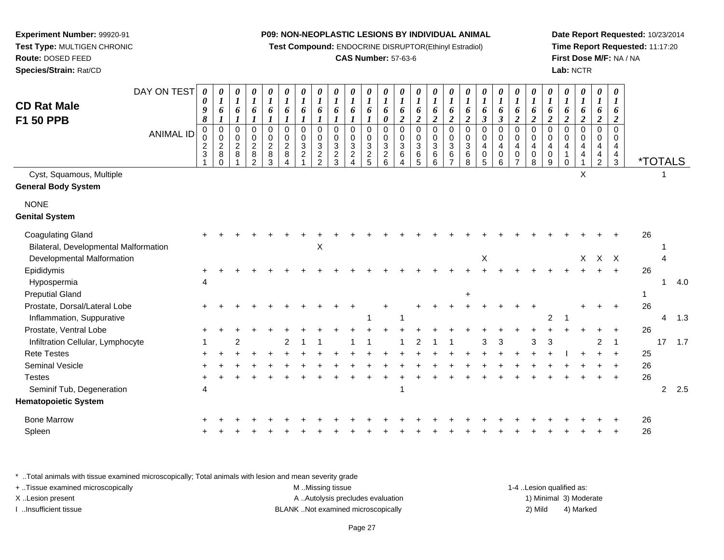**Test Compound:** ENDOCRINE DISRUPTOR(Ethinyl Estradiol)

# **CAS Number:** 57-63-6

**Date Report Requested:** 10/23/2014**Time Report Requested:** 11:17:20**First Dose M/F:** NA / NA**Lab:** NCTR

|                                                                   | DAY ON TEST      | $\boldsymbol{\theta}$                            | 0                                                                         | $\pmb{\theta}$                                      | $\pmb{\theta}$                                      | $\pmb{\theta}$                                             | 0                                             | 0                                        | $\pmb{\theta}$                                                               | 0                                            | 0                                                                    | $\boldsymbol{\theta}$                                                       | $\pmb{\theta}$                                            | $\pmb{\theta}$                                       | $\pmb{\theta}$                                       | $\boldsymbol{\theta}$                     | $\pmb{\theta}$                          | 0                                                      | $\boldsymbol{\theta}$                        | 0                                                      | 0                                                 | 0                                                      | $\boldsymbol{\theta}$                     | 0                                       | $\pmb{\theta}$                                   | $\boldsymbol{\theta}$                                                  | 0                                         |              |                       |         |
|-------------------------------------------------------------------|------------------|--------------------------------------------------|---------------------------------------------------------------------------|-----------------------------------------------------|-----------------------------------------------------|------------------------------------------------------------|-----------------------------------------------|------------------------------------------|------------------------------------------------------------------------------|----------------------------------------------|----------------------------------------------------------------------|-----------------------------------------------------------------------------|-----------------------------------------------------------|------------------------------------------------------|------------------------------------------------------|-------------------------------------------|-----------------------------------------|--------------------------------------------------------|----------------------------------------------|--------------------------------------------------------|---------------------------------------------------|--------------------------------------------------------|-------------------------------------------|-----------------------------------------|--------------------------------------------------|------------------------------------------------------------------------|-------------------------------------------|--------------|-----------------------|---------|
| <b>CD Rat Male</b><br><b>F1 50 PPB</b>                            |                  | 0<br>9<br>8                                      | $\boldsymbol{l}$<br>6<br>1                                                | $\boldsymbol{l}$<br>6<br>$\boldsymbol{l}$           | $\boldsymbol{l}$<br>6<br>1                          | $\boldsymbol{l}$<br>6<br>$\boldsymbol{l}$                  | $\boldsymbol{l}$<br>6                         | $\boldsymbol{l}$<br>6                    | $\boldsymbol{l}$<br>6<br>1                                                   | $\boldsymbol{l}$<br>6                        | 1<br>6<br>1                                                          | $\boldsymbol{l}$<br>6                                                       | $\boldsymbol{l}$<br>6<br>0                                | $\boldsymbol{l}$<br>6<br>$\boldsymbol{2}$            | $\boldsymbol{l}$<br>6<br>$\boldsymbol{2}$            | $\boldsymbol{l}$<br>6<br>$\boldsymbol{2}$ | $\boldsymbol{l}$<br>6<br>$\overline{2}$ | 6<br>$\overline{c}$                                    | $\boldsymbol{l}$<br>6<br>3                   | $\boldsymbol{l}$<br>6<br>$\boldsymbol{\beta}$          | $\boldsymbol{l}$<br>6<br>$\boldsymbol{2}$         | $\boldsymbol{l}$<br>6<br>$\overline{2}$                | $\boldsymbol{l}$<br>6<br>$\boldsymbol{2}$ | $\boldsymbol{l}$<br>6<br>$\overline{2}$ | $\boldsymbol{l}$<br>6<br>$\overline{\mathbf{c}}$ | $\boldsymbol{l}$<br>6<br>$\boldsymbol{2}$                              | $\boldsymbol{l}$<br>6<br>$\boldsymbol{2}$ |              |                       |         |
|                                                                   | <b>ANIMAL ID</b> | 0<br>$\mathbf 0$<br>$\overline{c}$<br>$\sqrt{3}$ | $\begin{smallmatrix}0\\0\end{smallmatrix}$<br>$\sqrt{2}$<br>8<br>$\Omega$ | $\pmb{0}$<br>$\pmb{0}$<br>$\overline{c}$<br>$\bf 8$ | $\mathbf 0$<br>0<br>$\frac{2}{8}$<br>$\overline{2}$ | $\mathbf 0$<br>$\pmb{0}$<br>$\overline{2}$<br>$\bf 8$<br>3 | $\mathbf 0$<br>0<br>$\overline{2}$<br>$\bf 8$ | 0<br>0<br>$\mathbf{3}$<br>$\overline{2}$ | $\pmb{0}$<br>$\mathbf 0$<br>$\mathbf{3}$<br>$\overline{2}$<br>$\overline{2}$ | $\mathbf 0$<br>0<br>3<br>$\overline{2}$<br>3 | $\mathbf 0$<br>0<br>$\mathbf{3}$<br>$\overline{2}$<br>$\overline{4}$ | $\mathbf 0$<br>$\pmb{0}$<br>$\overline{3}$<br>$\sqrt{2}$<br>$5\overline{)}$ | $\mathbf 0$<br>0<br>3<br>$\overline{c}$<br>$6\phantom{a}$ | $\mathbf 0$<br>$\pmb{0}$<br>$\overline{3}$<br>6<br>4 | $\mathsf 0$<br>$\pmb{0}$<br>$\sqrt{3}$<br>$\,6$<br>5 | $\mathbf{0}$<br>0<br>3<br>6<br>6          | $\Omega$<br>0<br>$\mathfrak{S}$<br>6    | $\mathbf 0$<br>$\mathbf 0$<br>$\sqrt{3}$<br>$\,6$<br>8 | 0<br>0<br>4<br>$\mathsf 0$<br>$5\phantom{1}$ | 0<br>$\mathbf 0$<br>$\overline{4}$<br>$\mathbf 0$<br>6 | $\mathbf 0$<br>0<br>$\overline{4}$<br>$\mathbf 0$ | $\mathbf 0$<br>$\mathbf 0$<br>$\overline{4}$<br>0<br>8 | $\mathbf 0$<br>$\mathbf 0$<br>4<br>0<br>9 | 0<br>0<br>4<br>1<br>$\Omega$            | 0<br>0<br>4<br>4                                 | $\mathbf 0$<br>0<br>$\overline{a}$<br>$\overline{4}$<br>$\overline{2}$ | $\Omega$<br>0<br>4<br>4<br>3              |              | <i><b>*TOTALS</b></i> |         |
| Cyst, Squamous, Multiple<br><b>General Body System</b>            |                  |                                                  |                                                                           |                                                     |                                                     |                                                            |                                               |                                          |                                                                              |                                              |                                                                      |                                                                             |                                                           |                                                      |                                                      |                                           |                                         |                                                        |                                              |                                                        |                                                   |                                                        |                                           |                                         | X                                                |                                                                        |                                           |              |                       |         |
| <b>NONE</b><br><b>Genital System</b>                              |                  |                                                  |                                                                           |                                                     |                                                     |                                                            |                                               |                                          |                                                                              |                                              |                                                                      |                                                                             |                                                           |                                                      |                                                      |                                           |                                         |                                                        |                                              |                                                        |                                                   |                                                        |                                           |                                         |                                                  |                                                                        |                                           |              |                       |         |
| <b>Coagulating Gland</b><br>Bilateral, Developmental Malformation |                  |                                                  |                                                                           |                                                     |                                                     |                                                            |                                               |                                          | X                                                                            |                                              |                                                                      |                                                                             |                                                           |                                                      |                                                      |                                           |                                         |                                                        |                                              |                                                        |                                                   |                                                        |                                           |                                         |                                                  |                                                                        |                                           | 26           |                       |         |
| Developmental Malformation                                        |                  |                                                  |                                                                           |                                                     |                                                     |                                                            |                                               |                                          |                                                                              |                                              |                                                                      |                                                                             |                                                           |                                                      |                                                      |                                           |                                         |                                                        | X                                            |                                                        |                                                   |                                                        |                                           |                                         | $\mathsf{X}$                                     | $X$ $X$                                                                |                                           |              |                       |         |
| Epididymis<br>Hypospermia                                         |                  | 4                                                |                                                                           |                                                     |                                                     |                                                            |                                               |                                          |                                                                              |                                              |                                                                      |                                                                             |                                                           |                                                      |                                                      |                                           |                                         |                                                        |                                              |                                                        |                                                   |                                                        |                                           |                                         |                                                  |                                                                        | $\ddot{}$                                 | 26           |                       | 4.0     |
| <b>Preputial Gland</b>                                            |                  |                                                  |                                                                           |                                                     |                                                     |                                                            |                                               |                                          |                                                                              |                                              |                                                                      |                                                                             |                                                           |                                                      |                                                      |                                           |                                         | $\ddot{}$                                              |                                              |                                                        |                                                   |                                                        |                                           |                                         |                                                  |                                                                        |                                           | $\mathbf{1}$ |                       |         |
| Prostate, Dorsal/Lateral Lobe<br>Inflammation, Suppurative        |                  |                                                  |                                                                           |                                                     |                                                     |                                                            |                                               |                                          |                                                                              |                                              |                                                                      |                                                                             |                                                           |                                                      |                                                      |                                           |                                         |                                                        |                                              |                                                        |                                                   |                                                        | 2                                         |                                         |                                                  |                                                                        |                                           | 26           |                       | $4$ 1.3 |
| Prostate, Ventral Lobe                                            |                  |                                                  |                                                                           |                                                     |                                                     |                                                            |                                               |                                          |                                                                              |                                              |                                                                      |                                                                             |                                                           |                                                      |                                                      |                                           |                                         |                                                        |                                              |                                                        |                                                   |                                                        |                                           |                                         |                                                  |                                                                        |                                           | 26           |                       |         |
| Infiltration Cellular, Lymphocyte                                 |                  |                                                  |                                                                           | $\overline{2}$                                      |                                                     |                                                            | $\mathcal{P}$                                 |                                          |                                                                              |                                              |                                                                      |                                                                             |                                                           |                                                      | 2                                                    |                                           |                                         |                                                        | 3                                            | 3                                                      |                                                   | 3                                                      | 3                                         |                                         |                                                  | 2                                                                      | -1                                        |              | 17                    | 1.7     |
| <b>Rete Testes</b>                                                |                  |                                                  |                                                                           |                                                     |                                                     |                                                            |                                               |                                          |                                                                              |                                              |                                                                      |                                                                             |                                                           |                                                      |                                                      |                                           |                                         |                                                        |                                              |                                                        |                                                   |                                                        |                                           |                                         |                                                  |                                                                        |                                           | 25           |                       |         |
| <b>Seminal Vesicle</b>                                            |                  |                                                  |                                                                           |                                                     |                                                     |                                                            |                                               |                                          |                                                                              |                                              |                                                                      |                                                                             |                                                           |                                                      |                                                      |                                           |                                         |                                                        |                                              |                                                        |                                                   |                                                        |                                           |                                         |                                                  |                                                                        |                                           | 26           |                       |         |
| <b>Testes</b>                                                     |                  |                                                  |                                                                           |                                                     |                                                     |                                                            |                                               |                                          |                                                                              |                                              |                                                                      |                                                                             |                                                           |                                                      |                                                      |                                           |                                         |                                                        |                                              |                                                        |                                                   |                                                        |                                           |                                         |                                                  |                                                                        | $\ddot{}$                                 | 26           |                       |         |
| Seminif Tub, Degeneration                                         |                  | 4                                                |                                                                           |                                                     |                                                     |                                                            |                                               |                                          |                                                                              |                                              |                                                                      |                                                                             |                                                           |                                                      |                                                      |                                           |                                         |                                                        |                                              |                                                        |                                                   |                                                        |                                           |                                         |                                                  |                                                                        |                                           |              |                       | 2, 2.5  |
| <b>Hematopoietic System</b>                                       |                  |                                                  |                                                                           |                                                     |                                                     |                                                            |                                               |                                          |                                                                              |                                              |                                                                      |                                                                             |                                                           |                                                      |                                                      |                                           |                                         |                                                        |                                              |                                                        |                                                   |                                                        |                                           |                                         |                                                  |                                                                        |                                           |              |                       |         |
| <b>Bone Marrow</b>                                                |                  |                                                  |                                                                           |                                                     |                                                     |                                                            |                                               |                                          |                                                                              |                                              |                                                                      |                                                                             |                                                           |                                                      |                                                      |                                           |                                         |                                                        |                                              |                                                        |                                                   |                                                        |                                           |                                         |                                                  |                                                                        |                                           | 26           |                       |         |
| Spleen                                                            |                  |                                                  |                                                                           |                                                     |                                                     |                                                            |                                               |                                          |                                                                              |                                              |                                                                      |                                                                             |                                                           |                                                      |                                                      |                                           |                                         |                                                        |                                              |                                                        |                                                   |                                                        |                                           |                                         |                                                  |                                                                        |                                           | 26           |                       |         |

\* ..Total animals with tissue examined microscopically; Total animals with lesion and mean severity grade

**Experiment Number:** 99920-91**Test Type:** MULTIGEN CHRONIC

| + . Tissue examined microscopically | M Missing tissue                   | 1-4 Lesion qualified as: |                        |
|-------------------------------------|------------------------------------|--------------------------|------------------------|
| X Lesion present                    | A Autolysis precludes evaluation   |                          | 1) Minimal 3) Moderate |
| Insufficient tissue                 | BLANK Not examined microscopically | 2) Mild                  | 4) Marked              |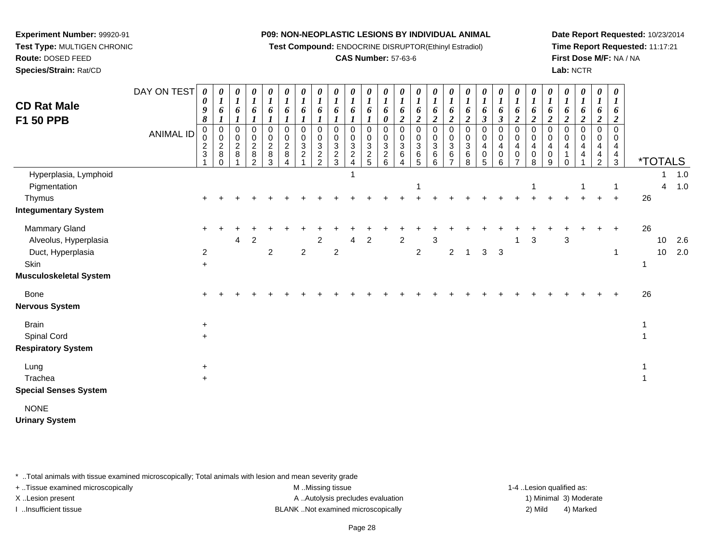**Test Compound:** ENDOCRINE DISRUPTOR(Ethinyl Estradiol)

# **CAS Number:** 57-63-6

**Date Report Requested:** 10/23/2014**Time Report Requested:** 11:17:21**First Dose M/F:** NA / NA**Lab:** NCTR

| <b>CD Rat Male</b><br><b>F1 50 PPB</b>                                                        | DAY ON TEST<br><b>ANIMAL ID</b> | $\boldsymbol{\theta}$<br>$\pmb{\theta}$<br>$\pmb{9}$<br>$\pmb{8}$<br>0<br>$\mathbf 0$<br>$\frac{2}{3}$ | 0<br>$\boldsymbol{l}$<br>6<br>$\pmb{0}$<br>$\pmb{0}$<br>$\overline{c}$<br>$\bf 8$<br>$\Omega$ | 0<br>$\boldsymbol{l}$<br>6<br>$\Omega$<br>$\mathbf 0$<br>$\overline{c}$<br>8 | 0<br>$\boldsymbol{l}$<br>6<br>1<br>$\mathbf 0$<br>0<br>$_{8}^{\rm 2}$<br>$\mathfrak{p}$ | 0<br>$\boldsymbol{l}$<br>6<br>$\mathbf 0$<br>0<br>$\overline{c}$<br>$\bf 8$<br>3 | 0<br>$\boldsymbol{l}$<br>6<br>$\Omega$<br>0<br>$\frac{2}{8}$<br>Δ | 0<br>$\boldsymbol{l}$<br>6<br>0<br>0<br>$\ensuremath{\mathsf{3}}$<br>$\overline{2}$ | 0<br>$\boldsymbol{l}$<br>6<br>$\mathbf 0$<br>$\pmb{0}$<br>$\ensuremath{\mathsf{3}}$<br>$\frac{2}{2}$ | 0<br>$\boldsymbol{l}$<br>6<br>$\Omega$<br>0<br>3<br>$\frac{2}{3}$ | 0<br>$\boldsymbol{l}$<br>6<br>1<br>0<br>0<br>3<br>$\frac{2}{4}$ | 0<br>$\boldsymbol{l}$<br>6<br>$\pmb{0}$<br>0<br>$\sqrt{3}$<br>$\overline{c}$<br>5 | 0<br>$\boldsymbol{l}$<br>6<br>0<br>0<br>0<br>3<br>$\frac{2}{6}$ | 0<br>$\boldsymbol{l}$<br>6<br>$\overline{c}$<br>0<br>0<br>3<br>6<br>$\overline{4}$ | 0<br>$\boldsymbol{l}$<br>6<br>2<br>$\pmb{0}$<br>$\mathbf 0$<br>$\boldsymbol{3}$<br>$\,6\,$<br>$\overline{5}$ | 0<br>$\boldsymbol{l}$<br>6<br>$\boldsymbol{2}$<br>$\Omega$<br>0<br>3<br>6<br>6 | 0<br>$\boldsymbol{l}$<br>6<br>$\boldsymbol{2}$<br>$\Omega$<br>0<br>3<br>$\,6$<br>$\overline{ }$ | 0<br>$\boldsymbol{l}$<br>6<br>2<br>$\mathbf 0$<br>0<br>$\sqrt{3}$<br>6<br>8 | 0<br>$\boldsymbol{l}$<br>6<br>$\boldsymbol{\beta}$<br>$\Omega$<br>0<br>4<br>$\pmb{0}$<br>5 | 0<br>$\boldsymbol{l}$<br>6<br>$\boldsymbol{\beta}$<br>0<br>0<br>4<br>0<br>6 | 0<br>$\boldsymbol{l}$<br>6<br>2<br>$\mathbf 0$<br>$\mathbf 0$<br>$\overline{\mathbf{4}}$<br>$\mathbf 0$<br>$\overline{7}$ | 0<br>$\boldsymbol{l}$<br>6<br>$\boldsymbol{2}$<br>$\Omega$<br>0<br>4<br>0<br>8 | 0<br>$\boldsymbol{l}$<br>6<br>$\boldsymbol{2}$<br>0<br>0<br>4<br>0<br>9 | 0<br>$\boldsymbol{l}$<br>6<br>2<br>$\Omega$<br>0<br>4<br>$\Omega$ | 0<br>$\boldsymbol{l}$<br>6<br>$\overline{c}$<br>$\mathbf 0$<br>$\mathbf{0}$<br>4<br>4 | 0<br>$\boldsymbol{l}$<br>6<br>$\boldsymbol{2}$<br>$\pmb{0}$<br>0<br>$\overline{4}$<br>$\frac{4}{2}$ | $\boldsymbol{\theta}$<br>$\boldsymbol{l}$<br>6<br>2<br>$\Omega$<br>0<br>4<br>$\frac{4}{3}$ |                    | <i><b>*TOTALS</b></i> |            |
|-----------------------------------------------------------------------------------------------|---------------------------------|--------------------------------------------------------------------------------------------------------|-----------------------------------------------------------------------------------------------|------------------------------------------------------------------------------|-----------------------------------------------------------------------------------------|----------------------------------------------------------------------------------|-------------------------------------------------------------------|-------------------------------------------------------------------------------------|------------------------------------------------------------------------------------------------------|-------------------------------------------------------------------|-----------------------------------------------------------------|-----------------------------------------------------------------------------------|-----------------------------------------------------------------|------------------------------------------------------------------------------------|--------------------------------------------------------------------------------------------------------------|--------------------------------------------------------------------------------|-------------------------------------------------------------------------------------------------|-----------------------------------------------------------------------------|--------------------------------------------------------------------------------------------|-----------------------------------------------------------------------------|---------------------------------------------------------------------------------------------------------------------------|--------------------------------------------------------------------------------|-------------------------------------------------------------------------|-------------------------------------------------------------------|---------------------------------------------------------------------------------------|-----------------------------------------------------------------------------------------------------|--------------------------------------------------------------------------------------------|--------------------|-----------------------|------------|
| Hyperplasia, Lymphoid<br>Pigmentation<br>Thymus<br><b>Integumentary System</b>                |                                 |                                                                                                        |                                                                                               |                                                                              |                                                                                         |                                                                                  |                                                                   |                                                                                     |                                                                                                      |                                                                   |                                                                 |                                                                                   |                                                                 |                                                                                    | -1                                                                                                           |                                                                                |                                                                                                 |                                                                             |                                                                                            |                                                                             |                                                                                                                           | 1                                                                              |                                                                         |                                                                   |                                                                                       |                                                                                                     | -1<br>$\ddot{}$                                                                            | 26                 | 1<br>4                | 1.0<br>1.0 |
| Mammary Gland<br>Alveolus, Hyperplasia<br>Duct, Hyperplasia<br>Skin<br>Musculoskeletal System |                                 | $\pm$<br>$\overline{2}$<br>$\ddot{}$                                                                   |                                                                                               | 4                                                                            | $\overline{2}$                                                                          | $\overline{2}$                                                                   |                                                                   | $\overline{2}$                                                                      | $\overline{c}$                                                                                       | $\boldsymbol{2}$                                                  | 4                                                               | $\overline{2}$                                                                    |                                                                 | $\overline{2}$                                                                     | $\overline{c}$                                                                                               | 3                                                                              | $\overline{a}$                                                                                  | $\mathbf{1}$                                                                | $\mathfrak{S}$                                                                             | $\mathbf{3}$                                                                | 1                                                                                                                         | 3                                                                              |                                                                         | 3                                                                 |                                                                                       |                                                                                                     | $\overline{+}$<br>-1                                                                       | 26                 | 10<br>$10$            | 2.6<br>2.0 |
| Bone<br>Nervous System<br><b>Brain</b><br>Spinal Cord<br><b>Respiratory System</b>            |                                 | $\pm$<br>$+$                                                                                           |                                                                                               |                                                                              |                                                                                         |                                                                                  |                                                                   |                                                                                     |                                                                                                      |                                                                   |                                                                 |                                                                                   |                                                                 |                                                                                    |                                                                                                              |                                                                                |                                                                                                 |                                                                             |                                                                                            |                                                                             |                                                                                                                           |                                                                                |                                                                         |                                                                   |                                                                                       |                                                                                                     |                                                                                            | 26<br>$\mathbf{1}$ |                       |            |
| Lung<br>Trachea<br><b>Special Senses System</b><br><b>NONE</b><br><b>Urinary System</b>       |                                 | $\ddot{}$<br>$+$                                                                                       |                                                                                               |                                                                              |                                                                                         |                                                                                  |                                                                   |                                                                                     |                                                                                                      |                                                                   |                                                                 |                                                                                   |                                                                 |                                                                                    |                                                                                                              |                                                                                |                                                                                                 |                                                                             |                                                                                            |                                                                             |                                                                                                                           |                                                                                |                                                                         |                                                                   |                                                                                       |                                                                                                     |                                                                                            | $\mathbf 1$        |                       |            |

\* ..Total animals with tissue examined microscopically; Total animals with lesion and mean severity grade

**Experiment Number:** 99920-91**Test Type:** MULTIGEN CHRONIC

**Route:** DOSED FEED**Species/Strain:** Rat/CD

+ ..Tissue examined microscopically examined microscopically examined as:  $M$  ..Missing tissue 1-4 ..Lesion qualified as: X..Lesion present **A ..Autolysis precludes evaluation** A ..Autolysis precludes evaluation 1) Minimal 3) Moderate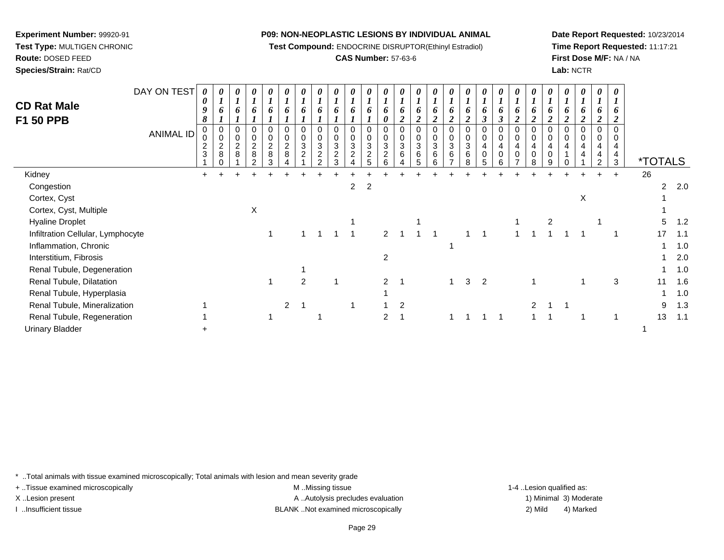**Test Compound:** ENDOCRINE DISRUPTOR(Ethinyl Estradiol)

#### **CAS Number:** 57-63-6

**Date Report Requested:** 10/23/2014**Time Report Requested:** 11:17:21**First Dose M/F:** NA / NA**Lab:** NCTR

*1 6*

**Route:** DOSED FEED **Species/Strain:** Rat/CDDAY ON TEST **CD Rat MaleF1 50 PPB**ANIMAL ID*0 0 80 1 6 10 1 6 10 1 6 10 1 6 10 1 6 10 1 6 10 1 6 10 1 6 10 1 6 10 1 6 10 1 6 00 1 6 0 1 6 0 1 6 0 1 6 0 1 6 0 1 6* 

|                                   | <b>ANIMAL ID</b> | 0<br>0<br>$\overline{c}$<br>3 | 0<br>$\pmb{0}$<br>$\boldsymbol{2}$<br>8 | 0<br>0<br>$\overline{c}$<br>8 | 0<br>$\pmb{0}$<br>$\overline{c}$<br>8 | 0<br>0<br>$\overline{c}$<br>8 | 0<br>0<br>$\boldsymbol{2}$<br>$\,8\,$ | $\mathbf 0$<br>3<br>$\overline{2}$ | 0<br>$\pmb{0}$<br>$\ensuremath{\mathsf{3}}$<br>$\boldsymbol{2}$ | 0<br>$\pmb{0}$<br>$\mathbf{3}$<br>$\overline{c}$ | 0<br>$\boldsymbol{0}$<br>$\sqrt{3}$<br>$\overline{2}$ | 0<br>$\mathbf 0$<br>3<br>$\overline{a}$ | $_0^0$<br>$\ensuremath{\mathsf{3}}$<br>$\overline{a}$ | $_{\rm 0}^{\rm 0}$<br>$\ensuremath{\mathsf{3}}$<br>6 | 0<br>$\pmb{0}$<br>$\ensuremath{\mathsf{3}}$<br>6 | 0<br>$\mathbf 0$<br>$\ensuremath{\mathsf{3}}$<br>6 | $\pmb{0}$<br>3<br>6 | 0<br>$\mathbf 0$<br>3<br>$6\phantom{.}6$ | 0<br>0<br>$\overline{\mathbf{4}}$<br>0 | 0<br>$\pmb{0}$<br>$\overline{4}$<br>$\mathbf 0$ | 0<br>$\pmb{0}$<br>4<br>0 | 0<br>$\pmb{0}$<br>4<br>$\mathbf 0$ | 0<br>$\pmb{0}$<br>4<br>$\mathbf 0$ | $_{0}^{0}$<br>4 | 0<br>$\pmb{0}$<br>$\overline{4}$<br>$\overline{\mathbf{4}}$ | 0<br>$\pmb{0}$<br>$\overline{\mathbf{4}}$<br>4 | 0<br>0<br>4<br>4 |                       |           |        |
|-----------------------------------|------------------|-------------------------------|-----------------------------------------|-------------------------------|---------------------------------------|-------------------------------|---------------------------------------|------------------------------------|-----------------------------------------------------------------|--------------------------------------------------|-------------------------------------------------------|-----------------------------------------|-------------------------------------------------------|------------------------------------------------------|--------------------------------------------------|----------------------------------------------------|---------------------|------------------------------------------|----------------------------------------|-------------------------------------------------|--------------------------|------------------------------------|------------------------------------|-----------------|-------------------------------------------------------------|------------------------------------------------|------------------|-----------------------|-----------|--------|
|                                   |                  |                               |                                         |                               |                                       | 3                             |                                       |                                    | າ                                                               | 3                                                |                                                       |                                         | 6                                                     |                                                      | 5                                                | 6                                                  |                     | 8                                        |                                        | 6                                               | $\overline{\phantom{0}}$ | 8                                  | 9                                  |                 |                                                             | $\overline{2}$                                 | 3                | <i><b>*TOTALS</b></i> |           |        |
| Kidney                            |                  |                               |                                         |                               |                                       |                               |                                       |                                    |                                                                 |                                                  |                                                       |                                         |                                                       |                                                      |                                                  |                                                    |                     |                                          |                                        |                                                 |                          |                                    |                                    |                 |                                                             |                                                |                  | 26                    |           |        |
| Congestion                        |                  |                               |                                         |                               |                                       |                               |                                       |                                    |                                                                 |                                                  | $2^{\circ}$                                           | $\overline{2}$                          |                                                       |                                                      |                                                  |                                                    |                     |                                          |                                        |                                                 |                          |                                    |                                    |                 |                                                             |                                                |                  |                       | $2 \t2.0$ |        |
| Cortex, Cyst                      |                  |                               |                                         |                               |                                       |                               |                                       |                                    |                                                                 |                                                  |                                                       |                                         |                                                       |                                                      |                                                  |                                                    |                     |                                          |                                        |                                                 |                          |                                    |                                    |                 | Χ                                                           |                                                |                  |                       |           |        |
| Cortex, Cyst, Multiple            |                  |                               |                                         |                               | X                                     |                               |                                       |                                    |                                                                 |                                                  |                                                       |                                         |                                                       |                                                      |                                                  |                                                    |                     |                                          |                                        |                                                 |                          |                                    |                                    |                 |                                                             |                                                |                  |                       |           |        |
| <b>Hyaline Droplet</b>            |                  |                               |                                         |                               |                                       |                               |                                       |                                    |                                                                 |                                                  |                                                       |                                         |                                                       |                                                      |                                                  |                                                    |                     |                                          |                                        |                                                 |                          |                                    | $\overline{2}$                     |                 |                                                             |                                                |                  |                       |           | 1.2    |
| Infiltration Cellular, Lymphocyte |                  |                               |                                         |                               |                                       |                               |                                       |                                    |                                                                 |                                                  |                                                       |                                         |                                                       |                                                      |                                                  |                                                    |                     |                                          |                                        |                                                 |                          |                                    |                                    |                 |                                                             |                                                |                  | 17                    |           | 1.1    |
| Inflammation, Chronic             |                  |                               |                                         |                               |                                       |                               |                                       |                                    |                                                                 |                                                  |                                                       |                                         |                                                       |                                                      |                                                  |                                                    |                     |                                          |                                        |                                                 |                          |                                    |                                    |                 |                                                             |                                                |                  |                       |           | 1.0    |
| Interstitium, Fibrosis            |                  |                               |                                         |                               |                                       |                               |                                       |                                    |                                                                 |                                                  |                                                       |                                         | 2                                                     |                                                      |                                                  |                                                    |                     |                                          |                                        |                                                 |                          |                                    |                                    |                 |                                                             |                                                |                  |                       |           | 2.0    |
| Renal Tubule, Degeneration        |                  |                               |                                         |                               |                                       |                               |                                       |                                    |                                                                 |                                                  |                                                       |                                         |                                                       |                                                      |                                                  |                                                    |                     |                                          |                                        |                                                 |                          |                                    |                                    |                 |                                                             |                                                |                  |                       |           | 1.0    |
| Renal Tubule, Dilatation          |                  |                               |                                         |                               |                                       |                               |                                       | 2                                  |                                                                 |                                                  |                                                       |                                         | $\overline{2}$                                        |                                                      |                                                  |                                                    |                     | 3                                        | $\overline{2}$                         |                                                 |                          |                                    |                                    |                 |                                                             |                                                | 3                | 11                    |           | 1.6    |
| Renal Tubule, Hyperplasia         |                  |                               |                                         |                               |                                       |                               |                                       |                                    |                                                                 |                                                  |                                                       |                                         |                                                       |                                                      |                                                  |                                                    |                     |                                          |                                        |                                                 |                          |                                    |                                    |                 |                                                             |                                                |                  |                       |           | 1.0    |
| Renal Tubule, Mineralization      |                  |                               |                                         |                               |                                       |                               | 2                                     |                                    |                                                                 |                                                  |                                                       |                                         |                                                       | $\overline{2}$                                       |                                                  |                                                    |                     |                                          |                                        |                                                 |                          | $\mathcal{P}$                      |                                    |                 |                                                             |                                                |                  |                       | 9         | 1.3    |
| Renal Tubule, Regeneration        |                  |                               |                                         |                               |                                       |                               |                                       |                                    |                                                                 |                                                  |                                                       |                                         | $\overline{2}$                                        | 1                                                    |                                                  |                                                    |                     |                                          |                                        |                                                 |                          |                                    |                                    |                 |                                                             |                                                |                  | 13                    |           | $-1.1$ |
| <b>Urinary Bladder</b>            |                  |                               |                                         |                               |                                       |                               |                                       |                                    |                                                                 |                                                  |                                                       |                                         |                                                       |                                                      |                                                  |                                                    |                     |                                          |                                        |                                                 |                          |                                    |                                    |                 |                                                             |                                                |                  |                       |           |        |

\* ..Total animals with tissue examined microscopically; Total animals with lesion and mean severity grade

**Experiment Number:** 99920-91**Test Type:** MULTIGEN CHRONIC

+ ..Tissue examined microscopically examined microscopically examined as:  $M$  ..Missing tissue 1-4 ..Lesion qualified as: X..Lesion present **A ..Autolysis precludes evaluation** A ..Autolysis precludes evaluation 1) Minimal 3) Moderate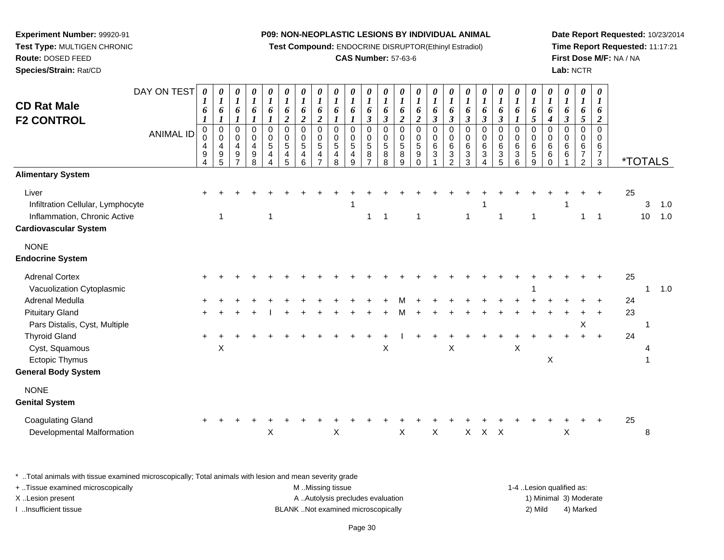**Test Compound:** ENDOCRINE DISRUPTOR(Ethinyl Estradiol)

# **CAS Number:** 57-63-6

**Date Report Requested:** 10/23/2014**Time Report Requested:** 11:17:21**First Dose M/F:** NA / NA**Lab:** NCTR

| <b>CD Rat Male</b><br><b>F2 CONTROL</b>                                                                                                                                                                                    | DAY ON TEST<br><b>ANIMAL ID</b> | $\boldsymbol{\theta}$<br>1<br>6<br>1<br>$\mathbf 0$<br>0<br>4<br>9<br>4 | 0<br>$\boldsymbol{l}$<br>6<br>$\boldsymbol{l}$<br>$\mathbf 0$<br>$\Omega$<br>4<br>9<br>5 | 0<br>$\boldsymbol{l}$<br>6<br>1<br>$\pmb{0}$<br>$\mathbf 0$<br>4<br>9<br>$\overline{\phantom{0}}$ | 0<br>$\boldsymbol{l}$<br>6<br>$\pmb{0}$<br>$\mathsf 0$<br>$\overline{4}$<br>$\frac{9}{8}$ | 0<br>$\boldsymbol{l}$<br>6<br>$\boldsymbol{l}$<br>0<br>$\pmb{0}$<br>$\overline{5}$<br>$\overline{\mathbf{4}}$<br>$\overline{4}$ | 0<br>$\boldsymbol{l}$<br>6<br>$\boldsymbol{2}$<br>$\mathbf 0$<br>$\overline{0}$<br>$\overline{5}$<br>$\frac{4}{5}$ | 0<br>$\boldsymbol{l}$<br>6<br>$\boldsymbol{2}$<br>$\mathsf 0$<br>$\mathbf 0$<br>$\sqrt{5}$<br>$\overline{4}$<br>$6\phantom{a}$ | 0<br>$\boldsymbol{l}$<br>6<br>$\boldsymbol{2}$<br>$\mathbf 0$<br>$\Omega$<br>5<br>4<br>$\overline{7}$ | 0<br>$\boldsymbol{l}$<br>6<br>$\boldsymbol{l}$<br>$\mathbf 0$<br>$\Omega$<br>$\sqrt{5}$<br>4<br>8 | 0<br>$\boldsymbol{l}$<br>6<br>1<br>$\overline{0}$<br>$\mathbf 0$<br>$\overline{5}$<br>4<br>9 | 0<br>$\boldsymbol{l}$<br>6<br>$\boldsymbol{\beta}$<br>$\overline{0}$<br>$\pmb{0}$<br>$\overline{5}$<br>$\frac{8}{7}$ | 0<br>$\boldsymbol{l}$<br>6<br>$\mathfrak{z}$<br>$\pmb{0}$<br>0<br>$\overline{5}$<br>8<br>8 | 0<br>$\boldsymbol{l}$<br>6<br>$\boldsymbol{2}$<br>0<br>0<br>$\overline{5}$<br>8<br>$\overline{9}$ | $\boldsymbol{\theta}$<br>$\boldsymbol{l}$<br>6<br>2<br>$\mathbf 0$<br>$\mathbf 0$<br>$\sqrt{5}$<br>9<br>$\Omega$ | $\boldsymbol{\theta}$<br>$\boldsymbol{l}$<br>6<br>$\mathbf{3}$<br>$\mathbf 0$<br>$\Omega$<br>6<br>3 | 0<br>$\boldsymbol{l}$<br>6<br>$\boldsymbol{\beta}$<br>$\mathbf 0$<br>$\mathbf 0$<br>$\,6\,$<br>$\mathbf{3}$<br>2 | 0<br>$\boldsymbol{l}$<br>6<br>$\boldsymbol{\beta}$<br>$\mathbf 0$<br>0<br>6<br>$\ensuremath{\mathsf{3}}$<br>3 | $\boldsymbol{\theta}$<br>$\boldsymbol{l}$<br>6<br>$\boldsymbol{\beta}$<br>$\mathbf 0$<br>$\Omega$<br>$\,6\,$<br>3<br>4 | 0<br>$\boldsymbol{l}$<br>6<br>$\mathfrak{z}$<br>$\mathbf 0$<br>$\mathbf 0$<br>6<br>$\ensuremath{\mathsf{3}}$<br>$\overline{5}$ | 0<br>$\boldsymbol{l}$<br>6<br>1<br>$\pmb{0}$<br>0<br>$\,6\,$<br>$\frac{3}{6}$ | 0<br>$\boldsymbol{l}$<br>6<br>$\mathfrak{s}$<br>$\pmb{0}$<br>$\mathbf 0$<br>$\,6\,$<br>$\frac{5}{9}$ | 0<br>$\boldsymbol{l}$<br>6<br>$\boldsymbol{4}$<br>$\mathbf 0$<br>$\mathbf 0$<br>$\,6$<br>6<br>$\mathbf 0$ | 0<br>$\boldsymbol{l}$<br>6<br>$\boldsymbol{\beta}$<br>$\mathbf 0$<br>$\Omega$<br>6<br>6 | 0<br>$\boldsymbol{l}$<br>6<br>$\sqrt{5}$<br>$\Omega$<br>$\Omega$<br>6<br>$\overline{7}$<br>$\overline{2}$ | 0<br>$\boldsymbol{l}$<br>6<br>$\overline{2}$<br>$\mathbf 0$<br>$\Omega$<br>6<br>$\boldsymbol{7}$<br>$\mathbf{3}$ |                      | <i><b>*TOTALS</b></i> |            |
|----------------------------------------------------------------------------------------------------------------------------------------------------------------------------------------------------------------------------|---------------------------------|-------------------------------------------------------------------------|------------------------------------------------------------------------------------------|---------------------------------------------------------------------------------------------------|-------------------------------------------------------------------------------------------|---------------------------------------------------------------------------------------------------------------------------------|--------------------------------------------------------------------------------------------------------------------|--------------------------------------------------------------------------------------------------------------------------------|-------------------------------------------------------------------------------------------------------|---------------------------------------------------------------------------------------------------|----------------------------------------------------------------------------------------------|----------------------------------------------------------------------------------------------------------------------|--------------------------------------------------------------------------------------------|---------------------------------------------------------------------------------------------------|------------------------------------------------------------------------------------------------------------------|-----------------------------------------------------------------------------------------------------|------------------------------------------------------------------------------------------------------------------|---------------------------------------------------------------------------------------------------------------|------------------------------------------------------------------------------------------------------------------------|--------------------------------------------------------------------------------------------------------------------------------|-------------------------------------------------------------------------------|------------------------------------------------------------------------------------------------------|-----------------------------------------------------------------------------------------------------------|-----------------------------------------------------------------------------------------|-----------------------------------------------------------------------------------------------------------|------------------------------------------------------------------------------------------------------------------|----------------------|-----------------------|------------|
| <b>Alimentary System</b><br>Liver<br>Infiltration Cellular, Lymphocyte<br>Inflammation, Chronic Active<br><b>Cardiovascular System</b>                                                                                     |                                 |                                                                         | 1                                                                                        |                                                                                                   |                                                                                           | $\overline{1}$                                                                                                                  |                                                                                                                    |                                                                                                                                |                                                                                                       |                                                                                                   | 1                                                                                            | $\mathbf 1$                                                                                                          | $\overline{\mathbf{1}}$                                                                    |                                                                                                   | $\mathbf{1}$                                                                                                     |                                                                                                     |                                                                                                                  | $\mathbf{1}$                                                                                                  |                                                                                                                        | $\mathbf 1$                                                                                                                    |                                                                               | $\mathbf{1}$                                                                                         |                                                                                                           | 1                                                                                       | $\mathbf{1}$                                                                                              | $\overline{1}$                                                                                                   | 25                   | 3<br>10               | 1.0<br>1.0 |
| <b>NONE</b><br><b>Endocrine System</b>                                                                                                                                                                                     |                                 |                                                                         |                                                                                          |                                                                                                   |                                                                                           |                                                                                                                                 |                                                                                                                    |                                                                                                                                |                                                                                                       |                                                                                                   |                                                                                              |                                                                                                                      |                                                                                            |                                                                                                   |                                                                                                                  |                                                                                                     |                                                                                                                  |                                                                                                               |                                                                                                                        |                                                                                                                                |                                                                               |                                                                                                      |                                                                                                           |                                                                                         |                                                                                                           |                                                                                                                  |                      |                       |            |
| <b>Adrenal Cortex</b><br>Vacuolization Cytoplasmic<br>Adrenal Medulla<br><b>Pituitary Gland</b><br>Pars Distalis, Cyst, Multiple<br><b>Thyroid Gland</b><br>Cyst, Squamous<br>Ectopic Thymus<br><b>General Body System</b> |                                 |                                                                         | X                                                                                        |                                                                                                   |                                                                                           |                                                                                                                                 |                                                                                                                    |                                                                                                                                |                                                                                                       |                                                                                                   |                                                                                              |                                                                                                                      | X                                                                                          | м                                                                                                 |                                                                                                                  |                                                                                                     | X                                                                                                                |                                                                                                               |                                                                                                                        |                                                                                                                                | X                                                                             |                                                                                                      | X                                                                                                         |                                                                                         | X                                                                                                         | $+$                                                                                                              | 25<br>24<br>23<br>24 | 1<br>-1               | 1.0        |
| <b>NONE</b><br><b>Genital System</b><br><b>Coagulating Gland</b><br>Developmental Malformation                                                                                                                             |                                 | $\ddot{}$                                                               |                                                                                          |                                                                                                   |                                                                                           | $\sf X$                                                                                                                         |                                                                                                                    |                                                                                                                                |                                                                                                       | X                                                                                                 |                                                                                              |                                                                                                                      |                                                                                            | $\sf X$                                                                                           |                                                                                                                  | $\sf X$                                                                                             |                                                                                                                  | X                                                                                                             | $\mathsf{X}$                                                                                                           | $\mathsf{X}$                                                                                                                   |                                                                               |                                                                                                      |                                                                                                           | $\mathsf X$                                                                             |                                                                                                           |                                                                                                                  | 25                   | 8                     |            |

\* ..Total animals with tissue examined microscopically; Total animals with lesion and mean severity grade

**Experiment Number:** 99920-91**Test Type:** MULTIGEN CHRONIC

| + Tissue examined microscopically | M Missing tissue                   | 1-4 Lesion qualified as: |                        |
|-----------------------------------|------------------------------------|--------------------------|------------------------|
| X Lesion present                  | A Autolysis precludes evaluation   |                          | 1) Minimal 3) Moderate |
| …Insufficient tissue              | BLANK Not examined microscopically | 2) Mild                  | 4) Marked              |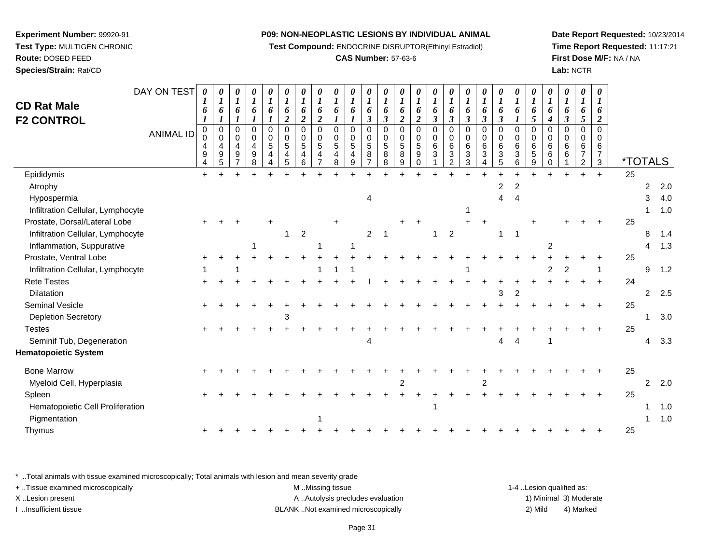**Test Compound:** ENDOCRINE DISRUPTOR(Ethinyl Estradiol)

*0 1*

*0*

*1 6 5*

*6 5*

**Date Report Requested:** 10/23/2014**Time Report Requested:** 11:17:21**First Dose M/F:** NA / NA**Lab:** NCTR

**Test Type:** MULTIGEN CHRONIC**Route:** DOSED FEED **Species/Strain:** Rat/CD**CAS Number:** 57-63-6DAY ON TEST**CD Rat Male F2 CONTROL**ANIMAL ID*0 1 6 1* 0 0494*0 1 6 1* 0 0495*0 1 6 1* 0 0497*0 1 6 1* 0 0498*0 1 6 1* 0 0544*0 1 6 2* 0 0545*0 1 6 2* 0 0546*0 1 6 2* 0 0547*0 1 6 1* 0 0548*0 1 6 1* 0 0549*0 1 6 3* 0 0587*0 1 6 3* 0 0588*0 1 6 2* 0 0589*0 1 6 2* 0 0590*0 1 6 3* 0 0 631*0 1 6 3* 0 0 632Epididymis

**Experiment Number:** 99920-91

|                                   | <b>ANIMAL ID</b> | 0<br>0<br>4<br>$\boldsymbol{9}$<br>$\overline{\mathbf{4}}$ | $\begin{matrix} 0 \\ 0 \end{matrix}$<br>4<br>$\mathsf g$<br>5 | 0<br>$\ddot{\mathbf{0}}$<br>$\overline{\mathbf{4}}$<br>$\boldsymbol{9}$<br>$\overline{ }$ | 0<br>$\pmb{0}$<br>$\overline{\mathbf{4}}$<br>9<br>8 | 0<br>$\pmb{0}$<br>$\,$ 5 $\,$<br>4 | $\begin{matrix} 0 \\ 0 \end{matrix}$<br>$\sqrt{5}$<br>4<br>5 | 0<br>$\pmb{0}$<br>$\sqrt{5}$<br>4<br>6 | 0<br>0<br>$\overline{5}$<br>4 | 0<br>$\pmb{0}$<br>$\sqrt{5}$<br>4<br>8 | 0<br>$\pmb{0}$<br>5<br>4<br>9 | 0<br>0<br>5<br>8 | O<br>$\pmb{0}$<br>$\sqrt{5}$<br>8<br>8 | 0<br>$\pmb{0}$<br>$\,$ 5 $\,$<br>8<br>9 | 0<br>$\mathbf 0$<br>5<br>9 | 0<br>$\pmb{0}$<br>$\,6\,$<br>$\mathbf{3}$ | 0<br>$\pmb{0}$<br>6<br>$\mathbf{3}$<br>$\mathcal{P}$ | 0<br>$\begin{array}{c} 0 \\ 6 \end{array}$<br>3<br>3 | 0<br>$\mathbf 0$<br>$\,6\,$<br>$\sqrt{3}$ | 0<br>$\mathbf 0$<br>6<br>3<br>5 | 0<br>$\pmb{0}$<br>6<br>3<br>6 | 0<br>$\mathbf 0$<br>6<br>5<br>9 | 0<br>$\pmb{0}$<br>6<br>6<br>0 | 0<br>$\pmb{0}$<br>6<br>6 | $\begin{matrix} 0 \\ 0 \end{matrix}$<br>6<br>7<br>$\overline{2}$ | 0<br>$\mathbf 0$<br>6<br>$\overline{7}$<br>$\mathbf{3}$ |    | <i><b>*TOTALS</b></i> |     |
|-----------------------------------|------------------|------------------------------------------------------------|---------------------------------------------------------------|-------------------------------------------------------------------------------------------|-----------------------------------------------------|------------------------------------|--------------------------------------------------------------|----------------------------------------|-------------------------------|----------------------------------------|-------------------------------|------------------|----------------------------------------|-----------------------------------------|----------------------------|-------------------------------------------|------------------------------------------------------|------------------------------------------------------|-------------------------------------------|---------------------------------|-------------------------------|---------------------------------|-------------------------------|--------------------------|------------------------------------------------------------------|---------------------------------------------------------|----|-----------------------|-----|
| Epididymis                        |                  | $\pm$                                                      |                                                               |                                                                                           |                                                     |                                    |                                                              |                                        |                               |                                        |                               |                  |                                        |                                         |                            |                                           |                                                      |                                                      |                                           |                                 |                               |                                 |                               |                          |                                                                  | $\ddot{}$                                               | 25 |                       |     |
| Atrophy                           |                  |                                                            |                                                               |                                                                                           |                                                     |                                    |                                                              |                                        |                               |                                        |                               |                  |                                        |                                         |                            |                                           |                                                      |                                                      |                                           | $\overline{2}$                  | 2                             |                                 |                               |                          |                                                                  |                                                         |    | $\overline{2}$        | 2.0 |
| Hypospermia                       |                  |                                                            |                                                               |                                                                                           |                                                     |                                    |                                                              |                                        |                               |                                        |                               |                  |                                        |                                         |                            |                                           |                                                      |                                                      |                                           |                                 |                               |                                 |                               |                          |                                                                  |                                                         |    | 3                     | 4.0 |
| Infiltration Cellular, Lymphocyte |                  |                                                            |                                                               |                                                                                           |                                                     |                                    |                                                              |                                        |                               |                                        |                               |                  |                                        |                                         |                            |                                           |                                                      |                                                      |                                           |                                 |                               |                                 |                               |                          |                                                                  |                                                         |    |                       | 1.0 |
| Prostate, Dorsal/Lateral Lobe     |                  |                                                            |                                                               |                                                                                           |                                                     |                                    |                                                              |                                        |                               |                                        |                               |                  |                                        |                                         |                            |                                           |                                                      |                                                      |                                           |                                 |                               |                                 |                               |                          |                                                                  |                                                         | 25 |                       |     |
| Infiltration Cellular, Lymphocyte |                  |                                                            |                                                               |                                                                                           |                                                     |                                    |                                                              | $\overline{c}$                         |                               |                                        |                               | $\overline{2}$   | $\overline{1}$                         |                                         |                            |                                           | $\overline{2}$                                       |                                                      |                                           |                                 | -1                            |                                 |                               |                          |                                                                  |                                                         |    | 8                     | 1.4 |
| Inflammation, Suppurative         |                  |                                                            |                                                               |                                                                                           |                                                     |                                    |                                                              |                                        |                               |                                        |                               |                  |                                        |                                         |                            |                                           |                                                      |                                                      |                                           |                                 |                               |                                 | $\overline{2}$                |                          |                                                                  |                                                         |    | 4                     | 1.3 |
| Prostate, Ventral Lobe            |                  |                                                            |                                                               |                                                                                           |                                                     |                                    |                                                              |                                        |                               |                                        |                               |                  |                                        |                                         |                            |                                           |                                                      |                                                      |                                           |                                 |                               |                                 |                               |                          |                                                                  |                                                         | 25 |                       |     |
| Infiltration Cellular, Lymphocyte |                  |                                                            |                                                               |                                                                                           |                                                     |                                    |                                                              |                                        |                               |                                        |                               |                  |                                        |                                         |                            |                                           |                                                      |                                                      |                                           |                                 |                               |                                 | 2                             | 2                        |                                                                  |                                                         |    | 9                     | 1.2 |
| <b>Rete Testes</b>                |                  |                                                            |                                                               |                                                                                           |                                                     |                                    |                                                              |                                        |                               |                                        |                               |                  |                                        |                                         |                            |                                           |                                                      |                                                      |                                           |                                 |                               |                                 |                               |                          |                                                                  |                                                         | 24 |                       |     |
| <b>Dilatation</b>                 |                  |                                                            |                                                               |                                                                                           |                                                     |                                    |                                                              |                                        |                               |                                        |                               |                  |                                        |                                         |                            |                                           |                                                      |                                                      |                                           | 3                               | 2                             |                                 |                               |                          |                                                                  |                                                         |    | $\overline{2}$        | 2.5 |
| <b>Seminal Vesicle</b>            |                  |                                                            |                                                               |                                                                                           |                                                     |                                    |                                                              |                                        |                               |                                        |                               |                  |                                        |                                         |                            |                                           |                                                      |                                                      |                                           |                                 |                               |                                 |                               |                          |                                                                  |                                                         | 25 |                       |     |
| <b>Depletion Secretory</b>        |                  |                                                            |                                                               |                                                                                           |                                                     |                                    | 3                                                            |                                        |                               |                                        |                               |                  |                                        |                                         |                            |                                           |                                                      |                                                      |                                           |                                 |                               |                                 |                               |                          |                                                                  |                                                         |    |                       | 3.0 |
| <b>Testes</b>                     |                  | $\pm$                                                      |                                                               |                                                                                           |                                                     |                                    |                                                              |                                        |                               |                                        |                               |                  |                                        |                                         |                            |                                           |                                                      |                                                      |                                           |                                 |                               |                                 |                               |                          |                                                                  |                                                         | 25 |                       |     |
| Seminif Tub, Degeneration         |                  |                                                            |                                                               |                                                                                           |                                                     |                                    |                                                              |                                        |                               |                                        |                               | 4                |                                        |                                         |                            |                                           |                                                      |                                                      |                                           | 4                               | 4                             |                                 |                               |                          |                                                                  |                                                         |    | 4                     | 3.3 |
| <b>Hematopoietic System</b>       |                  |                                                            |                                                               |                                                                                           |                                                     |                                    |                                                              |                                        |                               |                                        |                               |                  |                                        |                                         |                            |                                           |                                                      |                                                      |                                           |                                 |                               |                                 |                               |                          |                                                                  |                                                         |    |                       |     |
| <b>Bone Marrow</b>                |                  |                                                            |                                                               |                                                                                           |                                                     |                                    |                                                              |                                        |                               |                                        |                               |                  |                                        |                                         |                            |                                           |                                                      |                                                      |                                           |                                 |                               |                                 |                               |                          |                                                                  |                                                         | 25 |                       |     |
| Myeloid Cell, Hyperplasia         |                  |                                                            |                                                               |                                                                                           |                                                     |                                    |                                                              |                                        |                               |                                        |                               |                  |                                        | 2                                       |                            |                                           |                                                      |                                                      | 2                                         |                                 |                               |                                 |                               |                          |                                                                  |                                                         |    | $\overline{2}$        | 2.0 |
| Spleen                            |                  |                                                            |                                                               |                                                                                           |                                                     |                                    |                                                              |                                        |                               |                                        |                               |                  |                                        |                                         |                            |                                           |                                                      |                                                      |                                           |                                 |                               |                                 |                               |                          |                                                                  |                                                         | 25 |                       |     |
| Hematopoietic Cell Proliferation  |                  |                                                            |                                                               |                                                                                           |                                                     |                                    |                                                              |                                        |                               |                                        |                               |                  |                                        |                                         |                            |                                           |                                                      |                                                      |                                           |                                 |                               |                                 |                               |                          |                                                                  |                                                         |    |                       | 1.0 |
| Pigmentation                      |                  |                                                            |                                                               |                                                                                           |                                                     |                                    |                                                              |                                        |                               |                                        |                               |                  |                                        |                                         |                            |                                           |                                                      |                                                      |                                           |                                 |                               |                                 |                               |                          |                                                                  |                                                         |    |                       | 1.0 |
| Thymus                            |                  |                                                            |                                                               |                                                                                           |                                                     |                                    |                                                              |                                        |                               |                                        |                               |                  |                                        |                                         |                            |                                           |                                                      |                                                      |                                           |                                 |                               |                                 |                               |                          |                                                                  |                                                         | 25 |                       |     |

\* ..Total animals with tissue examined microscopically; Total animals with lesion and mean severity grade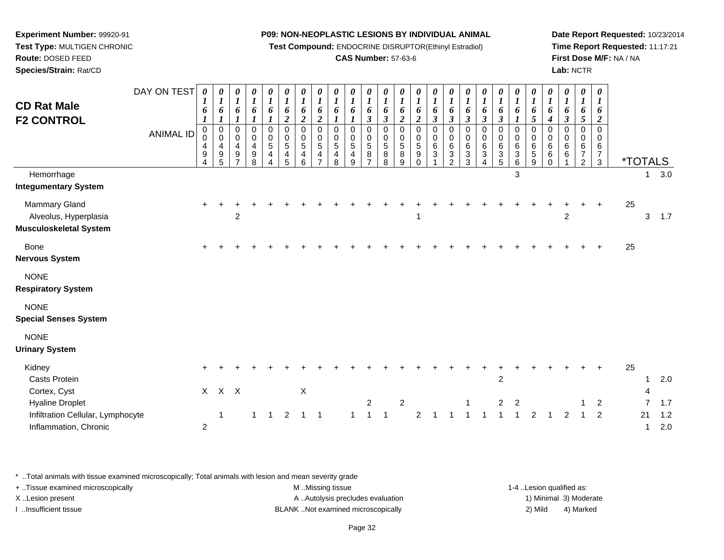**Test Compound:** ENDOCRINE DISRUPTOR(Ethinyl Estradiol)

# **CAS Number:** 57-63-6

**Date Report Requested:** 10/23/2014**Time Report Requested:** 11:17:21**First Dose M/F:** NA / NA**Lab:** NCTR

| <b>CD Rat Male</b><br><b>F2 CONTROL</b><br>Hemorrhage                   | <b>ANIMAL ID</b> | 1<br>6<br>$\boldsymbol{l}$<br>$\mathbf 0$<br>0<br>4<br>$\boldsymbol{9}$<br>4 | $\boldsymbol{l}$<br>6<br>$\boldsymbol{l}$<br>$_{\rm 0}^{\rm 0}$<br>$\overline{4}$<br>$\boldsymbol{9}$<br>5 | $\boldsymbol{l}$<br>6<br>0<br>0<br>4<br>$\boldsymbol{9}$<br>7 | $\boldsymbol{l}$<br>6<br>$\boldsymbol{l}$<br>$\pmb{0}$<br>$\pmb{0}$<br>4<br>$\boldsymbol{9}$<br>$\,8\,$ | $\boldsymbol{l}$<br>6<br>1<br>$\mathbf 0$<br>$\mathbf 0$<br>$\sqrt{5}$<br>4<br>4 | $\boldsymbol{l}$<br>6<br>$\boldsymbol{2}$<br>$\pmb{0}$<br>$\pmb{0}$<br>$\sqrt{5}$<br>4<br>5 | 1<br>6<br>$\boldsymbol{2}$<br>$\mathbf 0$<br>0<br>5<br>4<br>6 | $\boldsymbol{l}$<br>6<br>$\boldsymbol{2}$<br>$\mathbf 0$<br>0<br>$\sqrt{5}$<br>4 | $\boldsymbol{l}$<br>6<br>1<br>$\Omega$<br>$\mathbf 0$<br>5<br>4<br>8 | $\boldsymbol{l}$<br>6<br>$\pmb{0}$<br>$\pmb{0}$<br>$\overline{5}$<br>4<br>9 | $\boldsymbol{l}$<br>6<br>$\boldsymbol{\beta}$<br>$\mathbf 0$<br>0<br>5<br>8<br>7 | 0<br>$\boldsymbol{l}$<br>6<br>$\boldsymbol{\beta}$<br>$\mathbf 0$<br>$\pmb{0}$<br>$\sqrt{5}$<br>8<br>8 | 0<br>$\boldsymbol{l}$<br>6<br>$\boldsymbol{2}$<br>$\mathbf 0$<br>$\pmb{0}$<br>$\sqrt{5}$<br>8<br>9 | 0<br>$\boldsymbol{l}$<br>6<br>$\boldsymbol{2}$<br>$\pmb{0}$<br>$\pmb{0}$<br>$\overline{5}$<br>$\boldsymbol{9}$<br>$\mathbf 0$ | $\boldsymbol{\theta}$<br>$\boldsymbol{l}$<br>6<br>$\boldsymbol{\beta}$<br>0<br>0<br>$\,6\,$<br>$\mathbf{3}$ | $\boldsymbol{l}$<br>6<br>$\boldsymbol{\beta}$<br>0<br>0<br>$\,6\,$<br>$\mathbf 3$<br>$\overline{c}$ | $\boldsymbol{l}$<br>6<br>$\boldsymbol{\beta}$<br>$\mathbf 0$<br>0<br>$\,6\,$<br>$\sqrt{3}$<br>3 | 0<br>$\boldsymbol{l}$<br>6<br>$\boldsymbol{\mathfrak{z}}$<br>$\pmb{0}$<br>$\pmb{0}$<br>$\overline{6}$<br>3<br>$\overline{4}$ | 0<br>$\boldsymbol{l}$<br>6<br>$\mathfrak{z}$<br>0<br>$\pmb{0}$<br>$\,6\,$<br>$\overline{3}$<br>$\overline{5}$ | 0<br>$\boldsymbol{l}$<br>6<br>$\boldsymbol{l}$<br>0<br>$\pmb{0}$<br>6<br>$\overline{3}$<br>6<br>3 | 0<br>$\boldsymbol{l}$<br>6<br>5<br>$\pmb{0}$<br>$\pmb{0}$<br>$\,6\,$<br>$\sqrt{5}$<br>9 | 0<br>$\boldsymbol{l}$<br>6<br>$\boldsymbol{4}$<br>$\mathbf 0$<br>0<br>6<br>6<br>$\mathbf 0$ | $\boldsymbol{\theta}$<br>$\boldsymbol{l}$<br>6<br>$\boldsymbol{\beta}$<br>0<br>0<br>$\,6$<br>6 | 0<br>$\boldsymbol{l}$<br>6<br>5<br>0<br>0<br>6<br>$\overline{7}$<br>$\overline{c}$ | $\boldsymbol{\theta}$<br>$\boldsymbol{\mathit{1}}$<br>6<br>$\boldsymbol{2}$<br>$\Omega$<br>$\Omega$<br>6<br>7<br>3 |    | <i><b>*TOTALS</b></i><br>1 | 3.0        |
|-------------------------------------------------------------------------|------------------|------------------------------------------------------------------------------|------------------------------------------------------------------------------------------------------------|---------------------------------------------------------------|---------------------------------------------------------------------------------------------------------|----------------------------------------------------------------------------------|---------------------------------------------------------------------------------------------|---------------------------------------------------------------|----------------------------------------------------------------------------------|----------------------------------------------------------------------|-----------------------------------------------------------------------------|----------------------------------------------------------------------------------|--------------------------------------------------------------------------------------------------------|----------------------------------------------------------------------------------------------------|-------------------------------------------------------------------------------------------------------------------------------|-------------------------------------------------------------------------------------------------------------|-----------------------------------------------------------------------------------------------------|-------------------------------------------------------------------------------------------------|------------------------------------------------------------------------------------------------------------------------------|---------------------------------------------------------------------------------------------------------------|---------------------------------------------------------------------------------------------------|-----------------------------------------------------------------------------------------|---------------------------------------------------------------------------------------------|------------------------------------------------------------------------------------------------|------------------------------------------------------------------------------------|--------------------------------------------------------------------------------------------------------------------|----|----------------------------|------------|
| <b>Integumentary System</b>                                             |                  |                                                                              |                                                                                                            |                                                               |                                                                                                         |                                                                                  |                                                                                             |                                                               |                                                                                  |                                                                      |                                                                             |                                                                                  |                                                                                                        |                                                                                                    |                                                                                                                               |                                                                                                             |                                                                                                     |                                                                                                 |                                                                                                                              |                                                                                                               |                                                                                                   |                                                                                         |                                                                                             |                                                                                                |                                                                                    |                                                                                                                    |    |                            |            |
| <b>Mammary Gland</b><br>Alveolus, Hyperplasia<br>Musculoskeletal System |                  |                                                                              |                                                                                                            | $\overline{c}$                                                |                                                                                                         |                                                                                  |                                                                                             |                                                               |                                                                                  |                                                                      |                                                                             |                                                                                  |                                                                                                        |                                                                                                    | 1                                                                                                                             |                                                                                                             |                                                                                                     |                                                                                                 |                                                                                                                              |                                                                                                               |                                                                                                   |                                                                                         |                                                                                             | $\overline{2}$                                                                                 |                                                                                    |                                                                                                                    | 25 | 3                          | 1.7        |
| <b>Bone</b><br>Nervous System                                           |                  |                                                                              |                                                                                                            |                                                               |                                                                                                         |                                                                                  |                                                                                             |                                                               |                                                                                  |                                                                      |                                                                             |                                                                                  |                                                                                                        |                                                                                                    |                                                                                                                               |                                                                                                             |                                                                                                     |                                                                                                 |                                                                                                                              |                                                                                                               |                                                                                                   |                                                                                         |                                                                                             |                                                                                                |                                                                                    |                                                                                                                    | 25 |                            |            |
| <b>NONE</b><br><b>Respiratory System</b>                                |                  |                                                                              |                                                                                                            |                                                               |                                                                                                         |                                                                                  |                                                                                             |                                                               |                                                                                  |                                                                      |                                                                             |                                                                                  |                                                                                                        |                                                                                                    |                                                                                                                               |                                                                                                             |                                                                                                     |                                                                                                 |                                                                                                                              |                                                                                                               |                                                                                                   |                                                                                         |                                                                                             |                                                                                                |                                                                                    |                                                                                                                    |    |                            |            |
| <b>NONE</b><br><b>Special Senses System</b>                             |                  |                                                                              |                                                                                                            |                                                               |                                                                                                         |                                                                                  |                                                                                             |                                                               |                                                                                  |                                                                      |                                                                             |                                                                                  |                                                                                                        |                                                                                                    |                                                                                                                               |                                                                                                             |                                                                                                     |                                                                                                 |                                                                                                                              |                                                                                                               |                                                                                                   |                                                                                         |                                                                                             |                                                                                                |                                                                                    |                                                                                                                    |    |                            |            |
| <b>NONE</b><br><b>Urinary System</b>                                    |                  |                                                                              |                                                                                                            |                                                               |                                                                                                         |                                                                                  |                                                                                             |                                                               |                                                                                  |                                                                      |                                                                             |                                                                                  |                                                                                                        |                                                                                                    |                                                                                                                               |                                                                                                             |                                                                                                     |                                                                                                 |                                                                                                                              |                                                                                                               |                                                                                                   |                                                                                         |                                                                                             |                                                                                                |                                                                                    |                                                                                                                    |    |                            |            |
| Kidney<br><b>Casts Protein</b>                                          |                  |                                                                              |                                                                                                            |                                                               |                                                                                                         |                                                                                  |                                                                                             |                                                               |                                                                                  |                                                                      |                                                                             |                                                                                  |                                                                                                        |                                                                                                    |                                                                                                                               |                                                                                                             |                                                                                                     |                                                                                                 |                                                                                                                              | $\overline{2}$                                                                                                |                                                                                                   |                                                                                         |                                                                                             |                                                                                                |                                                                                    |                                                                                                                    | 25 | -1                         | 2.0        |
| Cortex, Cyst<br><b>Hyaline Droplet</b>                                  |                  | $\mathsf{X}$                                                                 | $X$ $X$                                                                                                    |                                                               |                                                                                                         |                                                                                  |                                                                                             | $\boldsymbol{\mathsf{X}}$                                     |                                                                                  |                                                                      |                                                                             | $\overline{c}$                                                                   |                                                                                                        | 2                                                                                                  |                                                                                                                               |                                                                                                             |                                                                                                     |                                                                                                 |                                                                                                                              | 2                                                                                                             | $\overline{2}$                                                                                    |                                                                                         |                                                                                             |                                                                                                |                                                                                    | $\overline{2}$                                                                                                     |    | 4<br>$\overline{7}$        | 1.7        |
| Infiltration Cellular, Lymphocyte<br>Inflammation, Chronic              |                  | $\overline{c}$                                                               | $\mathbf 1$                                                                                                |                                                               | $\mathbf{1}$                                                                                            | $\mathbf{1}$                                                                     | 2                                                                                           | $\mathbf{1}$                                                  | $\overline{1}$                                                                   |                                                                      | $\mathbf{1}$                                                                | $\mathbf{1}$                                                                     | $\overline{1}$                                                                                         |                                                                                                    | $\overline{c}$                                                                                                                | 1                                                                                                           |                                                                                                     | 1                                                                                               | $\overline{1}$                                                                                                               | $\mathbf 1$                                                                                                   | $\mathbf{1}$                                                                                      | $\overline{2}$                                                                          | $\overline{1}$                                                                              | $\overline{c}$                                                                                 | $\mathbf 1$                                                                        | $\overline{2}$                                                                                                     |    | 21<br>-1                   | 1.2<br>2.0 |

\* ..Total animals with tissue examined microscopically; Total animals with lesion and mean severity grade

**Experiment Number:** 99920-91**Test Type:** MULTIGEN CHRONIC

| + Tissue examined microscopically | M Missing tissue                   | 1-4 Lesion qualified as: |                        |
|-----------------------------------|------------------------------------|--------------------------|------------------------|
| X Lesion present                  | A Autolysis precludes evaluation   |                          | 1) Minimal 3) Moderate |
| Insufficient tissue               | BLANK Not examined microscopically | 2) Mild                  | 4) Marked              |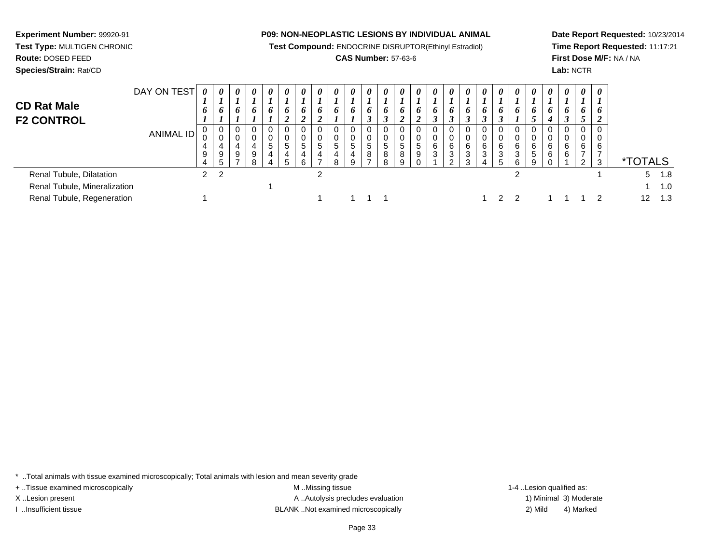**Experiment Number:** 99920-91 **Test Type:** MULTIGEN CHRONIC**Route:** DOSED FEED**Species/Strain:** Rat/CD

#### **P09: NON-NEOPLASTIC LESIONS BY INDIVIDUAL ANIMAL**

**Test Compound:** ENDOCRINE DISRUPTOR(Ethinyl Estradiol)

# **CAS Number:** 57-63-6

**Date Report Requested:** 10/23/2014**Time Report Requested:** 11:17:21**First Dose M/F:** NA / NA**Lab:** NCTR

| <b>CD Rat Male</b><br><b>F2 CONTROL</b> | DAY ON TEST | $\boldsymbol{\theta}$<br>6 | $\boldsymbol{\theta}$<br>6<br>$\mathbf 0$ | $\boldsymbol{\theta}$<br>6<br>0 | $\boldsymbol{\theta}$<br>6<br>$\mathbf 0$ | $\boldsymbol{\theta}$<br>6<br>0 | $\boldsymbol{\theta}$<br>6<br>◢<br>0 | $\boldsymbol{\theta}$<br>6 | 0<br>6<br>◠<br>$\overline{ }$<br>0 | $\boldsymbol{\theta}$<br>6<br>0 | 0<br>6      | 0<br>O      | 0<br>6           | 0<br>6<br>$\mathbf{\hat{}}$ | 0<br>o<br>ി | 0<br>o      | 0<br>O<br>J<br>0 | $\boldsymbol{\theta}$<br>6<br>3 | 0<br>6<br>3<br>0         | $\boldsymbol{\theta}$<br>6<br>0 | $\boldsymbol{\theta}$<br>6 | $\boldsymbol{\theta}$<br>o | $\boldsymbol{\theta}$<br>0 | 0<br>0      | $\boldsymbol{\theta}$<br>o | $\boldsymbol{\theta}$<br>o |                       |     |
|-----------------------------------------|-------------|----------------------------|-------------------------------------------|---------------------------------|-------------------------------------------|---------------------------------|--------------------------------------|----------------------------|------------------------------------|---------------------------------|-------------|-------------|------------------|-----------------------------|-------------|-------------|------------------|---------------------------------|--------------------------|---------------------------------|----------------------------|----------------------------|----------------------------|-------------|----------------------------|----------------------------|-----------------------|-----|
|                                         | ANIMAL ID   | 4<br>9<br>4                | $\sim$<br>4<br>9<br>5                     | $\mathsf 0$<br>4<br>9           | $\mathbf 0$<br>4<br>9<br>8                | 0<br>5<br>4                     | 0<br>5<br>4<br>5                     | 5<br>ĥ                     | 0<br>5<br>4                        | 0<br>5<br>4<br>8                | 0<br>5<br>q | 0<br>5<br>8 | 0<br>5<br>8<br>8 | 0<br>5<br>8<br>9            | U<br>5<br>9 | 0<br>6<br>3 | 0<br>6<br>3<br>ົ | 0<br>6<br>3                     | 0<br>6<br>$\overline{3}$ | 0<br>6<br>3<br>5                | 0<br>6<br>3<br>6           | 0<br>6<br>5<br>9           | 0<br>6<br>6                | 0<br>6<br>6 | 0<br>6<br>ົ                | 0<br>6<br>3                | <i><b>*TOTALS</b></i> |     |
| Renal Tubule, Dilatation                |             | $\overline{2}$             | $\overline{2}$                            |                                 |                                           |                                 |                                      |                            | $\overline{2}$                     |                                 |             |             |                  |                             |             |             |                  |                                 |                          |                                 | ົ                          |                            |                            |             |                            |                            | 5                     | 1.8 |
| Renal Tubule, Mineralization            |             |                            |                                           |                                 |                                           |                                 |                                      |                            |                                    |                                 |             |             |                  |                             |             |             |                  |                                 |                          |                                 |                            |                            |                            |             |                            |                            |                       | 1.0 |
| Renal Tubule, Regeneration              |             |                            |                                           |                                 |                                           |                                 |                                      |                            |                                    |                                 |             |             |                  |                             |             |             |                  |                                 |                          | 2 <sub>2</sub>                  |                            |                            |                            |             |                            |                            | $12 \overline{ }$     | 1.3 |

\* ..Total animals with tissue examined microscopically; Total animals with lesion and mean severity grade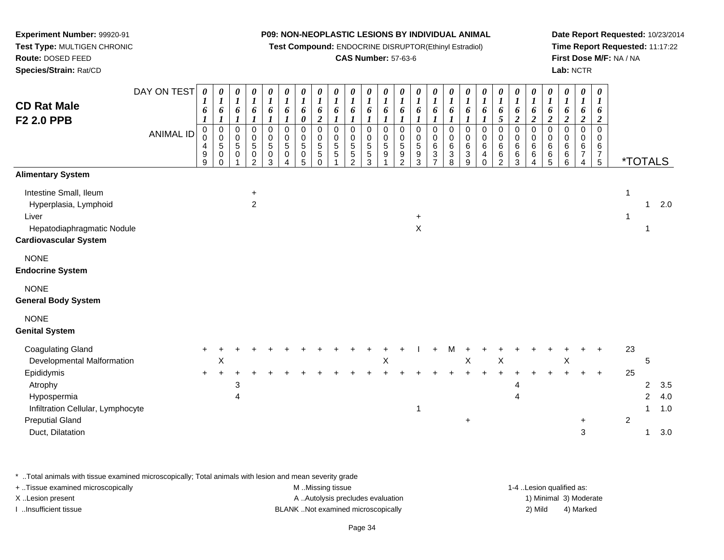**Test Compound:** ENDOCRINE DISRUPTOR(Ethinyl Estradiol)

# **CAS Number:** 57-63-6

**Date Report Requested:** 10/23/2014**Time Report Requested:** 11:17:22**First Dose M/F:** NA / NA**Lab:** NCTR

| <b>CD Rat Male</b><br>F2 2.0 PPB                                                                                       | DAY ON TEST<br><b>ANIMAL ID</b> | 6<br>0<br>4<br>9<br>9 | 0<br>6<br>$\begin{matrix} 0 \\ 0 \end{matrix}$<br>$\sqrt{5}$<br>$\pmb{0}$<br>$\Omega$ | 0<br>$\boldsymbol{l}$<br>6<br>0<br>$\mathsf 0$<br>$5\phantom{.0}$<br>0 | $\pmb{\theta}$<br>$\boldsymbol{l}$<br>6<br>$\pmb{0}$<br>$\pmb{0}$<br>$\sqrt{5}$<br>$\pmb{0}$<br>$\overline{2}$ | $\boldsymbol{\theta}$<br>$\boldsymbol{I}$<br>6<br>$\pmb{0}$<br>$\pmb{0}$<br>5<br>$\,0\,$<br>3 | 0<br>$\boldsymbol{l}$<br>6<br>0<br>0<br>$\sqrt{5}$<br>0 | 0<br>$\boldsymbol{l}$<br>6<br>$\boldsymbol{\theta}$<br>$\mathbf 0$<br>$\Omega$<br>5<br>$\pmb{0}$<br>5 | 0<br>$\boldsymbol{l}$<br>6<br>$\boldsymbol{2}$<br>$\mathbf 0$<br>$\Omega$<br>5<br>5<br>$\Omega$ | 0<br>$\boldsymbol{l}$<br>6<br>$\pmb{0}$<br>$\pmb{0}$<br>$\,$ 5 $\,$<br>$\,$ 5 $\,$ | $\frac{\theta}{I}$<br>6<br>0<br>$\begin{array}{c} 0 \\ 5 \end{array}$<br>5<br>$\mathcal{P}$ | $\pmb{\theta}$<br>$\boldsymbol{l}$<br>6<br>0<br>$\pmb{0}$<br>$\,$ 5 $\,$<br>$\sqrt{5}$<br>3 | $\boldsymbol{\theta}$<br>$\boldsymbol{l}$<br>6<br>$\pmb{0}$<br>$\mathbf 0$<br>$\sqrt{5}$<br>9 | 0<br>$\boldsymbol{l}$<br>6<br>$\pmb{0}$<br>0<br>$\sqrt{5}$<br>$\boldsymbol{9}$<br>2 | 0<br>$\boldsymbol{l}$<br>6<br>$\pmb{0}$<br>0<br>$\sqrt{5}$<br>9<br>3 | 0<br>$\boldsymbol{l}$<br>6<br>$\boldsymbol{l}$<br>$\mathbf 0$<br>$\pmb{0}$<br>$\,6$<br>$\ensuremath{\mathsf{3}}$<br>$\overline{7}$ | $\boldsymbol{\theta}$<br>$\boldsymbol{l}$<br>6<br>$\mathbf 0$<br>$\pmb{0}$<br>$\,6\,$<br>$\ensuremath{\mathsf{3}}$<br>8 | $\begin{matrix} 0 \\ 1 \end{matrix}$<br>6<br>$\pmb{0}$<br>0<br>$\,6\,$<br>$\mathbf{3}$<br>9 | $\pmb{\theta}$<br>$\boldsymbol{l}$<br>6<br>0<br>$\pmb{0}$<br>$\,6\,$<br>$\overline{\mathbf{4}}$<br>$\mathbf 0$ | 0<br>$\boldsymbol{l}$<br>6<br>$\sqrt{5}$<br>$\mathsf 0$<br>0<br>$\,6\,$<br>$\,6$<br>2 | 0<br>$\boldsymbol{l}$<br>6<br>$\boldsymbol{2}$<br>$\mathsf 0$<br>$\Omega$<br>6<br>$\,6$<br>3 | 0<br>$\bm{l}$<br>6<br>$\boldsymbol{2}$<br>$\pmb{0}$<br>$\Omega$<br>6<br>6<br>4 | 0<br>$\boldsymbol{l}$<br>6<br>$\boldsymbol{2}$<br>$\mathbf 0$<br>$\Omega$<br>6<br>$\,6\,$<br>5 | $\pmb{\theta}$<br>$\boldsymbol{l}$<br>6<br>$\boldsymbol{2}$<br>$\mathsf 0$<br>$\mathbf 0$<br>$\,6$<br>6<br>6 | 0<br>$\boldsymbol{l}$<br>6<br>$\overline{c}$<br>0<br>$\pmb{0}$<br>$\,6$<br>$\boldsymbol{7}$<br>4 | 0<br>$\boldsymbol{l}$<br>6<br>$\boldsymbol{2}$<br>0<br>0<br>6<br>$\begin{array}{c} 7 \\ 5 \end{array}$ | <i><b>*TOTALS</b></i> |                                       |                   |
|------------------------------------------------------------------------------------------------------------------------|---------------------------------|-----------------------|---------------------------------------------------------------------------------------|------------------------------------------------------------------------|----------------------------------------------------------------------------------------------------------------|-----------------------------------------------------------------------------------------------|---------------------------------------------------------|-------------------------------------------------------------------------------------------------------|-------------------------------------------------------------------------------------------------|------------------------------------------------------------------------------------|---------------------------------------------------------------------------------------------|---------------------------------------------------------------------------------------------|-----------------------------------------------------------------------------------------------|-------------------------------------------------------------------------------------|----------------------------------------------------------------------|------------------------------------------------------------------------------------------------------------------------------------|-------------------------------------------------------------------------------------------------------------------------|---------------------------------------------------------------------------------------------|----------------------------------------------------------------------------------------------------------------|---------------------------------------------------------------------------------------|----------------------------------------------------------------------------------------------|--------------------------------------------------------------------------------|------------------------------------------------------------------------------------------------|--------------------------------------------------------------------------------------------------------------|--------------------------------------------------------------------------------------------------|--------------------------------------------------------------------------------------------------------|-----------------------|---------------------------------------|-------------------|
| <b>Alimentary System</b>                                                                                               |                                 |                       |                                                                                       |                                                                        |                                                                                                                |                                                                                               |                                                         |                                                                                                       |                                                                                                 |                                                                                    |                                                                                             |                                                                                             |                                                                                               |                                                                                     |                                                                      |                                                                                                                                    |                                                                                                                         |                                                                                             |                                                                                                                |                                                                                       |                                                                                              |                                                                                |                                                                                                |                                                                                                              |                                                                                                  |                                                                                                        |                       |                                       |                   |
| Intestine Small, Ileum<br>Hyperplasia, Lymphoid<br>Liver<br>Hepatodiaphragmatic Nodule<br><b>Cardiovascular System</b> |                                 |                       |                                                                                       |                                                                        | $\ddot{}$<br>$\boldsymbol{2}$                                                                                  |                                                                                               |                                                         |                                                                                                       |                                                                                                 |                                                                                    |                                                                                             |                                                                                             |                                                                                               |                                                                                     | $\ddot{}$<br>$\mathsf X$                                             |                                                                                                                                    |                                                                                                                         |                                                                                             |                                                                                                                |                                                                                       |                                                                                              |                                                                                |                                                                                                |                                                                                                              |                                                                                                  |                                                                                                        | 1<br>$\mathbf{1}$     | 1                                     | 2.0               |
| <b>NONE</b><br><b>Endocrine System</b>                                                                                 |                                 |                       |                                                                                       |                                                                        |                                                                                                                |                                                                                               |                                                         |                                                                                                       |                                                                                                 |                                                                                    |                                                                                             |                                                                                             |                                                                                               |                                                                                     |                                                                      |                                                                                                                                    |                                                                                                                         |                                                                                             |                                                                                                                |                                                                                       |                                                                                              |                                                                                |                                                                                                |                                                                                                              |                                                                                                  |                                                                                                        |                       |                                       |                   |
| <b>NONE</b><br><b>General Body System</b>                                                                              |                                 |                       |                                                                                       |                                                                        |                                                                                                                |                                                                                               |                                                         |                                                                                                       |                                                                                                 |                                                                                    |                                                                                             |                                                                                             |                                                                                               |                                                                                     |                                                                      |                                                                                                                                    |                                                                                                                         |                                                                                             |                                                                                                                |                                                                                       |                                                                                              |                                                                                |                                                                                                |                                                                                                              |                                                                                                  |                                                                                                        |                       |                                       |                   |
| <b>NONE</b>                                                                                                            |                                 |                       |                                                                                       |                                                                        |                                                                                                                |                                                                                               |                                                         |                                                                                                       |                                                                                                 |                                                                                    |                                                                                             |                                                                                             |                                                                                               |                                                                                     |                                                                      |                                                                                                                                    |                                                                                                                         |                                                                                             |                                                                                                                |                                                                                       |                                                                                              |                                                                                |                                                                                                |                                                                                                              |                                                                                                  |                                                                                                        |                       |                                       |                   |
| <b>Genital System</b>                                                                                                  |                                 |                       |                                                                                       |                                                                        |                                                                                                                |                                                                                               |                                                         |                                                                                                       |                                                                                                 |                                                                                    |                                                                                             |                                                                                             |                                                                                               |                                                                                     |                                                                      |                                                                                                                                    |                                                                                                                         |                                                                                             |                                                                                                                |                                                                                       |                                                                                              |                                                                                |                                                                                                |                                                                                                              |                                                                                                  |                                                                                                        |                       |                                       |                   |
| <b>Coagulating Gland</b><br>Developmental Malformation<br>Epididymis                                                   |                                 |                       | X                                                                                     |                                                                        |                                                                                                                |                                                                                               |                                                         |                                                                                                       |                                                                                                 |                                                                                    |                                                                                             |                                                                                             | Χ                                                                                             |                                                                                     |                                                                      |                                                                                                                                    |                                                                                                                         | X                                                                                           |                                                                                                                | X                                                                                     |                                                                                              |                                                                                |                                                                                                | X                                                                                                            |                                                                                                  | $\ddot{}$                                                                                              | 23<br>25              | 5                                     |                   |
| Atrophy<br>Hypospermia<br>Infiltration Cellular, Lymphocyte                                                            |                                 |                       |                                                                                       | 3<br>4                                                                 |                                                                                                                |                                                                                               |                                                         |                                                                                                       |                                                                                                 |                                                                                    |                                                                                             |                                                                                             |                                                                                               |                                                                                     | 1                                                                    |                                                                                                                                    |                                                                                                                         |                                                                                             |                                                                                                                |                                                                                       | 4<br>$\overline{4}$                                                                          |                                                                                |                                                                                                |                                                                                                              |                                                                                                  |                                                                                                        |                       | $\overline{2}$<br>$\overline{c}$<br>1 | 3.5<br>4.0<br>1.0 |
| <b>Preputial Gland</b><br>Duct, Dilatation                                                                             |                                 |                       |                                                                                       |                                                                        |                                                                                                                |                                                                                               |                                                         |                                                                                                       |                                                                                                 |                                                                                    |                                                                                             |                                                                                             |                                                                                               |                                                                                     |                                                                      |                                                                                                                                    |                                                                                                                         | $\ddot{}$                                                                                   |                                                                                                                |                                                                                       |                                                                                              |                                                                                |                                                                                                |                                                                                                              | +<br>3                                                                                           |                                                                                                        | $\overline{c}$        | 1                                     | 3.0               |

\* ..Total animals with tissue examined microscopically; Total animals with lesion and mean severity grade

**Experiment Number:** 99920-91**Test Type:** MULTIGEN CHRONIC

**Route:** DOSED FEED**Species/Strain:** Rat/CD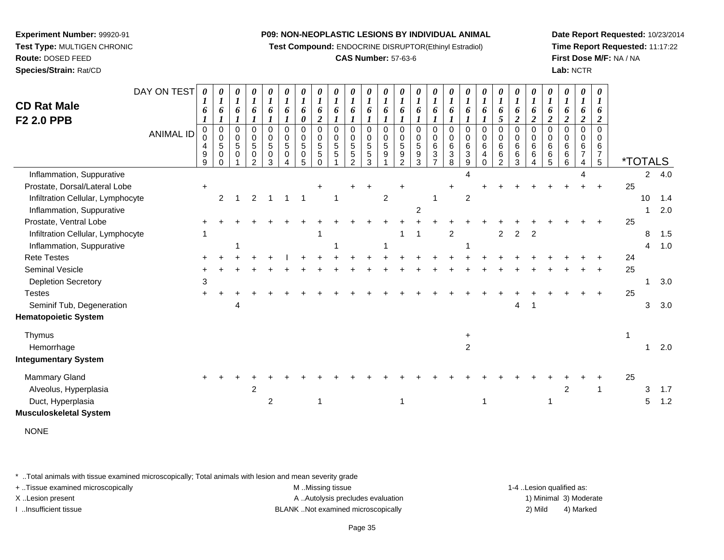**Test Compound:** ENDOCRINE DISRUPTOR(Ethinyl Estradiol)

# **CAS Number:** 57-63-6

**Date Report Requested:** 10/23/2014**Time Report Requested:** 11:17:22**First Dose M/F:** NA / NA**Lab:** NCTR

| <b>CD Rat Male</b><br>F2 2.0 PPB                                                             | DAY ON TEST      | 0<br>6                          | 0<br>1<br>6                | 0<br>1<br>6                         | 0<br>$\boldsymbol{l}$<br>6                                       | 0<br>$\boldsymbol{l}$<br>6               | 0<br>$\boldsymbol{l}$<br>6           | $\boldsymbol{\theta}$<br>$\boldsymbol{l}$<br>6<br>0      | 0<br>$\boldsymbol{l}$<br>6<br>$\boldsymbol{2}$   | 0<br>$\boldsymbol{l}$<br>6 | 0<br>$\boldsymbol{l}$<br>6                            | 0<br>$\boldsymbol{l}$<br>6                                    | 0<br>1<br>6             | 0<br>$\boldsymbol{l}$<br>6                                   | 0<br>$\boldsymbol{l}$<br>6                      | 0<br>$\boldsymbol{l}$<br>6                                   | 0<br>$\boldsymbol{l}$<br>6 | 0<br>$\boldsymbol{l}$<br>6<br>$\boldsymbol{l}$ | $\boldsymbol{l}$<br>6 | 0<br>$\boldsymbol{l}$<br>6<br>5 | 0<br>$\boldsymbol{l}$<br>6<br>$\overline{c}$ | 0<br>$\boldsymbol{l}$<br>6<br>$\overline{\mathbf{c}}$ | 0<br>1<br>6<br>$\overline{2}$   | 0<br>$\boldsymbol{I}$<br>6<br>$\overline{2}$ | 0<br>1<br>6<br>$\overline{2}$ | 0<br>6<br>2                  |    |                       |            |
|----------------------------------------------------------------------------------------------|------------------|---------------------------------|----------------------------|-------------------------------------|------------------------------------------------------------------|------------------------------------------|--------------------------------------|----------------------------------------------------------|--------------------------------------------------|----------------------------|-------------------------------------------------------|---------------------------------------------------------------|-------------------------|--------------------------------------------------------------|-------------------------------------------------|--------------------------------------------------------------|----------------------------|------------------------------------------------|-----------------------|---------------------------------|----------------------------------------------|-------------------------------------------------------|---------------------------------|----------------------------------------------|-------------------------------|------------------------------|----|-----------------------|------------|
|                                                                                              | <b>ANIMAL ID</b> | $\mathbf 0$<br>0<br>4<br>9<br>9 | $\mathbf 0$<br>0<br>5<br>0 | $\mathbf 0$<br>0<br>$\sqrt{5}$<br>0 | $\mathbf 0$<br>$\mathbf 0$<br>$\,$ 5 $\,$<br>0<br>$\mathfrak{p}$ | $\mathbf 0$<br>0<br>$\sqrt{5}$<br>0<br>3 | $\mathbf 0$<br>$\mathbf 0$<br>5<br>0 | $\mathbf 0$<br>$\pmb{0}$<br>$\sqrt{5}$<br>$\pmb{0}$<br>5 | $\mathbf 0$<br>$\mathbf 0$<br>5<br>5<br>$\Omega$ | $\Omega$<br>0<br>5<br>5    | $\mathbf 0$<br>0<br>5<br>$\mathbf 5$<br>$\mathcal{D}$ | $\mathbf 0$<br>$\pmb{0}$<br>$\sqrt{5}$<br>$\overline{5}$<br>3 | $\Omega$<br>0<br>5<br>9 | $\Omega$<br>$\mathbf 0$<br>$\sqrt{5}$<br>9<br>$\overline{2}$ | $\Omega$<br>$\mathbf 0$<br>$\sqrt{5}$<br>9<br>3 | $\Omega$<br>$\mathbf 0$<br>6<br>$\sqrt{3}$<br>$\overline{ }$ | 0<br>0<br>6<br>3<br>8      | 0<br>0<br>6<br>$\sqrt{3}$<br>9                 | $\Omega$<br>0<br>6    | 0<br>0<br>6<br>6<br>2           | 0<br>$\pmb{0}$<br>$\,6$<br>6<br>3            | $\mathbf 0$<br>0<br>6<br>6<br>4                       | $\mathbf 0$<br>0<br>6<br>6<br>5 | $\Omega$<br>0<br>6<br>6<br>6                 | $\Omega$<br>0<br>6            | $\Omega$<br>0<br>6<br>7<br>5 |    | <i><b>*TOTALS</b></i> |            |
| Inflammation, Suppurative<br>Prostate, Dorsal/Lateral Lobe                                   |                  | $+$                             |                            |                                     |                                                                  |                                          |                                      |                                                          |                                                  |                            |                                                       |                                                               |                         |                                                              |                                                 |                                                              |                            |                                                |                       |                                 |                                              |                                                       |                                 |                                              |                               |                              | 25 |                       | 2, 4.0     |
| Infiltration Cellular, Lymphocyte<br>Inflammation, Suppurative                               |                  |                                 | $\overline{2}$             |                                     | $\overline{2}$                                                   |                                          |                                      |                                                          |                                                  |                            |                                                       |                                                               | $\overline{c}$          |                                                              | 2                                               |                                                              |                            | $\overline{2}$                                 |                       |                                 |                                              |                                                       |                                 |                                              |                               |                              |    | 10                    | 1.4<br>2.0 |
| Prostate, Ventral Lobe<br>Infiltration Cellular, Lymphocyte                                  |                  |                                 |                            |                                     |                                                                  |                                          |                                      |                                                          |                                                  |                            |                                                       |                                                               |                         |                                                              |                                                 |                                                              | 2                          |                                                |                       | 2                               | $\overline{c}$                               | 2                                                     |                                 |                                              |                               |                              | 25 | 8                     | 1.5        |
| Inflammation, Suppurative<br><b>Rete Testes</b>                                              |                  |                                 |                            |                                     |                                                                  |                                          |                                      |                                                          |                                                  |                            |                                                       |                                                               |                         |                                                              |                                                 |                                                              |                            |                                                |                       |                                 |                                              |                                                       |                                 |                                              |                               |                              | 24 |                       | 1.0        |
| <b>Seminal Vesicle</b><br><b>Depletion Secretory</b>                                         |                  |                                 |                            |                                     |                                                                  |                                          |                                      |                                                          |                                                  |                            |                                                       |                                                               |                         |                                                              |                                                 |                                                              |                            |                                                |                       |                                 |                                              |                                                       |                                 |                                              |                               |                              | 25 |                       | 3.0        |
| <b>Testes</b><br>Seminif Tub, Degeneration<br><b>Hematopoietic System</b>                    |                  |                                 |                            |                                     |                                                                  |                                          |                                      |                                                          |                                                  |                            |                                                       |                                                               |                         |                                                              |                                                 |                                                              |                            |                                                |                       |                                 | Δ                                            |                                                       |                                 |                                              |                               |                              | 25 | 3                     | 3.0        |
| Thymus<br>Hemorrhage<br><b>Integumentary System</b>                                          |                  |                                 |                            |                                     |                                                                  |                                          |                                      |                                                          |                                                  |                            |                                                       |                                                               |                         |                                                              |                                                 |                                                              |                            | $\ddot{}$<br>$\overline{c}$                    |                       |                                 |                                              |                                                       |                                 |                                              |                               |                              |    |                       | 2.0        |
| <b>Mammary Gland</b><br>Alveolus, Hyperplasia<br>Duct, Hyperplasia<br>Musculoskeletal System |                  |                                 |                            |                                     | $\overline{2}$                                                   | $\overline{2}$                           |                                      |                                                          | 1                                                |                            |                                                       |                                                               |                         |                                                              |                                                 |                                                              |                            |                                                |                       |                                 |                                              |                                                       |                                 | 2                                            |                               |                              | 25 | 3<br>5                | 1.7<br>1.2 |
|                                                                                              |                  |                                 |                            |                                     |                                                                  |                                          |                                      |                                                          |                                                  |                            |                                                       |                                                               |                         |                                                              |                                                 |                                                              |                            |                                                |                       |                                 |                                              |                                                       |                                 |                                              |                               |                              |    |                       |            |

NONE

\* ..Total animals with tissue examined microscopically; Total animals with lesion and mean severity grade

**Experiment Number:** 99920-91**Test Type:** MULTIGEN CHRONIC

**Route:** DOSED FEED**Species/Strain:** Rat/CD

+ ..Tissue examined microscopically examined microscopically examined as:  $M$  ..Missing tissue 1-4 ..Lesion qualified as: X..Lesion present **A ..Autolysis precludes evaluation** A ..Autolysis precludes evaluation 1) Minimal 3) Moderate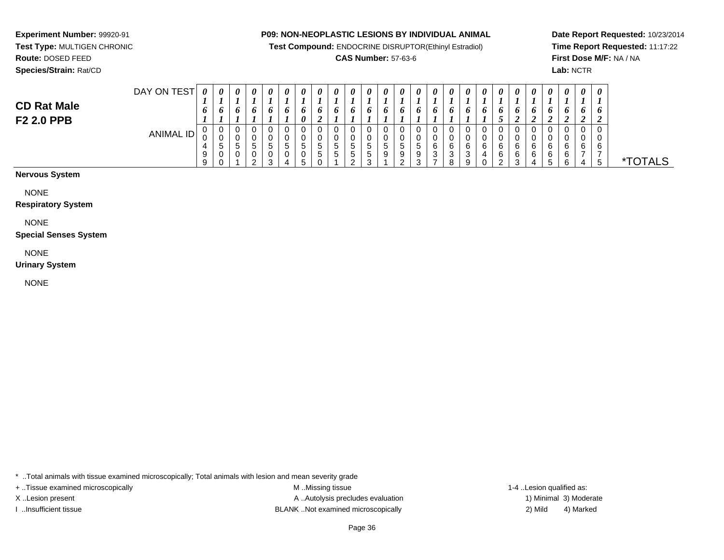**Test Compound:** ENDOCRINE DISRUPTOR(Ethinyl Estradiol)

# **CAS Number:** 57-63-6

**Date Report Requested:** 10/23/2014**Time Report Requested:** 11:17:22**First Dose M/F:** NA / NA**Lab:** NCTR

**Experiment Number:** 99920-91

# **Species/Strain:** Rat/CD

| <b>CD Rat Male</b><br><b>F2 2.0 PPB</b> | DAY ON TEST      | 0<br>$\overline{\phantom{a}}$ | 0<br><b>I</b> | $\boldsymbol{\theta}$<br>o | 0<br>0       | $\boldsymbol{\theta}$<br>o | $\boldsymbol{\theta}$<br>$\bm{o}$ | 0<br>o<br>$\theta$               | 0<br>o<br>◢        | $\boldsymbol{\theta}$ | 0             | 0<br>o  | $\boldsymbol{\theta}$<br>$\bm{o}$ | U<br>$\bm{o}$        | $\theta$<br>o    | $\theta$<br>0         | U      | $\boldsymbol{\theta}$ | 0<br>0 | $\boldsymbol{\theta}$<br>0 | $\boldsymbol{\theta}$<br>$\bm{o}$ | $\theta$<br>$\bm{o}$<br>◢ | $\theta$<br>0<br>◢                            | $\boldsymbol{\theta}$ | 0<br>o<br>$\epsilon$ | $\boldsymbol{\theta}$<br>o |                       |
|-----------------------------------------|------------------|-------------------------------|---------------|----------------------------|--------------|----------------------------|-----------------------------------|----------------------------------|--------------------|-----------------------|---------------|---------|-----------------------------------|----------------------|------------------|-----------------------|--------|-----------------------|--------|----------------------------|-----------------------------------|---------------------------|-----------------------------------------------|-----------------------|----------------------|----------------------------|-----------------------|
|                                         | <b>ANIMAL ID</b> | U<br>C<br>U<br>9<br>a         | ν<br>IJ<br>◡  | 0<br>.5                    | 5.<br>$\sim$ | v<br>U<br>5<br>U<br>2      | ಾ<br>$\overline{a}$               | U<br>0<br><sub>5</sub><br>0<br>u | 0<br>0<br>C.<br>C. | G                     | .5<br>.5<br>ົ | 5<br>b. | v<br>U<br>$5^{\circ}$<br>9        | ಾ<br>9<br>$\epsilon$ | U<br>ა<br>9<br>ີ | 0<br>υ<br>b<br>2<br>ັ | υ<br>J | 6<br>3                | 6      | U<br>6<br>6<br>ົ           | 6<br>6<br>ົ                       | 0<br>0<br>6<br>6          | 0<br>υ<br>6<br>6<br>$\ddot{\phantom{1}}$<br>ີ | $\sim$<br>ຨ<br>⌒      | 6                    | 6<br>D.                    | <i><b>*TOTALS</b></i> |

**Nervous System**

NONE

**Respiratory System**

NONE

**Special Senses System**

NONE

**Urinary System**

NONE

\* ..Total animals with tissue examined microscopically; Total animals with lesion and mean severity grade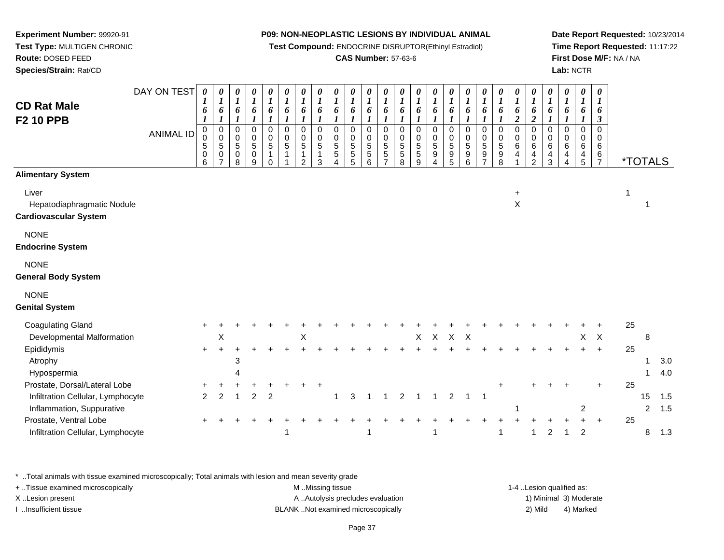**Test Compound:** ENDOCRINE DISRUPTOR(Ethinyl Estradiol)

# **CAS Number:** 57-63-6

**Date Report Requested:** 10/23/2014**Time Report Requested:** 11:17:22**First Dose M/F:** NA / NA**Lab:** NCTR

| <b>CD Rat Male</b><br><b>F2 10 PPB</b><br><b>Alimentary System</b>                              | DAY ON TEST<br><b>ANIMAL ID</b> | $\boldsymbol{\theta}$<br>6<br>$\mathbf 0$<br>$\Omega$<br>$\mathbf 5$<br>$\pmb{0}$<br>6 | 0<br>$\boldsymbol{l}$<br>6<br>$\mathbf 0$<br>$\mathbf 0$<br>5<br>$\pmb{0}$ | 0<br>$\boldsymbol{l}$<br>6<br>0<br>$\mathbf 0$<br>$\sqrt{5}$<br>$\mathbf 0$<br>8 | 0<br>$\boldsymbol{l}$<br>6<br>$\mathbf{I}$<br>$\mathbf 0$<br>$\mathbf 0$<br>5<br>$\mathbf 0$<br>9 | 0<br>$\boldsymbol{l}$<br>6<br>$\pmb{0}$<br>$\pmb{0}$<br>$\,$ 5 $\,$<br>$\mathbf 1$<br>$\Omega$ | 0<br>$\boldsymbol{l}$<br>6<br>$\mathbf 0$<br>$\Omega$<br>$\sqrt{5}$<br>1 | 0<br>$\boldsymbol{l}$<br>6<br>$\mathbf 0$<br>$\Omega$<br>5<br>1<br>$\mathfrak{p}$ | 0<br>6<br>$\mathbf 0$<br>$\Omega$<br>$\,$ 5 $\,$<br>1<br>3 | 0<br>$\boldsymbol{l}$<br>6<br>$\mathbf 0$<br>0<br>5<br>5<br>4 | 0<br>$\boldsymbol{l}$<br>6<br>$\mathbf 0$<br>0<br>$\,$ 5 $\,$<br>$\,$ 5 $\,$<br>5 | 0<br>$\boldsymbol{l}$<br>6<br>$\mathbf{I}$<br>$\mathbf 0$<br>$\mathbf 0$<br>5<br>5<br>6 | 0<br>$\boldsymbol{l}$<br>6<br>$\mathbf{I}$<br>$\pmb{0}$<br>$\pmb{0}$<br>$\,$ 5 $\,$<br>$\,$ 5 $\,$<br>$\overline{7}$ | 0<br>$\boldsymbol{l}$<br>6<br>$\boldsymbol{l}$<br>$\mathbf 0$<br>$\mathbf 0$<br>$\,$ 5 $\,$<br>$\,$ 5 $\,$<br>8 | 0<br>$\boldsymbol{l}$<br>6<br>$\boldsymbol{l}$<br>$\mathbf 0$<br>0<br>$\sqrt{5}$<br>$\mathbf 5$<br>9 | 0<br>6<br>$\mathbf 0$<br>$\mathbf 0$<br>$\mathbf 5$<br>$\boldsymbol{9}$<br>Δ | 0<br>$\boldsymbol{l}$<br>6<br>$\mathbf 0$<br>$\mathbf 0$<br>$\frac{5}{9}$<br>5 | 0<br>$\boldsymbol{l}$<br>6<br>0<br>$\pmb{0}$<br>$\overline{5}$<br>$\boldsymbol{9}$<br>6 | 0<br>$\boldsymbol{l}$<br>6<br>$\mathbf 0$<br>$\mathbf 0$<br>5<br>9<br>7 | 0<br>$\boldsymbol{l}$<br>6<br>$\mathbf{I}$<br>$\pmb{0}$<br>$\pmb{0}$<br>$\,$ 5 $\,$<br>$\boldsymbol{9}$<br>8 | 0<br>$\boldsymbol{l}$<br>6<br>$\boldsymbol{2}$<br>$\mathbf 0$<br>0<br>6<br>$\overline{4}$ | 0<br>$\boldsymbol{l}$<br>6<br>$\boldsymbol{2}$<br>$\mathbf 0$<br>$\Omega$<br>6<br>4<br>$\overline{2}$ | 0<br>6<br>0<br>$\Omega$<br>6<br>4<br>3 | 0<br>$\boldsymbol{l}$<br>6<br>0<br>$\mathbf 0$<br>6<br>4<br>4 | 0<br>$\boldsymbol{l}$<br>6<br>0<br>0<br>$\,6\,$<br>4<br>5 | 0<br>1<br>6<br>$\boldsymbol{\beta}$<br>$\Omega$<br>$\Omega$<br>6<br>6<br>$\overline{7}$ | <i><b>*TOTALS</b></i> |         |            |
|-------------------------------------------------------------------------------------------------|---------------------------------|----------------------------------------------------------------------------------------|----------------------------------------------------------------------------|----------------------------------------------------------------------------------|---------------------------------------------------------------------------------------------------|------------------------------------------------------------------------------------------------|--------------------------------------------------------------------------|-----------------------------------------------------------------------------------|------------------------------------------------------------|---------------------------------------------------------------|-----------------------------------------------------------------------------------|-----------------------------------------------------------------------------------------|----------------------------------------------------------------------------------------------------------------------|-----------------------------------------------------------------------------------------------------------------|------------------------------------------------------------------------------------------------------|------------------------------------------------------------------------------|--------------------------------------------------------------------------------|-----------------------------------------------------------------------------------------|-------------------------------------------------------------------------|--------------------------------------------------------------------------------------------------------------|-------------------------------------------------------------------------------------------|-------------------------------------------------------------------------------------------------------|----------------------------------------|---------------------------------------------------------------|-----------------------------------------------------------|-----------------------------------------------------------------------------------------|-----------------------|---------|------------|
| Liver<br>Hepatodiaphragmatic Nodule<br><b>Cardiovascular System</b>                             |                                 |                                                                                        |                                                                            |                                                                                  |                                                                                                   |                                                                                                |                                                                          |                                                                                   |                                                            |                                                               |                                                                                   |                                                                                         |                                                                                                                      |                                                                                                                 |                                                                                                      |                                                                              |                                                                                |                                                                                         |                                                                         |                                                                                                              | $\ddot{}$<br>$\mathsf X$                                                                  |                                                                                                       |                                        |                                                               |                                                           |                                                                                         |                       |         |            |
| <b>NONE</b><br><b>Endocrine System</b>                                                          |                                 |                                                                                        |                                                                            |                                                                                  |                                                                                                   |                                                                                                |                                                                          |                                                                                   |                                                            |                                                               |                                                                                   |                                                                                         |                                                                                                                      |                                                                                                                 |                                                                                                      |                                                                              |                                                                                |                                                                                         |                                                                         |                                                                                                              |                                                                                           |                                                                                                       |                                        |                                                               |                                                           |                                                                                         |                       |         |            |
| <b>NONE</b><br><b>General Body System</b>                                                       |                                 |                                                                                        |                                                                            |                                                                                  |                                                                                                   |                                                                                                |                                                                          |                                                                                   |                                                            |                                                               |                                                                                   |                                                                                         |                                                                                                                      |                                                                                                                 |                                                                                                      |                                                                              |                                                                                |                                                                                         |                                                                         |                                                                                                              |                                                                                           |                                                                                                       |                                        |                                                               |                                                           |                                                                                         |                       |         |            |
| <b>NONE</b><br><b>Genital System</b>                                                            |                                 |                                                                                        |                                                                            |                                                                                  |                                                                                                   |                                                                                                |                                                                          |                                                                                   |                                                            |                                                               |                                                                                   |                                                                                         |                                                                                                                      |                                                                                                                 |                                                                                                      |                                                                              |                                                                                |                                                                                         |                                                                         |                                                                                                              |                                                                                           |                                                                                                       |                                        |                                                               |                                                           |                                                                                         |                       |         |            |
| <b>Coagulating Gland</b><br>Developmental Malformation                                          |                                 |                                                                                        | Χ                                                                          |                                                                                  |                                                                                                   |                                                                                                |                                                                          | Χ                                                                                 |                                                            |                                                               |                                                                                   |                                                                                         |                                                                                                                      |                                                                                                                 | X                                                                                                    | Χ                                                                            | X                                                                              | $\mathsf{X}$                                                                            |                                                                         |                                                                                                              |                                                                                           |                                                                                                       |                                        |                                                               | Χ                                                         | $\boldsymbol{X}$                                                                        | 25                    | 8       |            |
| Epididymis<br>Atrophy<br>Hypospermia                                                            |                                 |                                                                                        |                                                                            | 3                                                                                |                                                                                                   |                                                                                                |                                                                          |                                                                                   |                                                            |                                                               |                                                                                   |                                                                                         |                                                                                                                      |                                                                                                                 |                                                                                                      |                                                                              |                                                                                |                                                                                         |                                                                         |                                                                                                              |                                                                                           |                                                                                                       |                                        |                                                               |                                                           |                                                                                         | 25                    | 1       | 3.0<br>4.0 |
| Prostate, Dorsal/Lateral Lobe<br>Infiltration Cellular, Lymphocyte<br>Inflammation, Suppurative |                                 | $\overline{2}$                                                                         | $\overline{c}$                                                             |                                                                                  | $\overline{c}$                                                                                    | $\overline{c}$                                                                                 |                                                                          |                                                                                   |                                                            |                                                               | 3                                                                                 |                                                                                         | 1                                                                                                                    | 2                                                                                                               |                                                                                                      | $\overline{1}$                                                               | $\overline{c}$                                                                 | $\mathbf{1}$                                                                            | $\overline{\phantom{0}}$                                                |                                                                                                              |                                                                                           |                                                                                                       |                                        |                                                               | 2                                                         | $\ddot{}$                                                                               | 25                    | 15<br>2 | 1.5<br>1.5 |
| Prostate, Ventral Lobe<br>Infiltration Cellular, Lymphocyte                                     |                                 |                                                                                        |                                                                            |                                                                                  |                                                                                                   |                                                                                                |                                                                          |                                                                                   |                                                            |                                                               |                                                                                   |                                                                                         |                                                                                                                      |                                                                                                                 |                                                                                                      |                                                                              |                                                                                |                                                                                         |                                                                         |                                                                                                              |                                                                                           |                                                                                                       | 2                                      | 1                                                             | $\overline{c}$                                            |                                                                                         | 25                    | 8       | 1.3        |

\* ..Total animals with tissue examined microscopically; Total animals with lesion and mean severity grade

**Experiment Number:** 99920-91**Test Type:** MULTIGEN CHRONIC

| + . Tissue examined microscopically | M Missing tissue                   | 1-4 Lesion qualified as: |                        |
|-------------------------------------|------------------------------------|--------------------------|------------------------|
| X Lesion present                    | A Autolysis precludes evaluation   |                          | 1) Minimal 3) Moderate |
| Insufficient tissue                 | BLANK Not examined microscopically | 2) Mild                  | 4) Marked              |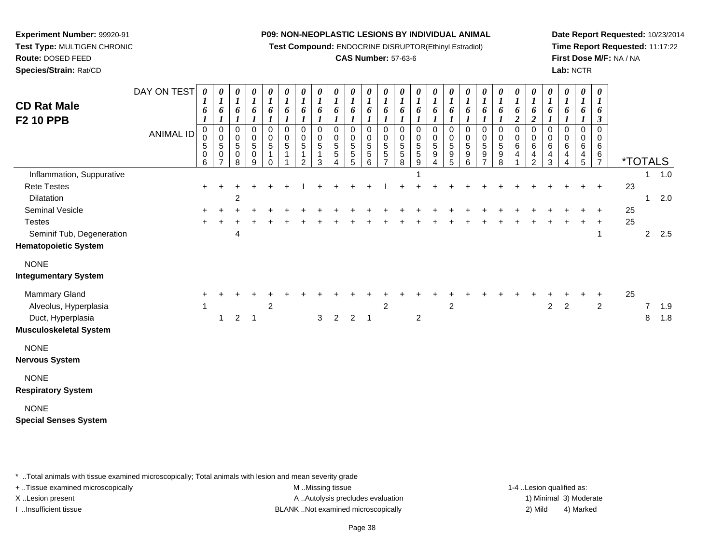**Test Compound:** ENDOCRINE DISRUPTOR(Ethinyl Estradiol)

# **CAS Number:** 57-63-6

**Date Report Requested:** 10/23/2014**Time Report Requested:** 11:17:22**First Dose M/F:** NA / NA**Lab:** NCTR

| <b>CD Rat Male</b><br>F2 10 PPB                                                       | DAY ON TEST<br><b>ANIMAL ID</b> | 0<br>$\boldsymbol{I}$<br>6<br>1<br>$\pmb{0}$<br>0<br>5<br>0<br>6 | 0<br>1<br>6<br>1<br>$\pmb{0}$<br>$\mathbf 0$<br>5<br>0<br>7 | 0<br>$\bm{l}$<br>6<br>1<br>0<br>0<br>$\overline{5}$<br>$\boldsymbol{0}$<br>8 | 0<br>$\boldsymbol{l}$<br>6<br>1<br>0<br>0<br>$\overline{5}$<br>0<br>9 | 0<br>$\boldsymbol{l}$<br>6<br>1<br>0<br>$\boldsymbol{0}$<br>$\overline{5}$<br>1<br>0 | 0<br>$\boldsymbol{l}$<br>6<br>1<br>$\mathbf 0$<br>$\mathbf 0$<br>5<br>1 | 0<br>$\boldsymbol{l}$<br>6<br>0<br>0<br>5<br>$\overline{2}$ | $\boldsymbol{\theta}$<br>1<br>6<br>$\boldsymbol{l}$<br>$\mathbf 0$<br>$\mathbf 0$<br>5<br>1<br>3 | 0<br>1<br>6<br>1<br>$\Omega$<br>0<br>5<br>5 | 0<br>$\boldsymbol{I}$<br>6<br>$\Omega$<br>0<br>5<br>$\,$ 5 $\,$<br>5 | 0<br>$\boldsymbol{l}$<br>6<br>$\mathbf 0$<br>0<br>$\overline{5}$<br>5<br>6 | 0<br>$\boldsymbol{l}$<br>6<br>0<br>$\mathbf 0$<br>$\,$ 5 $\,$<br>$\sqrt{5}$ | 0<br>$\boldsymbol{l}$<br>6<br>0<br>0<br>$\overline{5}$<br>5<br>8 | 0<br>$\boldsymbol{I}$<br>6<br>$\mathbf 0$<br>$\mathbf 0$<br>$\overline{5}$<br>$\sqrt{5}$<br>9 | 0<br>$\bm{l}$<br>6<br>0<br>0<br>5<br>9<br>4 | 0<br>$\boldsymbol{l}$<br>6<br>0<br>$\mathbf 0$<br>5<br>9<br>5 | 0<br>$\boldsymbol{l}$<br>6<br>0<br>0<br>5<br>9<br>6 | 0<br>$\boldsymbol{l}$<br>6<br>$\mathbf 0$<br>5<br>9 | $\boldsymbol{\theta}$<br>$\boldsymbol{l}$<br>6<br>$\pmb{0}$<br>$\begin{array}{c} 0 \\ 5 \\ 9 \end{array}$<br>8 | $\boldsymbol{\theta}$<br>$\boldsymbol{l}$<br>6<br>$\boldsymbol{2}$<br>$\,0\,$<br>$\mathbf 0$<br>$6\phantom{a}$<br>$\overline{4}$ | 0<br>$\boldsymbol{l}$<br>6<br>$\boldsymbol{2}$<br>0<br>$\pmb{0}$<br>6<br>$\overline{\mathbf{4}}$<br>$\overline{c}$ | 0<br>$\boldsymbol{l}$<br>6<br>$\pmb{0}$<br>0<br>6<br>4<br>$\mathbf{3}$ | $\pmb{\theta}$<br>$\boldsymbol{l}$<br>6<br>$\mathbf 0$<br>$\pmb{0}$<br>6<br>4<br>4 | $\boldsymbol{\theta}$<br>$\boldsymbol{l}$<br>6<br>1<br>0<br>0<br>$\,6\,$<br>4<br>5 | $\pmb{\theta}$<br>$\boldsymbol{l}$<br>6<br>$\boldsymbol{\beta}$<br>$\mathbf 0$<br>0<br>6<br>$\,6\,$<br>$\overline{7}$ | <i><b>*TOTALS</b></i> |                |                |
|---------------------------------------------------------------------------------------|---------------------------------|------------------------------------------------------------------|-------------------------------------------------------------|------------------------------------------------------------------------------|-----------------------------------------------------------------------|--------------------------------------------------------------------------------------|-------------------------------------------------------------------------|-------------------------------------------------------------|--------------------------------------------------------------------------------------------------|---------------------------------------------|----------------------------------------------------------------------|----------------------------------------------------------------------------|-----------------------------------------------------------------------------|------------------------------------------------------------------|-----------------------------------------------------------------------------------------------|---------------------------------------------|---------------------------------------------------------------|-----------------------------------------------------|-----------------------------------------------------|----------------------------------------------------------------------------------------------------------------|----------------------------------------------------------------------------------------------------------------------------------|--------------------------------------------------------------------------------------------------------------------|------------------------------------------------------------------------|------------------------------------------------------------------------------------|------------------------------------------------------------------------------------|-----------------------------------------------------------------------------------------------------------------------|-----------------------|----------------|----------------|
| Inflammation, Suppurative                                                             |                                 |                                                                  |                                                             |                                                                              |                                                                       |                                                                                      |                                                                         |                                                             |                                                                                                  |                                             |                                                                      |                                                                            |                                                                             |                                                                  |                                                                                               |                                             |                                                               |                                                     |                                                     |                                                                                                                |                                                                                                                                  |                                                                                                                    |                                                                        |                                                                                    |                                                                                    |                                                                                                                       |                       | $\mathbf{1}$   | 1.0            |
| <b>Rete Testes</b><br><b>Dilatation</b>                                               |                                 | $\ddot{}$                                                        |                                                             | $\overline{2}$                                                               |                                                                       |                                                                                      |                                                                         |                                                             |                                                                                                  |                                             |                                                                      |                                                                            |                                                                             |                                                                  |                                                                                               |                                             |                                                               |                                                     |                                                     |                                                                                                                |                                                                                                                                  |                                                                                                                    |                                                                        |                                                                                    |                                                                                    | $\ddot{}$                                                                                                             | 23                    | $\overline{1}$ | 2.0            |
| Seminal Vesicle                                                                       |                                 |                                                                  |                                                             |                                                                              |                                                                       |                                                                                      |                                                                         |                                                             |                                                                                                  |                                             |                                                                      |                                                                            |                                                                             |                                                                  |                                                                                               |                                             |                                                               |                                                     |                                                     |                                                                                                                |                                                                                                                                  |                                                                                                                    |                                                                        |                                                                                    |                                                                                    |                                                                                                                       | 25                    |                |                |
| <b>Testes</b>                                                                         |                                 |                                                                  |                                                             |                                                                              |                                                                       |                                                                                      |                                                                         |                                                             |                                                                                                  |                                             |                                                                      |                                                                            |                                                                             |                                                                  |                                                                                               |                                             |                                                               |                                                     |                                                     |                                                                                                                |                                                                                                                                  |                                                                                                                    |                                                                        |                                                                                    |                                                                                    |                                                                                                                       | 25                    |                |                |
| Seminif Tub, Degeneration<br><b>Hematopoietic System</b>                              |                                 |                                                                  |                                                             | 4                                                                            |                                                                       |                                                                                      |                                                                         |                                                             |                                                                                                  |                                             |                                                                      |                                                                            |                                                                             |                                                                  |                                                                                               |                                             |                                                               |                                                     |                                                     |                                                                                                                |                                                                                                                                  |                                                                                                                    |                                                                        |                                                                                    |                                                                                    | $\mathbf{1}$                                                                                                          |                       |                | $2 \quad 2.5$  |
| <b>NONE</b><br><b>Integumentary System</b>                                            |                                 |                                                                  |                                                             |                                                                              |                                                                       |                                                                                      |                                                                         |                                                             |                                                                                                  |                                             |                                                                      |                                                                            |                                                                             |                                                                  |                                                                                               |                                             |                                                               |                                                     |                                                     |                                                                                                                |                                                                                                                                  |                                                                                                                    |                                                                        |                                                                                    |                                                                                    |                                                                                                                       |                       |                |                |
| Mammary Gland<br>Alveolus, Hyperplasia<br>Duct, Hyperplasia<br>Musculoskeletal System |                                 |                                                                  | $\mathbf{1}$                                                | $\overline{a}$                                                               | $\overline{1}$                                                        | $\overline{c}$                                                                       |                                                                         |                                                             | 3                                                                                                | $\overline{2}$                              | $\overline{2}$                                                       | $\mathbf 1$                                                                | $\overline{c}$                                                              |                                                                  | $\overline{c}$                                                                                |                                             | $\overline{c}$                                                |                                                     |                                                     |                                                                                                                |                                                                                                                                  |                                                                                                                    | $\overline{a}$                                                         | $\overline{2}$                                                                     |                                                                                    | +<br>$\overline{c}$                                                                                                   | 25                    | 8              | $7$ 1.9<br>1.8 |
| <b>NONE</b><br>Nervous System                                                         |                                 |                                                                  |                                                             |                                                                              |                                                                       |                                                                                      |                                                                         |                                                             |                                                                                                  |                                             |                                                                      |                                                                            |                                                                             |                                                                  |                                                                                               |                                             |                                                               |                                                     |                                                     |                                                                                                                |                                                                                                                                  |                                                                                                                    |                                                                        |                                                                                    |                                                                                    |                                                                                                                       |                       |                |                |
| <b>NONE</b><br><b>Respiratory System</b>                                              |                                 |                                                                  |                                                             |                                                                              |                                                                       |                                                                                      |                                                                         |                                                             |                                                                                                  |                                             |                                                                      |                                                                            |                                                                             |                                                                  |                                                                                               |                                             |                                                               |                                                     |                                                     |                                                                                                                |                                                                                                                                  |                                                                                                                    |                                                                        |                                                                                    |                                                                                    |                                                                                                                       |                       |                |                |
| <b>NONE</b><br><b>Special Senses System</b>                                           |                                 |                                                                  |                                                             |                                                                              |                                                                       |                                                                                      |                                                                         |                                                             |                                                                                                  |                                             |                                                                      |                                                                            |                                                                             |                                                                  |                                                                                               |                                             |                                                               |                                                     |                                                     |                                                                                                                |                                                                                                                                  |                                                                                                                    |                                                                        |                                                                                    |                                                                                    |                                                                                                                       |                       |                |                |
|                                                                                       |                                 |                                                                  |                                                             |                                                                              |                                                                       |                                                                                      |                                                                         |                                                             |                                                                                                  |                                             |                                                                      |                                                                            |                                                                             |                                                                  |                                                                                               |                                             |                                                               |                                                     |                                                     |                                                                                                                |                                                                                                                                  |                                                                                                                    |                                                                        |                                                                                    |                                                                                    |                                                                                                                       |                       |                |                |

\* ..Total animals with tissue examined microscopically; Total animals with lesion and mean severity grade

+ ..Tissue examined microscopically examined microscopically examined as:  $M$  ..Missing tissue 1-4 ..Lesion qualified as: X..Lesion present **A ..Autolysis precludes evaluation** A ..Autolysis precludes evaluation 1) Minimal 3) Moderate

I ..Insufficient tissue BLANK ..Not examined microscopically 2) Mild 4) Marked

# **Experiment Number:** 99920-91

# **Test Type:** MULTIGEN CHRONIC**Route:** DOSED FEED

**Species/Strain:** Rat/CD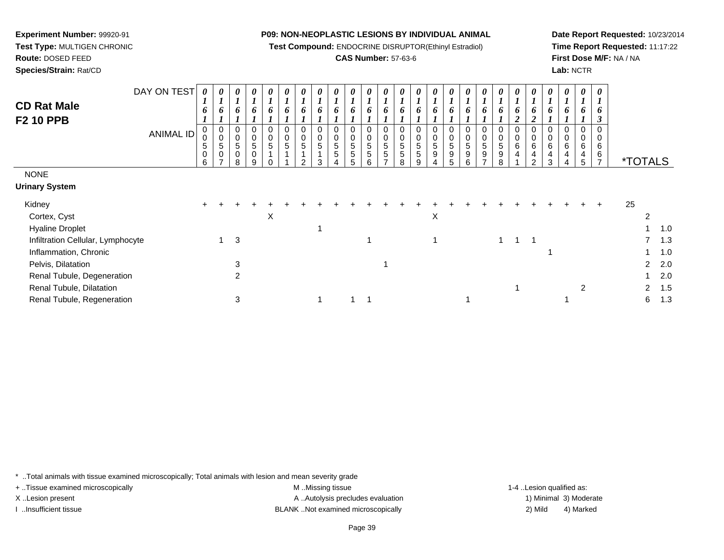**Test Compound:** ENDOCRINE DISRUPTOR(Ethinyl Estradiol)

# **CAS Number:** 57-63-6

**Date Report Requested:** 10/23/2014**Time Report Requested:** 11:17:22**First Dose M/F:** NA / NA**Lab:** NCTR

| <b>CD Rat Male</b><br><b>F2 10 PPB</b> | DAY ON TEST<br><b>ANIMAL ID</b> | $\boldsymbol{\theta}$<br>6<br>0<br>0<br>5<br>0<br>6 | $\boldsymbol{\theta}$<br>5 | $\boldsymbol{\theta}$<br>6<br>0<br>$\pmb{0}$<br>5<br>$\mathsf 0$<br>8 | $\boldsymbol{\theta}$<br>6<br>$\mathsf{O}$<br>5<br>0<br>9 | 0<br>6<br>$\mathbf 0$<br>$\sqrt{5}$ | $\boldsymbol{\theta}$<br>0<br>0<br>$\pmb{0}$<br>$\sqrt{5}$ | 0<br>6<br>0<br>5<br>ົ | $\boldsymbol{\theta}$<br>6<br>0<br>5<br>3 | 0<br>5<br>5 | $\boldsymbol{\theta}$<br>6<br>0<br>5<br>5<br>5 | $\boldsymbol{\theta}$<br>6<br>0<br>5<br>5<br>6 | 0<br>6<br>0<br>5<br>5 | $\boldsymbol{\theta}$<br>$\mathbf{I}$<br>6<br>$\mathbf 0$<br>5<br>5<br>8 | 0<br>6<br>0<br>$\pmb{0}$<br>$\sqrt{5}$<br>$\sqrt{5}$<br>9 | 0<br>0<br>5<br>9<br>4 | 0<br>$\sqrt{5}$<br>$\boldsymbol{9}$<br>5 | $\boldsymbol{\theta}$<br>0<br>5<br>$\boldsymbol{9}$<br>6 | 0<br>6<br>0<br>5<br>9<br>$\overline{ }$ | $\boldsymbol{\theta}$<br>$\overline{ }$<br>6<br>0<br>0<br>$\sqrt{5}$<br>$\boldsymbol{9}$<br>8 | 0<br>ı<br>6<br>0<br>6<br>4 | 0<br>6<br>0<br>0<br>$\,6\,$<br>4<br>2 | $\boldsymbol{\theta}$<br>6<br>$\mathbf 0$<br>6<br>4<br>3 | 0<br>6<br>4<br>4 | $\boldsymbol{\theta}$<br>6<br>4<br>5 | $\boldsymbol{\theta}$<br>6<br>$\mathbf{r}$<br>$\Omega$<br>0<br>6<br>6<br>$\overline{ }$ | <i><b>*TOTALS</b></i> |     |     |
|----------------------------------------|---------------------------------|-----------------------------------------------------|----------------------------|-----------------------------------------------------------------------|-----------------------------------------------------------|-------------------------------------|------------------------------------------------------------|-----------------------|-------------------------------------------|-------------|------------------------------------------------|------------------------------------------------|-----------------------|--------------------------------------------------------------------------|-----------------------------------------------------------|-----------------------|------------------------------------------|----------------------------------------------------------|-----------------------------------------|-----------------------------------------------------------------------------------------------|----------------------------|---------------------------------------|----------------------------------------------------------|------------------|--------------------------------------|-----------------------------------------------------------------------------------------|-----------------------|-----|-----|
| <b>NONE</b>                            |                                 |                                                     |                            |                                                                       |                                                           |                                     |                                                            |                       |                                           |             |                                                |                                                |                       |                                                                          |                                                           |                       |                                          |                                                          |                                         |                                                                                               |                            |                                       |                                                          |                  |                                      |                                                                                         |                       |     |     |
| <b>Urinary System</b>                  |                                 |                                                     |                            |                                                                       |                                                           |                                     |                                                            |                       |                                           |             |                                                |                                                |                       |                                                                          |                                                           |                       |                                          |                                                          |                                         |                                                                                               |                            |                                       |                                                          |                  |                                      |                                                                                         |                       |     |     |
| Kidney                                 |                                 |                                                     |                            |                                                                       |                                                           |                                     |                                                            |                       |                                           |             |                                                |                                                |                       |                                                                          |                                                           |                       |                                          |                                                          |                                         |                                                                                               |                            |                                       |                                                          |                  |                                      |                                                                                         | 25                    |     |     |
| Cortex, Cyst                           |                                 |                                                     |                            |                                                                       |                                                           | X                                   |                                                            |                       |                                           |             |                                                |                                                |                       |                                                                          |                                                           | X                     |                                          |                                                          |                                         |                                                                                               |                            |                                       |                                                          |                  |                                      |                                                                                         |                       |     |     |
| <b>Hyaline Droplet</b>                 |                                 |                                                     |                            |                                                                       |                                                           |                                     |                                                            |                       |                                           |             |                                                |                                                |                       |                                                                          |                                                           |                       |                                          |                                                          |                                         |                                                                                               |                            |                                       |                                                          |                  |                                      |                                                                                         |                       |     | 1.0 |
| Infiltration Cellular, Lymphocyte      |                                 |                                                     |                            | 3                                                                     |                                                           |                                     |                                                            |                       |                                           |             |                                                |                                                |                       |                                                                          |                                                           | 4                     |                                          |                                                          |                                         | $\mathbf{1}$                                                                                  |                            |                                       |                                                          |                  |                                      |                                                                                         |                       |     | 1.3 |
| Inflammation, Chronic                  |                                 |                                                     |                            |                                                                       |                                                           |                                     |                                                            |                       |                                           |             |                                                |                                                |                       |                                                                          |                                                           |                       |                                          |                                                          |                                         |                                                                                               |                            |                                       |                                                          |                  |                                      |                                                                                         |                       |     | 1.0 |
| Pelvis, Dilatation                     |                                 |                                                     |                            | 3                                                                     |                                                           |                                     |                                                            |                       |                                           |             |                                                |                                                |                       |                                                                          |                                                           |                       |                                          |                                                          |                                         |                                                                                               |                            |                                       |                                                          |                  |                                      |                                                                                         | 2                     |     | 2.0 |
| Renal Tubule, Degeneration             |                                 |                                                     |                            | $\overline{2}$                                                        |                                                           |                                     |                                                            |                       |                                           |             |                                                |                                                |                       |                                                                          |                                                           |                       |                                          |                                                          |                                         |                                                                                               |                            |                                       |                                                          |                  |                                      |                                                                                         |                       | 2.0 |     |
| Renal Tubule, Dilatation               |                                 |                                                     |                            |                                                                       |                                                           |                                     |                                                            |                       |                                           |             |                                                |                                                |                       |                                                                          |                                                           |                       |                                          |                                                          |                                         |                                                                                               |                            |                                       |                                                          |                  | 2                                    |                                                                                         | 2                     |     | 1.5 |
| Renal Tubule, Regeneration             |                                 |                                                     |                            | 3                                                                     |                                                           |                                     |                                                            |                       |                                           |             |                                                |                                                |                       |                                                                          |                                                           |                       |                                          |                                                          |                                         |                                                                                               |                            |                                       |                                                          |                  |                                      |                                                                                         | 6                     |     | 1.3 |

\* ..Total animals with tissue examined microscopically; Total animals with lesion and mean severity grade

**Experiment Number:** 99920-91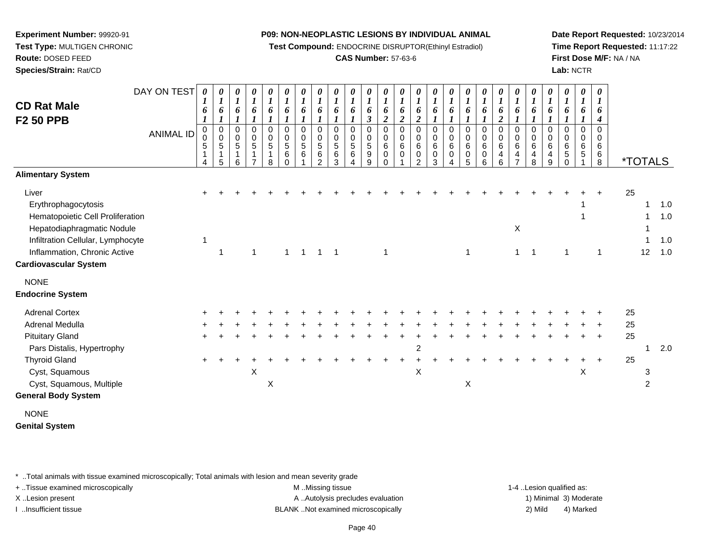**Test Compound:** ENDOCRINE DISRUPTOR(Ethinyl Estradiol)

# **CAS Number:** 57-63-6

**Date Report Requested:** 10/23/2014**Time Report Requested:** 11:17:22**First Dose M/F:** NA / NA**Lab:** NCTR

| <b>CD Rat Male</b><br><b>F2 50 PPB</b>                                                                                                                                                               | DAY ON TEST<br><b>ANIMAL ID</b> | 0<br>6<br>$\mathbf 0$<br>0<br>5<br>$\overline{4}$ | 0<br>$\boldsymbol{l}$<br>6<br>$\boldsymbol{l}$<br>$\pmb{0}$<br>$\pmb{0}$<br>$\overline{5}$<br>$\mathbf 1$<br>5 | 0<br>$\boldsymbol{l}$<br>6<br>$\boldsymbol{l}$<br>$\mathbf 0$<br>$\begin{array}{c} 0 \\ 5 \end{array}$<br>1<br>6 | $\frac{\theta}{I}$<br>6<br>$\boldsymbol{l}$<br>0<br>$\begin{matrix}0\\5\end{matrix}$<br>1<br>$\overline{7}$ | 0<br>$\boldsymbol{l}$<br>6<br>0<br>$\pmb{0}$<br>$\sqrt{5}$<br>$\mathbf{1}$<br>8 | $\boldsymbol{\theta}$<br>$\boldsymbol{l}$<br>6<br>$\mathbf 0$<br>$\pmb{0}$<br>$\overline{5}$<br>6<br>$\Omega$ | 0<br>$\boldsymbol{l}$<br>6<br>$\pmb{0}$<br>$\pmb{0}$<br>$\sqrt{5}$<br>6 | 0<br>$\boldsymbol{l}$<br>6<br>$\mathbf 0$<br>$\mathbf 0$<br>$\sqrt{5}$<br>6<br>$\mathcal{P}$ | $\boldsymbol{\theta}$<br>$\boldsymbol{l}$<br>6<br>$\mathbf 0$<br>0<br>5<br>6<br>3 | 6<br>$\mathbf 0$<br>0<br>$\sqrt{5}$<br>6 | 0<br>$\boldsymbol{l}$<br>6<br>$\mathbf{3}$<br>0<br>0<br>$5\phantom{.0}$<br>$9\,$<br>9 | 0<br>$\boldsymbol{l}$<br>6<br>$\overline{\mathbf{c}}$<br>0<br>$\pmb{0}$<br>6<br>0<br>$\Omega$ | 0<br>$\boldsymbol{l}$<br>6<br>$\boldsymbol{2}$<br>0<br>$\pmb{0}$<br>6<br>$\mathbf 0$ | 0<br>$\boldsymbol{l}$<br>6<br>$\boldsymbol{2}$<br>$\pmb{0}$<br>$\pmb{0}$<br>6<br>0<br>2 | 0<br>$\boldsymbol{l}$<br>6<br>$\pmb{0}$<br>$\pmb{0}$<br>6<br>0<br>3 | 0<br>$\boldsymbol{l}$<br>6<br>$\pmb{0}$<br>$\pmb{0}$<br>6<br>0<br>4 | $\boldsymbol{\theta}$<br>$\boldsymbol{l}$<br>6<br>$\boldsymbol{l}$<br>$\mathbf 0$<br>$\pmb{0}$<br>$\,6$<br>0<br>5 | 0<br>$\boldsymbol{l}$<br>6<br>$\mathbf 0$<br>$\begin{array}{c} 0 \\ 6 \end{array}$<br>0<br>6 | 0<br>$\boldsymbol{l}$<br>6<br>$\overline{c}$<br>0<br>$\mathbf 0$<br>$\,6\,$<br>4<br>6 | 0<br>$\boldsymbol{l}$<br>6<br>0<br>$\pmb{0}$<br>$\,6\,$<br>$\overline{4}$<br>$\overline{7}$ | 0<br>$\boldsymbol{l}$<br>6<br>$\boldsymbol{0}$<br>$\mathbf 0$<br>$\,6\,$<br>4<br>8 | 0<br>$\boldsymbol{l}$<br>6<br>$\mathbf 0$<br>0<br>6<br>4<br>9 | 0<br>$\boldsymbol{l}$<br>6<br>$\mathbf 0$<br>0<br>6<br>5<br>$\Omega$ | $\pmb{\theta}$<br>$\boldsymbol{l}$<br>6<br>$\mathbf 0$<br>0<br>6<br>5 | $\boldsymbol{\theta}$<br>$\boldsymbol{l}$<br>6<br>4<br>$\mathbf 0$<br>0<br>6<br>6<br>8 |                      | <i><b>*TOTALS</b></i> |                            |
|------------------------------------------------------------------------------------------------------------------------------------------------------------------------------------------------------|---------------------------------|---------------------------------------------------|----------------------------------------------------------------------------------------------------------------|------------------------------------------------------------------------------------------------------------------|-------------------------------------------------------------------------------------------------------------|---------------------------------------------------------------------------------|---------------------------------------------------------------------------------------------------------------|-------------------------------------------------------------------------|----------------------------------------------------------------------------------------------|-----------------------------------------------------------------------------------|------------------------------------------|---------------------------------------------------------------------------------------|-----------------------------------------------------------------------------------------------|--------------------------------------------------------------------------------------|-----------------------------------------------------------------------------------------|---------------------------------------------------------------------|---------------------------------------------------------------------|-------------------------------------------------------------------------------------------------------------------|----------------------------------------------------------------------------------------------|---------------------------------------------------------------------------------------|---------------------------------------------------------------------------------------------|------------------------------------------------------------------------------------|---------------------------------------------------------------|----------------------------------------------------------------------|-----------------------------------------------------------------------|----------------------------------------------------------------------------------------|----------------------|-----------------------|----------------------------|
| <b>Alimentary System</b>                                                                                                                                                                             |                                 |                                                   |                                                                                                                |                                                                                                                  |                                                                                                             |                                                                                 |                                                                                                               |                                                                         |                                                                                              |                                                                                   |                                          |                                                                                       |                                                                                               |                                                                                      |                                                                                         |                                                                     |                                                                     |                                                                                                                   |                                                                                              |                                                                                       |                                                                                             |                                                                                    |                                                               |                                                                      |                                                                       |                                                                                        |                      |                       |                            |
| Liver<br>Erythrophagocytosis<br>Hematopoietic Cell Proliferation<br>Hepatodiaphragmatic Nodule<br>Infiltration Cellular, Lymphocyte<br>Inflammation, Chronic Active<br><b>Cardiovascular System</b>  |                                 |                                                   | -1                                                                                                             |                                                                                                                  | 1                                                                                                           |                                                                                 | $\mathbf{1}$                                                                                                  | $\overline{1}$                                                          | 1                                                                                            | $\overline{1}$                                                                    |                                          |                                                                                       | -1                                                                                            |                                                                                      |                                                                                         |                                                                     |                                                                     | $\mathbf{1}$                                                                                                      |                                                                                              |                                                                                       | X<br>$\mathbf{1}$                                                                           | $\overline{1}$                                                                     |                                                               | 1                                                                    |                                                                       | $\mathbf{1}$                                                                           | 25                   | 12                    | 1.0<br>$1.0$<br>1.0<br>1.0 |
| <b>NONE</b>                                                                                                                                                                                          |                                 |                                                   |                                                                                                                |                                                                                                                  |                                                                                                             |                                                                                 |                                                                                                               |                                                                         |                                                                                              |                                                                                   |                                          |                                                                                       |                                                                                               |                                                                                      |                                                                                         |                                                                     |                                                                     |                                                                                                                   |                                                                                              |                                                                                       |                                                                                             |                                                                                    |                                                               |                                                                      |                                                                       |                                                                                        |                      |                       |                            |
| <b>Endocrine System</b>                                                                                                                                                                              |                                 |                                                   |                                                                                                                |                                                                                                                  |                                                                                                             |                                                                                 |                                                                                                               |                                                                         |                                                                                              |                                                                                   |                                          |                                                                                       |                                                                                               |                                                                                      |                                                                                         |                                                                     |                                                                     |                                                                                                                   |                                                                                              |                                                                                       |                                                                                             |                                                                                    |                                                               |                                                                      |                                                                       |                                                                                        |                      |                       |                            |
| <b>Adrenal Cortex</b><br>Adrenal Medulla<br><b>Pituitary Gland</b><br>Pars Distalis, Hypertrophy<br><b>Thyroid Gland</b><br>Cyst, Squamous<br>Cyst, Squamous, Multiple<br><b>General Body System</b> |                                 | $\ddot{}$                                         |                                                                                                                |                                                                                                                  | X                                                                                                           | Χ                                                                               |                                                                                                               |                                                                         |                                                                                              |                                                                                   |                                          |                                                                                       |                                                                                               |                                                                                      | $\overline{2}$<br>X                                                                     |                                                                     |                                                                     | $\mathsf X$                                                                                                       |                                                                                              |                                                                                       |                                                                                             |                                                                                    |                                                               |                                                                      | X                                                                     |                                                                                        | 25<br>25<br>25<br>25 | 3<br>$\overline{c}$   | 2.0                        |
| <b>NONE</b>                                                                                                                                                                                          |                                 |                                                   |                                                                                                                |                                                                                                                  |                                                                                                             |                                                                                 |                                                                                                               |                                                                         |                                                                                              |                                                                                   |                                          |                                                                                       |                                                                                               |                                                                                      |                                                                                         |                                                                     |                                                                     |                                                                                                                   |                                                                                              |                                                                                       |                                                                                             |                                                                                    |                                                               |                                                                      |                                                                       |                                                                                        |                      |                       |                            |

**Genital System**

\* ..Total animals with tissue examined microscopically; Total animals with lesion and mean severity grade

**Experiment Number:** 99920-91**Test Type:** MULTIGEN CHRONIC

**Route:** DOSED FEED**Species/Strain:** Rat/CD

+ ..Tissue examined microscopically examined microscopically examined as:  $M$  ..Missing tissue 1-4 ..Lesion qualified as: X..Lesion present **A ..Autolysis precludes evaluation** A ..Autolysis precludes evaluation 1) Minimal 3) Moderate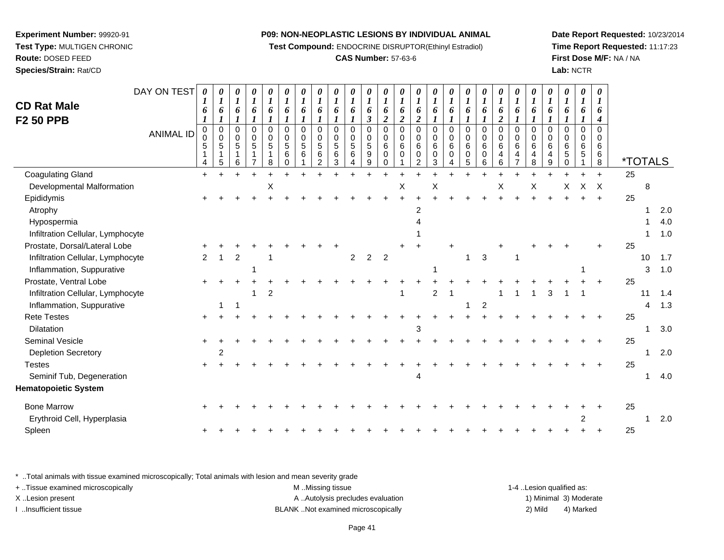**Test Compound:** ENDOCRINE DISRUPTOR(Ethinyl Estradiol)

# **CAS Number:** 57-63-6

**Date Report Requested:** 10/23/2014**Time Report Requested:** 11:17:23**First Dose M/F:** NA / NA**Lab:** NCTR

| <b>CD Rat Male</b><br><b>F2 50 PPB</b> | DAY ON TEST      | $\boldsymbol{\theta}$<br>1<br>6 | 0<br>1<br>6<br>$\boldsymbol{l}$         | 0<br>$\boldsymbol{l}$<br>6<br>$\boldsymbol{l}$ | 0<br>$\boldsymbol{l}$<br>6 | 0<br>$\boldsymbol{l}$<br>6<br>$\boldsymbol{l}$   | 0<br>$\boldsymbol{l}$<br>6<br>1                  | $\boldsymbol{\theta}$<br>$\boldsymbol{l}$<br>6 | $\boldsymbol{\theta}$<br>$\boldsymbol{l}$<br>6<br>1             | 0<br>$\boldsymbol{l}$<br>6                      | 0<br>1<br>6                  | 0<br>$\boldsymbol{l}$<br>6<br>$\overline{\mathbf{3}}$ | 0<br>$\boldsymbol{l}$<br>6<br>$\overline{2}$ | 0<br>$\boldsymbol{l}$<br>6<br>$\overline{\mathbf{c}}$ | 0<br>$\boldsymbol{l}$<br>6<br>$\overline{2}$        | 0<br>$\boldsymbol{l}$<br>6             | 0<br>$\boldsymbol{l}$<br>6<br>$\boldsymbol{l}$ | 0<br>$\boldsymbol{l}$<br>6<br>1           | 0<br>$\boldsymbol{l}$<br>6 | 0<br>$\boldsymbol{l}$<br>6<br>$\boldsymbol{2}$            | 0<br>$\boldsymbol{l}$<br>6<br>$\boldsymbol{l}$ | 0<br>$\boldsymbol{l}$<br>6<br>$\mathbf{I}$ | 0<br>$\boldsymbol{I}$<br>6             | 0<br>$\boldsymbol{l}$<br>6            | 0<br>$\boldsymbol{l}$<br>6        | 0<br>$\boldsymbol{l}$<br>6<br>$\boldsymbol{4}$ |                       |    |     |
|----------------------------------------|------------------|---------------------------------|-----------------------------------------|------------------------------------------------|----------------------------|--------------------------------------------------|--------------------------------------------------|------------------------------------------------|-----------------------------------------------------------------|-------------------------------------------------|------------------------------|-------------------------------------------------------|----------------------------------------------|-------------------------------------------------------|-----------------------------------------------------|----------------------------------------|------------------------------------------------|-------------------------------------------|----------------------------|-----------------------------------------------------------|------------------------------------------------|--------------------------------------------|----------------------------------------|---------------------------------------|-----------------------------------|------------------------------------------------|-----------------------|----|-----|
|                                        | <b>ANIMAL ID</b> | 0<br>0<br>5<br>4                | $\pmb{0}$<br>$\mathbf 0$<br>5<br>1<br>5 | $\mathbf 0$<br>0<br>5<br>6                     | 0<br>0<br>$\overline{5}$   | $\pmb{0}$<br>$\mathbf 0$<br>$\sqrt{5}$<br>1<br>8 | $\mathbf 0$<br>$\mathbf 0$<br>5<br>6<br>$\Omega$ | $\pmb{0}$<br>$\pmb{0}$<br>$\overline{5}$<br>6  | $\mathbf 0$<br>$\mathbf 0$<br>$\sqrt{5}$<br>6<br>$\overline{2}$ | $\Omega$<br>0<br>$\overline{5}$<br>$\,6\,$<br>3 | $\Omega$<br>0<br>5<br>6<br>Δ | $\Omega$<br>0<br>5<br>9<br>9                          | 0<br>0<br>6<br>0<br>$\Omega$                 | $\Omega$<br>$\mathbf 0$<br>6<br>$\mathbf 0$           | $\mathbf 0$<br>$\mathbf 0$<br>6<br>$\mathbf 0$<br>2 | $\Omega$<br>0<br>6<br>$\mathbf 0$<br>3 | $\Omega$<br>$\mathbf 0$<br>6<br>0<br>4         | $\mathbf 0$<br>$\mathbf 0$<br>6<br>0<br>5 | 0<br>0<br>6<br>0<br>6      | $\Omega$<br>$\mathbf 0$<br>$\,6\,$<br>$\overline{4}$<br>6 | $\mathbf 0$<br>0<br>6<br>4<br>$\overline{7}$   | $\mathbf 0$<br>0<br>6<br>4<br>8            | $\Omega$<br>$\mathbf 0$<br>6<br>4<br>9 | $\Omega$<br>0<br>6<br>$\sqrt{5}$<br>0 | $\Omega$<br>$\mathbf 0$<br>6<br>5 | $\mathbf 0$<br>$\mathbf 0$<br>6<br>6<br>8      | <i><b>*TOTALS</b></i> |    |     |
| <b>Coagulating Gland</b>               |                  | $\ddot{}$                       |                                         |                                                |                            |                                                  |                                                  |                                                |                                                                 |                                                 |                              |                                                       |                                              |                                                       |                                                     |                                        |                                                |                                           |                            |                                                           |                                                |                                            |                                        |                                       |                                   | $+$                                            | 25                    |    |     |
| Developmental Malformation             |                  |                                 |                                         |                                                |                            | Χ                                                |                                                  |                                                |                                                                 |                                                 |                              |                                                       |                                              | X                                                     |                                                     | Χ                                      |                                                |                                           |                            | Χ                                                         |                                                | X                                          |                                        | х                                     | X.                                | - X                                            |                       | 8  |     |
| Epididymis                             |                  |                                 |                                         |                                                |                            |                                                  |                                                  |                                                |                                                                 |                                                 |                              |                                                       |                                              |                                                       |                                                     |                                        |                                                |                                           |                            |                                                           |                                                |                                            |                                        |                                       |                                   |                                                | 25                    |    |     |
| Atrophy                                |                  |                                 |                                         |                                                |                            |                                                  |                                                  |                                                |                                                                 |                                                 |                              |                                                       |                                              |                                                       |                                                     |                                        |                                                |                                           |                            |                                                           |                                                |                                            |                                        |                                       |                                   |                                                |                       | 1  | 2.0 |
| Hypospermia                            |                  |                                 |                                         |                                                |                            |                                                  |                                                  |                                                |                                                                 |                                                 |                              |                                                       |                                              |                                                       |                                                     |                                        |                                                |                                           |                            |                                                           |                                                |                                            |                                        |                                       |                                   |                                                |                       |    | 4.0 |
| Infiltration Cellular, Lymphocyte      |                  |                                 |                                         |                                                |                            |                                                  |                                                  |                                                |                                                                 |                                                 |                              |                                                       |                                              |                                                       |                                                     |                                        |                                                |                                           |                            |                                                           |                                                |                                            |                                        |                                       |                                   |                                                |                       | 1  | 1.0 |
| Prostate, Dorsal/Lateral Lobe          |                  |                                 |                                         |                                                |                            |                                                  |                                                  |                                                |                                                                 |                                                 |                              |                                                       |                                              |                                                       |                                                     |                                        |                                                |                                           |                            |                                                           |                                                |                                            |                                        |                                       |                                   |                                                | 25                    |    |     |
| Infiltration Cellular, Lymphocyte      |                  | 2                               |                                         | $\overline{2}$                                 |                            |                                                  |                                                  |                                                |                                                                 |                                                 | $\overline{2}$               | $\overline{c}$                                        | $\overline{2}$                               |                                                       |                                                     |                                        |                                                | 1                                         | 3                          |                                                           |                                                |                                            |                                        |                                       |                                   |                                                |                       | 10 | 1.7 |
| Inflammation, Suppurative              |                  |                                 |                                         |                                                |                            |                                                  |                                                  |                                                |                                                                 |                                                 |                              |                                                       |                                              |                                                       |                                                     |                                        |                                                |                                           |                            |                                                           |                                                |                                            |                                        |                                       |                                   |                                                |                       | 3  | 1.0 |
| Prostate, Ventral Lobe                 |                  |                                 |                                         |                                                |                            |                                                  |                                                  |                                                |                                                                 |                                                 |                              |                                                       |                                              |                                                       |                                                     |                                        |                                                |                                           |                            |                                                           |                                                |                                            |                                        |                                       |                                   |                                                | 25                    |    |     |
| Infiltration Cellular, Lymphocyte      |                  |                                 |                                         |                                                |                            | 2                                                |                                                  |                                                |                                                                 |                                                 |                              |                                                       |                                              |                                                       |                                                     | $\overline{c}$                         |                                                |                                           |                            |                                                           |                                                |                                            | 3                                      |                                       |                                   |                                                |                       | 11 | 1.4 |
| Inflammation, Suppurative              |                  |                                 |                                         |                                                |                            |                                                  |                                                  |                                                |                                                                 |                                                 |                              |                                                       |                                              |                                                       |                                                     |                                        |                                                |                                           | $\overline{2}$             |                                                           |                                                |                                            |                                        |                                       |                                   |                                                |                       | 4  | 1.3 |
| <b>Rete Testes</b>                     |                  |                                 |                                         |                                                |                            |                                                  |                                                  |                                                |                                                                 |                                                 |                              |                                                       |                                              |                                                       |                                                     |                                        |                                                |                                           |                            |                                                           |                                                |                                            |                                        |                                       |                                   |                                                | 25                    |    |     |
| <b>Dilatation</b>                      |                  |                                 |                                         |                                                |                            |                                                  |                                                  |                                                |                                                                 |                                                 |                              |                                                       |                                              |                                                       | 3                                                   |                                        |                                                |                                           |                            |                                                           |                                                |                                            |                                        |                                       |                                   |                                                |                       | 1  | 3.0 |
| Seminal Vesicle                        |                  |                                 |                                         |                                                |                            |                                                  |                                                  |                                                |                                                                 |                                                 |                              |                                                       |                                              |                                                       |                                                     |                                        |                                                |                                           |                            |                                                           |                                                |                                            |                                        |                                       |                                   |                                                | 25                    |    |     |
| <b>Depletion Secretory</b>             |                  |                                 | $\mathcal{P}$                           |                                                |                            |                                                  |                                                  |                                                |                                                                 |                                                 |                              |                                                       |                                              |                                                       |                                                     |                                        |                                                |                                           |                            |                                                           |                                                |                                            |                                        |                                       |                                   |                                                |                       | 1  | 2.0 |
| <b>Testes</b>                          |                  |                                 |                                         |                                                |                            |                                                  |                                                  |                                                |                                                                 |                                                 |                              |                                                       |                                              |                                                       |                                                     |                                        |                                                |                                           |                            |                                                           |                                                |                                            |                                        |                                       |                                   |                                                | 25                    |    |     |
| Seminif Tub, Degeneration              |                  |                                 |                                         |                                                |                            |                                                  |                                                  |                                                |                                                                 |                                                 |                              |                                                       |                                              |                                                       |                                                     |                                        |                                                |                                           |                            |                                                           |                                                |                                            |                                        |                                       |                                   |                                                |                       | 1  | 4.0 |
| <b>Hematopoietic System</b>            |                  |                                 |                                         |                                                |                            |                                                  |                                                  |                                                |                                                                 |                                                 |                              |                                                       |                                              |                                                       |                                                     |                                        |                                                |                                           |                            |                                                           |                                                |                                            |                                        |                                       |                                   |                                                |                       |    |     |
| <b>Bone Marrow</b>                     |                  |                                 |                                         |                                                |                            |                                                  |                                                  |                                                |                                                                 |                                                 |                              |                                                       |                                              |                                                       |                                                     |                                        |                                                |                                           |                            |                                                           |                                                |                                            |                                        |                                       |                                   |                                                | 25                    |    |     |
| Erythroid Cell, Hyperplasia            |                  |                                 |                                         |                                                |                            |                                                  |                                                  |                                                |                                                                 |                                                 |                              |                                                       |                                              |                                                       |                                                     |                                        |                                                |                                           |                            |                                                           |                                                |                                            |                                        |                                       | 2                                 |                                                |                       | 1  | 2.0 |
| Spleen                                 |                  |                                 |                                         |                                                |                            |                                                  |                                                  |                                                |                                                                 |                                                 |                              |                                                       |                                              |                                                       |                                                     |                                        |                                                |                                           |                            |                                                           |                                                |                                            |                                        |                                       |                                   |                                                | 25                    |    |     |
|                                        |                  |                                 |                                         |                                                |                            |                                                  |                                                  |                                                |                                                                 |                                                 |                              |                                                       |                                              |                                                       |                                                     |                                        |                                                |                                           |                            |                                                           |                                                |                                            |                                        |                                       |                                   |                                                |                       |    |     |

\* ..Total animals with tissue examined microscopically; Total animals with lesion and mean severity grade

**Experiment Number:** 99920-91**Test Type:** MULTIGEN CHRONIC

| + . Tissue examined microscopically | M Missing tissue                   | 1-4 Lesion qualified as: |                        |
|-------------------------------------|------------------------------------|--------------------------|------------------------|
| X Lesion present                    | A Autolysis precludes evaluation   |                          | 1) Minimal 3) Moderate |
| …Insufficient tissue                | BLANK Not examined microscopically | 2) Mild                  | 4) Marked              |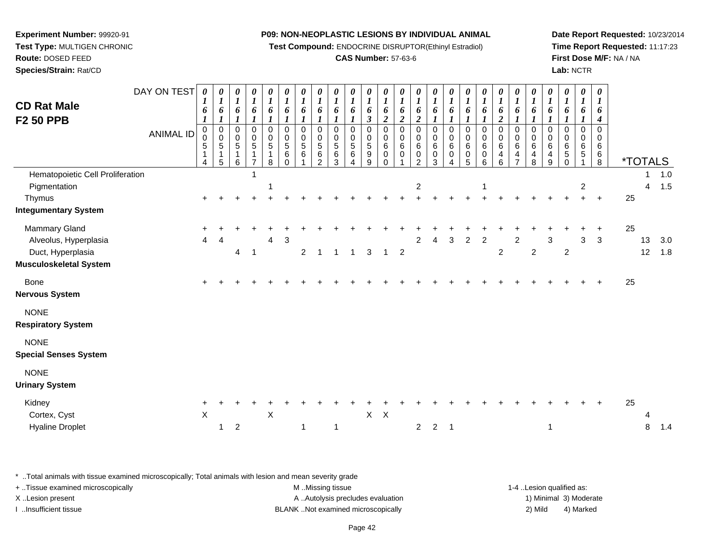**Test Compound:** ENDOCRINE DISRUPTOR(Ethinyl Estradiol)

# **CAS Number:** 57-63-6

**Date Report Requested:** 10/23/2014**Time Report Requested:** 11:17:23**First Dose M/F:** NA / NA**Lab:** NCTR

| <b>CD Rat Male</b><br><b>F2 50 PPB</b>                                                    | DAY ON TEST<br><b>ANIMAL ID</b> | $\boldsymbol{\theta}$<br>6<br>$\boldsymbol{l}$<br>$\mathbf 0$<br>0<br>$\mathbf 5$<br>$\mathbf{1}$<br>4 | 0<br>$\boldsymbol{l}$<br>6<br>$\boldsymbol{l}$<br>$\pmb{0}$<br>$\pmb{0}$<br>5<br>$\mathbf{1}$<br>5 | 0<br>$\boldsymbol{l}$<br>6<br>$\boldsymbol{l}$<br>$\pmb{0}$<br>$\mathsf{O}$<br>$\sqrt{5}$<br>1<br>6 | 0<br>$\boldsymbol{l}$<br>6<br>$\boldsymbol{l}$<br>$\mathbf 0$<br>$\pmb{0}$<br>$\sqrt{5}$<br>$\mathbf 1$<br>$\overline{7}$ | 0<br>$\boldsymbol{l}$<br>6<br>$\boldsymbol{l}$<br>$\pmb{0}$<br>$\pmb{0}$<br>$\sqrt{5}$<br>1<br>8 | $\boldsymbol{\theta}$<br>$\boldsymbol{l}$<br>6<br>$\boldsymbol{I}$<br>$\mathbf 0$<br>0<br>5<br>6<br>$\Omega$ | 0<br>$\boldsymbol{l}$<br>6<br>$\boldsymbol{l}$<br>$\Omega$<br>$\mathbf 0$<br>$\,$ 5 $\,$<br>6 | 0<br>$\boldsymbol{l}$<br>6<br>$\boldsymbol{l}$<br>$\Omega$<br>$\mathbf 0$<br>$\sqrt{5}$<br>$\,6$<br>$\mathfrak{p}$ | $\frac{\theta}{I}$<br>6<br>$\boldsymbol{l}$<br>$\mathbf 0$<br>$\mathsf 0$<br>$\mathbf 5$<br>$\overline{6}$<br>3 | $\frac{\theta}{I}$<br>6<br>$\boldsymbol{l}$<br>0<br>$\mathsf{O}$<br>$\frac{5}{6}$<br>$\overline{4}$ | 0<br>$\boldsymbol{l}$<br>6<br>$\boldsymbol{\mathfrak{z}}$<br>$\pmb{0}$<br>$\pmb{0}$<br>$\overline{5}$<br>$\overline{9}$ | 0<br>$\boldsymbol{l}$<br>6<br>$\boldsymbol{2}$<br>$\pmb{0}$<br>$\mathbf 0$<br>6<br>0<br>$\Omega$ | 0<br>$\boldsymbol{l}$<br>6<br>$\boldsymbol{2}$<br>$\mathbf 0$<br>$\mathbf 0$<br>$\,6$<br>0 | 0<br>$\boldsymbol{l}$<br>6<br>$\boldsymbol{2}$<br>$\mathbf 0$<br>0<br>$\,6$<br>$\boldsymbol{0}$<br>$\overline{2}$ | 0<br>$\boldsymbol{l}$<br>6<br>$\boldsymbol{l}$<br>$\mathbf 0$<br>0<br>6<br>$\pmb{0}$<br>3 | 0<br>$\boldsymbol{l}$<br>6<br>$\boldsymbol{l}$<br>$\pmb{0}$<br>$\mathbf 0$<br>6<br>0<br>4 | 0<br>$\boldsymbol{l}$<br>6<br>$\boldsymbol{l}$<br>0<br>$\mathsf 0$<br>6<br>$\begin{matrix} 0 \\ 5 \end{matrix}$ | 0<br>$\boldsymbol{l}$<br>6<br>$\boldsymbol{l}$<br>$\pmb{0}$<br>$\mathsf 0$<br>6<br>$\pmb{0}$<br>$6\phantom{a}$ | 0<br>$\boldsymbol{l}$<br>6<br>$\boldsymbol{2}$<br>$\mathbf 0$<br>$\pmb{0}$<br>6<br>$\overline{\mathbf{r}}$<br>$6\phantom{1}$ | 0<br>$\boldsymbol{l}$<br>6<br>$\boldsymbol{l}$<br>$\mathbf 0$<br>0<br>$\,6$<br>4<br>$\overline{7}$ | 0<br>$\boldsymbol{l}$<br>6<br>$\boldsymbol{l}$<br>$\Omega$<br>0<br>6<br>$\overline{\mathbf{4}}$<br>8 | 0<br>$\boldsymbol{l}$<br>6<br>$\boldsymbol{l}$<br>$\Omega$<br>0<br>6<br>4<br>9 | 0<br>$\boldsymbol{l}$<br>6<br>$\boldsymbol{l}$<br>$\Omega$<br>0<br>6<br>$\mathbf 5$<br>$\Omega$ | 0<br>$\boldsymbol{l}$<br>6<br>1<br>$\pmb{0}$<br>$\pmb{0}$<br>$\,6$<br>$\overline{5}$ | 0<br>1<br>6<br>4<br>0<br>0<br>6<br>$^6_{\bf 8}$ |    | <i><b>*TOTALS</b></i> |            |
|-------------------------------------------------------------------------------------------|---------------------------------|--------------------------------------------------------------------------------------------------------|----------------------------------------------------------------------------------------------------|-----------------------------------------------------------------------------------------------------|---------------------------------------------------------------------------------------------------------------------------|--------------------------------------------------------------------------------------------------|--------------------------------------------------------------------------------------------------------------|-----------------------------------------------------------------------------------------------|--------------------------------------------------------------------------------------------------------------------|-----------------------------------------------------------------------------------------------------------------|-----------------------------------------------------------------------------------------------------|-------------------------------------------------------------------------------------------------------------------------|--------------------------------------------------------------------------------------------------|--------------------------------------------------------------------------------------------|-------------------------------------------------------------------------------------------------------------------|-------------------------------------------------------------------------------------------|-------------------------------------------------------------------------------------------|-----------------------------------------------------------------------------------------------------------------|----------------------------------------------------------------------------------------------------------------|------------------------------------------------------------------------------------------------------------------------------|----------------------------------------------------------------------------------------------------|------------------------------------------------------------------------------------------------------|--------------------------------------------------------------------------------|-------------------------------------------------------------------------------------------------|--------------------------------------------------------------------------------------|-------------------------------------------------|----|-----------------------|------------|
| Hematopoietic Cell Proliferation<br>Pigmentation<br>Thymus<br><b>Integumentary System</b> |                                 | $\ddot{}$                                                                                              |                                                                                                    |                                                                                                     |                                                                                                                           | $\mathbf 1$                                                                                      |                                                                                                              |                                                                                               |                                                                                                                    |                                                                                                                 |                                                                                                     |                                                                                                                         |                                                                                                  |                                                                                            | $\overline{c}$                                                                                                    |                                                                                           |                                                                                           |                                                                                                                 |                                                                                                                |                                                                                                                              |                                                                                                    |                                                                                                      |                                                                                |                                                                                                 | $\boldsymbol{2}$                                                                     | $+$                                             | 25 | 1<br>4                | 1.0<br>1.5 |
| Mammary Gland<br>Alveolus, Hyperplasia<br>Duct, Hyperplasia<br>Musculoskeletal System     |                                 | 4                                                                                                      | 4                                                                                                  | 4                                                                                                   | $\overline{1}$                                                                                                            | 4                                                                                                | 3                                                                                                            | $\overline{2}$                                                                                |                                                                                                                    |                                                                                                                 |                                                                                                     | 3                                                                                                                       | $\mathbf{1}$                                                                                     | $\overline{2}$                                                                             | 2                                                                                                                 |                                                                                           | 3                                                                                         | $\overline{2}$                                                                                                  | $\overline{2}$                                                                                                 | $\overline{c}$                                                                                                               | 2                                                                                                  | $\overline{c}$                                                                                       | 3                                                                              | $\boldsymbol{2}$                                                                                | $\mathbf{3}$                                                                         | $\ddot{}$<br>$\mathbf{3}$                       | 25 | 13<br>12              | 3.0<br>1.8 |
| Bone<br>Nervous System<br><b>NONE</b>                                                     |                                 |                                                                                                        |                                                                                                    |                                                                                                     |                                                                                                                           |                                                                                                  |                                                                                                              |                                                                                               |                                                                                                                    |                                                                                                                 |                                                                                                     |                                                                                                                         |                                                                                                  |                                                                                            |                                                                                                                   |                                                                                           |                                                                                           |                                                                                                                 |                                                                                                                |                                                                                                                              |                                                                                                    |                                                                                                      |                                                                                |                                                                                                 |                                                                                      |                                                 | 25 |                       |            |
| <b>Respiratory System</b><br><b>NONE</b><br><b>Special Senses System</b>                  |                                 |                                                                                                        |                                                                                                    |                                                                                                     |                                                                                                                           |                                                                                                  |                                                                                                              |                                                                                               |                                                                                                                    |                                                                                                                 |                                                                                                     |                                                                                                                         |                                                                                                  |                                                                                            |                                                                                                                   |                                                                                           |                                                                                           |                                                                                                                 |                                                                                                                |                                                                                                                              |                                                                                                    |                                                                                                      |                                                                                |                                                                                                 |                                                                                      |                                                 |    |                       |            |
| <b>NONE</b><br><b>Urinary System</b>                                                      |                                 |                                                                                                        |                                                                                                    |                                                                                                     |                                                                                                                           |                                                                                                  |                                                                                                              |                                                                                               |                                                                                                                    |                                                                                                                 |                                                                                                     |                                                                                                                         |                                                                                                  |                                                                                            |                                                                                                                   |                                                                                           |                                                                                           |                                                                                                                 |                                                                                                                |                                                                                                                              |                                                                                                    |                                                                                                      |                                                                                |                                                                                                 |                                                                                      |                                                 |    |                       |            |
| Kidney<br>Cortex, Cyst<br><b>Hyaline Droplet</b>                                          |                                 | X                                                                                                      | 1                                                                                                  | $\overline{2}$                                                                                      |                                                                                                                           | X                                                                                                |                                                                                                              | $\mathbf{1}$                                                                                  |                                                                                                                    | $\mathbf 1$                                                                                                     |                                                                                                     | $\mathsf{X}$                                                                                                            | $\boldsymbol{\mathsf{X}}$                                                                        |                                                                                            | 2                                                                                                                 | $\overline{2}$                                                                            | $\overline{1}$                                                                            |                                                                                                                 |                                                                                                                |                                                                                                                              |                                                                                                    |                                                                                                      | 1                                                                              |                                                                                                 |                                                                                      |                                                 | 25 | 4<br>8                | 1.4        |

\* ..Total animals with tissue examined microscopically; Total animals with lesion and mean severity grade

**Experiment Number:** 99920-91**Test Type:** MULTIGEN CHRONIC

| + . Tissue examined microscopically | M Missing tissue                   | 1-4 Lesion qualified as: |                        |
|-------------------------------------|------------------------------------|--------------------------|------------------------|
| X Lesion present                    | A Autolysis precludes evaluation   |                          | 1) Minimal 3) Moderate |
| Insufficient tissue                 | BLANK Not examined microscopically | 2) Mild                  | 4) Marked              |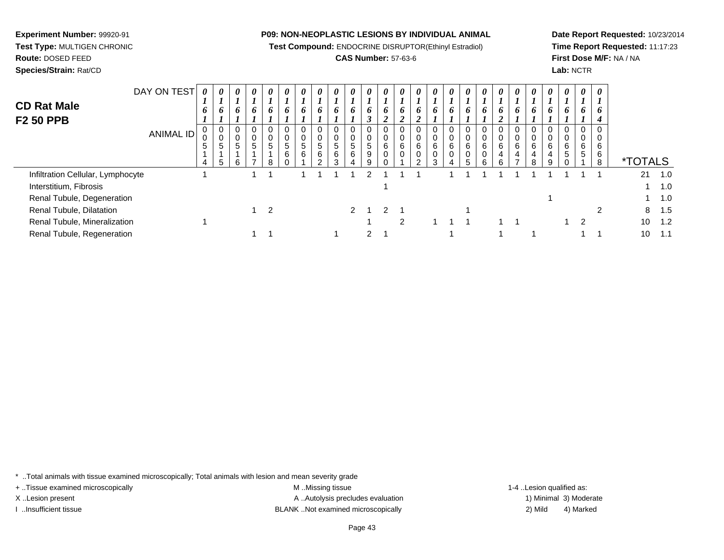**Test Compound:** ENDOCRINE DISRUPTOR(Ethinyl Estradiol)

# **CAS Number:** 57-63-6

**Date Report Requested:** 10/23/2014**Time Report Requested:** 11:17:23**First Dose M/F:** NA / NA**Lab:** NCTR

| <b>CD Rat Male</b><br><b>F2 50 PPB</b> | DAY ON TEST<br>ANIMAL ID | 0<br>$\mathbf{I}$<br>6<br>5 | U<br>G | 0<br>6<br>0<br>0<br>$\sqrt{5}$<br>6 | $\boldsymbol{\theta}$<br>6<br>0<br>0<br>5 | $\boldsymbol{\theta}$<br>6<br>0<br>0<br>5<br>8 | $\boldsymbol{\theta}$<br>6<br>υ<br>5<br>6 | 0<br>6<br>0<br>0<br>5<br>6 | $\boldsymbol{\theta}$<br>6<br>5<br>6<br>ົ | 0<br>6<br>0<br>5<br>6<br>3 | 0<br>6         | 0<br>6<br>0<br>0<br>5<br>9<br>9 | 0<br>6<br>↑<br>0<br>6<br>0 | 0<br>6<br>0<br>0<br>6<br>0 | 0<br>6<br>6 | $\boldsymbol{\theta}$<br><sup>o</sup><br>6 | O.<br>6 | 0<br>Đ<br>U<br>0<br>6<br>0 | o<br>υ<br>6 | $\boldsymbol{\theta}$<br>o<br>U<br>U<br>b | 0<br>6<br>0<br>0<br>$\,6\,$<br>4 | $\boldsymbol{\theta}$<br>6<br>0<br>0<br>6<br>4<br>8 | $\theta$<br>6<br>0<br>6<br>4<br>9 | 0<br>6<br>6<br>5 | $\boldsymbol{\theta}$<br>6<br>0<br>0<br>6<br>5 | $\boldsymbol{\theta}$<br>6<br>6<br>6<br>8 | <i><b>*TOTALS</b></i> |     |
|----------------------------------------|--------------------------|-----------------------------|--------|-------------------------------------|-------------------------------------------|------------------------------------------------|-------------------------------------------|----------------------------|-------------------------------------------|----------------------------|----------------|---------------------------------|----------------------------|----------------------------|-------------|--------------------------------------------|---------|----------------------------|-------------|-------------------------------------------|----------------------------------|-----------------------------------------------------|-----------------------------------|------------------|------------------------------------------------|-------------------------------------------|-----------------------|-----|
| Infiltration Cellular, Lymphocyte      |                          |                             |        |                                     |                                           |                                                |                                           |                            |                                           |                            |                |                                 |                            |                            |             |                                            |         |                            |             |                                           |                                  |                                                     |                                   |                  |                                                |                                           | 21                    | 1.0 |
| Interstitium, Fibrosis                 |                          |                             |        |                                     |                                           |                                                |                                           |                            |                                           |                            |                |                                 |                            |                            |             |                                            |         |                            |             |                                           |                                  |                                                     |                                   |                  |                                                |                                           |                       | 1.0 |
| Renal Tubule, Degeneration             |                          |                             |        |                                     |                                           |                                                |                                           |                            |                                           |                            |                |                                 |                            |                            |             |                                            |         |                            |             |                                           |                                  |                                                     |                                   |                  |                                                |                                           |                       | 1.0 |
| Renal Tubule, Dilatation               |                          |                             |        |                                     | $1\quad 2$                                |                                                |                                           |                            |                                           |                            | 2 <sub>1</sub> |                                 | $\mathcal{P}$              |                            |             |                                            |         |                            |             |                                           |                                  |                                                     |                                   |                  |                                                | 2                                         | 8                     | 1.5 |
| Renal Tubule, Mineralization           |                          |                             |        |                                     |                                           |                                                |                                           |                            |                                           |                            |                |                                 |                            | 2                          |             |                                            |         |                            |             |                                           |                                  |                                                     |                                   |                  | 2                                              |                                           | $10 \quad 1.2$        |     |
| Renal Tubule, Regeneration             |                          |                             |        |                                     |                                           |                                                |                                           |                            |                                           |                            |                | າ                               |                            |                            |             |                                            |         |                            |             |                                           |                                  |                                                     |                                   |                  |                                                |                                           | 10                    | 1.1 |
|                                        |                          |                             |        |                                     |                                           |                                                |                                           |                            |                                           |                            |                |                                 |                            |                            |             |                                            |         |                            |             |                                           |                                  |                                                     |                                   |                  |                                                |                                           |                       |     |

\* ..Total animals with tissue examined microscopically; Total animals with lesion and mean severity grade

**Experiment Number:** 99920-91**Test Type:** MULTIGEN CHRONIC

**Route:** DOSED FEED**Species/Strain:** Rat/CD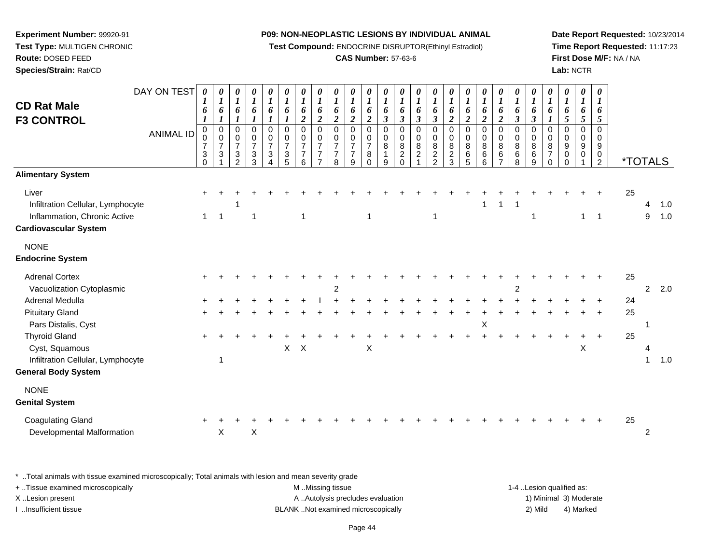**Test Compound:** ENDOCRINE DISRUPTOR(Ethinyl Estradiol)

# **CAS Number:** 57-63-6

**Date Report Requested:** 10/23/2014**Time Report Requested:** 11:17:23**First Dose M/F:** NA / NA**Lab:** NCTR

| <b>CD Rat Male</b><br><b>F3 CONTROL</b><br><b>Alimentary System</b>                                                                                                                                                                                | DAY ON TEST<br><b>ANIMAL ID</b> | 0<br>1<br>6<br>$\boldsymbol{l}$<br>0<br>0<br>$\overline{7}$<br>3<br>$\Omega$ | 0<br>$\boldsymbol{l}$<br>6<br>$\boldsymbol{l}$<br>$\pmb{0}$<br>$\mathbf 0$<br>$\overline{7}$<br>3 | 0<br>$\boldsymbol{l}$<br>6<br>1<br>$\pmb{0}$<br>0<br>$\overline{7}$<br>$\mathbf{3}$<br>$\mathcal{P}$ | 0<br>$\boldsymbol{l}$<br>6<br>$\boldsymbol{l}$<br>$\pmb{0}$<br>$\frac{0}{7}$<br>$\mathbf{3}$<br>3 | 0<br>$\boldsymbol{l}$<br>6<br>$\boldsymbol{l}$<br>$\pmb{0}$<br>$\frac{0}{7}$<br>$\mathbf{3}$<br>$\boldsymbol{\Lambda}$ | $\boldsymbol{\theta}$<br>$\boldsymbol{l}$<br>6<br>$\boldsymbol{l}$<br>$\boldsymbol{0}$<br>$\pmb{0}$<br>$\overline{7}$<br>$\sqrt{3}$<br>5 | 0<br>$\boldsymbol{l}$<br>6<br>$\boldsymbol{2}$<br>$\pmb{0}$<br>$\mathbf 0$<br>$\overline{7}$<br>$\overline{7}$<br>6 | 0<br>$\boldsymbol{l}$<br>6<br>$\overline{2}$<br>$\pmb{0}$<br>0<br>$\overline{7}$<br>7<br>$\overline{7}$ | 0<br>$\boldsymbol{l}$<br>6<br>$\boldsymbol{2}$<br>$\pmb{0}$<br>0<br>$\overline{7}$<br>$\overline{7}$<br>8 | 0<br>$\boldsymbol{l}$<br>6<br>$\boldsymbol{2}$<br>$\pmb{0}$<br>0<br>$\overline{7}$<br>$\overline{7}$<br>9 | 0<br>$\boldsymbol{l}$<br>6<br>$\overline{c}$<br>0<br>0<br>$\overline{7}$<br>8<br>$\Omega$ | 0<br>$\boldsymbol{l}$<br>6<br>$\boldsymbol{\beta}$<br>$\mathbf 0$<br>0<br>$\bf 8$<br>$\mathbf{1}$<br>9 | 0<br>$\boldsymbol{l}$<br>6<br>$\boldsymbol{\beta}$<br>0<br>0<br>8<br>$\overline{c}$<br>$\Omega$ | 0<br>$\boldsymbol{I}$<br>6<br>$\boldsymbol{\beta}$<br>$\mathbf 0$<br>0<br>$\bf 8$<br>$\overline{c}$ | 0<br>$\boldsymbol{l}$<br>6<br>$\boldsymbol{\beta}$<br>$\mathbf 0$<br>0<br>8<br>$\frac{2}{2}$ | 0<br>$\boldsymbol{l}$<br>6<br>$\boldsymbol{2}$<br>$\pmb{0}$<br>0<br>$\bf 8$<br>$\frac{2}{3}$ | $\boldsymbol{\theta}$<br>$\boldsymbol{l}$<br>6<br>$\boldsymbol{2}$<br>$\mathbf 0$<br>0<br>$\bf 8$<br>6<br>5 | 0<br>$\boldsymbol{l}$<br>6<br>$\overline{c}$<br>$\pmb{0}$<br>$\pmb{0}$<br>$\bf 8$<br>$\,6$<br>6 | $\boldsymbol{\theta}$<br>$\boldsymbol{l}$<br>6<br>$\overline{\mathbf{c}}$<br>$\pmb{0}$<br>0<br>$\bf8$<br>$\,6$<br>$\overline{7}$ | 0<br>$\boldsymbol{l}$<br>6<br>$\boldsymbol{\beta}$<br>$\mathbf 0$<br>$\pmb{0}$<br>8<br>6<br>8 | 0<br>$\boldsymbol{I}$<br>6<br>$\boldsymbol{\beta}$<br>$\mathbf 0$<br>$\mathbf 0$<br>8<br>6<br>9 | 0<br>$\boldsymbol{l}$<br>6<br>1<br>$\pmb{0}$<br>$\pmb{0}$<br>$\bf 8$<br>$\overline{7}$<br>$\mathbf 0$ | 0<br>$\boldsymbol{l}$<br>6<br>$5\overline{)}$<br>$\pmb{0}$<br>0<br>9<br>0<br>$\Omega$ | 0<br>$\boldsymbol{l}$<br>6<br>$\mathfrak{s}$<br>0<br>0<br>9<br>0 | $\boldsymbol{\theta}$<br>$\boldsymbol{\mathit{1}}$<br>6<br>5<br>$\mathbf 0$<br>$\Omega$<br>9<br>$\mathbf 0$<br>$\overline{2}$ |                      | <i><b>*TOTALS</b></i>                    |              |
|----------------------------------------------------------------------------------------------------------------------------------------------------------------------------------------------------------------------------------------------------|---------------------------------|------------------------------------------------------------------------------|---------------------------------------------------------------------------------------------------|------------------------------------------------------------------------------------------------------|---------------------------------------------------------------------------------------------------|------------------------------------------------------------------------------------------------------------------------|------------------------------------------------------------------------------------------------------------------------------------------|---------------------------------------------------------------------------------------------------------------------|---------------------------------------------------------------------------------------------------------|-----------------------------------------------------------------------------------------------------------|-----------------------------------------------------------------------------------------------------------|-------------------------------------------------------------------------------------------|--------------------------------------------------------------------------------------------------------|-------------------------------------------------------------------------------------------------|-----------------------------------------------------------------------------------------------------|----------------------------------------------------------------------------------------------|----------------------------------------------------------------------------------------------|-------------------------------------------------------------------------------------------------------------|-------------------------------------------------------------------------------------------------|----------------------------------------------------------------------------------------------------------------------------------|-----------------------------------------------------------------------------------------------|-------------------------------------------------------------------------------------------------|-------------------------------------------------------------------------------------------------------|---------------------------------------------------------------------------------------|------------------------------------------------------------------|-------------------------------------------------------------------------------------------------------------------------------|----------------------|------------------------------------------|--------------|
| Liver<br>Infiltration Cellular, Lymphocyte<br>Inflammation, Chronic Active<br><b>Cardiovascular System</b>                                                                                                                                         |                                 | $\overline{1}$                                                               | $\overline{1}$                                                                                    |                                                                                                      | $\mathbf 1$                                                                                       |                                                                                                                        |                                                                                                                                          | $\mathbf 1$                                                                                                         |                                                                                                         |                                                                                                           |                                                                                                           | 1                                                                                         |                                                                                                        |                                                                                                 |                                                                                                     | $\mathbf 1$                                                                                  |                                                                                              |                                                                                                             | $\mathbf{1}$                                                                                    | $\mathbf{1}$                                                                                                                     | $\overline{1}$                                                                                | -1                                                                                              |                                                                                                       |                                                                                       | 1                                                                | $\overline{1}$                                                                                                                | 25                   | 4<br>9                                   | 1.0<br>$1.0$ |
| <b>NONE</b><br><b>Endocrine System</b>                                                                                                                                                                                                             |                                 |                                                                              |                                                                                                   |                                                                                                      |                                                                                                   |                                                                                                                        |                                                                                                                                          |                                                                                                                     |                                                                                                         |                                                                                                           |                                                                                                           |                                                                                           |                                                                                                        |                                                                                                 |                                                                                                     |                                                                                              |                                                                                              |                                                                                                             |                                                                                                 |                                                                                                                                  |                                                                                               |                                                                                                 |                                                                                                       |                                                                                       |                                                                  |                                                                                                                               |                      |                                          |              |
| <b>Adrenal Cortex</b><br>Vacuolization Cytoplasmic<br>Adrenal Medulla<br><b>Pituitary Gland</b><br>Pars Distalis, Cyst<br><b>Thyroid Gland</b><br>Cyst, Squamous<br>Infiltration Cellular, Lymphocyte<br><b>General Body System</b><br><b>NONE</b> |                                 |                                                                              | 1                                                                                                 |                                                                                                      |                                                                                                   |                                                                                                                        | $\times$                                                                                                                                 | $\mathsf{X}$                                                                                                        |                                                                                                         | $\overline{c}$                                                                                            |                                                                                                           | Χ                                                                                         |                                                                                                        |                                                                                                 |                                                                                                     |                                                                                              |                                                                                              |                                                                                                             | Χ                                                                                               |                                                                                                                                  | $\overline{c}$                                                                                |                                                                                                 |                                                                                                       |                                                                                       | X                                                                |                                                                                                                               | 25<br>24<br>25<br>25 | $\mathcal{P}$<br>-1<br>4<br>$\mathbf{1}$ | 2.0<br>1.0   |
| <b>Genital System</b><br><b>Coagulating Gland</b><br>Developmental Malformation                                                                                                                                                                    |                                 |                                                                              | X                                                                                                 |                                                                                                      | X                                                                                                 |                                                                                                                        |                                                                                                                                          |                                                                                                                     |                                                                                                         |                                                                                                           |                                                                                                           |                                                                                           |                                                                                                        |                                                                                                 |                                                                                                     |                                                                                              |                                                                                              |                                                                                                             |                                                                                                 |                                                                                                                                  |                                                                                               |                                                                                                 |                                                                                                       |                                                                                       |                                                                  |                                                                                                                               | 25                   | $\overline{2}$                           |              |

\* ..Total animals with tissue examined microscopically; Total animals with lesion and mean severity grade

**Experiment Number:** 99920-91**Test Type:** MULTIGEN CHRONIC

| + Tissue examined microscopically | M Missing tissue                   | 1-4 Lesion qualified as: |
|-----------------------------------|------------------------------------|--------------------------|
| X Lesion present                  | A Autolysis precludes evaluation   | 1) Minimal 3) Moderate   |
| lnsufficient tissue               | BLANK Not examined microscopically | 2) Mild<br>4) Marked     |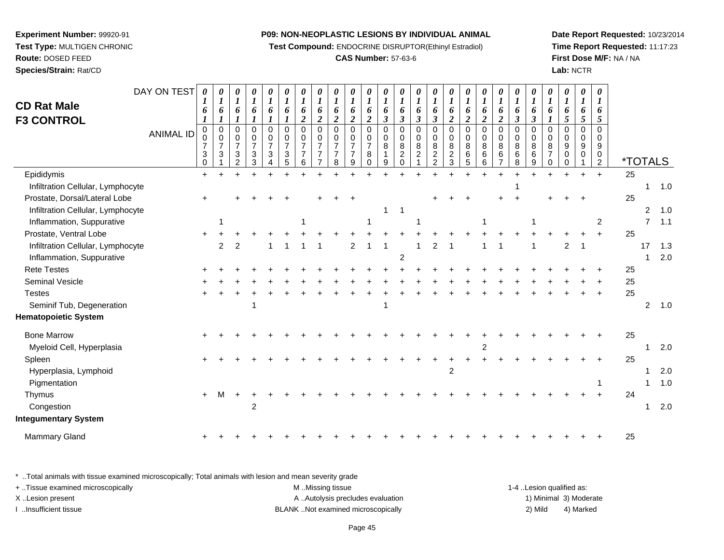**Test Compound:** ENDOCRINE DISRUPTOR(Ethinyl Estradiol)

**Date Report Requested:** 10/23/2014**Time Report Requested:** 11:17:23**First Dose M/F:** NA / NA**Lab:** NCTR

| Test Type: MULTIGEN CHRONIC      |                  |        |        |             |             |             |             |             |        |        |          |             |        |                            |        | Test Compound: ENDOCRINE DISRUPTOR(Ethinyl E |                  |
|----------------------------------|------------------|--------|--------|-------------|-------------|-------------|-------------|-------------|--------|--------|----------|-------------|--------|----------------------------|--------|----------------------------------------------|------------------|
| Route: DOSED FEED                |                  |        |        |             |             |             |             |             |        |        |          |             |        | <b>CAS Number: 57-63-6</b> |        |                                              |                  |
| Species/Strain: Rat/CD           |                  |        |        |             |             |             |             |             |        |        |          |             |        |                            |        |                                              |                  |
|                                  | DAY ON TEST      | 0      | 0      | 0           | 0           | 0           | 0           | 0           | 0      |        | $\theta$ | 0           |        | 0                          | 0      | 0                                            | 0                |
| <b>CD Rat Male</b>               |                  |        |        |             |             |             |             |             |        |        |          |             |        |                            |        |                                              |                  |
|                                  |                  | o      | o      | Đ           | 6           | o           | o           | o<br>ി      | 6<br>2 | o      | o        | 6<br>2      | o<br>3 | n<br>3                     | o<br>3 | 6<br>3                                       | 6<br>2           |
| <b>F3 CONTROL</b>                | <b>ANIMAL ID</b> | 0<br>3 | 0<br>3 | 0<br>0<br>3 | 0<br>0<br>3 | 0<br>0<br>3 | 0<br>0<br>3 | ∠<br>0<br>0 | 0<br>0 | 0<br>0 | 0<br>0   | 0<br>0<br>8 | 8      | 0<br>0<br>8<br>2           | 8<br>າ | 0<br>0<br>8<br>2                             | 0<br>0<br>8<br>2 |
|                                  |                  |        |        | っ           | 3           | 4           | 5           | 6           |        | 8      | 9        | 0           | 9      |                            |        | 2                                            | -3               |
| Epididymis                       |                  |        |        |             |             |             |             |             |        |        |          |             |        |                            |        |                                              |                  |
| Infiltration Cellular Lymphocyte |                  |        |        |             |             |             |             |             |        |        |          |             |        |                            |        |                                              |                  |

**Experiment Number:** 99920-91

| $\boldsymbol{l}$<br>$\boldsymbol{l}$<br>$\boldsymbol{l}$<br>$\boldsymbol{l}$<br>$\boldsymbol{l}$<br>$\boldsymbol{l}$<br>$\boldsymbol{l}$<br>$\boldsymbol{l}$<br>1<br>1<br>$\boldsymbol{l}$<br>1<br>$\boldsymbol{l}$<br>1<br>$\boldsymbol{l}$<br>$\boldsymbol{l}$<br>1<br>1<br>1<br><b>CD Rat Male</b><br>6<br>6<br>6<br>6<br>6<br>6<br>6<br>6<br>6<br>6<br>6<br>6<br>6<br>6<br>6<br>6<br>6<br>6<br>6                                                                                                                                                                                                                                                                                                                                                                                                                                                                                                                                                                                                                                                                                                                                                                                                                                                                                                  |                       |
|-------------------------------------------------------------------------------------------------------------------------------------------------------------------------------------------------------------------------------------------------------------------------------------------------------------------------------------------------------------------------------------------------------------------------------------------------------------------------------------------------------------------------------------------------------------------------------------------------------------------------------------------------------------------------------------------------------------------------------------------------------------------------------------------------------------------------------------------------------------------------------------------------------------------------------------------------------------------------------------------------------------------------------------------------------------------------------------------------------------------------------------------------------------------------------------------------------------------------------------------------------------------------------------------------------|-----------------------|
| 6<br>6<br>6<br>6<br>6<br>6                                                                                                                                                                                                                                                                                                                                                                                                                                                                                                                                                                                                                                                                                                                                                                                                                                                                                                                                                                                                                                                                                                                                                                                                                                                                            |                       |
| $\boldsymbol{l}$<br>$\overline{2}$<br>$\mathfrak{z}$<br>$\mathfrak{z}$<br>$\mathfrak{z}$<br>$\overline{c}$<br>$\overline{2}$<br>$\overline{\mathbf{c}}$<br>$\mathfrak{z}$<br>$\mathfrak{z}$<br>$\boldsymbol{l}$<br>$\boldsymbol{l}$<br>$\overline{2}$<br>$\overline{2}$<br>2<br>$\overline{2}$<br>3<br>$\overline{2}$<br>5<br>5<br>5<br><b>F3 CONTROL</b><br>$\boldsymbol{l}$<br>$\mathbf{I}$                                                                                                                                                                                                                                                                                                                                                                                                                                                                                                                                                                                                                                                                                                                                                                                                                                                                                                         |                       |
| $\pmb{0}$<br>$\pmb{0}$<br>$\mathbf 0$<br>$\mathbf 0$<br>0<br>0<br>$\mathbf 0$<br>$\mathbf 0$<br>$\mathbf 0$<br>$\Omega$<br>$\mathbf 0$<br>$\mathbf 0$<br>$\mathbf 0$<br>$\mathbf 0$<br>$\pmb{0}$<br>$\mathbf 0$<br>$\mathbf 0$<br>$\mathbf 0$<br>$\mathbf 0$<br>$\mathbf 0$<br>$\mathbf 0$<br>$\mathbf 0$<br>$\mathbf 0$<br>0<br>$\mathbf 0$<br><b>ANIMAL ID</b><br>$\mathbf 0$<br>0<br>0<br>0<br>0<br>0<br>0<br>0<br>0<br>0<br>0<br>0<br>0<br>0<br>0<br>0<br>0<br>$\Omega$<br>0<br>0<br>$\mathbf 0$<br>$\Omega$<br>$\Omega$<br>$\Omega$<br>$\overline{7}$<br>$\overline{7}$<br>$\overline{7}$<br>$\overline{7}$<br>$\overline{7}$<br>$\overline{7}$<br>$\overline{7}$<br>$\overline{7}$<br>$\overline{7}$<br>$\overline{7}$<br>$\overline{7}$<br>8<br>8<br>8<br>8<br>8<br>8<br>8<br>8<br>9<br>8<br>8<br>8<br>9<br>9<br>$\ensuremath{\mathsf{3}}$<br>$\mathbf{3}$<br>$\sqrt{3}$<br>$\overline{c}$<br>$\frac{2}{3}$<br>$\sqrt{3}$<br>3<br>3<br>$\overline{7}$<br>8<br>$\overline{a}$<br>$\overline{2}$<br>6<br>6<br>6<br>6<br>6<br>$\overline{7}$<br>$\pmb{0}$<br>$\overline{7}$<br>7<br>$\overline{7}$<br>0<br>0<br>$\overline{c}$<br>$\overline{2}$<br>2<br>3<br>$\mathbf 0$<br>5<br>6<br>$\overline{7}$<br>9<br>$\Omega$<br>5<br>6<br>$\overline{7}$<br>8<br>4<br>8<br>9<br>$\Omega$<br>9<br>0<br>0 | <i><b>*TOTALS</b></i> |
| Epididymis<br>$\ddot{}$<br>$\ddot{}$                                                                                                                                                                                                                                                                                                                                                                                                                                                                                                                                                                                                                                                                                                                                                                                                                                                                                                                                                                                                                                                                                                                                                                                                                                                                  | 25                    |
| Infiltration Cellular, Lymphocyte                                                                                                                                                                                                                                                                                                                                                                                                                                                                                                                                                                                                                                                                                                                                                                                                                                                                                                                                                                                                                                                                                                                                                                                                                                                                     | 1.0<br>1              |
| Prostate, Dorsal/Lateral Lobe<br>$\ddot{}$                                                                                                                                                                                                                                                                                                                                                                                                                                                                                                                                                                                                                                                                                                                                                                                                                                                                                                                                                                                                                                                                                                                                                                                                                                                            | 25                    |
| Infiltration Cellular, Lymphocyte                                                                                                                                                                                                                                                                                                                                                                                                                                                                                                                                                                                                                                                                                                                                                                                                                                                                                                                                                                                                                                                                                                                                                                                                                                                                     | $\overline{2}$<br>1.0 |
| Inflammation, Suppurative<br>$\overline{c}$                                                                                                                                                                                                                                                                                                                                                                                                                                                                                                                                                                                                                                                                                                                                                                                                                                                                                                                                                                                                                                                                                                                                                                                                                                                           | $\overline{7}$<br>1.1 |
| Prostate, Ventral Lobe                                                                                                                                                                                                                                                                                                                                                                                                                                                                                                                                                                                                                                                                                                                                                                                                                                                                                                                                                                                                                                                                                                                                                                                                                                                                                | 25                    |
| Infiltration Cellular, Lymphocyte<br>$\overline{c}$<br>2<br>$\overline{2}$<br>2<br>2<br>Inflammation, Suppurative<br>$\overline{c}$                                                                                                                                                                                                                                                                                                                                                                                                                                                                                                                                                                                                                                                                                                                                                                                                                                                                                                                                                                                                                                                                                                                                                                   | 17<br>1.3<br>2.0<br>1 |
| <b>Rete Testes</b>                                                                                                                                                                                                                                                                                                                                                                                                                                                                                                                                                                                                                                                                                                                                                                                                                                                                                                                                                                                                                                                                                                                                                                                                                                                                                    | 25                    |
| Seminal Vesicle                                                                                                                                                                                                                                                                                                                                                                                                                                                                                                                                                                                                                                                                                                                                                                                                                                                                                                                                                                                                                                                                                                                                                                                                                                                                                       | 25                    |
| <b>Testes</b>                                                                                                                                                                                                                                                                                                                                                                                                                                                                                                                                                                                                                                                                                                                                                                                                                                                                                                                                                                                                                                                                                                                                                                                                                                                                                         | 25                    |
| Seminif Tub, Degeneration                                                                                                                                                                                                                                                                                                                                                                                                                                                                                                                                                                                                                                                                                                                                                                                                                                                                                                                                                                                                                                                                                                                                                                                                                                                                             | $\overline{2}$<br>1.0 |
| <b>Hematopoietic System</b>                                                                                                                                                                                                                                                                                                                                                                                                                                                                                                                                                                                                                                                                                                                                                                                                                                                                                                                                                                                                                                                                                                                                                                                                                                                                           |                       |
| <b>Bone Marrow</b><br>$\overline{2}$<br>Myeloid Cell, Hyperplasia                                                                                                                                                                                                                                                                                                                                                                                                                                                                                                                                                                                                                                                                                                                                                                                                                                                                                                                                                                                                                                                                                                                                                                                                                                     | 25<br>2.0<br>1        |
| Spleen                                                                                                                                                                                                                                                                                                                                                                                                                                                                                                                                                                                                                                                                                                                                                                                                                                                                                                                                                                                                                                                                                                                                                                                                                                                                                                | 25                    |
| Hyperplasia, Lymphoid<br>$\overline{c}$                                                                                                                                                                                                                                                                                                                                                                                                                                                                                                                                                                                                                                                                                                                                                                                                                                                                                                                                                                                                                                                                                                                                                                                                                                                               | 2.0<br>1              |
| Pigmentation                                                                                                                                                                                                                                                                                                                                                                                                                                                                                                                                                                                                                                                                                                                                                                                                                                                                                                                                                                                                                                                                                                                                                                                                                                                                                          | 1.0<br>1              |
| Thymus<br>$+$<br>м<br>$\ddot{}$                                                                                                                                                                                                                                                                                                                                                                                                                                                                                                                                                                                                                                                                                                                                                                                                                                                                                                                                                                                                                                                                                                                                                                                                                                                                       | 24                    |
| Congestion<br>$\overline{2}$                                                                                                                                                                                                                                                                                                                                                                                                                                                                                                                                                                                                                                                                                                                                                                                                                                                                                                                                                                                                                                                                                                                                                                                                                                                                          | 2.0<br>1              |
| <b>Integumentary System</b>                                                                                                                                                                                                                                                                                                                                                                                                                                                                                                                                                                                                                                                                                                                                                                                                                                                                                                                                                                                                                                                                                                                                                                                                                                                                           |                       |
| Mammary Gland                                                                                                                                                                                                                                                                                                                                                                                                                                                                                                                                                                                                                                                                                                                                                                                                                                                                                                                                                                                                                                                                                                                                                                                                                                                                                         | 25                    |

\* ..Total animals with tissue examined microscopically; Total animals with lesion and mean severity grade

| + Tissue examined microscopically | M Missing tissue                   | 1-4 Lesion qualified as: |                        |
|-----------------------------------|------------------------------------|--------------------------|------------------------|
| X Lesion present                  | A Autolysis precludes evaluation   |                          | 1) Minimal 3) Moderate |
| Insufficient tissue               | BLANK Not examined microscopically | 2) Mild                  | 4) Marked              |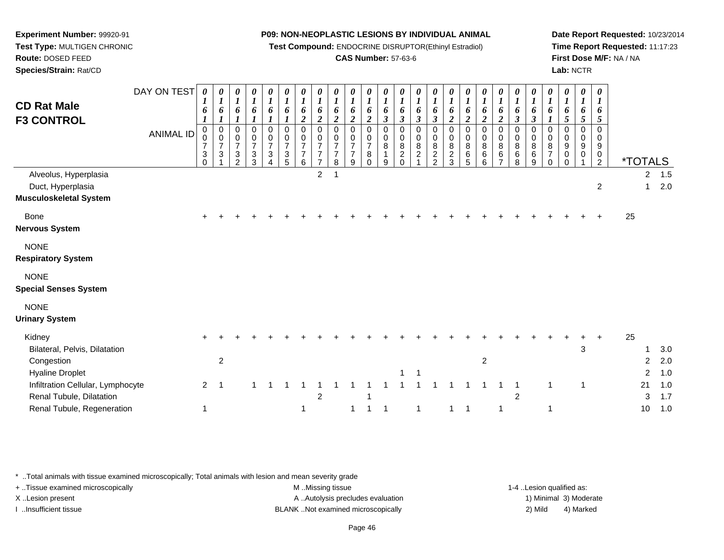**Test Compound:** ENDOCRINE DISRUPTOR(Ethinyl Estradiol)

# **CAS Number:** 57-63-6

**Date Report Requested:** 10/23/2014**Time Report Requested:** 11:17:23**First Dose M/F:** NA / NA**Lab:** NCTR

| <b>CD Rat Male</b><br><b>F3 CONTROL</b>                                                     | DAY ON TEST<br><b>ANIMAL ID</b> | 1<br>6<br>1<br>0<br>0<br>$\overline{7}$<br>3<br>$\Omega$ | 0<br>$\boldsymbol{l}$<br>6<br>$\pmb{0}$<br>$\pmb{0}$<br>$\overline{7}$<br>$\mathbf{3}$ | 0<br>$\boldsymbol{l}$<br>6<br>0<br>$\mathbf 0$<br>$\overline{7}$<br>$\mathbf{3}$<br>$\overline{2}$ | 0<br>$\boldsymbol{l}$<br>6<br>0<br>$\pmb{0}$<br>$\overline{7}$<br>$\ensuremath{\mathsf{3}}$<br>3 | 0<br>$\boldsymbol{l}$<br>6<br>$\pmb{0}$<br>$\pmb{0}$<br>$\overline{7}$<br>$\ensuremath{\mathsf{3}}$<br>4 | 0<br>$\boldsymbol{l}$<br>6<br>$\,0\,$<br>$\frac{0}{7}$<br>$\ensuremath{\mathsf{3}}$<br>5 | 0<br>$\boldsymbol{l}$<br>6<br>$\boldsymbol{2}$<br>0<br>0<br>$\overline{7}$<br>$\overline{7}$<br>6 | $\boldsymbol{l}$<br>6<br>2<br>0<br>0<br>$\overline{7}$<br>$\overline{7}$<br>$\overline{7}$ | 0<br>$\boldsymbol{l}$<br>6<br>$\boldsymbol{2}$<br>$\Omega$<br>0<br>$\overline{7}$<br>$\overline{7}$<br>8 | 0<br>$\boldsymbol{l}$<br>6<br>$\overline{c}$<br>$\Omega$<br>0<br>$\overline{7}$<br>$\overline{7}$<br>9 | 0<br>$\boldsymbol{l}$<br>6<br>$\overline{\mathbf{c}}$<br>0<br>0<br>$\overline{7}$<br>8<br>$\Omega$ | 0<br>$\boldsymbol{l}$<br>6<br>$\boldsymbol{\beta}$<br>0<br>$\mathbf 0$<br>8<br>9 | 0<br>$\boldsymbol{l}$<br>6<br>$\boldsymbol{\beta}$<br>0<br>$\pmb{0}$<br>$\bf8$<br>$\overline{c}$<br>$\Omega$ | 0<br>$\boldsymbol{l}$<br>6<br>$\mathbf{3}$<br>0<br>$\mathbf 0$<br>8<br>$\overline{\mathbf{c}}$ | 0<br>$\boldsymbol{l}$<br>6<br>$\boldsymbol{\beta}$<br>0<br>$\mathbf 0$<br>$\,8\,$<br>$\frac{2}{2}$ | $\boldsymbol{\theta}$<br>$\boldsymbol{l}$<br>6<br>$\boldsymbol{2}$<br>$\pmb{0}$<br>$\mathbf 0$<br>8<br>$\overline{\mathbf{c}}$<br>3 | 0<br>$\boldsymbol{l}$<br>6<br>$\boldsymbol{2}$<br>$\pmb{0}$<br>$\pmb{0}$<br>$\overline{8}$<br>$\,6$<br>$\overline{5}$ | 0<br>$\boldsymbol{l}$<br>6<br>$\overline{\mathbf{c}}$<br>0<br>$\mathsf{O}\xspace$<br>8<br>$\,6$<br>$6\phantom{1}$ | 0<br>$\boldsymbol{l}$<br>6<br>$\overline{2}$<br>0<br>$\pmb{0}$<br>8<br>6<br>$\overline{7}$ | 0<br>$\boldsymbol{l}$<br>6<br>$\boldsymbol{\beta}$<br>0<br>$\pmb{0}$<br>$\, 8$<br>$\,6$<br>8 | 0<br>$\boldsymbol{l}$<br>6<br>$\mathfrak{z}$<br>0<br>0<br>8<br>$\,6$<br>9 | 0<br>$\boldsymbol{l}$<br>6<br>0<br>0<br>8<br>$\overline{7}$<br>$\Omega$ | $\boldsymbol{l}$<br>6<br>5<br>0<br>0<br>9<br>0<br>0 | 0<br>1<br>6<br>$\mathfrak{s}$<br>0<br>$\Omega$<br>9<br>0 | 0<br>$\boldsymbol{l}$<br>6<br>5<br>$\Omega$<br>$\mathbf 0$<br>9<br>$\pmb{0}$<br>$\overline{2}$ |    | <i><b>*TOTALS</b></i> |                   |
|---------------------------------------------------------------------------------------------|---------------------------------|----------------------------------------------------------|----------------------------------------------------------------------------------------|----------------------------------------------------------------------------------------------------|--------------------------------------------------------------------------------------------------|----------------------------------------------------------------------------------------------------------|------------------------------------------------------------------------------------------|---------------------------------------------------------------------------------------------------|--------------------------------------------------------------------------------------------|----------------------------------------------------------------------------------------------------------|--------------------------------------------------------------------------------------------------------|----------------------------------------------------------------------------------------------------|----------------------------------------------------------------------------------|--------------------------------------------------------------------------------------------------------------|------------------------------------------------------------------------------------------------|----------------------------------------------------------------------------------------------------|-------------------------------------------------------------------------------------------------------------------------------------|-----------------------------------------------------------------------------------------------------------------------|-------------------------------------------------------------------------------------------------------------------|--------------------------------------------------------------------------------------------|----------------------------------------------------------------------------------------------|---------------------------------------------------------------------------|-------------------------------------------------------------------------|-----------------------------------------------------|----------------------------------------------------------|------------------------------------------------------------------------------------------------|----|-----------------------|-------------------|
| Alveolus, Hyperplasia<br>Duct, Hyperplasia<br><b>Musculoskeletal System</b>                 |                                 |                                                          |                                                                                        |                                                                                                    |                                                                                                  |                                                                                                          |                                                                                          |                                                                                                   | $\overline{2}$                                                                             |                                                                                                          |                                                                                                        |                                                                                                    |                                                                                  |                                                                                                              |                                                                                                |                                                                                                    |                                                                                                                                     |                                                                                                                       |                                                                                                                   |                                                                                            |                                                                                              |                                                                           |                                                                         |                                                     |                                                          | $\overline{c}$                                                                                 |    | 2<br>1                | 1.5<br>2.0        |
| Bone<br><b>Nervous System</b>                                                               |                                 |                                                          |                                                                                        |                                                                                                    |                                                                                                  |                                                                                                          |                                                                                          |                                                                                                   |                                                                                            |                                                                                                          |                                                                                                        |                                                                                                    |                                                                                  |                                                                                                              |                                                                                                |                                                                                                    |                                                                                                                                     |                                                                                                                       |                                                                                                                   |                                                                                            |                                                                                              |                                                                           |                                                                         |                                                     |                                                          |                                                                                                | 25 |                       |                   |
| <b>NONE</b><br><b>Respiratory System</b>                                                    |                                 |                                                          |                                                                                        |                                                                                                    |                                                                                                  |                                                                                                          |                                                                                          |                                                                                                   |                                                                                            |                                                                                                          |                                                                                                        |                                                                                                    |                                                                                  |                                                                                                              |                                                                                                |                                                                                                    |                                                                                                                                     |                                                                                                                       |                                                                                                                   |                                                                                            |                                                                                              |                                                                           |                                                                         |                                                     |                                                          |                                                                                                |    |                       |                   |
| <b>NONE</b><br><b>Special Senses System</b>                                                 |                                 |                                                          |                                                                                        |                                                                                                    |                                                                                                  |                                                                                                          |                                                                                          |                                                                                                   |                                                                                            |                                                                                                          |                                                                                                        |                                                                                                    |                                                                                  |                                                                                                              |                                                                                                |                                                                                                    |                                                                                                                                     |                                                                                                                       |                                                                                                                   |                                                                                            |                                                                                              |                                                                           |                                                                         |                                                     |                                                          |                                                                                                |    |                       |                   |
| <b>NONE</b><br><b>Urinary System</b>                                                        |                                 |                                                          |                                                                                        |                                                                                                    |                                                                                                  |                                                                                                          |                                                                                          |                                                                                                   |                                                                                            |                                                                                                          |                                                                                                        |                                                                                                    |                                                                                  |                                                                                                              |                                                                                                |                                                                                                    |                                                                                                                                     |                                                                                                                       |                                                                                                                   |                                                                                            |                                                                                              |                                                                           |                                                                         |                                                     |                                                          |                                                                                                |    |                       |                   |
| Kidney<br>Bilateral, Pelvis, Dilatation<br>Congestion<br><b>Hyaline Droplet</b>             |                                 |                                                          | $\overline{c}$                                                                         |                                                                                                    |                                                                                                  |                                                                                                          |                                                                                          |                                                                                                   |                                                                                            |                                                                                                          |                                                                                                        |                                                                                                    |                                                                                  |                                                                                                              |                                                                                                |                                                                                                    |                                                                                                                                     |                                                                                                                       | 2                                                                                                                 |                                                                                            |                                                                                              |                                                                           |                                                                         |                                                     | 3                                                        |                                                                                                | 25 | $\overline{2}$<br>2   | 3.0<br>2.0<br>1.0 |
| Infiltration Cellular, Lymphocyte<br>Renal Tubule, Dilatation<br>Renal Tubule, Regeneration |                                 | $\overline{2}$<br>1                                      | -1                                                                                     |                                                                                                    |                                                                                                  |                                                                                                          |                                                                                          | 1                                                                                                 | 2                                                                                          |                                                                                                          |                                                                                                        |                                                                                                    | $\mathbf 1$                                                                      |                                                                                                              | $\mathbf{1}$                                                                                   |                                                                                                    | 1                                                                                                                                   | $\mathbf 1$                                                                                                           |                                                                                                                   | 1                                                                                          | $\mathbf 1$<br>$\overline{2}$                                                                |                                                                           | $\mathbf 1$<br>1                                                        |                                                     | $\overline{1}$                                           |                                                                                                |    | 21<br>3<br>10         | 1.0<br>1.7<br>1.0 |

\* ..Total animals with tissue examined microscopically; Total animals with lesion and mean severity grade

+ ..Tissue examined microscopically examined microscopically examined as:  $M$  ..Missing tissue 1-4 ..Lesion qualified as: X..Lesion present **A ..Autolysis precludes evaluation** A ..Autolysis precludes evaluation 1) Minimal 3) Moderate

I ..Insufficient tissue BLANK ..Not examined microscopically 2) Mild 4) Marked

# **Experiment Number:** 99920-91 **Test Type:** MULTIGEN CHRONIC**Route:** DOSED FEED

**Species/Strain:** Rat/CD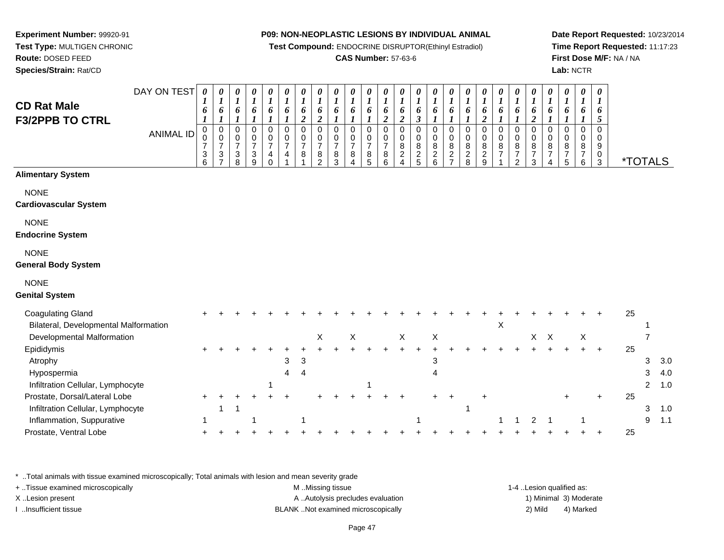**Test Compound:** ENDOCRINE DISRUPTOR(Ethinyl Estradiol)

# **CAS Number:** 57-63-6

**Date Report Requested:** 10/23/2014**Time Report Requested:** 11:17:23**First Dose M/F:** NA / NA**Lab:** NCTR

| <b>CD Rat Male</b>                                                 | DAY ON TEST      | 0<br>1<br>6                                       | $\boldsymbol{\theta}$<br>$\boldsymbol{l}$<br>6                | 0<br>$\boldsymbol{l}$<br>6                           | 0<br>$\boldsymbol{l}$<br>6                                         | $\boldsymbol{\theta}$<br>$\boldsymbol{l}$<br>6                | 0<br>$\boldsymbol{l}$<br>6                                         | 0<br>$\boldsymbol{l}$<br>6                                  | 0<br>$\boldsymbol{l}$<br>6                                       | $\boldsymbol{\theta}$<br>$\boldsymbol{l}$<br>6 | 0<br>$\boldsymbol{l}$<br>6                                                          | 0<br>$\boldsymbol{l}$<br>6         | 0<br>$\boldsymbol{l}$<br>6                                     | 0<br>$\boldsymbol{l}$<br>6                                                      | 0<br>$\boldsymbol{l}$<br>6                                             | 0<br>$\boldsymbol{l}$<br>6             | 0<br>$\boldsymbol{l}$<br>6                                | $\boldsymbol{\theta}$<br>$\boldsymbol{l}$<br>6          | $\boldsymbol{\theta}$<br>$\boldsymbol{l}$<br>6              | 0<br>$\boldsymbol{l}$<br>$\boldsymbol{6}$ | 0<br>$\boldsymbol{l}$<br>6                   | 0<br>$\boldsymbol{l}$<br>6                                           | 0<br>$\boldsymbol{l}$<br>6                        | 0<br>$\boldsymbol{l}$<br>6                 | 0<br>$\boldsymbol{l}$<br>6                        | $\boldsymbol{\theta}$<br>$\boldsymbol{I}$<br>6 |    |                       |            |
|--------------------------------------------------------------------|------------------|---------------------------------------------------|---------------------------------------------------------------|------------------------------------------------------|--------------------------------------------------------------------|---------------------------------------------------------------|--------------------------------------------------------------------|-------------------------------------------------------------|------------------------------------------------------------------|------------------------------------------------|-------------------------------------------------------------------------------------|------------------------------------|----------------------------------------------------------------|---------------------------------------------------------------------------------|------------------------------------------------------------------------|----------------------------------------|-----------------------------------------------------------|---------------------------------------------------------|-------------------------------------------------------------|-------------------------------------------|----------------------------------------------|----------------------------------------------------------------------|---------------------------------------------------|--------------------------------------------|---------------------------------------------------|------------------------------------------------|----|-----------------------|------------|
| <b>F3/2PPB TO CTRL</b>                                             | <b>ANIMAL ID</b> | 1<br>$\mathbf 0$<br>0<br>$\overline{7}$<br>3<br>6 | 1<br>$\mathbf 0$<br>$\pmb{0}$<br>$\overline{7}$<br>$\sqrt{3}$ | $\pmb{0}$<br>$\mathbf 0$<br>$\overline{7}$<br>3<br>8 | 1<br>$\pmb{0}$<br>$\pmb{0}$<br>$\overline{7}$<br>$\mathbf{3}$<br>9 | 1<br>$\boldsymbol{0}$<br>0<br>$\overline{7}$<br>4<br>$\Omega$ | $\boldsymbol{\mathit{1}}$<br>$\pmb{0}$<br>0<br>$\overline{7}$<br>4 | $\boldsymbol{2}$<br>$\mathbf 0$<br>0<br>$\overline{7}$<br>8 | $\boldsymbol{2}$<br>$\mathbf 0$<br>0<br>$\overline{7}$<br>8<br>2 | $\mathbf 0$<br>0<br>$\overline{7}$<br>8<br>3   | $\boldsymbol{\mathit{1}}$<br>$\overline{0}$<br>0<br>$\overline{7}$<br>8<br>$\Delta$ | 0<br>0<br>$\overline{7}$<br>8<br>5 | $\boldsymbol{2}$<br>$\pmb{0}$<br>0<br>$\overline{7}$<br>8<br>6 | $\boldsymbol{2}$<br>$\boldsymbol{0}$<br>$\mathbf 0$<br>8<br>$\overline{c}$<br>4 | $\boldsymbol{\beta}$<br>$\mathbf 0$<br>$\pmb{0}$<br>8<br>$\frac{2}{5}$ | $\pmb{0}$<br>0<br>8<br>$\sqrt{2}$<br>6 | $\mathbf 0$<br>0<br>8<br>$\overline{2}$<br>$\overline{7}$ | 1<br>$\mathbf 0$<br>0<br>$\bf 8$<br>$\overline{2}$<br>8 | $\boldsymbol{2}$<br>$\pmb{0}$<br>$\pmb{0}$<br>$\frac{8}{2}$ | $\pmb{0}$<br>$\mathbf 0$<br>$\frac{8}{7}$ | $\pmb{0}$<br>$\pmb{0}$<br>$\frac{8}{7}$<br>2 | $\boldsymbol{2}$<br>$\pmb{0}$<br>0<br>$\bf 8$<br>$\overline{7}$<br>3 | 1<br>$\mathbf 0$<br>0<br>8<br>$\overline{7}$<br>4 | $\pmb{0}$<br>0<br>8<br>$\overline{7}$<br>5 | 1<br>$\pmb{0}$<br>0<br>8<br>$\boldsymbol{7}$<br>6 | 5<br>$\mathbf 0$<br>$\mathbf 0$<br>9<br>0<br>3 |    | <i><b>*TOTALS</b></i> |            |
| <b>Alimentary System</b>                                           |                  |                                                   |                                                               |                                                      |                                                                    |                                                               |                                                                    |                                                             |                                                                  |                                                |                                                                                     |                                    |                                                                |                                                                                 |                                                                        |                                        |                                                           |                                                         |                                                             |                                           |                                              |                                                                      |                                                   |                                            |                                                   |                                                |    |                       |            |
| <b>NONE</b><br><b>Cardiovascular System</b>                        |                  |                                                   |                                                               |                                                      |                                                                    |                                                               |                                                                    |                                                             |                                                                  |                                                |                                                                                     |                                    |                                                                |                                                                                 |                                                                        |                                        |                                                           |                                                         |                                                             |                                           |                                              |                                                                      |                                                   |                                            |                                                   |                                                |    |                       |            |
| <b>NONE</b><br><b>Endocrine System</b>                             |                  |                                                   |                                                               |                                                      |                                                                    |                                                               |                                                                    |                                                             |                                                                  |                                                |                                                                                     |                                    |                                                                |                                                                                 |                                                                        |                                        |                                                           |                                                         |                                                             |                                           |                                              |                                                                      |                                                   |                                            |                                                   |                                                |    |                       |            |
| <b>NONE</b><br><b>General Body System</b>                          |                  |                                                   |                                                               |                                                      |                                                                    |                                                               |                                                                    |                                                             |                                                                  |                                                |                                                                                     |                                    |                                                                |                                                                                 |                                                                        |                                        |                                                           |                                                         |                                                             |                                           |                                              |                                                                      |                                                   |                                            |                                                   |                                                |    |                       |            |
| <b>NONE</b><br><b>Genital System</b>                               |                  |                                                   |                                                               |                                                      |                                                                    |                                                               |                                                                    |                                                             |                                                                  |                                                |                                                                                     |                                    |                                                                |                                                                                 |                                                                        |                                        |                                                           |                                                         |                                                             |                                           |                                              |                                                                      |                                                   |                                            |                                                   |                                                |    |                       |            |
| <b>Coagulating Gland</b><br>Bilateral, Developmental Malformation  |                  |                                                   |                                                               |                                                      |                                                                    |                                                               |                                                                    |                                                             |                                                                  |                                                |                                                                                     |                                    |                                                                |                                                                                 |                                                                        |                                        |                                                           |                                                         |                                                             | $\boldsymbol{\mathsf{X}}$                 |                                              |                                                                      |                                                   |                                            |                                                   |                                                | 25 |                       |            |
| Developmental Malformation                                         |                  |                                                   |                                                               |                                                      |                                                                    |                                                               |                                                                    |                                                             | $\mathsf X$                                                      |                                                | $\mathsf X$                                                                         |                                    |                                                                | $\mathsf X$                                                                     |                                                                        | X                                      |                                                           |                                                         |                                                             |                                           |                                              |                                                                      | $X$ $X$                                           |                                            | X                                                 |                                                |    |                       |            |
| Epididymis<br>Atrophy<br>Hypospermia                               |                  |                                                   |                                                               |                                                      |                                                                    |                                                               | 3<br>4                                                             | 3<br>4                                                      |                                                                  |                                                |                                                                                     |                                    |                                                                |                                                                                 |                                                                        | 3<br>4                                 |                                                           |                                                         |                                                             |                                           |                                              |                                                                      |                                                   |                                            |                                                   | $\ddot{}$                                      | 25 | 3<br>3                | 3.0<br>4.0 |
| Infiltration Cellular, Lymphocyte                                  |                  |                                                   |                                                               |                                                      |                                                                    |                                                               |                                                                    |                                                             |                                                                  |                                                |                                                                                     |                                    |                                                                |                                                                                 |                                                                        |                                        |                                                           |                                                         |                                                             |                                           |                                              |                                                                      |                                                   |                                            |                                                   |                                                |    | $\overline{c}$        | 1.0        |
| Prostate, Dorsal/Lateral Lobe<br>Infiltration Cellular, Lymphocyte |                  |                                                   | -1                                                            | 1                                                    |                                                                    |                                                               |                                                                    |                                                             |                                                                  |                                                |                                                                                     |                                    |                                                                |                                                                                 |                                                                        |                                        |                                                           | 1                                                       |                                                             |                                           |                                              |                                                                      |                                                   |                                            |                                                   | $+$                                            | 25 | 3                     | 1.0        |
| Inflammation, Suppurative                                          |                  |                                                   |                                                               |                                                      |                                                                    |                                                               |                                                                    | 1                                                           |                                                                  |                                                |                                                                                     |                                    |                                                                |                                                                                 |                                                                        |                                        |                                                           |                                                         |                                                             |                                           | 1                                            | $\overline{2}$                                                       | -1                                                |                                            | 1                                                 |                                                |    | 9                     | 1.1        |
| Prostate, Ventral Lobe                                             |                  |                                                   |                                                               |                                                      |                                                                    |                                                               |                                                                    |                                                             |                                                                  |                                                |                                                                                     |                                    |                                                                |                                                                                 |                                                                        |                                        |                                                           |                                                         |                                                             |                                           |                                              |                                                                      |                                                   |                                            |                                                   |                                                | 25 |                       |            |

\* ..Total animals with tissue examined microscopically; Total animals with lesion and mean severity grade

**Experiment Number:** 99920-91**Test Type:** MULTIGEN CHRONIC

**Route:** DOSED FEED**Species/Strain:** Rat/CD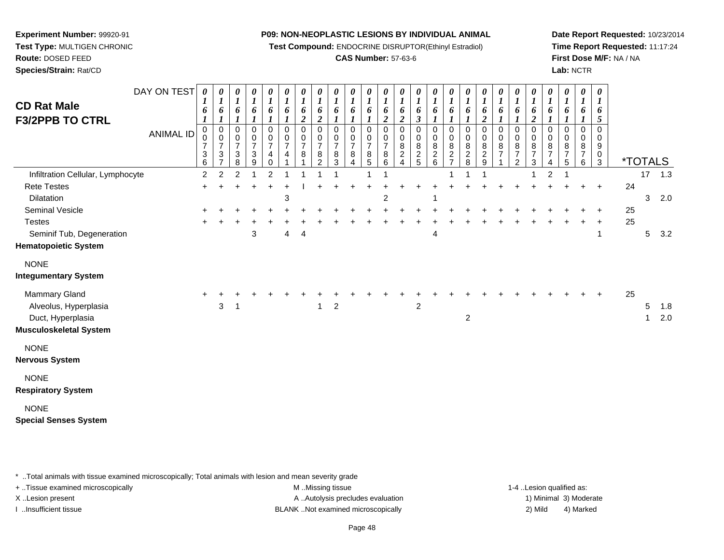**Test Compound:** ENDOCRINE DISRUPTOR(Ethinyl Estradiol)

# **CAS Number:** 57-63-6

**Date Report Requested:** 10/23/2014**Time Report Requested:** 11:17:24**First Dose M/F:** NA / NA**Lab:** NCTR

| <b>CD Rat Male</b><br><b>F3/2PPB TO CTRL</b>                                          | DAY ON TEST<br><b>ANIMAL ID</b> | 0<br>6<br>1<br>$\mathbf 0$<br>0<br>7<br>3<br>6 | 0<br>$\boldsymbol{l}$<br>6<br>$\mathbf{I}$<br>0<br>$\mathbf 0$<br>$\overline{7}$<br>$\sqrt{3}$<br>$\overline{7}$ | 0<br>$\boldsymbol{l}$<br>6<br>1<br>0<br>0<br>$\overline{7}$<br>3<br>8 | 0<br>$\boldsymbol{l}$<br>6<br>$\boldsymbol{l}$<br>0<br>0<br>$\overline{7}$<br>$_9^3$ | 0<br>$\boldsymbol{l}$<br>6<br>$\boldsymbol{l}$<br>0<br>$\mathbf 0$<br>$\overline{7}$<br>$\overline{\mathbf{4}}$<br>$\mathbf 0$ | 0<br>$\boldsymbol{l}$<br>6<br>$\mathbf{I}$<br>0<br>$\mathbf 0$<br>$\overline{7}$<br>4 | 0<br>$\boldsymbol{l}$<br>6<br>$\overline{c}$<br>0<br>0<br>$\overline{7}$<br>8 | 0<br>$\boldsymbol{l}$<br>6<br>$\boldsymbol{2}$<br>$\Omega$<br>0<br>$\overline{7}$<br>8<br>$\overline{c}$ | 0<br>1<br>6<br>1<br>0<br>0<br>$\overline{7}$<br>8<br>3 | 0<br>$\boldsymbol{l}$<br>6<br>$\boldsymbol{\mathit{1}}$<br>0<br>0<br>$\overline{7}$<br>8<br>$\boldsymbol{\Lambda}$ | 0<br>$\boldsymbol{l}$<br>6<br>1<br>0<br>0<br>$\overline{7}$<br>8<br>5 | 0<br>$\boldsymbol{l}$<br>6<br>$\boldsymbol{2}$<br>0<br>0<br>$\overline{7}$<br>8<br>6 | 0<br>$\boldsymbol{l}$<br>6<br>$\boldsymbol{2}$<br>0<br>$\mathbf 0$<br>8<br>$\overline{c}$<br>4 | 0<br>$\boldsymbol{l}$<br>6<br>$\boldsymbol{\beta}$<br>0<br>$\mathbf 0$<br>8<br>$\frac{2}{5}$ | 0<br>$\boldsymbol{l}$<br>6<br>1<br>0<br>0<br>8<br>$\frac{2}{6}$ | 0<br>$\boldsymbol{l}$<br>6<br>1<br>0<br>0<br>$\begin{array}{c} 8 \\ 2 \\ 7 \end{array}$ | $\boldsymbol{\theta}$<br>$\boldsymbol{l}$<br>6<br>1<br>0<br>0<br>8<br>$\mathbf 2$<br>8 | $\frac{\boldsymbol{\theta}}{\boldsymbol{I}}$<br>6<br>$\boldsymbol{2}$<br>$\,0\,$<br>$\pmb{0}$<br>$\begin{array}{c} 8 \\ 2 \\ 9 \end{array}$ | $\frac{\theta}{I}$<br>6<br>$\mathbf{I}$<br>0<br>$\mathsf 0$<br>8<br>$\overline{7}$ | 0<br>$\boldsymbol{l}$<br>6<br>1<br>0<br>$\mathsf 0$<br>8<br>$\frac{7}{2}$ | 0<br>$\boldsymbol{l}$<br>6<br>$\boldsymbol{2}$<br>0<br>0<br>8<br>$\overline{7}$<br>$\mathbf{3}$ | 0<br>$\boldsymbol{l}$<br>6<br>0<br>0<br>8<br>$\overline{\mathbf{7}}$<br>4 | 0<br>$\boldsymbol{l}$<br>6<br>$\boldsymbol{\mathit{I}}$<br>0<br>0<br>8<br>$\overline{7}$<br>$\overline{5}$ | 0<br>$\boldsymbol{l}$<br>6<br>$\boldsymbol{l}$<br>0<br>0<br>8<br>$\overline{\mathcal{I}}$<br>6 | $\boldsymbol{\theta}$<br>1<br>6<br>5<br>$\mathbf 0$<br>$\mathbf 0$<br>9<br>$\pmb{0}$<br>$\mathbf{3}$ |    |        | *TOTALS    |
|---------------------------------------------------------------------------------------|---------------------------------|------------------------------------------------|------------------------------------------------------------------------------------------------------------------|-----------------------------------------------------------------------|--------------------------------------------------------------------------------------|--------------------------------------------------------------------------------------------------------------------------------|---------------------------------------------------------------------------------------|-------------------------------------------------------------------------------|----------------------------------------------------------------------------------------------------------|--------------------------------------------------------|--------------------------------------------------------------------------------------------------------------------|-----------------------------------------------------------------------|--------------------------------------------------------------------------------------|------------------------------------------------------------------------------------------------|----------------------------------------------------------------------------------------------|-----------------------------------------------------------------|-----------------------------------------------------------------------------------------|----------------------------------------------------------------------------------------|---------------------------------------------------------------------------------------------------------------------------------------------|------------------------------------------------------------------------------------|---------------------------------------------------------------------------|-------------------------------------------------------------------------------------------------|---------------------------------------------------------------------------|------------------------------------------------------------------------------------------------------------|------------------------------------------------------------------------------------------------|------------------------------------------------------------------------------------------------------|----|--------|------------|
| Infiltration Cellular, Lymphocyte                                                     |                                 | $\overline{c}$                                 | $\overline{2}$                                                                                                   | 2                                                                     |                                                                                      | $\overline{2}$                                                                                                                 |                                                                                       |                                                                               |                                                                                                          |                                                        |                                                                                                                    |                                                                       |                                                                                      |                                                                                                |                                                                                              |                                                                 |                                                                                         |                                                                                        |                                                                                                                                             |                                                                                    |                                                                           | 1                                                                                               | $\overline{2}$                                                            | 1                                                                                                          |                                                                                                |                                                                                                      |    |        | $17 - 1.3$ |
| <b>Rete Testes</b>                                                                    |                                 |                                                |                                                                                                                  |                                                                       |                                                                                      |                                                                                                                                |                                                                                       |                                                                               |                                                                                                          |                                                        |                                                                                                                    |                                                                       |                                                                                      |                                                                                                |                                                                                              |                                                                 |                                                                                         |                                                                                        |                                                                                                                                             |                                                                                    |                                                                           |                                                                                                 |                                                                           |                                                                                                            |                                                                                                | $\ddot{}$                                                                                            | 24 |        |            |
| Dilatation                                                                            |                                 |                                                |                                                                                                                  |                                                                       |                                                                                      |                                                                                                                                | 3                                                                                     |                                                                               |                                                                                                          |                                                        |                                                                                                                    |                                                                       | $\overline{c}$                                                                       |                                                                                                |                                                                                              | 1                                                               |                                                                                         |                                                                                        |                                                                                                                                             |                                                                                    |                                                                           |                                                                                                 |                                                                           |                                                                                                            |                                                                                                |                                                                                                      |    | 3      | 2.0        |
| Seminal Vesicle                                                                       |                                 |                                                |                                                                                                                  |                                                                       |                                                                                      |                                                                                                                                |                                                                                       |                                                                               |                                                                                                          |                                                        |                                                                                                                    |                                                                       |                                                                                      |                                                                                                |                                                                                              |                                                                 |                                                                                         |                                                                                        |                                                                                                                                             |                                                                                    |                                                                           |                                                                                                 |                                                                           |                                                                                                            |                                                                                                |                                                                                                      | 25 |        |            |
| <b>Testes</b>                                                                         |                                 |                                                |                                                                                                                  |                                                                       |                                                                                      |                                                                                                                                |                                                                                       |                                                                               |                                                                                                          |                                                        |                                                                                                                    |                                                                       |                                                                                      |                                                                                                |                                                                                              |                                                                 |                                                                                         |                                                                                        |                                                                                                                                             |                                                                                    |                                                                           |                                                                                                 |                                                                           |                                                                                                            |                                                                                                |                                                                                                      | 25 |        |            |
| Seminif Tub, Degeneration                                                             |                                 |                                                |                                                                                                                  |                                                                       | 3                                                                                    |                                                                                                                                | 4                                                                                     | 4                                                                             |                                                                                                          |                                                        |                                                                                                                    |                                                                       |                                                                                      |                                                                                                |                                                                                              | 4                                                               |                                                                                         |                                                                                        |                                                                                                                                             |                                                                                    |                                                                           |                                                                                                 |                                                                           |                                                                                                            |                                                                                                | $\mathbf 1$                                                                                          |    | 5      | 3.2        |
| <b>Hematopoietic System</b>                                                           |                                 |                                                |                                                                                                                  |                                                                       |                                                                                      |                                                                                                                                |                                                                                       |                                                                               |                                                                                                          |                                                        |                                                                                                                    |                                                                       |                                                                                      |                                                                                                |                                                                                              |                                                                 |                                                                                         |                                                                                        |                                                                                                                                             |                                                                                    |                                                                           |                                                                                                 |                                                                           |                                                                                                            |                                                                                                |                                                                                                      |    |        |            |
| <b>NONE</b><br><b>Integumentary System</b>                                            |                                 |                                                |                                                                                                                  |                                                                       |                                                                                      |                                                                                                                                |                                                                                       |                                                                               |                                                                                                          |                                                        |                                                                                                                    |                                                                       |                                                                                      |                                                                                                |                                                                                              |                                                                 |                                                                                         |                                                                                        |                                                                                                                                             |                                                                                    |                                                                           |                                                                                                 |                                                                           |                                                                                                            |                                                                                                |                                                                                                      |    |        |            |
| Mammary Gland<br>Alveolus, Hyperplasia<br>Duct, Hyperplasia<br>Musculoskeletal System |                                 |                                                | 3                                                                                                                |                                                                       |                                                                                      |                                                                                                                                |                                                                                       |                                                                               |                                                                                                          | $\boldsymbol{2}$                                       |                                                                                                                    |                                                                       |                                                                                      |                                                                                                | $\overline{c}$                                                                               |                                                                 |                                                                                         | $\overline{\mathbf{c}}$                                                                |                                                                                                                                             |                                                                                    |                                                                           |                                                                                                 |                                                                           |                                                                                                            |                                                                                                |                                                                                                      | 25 | 5<br>1 | 1.8<br>2.0 |
| <b>NONE</b><br>Nervous System                                                         |                                 |                                                |                                                                                                                  |                                                                       |                                                                                      |                                                                                                                                |                                                                                       |                                                                               |                                                                                                          |                                                        |                                                                                                                    |                                                                       |                                                                                      |                                                                                                |                                                                                              |                                                                 |                                                                                         |                                                                                        |                                                                                                                                             |                                                                                    |                                                                           |                                                                                                 |                                                                           |                                                                                                            |                                                                                                |                                                                                                      |    |        |            |
| <b>NONE</b><br><b>Respiratory System</b>                                              |                                 |                                                |                                                                                                                  |                                                                       |                                                                                      |                                                                                                                                |                                                                                       |                                                                               |                                                                                                          |                                                        |                                                                                                                    |                                                                       |                                                                                      |                                                                                                |                                                                                              |                                                                 |                                                                                         |                                                                                        |                                                                                                                                             |                                                                                    |                                                                           |                                                                                                 |                                                                           |                                                                                                            |                                                                                                |                                                                                                      |    |        |            |
| <b>NONE</b><br><b>Special Senses System</b>                                           |                                 |                                                |                                                                                                                  |                                                                       |                                                                                      |                                                                                                                                |                                                                                       |                                                                               |                                                                                                          |                                                        |                                                                                                                    |                                                                       |                                                                                      |                                                                                                |                                                                                              |                                                                 |                                                                                         |                                                                                        |                                                                                                                                             |                                                                                    |                                                                           |                                                                                                 |                                                                           |                                                                                                            |                                                                                                |                                                                                                      |    |        |            |

\* ..Total animals with tissue examined microscopically; Total animals with lesion and mean severity grade

**Experiment Number:** 99920-91**Test Type:** MULTIGEN CHRONIC

**Route:** DOSED FEED**Species/Strain:** Rat/CD

+ ..Tissue examined microscopically examined microscopically examined as:  $M$  ..Missing tissue 1-4 ..Lesion qualified as: X..Lesion present **A ..Autolysis precludes evaluation** A ..Autolysis precludes evaluation 1) Minimal 3) Moderate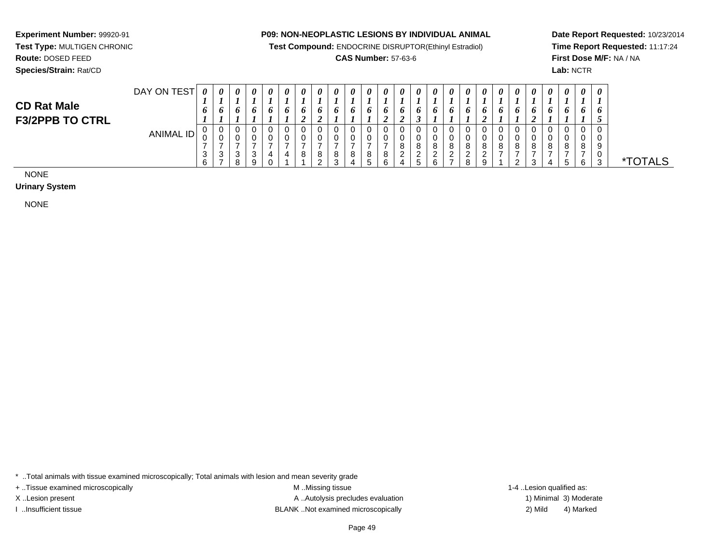**Test Compound:** ENDOCRINE DISRUPTOR(Ethinyl Estradiol)

# **CAS Number:** 57-63-6

**Date Report Requested:** 10/23/2014**Time Report Requested:** 11:17:24**First Dose M/F:** NA / NA**Lab:** NCTR

**Experiment Number:** 99920-91**Test Type:** MULTIGEN CHRONIC

**Species/Strain:** Rat/CD

| <b>CD Rat Male</b><br><b>F3/2PPB TO CTRL</b> | DAY ON TEST | $\boldsymbol{\theta}$<br>0 | $\boldsymbol{\theta}$<br>$\bm{o}$ | $\boldsymbol{\theta}$<br>$\bm{o}$ | 0<br>o           | 0<br>o | 0<br>0 | 0<br>∼      | 0           | $\boldsymbol{\theta}$ | $\theta$ | $\theta$<br>$\bm{o}$ | $\boldsymbol{\theta}$<br>$\bm{o}$ | $\boldsymbol{\theta}$<br>o        | $\boldsymbol{\theta}$<br>$\bm{o}$<br>ັ | $\boldsymbol{\theta}$<br>$\bm{o}$ | $\boldsymbol{\theta}$<br>o | $\theta$<br>o | ∼            | $\theta$ | $\boldsymbol{\theta}$<br>Đ | $\boldsymbol{\theta}$ | $\theta$<br>$\bm{o}$ | $\boldsymbol{\theta}$<br>o | 0<br>6 | $\boldsymbol{\theta}$<br>6<br>J |                       |
|----------------------------------------------|-------------|----------------------------|-----------------------------------|-----------------------------------|------------------|--------|--------|-------------|-------------|-----------------------|----------|----------------------|-----------------------------------|-----------------------------------|----------------------------------------|-----------------------------------|----------------------------|---------------|--------------|----------|----------------------------|-----------------------|----------------------|----------------------------|--------|---------------------------------|-----------------------|
|                                              | ANIMAL ID   | ັ                          | 0<br>v<br>3                       | 8                                 | 0<br>0<br>3<br>9 | U      | 4      | v<br>U<br>8 | υ<br>ν<br>8 | ◡<br>8                |          | o                    | 8                                 | v<br>ν<br>8<br>ົ<br><u>_</u><br>4 | ∽<br>÷.                                | 8<br>6                            | 8<br>$\sim$                | 8<br>∼<br>я   | U<br>я<br>ັບ | 8        |                            |                       | 8                    | 8<br>÷.                    | 8<br>6 | -0<br>9<br>-3                   | <i><b>*TOTALS</b></i> |

NONE

**Urinary System**

NONE

\* ..Total animals with tissue examined microscopically; Total animals with lesion and mean severity grade

+ ..Tissue examined microscopically examined microscopically examined as:  $M$  ..Missing tissue 1-4 ..Lesion qualified as:

X..Lesion present **A ..Autolysis precludes evaluation** A ..Autolysis precludes evaluation 1) Minimal 3) Moderate I ..Insufficient tissue BLANK ..Not examined microscopically 2) Mild 4) Marked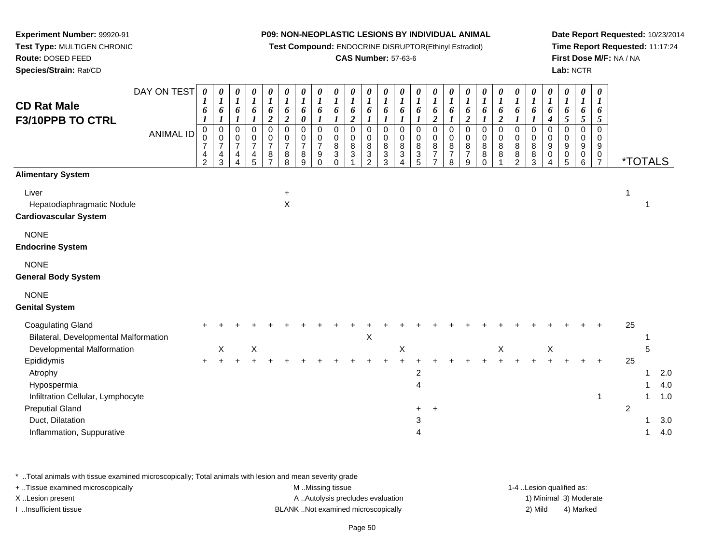**Test Compound:** ENDOCRINE DISRUPTOR(Ethinyl Estradiol)

# **CAS Number:** 57-63-6

**Date Report Requested:** 10/23/2014**Time Report Requested:** 11:17:24**First Dose M/F:** NA / NA**Lab:** NCTR

| Species/Strain: Rat/CD                                                                                                                                                                                                                                  |                                 |                                                                                            |                                                                                              |                                                                                            |                                                                                                                   |                                                                                                                  |                                                                                                        |                                                                                 |                                                                                                  |                                                                                                                 |                                                                                                             |                                                                                     |                                                                                                       |                                                                                                    |                                                                                                               |                                                                                                                   |                                                                                                        |                                                                                                                         |                                                                                               |                                                                                                       |                                                                                                                |                                                                                             |                                                                                             |                                                                  | Lab: NCTR                                                                       |                                                                         |                            |                       |                                 |
|---------------------------------------------------------------------------------------------------------------------------------------------------------------------------------------------------------------------------------------------------------|---------------------------------|--------------------------------------------------------------------------------------------|----------------------------------------------------------------------------------------------|--------------------------------------------------------------------------------------------|-------------------------------------------------------------------------------------------------------------------|------------------------------------------------------------------------------------------------------------------|--------------------------------------------------------------------------------------------------------|---------------------------------------------------------------------------------|--------------------------------------------------------------------------------------------------|-----------------------------------------------------------------------------------------------------------------|-------------------------------------------------------------------------------------------------------------|-------------------------------------------------------------------------------------|-------------------------------------------------------------------------------------------------------|----------------------------------------------------------------------------------------------------|---------------------------------------------------------------------------------------------------------------|-------------------------------------------------------------------------------------------------------------------|--------------------------------------------------------------------------------------------------------|-------------------------------------------------------------------------------------------------------------------------|-----------------------------------------------------------------------------------------------|-------------------------------------------------------------------------------------------------------|----------------------------------------------------------------------------------------------------------------|---------------------------------------------------------------------------------------------|---------------------------------------------------------------------------------------------|------------------------------------------------------------------|---------------------------------------------------------------------------------|-------------------------------------------------------------------------|----------------------------|-----------------------|---------------------------------|
| <b>CD Rat Male</b><br>F3/10PPB TO CTRL                                                                                                                                                                                                                  | DAY ON TEST<br><b>ANIMAL ID</b> | 0<br>$\boldsymbol{l}$<br>6<br>0<br>0<br>$\overline{7}$<br>$\overline{4}$<br>$\overline{c}$ | 0<br>$\boldsymbol{l}$<br>6<br>1<br>$\pmb{0}$<br>$\boldsymbol{0}$<br>$\overline{7}$<br>4<br>3 | 0<br>$\boldsymbol{l}$<br>6<br>$\mathbf{I}$<br>0<br>$\mathsf 0$<br>$\overline{7}$<br>4<br>4 | 0<br>$\boldsymbol{l}$<br>6<br>$\boldsymbol{l}$<br>$\pmb{0}$<br>$\pmb{0}$<br>$\overline{7}$<br>$\overline{4}$<br>5 | 0<br>$\boldsymbol{l}$<br>6<br>$\overline{\mathbf{c}}$<br>0<br>$\pmb{0}$<br>$\overline{7}$<br>8<br>$\overline{7}$ | 0<br>$\boldsymbol{l}$<br>6<br>$\boldsymbol{2}$<br>$\pmb{0}$<br>$\mathbf 0$<br>$\overline{7}$<br>8<br>8 | 0<br>$\boldsymbol{l}$<br>6<br>0<br>$\mathbf 0$<br>0<br>$\overline{7}$<br>8<br>9 | 0<br>$\boldsymbol{l}$<br>6<br>1<br>$\mathbf 0$<br>$\mathbf 0$<br>$\overline{7}$<br>9<br>$\Omega$ | 0<br>$\boldsymbol{l}$<br>6<br>$\bm{l}$<br>$\mathbf 0$<br>$\Omega$<br>8<br>$\ensuremath{\mathsf{3}}$<br>$\Omega$ | 0<br>$\boldsymbol{l}$<br>6<br>$\boldsymbol{2}$<br>$\mathbf 0$<br>$\Omega$<br>8<br>$\ensuremath{\mathsf{3}}$ | 0<br>$\boldsymbol{l}$<br>6<br>1<br>$\mathsf 0$<br>$\mathsf 0$<br>8<br>$\frac{3}{2}$ | 0<br>$\boldsymbol{l}$<br>6<br>1<br>$\pmb{0}$<br>$\pmb{0}$<br>$\bf8$<br>$\ensuremath{\mathsf{3}}$<br>3 | 0<br>$\boldsymbol{l}$<br>6<br>1<br>$\pmb{0}$<br>$\mathbf 0$<br>8<br>$\ensuremath{\mathsf{3}}$<br>4 | 0<br>$\boldsymbol{l}$<br>6<br>$\mathbf{I}$<br>$\pmb{0}$<br>$\mathbf 0$<br>8<br>$\ensuremath{\mathsf{3}}$<br>5 | 0<br>$\boldsymbol{l}$<br>6<br>$\overline{2}$<br>$\pmb{0}$<br>$\mathbf 0$<br>8<br>$\overline{7}$<br>$\overline{7}$ | 0<br>$\boldsymbol{l}$<br>6<br>$\boldsymbol{l}$<br>$\pmb{0}$<br>$\mathbf 0$<br>8<br>$\overline{7}$<br>8 | 0<br>$\boldsymbol{l}$<br>6<br>$\boldsymbol{2}$<br>$\mathbf 0$<br>$\mathbf 0$<br>$\bf 8$<br>$\overline{\mathbf{7}}$<br>9 | 0<br>$\boldsymbol{l}$<br>6<br>1<br>$\mathbf 0$<br>$\pmb{0}$<br>$\bf 8$<br>$\bf 8$<br>$\Omega$ | 0<br>$\boldsymbol{l}$<br>6<br>$\overline{\mathbf{c}}$<br>$\pmb{0}$<br>$\pmb{0}$<br>$\bf 8$<br>$\,8\,$ | 0<br>$\boldsymbol{l}$<br>6<br>$\boldsymbol{l}$<br>$\mathbf 0$<br>$\mathbf 0$<br>8<br>$\,8\,$<br>$\overline{2}$ | 0<br>$\boldsymbol{l}$<br>6<br>$\boldsymbol{l}$<br>$\mathbf 0$<br>$\mathbf 0$<br>8<br>8<br>3 | 0<br>$\boldsymbol{l}$<br>6<br>$\boldsymbol{4}$<br>$\mathbf 0$<br>$\mathbf 0$<br>9<br>0<br>4 | 0<br>$\boldsymbol{l}$<br>6<br>5<br>$\pmb{0}$<br>0<br>9<br>0<br>5 | 0<br>$\boldsymbol{l}$<br>6<br>$\mathfrak{s}$<br>$\mathbf 0$<br>0<br>9<br>0<br>6 | 0<br>1<br>6<br>5<br>$\mathbf 0$<br>$\Omega$<br>9<br>0<br>$\overline{7}$ |                            | <i><b>*TOTALS</b></i> |                                 |
| <b>Alimentary System</b>                                                                                                                                                                                                                                |                                 |                                                                                            |                                                                                              |                                                                                            |                                                                                                                   |                                                                                                                  |                                                                                                        |                                                                                 |                                                                                                  |                                                                                                                 |                                                                                                             |                                                                                     |                                                                                                       |                                                                                                    |                                                                                                               |                                                                                                                   |                                                                                                        |                                                                                                                         |                                                                                               |                                                                                                       |                                                                                                                |                                                                                             |                                                                                             |                                                                  |                                                                                 |                                                                         |                            |                       |                                 |
| Liver<br>Hepatodiaphragmatic Nodule<br><b>Cardiovascular System</b>                                                                                                                                                                                     |                                 |                                                                                            |                                                                                              |                                                                                            |                                                                                                                   |                                                                                                                  | $\ddot{}$<br>$\pmb{\times}$                                                                            |                                                                                 |                                                                                                  |                                                                                                                 |                                                                                                             |                                                                                     |                                                                                                       |                                                                                                    |                                                                                                               |                                                                                                                   |                                                                                                        |                                                                                                                         |                                                                                               |                                                                                                       |                                                                                                                |                                                                                             |                                                                                             |                                                                  |                                                                                 |                                                                         | $\mathbf{1}$               | -1                    |                                 |
| <b>NONE</b><br><b>Endocrine System</b>                                                                                                                                                                                                                  |                                 |                                                                                            |                                                                                              |                                                                                            |                                                                                                                   |                                                                                                                  |                                                                                                        |                                                                                 |                                                                                                  |                                                                                                                 |                                                                                                             |                                                                                     |                                                                                                       |                                                                                                    |                                                                                                               |                                                                                                                   |                                                                                                        |                                                                                                                         |                                                                                               |                                                                                                       |                                                                                                                |                                                                                             |                                                                                             |                                                                  |                                                                                 |                                                                         |                            |                       |                                 |
| <b>NONE</b><br><b>General Body System</b>                                                                                                                                                                                                               |                                 |                                                                                            |                                                                                              |                                                                                            |                                                                                                                   |                                                                                                                  |                                                                                                        |                                                                                 |                                                                                                  |                                                                                                                 |                                                                                                             |                                                                                     |                                                                                                       |                                                                                                    |                                                                                                               |                                                                                                                   |                                                                                                        |                                                                                                                         |                                                                                               |                                                                                                       |                                                                                                                |                                                                                             |                                                                                             |                                                                  |                                                                                 |                                                                         |                            |                       |                                 |
| <b>NONE</b><br><b>Genital System</b>                                                                                                                                                                                                                    |                                 |                                                                                            |                                                                                              |                                                                                            |                                                                                                                   |                                                                                                                  |                                                                                                        |                                                                                 |                                                                                                  |                                                                                                                 |                                                                                                             |                                                                                     |                                                                                                       |                                                                                                    |                                                                                                               |                                                                                                                   |                                                                                                        |                                                                                                                         |                                                                                               |                                                                                                       |                                                                                                                |                                                                                             |                                                                                             |                                                                  |                                                                                 |                                                                         |                            |                       |                                 |
| <b>Coagulating Gland</b><br>Bilateral, Developmental Malformation<br>Developmental Malformation<br>Epididymis<br>Atrophy<br>Hypospermia<br>Infiltration Cellular, Lymphocyte<br><b>Preputial Gland</b><br>Duct, Dilatation<br>Inflammation, Suppurative |                                 |                                                                                            | X                                                                                            |                                                                                            | X                                                                                                                 |                                                                                                                  |                                                                                                        |                                                                                 |                                                                                                  |                                                                                                                 |                                                                                                             | X                                                                                   |                                                                                                       | X                                                                                                  | $\overline{c}$<br>$\overline{4}$<br>$\ddot{}$<br>$\mathbf{3}$<br>$\overline{4}$                               | $\ddot{}$                                                                                                         |                                                                                                        |                                                                                                                         |                                                                                               | X                                                                                                     |                                                                                                                |                                                                                             | $\mathsf X$                                                                                 |                                                                  |                                                                                 | $\ddot{}$<br>$\mathbf{1}$                                               | 25<br>25<br>$\overline{2}$ | 5<br>1                | 2.0<br>4.0<br>1.0<br>3.0<br>4.0 |
|                                                                                                                                                                                                                                                         |                                 |                                                                                            |                                                                                              |                                                                                            |                                                                                                                   |                                                                                                                  |                                                                                                        |                                                                                 |                                                                                                  |                                                                                                                 |                                                                                                             |                                                                                     |                                                                                                       |                                                                                                    |                                                                                                               |                                                                                                                   |                                                                                                        |                                                                                                                         |                                                                                               |                                                                                                       |                                                                                                                |                                                                                             |                                                                                             |                                                                  |                                                                                 |                                                                         |                            |                       |                                 |

\* ..Total animals with tissue examined microscopically; Total animals with lesion and mean severity grade

**Experiment Number:** 99920-91**Test Type:** MULTIGEN CHRONIC

**Route:** DOSED FEED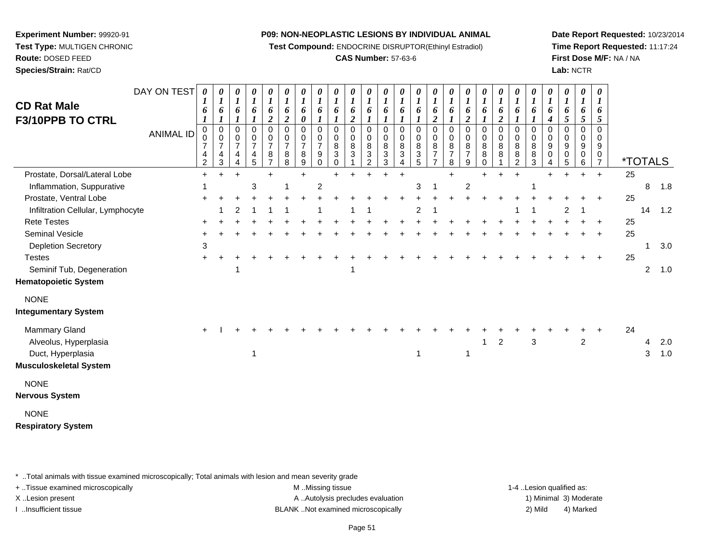**Test Compound:** ENDOCRINE DISRUPTOR(Ethinyl Estradiol)

# **CAS Number:** 57-63-6

**Date Report Requested:** 10/23/2014**Time Report Requested:** 11:17:24**First Dose M/F:** NA / NA**Lab:** NCTR

| <b>CD Rat Male</b><br>F3/10PPB TO CTRL | DAY ON TEST<br><b>ANIMAL ID</b> | 0<br>6<br>1<br>$\mathbf 0$<br>0<br>7<br>4<br>$\overline{c}$ | 0<br>1<br>6<br>1<br>$\pmb{0}$<br>$\pmb{0}$<br>$\overline{7}$<br>4<br>3 | 0<br>$\boldsymbol{l}$<br>6<br>$\boldsymbol{l}$<br>0<br>$\pmb{0}$<br>$\overline{7}$<br>$\overline{\mathbf{4}}$<br>4 | 0<br>$\boldsymbol{l}$<br>6<br>$\boldsymbol{l}$<br>0<br>0<br>$\overline{7}$<br>$\overline{\mathbf{4}}$<br>5 | 0<br>$\boldsymbol{l}$<br>6<br>$\boldsymbol{2}$<br>$\mathbf 0$<br>$\pmb{0}$<br>$\overline{7}$<br>8<br>$\overline{7}$ | 0<br>$\boldsymbol{l}$<br>6<br>$\boldsymbol{2}$<br>$\mathbf 0$<br>$\mathbf 0$<br>$\overline{7}$<br>8<br>8 | 0<br>$\boldsymbol{l}$<br>6<br>$\boldsymbol{\theta}$<br>$\Omega$<br>0<br>$\overline{7}$<br>8<br>9 | 0<br>$\boldsymbol{l}$<br>6<br>$\boldsymbol{l}$<br>0<br>0<br>$\overline{7}$<br>9<br>0 | $\boldsymbol{\theta}$<br>$\boldsymbol{l}$<br>6<br>$\boldsymbol{l}$<br>0<br>$\mathbf 0$<br>8<br>$\mathbf{3}$<br>0 | $\begin{matrix} 0 \\ 1 \end{matrix}$<br>6<br>$\boldsymbol{2}$<br>$\mathbf 0$<br>$\pmb{0}$<br>$\bf 8$<br>$\sqrt{3}$ | $\boldsymbol{\theta}$<br>$\boldsymbol{l}$<br>6<br>$\boldsymbol{l}$<br>0<br>$\mathbf 0$<br>$\bf 8$<br>$\mathbf 3$<br>$\overline{2}$ | 0<br>$\boldsymbol{l}$<br>6<br>0<br>0<br>$\bf 8$<br>$\ensuremath{\mathsf{3}}$<br>3 | 0<br>$\boldsymbol{l}$<br>6<br>0<br>0<br>8<br>3<br>Δ | 0<br>$\boldsymbol{l}$<br>6<br>0<br>0<br>8<br>3<br>5 | 0<br>$\boldsymbol{l}$<br>6<br>$\boldsymbol{2}$<br>0<br>0<br>8<br>$\overline{7}$<br>$\overline{7}$ | $\boldsymbol{l}$<br>6<br>$\boldsymbol{l}$<br>0<br>0<br>8<br>7<br>8 | 0<br>$\boldsymbol{l}$<br>6<br>$\boldsymbol{2}$<br>$\pmb{0}$<br>$\pmb{0}$<br>8<br>$\overline{7}$<br>9 | 0<br>$\boldsymbol{l}$<br>6<br>$\boldsymbol{l}$<br>$\pmb{0}$<br>$\mathbf 0$<br>8<br>$\bf 8$<br>0 | 0<br>$\boldsymbol{l}$<br>6<br>$\boldsymbol{2}$<br>0<br>$\pmb{0}$<br>$\bf 8$<br>$\bf 8$ | 0<br>$\boldsymbol{l}$<br>6<br>$\boldsymbol{l}$<br>$\boldsymbol{0}$<br>$\mathbf 0$<br>$\,8\,$<br>$\bf 8$<br>$\overline{c}$ | 0<br>$\boldsymbol{l}$<br>6<br>$\mathbf{I}$<br>$\mathbf 0$<br>$\mathbf 0$<br>8<br>8<br>$\mathbf{3}$ | 0<br>$\boldsymbol{l}$<br>6<br>4<br>0<br>0<br>9<br>0<br>4 | 0<br>$\boldsymbol{l}$<br>6<br>5<br>0<br>0<br>9<br>0<br>5 | 0<br>$\boldsymbol{l}$<br>6<br>5<br>0<br>0<br>9<br>0<br>6 | 0<br>$\boldsymbol{l}$<br>6<br>5<br>$\mathbf 0$<br>0<br>$\boldsymbol{9}$<br>0<br>$\overline{7}$ | <i><b>*TOTALS</b></i> |                |     |
|----------------------------------------|---------------------------------|-------------------------------------------------------------|------------------------------------------------------------------------|--------------------------------------------------------------------------------------------------------------------|------------------------------------------------------------------------------------------------------------|---------------------------------------------------------------------------------------------------------------------|----------------------------------------------------------------------------------------------------------|--------------------------------------------------------------------------------------------------|--------------------------------------------------------------------------------------|------------------------------------------------------------------------------------------------------------------|--------------------------------------------------------------------------------------------------------------------|------------------------------------------------------------------------------------------------------------------------------------|-----------------------------------------------------------------------------------|-----------------------------------------------------|-----------------------------------------------------|---------------------------------------------------------------------------------------------------|--------------------------------------------------------------------|------------------------------------------------------------------------------------------------------|-------------------------------------------------------------------------------------------------|----------------------------------------------------------------------------------------|---------------------------------------------------------------------------------------------------------------------------|----------------------------------------------------------------------------------------------------|----------------------------------------------------------|----------------------------------------------------------|----------------------------------------------------------|------------------------------------------------------------------------------------------------|-----------------------|----------------|-----|
| Prostate, Dorsal/Lateral Lobe          |                                 | $\ddot{}$                                                   |                                                                        | $\ddot{}$                                                                                                          |                                                                                                            | ÷                                                                                                                   |                                                                                                          | $\ddot{}$                                                                                        |                                                                                      |                                                                                                                  |                                                                                                                    |                                                                                                                                    | ÷                                                                                 | $\ddot{}$                                           |                                                     |                                                                                                   |                                                                    |                                                                                                      |                                                                                                 |                                                                                        | $\ddot{}$                                                                                                                 |                                                                                                    | ÷                                                        |                                                          |                                                          | $\ddot{}$                                                                                      | 25                    |                |     |
| Inflammation, Suppurative              |                                 |                                                             |                                                                        |                                                                                                                    | 3                                                                                                          |                                                                                                                     |                                                                                                          |                                                                                                  | $\overline{c}$                                                                       |                                                                                                                  |                                                                                                                    |                                                                                                                                    |                                                                                   |                                                     | 3                                                   |                                                                                                   |                                                                    | $\overline{c}$                                                                                       |                                                                                                 |                                                                                        |                                                                                                                           |                                                                                                    |                                                          |                                                          |                                                          |                                                                                                |                       | 8              | 1.8 |
| Prostate, Ventral Lobe                 |                                 |                                                             |                                                                        |                                                                                                                    |                                                                                                            |                                                                                                                     |                                                                                                          |                                                                                                  |                                                                                      |                                                                                                                  |                                                                                                                    |                                                                                                                                    |                                                                                   |                                                     |                                                     |                                                                                                   |                                                                    |                                                                                                      |                                                                                                 |                                                                                        |                                                                                                                           |                                                                                                    |                                                          |                                                          |                                                          |                                                                                                | 25                    |                |     |
| Infiltration Cellular, Lymphocyte      |                                 |                                                             |                                                                        | 2                                                                                                                  |                                                                                                            |                                                                                                                     |                                                                                                          |                                                                                                  |                                                                                      |                                                                                                                  |                                                                                                                    |                                                                                                                                    |                                                                                   |                                                     | $\overline{2}$                                      |                                                                                                   |                                                                    |                                                                                                      |                                                                                                 |                                                                                        |                                                                                                                           |                                                                                                    |                                                          | 2                                                        |                                                          |                                                                                                |                       | 14             | 1.2 |
| <b>Rete Testes</b>                     |                                 |                                                             |                                                                        |                                                                                                                    |                                                                                                            |                                                                                                                     |                                                                                                          |                                                                                                  |                                                                                      |                                                                                                                  |                                                                                                                    |                                                                                                                                    |                                                                                   |                                                     |                                                     |                                                                                                   |                                                                    |                                                                                                      |                                                                                                 |                                                                                        |                                                                                                                           |                                                                                                    |                                                          |                                                          |                                                          |                                                                                                | 25                    |                |     |
| Seminal Vesicle                        |                                 |                                                             |                                                                        |                                                                                                                    |                                                                                                            |                                                                                                                     |                                                                                                          |                                                                                                  |                                                                                      |                                                                                                                  |                                                                                                                    |                                                                                                                                    |                                                                                   |                                                     |                                                     |                                                                                                   |                                                                    |                                                                                                      |                                                                                                 |                                                                                        |                                                                                                                           |                                                                                                    |                                                          |                                                          |                                                          | $\ddot{}$                                                                                      | 25                    |                |     |
| <b>Depletion Secretory</b>             |                                 | 3                                                           |                                                                        |                                                                                                                    |                                                                                                            |                                                                                                                     |                                                                                                          |                                                                                                  |                                                                                      |                                                                                                                  |                                                                                                                    |                                                                                                                                    |                                                                                   |                                                     |                                                     |                                                                                                   |                                                                    |                                                                                                      |                                                                                                 |                                                                                        |                                                                                                                           |                                                                                                    |                                                          |                                                          |                                                          |                                                                                                |                       | 1              | 3.0 |
| <b>Testes</b>                          |                                 |                                                             |                                                                        |                                                                                                                    |                                                                                                            |                                                                                                                     |                                                                                                          |                                                                                                  |                                                                                      |                                                                                                                  |                                                                                                                    |                                                                                                                                    |                                                                                   |                                                     |                                                     |                                                                                                   |                                                                    |                                                                                                      |                                                                                                 |                                                                                        |                                                                                                                           |                                                                                                    |                                                          |                                                          |                                                          | $\ddot{}$                                                                                      | 25                    |                |     |
| Seminif Tub, Degeneration              |                                 |                                                             |                                                                        | -1                                                                                                                 |                                                                                                            |                                                                                                                     |                                                                                                          |                                                                                                  |                                                                                      |                                                                                                                  |                                                                                                                    |                                                                                                                                    |                                                                                   |                                                     |                                                     |                                                                                                   |                                                                    |                                                                                                      |                                                                                                 |                                                                                        |                                                                                                                           |                                                                                                    |                                                          |                                                          |                                                          |                                                                                                |                       | $\overline{2}$ | 1.0 |
| <b>Hematopoietic System</b>            |                                 |                                                             |                                                                        |                                                                                                                    |                                                                                                            |                                                                                                                     |                                                                                                          |                                                                                                  |                                                                                      |                                                                                                                  |                                                                                                                    |                                                                                                                                    |                                                                                   |                                                     |                                                     |                                                                                                   |                                                                    |                                                                                                      |                                                                                                 |                                                                                        |                                                                                                                           |                                                                                                    |                                                          |                                                          |                                                          |                                                                                                |                       |                |     |
| <b>NONE</b>                            |                                 |                                                             |                                                                        |                                                                                                                    |                                                                                                            |                                                                                                                     |                                                                                                          |                                                                                                  |                                                                                      |                                                                                                                  |                                                                                                                    |                                                                                                                                    |                                                                                   |                                                     |                                                     |                                                                                                   |                                                                    |                                                                                                      |                                                                                                 |                                                                                        |                                                                                                                           |                                                                                                    |                                                          |                                                          |                                                          |                                                                                                |                       |                |     |
| <b>Integumentary System</b>            |                                 |                                                             |                                                                        |                                                                                                                    |                                                                                                            |                                                                                                                     |                                                                                                          |                                                                                                  |                                                                                      |                                                                                                                  |                                                                                                                    |                                                                                                                                    |                                                                                   |                                                     |                                                     |                                                                                                   |                                                                    |                                                                                                      |                                                                                                 |                                                                                        |                                                                                                                           |                                                                                                    |                                                          |                                                          |                                                          |                                                                                                |                       |                |     |
| Mammary Gland                          |                                 | $\ddot{}$                                                   |                                                                        |                                                                                                                    |                                                                                                            |                                                                                                                     |                                                                                                          |                                                                                                  |                                                                                      |                                                                                                                  |                                                                                                                    |                                                                                                                                    |                                                                                   |                                                     |                                                     |                                                                                                   |                                                                    |                                                                                                      |                                                                                                 |                                                                                        |                                                                                                                           |                                                                                                    |                                                          |                                                          |                                                          |                                                                                                | 24                    |                |     |
| Alveolus, Hyperplasia                  |                                 |                                                             |                                                                        |                                                                                                                    |                                                                                                            |                                                                                                                     |                                                                                                          |                                                                                                  |                                                                                      |                                                                                                                  |                                                                                                                    |                                                                                                                                    |                                                                                   |                                                     |                                                     |                                                                                                   |                                                                    |                                                                                                      | 1                                                                                               | $\overline{2}$                                                                         |                                                                                                                           | $\mathbf{3}$                                                                                       |                                                          |                                                          | $\overline{c}$                                           |                                                                                                |                       | 4              | 2.0 |
| Duct, Hyperplasia                      |                                 |                                                             |                                                                        |                                                                                                                    | 1                                                                                                          |                                                                                                                     |                                                                                                          |                                                                                                  |                                                                                      |                                                                                                                  |                                                                                                                    |                                                                                                                                    |                                                                                   |                                                     | -1                                                  |                                                                                                   |                                                                    | $\overline{1}$                                                                                       |                                                                                                 |                                                                                        |                                                                                                                           |                                                                                                    |                                                          |                                                          |                                                          |                                                                                                |                       | 3              | 1.0 |
| <b>Musculoskeletal System</b>          |                                 |                                                             |                                                                        |                                                                                                                    |                                                                                                            |                                                                                                                     |                                                                                                          |                                                                                                  |                                                                                      |                                                                                                                  |                                                                                                                    |                                                                                                                                    |                                                                                   |                                                     |                                                     |                                                                                                   |                                                                    |                                                                                                      |                                                                                                 |                                                                                        |                                                                                                                           |                                                                                                    |                                                          |                                                          |                                                          |                                                                                                |                       |                |     |
| <b>NONE</b>                            |                                 |                                                             |                                                                        |                                                                                                                    |                                                                                                            |                                                                                                                     |                                                                                                          |                                                                                                  |                                                                                      |                                                                                                                  |                                                                                                                    |                                                                                                                                    |                                                                                   |                                                     |                                                     |                                                                                                   |                                                                    |                                                                                                      |                                                                                                 |                                                                                        |                                                                                                                           |                                                                                                    |                                                          |                                                          |                                                          |                                                                                                |                       |                |     |
| <b>Nervous System</b>                  |                                 |                                                             |                                                                        |                                                                                                                    |                                                                                                            |                                                                                                                     |                                                                                                          |                                                                                                  |                                                                                      |                                                                                                                  |                                                                                                                    |                                                                                                                                    |                                                                                   |                                                     |                                                     |                                                                                                   |                                                                    |                                                                                                      |                                                                                                 |                                                                                        |                                                                                                                           |                                                                                                    |                                                          |                                                          |                                                          |                                                                                                |                       |                |     |
| <b>NONE</b>                            |                                 |                                                             |                                                                        |                                                                                                                    |                                                                                                            |                                                                                                                     |                                                                                                          |                                                                                                  |                                                                                      |                                                                                                                  |                                                                                                                    |                                                                                                                                    |                                                                                   |                                                     |                                                     |                                                                                                   |                                                                    |                                                                                                      |                                                                                                 |                                                                                        |                                                                                                                           |                                                                                                    |                                                          |                                                          |                                                          |                                                                                                |                       |                |     |
| <b>Respiratory System</b>              |                                 |                                                             |                                                                        |                                                                                                                    |                                                                                                            |                                                                                                                     |                                                                                                          |                                                                                                  |                                                                                      |                                                                                                                  |                                                                                                                    |                                                                                                                                    |                                                                                   |                                                     |                                                     |                                                                                                   |                                                                    |                                                                                                      |                                                                                                 |                                                                                        |                                                                                                                           |                                                                                                    |                                                          |                                                          |                                                          |                                                                                                |                       |                |     |

\* ..Total animals with tissue examined microscopically; Total animals with lesion and mean severity grade

**Experiment Number:** 99920-91**Test Type:** MULTIGEN CHRONIC

**Route:** DOSED FEED**Species/Strain:** Rat/CD

+ ..Tissue examined microscopically examined microscopically examined as:  $M$  ..Missing tissue 1-4 ..Lesion qualified as: X..Lesion present **A ..Autolysis precludes evaluation** A ..Autolysis precludes evaluation 1) Minimal 3) Moderate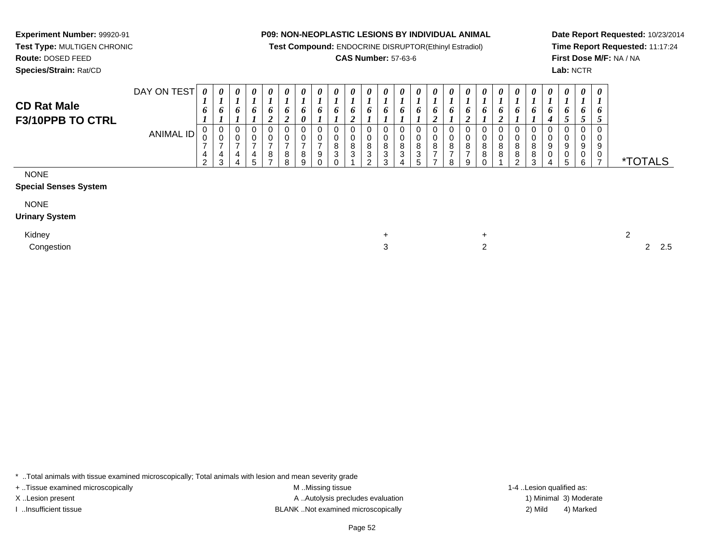**Test Compound:** ENDOCRINE DISRUPTOR(Ethinyl Estradiol)

# **CAS Number:** 57-63-6

**Date Report Requested:** 10/23/2014**Time Report Requested:** 11:17:24**First Dose M/F:** NA / NA**Lab:** NCTR

**Species/Strain:** Rat/CD

**Experiment Number:** 99920-91

| <b>CD Rat Male</b><br>F3/10PPB TO CTRL                                              | DAY ON TEST | 0<br>6                   | 0<br>$\overline{ }$<br>6 | $\boldsymbol{\theta}$<br>6                  | $\boldsymbol{\theta}$<br>6        | 0<br>6<br>$\boldsymbol{2}$                                          | $\boldsymbol{\theta}$<br>6<br>2    | $\boldsymbol{\theta}$<br>L<br>6<br>0 | 0<br>-1<br>6                     | $\boldsymbol{\theta}$<br>$\bm{o}$    | 0<br>6<br>2                                    | $\boldsymbol{\theta}$<br>6          | 0<br>6                | $\boldsymbol{\theta}$<br>$\bm{o}$ | $\theta$<br>o                | $\boldsymbol{\theta}$<br>$\bm{o}$<br>$\overline{v}$ | o                             | $\boldsymbol{\theta}$<br>$\bm{o}$<br>$\overline{2}$ | 0<br>$\bm{o}$ | $\boldsymbol{\theta}$<br>$\bm{o}$<br>∠ | 0<br>6                      | $\boldsymbol{\theta}$<br>6 | $\boldsymbol{\theta}$<br>o<br>4 | $\boldsymbol{\theta}$<br>o<br>5 | 0<br>o<br>-<br>Ĉ              | $\boldsymbol{\theta}$<br>7<br>6<br>5 |                       |
|-------------------------------------------------------------------------------------|-------------|--------------------------|--------------------------|---------------------------------------------|-----------------------------------|---------------------------------------------------------------------|------------------------------------|--------------------------------------|----------------------------------|--------------------------------------|------------------------------------------------|-------------------------------------|-----------------------|-----------------------------------|------------------------------|-----------------------------------------------------|-------------------------------|-----------------------------------------------------|---------------|----------------------------------------|-----------------------------|----------------------------|---------------------------------|---------------------------------|-------------------------------|--------------------------------------|-----------------------|
|                                                                                     | ANIMAL ID   | v<br>4<br>$\overline{2}$ | 0<br>0<br>⇁<br>4<br>3    | $\mathbf 0$<br>0<br>$\rightarrow$<br>4<br>4 | 0<br>0<br>$\rightarrow$<br>4<br>5 | 0<br>$\mathbf 0$<br>$\overline{\phantom{a}}$<br>8<br>$\overline{ }$ | 0<br>0<br>$\overline{ }$<br>8<br>8 | 0<br>0<br>$\overline{ }$<br>8<br>9   | $_{0}^{0}$<br>$\rightarrow$<br>9 | $\overline{0}$<br>8<br>3<br>$\Omega$ | $\begin{matrix} 0 \\ 0 \\ 8 \\ 3 \end{matrix}$ | 0<br>0<br>$\frac{8}{3}$<br>$\Omega$ | 0<br>0<br>$^8_3$<br>3 | U<br>U<br>8<br>$\mathbf{3}$       | 0<br>0<br>$\frac{8}{3}$<br>5 | 0<br>0<br>$\frac{8}{7}$                             | υ<br>8<br>$\overline{ }$<br>8 | U<br>8<br>$\overline{ }$<br>9                       | 0<br>8<br>8   | 0<br>8<br>8                            | $\mathbf{0}$<br>8<br>8<br>ົ | U<br>8<br>8<br>3           | 0<br>9<br>0                     | 0<br>9<br>0<br>5                | 0<br>9<br>$\overline{0}$<br>6 | 0<br>0<br>9<br>0<br>$\overline{ }$   | <i><b>*TOTALS</b></i> |
| <b>NONE</b><br><b>Special Senses System</b><br><b>NONE</b><br><b>Urinary System</b> |             |                          |                          |                                             |                                   |                                                                     |                                    |                                      |                                  |                                      |                                                |                                     |                       |                                   |                              |                                                     |                               |                                                     |               |                                        |                             |                            |                                 |                                 |                               |                                      |                       |

Kidney $\mathsf{y}$ 

Congestionn 2 2 2.5

\* ..Total animals with tissue examined microscopically; Total animals with lesion and mean severity grade

+ ..Tissue examined microscopically examined microscopically examined as:  $M$  ..Missing tissue 1-4 ..Lesion qualified as: X..Lesion present **A ..Autolysis precludes evaluation** A ..Autolysis precludes evaluation 1) Minimal 3) Moderate I ..Insufficient tissue BLANK ..Not examined microscopically 2) Mild 4) Marked

 $+$  2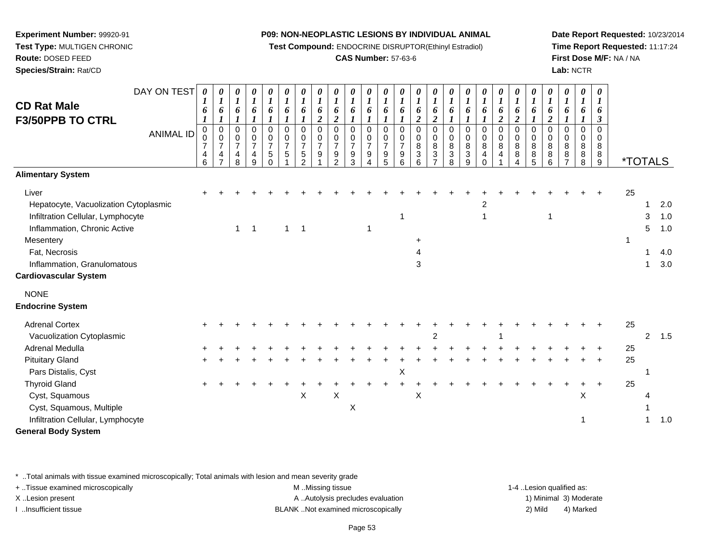**Test Compound:** ENDOCRINE DISRUPTOR(Ethinyl Estradiol)

# **CAS Number:** 57-63-6

**Date Report Requested:** 10/23/2014**Time Report Requested:** 11:17:24**First Dose M/F:** NA / NA**Lab:** NCTR

| <b>CD Rat Male</b>                                                                                                                                                                                               | DAY ON TEST      | $\theta$<br>6                                                    | 0<br>$\boldsymbol{l}$<br>6                                  | 0<br>$\boldsymbol{l}$<br>6                      | $\boldsymbol{\theta}$<br>$\boldsymbol{l}$<br>6                   | 0<br>$\boldsymbol{l}$<br>6                                                       | 0<br>$\boldsymbol{l}$<br>6                                          | $\frac{\theta}{I}$<br>6                                                         | $\frac{\theta}{1}$<br>6                         | 0<br>$\boldsymbol{l}$<br>6                                           | 0<br>$\boldsymbol{l}$<br>6                                    | 0<br>$\boldsymbol{l}$<br>6           | 0<br>$\boldsymbol{l}$<br>6              | 0<br>$\boldsymbol{l}$<br>6                                    | 0<br>$\boldsymbol{l}$<br>6                                           | 0<br>$\boldsymbol{l}$<br>6                                       | 0<br>$\boldsymbol{l}$<br>6                              | $\frac{\theta}{I}$<br>6                             | $\frac{\theta}{I}$<br>6                                                                      | $\frac{\theta}{I}$<br>6                                             | 0<br>$\boldsymbol{l}$<br>6                           | 0<br>$\boldsymbol{l}$<br>6                                    | 0<br>$\boldsymbol{l}$<br>6                       | 0<br>$\boldsymbol{l}$<br>6                                    | 0<br>$\boldsymbol{l}$<br>6        | 0<br>1<br>6                          |                       |                |                                 |
|------------------------------------------------------------------------------------------------------------------------------------------------------------------------------------------------------------------|------------------|------------------------------------------------------------------|-------------------------------------------------------------|-------------------------------------------------|------------------------------------------------------------------|----------------------------------------------------------------------------------|---------------------------------------------------------------------|---------------------------------------------------------------------------------|-------------------------------------------------|----------------------------------------------------------------------|---------------------------------------------------------------|--------------------------------------|-----------------------------------------|---------------------------------------------------------------|----------------------------------------------------------------------|------------------------------------------------------------------|---------------------------------------------------------|-----------------------------------------------------|----------------------------------------------------------------------------------------------|---------------------------------------------------------------------|------------------------------------------------------|---------------------------------------------------------------|--------------------------------------------------|---------------------------------------------------------------|-----------------------------------|--------------------------------------|-----------------------|----------------|---------------------------------|
| <b>F3/50PPB TO CTRL</b>                                                                                                                                                                                          | <b>ANIMAL ID</b> | $\boldsymbol{l}$<br>$\mathbf 0$<br>0<br>$\overline{7}$<br>4<br>6 | $\boldsymbol{l}$<br>$\mathbf 0$<br>0<br>$\overline{7}$<br>4 | 1<br>$\pmb{0}$<br>0<br>$\overline{7}$<br>4<br>8 | $\boldsymbol{l}$<br>0<br>$\mathbf 0$<br>$\overline{7}$<br>4<br>9 | $\boldsymbol{l}$<br>0<br>$\mathbf 0$<br>$\overline{7}$<br>$\sqrt{5}$<br>$\Omega$ | $\boldsymbol{l}$<br>$\mathbf 0$<br>$\pmb{0}$<br>$\overline{7}$<br>5 | $\boldsymbol{l}$<br>$\mathbf 0$<br>$\pmb{0}$<br>$\overline{7}$<br>$\frac{5}{2}$ | $\overline{2}$<br>0<br>0<br>$\overline{7}$<br>9 | $\boldsymbol{2}$<br>$\Omega$<br>0<br>$\overline{7}$<br>$\frac{9}{2}$ | $\boldsymbol{I}$<br>$\Omega$<br>0<br>$\overline{7}$<br>9<br>3 | $\Omega$<br>0<br>$\overline{7}$<br>9 | 1<br>0<br>0<br>$\overline{7}$<br>9<br>5 | $\boldsymbol{l}$<br>$\Omega$<br>0<br>$\overline{7}$<br>9<br>6 | $\overline{c}$<br>$\mathbf 0$<br>0<br>$\bf 8$<br>3<br>$\overline{6}$ | $\boldsymbol{2}$<br>$\mathbf 0$<br>0<br>8<br>3<br>$\overline{7}$ | $\boldsymbol{l}$<br>$\Omega$<br>0<br>8<br>$\frac{3}{8}$ | $\boldsymbol{l}$<br>$\mathbf 0$<br>0<br>8<br>3<br>9 | $\boldsymbol{l}$<br>$\pmb{0}$<br>$\pmb{0}$<br>$\bf 8$<br>$\overline{\mathbf{4}}$<br>$\Omega$ | $\boldsymbol{2}$<br>$\pmb{0}$<br>$\mathbf 0$<br>8<br>$\overline{4}$ | $\overline{c}$<br>0<br>0<br>$\bf 8$<br>8<br>$\Delta$ | $\boldsymbol{l}$<br>$\Omega$<br>0<br>8<br>8<br>$\overline{5}$ | $\boldsymbol{2}$<br>$\Omega$<br>0<br>8<br>8<br>6 | $\boldsymbol{l}$<br>$\Omega$<br>0<br>8<br>8<br>$\overline{7}$ | 1<br>$\Omega$<br>0<br>8<br>8<br>8 | 3<br>$\mathbf 0$<br>0<br>8<br>$^8_9$ | <i><b>*TOTALS</b></i> |                |                                 |
| <b>Alimentary System</b>                                                                                                                                                                                         |                  |                                                                  |                                                             |                                                 |                                                                  |                                                                                  |                                                                     |                                                                                 |                                                 |                                                                      |                                                               |                                      |                                         |                                                               |                                                                      |                                                                  |                                                         |                                                     |                                                                                              |                                                                     |                                                      |                                                               |                                                  |                                                               |                                   |                                      |                       |                |                                 |
| Liver<br>Hepatocyte, Vacuolization Cytoplasmic<br>Infiltration Cellular, Lymphocyte<br>Inflammation, Chronic Active<br>Mesentery<br>Fat, Necrosis<br>Inflammation, Granulomatous<br><b>Cardiovascular System</b> |                  |                                                                  |                                                             | $\mathbf{1}$                                    | $\overline{1}$                                                   |                                                                                  | $\mathbf 1$                                                         | $\overline{\phantom{0}}$                                                        |                                                 |                                                                      |                                                               |                                      |                                         |                                                               | 3                                                                    |                                                                  |                                                         |                                                     | $\overline{2}$                                                                               |                                                                     |                                                      |                                                               | -1                                               |                                                               |                                   |                                      | 25<br>1               | 3<br>5<br>-1   | 2.0<br>1.0<br>1.0<br>4.0<br>3.0 |
| <b>NONE</b><br><b>Endocrine System</b>                                                                                                                                                                           |                  |                                                                  |                                                             |                                                 |                                                                  |                                                                                  |                                                                     |                                                                                 |                                                 |                                                                      |                                                               |                                      |                                         |                                                               |                                                                      |                                                                  |                                                         |                                                     |                                                                                              |                                                                     |                                                      |                                                               |                                                  |                                                               |                                   |                                      |                       |                |                                 |
|                                                                                                                                                                                                                  |                  |                                                                  |                                                             |                                                 |                                                                  |                                                                                  |                                                                     |                                                                                 |                                                 |                                                                      |                                                               |                                      |                                         |                                                               |                                                                      |                                                                  |                                                         |                                                     |                                                                                              |                                                                     |                                                      |                                                               |                                                  |                                                               |                                   |                                      |                       |                |                                 |
| <b>Adrenal Cortex</b><br>Vacuolization Cytoplasmic                                                                                                                                                               |                  |                                                                  |                                                             |                                                 |                                                                  |                                                                                  |                                                                     |                                                                                 |                                                 |                                                                      |                                                               |                                      |                                         |                                                               |                                                                      | 2                                                                |                                                         |                                                     |                                                                                              |                                                                     |                                                      |                                                               |                                                  |                                                               |                                   |                                      | 25                    | $\overline{2}$ | 1.5                             |
| Adrenal Medulla                                                                                                                                                                                                  |                  |                                                                  |                                                             |                                                 |                                                                  |                                                                                  |                                                                     |                                                                                 |                                                 |                                                                      |                                                               |                                      |                                         |                                                               |                                                                      |                                                                  |                                                         |                                                     |                                                                                              |                                                                     |                                                      |                                                               |                                                  |                                                               |                                   |                                      | 25                    |                |                                 |
| <b>Pituitary Gland</b><br>Pars Distalis, Cyst                                                                                                                                                                    |                  |                                                                  |                                                             |                                                 |                                                                  |                                                                                  |                                                                     |                                                                                 |                                                 |                                                                      |                                                               |                                      |                                         | Χ                                                             |                                                                      |                                                                  |                                                         |                                                     |                                                                                              |                                                                     |                                                      |                                                               |                                                  |                                                               |                                   |                                      | 25                    |                |                                 |
| <b>Thyroid Gland</b>                                                                                                                                                                                             |                  |                                                                  |                                                             |                                                 |                                                                  |                                                                                  |                                                                     |                                                                                 |                                                 |                                                                      |                                                               |                                      |                                         |                                                               |                                                                      |                                                                  |                                                         |                                                     |                                                                                              |                                                                     |                                                      |                                                               |                                                  |                                                               |                                   |                                      | 25                    |                |                                 |
| Cyst, Squamous                                                                                                                                                                                                   |                  |                                                                  |                                                             |                                                 |                                                                  |                                                                                  |                                                                     | X                                                                               |                                                 | X                                                                    |                                                               |                                      |                                         |                                                               | X                                                                    |                                                                  |                                                         |                                                     |                                                                                              |                                                                     |                                                      |                                                               |                                                  |                                                               | X                                 |                                      |                       |                |                                 |
| Cyst, Squamous, Multiple<br>Infiltration Cellular, Lymphocyte<br><b>General Body System</b>                                                                                                                      |                  |                                                                  |                                                             |                                                 |                                                                  |                                                                                  |                                                                     |                                                                                 |                                                 |                                                                      | X                                                             |                                      |                                         |                                                               |                                                                      |                                                                  |                                                         |                                                     |                                                                                              |                                                                     |                                                      |                                                               |                                                  |                                                               |                                   |                                      |                       | 1              | 1.0                             |

\* ..Total animals with tissue examined microscopically; Total animals with lesion and mean severity grade

**Experiment Number:** 99920-91**Test Type:** MULTIGEN CHRONIC

**Route:** DOSED FEED**Species/Strain:** Rat/CD

+ ..Tissue examined microscopically examined microscopically examined as:  $M$  ..Missing tissue 1-4 ..Lesion qualified as: X..Lesion present **A ..Autolysis precludes evaluation** A ..Autolysis precludes evaluation 1) Minimal 3) Moderate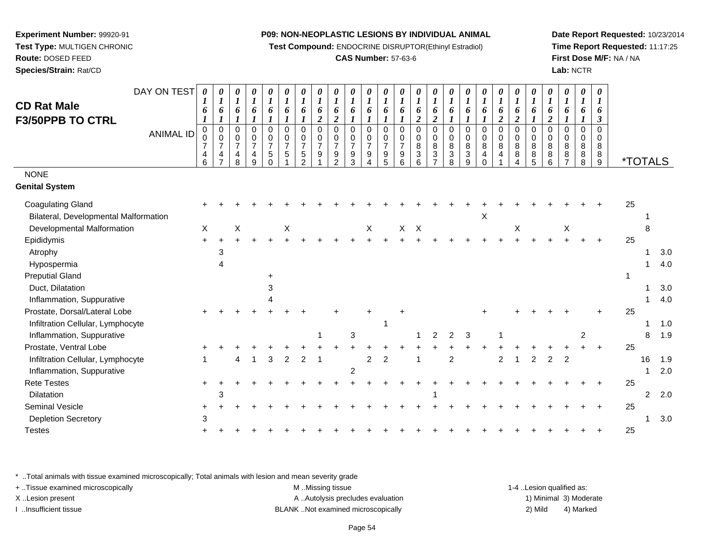**Test Compound:** ENDOCRINE DISRUPTOR(Ethinyl Estradiol)

# **CAS Number:** 57-63-6

**Date Report Requested:** 10/23/2014**Time Report Requested:** 11:17:25**First Dose M/F:** NA / NA**Lab:** NCTR

| <b>CD Rat Male</b><br><b>F3/50PPB TO CTRL</b><br><b>NONE</b>      | DAY ON TEST<br><b>ANIMAL ID</b> | 0<br>1<br>6<br>$\mathbf 0$<br>$\overline{7}$<br>4<br>6 | 0<br>6<br>$\pmb{0}$<br>$\mathbf 0$<br>$\overline{7}$<br>$\overline{4}$<br>$\overline{7}$ | 0<br>$\boldsymbol{l}$<br>6<br>0<br>0<br>$\overline{7}$<br>4<br>8 | 0<br>$\boldsymbol{l}$<br>6<br>1<br>$\mathbf 0$<br>$\mathbf 0$<br>$\overline{7}$<br>4<br>9 | 0<br>$\boldsymbol{l}$<br>6<br>$\boldsymbol{l}$<br>$\mathbf 0$<br>$\mathbf 0$<br>$\overline{7}$<br>5<br>$\Omega$ | 0<br>$\boldsymbol{l}$<br>6<br>$\boldsymbol{l}$<br>$\mathbf 0$<br>0<br>$\overline{7}$<br>5 | $\pmb{\theta}$<br>$\boldsymbol{l}$<br>6<br>$\mathbf 0$<br>0<br>$\overline{7}$<br>5<br>$\overline{2}$ | 0<br>$\boldsymbol{l}$<br>6<br>$\boldsymbol{2}$<br>$\mathbf 0$<br>0<br>$\overline{7}$<br>9 | $\boldsymbol{\theta}$<br>$\boldsymbol{l}$<br>6<br>$\overline{c}$<br>$\mathbf 0$<br>$\mathbf 0$<br>$\overline{7}$<br>9<br>$\mathcal{P}$ | $\pmb{\theta}$<br>$\boldsymbol{l}$<br>6<br>$\mathbf 0$<br>$\mathbf 0$<br>$\overline{7}$<br>9<br>3 | 0<br>6<br>$\Omega$<br>0<br>$\overline{7}$<br>9 | 0<br>$\boldsymbol{l}$<br>6<br>$\mathbf 0$<br>0<br>$\overline{7}$<br>9<br>5 | 0<br>$\boldsymbol{l}$<br>6<br>$\mathbf 0$<br>0<br>$\overline{7}$<br>9<br>6 | $\pmb{\theta}$<br>$\boldsymbol{l}$<br>6<br>$\boldsymbol{2}$<br>$\pmb{0}$<br>$\mathbf 0$<br>8<br>$\ensuremath{\mathsf{3}}$<br>6 | 0<br>$\boldsymbol{l}$<br>6<br>$\boldsymbol{2}$<br>$\mathbf 0$<br>0<br>8<br>3<br>$\overline{7}$ | $\pmb{\theta}$<br>$\boldsymbol{l}$<br>6<br>$\mathbf 0$<br>0<br>8<br>$\sqrt{3}$<br>8 | $\boldsymbol{\theta}$<br>$\boldsymbol{l}$<br>6<br>$\mathbf 0$<br>0<br>8<br>$\sqrt{3}$<br>9 | 0<br>$\boldsymbol{l}$<br>6<br>0<br>0<br>8<br>4 | $\boldsymbol{\theta}$<br>$\boldsymbol{l}$<br>6<br>$\overline{c}$<br>$\mathbf 0$<br>0<br>$\,8\,$<br>$\overline{4}$ | 0<br>$\boldsymbol{l}$<br>6<br>$\overline{c}$<br>0<br>0<br>8<br>8 | $\pmb{\theta}$<br>1<br>6<br>$\mathbf 0$<br>0<br>8<br>8<br>5 | 0<br>$\boldsymbol{l}$<br>6<br>$\overline{c}$<br>0<br>0<br>8<br>8<br>6 | $\boldsymbol{\theta}$<br>$\boldsymbol{l}$<br>6<br>$\mathbf 0$<br>0<br>8<br>8 | $\boldsymbol{\theta}$<br>$\boldsymbol{l}$<br>$\mathbf 0$<br>0<br>8<br>8<br>8 | $\boldsymbol{\theta}$<br>6<br>$\boldsymbol{\beta}$<br>$\mathbf 0$<br>0<br>8<br>8<br>9 | <i><b>*TOTALS</b></i> |    |            |
|-------------------------------------------------------------------|---------------------------------|--------------------------------------------------------|------------------------------------------------------------------------------------------|------------------------------------------------------------------|-------------------------------------------------------------------------------------------|-----------------------------------------------------------------------------------------------------------------|-------------------------------------------------------------------------------------------|------------------------------------------------------------------------------------------------------|-------------------------------------------------------------------------------------------|----------------------------------------------------------------------------------------------------------------------------------------|---------------------------------------------------------------------------------------------------|------------------------------------------------|----------------------------------------------------------------------------|----------------------------------------------------------------------------|--------------------------------------------------------------------------------------------------------------------------------|------------------------------------------------------------------------------------------------|-------------------------------------------------------------------------------------|--------------------------------------------------------------------------------------------|------------------------------------------------|-------------------------------------------------------------------------------------------------------------------|------------------------------------------------------------------|-------------------------------------------------------------|-----------------------------------------------------------------------|------------------------------------------------------------------------------|------------------------------------------------------------------------------|---------------------------------------------------------------------------------------|-----------------------|----|------------|
| <b>Genital System</b>                                             |                                 |                                                        |                                                                                          |                                                                  |                                                                                           |                                                                                                                 |                                                                                           |                                                                                                      |                                                                                           |                                                                                                                                        |                                                                                                   |                                                |                                                                            |                                                                            |                                                                                                                                |                                                                                                |                                                                                     |                                                                                            |                                                |                                                                                                                   |                                                                  |                                                             |                                                                       |                                                                              |                                                                              |                                                                                       |                       |    |            |
| <b>Coagulating Gland</b><br>Bilateral, Developmental Malformation |                                 |                                                        |                                                                                          |                                                                  |                                                                                           |                                                                                                                 |                                                                                           |                                                                                                      |                                                                                           |                                                                                                                                        |                                                                                                   |                                                |                                                                            |                                                                            |                                                                                                                                |                                                                                                |                                                                                     |                                                                                            | Χ                                              |                                                                                                                   |                                                                  |                                                             |                                                                       |                                                                              |                                                                              |                                                                                       | 25                    |    |            |
| Developmental Malformation                                        |                                 | X                                                      |                                                                                          | Χ                                                                |                                                                                           |                                                                                                                 | X                                                                                         |                                                                                                      |                                                                                           |                                                                                                                                        |                                                                                                   | X                                              |                                                                            | X                                                                          | $\mathsf{X}$                                                                                                                   |                                                                                                |                                                                                     |                                                                                            |                                                |                                                                                                                   | X                                                                |                                                             |                                                                       | X                                                                            |                                                                              |                                                                                       |                       | 8  |            |
| Epididymis                                                        |                                 | $\ddot{}$                                              |                                                                                          |                                                                  |                                                                                           |                                                                                                                 |                                                                                           |                                                                                                      |                                                                                           |                                                                                                                                        |                                                                                                   |                                                |                                                                            |                                                                            |                                                                                                                                |                                                                                                |                                                                                     |                                                                                            |                                                |                                                                                                                   |                                                                  |                                                             |                                                                       |                                                                              |                                                                              |                                                                                       | 25                    |    |            |
| Atrophy                                                           |                                 |                                                        | 3                                                                                        |                                                                  |                                                                                           |                                                                                                                 |                                                                                           |                                                                                                      |                                                                                           |                                                                                                                                        |                                                                                                   |                                                |                                                                            |                                                                            |                                                                                                                                |                                                                                                |                                                                                     |                                                                                            |                                                |                                                                                                                   |                                                                  |                                                             |                                                                       |                                                                              |                                                                              |                                                                                       |                       |    | 3.0        |
| Hypospermia                                                       |                                 |                                                        | 4                                                                                        |                                                                  |                                                                                           |                                                                                                                 |                                                                                           |                                                                                                      |                                                                                           |                                                                                                                                        |                                                                                                   |                                                |                                                                            |                                                                            |                                                                                                                                |                                                                                                |                                                                                     |                                                                                            |                                                |                                                                                                                   |                                                                  |                                                             |                                                                       |                                                                              |                                                                              |                                                                                       |                       |    | 4.0        |
| <b>Preputial Gland</b>                                            |                                 |                                                        |                                                                                          |                                                                  |                                                                                           |                                                                                                                 |                                                                                           |                                                                                                      |                                                                                           |                                                                                                                                        |                                                                                                   |                                                |                                                                            |                                                                            |                                                                                                                                |                                                                                                |                                                                                     |                                                                                            |                                                |                                                                                                                   |                                                                  |                                                             |                                                                       |                                                                              |                                                                              |                                                                                       | $\mathbf{1}$          |    |            |
| Duct, Dilatation                                                  |                                 |                                                        |                                                                                          |                                                                  |                                                                                           | З                                                                                                               |                                                                                           |                                                                                                      |                                                                                           |                                                                                                                                        |                                                                                                   |                                                |                                                                            |                                                                            |                                                                                                                                |                                                                                                |                                                                                     |                                                                                            |                                                |                                                                                                                   |                                                                  |                                                             |                                                                       |                                                                              |                                                                              |                                                                                       |                       |    | 3.0        |
| Inflammation, Suppurative                                         |                                 |                                                        |                                                                                          |                                                                  |                                                                                           |                                                                                                                 |                                                                                           |                                                                                                      |                                                                                           |                                                                                                                                        |                                                                                                   |                                                |                                                                            |                                                                            |                                                                                                                                |                                                                                                |                                                                                     |                                                                                            |                                                |                                                                                                                   |                                                                  |                                                             |                                                                       |                                                                              |                                                                              |                                                                                       |                       |    | 4.0        |
| Prostate, Dorsal/Lateral Lobe                                     |                                 |                                                        |                                                                                          |                                                                  |                                                                                           |                                                                                                                 |                                                                                           |                                                                                                      |                                                                                           |                                                                                                                                        |                                                                                                   |                                                |                                                                            |                                                                            |                                                                                                                                |                                                                                                |                                                                                     |                                                                                            |                                                |                                                                                                                   |                                                                  |                                                             |                                                                       |                                                                              |                                                                              |                                                                                       | 25                    |    |            |
| Infiltration Cellular, Lymphocyte                                 |                                 |                                                        |                                                                                          |                                                                  |                                                                                           |                                                                                                                 |                                                                                           |                                                                                                      |                                                                                           |                                                                                                                                        |                                                                                                   |                                                |                                                                            |                                                                            |                                                                                                                                |                                                                                                |                                                                                     |                                                                                            |                                                |                                                                                                                   |                                                                  |                                                             |                                                                       |                                                                              |                                                                              |                                                                                       |                       |    | 1.0        |
| Inflammation, Suppurative                                         |                                 |                                                        |                                                                                          |                                                                  |                                                                                           |                                                                                                                 |                                                                                           |                                                                                                      |                                                                                           |                                                                                                                                        | 3                                                                                                 |                                                |                                                                            |                                                                            |                                                                                                                                | $\overline{2}$                                                                                 | $\overline{2}$                                                                      | 3                                                                                          |                                                |                                                                                                                   |                                                                  |                                                             |                                                                       |                                                                              | 2                                                                            |                                                                                       |                       | 8  | 1.9        |
| Prostate, Ventral Lobe                                            |                                 |                                                        |                                                                                          |                                                                  |                                                                                           |                                                                                                                 |                                                                                           |                                                                                                      |                                                                                           |                                                                                                                                        |                                                                                                   |                                                |                                                                            |                                                                            |                                                                                                                                |                                                                                                |                                                                                     |                                                                                            |                                                |                                                                                                                   |                                                                  |                                                             |                                                                       |                                                                              |                                                                              |                                                                                       | 25                    |    |            |
| Infiltration Cellular, Lymphocyte<br>Inflammation, Suppurative    |                                 |                                                        |                                                                                          |                                                                  |                                                                                           | 3                                                                                                               | 2                                                                                         | $\overline{c}$                                                                                       |                                                                                           |                                                                                                                                        | $\overline{2}$                                                                                    | 2                                              | $\overline{c}$                                                             |                                                                            |                                                                                                                                |                                                                                                | $\overline{2}$                                                                      |                                                                                            |                                                | $\overline{2}$                                                                                                    |                                                                  | $\overline{2}$                                              | $\overline{2}$                                                        | $\overline{2}$                                                               |                                                                              |                                                                                       |                       | 16 | 1.9<br>2.0 |
| <b>Rete Testes</b>                                                |                                 | $\ddot{}$                                              |                                                                                          |                                                                  |                                                                                           |                                                                                                                 |                                                                                           |                                                                                                      |                                                                                           |                                                                                                                                        |                                                                                                   |                                                |                                                                            |                                                                            |                                                                                                                                |                                                                                                |                                                                                     |                                                                                            |                                                |                                                                                                                   |                                                                  |                                                             |                                                                       |                                                                              |                                                                              |                                                                                       | 25                    |    |            |
| Dilatation                                                        |                                 |                                                        | 3                                                                                        |                                                                  |                                                                                           |                                                                                                                 |                                                                                           |                                                                                                      |                                                                                           |                                                                                                                                        |                                                                                                   |                                                |                                                                            |                                                                            |                                                                                                                                |                                                                                                |                                                                                     |                                                                                            |                                                |                                                                                                                   |                                                                  |                                                             |                                                                       |                                                                              |                                                                              |                                                                                       |                       | 2  | 2.0        |
| Seminal Vesicle                                                   |                                 |                                                        |                                                                                          |                                                                  |                                                                                           |                                                                                                                 |                                                                                           |                                                                                                      |                                                                                           |                                                                                                                                        |                                                                                                   |                                                |                                                                            |                                                                            |                                                                                                                                |                                                                                                |                                                                                     |                                                                                            |                                                |                                                                                                                   |                                                                  |                                                             |                                                                       |                                                                              |                                                                              |                                                                                       | 25                    |    |            |
| <b>Depletion Secretory</b>                                        |                                 | 3                                                      |                                                                                          |                                                                  |                                                                                           |                                                                                                                 |                                                                                           |                                                                                                      |                                                                                           |                                                                                                                                        |                                                                                                   |                                                |                                                                            |                                                                            |                                                                                                                                |                                                                                                |                                                                                     |                                                                                            |                                                |                                                                                                                   |                                                                  |                                                             |                                                                       |                                                                              |                                                                              |                                                                                       |                       |    | 3.0        |
| <b>Testes</b>                                                     |                                 |                                                        |                                                                                          |                                                                  |                                                                                           |                                                                                                                 |                                                                                           |                                                                                                      |                                                                                           |                                                                                                                                        |                                                                                                   |                                                |                                                                            |                                                                            |                                                                                                                                |                                                                                                |                                                                                     |                                                                                            |                                                |                                                                                                                   |                                                                  |                                                             |                                                                       |                                                                              |                                                                              |                                                                                       | 25                    |    |            |

\* ..Total animals with tissue examined microscopically; Total animals with lesion and mean severity grade

**Experiment Number:** 99920-91**Test Type:** MULTIGEN CHRONIC

**Route:** DOSED FEED**Species/Strain:** Rat/CD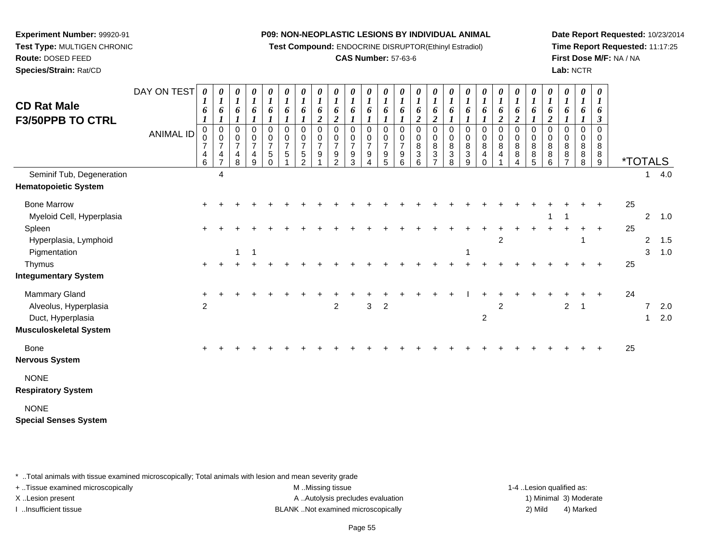**Test Compound:** ENDOCRINE DISRUPTOR(Ethinyl Estradiol)

# **CAS Number:** 57-63-6

**Date Report Requested:** 10/23/2014**Time Report Requested:** 11:17:25**First Dose M/F:** NA / NA**Lab:** NCTR

| <b>CD Rat Male</b><br><b>F3/50PPB TO CTRL</b><br>Seminif Tub, Degeneration                   | DAY ON TEST<br><b>ANIMAL ID</b> | 0<br>1<br>6<br>$\pmb{0}$<br>0<br>$\overline{7}$<br>4<br>6 | 0<br>1<br>6<br>$\mathbf{I}$<br>$\pmb{0}$<br>$\pmb{0}$<br>$\overline{7}$<br>4<br>$\overline{7}$<br>4 | 0<br>$\boldsymbol{l}$<br>6<br>0<br>0<br>$\overline{7}$<br>4<br>8 | 0<br>$\boldsymbol{l}$<br>6<br>1<br>0<br>0<br>$\overline{7}$<br>4<br>9 | 0<br>$\boldsymbol{l}$<br>6<br>0<br>$\frac{0}{7}$<br>5<br>$\Omega$ | 0<br>$\boldsymbol{l}$<br>6<br>$\pmb{0}$<br>$\pmb{0}$<br>$\overline{7}$<br>5 | 0<br>$\boldsymbol{l}$<br>6<br>$\mathbf 0$<br>0<br>$\overline{7}$<br>5<br>2 | 0<br>$\boldsymbol{l}$<br>6<br>$\overline{c}$<br>$\mathbf 0$<br>0<br>$\overline{7}$<br>9 | 0<br>$\boldsymbol{l}$<br>6<br>$\boldsymbol{2}$<br>$\Omega$<br>0<br>$\overline{7}$<br>9<br>2 | 0<br>6<br>0<br>0<br>$\overline{7}$<br>9<br>3 | 0<br>$\boldsymbol{l}$<br>6<br>$\Omega$<br>0<br>$\overline{7}$<br>9 | 0<br>$\boldsymbol{l}$<br>6<br>0<br>0<br>$\overline{7}$<br>9<br>5 | 0<br>$\boldsymbol{l}$<br>6<br>$\pmb{0}$<br>$\pmb{0}$<br>$\overline{7}$<br>9<br>6 | 0<br>$\boldsymbol{l}$<br>6<br>$\boldsymbol{2}$<br>$\pmb{0}$<br>$\mathbf 0$<br>8<br>3<br>6 | 0<br>$\boldsymbol{l}$<br>6<br>$\boldsymbol{2}$<br>$\mathbf 0$<br>0<br>8<br>3<br>$\overline{7}$ | 0<br>$\boldsymbol{l}$<br>6<br>0<br>0<br>$\bf 8$<br>3<br>8 | 0<br>1<br>6<br>$\mathbf 0$<br>0<br>8<br>$\ensuremath{\mathsf{3}}$<br>9 | 0<br>6<br>$\pmb{0}$<br>0<br>$\bf 8$<br>4<br>$\Omega$ | 0<br>$\boldsymbol{l}$<br>6<br>$\overline{2}$<br>0<br>$\pmb{0}$<br>$\overline{8}$<br>4 | 0<br>$\boldsymbol{l}$<br>6<br>$\overline{c}$<br>0<br>$\pmb{0}$<br>$\bf 8$<br>8<br>4 | 0<br>$\boldsymbol{l}$<br>6<br>$\pmb{0}$<br>$\pmb{0}$<br>8<br>8<br>5 | 0<br>$\boldsymbol{l}$<br>6<br>$\overline{2}$<br>$\pmb{0}$<br>0<br>8<br>8<br>6 | 0<br>$\boldsymbol{l}$<br>6<br>$\mathbf 0$<br>$\mathbf 0$<br>8<br>8<br>$\overline{ }$ | 0<br>$\boldsymbol{l}$<br>6<br>0<br>0<br>8<br>8<br>8 | $\boldsymbol{\theta}$<br>$\boldsymbol{l}$<br>6<br>$\boldsymbol{\beta}$<br>$\Omega$<br>$\Omega$<br>8<br>8<br>9 | <i><b>*TOTALS</b></i> | 1                   | 4.0        |
|----------------------------------------------------------------------------------------------|---------------------------------|-----------------------------------------------------------|-----------------------------------------------------------------------------------------------------|------------------------------------------------------------------|-----------------------------------------------------------------------|-------------------------------------------------------------------|-----------------------------------------------------------------------------|----------------------------------------------------------------------------|-----------------------------------------------------------------------------------------|---------------------------------------------------------------------------------------------|----------------------------------------------|--------------------------------------------------------------------|------------------------------------------------------------------|----------------------------------------------------------------------------------|-------------------------------------------------------------------------------------------|------------------------------------------------------------------------------------------------|-----------------------------------------------------------|------------------------------------------------------------------------|------------------------------------------------------|---------------------------------------------------------------------------------------|-------------------------------------------------------------------------------------|---------------------------------------------------------------------|-------------------------------------------------------------------------------|--------------------------------------------------------------------------------------|-----------------------------------------------------|---------------------------------------------------------------------------------------------------------------|-----------------------|---------------------|------------|
| <b>Hematopoietic System</b>                                                                  |                                 |                                                           |                                                                                                     |                                                                  |                                                                       |                                                                   |                                                                             |                                                                            |                                                                                         |                                                                                             |                                              |                                                                    |                                                                  |                                                                                  |                                                                                           |                                                                                                |                                                           |                                                                        |                                                      |                                                                                       |                                                                                     |                                                                     |                                                                               |                                                                                      |                                                     |                                                                                                               |                       |                     |            |
| <b>Bone Marrow</b><br>Myeloid Cell, Hyperplasia                                              |                                 |                                                           |                                                                                                     |                                                                  |                                                                       |                                                                   |                                                                             |                                                                            |                                                                                         |                                                                                             |                                              |                                                                    |                                                                  |                                                                                  |                                                                                           |                                                                                                |                                                           |                                                                        |                                                      |                                                                                       |                                                                                     |                                                                     |                                                                               |                                                                                      |                                                     |                                                                                                               | 25                    | $\overline{2}$      | 1.0        |
| Spleen<br>Hyperplasia, Lymphoid<br>Pigmentation                                              |                                 |                                                           |                                                                                                     | 1                                                                |                                                                       |                                                                   |                                                                             |                                                                            |                                                                                         |                                                                                             |                                              |                                                                    |                                                                  |                                                                                  |                                                                                           |                                                                                                |                                                           |                                                                        |                                                      | $\overline{2}$                                                                        |                                                                                     |                                                                     |                                                                               |                                                                                      |                                                     | $\ddot{}$                                                                                                     | 25                    | $\overline{2}$<br>3 | 1.5<br>1.0 |
| Thymus<br><b>Integumentary System</b>                                                        |                                 | $\ddot{}$                                                 |                                                                                                     |                                                                  |                                                                       |                                                                   |                                                                             |                                                                            |                                                                                         |                                                                                             |                                              |                                                                    |                                                                  |                                                                                  |                                                                                           |                                                                                                |                                                           |                                                                        |                                                      |                                                                                       |                                                                                     |                                                                     |                                                                               |                                                                                      |                                                     |                                                                                                               | 25                    |                     |            |
| Mammary Gland<br>Alveolus, Hyperplasia<br>Duct, Hyperplasia<br><b>Musculoskeletal System</b> |                                 | $\overline{a}$                                            |                                                                                                     |                                                                  |                                                                       |                                                                   |                                                                             |                                                                            |                                                                                         | $\overline{2}$                                                                              |                                              | $\mathbf{3}$                                                       | $\sqrt{2}$                                                       |                                                                                  |                                                                                           |                                                                                                |                                                           |                                                                        | $\boldsymbol{2}$                                     | $\overline{2}$                                                                        |                                                                                     |                                                                     |                                                                               | $\overline{c}$                                                                       | $\overline{1}$                                      |                                                                                                               | 24                    | 7<br>1              | 2.0<br>2.0 |
| <b>Bone</b><br><b>Nervous System</b>                                                         |                                 |                                                           |                                                                                                     |                                                                  |                                                                       |                                                                   |                                                                             |                                                                            |                                                                                         |                                                                                             |                                              |                                                                    |                                                                  |                                                                                  |                                                                                           |                                                                                                |                                                           |                                                                        |                                                      |                                                                                       |                                                                                     |                                                                     |                                                                               |                                                                                      |                                                     |                                                                                                               | 25                    |                     |            |
| <b>NONE</b><br><b>Respiratory System</b>                                                     |                                 |                                                           |                                                                                                     |                                                                  |                                                                       |                                                                   |                                                                             |                                                                            |                                                                                         |                                                                                             |                                              |                                                                    |                                                                  |                                                                                  |                                                                                           |                                                                                                |                                                           |                                                                        |                                                      |                                                                                       |                                                                                     |                                                                     |                                                                               |                                                                                      |                                                     |                                                                                                               |                       |                     |            |
| <b>NONE</b><br><b>Special Senses System</b>                                                  |                                 |                                                           |                                                                                                     |                                                                  |                                                                       |                                                                   |                                                                             |                                                                            |                                                                                         |                                                                                             |                                              |                                                                    |                                                                  |                                                                                  |                                                                                           |                                                                                                |                                                           |                                                                        |                                                      |                                                                                       |                                                                                     |                                                                     |                                                                               |                                                                                      |                                                     |                                                                                                               |                       |                     |            |

\* ..Total animals with tissue examined microscopically; Total animals with lesion and mean severity grade

**Experiment Number:** 99920-91**Test Type:** MULTIGEN CHRONIC

**Route:** DOSED FEED**Species/Strain:** Rat/CD

+ ..Tissue examined microscopically examined microscopically examined as:  $M$  ..Missing tissue 1-4 ..Lesion qualified as: X..Lesion present **A ..Autolysis precludes evaluation** A ..Autolysis precludes evaluation 1) Minimal 3) Moderate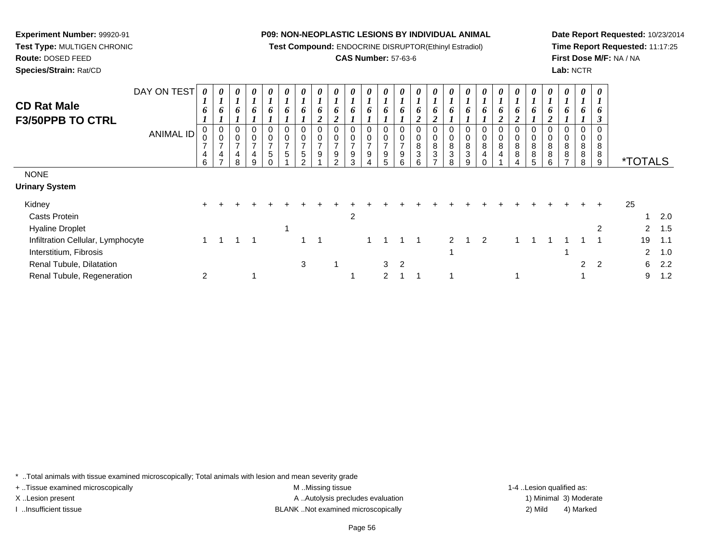**Test Compound:** ENDOCRINE DISRUPTOR(Ethinyl Estradiol)

# **CAS Number:** 57-63-6

n 3 1 3 2 2 2 6 2.2

n 2 1 2 1 1 2 1 1 1 1 1 9 1.2

**Date Report Requested:** 10/23/2014**Time Report Requested:** 11:17:25**First Dose M/F:** NA / NA**Lab:** NCTR

| <b>CD Rat Male</b>                | DAY ON TEST      | 0<br>$\overline{I}$ | 0<br>$\mathbf{I}$                              | $\boldsymbol{\theta}$                     | $\boldsymbol{\theta}$<br>1   | $\boldsymbol{\theta}$<br>$\boldsymbol{l}$ | 0                            | $\boldsymbol{\theta}$                                  | 0<br>$\boldsymbol{l}$                        | $\boldsymbol{\theta}$                   | 0                                                 | $\boldsymbol{\theta}$                        | 0                                 | 0                                       | 0                               | $\boldsymbol{\theta}$                             | $\theta$                                                 | $\boldsymbol{\theta}$                | 0                                    | $\boldsymbol{\theta}$         | $\boldsymbol{\theta}$<br>$\boldsymbol{l}$ | 0<br>$\mathbf{I}$<br>L                    | 0<br>$\mathbf{r}$     | 0                                  | 0           | $\boldsymbol{\theta}$      |                       |        |  |
|-----------------------------------|------------------|---------------------|------------------------------------------------|-------------------------------------------|------------------------------|-------------------------------------------|------------------------------|--------------------------------------------------------|----------------------------------------------|-----------------------------------------|---------------------------------------------------|----------------------------------------------|-----------------------------------|-----------------------------------------|---------------------------------|---------------------------------------------------|----------------------------------------------------------|--------------------------------------|--------------------------------------|-------------------------------|-------------------------------------------|-------------------------------------------|-----------------------|------------------------------------|-------------|----------------------------|-----------------------|--------|--|
| F3/50PPB TO CTRL                  |                  | 6                   | 6                                              | 6                                         | 6                            | 6                                         | 6                            | 6                                                      | 6                                            | $\bm{o}$<br>$\mathbf{\Omega}$           | 6                                                 | 6                                            | 6                                 | 6                                       | 6<br>$\mathbf{\hat{}}$          | 6                                                 | 6                                                        | 6                                    | 6                                    | 6<br>$\mathbf{\hat{z}}$       | 6                                         | 6                                         | 6                     | 6                                  | o           | o<br>$\rightarrow$         |                       |        |  |
|                                   | <b>ANIMAL ID</b> | ⇁<br>4<br>6         | 0<br>0<br>$\rightarrow$<br>4<br>$\overline{ }$ | 0<br>$\pmb{0}$<br>$\rightarrow$<br>4<br>8 | 0<br>$\frac{0}{7}$<br>4<br>9 | 0<br>$\mathbf 0$<br>$\overline{7}$<br>5   | 0<br>0<br>$\rightarrow$<br>5 | $\mathbf 0$<br>$\mathbf 0$<br>$\overline{ }$<br>5<br>ົ | 0<br>$\boldsymbol{0}$<br>$\overline{ }$<br>9 | $\mathbf 0$<br>$\overline{ }$<br>9<br>ົ | 0<br>0<br>$\overline{ }$<br>$\boldsymbol{9}$<br>3 | 0<br>$\mathbf 0$<br>$\overline{ }$<br>9<br>4 | 0<br>0<br>$\rightarrow$<br>9<br>5 | $\mathbf 0$<br>$\overline{ }$<br>9<br>ี | 0<br>$\mathsf 0$<br>8<br>3<br>6 | 0<br>$\mathbf 0$<br>$\,8\,$<br>3<br>$\rightarrow$ | $\mathbf 0$<br>$\bf 8$<br>$\ensuremath{\mathsf{3}}$<br>8 | 0<br>$\mathbf 0$<br>$\, 8$<br>3<br>9 | 0<br>$\pmb{0}$<br>8<br>4<br>$\Omega$ | 0<br>0<br>8<br>$\overline{4}$ | 0<br>8<br>8                               | 0<br>$\pmb{0}$<br>$\,8\,$<br>$\bf 8$<br>5 | 0<br>0<br>8<br>8<br>6 | 0<br>0<br>8<br>8<br>$\overline{ }$ | 8<br>8<br>8 | $\mathbf 0$<br>8<br>8<br>9 | <i><b>*TOTALS</b></i> |        |  |
| <b>NONE</b>                       |                  |                     |                                                |                                           |                              |                                           |                              |                                                        |                                              |                                         |                                                   |                                              |                                   |                                         |                                 |                                                   |                                                          |                                      |                                      |                               |                                           |                                           |                       |                                    |             |                            |                       |        |  |
| <b>Urinary System</b>             |                  |                     |                                                |                                           |                              |                                           |                              |                                                        |                                              |                                         |                                                   |                                              |                                   |                                         |                                 |                                                   |                                                          |                                      |                                      |                               |                                           |                                           |                       |                                    |             |                            |                       |        |  |
| Kidney                            |                  |                     |                                                |                                           |                              |                                           |                              |                                                        |                                              |                                         |                                                   |                                              |                                   |                                         |                                 |                                                   |                                                          |                                      |                                      |                               |                                           |                                           |                       |                                    |             |                            | 25                    |        |  |
| <b>Casts Protein</b>              |                  |                     |                                                |                                           |                              |                                           |                              |                                                        |                                              |                                         | $\overline{2}$                                    |                                              |                                   |                                         |                                 |                                                   |                                                          |                                      |                                      |                               |                                           |                                           |                       |                                    |             |                            |                       | 2.0    |  |
| <b>Hyaline Droplet</b>            |                  |                     |                                                |                                           |                              |                                           |                              |                                                        |                                              |                                         |                                                   |                                              |                                   |                                         |                                 |                                                   |                                                          |                                      |                                      |                               |                                           |                                           |                       |                                    |             | 2                          | 2                     | 1.5    |  |
| Infiltration Cellular, Lymphocyte |                  |                     |                                                |                                           |                              |                                           |                              |                                                        | -1                                           |                                         |                                                   |                                              |                                   |                                         |                                 |                                                   | $\mathcal{P}$                                            |                                      | $\mathcal{P}$                        |                               |                                           |                                           |                       |                                    |             |                            | 19                    | 1.1    |  |
| Interstitium, Fibrosis            |                  |                     |                                                |                                           |                              |                                           |                              |                                                        |                                              |                                         |                                                   |                                              |                                   |                                         |                                 |                                                   |                                                          |                                      |                                      |                               |                                           |                                           |                       |                                    |             |                            |                       | 2, 1.0 |  |

\* ..Total animals with tissue examined microscopically; Total animals with lesion and mean severity grade

+ ..Tissue examined microscopically examined microscopically examined as:  $M$  ..Missing tissue 1-4 ..Lesion qualified as:

**Experiment Number:** 99920-91**Test Type:** MULTIGEN CHRONIC

Renal Tubule, Dilatation

Renal Tubule, Regeneration

**Route:** DOSED FEED**Species/Strain:** Rat/CD

X..Lesion present **A ..Autolysis precludes evaluation** A ..Autolysis precludes evaluation 1) Minimal 3) Moderate I ..Insufficient tissue BLANK ..Not examined microscopically 2) Mild 4) Marked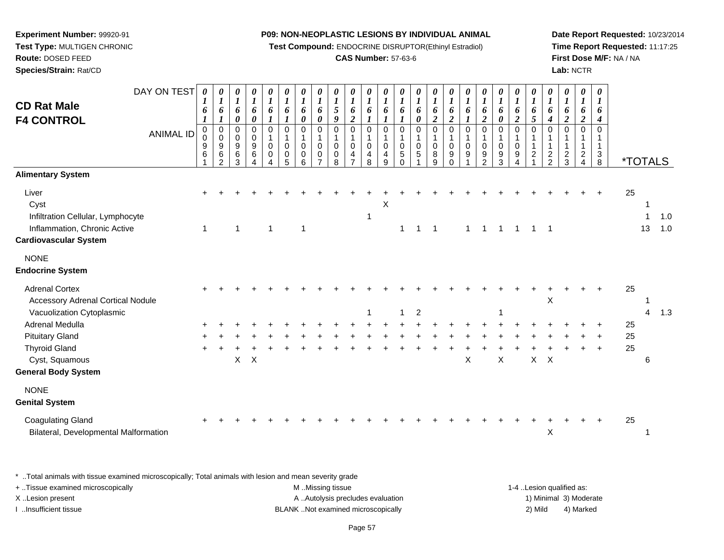**Experiment Number:** 99920-91**Test Type:** MULTIGEN CHRONIC

**Route:** DOSED FEED**Species/Strain:** Rat/CD **Test Compound:** ENDOCRINE DISRUPTOR(Ethinyl Estradiol)

# **CAS Number:** 57-63-6

**Date Report Requested:** 10/23/2014 **Time Report Requested:** 11:17:25**First Dose M/F:** NA / NA**Lab:** NCTR

| <b>CD Rat Male</b><br><b>F4 CONTROL</b>                                                                                                    | DAY ON TEST      | $\boldsymbol{\theta}$<br>1<br>6<br>$\boldsymbol{l}$ | 0<br>$\boldsymbol{l}$<br>6<br>$\boldsymbol{l}$                                         | 0<br>$\boldsymbol{l}$<br>6<br>$\pmb{\theta}$                   | 0<br>$\boldsymbol{l}$<br>$\boldsymbol{\theta}$               | 0<br>$\boldsymbol{l}$<br>6<br>$\boldsymbol{l}$                | 0<br>$\boldsymbol{l}$<br>6<br>1                            | 0<br>$\boldsymbol{l}$<br>$\boldsymbol{\theta}$                        | 0<br>$\boldsymbol{\mathit{1}}$<br>$\pmb{6}$<br>$\boldsymbol{\theta}$ | 0<br>$\boldsymbol{l}$<br>$\sqrt{5}$<br>$\boldsymbol{9}$ | $\boldsymbol{\theta}$<br>1<br>6<br>$\boldsymbol{2}$               | 0<br>$\boldsymbol{l}$<br>6<br>$\boldsymbol{l}$       | 0<br>$\boldsymbol{l}$<br>6<br>1         | 0<br>$\boldsymbol{l}$<br>6<br>$\boldsymbol{l}$                               | 0<br>$\boldsymbol{l}$<br>6<br>$\pmb{\theta}$               | 0<br>$\boldsymbol{I}$<br>$\frac{6}{2}$                     | 0<br>$\boldsymbol{l}$<br>$\frac{6}{2}$                                      | $\boldsymbol{\theta}$<br>$\boldsymbol{l}$<br>6<br>$\boldsymbol{l}$ | 0<br>$\boldsymbol{l}$<br>$\frac{6}{2}$                         | 0<br>$\boldsymbol{l}$<br>$\boldsymbol{\theta}$                  | 0<br>$\boldsymbol{l}$<br>$\frac{6}{2}$                                       | $\boldsymbol{\theta}$<br>$\boldsymbol{l}$<br>$\frac{6}{5}$   | 0<br>$\boldsymbol{l}$<br>6<br>$\boldsymbol{4}$    | 0<br>$\boldsymbol{l}$<br>6<br>$\boldsymbol{2}$              | 0<br>1<br>6<br>$\boldsymbol{2}$                | 0<br>1<br>6<br>$\boldsymbol{4}$                  |    |                       |            |
|--------------------------------------------------------------------------------------------------------------------------------------------|------------------|-----------------------------------------------------|----------------------------------------------------------------------------------------|----------------------------------------------------------------|--------------------------------------------------------------|---------------------------------------------------------------|------------------------------------------------------------|-----------------------------------------------------------------------|----------------------------------------------------------------------|---------------------------------------------------------|-------------------------------------------------------------------|------------------------------------------------------|-----------------------------------------|------------------------------------------------------------------------------|------------------------------------------------------------|------------------------------------------------------------|-----------------------------------------------------------------------------|--------------------------------------------------------------------|----------------------------------------------------------------|-----------------------------------------------------------------|------------------------------------------------------------------------------|--------------------------------------------------------------|---------------------------------------------------|-------------------------------------------------------------|------------------------------------------------|--------------------------------------------------|----|-----------------------|------------|
|                                                                                                                                            | <b>ANIMAL ID</b> | 0<br>0<br>9<br>$\,6$                                | $\boldsymbol{0}$<br>$\ddot{\mathbf{0}}$<br>$\boldsymbol{9}$<br>$\,6$<br>$\mathfrak{p}$ | $\mathbf 0$<br>$\mathsf 0$<br>$\boldsymbol{9}$<br>$\,6\,$<br>3 | $\mathsf 0$<br>$\pmb{0}$<br>$\boldsymbol{9}$<br>$\,6\,$<br>4 | $\pmb{0}$<br>$\mathbf{1}$<br>$\pmb{0}$<br>0<br>$\overline{4}$ | $\pmb{0}$<br>$\mathbf{1}$<br>$\mathbf 0$<br>$\pmb{0}$<br>5 | $\pmb{0}$<br>$\mathbf{1}$<br>$\pmb{0}$<br>$\pmb{0}$<br>$6\phantom{a}$ | $\pmb{0}$<br>$\mathbf{1}$<br>$\mathbf 0$<br>0<br>$\overline{7}$      | $\mathbf 0$<br>$\mathbf{1}$<br>0<br>0<br>8              | $\mathbf 0$<br>$\mathbf{1}$<br>$\mathbf 0$<br>4<br>$\overline{7}$ | $\mathbf 0$<br>$\mathbf{1}$<br>$\mathsf 0$<br>4<br>8 | $\mathbf 0$<br>1<br>$\pmb{0}$<br>4<br>9 | $\mathbf 0$<br>$\mathbf{1}$<br>$\mathsf{O}\xspace$<br>$\sqrt{5}$<br>$\Omega$ | $\pmb{0}$<br>$\mathbf{1}$<br>$\pmb{0}$<br>$\mathbf 5$<br>1 | $\mathsf 0$<br>$\mathbf{1}$<br>$\mathbf 0$<br>$\bf 8$<br>9 | $\mathsf 0$<br>$\mathbf{1}$<br>$\pmb{0}$<br>$\boldsymbol{9}$<br>$\mathbf 0$ | $\mathbf 0$<br>$\mathbf{1}$<br>$\pmb{0}$<br>9                      | $\overline{0}$<br>$\mathbf{1}$<br>$\mathsf 0$<br>$\frac{9}{2}$ | $\pmb{0}$<br>$\mathbf{1}$<br>$\pmb{0}$<br>$\boldsymbol{9}$<br>3 | $\pmb{0}$<br>$\mathbf{1}$<br>$\pmb{0}$<br>$\boldsymbol{9}$<br>$\overline{4}$ | $\pmb{0}$<br>$\overline{1}$<br>$\mathbf{1}$<br>$\frac{2}{1}$ | $\mathbf 0$<br>1<br>$\mathbf{1}$<br>$\frac{2}{2}$ | $\Omega$<br>$\mathbf{1}$<br>$\overline{1}$<br>$\frac{2}{3}$ | $\Omega$<br>1<br>$\mathbf{1}$<br>$\frac{2}{4}$ | $\Omega$<br>1<br>$\mathbf{1}$<br>$\sqrt{3}$<br>8 |    | <i><b>*TOTALS</b></i> |            |
| <b>Alimentary System</b>                                                                                                                   |                  |                                                     |                                                                                        |                                                                |                                                              |                                                               |                                                            |                                                                       |                                                                      |                                                         |                                                                   |                                                      |                                         |                                                                              |                                                            |                                                            |                                                                             |                                                                    |                                                                |                                                                 |                                                                              |                                                              |                                                   |                                                             |                                                |                                                  |    |                       |            |
| Liver<br>Cyst<br>Infiltration Cellular, Lymphocyte<br>Inflammation, Chronic Active<br><b>Cardiovascular System</b>                         |                  | $\mathbf{1}$                                        |                                                                                        | 1                                                              |                                                              | $\mathbf{1}$                                                  |                                                            | $\mathbf 1$                                                           |                                                                      |                                                         |                                                                   | 1                                                    | $\sf X$                                 | 1                                                                            | $\overline{1}$                                             | $\overline{1}$                                             |                                                                             | $\mathbf{1}$                                                       | $\overline{1}$                                                 | $\overline{1}$                                                  | $\overline{1}$                                                               | $\mathbf{1}$                                                 | $\overline{1}$                                    |                                                             |                                                |                                                  | 25 | -1<br>-1<br>13        | 1.0<br>1.0 |
| <b>NONE</b><br><b>Endocrine System</b>                                                                                                     |                  |                                                     |                                                                                        |                                                                |                                                              |                                                               |                                                            |                                                                       |                                                                      |                                                         |                                                                   |                                                      |                                         |                                                                              |                                                            |                                                            |                                                                             |                                                                    |                                                                |                                                                 |                                                                              |                                                              |                                                   |                                                             |                                                |                                                  |    |                       |            |
| <b>Adrenal Cortex</b><br><b>Accessory Adrenal Cortical Nodule</b><br>Vacuolization Cytoplasmic                                             |                  |                                                     |                                                                                        |                                                                |                                                              |                                                               |                                                            |                                                                       |                                                                      |                                                         |                                                                   | 1                                                    |                                         | $\mathbf{1}$                                                                 | $\overline{c}$                                             |                                                            |                                                                             |                                                                    |                                                                | 1                                                               |                                                                              |                                                              | X                                                 |                                                             |                                                |                                                  | 25 | 4                     | 1.3        |
| Adrenal Medulla                                                                                                                            |                  |                                                     |                                                                                        |                                                                |                                                              |                                                               |                                                            |                                                                       |                                                                      |                                                         |                                                                   |                                                      |                                         |                                                                              |                                                            |                                                            |                                                                             |                                                                    |                                                                |                                                                 |                                                                              |                                                              |                                                   |                                                             |                                                |                                                  | 25 |                       |            |
| <b>Pituitary Gland</b>                                                                                                                     |                  |                                                     |                                                                                        |                                                                |                                                              |                                                               |                                                            |                                                                       |                                                                      |                                                         |                                                                   |                                                      |                                         |                                                                              |                                                            |                                                            |                                                                             |                                                                    |                                                                |                                                                 |                                                                              |                                                              |                                                   |                                                             |                                                |                                                  | 25 |                       |            |
| <b>Thyroid Gland</b><br>Cyst, Squamous<br><b>General Body System</b>                                                                       |                  |                                                     |                                                                                        | $\mathsf{X}$                                                   | $\times$                                                     |                                                               |                                                            |                                                                       |                                                                      |                                                         |                                                                   |                                                      |                                         |                                                                              |                                                            |                                                            |                                                                             | X                                                                  |                                                                | $\pmb{\times}$                                                  |                                                                              |                                                              | $X$ $X$                                           |                                                             |                                                | $\ddot{}$                                        | 25 | 6                     |            |
| <b>NONE</b><br><b>Genital System</b>                                                                                                       |                  |                                                     |                                                                                        |                                                                |                                                              |                                                               |                                                            |                                                                       |                                                                      |                                                         |                                                                   |                                                      |                                         |                                                                              |                                                            |                                                            |                                                                             |                                                                    |                                                                |                                                                 |                                                                              |                                                              |                                                   |                                                             |                                                |                                                  |    |                       |            |
| <b>Coagulating Gland</b><br>Bilateral, Developmental Malformation                                                                          |                  |                                                     |                                                                                        |                                                                |                                                              |                                                               |                                                            |                                                                       |                                                                      |                                                         |                                                                   |                                                      |                                         |                                                                              |                                                            |                                                            |                                                                             |                                                                    |                                                                |                                                                 |                                                                              |                                                              | $\mathsf X$                                       |                                                             |                                                |                                                  | 25 |                       |            |
| Total animals with tissue examined microscopically; Total animals with lesion and mean severity grade<br>+ Tissue examined microscopically |                  |                                                     |                                                                                        |                                                                |                                                              |                                                               |                                                            |                                                                       | M Missing tissue                                                     |                                                         |                                                                   |                                                      |                                         |                                                                              |                                                            |                                                            |                                                                             |                                                                    |                                                                |                                                                 |                                                                              |                                                              |                                                   | 1-4 Lesion qualified as:                                    |                                                |                                                  |    |                       |            |

| + 1 issue examined microscopically | M Missing tissue                   | 1-4 Lesion qualified as: |                        |
|------------------------------------|------------------------------------|--------------------------|------------------------|
| X Lesion present                   | A Autolysis precludes evaluation   |                          | 1) Minimal 3) Moderate |
| Insufficient tissue                | BLANK Not examined microscopically | 2) Mild                  | 4) Marked              |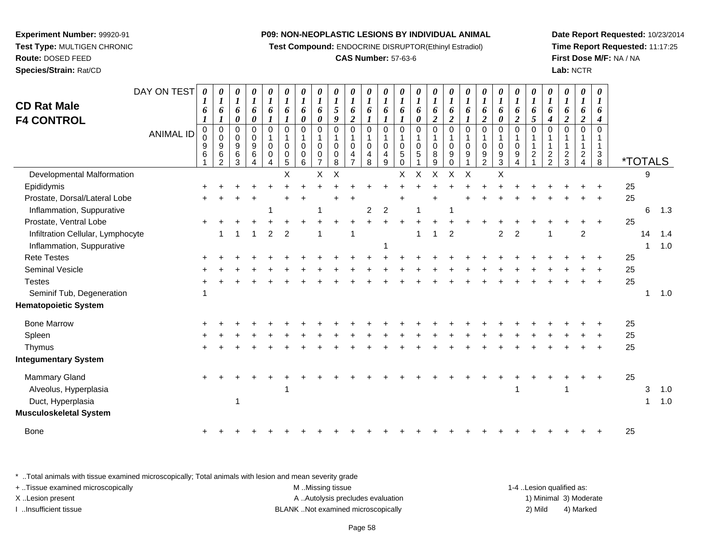**Experiment Number:** 99920-91 **Test Type:** MULTIGEN CHRONIC**Route:** DOSED FEED

**Species/Strain:** Rat/CD

# **Test Compound:** ENDOCRINE DISRUPTOR(Ethinyl Estradiol)

# **CAS Number:** 57-63-6

**Date Report Requested:** 10/23/2014**Time Report Requested:** 11:17:25**First Dose M/F:** NA / NA**Lab:** NCTR

| <b>CD Rat Male</b><br><b>F4 CONTROL</b>                        | DAY ON TEST<br><b>ANIMAL ID</b> | 0<br>$\boldsymbol{l}$<br>6<br>0<br>0<br>9<br>6 | 0<br>$\boldsymbol{l}$<br>6<br>$\boldsymbol{l}$<br>$\pmb{0}$<br>$\pmb{0}$<br>$\boldsymbol{9}$<br>$\,6$<br>$\overline{2}$ | 0<br>$\boldsymbol{l}$<br>6<br>0<br>0<br>$\mathbf 0$<br>$\boldsymbol{9}$<br>$\,6$<br>3 | 0<br>$\boldsymbol{l}$<br>6<br>0<br>0<br>0<br>9<br>6<br>4 | 0<br>$\boldsymbol{l}$<br>6<br>1<br>$\mathbf 0$<br>$\mathbf{1}$<br>$\mathbf 0$<br>$\mathbf 0$ | 0<br>$\boldsymbol{l}$<br>6<br>$\boldsymbol{l}$<br>$\mathbf 0$<br>1<br>0<br>$\mathbf 0$<br>5 | 0<br>$\boldsymbol{l}$<br>6<br>0<br>$\mathbf 0$<br>1<br>$\mathbf 0$<br>$\mathbf 0$<br>6 | 0<br>$\boldsymbol{l}$<br>6<br>0<br>0<br>0<br>$\mathbf 0$ | 0<br>$\boldsymbol{l}$<br>5<br>9<br>$\mathbf 0$<br>$\mathbf 1$<br>$\mathbf 0$<br>$\mathbf 0$<br>8 | 0<br>$\boldsymbol{l}$<br>6<br>$\overline{c}$<br>$\Omega$<br>0<br>4 | 0<br>$\bm{l}$<br>6<br>1<br>$\Omega$<br>$\mathbf 0$<br>4<br>8 | 0<br>$\boldsymbol{l}$<br>6<br>1<br>$\mathbf 0$<br>$\mathbf{1}$<br>$\pmb{0}$<br>$\overline{4}$<br>9 | 0<br>$\boldsymbol{l}$<br>6<br>$\mathbf 0$<br>1<br>0<br>5<br>$\mathbf 0$ | 0<br>$\boldsymbol{l}$<br>6<br>0<br>$\mathbf 0$<br>1<br>$\mathbf 0$<br>5 | 0<br>$\boldsymbol{l}$<br>6<br>$\boldsymbol{2}$<br>$\mathbf 0$<br>0<br>$\bf 8$<br>$\boldsymbol{9}$ | 0<br>$\boldsymbol{l}$<br>6<br>$\boldsymbol{2}$<br>$\mathbf 0$<br>$\mathbf{1}$<br>$\mathbf 0$<br>9<br>$\mathbf 0$ | 0<br>$\boldsymbol{l}$<br>6<br>$\mathbf 0$<br>0<br>9 | 0<br>$\boldsymbol{l}$<br>6<br>$\overline{c}$<br>$\mathbf 0$<br>1<br>0<br>$\boldsymbol{9}$<br>$\overline{2}$ | 0<br>$\boldsymbol{l}$<br>6<br>0<br>$\mathbf 0$<br>1<br>$\pmb{0}$<br>$\boldsymbol{9}$<br>$\mathbf{3}$ | 0<br>$\boldsymbol{l}$<br>6<br>$\boldsymbol{2}$<br>$\pmb{0}$<br>$\mathbf{1}$<br>$\mathbf 0$<br>$\boldsymbol{9}$<br>4 | 0<br>$\boldsymbol{l}$<br>6<br>5<br>$\mathbf 0$<br>$\overline{c}$ | 0<br>$\boldsymbol{l}$<br>6<br>$\boldsymbol{4}$<br>$\Omega$<br>$\boldsymbol{2}$<br>$\overline{2}$ | 0<br>$\boldsymbol{l}$<br>6<br>$\boldsymbol{2}$<br>$\mathbf 0$<br>1<br>$\sqrt{2}$<br>3 | 0<br>$\boldsymbol{l}$<br>6<br>$\overline{c}$<br>$\Omega$<br>$\overline{\mathbf{c}}$<br>$\overline{4}$ | 0<br>$\boldsymbol{I}$<br>6<br>$\boldsymbol{4}$<br>$\Omega$<br>3<br>8 | <i><b>*TOTALS</b></i> |    |            |
|----------------------------------------------------------------|---------------------------------|------------------------------------------------|-------------------------------------------------------------------------------------------------------------------------|---------------------------------------------------------------------------------------|----------------------------------------------------------|----------------------------------------------------------------------------------------------|---------------------------------------------------------------------------------------------|----------------------------------------------------------------------------------------|----------------------------------------------------------|--------------------------------------------------------------------------------------------------|--------------------------------------------------------------------|--------------------------------------------------------------|----------------------------------------------------------------------------------------------------|-------------------------------------------------------------------------|-------------------------------------------------------------------------|---------------------------------------------------------------------------------------------------|------------------------------------------------------------------------------------------------------------------|-----------------------------------------------------|-------------------------------------------------------------------------------------------------------------|------------------------------------------------------------------------------------------------------|---------------------------------------------------------------------------------------------------------------------|------------------------------------------------------------------|--------------------------------------------------------------------------------------------------|---------------------------------------------------------------------------------------|-------------------------------------------------------------------------------------------------------|----------------------------------------------------------------------|-----------------------|----|------------|
| Developmental Malformation                                     |                                 |                                                |                                                                                                                         |                                                                                       |                                                          |                                                                                              | X                                                                                           |                                                                                        | X                                                        | $\sf X$                                                                                          |                                                                    |                                                              |                                                                                                    | X                                                                       | X                                                                       | X                                                                                                 | $\boldsymbol{\mathsf{X}}$                                                                                        | $\times$                                            |                                                                                                             | X                                                                                                    |                                                                                                                     |                                                                  |                                                                                                  |                                                                                       |                                                                                                       |                                                                      |                       | 9  |            |
| Epididymis                                                     |                                 |                                                |                                                                                                                         |                                                                                       |                                                          |                                                                                              |                                                                                             |                                                                                        |                                                          |                                                                                                  |                                                                    |                                                              |                                                                                                    |                                                                         |                                                                         |                                                                                                   |                                                                                                                  |                                                     |                                                                                                             |                                                                                                      |                                                                                                                     |                                                                  |                                                                                                  |                                                                                       |                                                                                                       |                                                                      | 25                    |    |            |
| Prostate, Dorsal/Lateral Lobe                                  |                                 | $\pm$                                          |                                                                                                                         |                                                                                       |                                                          |                                                                                              |                                                                                             |                                                                                        |                                                          |                                                                                                  | $\ddot{}$                                                          |                                                              |                                                                                                    |                                                                         |                                                                         |                                                                                                   |                                                                                                                  |                                                     |                                                                                                             |                                                                                                      |                                                                                                                     |                                                                  |                                                                                                  |                                                                                       |                                                                                                       | $\ddot{}$                                                            | 25                    |    |            |
| Inflammation, Suppurative                                      |                                 |                                                |                                                                                                                         |                                                                                       |                                                          | -1                                                                                           |                                                                                             |                                                                                        |                                                          |                                                                                                  |                                                                    | $\overline{c}$                                               | $\overline{c}$                                                                                     |                                                                         | 1                                                                       |                                                                                                   | 1                                                                                                                |                                                     |                                                                                                             |                                                                                                      |                                                                                                                     |                                                                  |                                                                                                  |                                                                                       |                                                                                                       |                                                                      |                       | 6  | 1.3        |
| Prostate, Ventral Lobe                                         |                                 | $\pm$                                          |                                                                                                                         |                                                                                       |                                                          |                                                                                              |                                                                                             |                                                                                        |                                                          |                                                                                                  |                                                                    |                                                              |                                                                                                    |                                                                         |                                                                         |                                                                                                   |                                                                                                                  |                                                     |                                                                                                             |                                                                                                      |                                                                                                                     |                                                                  |                                                                                                  |                                                                                       |                                                                                                       |                                                                      | 25                    |    |            |
| Infiltration Cellular, Lymphocyte<br>Inflammation, Suppurative |                                 |                                                | 1                                                                                                                       |                                                                                       |                                                          | $\overline{2}$                                                                               | $\overline{2}$                                                                              |                                                                                        |                                                          |                                                                                                  |                                                                    |                                                              |                                                                                                    |                                                                         |                                                                         |                                                                                                   | 2                                                                                                                |                                                     |                                                                                                             | 2                                                                                                    | $\overline{2}$                                                                                                      |                                                                  |                                                                                                  |                                                                                       | $\overline{c}$                                                                                        |                                                                      |                       | 14 | 1.4<br>1.0 |
| <b>Rete Testes</b>                                             |                                 |                                                |                                                                                                                         |                                                                                       |                                                          |                                                                                              |                                                                                             |                                                                                        |                                                          |                                                                                                  |                                                                    |                                                              |                                                                                                    |                                                                         |                                                                         |                                                                                                   |                                                                                                                  |                                                     |                                                                                                             |                                                                                                      |                                                                                                                     |                                                                  |                                                                                                  |                                                                                       |                                                                                                       |                                                                      | 25                    |    |            |
| Seminal Vesicle                                                |                                 |                                                |                                                                                                                         |                                                                                       |                                                          |                                                                                              |                                                                                             |                                                                                        |                                                          |                                                                                                  |                                                                    |                                                              |                                                                                                    |                                                                         |                                                                         |                                                                                                   |                                                                                                                  |                                                     |                                                                                                             |                                                                                                      |                                                                                                                     |                                                                  |                                                                                                  |                                                                                       |                                                                                                       |                                                                      | 25                    |    |            |
| <b>Testes</b>                                                  |                                 |                                                |                                                                                                                         |                                                                                       |                                                          |                                                                                              |                                                                                             |                                                                                        |                                                          |                                                                                                  |                                                                    |                                                              |                                                                                                    |                                                                         |                                                                         |                                                                                                   |                                                                                                                  |                                                     |                                                                                                             |                                                                                                      |                                                                                                                     |                                                                  |                                                                                                  |                                                                                       |                                                                                                       |                                                                      | 25                    |    |            |
| Seminif Tub, Degeneration                                      |                                 |                                                |                                                                                                                         |                                                                                       |                                                          |                                                                                              |                                                                                             |                                                                                        |                                                          |                                                                                                  |                                                                    |                                                              |                                                                                                    |                                                                         |                                                                         |                                                                                                   |                                                                                                                  |                                                     |                                                                                                             |                                                                                                      |                                                                                                                     |                                                                  |                                                                                                  |                                                                                       |                                                                                                       |                                                                      |                       |    | 1.0        |
| <b>Hematopoietic System</b>                                    |                                 |                                                |                                                                                                                         |                                                                                       |                                                          |                                                                                              |                                                                                             |                                                                                        |                                                          |                                                                                                  |                                                                    |                                                              |                                                                                                    |                                                                         |                                                                         |                                                                                                   |                                                                                                                  |                                                     |                                                                                                             |                                                                                                      |                                                                                                                     |                                                                  |                                                                                                  |                                                                                       |                                                                                                       |                                                                      |                       |    |            |
| <b>Bone Marrow</b>                                             |                                 |                                                |                                                                                                                         |                                                                                       |                                                          |                                                                                              |                                                                                             |                                                                                        |                                                          |                                                                                                  |                                                                    |                                                              |                                                                                                    |                                                                         |                                                                         |                                                                                                   |                                                                                                                  |                                                     |                                                                                                             |                                                                                                      |                                                                                                                     |                                                                  |                                                                                                  |                                                                                       |                                                                                                       |                                                                      | 25                    |    |            |
| Spleen                                                         |                                 |                                                |                                                                                                                         |                                                                                       |                                                          |                                                                                              |                                                                                             |                                                                                        |                                                          |                                                                                                  |                                                                    |                                                              |                                                                                                    |                                                                         |                                                                         |                                                                                                   |                                                                                                                  |                                                     |                                                                                                             |                                                                                                      |                                                                                                                     |                                                                  |                                                                                                  |                                                                                       |                                                                                                       |                                                                      | 25                    |    |            |
| Thymus                                                         |                                 |                                                |                                                                                                                         |                                                                                       |                                                          |                                                                                              |                                                                                             |                                                                                        |                                                          |                                                                                                  |                                                                    |                                                              |                                                                                                    |                                                                         |                                                                         |                                                                                                   |                                                                                                                  |                                                     |                                                                                                             |                                                                                                      |                                                                                                                     |                                                                  |                                                                                                  |                                                                                       |                                                                                                       |                                                                      | 25                    |    |            |
| <b>Integumentary System</b>                                    |                                 |                                                |                                                                                                                         |                                                                                       |                                                          |                                                                                              |                                                                                             |                                                                                        |                                                          |                                                                                                  |                                                                    |                                                              |                                                                                                    |                                                                         |                                                                         |                                                                                                   |                                                                                                                  |                                                     |                                                                                                             |                                                                                                      |                                                                                                                     |                                                                  |                                                                                                  |                                                                                       |                                                                                                       |                                                                      |                       |    |            |
| Mammary Gland                                                  |                                 |                                                |                                                                                                                         |                                                                                       |                                                          |                                                                                              |                                                                                             |                                                                                        |                                                          |                                                                                                  |                                                                    |                                                              |                                                                                                    |                                                                         |                                                                         |                                                                                                   |                                                                                                                  |                                                     |                                                                                                             |                                                                                                      |                                                                                                                     |                                                                  |                                                                                                  |                                                                                       |                                                                                                       |                                                                      | 25                    |    |            |
| Alveolus, Hyperplasia                                          |                                 |                                                |                                                                                                                         |                                                                                       |                                                          |                                                                                              |                                                                                             |                                                                                        |                                                          |                                                                                                  |                                                                    |                                                              |                                                                                                    |                                                                         |                                                                         |                                                                                                   |                                                                                                                  |                                                     |                                                                                                             |                                                                                                      |                                                                                                                     |                                                                  |                                                                                                  |                                                                                       |                                                                                                       |                                                                      |                       | 3  | 1.0        |
| Duct, Hyperplasia                                              |                                 |                                                |                                                                                                                         |                                                                                       |                                                          |                                                                                              |                                                                                             |                                                                                        |                                                          |                                                                                                  |                                                                    |                                                              |                                                                                                    |                                                                         |                                                                         |                                                                                                   |                                                                                                                  |                                                     |                                                                                                             |                                                                                                      |                                                                                                                     |                                                                  |                                                                                                  |                                                                                       |                                                                                                       |                                                                      |                       | 1  | 1.0        |
| <b>Musculoskeletal System</b>                                  |                                 |                                                |                                                                                                                         |                                                                                       |                                                          |                                                                                              |                                                                                             |                                                                                        |                                                          |                                                                                                  |                                                                    |                                                              |                                                                                                    |                                                                         |                                                                         |                                                                                                   |                                                                                                                  |                                                     |                                                                                                             |                                                                                                      |                                                                                                                     |                                                                  |                                                                                                  |                                                                                       |                                                                                                       |                                                                      |                       |    |            |
| <b>Bone</b>                                                    |                                 |                                                |                                                                                                                         |                                                                                       |                                                          |                                                                                              |                                                                                             |                                                                                        |                                                          |                                                                                                  |                                                                    |                                                              |                                                                                                    |                                                                         |                                                                         |                                                                                                   |                                                                                                                  |                                                     |                                                                                                             |                                                                                                      |                                                                                                                     |                                                                  |                                                                                                  |                                                                                       |                                                                                                       |                                                                      | 25                    |    |            |

\* ..Total animals with tissue examined microscopically; Total animals with lesion and mean severity grade

| + Tissue examined microscopically | M Missing tissue                  | 1-4 Lesion qualified as: |                        |
|-----------------------------------|-----------------------------------|--------------------------|------------------------|
| X Lesion present                  | A Autolysis precludes evaluation  |                          | 1) Minimal 3) Moderate |
| Insufficient tissue               | BLANKNot examined microscopically | 2) Mild                  | 4) Marked              |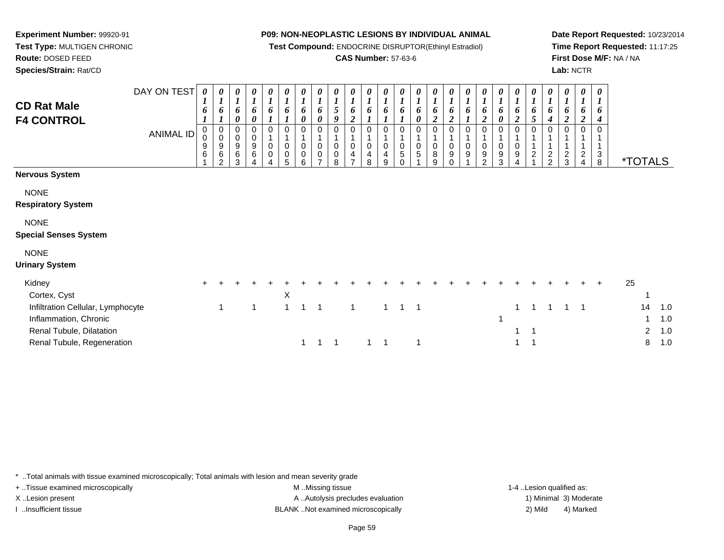**Test Compound:** ENDOCRINE DISRUPTOR(Ethinyl Estradiol)

#### **CAS Number:** 57-63-6

**Date Report Requested:** 10/23/2014**Time Report Requested:** 11:17:25**First Dose M/F:** NA / NA**Lab:** NCTR

*0 1*

1 1 3

\*TOTALS

1 2 3

*6*

| Species/Strain: Rat/CD                                            |                          |                            |                                               |                                                   |                                                   |                                                             |                                   |                                        |                                   |                                                  |                                        |                                   |                            |                            |                                   |                                 |                                               |                                        |                                 |                                                                      |
|-------------------------------------------------------------------|--------------------------|----------------------------|-----------------------------------------------|---------------------------------------------------|---------------------------------------------------|-------------------------------------------------------------|-----------------------------------|----------------------------------------|-----------------------------------|--------------------------------------------------|----------------------------------------|-----------------------------------|----------------------------|----------------------------|-----------------------------------|---------------------------------|-----------------------------------------------|----------------------------------------|---------------------------------|----------------------------------------------------------------------|
| <b>CD Rat Male</b><br><b>F4 CONTROL</b>                           | DAY ON TEST<br>ANIMAL ID | 0<br>6<br>0<br>0<br>9<br>6 | $\theta$<br>6<br>$\Omega$<br>0<br>9<br>6<br>2 | $\theta$<br>п.<br>6<br>0<br>0<br>0<br>9<br>6<br>3 | $\theta$<br>п.<br>6<br>0<br>0<br>0<br>9<br>6<br>4 | $\boldsymbol{\theta}$<br>п.<br>6<br>$\Omega$<br>0<br>0<br>4 | $\theta$<br>6<br>0<br>0<br>0<br>5 | 0<br>6<br>0<br>$\Omega$<br>0<br>0<br>6 | 0<br>6<br>0<br>$\Omega$<br>0<br>0 | 0<br>5<br>9<br>$\Omega$<br>0<br>$\mathbf 0$<br>8 | 0<br>O<br>2<br>$\Omega$<br>0<br>4<br>7 | 0<br>o<br>$\Omega$<br>0<br>4<br>8 | 0<br>o<br>0<br>0<br>4<br>9 | 0<br>o<br>0<br>0<br>5<br>0 | 0<br>o<br>0<br>$\Omega$<br>0<br>5 | 0<br>6<br>2<br>0<br>0<br>8<br>9 | 0<br>6<br>2<br>$\Omega$<br>0<br>9<br>$\Omega$ | 0<br>6<br>$\Omega$<br>$\mathbf 0$<br>9 | 0<br>o<br>2<br>0<br>0<br>9<br>2 | $\boldsymbol{\theta}$<br>6<br>0<br>$\Omega$<br>$\mathbf 0$<br>9<br>3 |
| <b>Nervous System</b><br><b>NONE</b><br><b>Respiratory System</b> |                          |                            |                                               |                                                   |                                                   |                                                             |                                   |                                        |                                   |                                                  |                                        |                                   |                            |                            |                                   |                                 |                                               |                                        |                                 |                                                                      |

NONE

#### **Special Senses System**

**Experiment Number:** 99920-91**Test Type:** MULTIGEN CHRONIC

**Route:** DOSED FEED

#### NONE

#### **Urinary System**

| Kidney                            |  |  |                       |  |  |               |  |  |  |  |  |  |  | -25 |               |
|-----------------------------------|--|--|-----------------------|--|--|---------------|--|--|--|--|--|--|--|-----|---------------|
| Cortex, Cyst                      |  |  |                       |  |  |               |  |  |  |  |  |  |  |     |               |
| Infiltration Cellular, Lymphocyte |  |  | 1 1 1 1 1 1 1 1 1 1 1 |  |  |               |  |  |  |  |  |  |  | 14  | 1.0           |
| Inflammation, Chronic             |  |  |                       |  |  |               |  |  |  |  |  |  |  |     | $1 \quad 1.0$ |
| Renal Tubule, Dilatation          |  |  |                       |  |  |               |  |  |  |  |  |  |  |     | 2, 1.0        |
| Renal Tubule, Regeneration        |  |  |                       |  |  | 1 1 1 1 1 1 1 |  |  |  |  |  |  |  |     | 8 1.0         |

\* ..Total animals with tissue examined microscopically; Total animals with lesion and mean severity grade

+ ..Tissue examined microscopically examined microscopically examined as:  $M$  ..Missing tissue 1-4 ..Lesion qualified as: X..Lesion present **A ..Autolysis precludes evaluation** A ..Autolysis precludes evaluation 1) Minimal 3) Moderate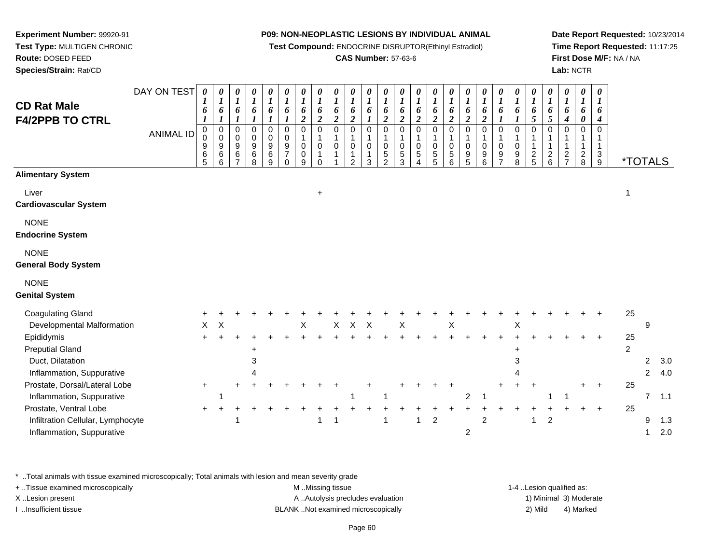**Test Compound:** ENDOCRINE DISRUPTOR(Ethinyl Estradiol)

# **CAS Number:** 57-63-6

**Date Report Requested:** 10/23/2014**Time Report Requested:** 11:17:25**First Dose M/F:** NA / NA**Lab:** NCTR

| Species/Strain: Rat/CD                                             |                                 |                                   |                                                                                |                                                                                          |                                                                            |                                                                                                  |                                                                                                                      |                                                                                                       |                                                                                                |                                                                                   |                                                                                                  |                                                      |                                                                                       |                                                                                                                                 |                                                                                                         |                                                                                                                               |                                                                                                                      |                                                                                             |                                                                                                                         |                                                            |                                                                  |                                                                                                          |                                                                                            | Lab: NCTR                                     |                                                              |                                                                        |                        |                                  |            |
|--------------------------------------------------------------------|---------------------------------|-----------------------------------|--------------------------------------------------------------------------------|------------------------------------------------------------------------------------------|----------------------------------------------------------------------------|--------------------------------------------------------------------------------------------------|----------------------------------------------------------------------------------------------------------------------|-------------------------------------------------------------------------------------------------------|------------------------------------------------------------------------------------------------|-----------------------------------------------------------------------------------|--------------------------------------------------------------------------------------------------|------------------------------------------------------|---------------------------------------------------------------------------------------|---------------------------------------------------------------------------------------------------------------------------------|---------------------------------------------------------------------------------------------------------|-------------------------------------------------------------------------------------------------------------------------------|----------------------------------------------------------------------------------------------------------------------|---------------------------------------------------------------------------------------------|-------------------------------------------------------------------------------------------------------------------------|------------------------------------------------------------|------------------------------------------------------------------|----------------------------------------------------------------------------------------------------------|--------------------------------------------------------------------------------------------|-----------------------------------------------|--------------------------------------------------------------|------------------------------------------------------------------------|------------------------|----------------------------------|------------|
| <b>CD Rat Male</b><br><b>F4/2PPB TO CTRL</b>                       | DAY ON TEST<br><b>ANIMAL ID</b> | 1<br>6<br>$\Omega$<br>9<br>6<br>5 | $\boldsymbol{\theta}$<br>1<br>6<br>$\pmb{0}$<br>$\mathbf 0$<br>9<br>$\,6$<br>6 | 0<br>$\boldsymbol{I}$<br>6<br>$\boldsymbol{l}$<br>0<br>$\mathbf 0$<br>9<br>$\frac{6}{7}$ | 0<br>$\boldsymbol{l}$<br>6<br>1<br>$\pmb{0}$<br>$\mathbf 0$<br>9<br>$^6_8$ | 0<br>$\boldsymbol{l}$<br>6<br>$\boldsymbol{l}$<br>$\boldsymbol{0}$<br>$\mathbf 0$<br>9<br>6<br>9 | $\boldsymbol{\theta}$<br>$\boldsymbol{I}$<br>6<br>1<br>$\mathbf 0$<br>$\mathbf 0$<br>9<br>$\overline{7}$<br>$\Omega$ | $\boldsymbol{\theta}$<br>$\bm{l}$<br>6<br>$\overline{2}$<br>$\mathbf 0$<br>1<br>$\mathbf 0$<br>0<br>9 | $\boldsymbol{\theta}$<br>$\bm{l}$<br>6<br>$\boldsymbol{2}$<br>$\Omega$<br>$\Omega$<br>$\Omega$ | $\boldsymbol{\theta}$<br>$\boldsymbol{l}$<br>6<br>2<br>$\overline{0}$<br>$\Omega$ | $\boldsymbol{\theta}$<br>1<br>6<br>$\overline{2}$<br>$\mathbf 0$<br>$\mathbf 0$<br>$\mathcal{P}$ | 0<br>1<br>6<br>0<br>$\mathbf{1}$<br>$\mathbf 0$<br>3 | 0<br>$\bm{l}$<br>6<br>$\boldsymbol{2}$<br>$\mathbf 0$<br>$\mathbf 0$<br>$\frac{5}{2}$ | $\boldsymbol{\theta}$<br>$\boldsymbol{l}$<br>6<br>$\boldsymbol{2}$<br>$\boldsymbol{0}$<br>$\mathbf{1}$<br>$\mathbf 0$<br>5<br>3 | $\boldsymbol{\theta}$<br>$\bm{l}$<br>6<br>$\boldsymbol{2}$<br>$\mathbf 0$<br>1<br>$\mathbf 0$<br>5<br>4 | $\boldsymbol{\theta}$<br>$\boldsymbol{I}$<br>6<br>$\overline{\mathbf{c}}$<br>$\mathbf 0$<br>1<br>$\mathbf 0$<br>$\frac{5}{5}$ | $\boldsymbol{\theta}$<br>$\boldsymbol{l}$<br>6<br>$\boldsymbol{2}$<br>$\mathbf 0$<br>$\mathbf 0$<br>$\,$ 5 $\,$<br>6 | U<br>$\boldsymbol{l}$<br>6<br>$\boldsymbol{2}$<br>$\mathbf 0$<br>1<br>$\mathbf 0$<br>9<br>5 | $\boldsymbol{\theta}$<br>$\boldsymbol{l}$<br>6<br>$\overline{c}$<br>$\mathsf 0$<br>$\mathbf 0$<br>$\boldsymbol{9}$<br>6 | $\boldsymbol{\theta}$<br>1<br>6<br>0<br>0<br>$\frac{9}{7}$ | 0<br>$\boldsymbol{I}$<br>6<br>$\mathbf 0$<br>0<br>$_{8}^{\rm 9}$ | $\boldsymbol{\theta}$<br>$\boldsymbol{l}$<br>6<br>5<br>$\mathbf 0$<br>1<br>$\mathbf{1}$<br>$\frac{2}{5}$ | $\boldsymbol{\theta}$<br>$\boldsymbol{\mathit{1}}$<br>6<br>5<br>$\mathbf 0$<br>1<br>$^2$ 6 | U<br>1<br>6<br>4<br>$\Omega$<br>$\frac{2}{7}$ | $\boldsymbol{\theta}$<br>1<br>6<br>0<br>$\Omega$<br>$_{8}^2$ | 0<br>1<br>6<br>4<br>$\mathbf 0$<br>-1<br>$\mathbf{1}$<br>$\frac{3}{9}$ | <i><b>*TOTALS</b></i>  |                                  |            |
| <b>Alimentary System</b>                                           |                                 |                                   |                                                                                |                                                                                          |                                                                            |                                                                                                  |                                                                                                                      |                                                                                                       |                                                                                                |                                                                                   |                                                                                                  |                                                      |                                                                                       |                                                                                                                                 |                                                                                                         |                                                                                                                               |                                                                                                                      |                                                                                             |                                                                                                                         |                                                            |                                                                  |                                                                                                          |                                                                                            |                                               |                                                              |                                                                        |                        |                                  |            |
| Liver<br><b>Cardiovascular System</b>                              |                                 |                                   |                                                                                |                                                                                          |                                                                            |                                                                                                  |                                                                                                                      |                                                                                                       | $\ddot{}$                                                                                      |                                                                                   |                                                                                                  |                                                      |                                                                                       |                                                                                                                                 |                                                                                                         |                                                                                                                               |                                                                                                                      |                                                                                             |                                                                                                                         |                                                            |                                                                  |                                                                                                          |                                                                                            |                                               |                                                              |                                                                        | 1                      |                                  |            |
| <b>NONE</b><br><b>Endocrine System</b>                             |                                 |                                   |                                                                                |                                                                                          |                                                                            |                                                                                                  |                                                                                                                      |                                                                                                       |                                                                                                |                                                                                   |                                                                                                  |                                                      |                                                                                       |                                                                                                                                 |                                                                                                         |                                                                                                                               |                                                                                                                      |                                                                                             |                                                                                                                         |                                                            |                                                                  |                                                                                                          |                                                                                            |                                               |                                                              |                                                                        |                        |                                  |            |
| <b>NONE</b><br><b>General Body System</b>                          |                                 |                                   |                                                                                |                                                                                          |                                                                            |                                                                                                  |                                                                                                                      |                                                                                                       |                                                                                                |                                                                                   |                                                                                                  |                                                      |                                                                                       |                                                                                                                                 |                                                                                                         |                                                                                                                               |                                                                                                                      |                                                                                             |                                                                                                                         |                                                            |                                                                  |                                                                                                          |                                                                                            |                                               |                                                              |                                                                        |                        |                                  |            |
| <b>NONE</b><br><b>Genital System</b>                               |                                 |                                   |                                                                                |                                                                                          |                                                                            |                                                                                                  |                                                                                                                      |                                                                                                       |                                                                                                |                                                                                   |                                                                                                  |                                                      |                                                                                       |                                                                                                                                 |                                                                                                         |                                                                                                                               |                                                                                                                      |                                                                                             |                                                                                                                         |                                                            |                                                                  |                                                                                                          |                                                                                            |                                               |                                                              |                                                                        |                        |                                  |            |
| <b>Coagulating Gland</b>                                           |                                 |                                   |                                                                                |                                                                                          |                                                                            |                                                                                                  |                                                                                                                      |                                                                                                       |                                                                                                |                                                                                   | X                                                                                                |                                                      |                                                                                       |                                                                                                                                 |                                                                                                         |                                                                                                                               |                                                                                                                      |                                                                                             |                                                                                                                         |                                                            |                                                                  |                                                                                                          |                                                                                            |                                               |                                                              |                                                                        | 25                     |                                  |            |
| Developmental Malformation<br>Epididymis<br><b>Preputial Gland</b> |                                 | X                                 | X                                                                              |                                                                                          |                                                                            |                                                                                                  |                                                                                                                      | X                                                                                                     |                                                                                                | X                                                                                 |                                                                                                  | X                                                    |                                                                                       | X                                                                                                                               |                                                                                                         |                                                                                                                               | X                                                                                                                    |                                                                                             |                                                                                                                         |                                                            | X                                                                |                                                                                                          |                                                                                            |                                               |                                                              |                                                                        | 25<br>$\boldsymbol{2}$ | 9                                |            |
| Duct, Dilatation<br>Inflammation, Suppurative                      |                                 |                                   |                                                                                |                                                                                          | 3                                                                          |                                                                                                  |                                                                                                                      |                                                                                                       |                                                                                                |                                                                                   |                                                                                                  |                                                      |                                                                                       |                                                                                                                                 |                                                                                                         |                                                                                                                               |                                                                                                                      |                                                                                             |                                                                                                                         |                                                            | 3                                                                |                                                                                                          |                                                                                            |                                               |                                                              |                                                                        |                        | $\overline{2}$<br>$\overline{2}$ | 3.0<br>4.0 |
| Prostate, Dorsal/Lateral Lobe<br>Inflammation, Suppurative         |                                 | $\ddot{}$                         |                                                                                |                                                                                          |                                                                            |                                                                                                  |                                                                                                                      |                                                                                                       |                                                                                                |                                                                                   |                                                                                                  |                                                      |                                                                                       |                                                                                                                                 |                                                                                                         |                                                                                                                               |                                                                                                                      | $\overline{c}$                                                                              |                                                                                                                         |                                                            |                                                                  |                                                                                                          |                                                                                            | -1                                            |                                                              | $\ddot{}$                                                              | 25                     |                                  | $7 - 1.1$  |
| Prostate, Ventral Lobe<br>Infiltration Cellular, Lymphocyte        |                                 |                                   |                                                                                | 1                                                                                        |                                                                            |                                                                                                  |                                                                                                                      |                                                                                                       |                                                                                                | 1                                                                                 |                                                                                                  |                                                      |                                                                                       |                                                                                                                                 | 1                                                                                                       | $\overline{c}$                                                                                                                |                                                                                                                      |                                                                                             | $\overline{2}$                                                                                                          |                                                            |                                                                  | 1                                                                                                        | $\sqrt{2}$                                                                                 |                                               |                                                              | $\ddot{}$                                                              | 25                     | 9                                | 1.3        |
| Inflammation, Suppurative                                          |                                 |                                   |                                                                                |                                                                                          |                                                                            |                                                                                                  |                                                                                                                      |                                                                                                       |                                                                                                |                                                                                   |                                                                                                  |                                                      |                                                                                       |                                                                                                                                 |                                                                                                         |                                                                                                                               |                                                                                                                      | $\overline{c}$                                                                              |                                                                                                                         |                                                            |                                                                  |                                                                                                          |                                                                                            |                                               |                                                              |                                                                        |                        |                                  | 2.0        |
|                                                                    |                                 |                                   |                                                                                |                                                                                          |                                                                            |                                                                                                  |                                                                                                                      |                                                                                                       |                                                                                                |                                                                                   |                                                                                                  |                                                      |                                                                                       |                                                                                                                                 |                                                                                                         |                                                                                                                               |                                                                                                                      |                                                                                             |                                                                                                                         |                                                            |                                                                  |                                                                                                          |                                                                                            |                                               |                                                              |                                                                        |                        |                                  |            |

\* ..Total animals with tissue examined microscopically; Total animals with lesion and mean severity grade

**Experiment Number:** 99920-91**Test Type:** MULTIGEN CHRONIC

**Route:** DOSED FEED

+ ..Tissue examined microscopically examined microscopically examined as:  $M$  ..Missing tissue 1-4 ..Lesion qualified as: X..Lesion present **A ..Autolysis precludes evaluation** A ..Autolysis precludes evaluation 1) Minimal 3) Moderate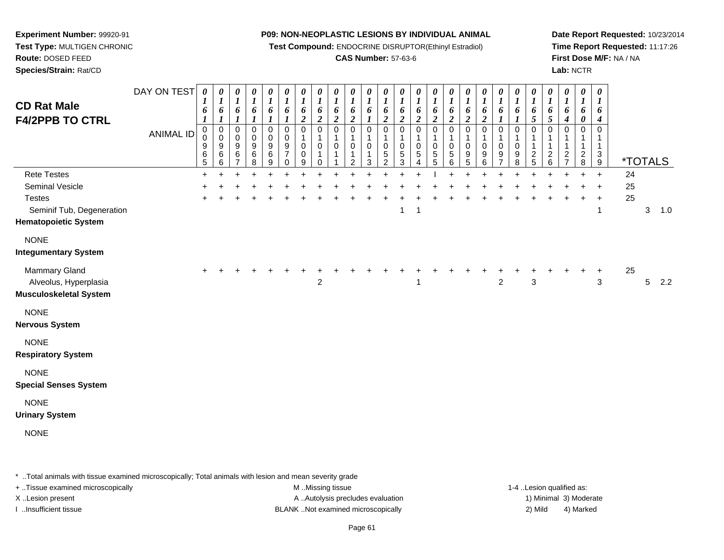**Test Compound:** ENDOCRINE DISRUPTOR(Ethinyl Estradiol)

# **CAS Number:** 57-63-6

**Date Report Requested:** 10/23/2014**Time Report Requested:** 11:17:26**First Dose M/F:** NA / NA**Lab:** NCTR

| <b>CD Rat Male</b><br><b>F4/2PPB TO CTRL</b>                                                                       | DAY ON TEST<br><b>ANIMAL ID</b> | $\boldsymbol{\theta}$<br>1<br>6<br>0<br>0<br>9<br>$6\over 5$ | $\boldsymbol{\theta}$<br>1<br>6<br>$\mathbf 0$<br>$\mathbf 0$<br>9<br>$\,6$<br>$6\phantom{1}6$ | 0<br>1<br>6<br>$\mathbf{I}$<br>0<br>$\mathbf 0$<br>$\boldsymbol{9}$<br>6<br>$\overline{7}$ | 0<br>1<br>6<br>1<br>0<br>$\pmb{0}$<br>9<br>$\,6\,$<br>8 | $\pmb{\theta}$<br>$\boldsymbol{l}$<br>6<br>$\boldsymbol{l}$<br>$\pmb{0}$<br>$\pmb{0}$<br>$\boldsymbol{9}$<br>6<br>9 | 0<br>$\boldsymbol{l}$<br>6<br>1<br>$\pmb{0}$<br>$\mathbf 0$<br>$\boldsymbol{9}$<br>$\overline{7}$<br>$\mathbf 0$ | 0<br>$\boldsymbol{l}$<br>6<br>$\boldsymbol{2}$<br>$\mathbf 0$<br>$\mathbf 0$<br>0<br>9 | 0<br>$\boldsymbol{l}$<br>6<br>$\boldsymbol{2}$<br>$\pmb{0}$<br>$\mathbf 0$<br>$\Omega$ | $\boldsymbol{\theta}$<br>$\boldsymbol{l}$<br>6<br>$\boldsymbol{2}$<br>$\pmb{0}$<br>-1<br>$\mathbf 0$ | 0<br>1<br>6<br>$\boldsymbol{2}$<br>0<br>0<br>$\overline{2}$ | 0<br>1<br>6<br>0<br>$\mathbf 0$<br>-1<br>3 | 0<br>1<br>6<br>$\boldsymbol{2}$<br>$\pmb{0}$<br>1<br>$\mathbf 0$<br>$\mathbf 5$<br>$\overline{2}$ | 0<br>1<br>6<br>$\boldsymbol{2}$<br>$\pmb{0}$<br>1<br>0<br>$\frac{5}{3}$ | 0<br>$\boldsymbol{l}$<br>6<br>$\overline{2}$<br>$\mathbf 0$<br>$\mathbf 0$<br>5<br>4 | $\pmb{\theta}$<br>1<br>6<br>$\boldsymbol{2}$<br>$\pmb{0}$<br>0<br>$\begin{array}{c} 5 \\ 5 \end{array}$ | 0<br>$\boldsymbol{l}$<br>6<br>$\boldsymbol{2}$<br>$\pmb{0}$<br>1<br>$\mathbf 0$<br>$\mathbf 5$<br>6 | $\pmb{\theta}$<br>$\boldsymbol{l}$<br>6<br>$\boldsymbol{2}$<br>$\pmb{0}$<br>1<br>$\pmb{0}$<br>$\begin{array}{c} 9 \\ 5 \end{array}$ | $\pmb{\theta}$<br>$\boldsymbol{l}$<br>6<br>$\boldsymbol{2}$<br>0<br>1<br>$\mathbf 0$<br>$9\,$<br>6 | 0<br>1<br>6<br>0<br>-1<br>0<br>9<br>$\overline{7}$ | 0<br>1<br>6<br>1<br>$\pmb{0}$<br>1<br>$\mathbf 0$<br>9<br>8 | 0<br>1<br>6<br>5<br>0<br>1<br>$rac{2}{5}$ | $\pmb{\theta}$<br>$\boldsymbol{I}$<br>6<br>$\sqrt{5}$<br>$\mathbf 0$<br>$\mathbf{1}$<br>$^2$ 6 | 0<br>1<br>6<br>$\boldsymbol{4}$<br>$\mathbf 0$<br>$\mathbf{1}$<br>$\overline{\mathbf{c}}$<br>$\overline{7}$ | $\pmb{\theta}$<br>$\boldsymbol{l}$<br>6<br>$\pmb{\theta}$<br>$\pmb{0}$<br>$\mathbf{1}$<br>$_{8}^2$ | 0<br>$\boldsymbol{l}$<br>6<br>$\boldsymbol{4}$<br>0<br>1<br>$\mathbf{1}$<br>$_9^3$ |                | <i><b>*TOTALS</b></i> |     |
|--------------------------------------------------------------------------------------------------------------------|---------------------------------|--------------------------------------------------------------|------------------------------------------------------------------------------------------------|--------------------------------------------------------------------------------------------|---------------------------------------------------------|---------------------------------------------------------------------------------------------------------------------|------------------------------------------------------------------------------------------------------------------|----------------------------------------------------------------------------------------|----------------------------------------------------------------------------------------|------------------------------------------------------------------------------------------------------|-------------------------------------------------------------|--------------------------------------------|---------------------------------------------------------------------------------------------------|-------------------------------------------------------------------------|--------------------------------------------------------------------------------------|---------------------------------------------------------------------------------------------------------|-----------------------------------------------------------------------------------------------------|-------------------------------------------------------------------------------------------------------------------------------------|----------------------------------------------------------------------------------------------------|----------------------------------------------------|-------------------------------------------------------------|-------------------------------------------|------------------------------------------------------------------------------------------------|-------------------------------------------------------------------------------------------------------------|----------------------------------------------------------------------------------------------------|------------------------------------------------------------------------------------|----------------|-----------------------|-----|
| <b>Rete Testes</b><br>Seminal Vesicle<br><b>Testes</b><br>Seminif Tub, Degeneration<br><b>Hematopoietic System</b> |                                 | $\ddot{}$                                                    |                                                                                                |                                                                                            |                                                         |                                                                                                                     |                                                                                                                  |                                                                                        |                                                                                        |                                                                                                      |                                                             |                                            |                                                                                                   | $\mathbf 1$                                                             | $\mathbf 1$                                                                          |                                                                                                         |                                                                                                     |                                                                                                                                     |                                                                                                    |                                                    |                                                             |                                           |                                                                                                |                                                                                                             |                                                                                                    | $\ddot{}$<br>$\ddot{}$<br>1                                                        | 24<br>25<br>25 | 3                     | 1.0 |
| <b>NONE</b><br><b>Integumentary System</b>                                                                         |                                 |                                                              |                                                                                                |                                                                                            |                                                         |                                                                                                                     |                                                                                                                  |                                                                                        |                                                                                        |                                                                                                      |                                                             |                                            |                                                                                                   |                                                                         |                                                                                      |                                                                                                         |                                                                                                     |                                                                                                                                     |                                                                                                    |                                                    |                                                             |                                           |                                                                                                |                                                                                                             |                                                                                                    |                                                                                    |                |                       |     |
| Mammary Gland<br>Alveolus, Hyperplasia<br><b>Musculoskeletal System</b>                                            |                                 | $\ddot{}$                                                    |                                                                                                |                                                                                            |                                                         |                                                                                                                     |                                                                                                                  |                                                                                        | $\overline{c}$                                                                         |                                                                                                      |                                                             |                                            |                                                                                                   |                                                                         | 1                                                                                    |                                                                                                         |                                                                                                     |                                                                                                                                     |                                                                                                    | $\overline{c}$                                     |                                                             | 3                                         |                                                                                                |                                                                                                             |                                                                                                    | $\mathbf{3}$                                                                       | 25             | $\sqrt{5}$            | 2.2 |
| <b>NONE</b><br><b>Nervous System</b>                                                                               |                                 |                                                              |                                                                                                |                                                                                            |                                                         |                                                                                                                     |                                                                                                                  |                                                                                        |                                                                                        |                                                                                                      |                                                             |                                            |                                                                                                   |                                                                         |                                                                                      |                                                                                                         |                                                                                                     |                                                                                                                                     |                                                                                                    |                                                    |                                                             |                                           |                                                                                                |                                                                                                             |                                                                                                    |                                                                                    |                |                       |     |
| <b>NONE</b><br><b>Respiratory System</b>                                                                           |                                 |                                                              |                                                                                                |                                                                                            |                                                         |                                                                                                                     |                                                                                                                  |                                                                                        |                                                                                        |                                                                                                      |                                                             |                                            |                                                                                                   |                                                                         |                                                                                      |                                                                                                         |                                                                                                     |                                                                                                                                     |                                                                                                    |                                                    |                                                             |                                           |                                                                                                |                                                                                                             |                                                                                                    |                                                                                    |                |                       |     |
| <b>NONE</b><br><b>Special Senses System</b>                                                                        |                                 |                                                              |                                                                                                |                                                                                            |                                                         |                                                                                                                     |                                                                                                                  |                                                                                        |                                                                                        |                                                                                                      |                                                             |                                            |                                                                                                   |                                                                         |                                                                                      |                                                                                                         |                                                                                                     |                                                                                                                                     |                                                                                                    |                                                    |                                                             |                                           |                                                                                                |                                                                                                             |                                                                                                    |                                                                                    |                |                       |     |
| <b>NONE</b><br><b>Urinary System</b>                                                                               |                                 |                                                              |                                                                                                |                                                                                            |                                                         |                                                                                                                     |                                                                                                                  |                                                                                        |                                                                                        |                                                                                                      |                                                             |                                            |                                                                                                   |                                                                         |                                                                                      |                                                                                                         |                                                                                                     |                                                                                                                                     |                                                                                                    |                                                    |                                                             |                                           |                                                                                                |                                                                                                             |                                                                                                    |                                                                                    |                |                       |     |
| <b>NONE</b>                                                                                                        |                                 |                                                              |                                                                                                |                                                                                            |                                                         |                                                                                                                     |                                                                                                                  |                                                                                        |                                                                                        |                                                                                                      |                                                             |                                            |                                                                                                   |                                                                         |                                                                                      |                                                                                                         |                                                                                                     |                                                                                                                                     |                                                                                                    |                                                    |                                                             |                                           |                                                                                                |                                                                                                             |                                                                                                    |                                                                                    |                |                       |     |

\* ..Total animals with tissue examined microscopically; Total animals with lesion and mean severity grade

**Experiment Number:** 99920-91**Test Type:** MULTIGEN CHRONIC

**Route:** DOSED FEED**Species/Strain:** Rat/CD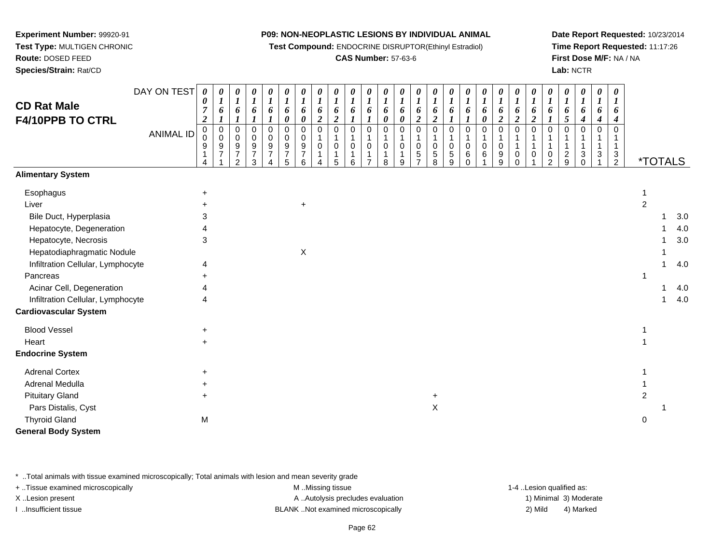**Test Compound:** ENDOCRINE DISRUPTOR(Ethinyl Estradiol)

# **CAS Number:** 57-63-6

**Date Report Requested:** 10/23/2014**Time Report Requested:** 11:17:26**First Dose M/F:** NA / NA**Lab:** NCTR

|                                   | DAY ON TEST      | 0                | 0                                      | 0                                                                     | 0                                            | 0                                       | $\boldsymbol{\theta}$                                  | 0                                            | 0                                | 0                      | $\boldsymbol{\theta}$ | 0                                            | 0                                    | $\boldsymbol{\theta}$      | 0                             | 0                             | $\boldsymbol{\theta}$ | 0                            | $\boldsymbol{\theta}$ | 0                     | 0                               | $\boldsymbol{\theta}$        | 0                        |                          | 0                               | $\boldsymbol{\theta}$           | 0                                   |                |                       |     |
|-----------------------------------|------------------|------------------|----------------------------------------|-----------------------------------------------------------------------|----------------------------------------------|-----------------------------------------|--------------------------------------------------------|----------------------------------------------|----------------------------------|------------------------|-----------------------|----------------------------------------------|--------------------------------------|----------------------------|-------------------------------|-------------------------------|-----------------------|------------------------------|-----------------------|-----------------------|---------------------------------|------------------------------|--------------------------|--------------------------|---------------------------------|---------------------------------|-------------------------------------|----------------|-----------------------|-----|
|                                   |                  | 0                | $\boldsymbol{l}$                       | $\boldsymbol{l}$                                                      | $\boldsymbol{l}$                             | $\boldsymbol{l}$                        | $\boldsymbol{l}$                                       |                                              |                                  |                        | $\boldsymbol{l}$      | $\boldsymbol{l}$                             |                                      | $\boldsymbol{l}$           | $\boldsymbol{l}$              | $\boldsymbol{l}$              | $\boldsymbol{l}$      | $\boldsymbol{l}$             |                       | 1                     | $\boldsymbol{l}$                |                              | $\boldsymbol{l}$         | 1                        | $\boldsymbol{l}$                | $\boldsymbol{l}$                | $\boldsymbol{l}$                    |                |                       |     |
| <b>CD Rat Male</b>                |                  |                  | 6                                      | 6<br>$\mathbf{I}$                                                     | 6                                            | 6                                       | 6                                                      | 6                                            | 6                                | 6                      | 6                     | 6                                            | 6                                    | 6                          | 6                             | 6                             | 6                     | 6                            | 6                     | 6                     | 6                               | 6                            | 6                        | 6                        | 6                               | 6                               | 6                                   |                |                       |     |
| F4/10PPB TO CTRL                  |                  | $\mathbf 0$      | $\mathbf 0$                            | $\mathbf 0$                                                           | 0                                            | $\Omega$                                | $\boldsymbol{\theta}$<br>$\mathbf 0$                   | 0<br>0                                       | $\boldsymbol{2}$<br>$\mathbf{0}$ | 2<br>$\Omega$          | $\mathbf 0$           | 1<br>$\mathbf{0}$                            | $\boldsymbol{\theta}$<br>$\mathbf 0$ | $\boldsymbol{\theta}$<br>0 | $\boldsymbol{2}$<br>0         | $\boldsymbol{2}$<br>$\pmb{0}$ | $\mathbf{0}$          | $\Omega$                     | 0<br>$\mathbf 0$      | $\boldsymbol{2}$<br>0 | $\boldsymbol{2}$<br>$\Omega$    | $\boldsymbol{2}$<br>$\Omega$ | 0                        | 5                        | $\boldsymbol{4}$<br>$\mathbf 0$ | $\boldsymbol{4}$<br>$\mathbf 0$ | 4<br>$\Omega$                       |                |                       |     |
|                                   | <b>ANIMAL ID</b> | $\mathbf 0$<br>9 | $\mathsf 0$<br>$9\,$<br>$\overline{7}$ | $\mathbf 0$<br>$\boldsymbol{9}$<br>$\boldsymbol{7}$<br>$\overline{2}$ | 0<br>$\boldsymbol{9}$<br>$\overline{7}$<br>3 | 0<br>$\boldsymbol{9}$<br>$\overline{7}$ | $\mathbf 0$<br>$\boldsymbol{9}$<br>$\overline{7}$<br>5 | 0<br>$\boldsymbol{9}$<br>$\overline{7}$<br>6 | $\mathbf 0$                      | $\mathbf 0$<br>-1<br>5 | 0<br>6                | $\mathbf 0$<br>$\mathbf 1$<br>$\overline{7}$ | 0<br>1<br>8                          | $\mathbf 0$<br>9           | 1<br>0<br>5<br>$\overline{7}$ | 0<br>$\sqrt{5}$<br>8          | 0<br>5<br>9           | $\mathbf 0$<br>6<br>$\Omega$ | $\mathbf 0$<br>6      | $\pmb{0}$<br>9<br>9   | $\overline{1}$<br>0<br>$\Omega$ | 0                            | 1<br>0<br>$\overline{c}$ | 1<br>$\overline{c}$<br>9 | 3<br>$\Omega$                   | 1<br>$\mathbf{3}$               | $\mathbf{1}$<br>3<br>$\overline{2}$ |                | <i><b>*TOTALS</b></i> |     |
| <b>Alimentary System</b>          |                  |                  |                                        |                                                                       |                                              |                                         |                                                        |                                              |                                  |                        |                       |                                              |                                      |                            |                               |                               |                       |                              |                       |                       |                                 |                              |                          |                          |                                 |                                 |                                     |                |                       |     |
| Esophagus                         |                  | $\ddot{}$        |                                        |                                                                       |                                              |                                         |                                                        |                                              |                                  |                        |                       |                                              |                                      |                            |                               |                               |                       |                              |                       |                       |                                 |                              |                          |                          |                                 |                                 |                                     |                |                       |     |
| Liver                             |                  |                  |                                        |                                                                       |                                              |                                         |                                                        | $\ddot{}$                                    |                                  |                        |                       |                                              |                                      |                            |                               |                               |                       |                              |                       |                       |                                 |                              |                          |                          |                                 |                                 |                                     | $\overline{2}$ |                       |     |
| Bile Duct, Hyperplasia            |                  |                  |                                        |                                                                       |                                              |                                         |                                                        |                                              |                                  |                        |                       |                                              |                                      |                            |                               |                               |                       |                              |                       |                       |                                 |                              |                          |                          |                                 |                                 |                                     |                |                       | 3.0 |
| Hepatocyte, Degeneration          |                  |                  |                                        |                                                                       |                                              |                                         |                                                        |                                              |                                  |                        |                       |                                              |                                      |                            |                               |                               |                       |                              |                       |                       |                                 |                              |                          |                          |                                 |                                 |                                     |                |                       | 4.0 |
| Hepatocyte, Necrosis              |                  | 3                |                                        |                                                                       |                                              |                                         |                                                        |                                              |                                  |                        |                       |                                              |                                      |                            |                               |                               |                       |                              |                       |                       |                                 |                              |                          |                          |                                 |                                 |                                     |                |                       | 3.0 |
| Hepatodiaphragmatic Nodule        |                  |                  |                                        |                                                                       |                                              |                                         |                                                        | Χ                                            |                                  |                        |                       |                                              |                                      |                            |                               |                               |                       |                              |                       |                       |                                 |                              |                          |                          |                                 |                                 |                                     |                |                       |     |
| Infiltration Cellular, Lymphocyte |                  |                  |                                        |                                                                       |                                              |                                         |                                                        |                                              |                                  |                        |                       |                                              |                                      |                            |                               |                               |                       |                              |                       |                       |                                 |                              |                          |                          |                                 |                                 |                                     |                |                       | 4.0 |
| Pancreas                          |                  |                  |                                        |                                                                       |                                              |                                         |                                                        |                                              |                                  |                        |                       |                                              |                                      |                            |                               |                               |                       |                              |                       |                       |                                 |                              |                          |                          |                                 |                                 |                                     |                |                       |     |
| Acinar Cell, Degeneration         |                  |                  |                                        |                                                                       |                                              |                                         |                                                        |                                              |                                  |                        |                       |                                              |                                      |                            |                               |                               |                       |                              |                       |                       |                                 |                              |                          |                          |                                 |                                 |                                     |                |                       | 4.0 |
| Infiltration Cellular, Lymphocyte |                  |                  |                                        |                                                                       |                                              |                                         |                                                        |                                              |                                  |                        |                       |                                              |                                      |                            |                               |                               |                       |                              |                       |                       |                                 |                              |                          |                          |                                 |                                 |                                     |                |                       | 4.0 |
| <b>Cardiovascular System</b>      |                  |                  |                                        |                                                                       |                                              |                                         |                                                        |                                              |                                  |                        |                       |                                              |                                      |                            |                               |                               |                       |                              |                       |                       |                                 |                              |                          |                          |                                 |                                 |                                     |                |                       |     |
| <b>Blood Vessel</b>               |                  | $\ddot{}$        |                                        |                                                                       |                                              |                                         |                                                        |                                              |                                  |                        |                       |                                              |                                      |                            |                               |                               |                       |                              |                       |                       |                                 |                              |                          |                          |                                 |                                 |                                     |                |                       |     |
| Heart                             |                  | $\ddot{}$        |                                        |                                                                       |                                              |                                         |                                                        |                                              |                                  |                        |                       |                                              |                                      |                            |                               |                               |                       |                              |                       |                       |                                 |                              |                          |                          |                                 |                                 |                                     |                |                       |     |
| <b>Endocrine System</b>           |                  |                  |                                        |                                                                       |                                              |                                         |                                                        |                                              |                                  |                        |                       |                                              |                                      |                            |                               |                               |                       |                              |                       |                       |                                 |                              |                          |                          |                                 |                                 |                                     |                |                       |     |
| <b>Adrenal Cortex</b>             |                  | $\ddot{}$        |                                        |                                                                       |                                              |                                         |                                                        |                                              |                                  |                        |                       |                                              |                                      |                            |                               |                               |                       |                              |                       |                       |                                 |                              |                          |                          |                                 |                                 |                                     |                |                       |     |
| Adrenal Medulla                   |                  |                  |                                        |                                                                       |                                              |                                         |                                                        |                                              |                                  |                        |                       |                                              |                                      |                            |                               |                               |                       |                              |                       |                       |                                 |                              |                          |                          |                                 |                                 |                                     |                |                       |     |
| <b>Pituitary Gland</b>            |                  |                  |                                        |                                                                       |                                              |                                         |                                                        |                                              |                                  |                        |                       |                                              |                                      |                            |                               | $\ddot{}$                     |                       |                              |                       |                       |                                 |                              |                          |                          |                                 |                                 |                                     | $\overline{2}$ |                       |     |
| Pars Distalis, Cyst               |                  |                  |                                        |                                                                       |                                              |                                         |                                                        |                                              |                                  |                        |                       |                                              |                                      |                            |                               | X                             |                       |                              |                       |                       |                                 |                              |                          |                          |                                 |                                 |                                     |                |                       |     |
| <b>Thyroid Gland</b>              |                  | M                |                                        |                                                                       |                                              |                                         |                                                        |                                              |                                  |                        |                       |                                              |                                      |                            |                               |                               |                       |                              |                       |                       |                                 |                              |                          |                          |                                 |                                 |                                     | 0              |                       |     |
| <b>General Body System</b>        |                  |                  |                                        |                                                                       |                                              |                                         |                                                        |                                              |                                  |                        |                       |                                              |                                      |                            |                               |                               |                       |                              |                       |                       |                                 |                              |                          |                          |                                 |                                 |                                     |                |                       |     |

\* ..Total animals with tissue examined microscopically; Total animals with lesion and mean severity grade

**Experiment Number:** 99920-91**Test Type:** MULTIGEN CHRONIC

**Route:** DOSED FEED**Species/Strain:** Rat/CD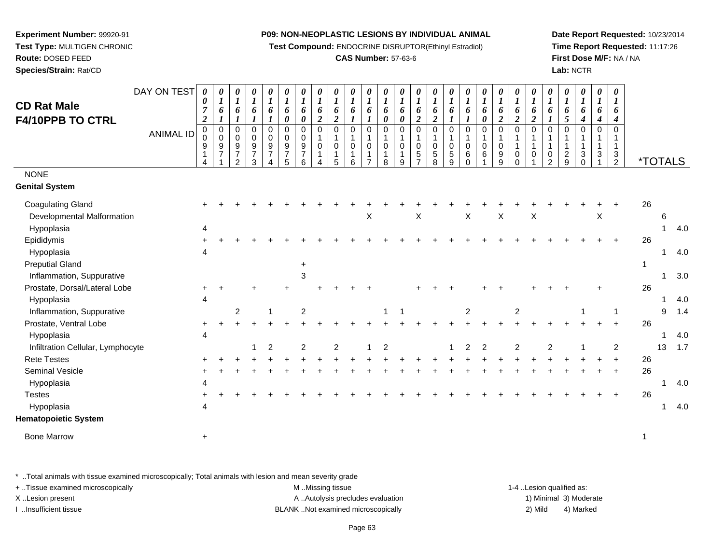**Test Compound:** ENDOCRINE DISRUPTOR(Ethinyl Estradiol)

# **CAS Number:** 57-63-6

**Date Report Requested:** 10/23/2014**Time Report Requested:** 11:17:26**First Dose M/F:** NA / NA**Lab:** NCTR

| <b>CD Rat Male</b>                | DAY ON TEST      | 0<br>0                                          | 0<br>$\bm{l}$                                          | $\boldsymbol{\theta}$<br>$\boldsymbol{l}$              | $\boldsymbol{\theta}$<br>$\boldsymbol{l}$   | 0                                                | 0<br>$\boldsymbol{l}$                                    | 0<br>$\boldsymbol{l}$                                                   | 0<br>$\boldsymbol{l}$                                                | $\boldsymbol{\theta}$<br>$\boldsymbol{l}$                    | $\boldsymbol{\theta}$<br>$\boldsymbol{l}$ | 0<br>$\boldsymbol{l}$                                     | 0<br>$\boldsymbol{l}$                                      | 0<br>$\boldsymbol{l}$                             | $\boldsymbol{\theta}$<br>$\boldsymbol{l}$                                            | 0<br>$\boldsymbol{l}$                                                         | 0<br>$\boldsymbol{l}$               | 0<br>$\boldsymbol{l}$                                 | 0                                   | 0<br>$\boldsymbol{l}$                             | 0<br>$\boldsymbol{l}$                                                             | 0<br>$\boldsymbol{l}$                                | 0<br>$\boldsymbol{l}$             | $\boldsymbol{\theta}$<br>$\boldsymbol{l}$       | 0<br>$\boldsymbol{l}$                  | 0<br>$\boldsymbol{l}$                                          | 0<br>$\boldsymbol{I}$                                    |    |                       |     |
|-----------------------------------|------------------|-------------------------------------------------|--------------------------------------------------------|--------------------------------------------------------|---------------------------------------------|--------------------------------------------------|----------------------------------------------------------|-------------------------------------------------------------------------|----------------------------------------------------------------------|--------------------------------------------------------------|-------------------------------------------|-----------------------------------------------------------|------------------------------------------------------------|---------------------------------------------------|--------------------------------------------------------------------------------------|-------------------------------------------------------------------------------|-------------------------------------|-------------------------------------------------------|-------------------------------------|---------------------------------------------------|-----------------------------------------------------------------------------------|------------------------------------------------------|-----------------------------------|-------------------------------------------------|----------------------------------------|----------------------------------------------------------------|----------------------------------------------------------|----|-----------------------|-----|
| F4/10PPB TO CTRL                  | <b>ANIMAL ID</b> | $\overline{7}$<br>$\overline{2}$<br>0<br>0<br>9 | 6<br>$\mathbf 0$<br>$\mathbf 0$<br>9<br>$\overline{7}$ | 6<br>$\mathbf 0$<br>$\mathbf 0$<br>9<br>$\overline{7}$ | 6<br>$\Omega$<br>0<br>9<br>$\boldsymbol{7}$ | 6<br>$\Omega$<br>$\Omega$<br>9<br>$\overline{7}$ | 6<br>0<br>$\Omega$<br>$\mathbf 0$<br>9<br>$\overline{7}$ | 6<br>0<br>$\Omega$<br>$\mathbf 0$<br>$\boldsymbol{9}$<br>$\overline{7}$ | 6<br>$\overline{2}$<br>$\Omega$<br>$\mathbf{1}$<br>$\mathbf 0$<br>-1 | 6<br>$\overline{2}$<br>$\mathbf 0$<br>1<br>0<br>$\mathbf{1}$ | 6<br>$\Omega$<br>0<br>-1                  | 6<br>1<br>$\mathbf 0$<br>$\mathbf{1}$<br>$\mathbf 0$<br>1 | 6<br>0<br>$\mathbf 0$<br>$\mathbf{1}$<br>0<br>$\mathbf{1}$ | 6<br>$\pmb{\theta}$<br>$\mathbf 0$<br>$\mathsf 0$ | 6<br>$\overline{2}$<br>$\mathbf 0$<br>$\overline{1}$<br>$\mathsf 0$<br>$\frac{5}{7}$ | 6<br>$\overline{2}$<br>$\Omega$<br>$\mathbf{1}$<br>$\mathbf 0$<br>$\,$ 5 $\,$ | 6<br>$\Omega$<br>0<br>$\frac{5}{9}$ | 6<br>$\Omega$<br>$\mathbf{1}$<br>$\mathbf 0$<br>$\,6$ | 6<br>0<br>$\Omega$<br>$\Omega$<br>6 | 6<br>$\overline{2}$<br>$\mathbf 0$<br>0<br>$^9_9$ | 6<br>$\boldsymbol{2}$<br>$\mathbf 0$<br>$\mathbf{1}$<br>$\mathbf{1}$<br>$\pmb{0}$ | 6<br>$\overline{2}$<br>$\Omega$<br>$\mathbf{1}$<br>0 | 6<br>$\mathbf 0$<br>$\frac{0}{2}$ | 6<br>5<br>$\Omega$<br>-1<br>1<br>$\overline{c}$ | 6<br>$\boldsymbol{4}$<br>$\Omega$<br>3 | 6<br>$\boldsymbol{4}$<br>$\Omega$<br>$\mathbf 1$<br>$\sqrt{3}$ | 6<br>4<br>$\Omega$<br>1<br>$\mathbf{1}$<br>$\frac{3}{2}$ |    |                       |     |
| <b>NONE</b>                       |                  |                                                 |                                                        | 2                                                      | $\overline{3}$                              |                                                  | 5                                                        | 6                                                                       | 4                                                                    | 5                                                            | 6                                         | $\overline{7}$                                            | 8                                                          | 9                                                 |                                                                                      | 8                                                                             |                                     | $\Omega$                                              |                                     |                                                   | $\Omega$                                                                          |                                                      |                                   | 9                                               | $\Omega$                               |                                                                |                                                          |    | <i><b>*TOTALS</b></i> |     |
| <b>Genital System</b>             |                  |                                                 |                                                        |                                                        |                                             |                                                  |                                                          |                                                                         |                                                                      |                                                              |                                           |                                                           |                                                            |                                                   |                                                                                      |                                                                               |                                     |                                                       |                                     |                                                   |                                                                                   |                                                      |                                   |                                                 |                                        |                                                                |                                                          |    |                       |     |
|                                   |                  |                                                 |                                                        |                                                        |                                             |                                                  |                                                          |                                                                         |                                                                      |                                                              |                                           |                                                           |                                                            |                                                   |                                                                                      |                                                                               |                                     |                                                       |                                     |                                                   |                                                                                   |                                                      |                                   |                                                 |                                        |                                                                |                                                          |    |                       |     |
| <b>Coagulating Gland</b>          |                  |                                                 |                                                        |                                                        |                                             |                                                  |                                                          |                                                                         |                                                                      |                                                              |                                           |                                                           |                                                            |                                                   |                                                                                      |                                                                               |                                     |                                                       |                                     |                                                   |                                                                                   |                                                      |                                   |                                                 |                                        |                                                                |                                                          | 26 |                       |     |
| Developmental Malformation        |                  |                                                 |                                                        |                                                        |                                             |                                                  |                                                          |                                                                         |                                                                      |                                                              |                                           | Χ                                                         |                                                            |                                                   | X                                                                                    |                                                                               |                                     | X                                                     |                                     | X                                                 |                                                                                   | X                                                    |                                   |                                                 |                                        | X                                                              |                                                          |    | 6                     |     |
| Hypoplasia                        |                  | 4                                               |                                                        |                                                        |                                             |                                                  |                                                          |                                                                         |                                                                      |                                                              |                                           |                                                           |                                                            |                                                   |                                                                                      |                                                                               |                                     |                                                       |                                     |                                                   |                                                                                   |                                                      |                                   |                                                 |                                        |                                                                |                                                          |    | 1                     | 4.0 |
| Epididymis                        |                  |                                                 |                                                        |                                                        |                                             |                                                  |                                                          |                                                                         |                                                                      |                                                              |                                           |                                                           |                                                            |                                                   |                                                                                      |                                                                               |                                     |                                                       |                                     |                                                   |                                                                                   |                                                      |                                   |                                                 |                                        |                                                                |                                                          | 26 |                       |     |
| Hypoplasia                        |                  |                                                 |                                                        |                                                        |                                             |                                                  |                                                          |                                                                         |                                                                      |                                                              |                                           |                                                           |                                                            |                                                   |                                                                                      |                                                                               |                                     |                                                       |                                     |                                                   |                                                                                   |                                                      |                                   |                                                 |                                        |                                                                |                                                          |    | 1                     | 4.0 |
| <b>Preputial Gland</b>            |                  |                                                 |                                                        |                                                        |                                             |                                                  |                                                          | $\ddot{}$                                                               |                                                                      |                                                              |                                           |                                                           |                                                            |                                                   |                                                                                      |                                                                               |                                     |                                                       |                                     |                                                   |                                                                                   |                                                      |                                   |                                                 |                                        |                                                                |                                                          | 1  |                       |     |
| Inflammation, Suppurative         |                  |                                                 |                                                        |                                                        |                                             |                                                  |                                                          | 3                                                                       |                                                                      |                                                              |                                           |                                                           |                                                            |                                                   |                                                                                      |                                                                               |                                     |                                                       |                                     |                                                   |                                                                                   |                                                      |                                   |                                                 |                                        |                                                                |                                                          |    | $\mathbf 1$           | 3.0 |
| Prostate, Dorsal/Lateral Lobe     |                  | $\ddot{}$                                       |                                                        |                                                        |                                             |                                                  |                                                          |                                                                         |                                                                      |                                                              |                                           |                                                           |                                                            |                                                   |                                                                                      |                                                                               |                                     |                                                       |                                     |                                                   |                                                                                   |                                                      |                                   |                                                 |                                        | $\ddot{}$                                                      |                                                          | 26 |                       |     |
| Hypoplasia                        |                  | 4                                               |                                                        |                                                        |                                             |                                                  |                                                          |                                                                         |                                                                      |                                                              |                                           |                                                           |                                                            |                                                   |                                                                                      |                                                                               |                                     |                                                       |                                     |                                                   |                                                                                   |                                                      |                                   |                                                 |                                        |                                                                |                                                          |    |                       | 4.0 |
| Inflammation, Suppurative         |                  |                                                 |                                                        | $\overline{c}$                                         |                                             |                                                  |                                                          | $\overline{2}$                                                          |                                                                      |                                                              |                                           |                                                           |                                                            |                                                   |                                                                                      |                                                                               |                                     | $\overline{c}$                                        |                                     |                                                   | $\overline{c}$                                                                    |                                                      |                                   |                                                 |                                        |                                                                |                                                          |    | 9                     | 1.4 |
| Prostate, Ventral Lobe            |                  |                                                 |                                                        |                                                        |                                             |                                                  |                                                          |                                                                         |                                                                      |                                                              |                                           |                                                           |                                                            |                                                   |                                                                                      |                                                                               |                                     |                                                       |                                     |                                                   |                                                                                   |                                                      |                                   |                                                 |                                        |                                                                |                                                          | 26 |                       |     |
| Hypoplasia                        |                  | 4                                               |                                                        |                                                        |                                             |                                                  |                                                          |                                                                         |                                                                      |                                                              |                                           |                                                           |                                                            |                                                   |                                                                                      |                                                                               |                                     |                                                       |                                     |                                                   |                                                                                   |                                                      |                                   |                                                 |                                        |                                                                |                                                          |    | $\mathbf{1}$          | 4.0 |
| Infiltration Cellular, Lymphocyte |                  |                                                 |                                                        |                                                        |                                             | $\overline{2}$                                   |                                                          | $\overline{2}$                                                          |                                                                      | $\overline{2}$                                               |                                           |                                                           | $\overline{2}$                                             |                                                   |                                                                                      |                                                                               |                                     | 2                                                     | $\overline{2}$                      |                                                   | $\overline{2}$                                                                    |                                                      | $\overline{2}$                    |                                                 |                                        |                                                                | $\overline{2}$                                           |    | 13                    | 1.7 |
| <b>Rete Testes</b>                |                  |                                                 |                                                        |                                                        |                                             |                                                  |                                                          |                                                                         |                                                                      |                                                              |                                           |                                                           |                                                            |                                                   |                                                                                      |                                                                               |                                     |                                                       |                                     |                                                   |                                                                                   |                                                      |                                   |                                                 |                                        |                                                                |                                                          | 26 |                       |     |
| Seminal Vesicle                   |                  |                                                 |                                                        |                                                        |                                             |                                                  |                                                          |                                                                         |                                                                      |                                                              |                                           |                                                           |                                                            |                                                   |                                                                                      |                                                                               |                                     |                                                       |                                     |                                                   |                                                                                   |                                                      |                                   |                                                 |                                        |                                                                | $\ddot{}$                                                | 26 |                       |     |
| Hypoplasia                        |                  | 4                                               |                                                        |                                                        |                                             |                                                  |                                                          |                                                                         |                                                                      |                                                              |                                           |                                                           |                                                            |                                                   |                                                                                      |                                                                               |                                     |                                                       |                                     |                                                   |                                                                                   |                                                      |                                   |                                                 |                                        |                                                                |                                                          |    | 1                     | 4.0 |
| <b>Testes</b>                     |                  |                                                 |                                                        |                                                        |                                             |                                                  |                                                          |                                                                         |                                                                      |                                                              |                                           |                                                           |                                                            |                                                   |                                                                                      |                                                                               |                                     |                                                       |                                     |                                                   |                                                                                   |                                                      |                                   |                                                 |                                        |                                                                | $\ddot{}$                                                | 26 |                       |     |
| Hypoplasia                        |                  | 4                                               |                                                        |                                                        |                                             |                                                  |                                                          |                                                                         |                                                                      |                                                              |                                           |                                                           |                                                            |                                                   |                                                                                      |                                                                               |                                     |                                                       |                                     |                                                   |                                                                                   |                                                      |                                   |                                                 |                                        |                                                                |                                                          |    | 1                     | 4.0 |
| <b>Hematopoietic System</b>       |                  |                                                 |                                                        |                                                        |                                             |                                                  |                                                          |                                                                         |                                                                      |                                                              |                                           |                                                           |                                                            |                                                   |                                                                                      |                                                                               |                                     |                                                       |                                     |                                                   |                                                                                   |                                                      |                                   |                                                 |                                        |                                                                |                                                          |    |                       |     |
| <b>Bone Marrow</b>                |                  | $\ddot{}$                                       |                                                        |                                                        |                                             |                                                  |                                                          |                                                                         |                                                                      |                                                              |                                           |                                                           |                                                            |                                                   |                                                                                      |                                                                               |                                     |                                                       |                                     |                                                   |                                                                                   |                                                      |                                   |                                                 |                                        |                                                                |                                                          |    |                       |     |

\* ..Total animals with tissue examined microscopically; Total animals with lesion and mean severity grade

**Experiment Number:** 99920-91**Test Type:** MULTIGEN CHRONIC

**Route:** DOSED FEED**Species/Strain:** Rat/CD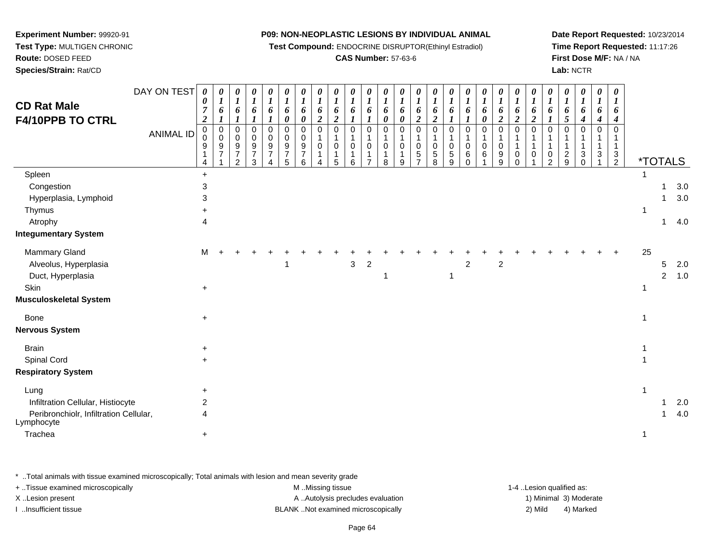**Test Compound:** ENDOCRINE DISRUPTOR(Ethinyl Estradiol)

# **CAS Number:** 57-63-6

**Date Report Requested:** 10/23/2014**Time Report Requested:** 11:17:26**First Dose M/F:** NA / NA**Lab:** NCTR

| <b>CD Rat Male</b><br><b>F4/10PPB TO CTRL</b>                                                                | DAY ON TEST<br>ANIMAL ID | 0<br>$\boldsymbol{\theta}$<br>$\overline{7}$<br>$\boldsymbol{2}$<br>$\mathbf 0$<br>$\mathbf 0$<br>9<br>1 | 0<br>$\boldsymbol{l}$<br>6<br>$\mathbf 0$<br>$\mathbf 0$<br>9<br>$\overline{7}$ | 0<br>$\boldsymbol{l}$<br>6<br>1<br>$\Omega$<br>0<br>9<br>$\overline{7}$ | 0<br>$\boldsymbol{l}$<br>6<br>$\Omega$<br>0<br>$\boldsymbol{9}$<br>$\overline{7}$ | 0<br>$\overline{\mathbf{I}}$<br>6<br>0<br>0<br>$\boldsymbol{9}$<br>$\overline{7}$ | 0<br>$\boldsymbol{l}$<br>6<br>$\boldsymbol{\theta}$<br>0<br>0<br>$\frac{9}{7}$ | $\boldsymbol{\theta}$<br>$\boldsymbol{l}$<br>6<br>$\pmb{\theta}$<br>$\pmb{0}$<br>$\pmb{0}$<br>$\frac{9}{7}$ | 0<br>$\boldsymbol{l}$<br>6<br>$\boldsymbol{2}$<br>$\mathbf 0$<br>1<br>0<br>1 | 0<br>$\boldsymbol{l}$<br>6<br>$\boldsymbol{2}$<br>$\mathbf 0$<br>-1<br>0<br>$\mathbf 1$ | 0<br>$\boldsymbol{l}$<br>6<br>$\mathbf 0$<br>$\mathbf 0$ | $\boldsymbol{\theta}$<br>$\boldsymbol{l}$<br>$\pmb{6}$<br>$\boldsymbol{l}$<br>$\mathbf 0$<br>$\mathbf{1}$<br>$\pmb{0}$<br>1<br>$\overline{7}$ | 0<br>$\boldsymbol{l}$<br>6<br>0<br>0<br>$\mathbf{1}$<br>0<br>1 | 0<br>$\boldsymbol{l}$<br>6<br>$\boldsymbol{\theta}$<br>$\Omega$<br>0<br>1 | 0<br>$\boldsymbol{l}$<br>6<br>$\overline{2}$<br>$\Omega$<br>0<br>$\frac{5}{7}$ | $\boldsymbol{\theta}$<br>$\boldsymbol{l}$<br>6<br>$\boldsymbol{2}$<br>$\Omega$<br>0<br>5 | 0<br>$\boldsymbol{l}$<br>6<br>$\mathbf 0$<br>0<br>$\frac{5}{9}$ | 0<br>$\boldsymbol{l}$<br>6<br>0<br>0<br>6 | 0<br>$\boldsymbol{l}$<br>6<br>$\boldsymbol{\theta}$<br>$\Omega$<br>$\mathbf{1}$<br>$\mathbf 0$<br>6 | 0<br>$\boldsymbol{l}$<br>6<br>$\overline{2}$<br>0<br>1<br>0<br>$^9_9$ | 0<br>$\boldsymbol{l}$<br>6<br>$\boldsymbol{2}$<br>$\Omega$<br>0 | 0<br>$\boldsymbol{l}$<br>6<br>$\boldsymbol{2}$<br>$\mathbf 0$<br>-1<br>0 | 0<br>$\boldsymbol{l}$<br>6<br>$\Omega$<br>0 | 0<br>$\boldsymbol{l}$<br>6<br>$5\overline{)}$<br>$\Omega$<br>$\frac{2}{9}$ | 0<br>$\boldsymbol{l}$<br>6<br>$\boldsymbol{4}$<br>$\mathbf 0$<br>$\mathbf{1}$<br>$\mathbf{1}$<br>$_{0}^{3}$ | 0<br>$\boldsymbol{l}$<br>6<br>$\boldsymbol{4}$<br>$\mathbf 0$<br>1<br>1<br>3 | 0<br>$\boldsymbol{l}$<br>6<br>4<br>$\Omega$<br>$\mathbf 1$<br>3 | <i><b>*TOTALS</b></i> |   |                   |
|--------------------------------------------------------------------------------------------------------------|--------------------------|----------------------------------------------------------------------------------------------------------|---------------------------------------------------------------------------------|-------------------------------------------------------------------------|-----------------------------------------------------------------------------------|-----------------------------------------------------------------------------------|--------------------------------------------------------------------------------|-------------------------------------------------------------------------------------------------------------|------------------------------------------------------------------------------|-----------------------------------------------------------------------------------------|----------------------------------------------------------|-----------------------------------------------------------------------------------------------------------------------------------------------|----------------------------------------------------------------|---------------------------------------------------------------------------|--------------------------------------------------------------------------------|------------------------------------------------------------------------------------------|-----------------------------------------------------------------|-------------------------------------------|-----------------------------------------------------------------------------------------------------|-----------------------------------------------------------------------|-----------------------------------------------------------------|--------------------------------------------------------------------------|---------------------------------------------|----------------------------------------------------------------------------|-------------------------------------------------------------------------------------------------------------|------------------------------------------------------------------------------|-----------------------------------------------------------------|-----------------------|---|-------------------|
| Spleen<br>Congestion<br>Hyperplasia, Lymphoid<br>Thymus<br>Atrophy<br><b>Integumentary System</b>            |                          | 4<br>$\ddot{}$<br>3<br>4                                                                                 |                                                                                 | $\overline{2}$                                                          | 3                                                                                 | 4                                                                                 | 5                                                                              | 6                                                                                                           | 4                                                                            | 5                                                                                       | 6                                                        |                                                                                                                                               | 8                                                              | 9                                                                         |                                                                                | 8                                                                                        |                                                                 | $\mathbf 0$                               |                                                                                                     |                                                                       | $\Omega$                                                        |                                                                          | $\overline{2}$                              |                                                                            |                                                                                                             |                                                                              | $\overline{2}$                                                  | 1                     | 1 | 3.0<br>3.0<br>4.0 |
| Mammary Gland<br>Alveolus, Hyperplasia<br>Duct, Hyperplasia<br>Skin<br>Musculoskeletal System                |                          | м<br>$\ddot{}$                                                                                           |                                                                                 |                                                                         |                                                                                   |                                                                                   |                                                                                |                                                                                                             |                                                                              |                                                                                         | 3                                                        | $\overline{c}$                                                                                                                                | 1                                                              |                                                                           |                                                                                |                                                                                          | -1                                                              | $\overline{c}$                            |                                                                                                     | $\overline{c}$                                                        |                                                                 |                                                                          |                                             |                                                                            |                                                                                                             |                                                                              |                                                                 | 25<br>1               | 5 | 2.0<br>2 1.0      |
| Bone<br>Nervous System                                                                                       |                          | $+$                                                                                                      |                                                                                 |                                                                         |                                                                                   |                                                                                   |                                                                                |                                                                                                             |                                                                              |                                                                                         |                                                          |                                                                                                                                               |                                                                |                                                                           |                                                                                |                                                                                          |                                                                 |                                           |                                                                                                     |                                                                       |                                                                 |                                                                          |                                             |                                                                            |                                                                                                             |                                                                              |                                                                 | 1                     |   |                   |
| <b>Brain</b><br>Spinal Cord<br><b>Respiratory System</b>                                                     |                          | $\pm$                                                                                                    |                                                                                 |                                                                         |                                                                                   |                                                                                   |                                                                                |                                                                                                             |                                                                              |                                                                                         |                                                          |                                                                                                                                               |                                                                |                                                                           |                                                                                |                                                                                          |                                                                 |                                           |                                                                                                     |                                                                       |                                                                 |                                                                          |                                             |                                                                            |                                                                                                             |                                                                              |                                                                 |                       |   |                   |
| Lung<br>Infiltration Cellular, Histiocyte<br>Peribronchiolr, Infiltration Cellular,<br>Lymphocyte<br>Trachea |                          | $\pm$<br>2<br>4<br>$\ddot{}$                                                                             |                                                                                 |                                                                         |                                                                                   |                                                                                   |                                                                                |                                                                                                             |                                                                              |                                                                                         |                                                          |                                                                                                                                               |                                                                |                                                                           |                                                                                |                                                                                          |                                                                 |                                           |                                                                                                     |                                                                       |                                                                 |                                                                          |                                             |                                                                            |                                                                                                             |                                                                              |                                                                 | 1<br>1                | 1 | 2.0<br>4.0        |
|                                                                                                              |                          |                                                                                                          |                                                                                 |                                                                         |                                                                                   |                                                                                   |                                                                                |                                                                                                             |                                                                              |                                                                                         |                                                          |                                                                                                                                               |                                                                |                                                                           |                                                                                |                                                                                          |                                                                 |                                           |                                                                                                     |                                                                       |                                                                 |                                                                          |                                             |                                                                            |                                                                                                             |                                                                              |                                                                 |                       |   |                   |

\* ..Total animals with tissue examined microscopically; Total animals with lesion and mean severity grade

**Experiment Number:** 99920-91**Test Type:** MULTIGEN CHRONIC

| + Tissue examined microscopically | M Missing tissue                   | 1-4 Lesion qualified as: |                        |
|-----------------------------------|------------------------------------|--------------------------|------------------------|
| X Lesion present                  | A Autolysis precludes evaluation   |                          | 1) Minimal 3) Moderate |
| lnsufficient tissue               | BLANK Not examined microscopically | 2) Mild                  | 4) Marked              |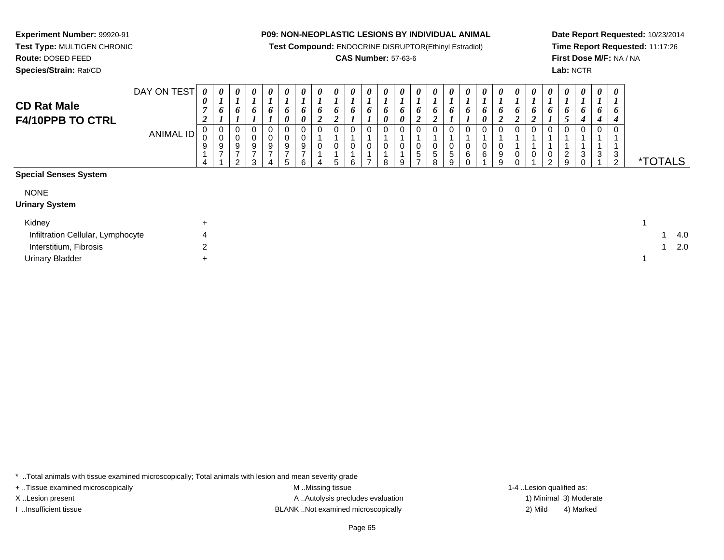**Test Compound:** ENDOCRINE DISRUPTOR(Ethinyl Estradiol)

# **CAS Number:** 57-63-6

**Date Report Requested:** 10/23/2014**Time Report Requested:** 11:17:26**First Dose M/F:** NA / NA**Lab:** NCTR

**Experiment Number:** 99920-91**Test Type:** MULTIGEN CHRONIC

| <b>CD Rat Male</b><br><b>F4/10PPB TO CTRL</b> | DAY ON TEST<br>ANIMAL ID | $\boldsymbol{\theta}$<br>$\boldsymbol{\theta}$<br>$\epsilon$<br>0<br>U<br>9<br>4 | $\boldsymbol{\theta}$<br>6<br>0<br>U<br>9<br>$\rightarrow$ | $\boldsymbol{\theta}$<br>6<br>L<br>9<br>$\overline{ }$<br>າ | $\boldsymbol{\theta}$<br>6<br>0<br>0<br>9<br>-<br>3 | $\boldsymbol{\theta}$<br>0<br>0<br>0<br>9 | $\boldsymbol{\theta}$<br>6<br>$\boldsymbol{\theta}$<br>0<br>0<br>9<br>$\overline{ }$<br>5 | $\boldsymbol{\theta}$<br>6<br>0<br>9<br>ี | $\boldsymbol{\theta}$<br>L<br>6<br>$\overline{v}$<br>0<br>0<br>4 | $\boldsymbol{\theta}$<br>$\bm{o}$<br>◢<br>0<br>0<br>5 | $\boldsymbol{\theta}$<br>6<br>L<br>0<br>0<br>6 | $\boldsymbol{\theta}$<br>6<br>$\mathbf 0$<br>⇁ | 0<br>6<br>$\boldsymbol{\theta}$<br>0<br>0<br>8 | $\boldsymbol{\theta}$<br>6<br>0<br>0<br>9 | 0<br>6<br>$\overline{2}$<br>0<br>$\overline{5}$<br>$\overline{ }$ | $\boldsymbol{\theta}$<br>6<br>◢<br>0<br>0<br>5<br>8 | 0<br>6<br>0<br>5<br>9 | 0<br>6<br>0<br>0<br>6<br>0 | $\boldsymbol{\theta}$<br>O<br>$\theta$<br>0<br>0<br>6 | $\boldsymbol{\theta}$<br>6<br>$\overline{2}$<br>0<br>0<br>9<br>9 | $\boldsymbol{\theta}$<br>6 | 0<br>ı<br>6<br>◢<br>0<br>0 | $\boldsymbol{\theta}$<br>6<br>0<br>0<br>ົ | $\boldsymbol{\theta}$<br>$\overline{ }$<br>6<br>$\mathbf{r}$<br>J<br>0<br>$\overline{2}$<br>9 | 0<br>$\overline{ }$<br>6<br>4<br>0<br>$\mathbf{3}$ | $\boldsymbol{\theta}$<br>6<br>4<br>0<br>3 | $\boldsymbol{\theta}$<br>$\overline{\mathbf{r}}$<br>6<br>$\boldsymbol{4}$<br>$\mathbf 0$<br>3<br>2 | <i><b>*TOTALS</b></i> |
|-----------------------------------------------|--------------------------|----------------------------------------------------------------------------------|------------------------------------------------------------|-------------------------------------------------------------|-----------------------------------------------------|-------------------------------------------|-------------------------------------------------------------------------------------------|-------------------------------------------|------------------------------------------------------------------|-------------------------------------------------------|------------------------------------------------|------------------------------------------------|------------------------------------------------|-------------------------------------------|-------------------------------------------------------------------|-----------------------------------------------------|-----------------------|----------------------------|-------------------------------------------------------|------------------------------------------------------------------|----------------------------|----------------------------|-------------------------------------------|-----------------------------------------------------------------------------------------------|----------------------------------------------------|-------------------------------------------|----------------------------------------------------------------------------------------------------|-----------------------|
| <b>Special Senses System</b>                  |                          |                                                                                  |                                                            |                                                             |                                                     |                                           |                                                                                           |                                           |                                                                  |                                                       |                                                |                                                |                                                |                                           |                                                                   |                                                     |                       |                            |                                                       |                                                                  |                            |                            |                                           |                                                                                               |                                                    |                                           |                                                                                                    |                       |
| <b>NONE</b><br><b>Urinary System</b>          |                          |                                                                                  |                                                            |                                                             |                                                     |                                           |                                                                                           |                                           |                                                                  |                                                       |                                                |                                                |                                                |                                           |                                                                   |                                                     |                       |                            |                                                       |                                                                  |                            |                            |                                           |                                                                                               |                                                    |                                           |                                                                                                    |                       |

| Kidney                            |  |     |
|-----------------------------------|--|-----|
| Infiltration Cellular, Lymphocyte |  | 4.0 |
| Interstitium, Fibrosis            |  | 2.0 |
| <b>Urinary Bladder</b>            |  |     |

\* ..Total animals with tissue examined microscopically; Total animals with lesion and mean severity grade

+ ..Tissue examined microscopically examined microscopically examined as:  $M$  ..Missing tissue 1-4 ..Lesion qualified as:

X..Lesion present **A ..Autolysis precludes evaluation** A ..Autolysis precludes evaluation 1) Minimal 3) Moderate I ..Insufficient tissue BLANK ..Not examined microscopically 2) Mild 4) Marked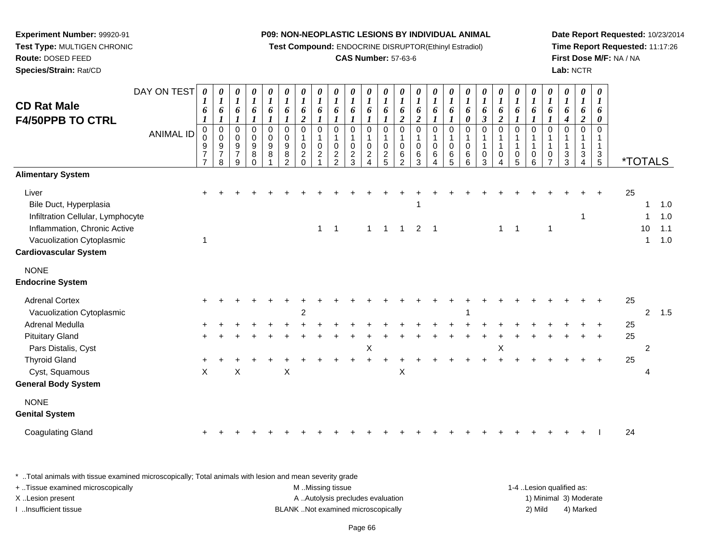**Test Compound:** ENDOCRINE DISRUPTOR(Ethinyl Estradiol)

# **CAS Number:** 57-63-6

**Date Report Requested:** 10/23/2014**Time Report Requested:** 11:17:26**First Dose M/F:** NA / NA**Lab:** NCTR

| <b>CD Rat Male</b><br><b>F4/50PPB TO CTRL</b>                                                                                                                                                                        | DAY ON TEST<br><b>ANIMAL ID</b> | $\boldsymbol{\theta}$<br>1<br>6<br>0<br>0<br>9<br>$\overline{7}$<br>$\overline{7}$ | 0<br>$\bm{l}$<br>6<br>1<br>$\pmb{0}$<br>$\mathbf 0$<br>9<br>$\overline{7}$<br>8 | 0<br>1<br>6<br>1<br>$\pmb{0}$<br>0<br>$\boldsymbol{9}$<br>$\overline{7}$<br>9 | 0<br>$\boldsymbol{l}$<br>6<br>0<br>$\pmb{0}$<br>$\boldsymbol{9}$<br>$\bf 8$<br>$\Omega$ | 0<br>$\boldsymbol{l}$<br>6<br>1<br>0<br>$\pmb{0}$<br>$\boldsymbol{9}$<br>8 | 0<br>$\boldsymbol{l}$<br>6<br>1<br>$\pmb{0}$<br>$\mathbf 0$<br>$\boldsymbol{9}$<br>8<br>$\mathcal{P}$ | $\pmb{\theta}$<br>$\boldsymbol{l}$<br>6<br>$\boldsymbol{2}$<br>$\pmb{0}$<br>1<br>$\mathbf 0$<br>$\boldsymbol{2}$<br>$\Omega$ | 0<br>$\boldsymbol{l}$<br>6<br>$\pmb{0}$<br>1<br>$\mathbf 0$<br>$\overline{c}$ | $\pmb{\theta}$<br>$\boldsymbol{l}$<br>6<br>$\mathbf 0$<br>0<br>$\overline{c}$<br>2 | 0<br>$\boldsymbol{l}$<br>6<br>$\boldsymbol{l}$<br>$\mathbf 0$<br>1<br>$\mathbf 0$<br>$\overline{c}$<br>3 | 0<br>$\boldsymbol{l}$<br>6<br>$\mathsf 0$<br>$\pmb{0}$<br>$\boldsymbol{2}$<br>$\lambda$ | 0<br>$\boldsymbol{l}$<br>6<br>0<br>$\pmb{0}$<br>$\frac{2}{5}$ | 0<br>$\boldsymbol{l}$<br>6<br>$\overline{c}$<br>0<br>$\pmb{0}$<br>6<br>$\overline{2}$ | 0<br>$\boldsymbol{l}$<br>6<br>$\boldsymbol{2}$<br>$\mathbf 0$<br>1<br>$\mathbf 0$<br>6<br>3 | $\pmb{\theta}$<br>$\boldsymbol{l}$<br>6<br>$\pmb{0}$<br>$\mathbf 0$<br>6<br>4 | $\boldsymbol{\theta}$<br>$\boldsymbol{l}$<br>6<br>$\mathbf 0$<br>$\mathbf 0$<br>$\,6$<br>5 | $\pmb{\theta}$<br>$\boldsymbol{l}$<br>6<br>0<br>$\mathbf 0$<br>0<br>6<br>6 | $\boldsymbol{\theta}$<br>$\boldsymbol{l}$<br>6<br>$\boldsymbol{\beta}$<br>$\mathbf 0$<br>1<br>$\mathbf{1}$<br>0<br>3 | $\frac{\theta}{I}$<br>6<br>$\boldsymbol{2}$<br>$\mathbf 0$<br>1<br>$\mathbf{1}$<br>$\mathbf 0$ | $\pmb{\theta}$<br>$\boldsymbol{l}$<br>6<br>$\pmb{0}$<br>$\mathbf{1}$<br>$\mathbf{1}$<br>$\pmb{0}$<br>5 | 0<br>$\boldsymbol{l}$<br>6<br>0<br>$\mathbf 1$<br>0<br>6 | 0<br>$\boldsymbol{I}$<br>6<br>$\mathbf 0$<br>$\mathbf{1}$<br>0 | 0<br>$\boldsymbol{l}$<br>6<br>4<br>$\Omega$<br>1<br>3<br>3 | $\boldsymbol{\theta}$<br>$\boldsymbol{l}$<br>6<br>$\boldsymbol{2}$<br>$\Omega$<br>$\overline{1}$<br>$\sqrt{3}$<br>4 | 0<br>1<br>6<br>0<br>$\Omega$<br>$\mathbf{1}$<br>$\ensuremath{\mathsf{3}}$<br>5 | <i><b>*TOTALS</b></i> |                     |                          |
|----------------------------------------------------------------------------------------------------------------------------------------------------------------------------------------------------------------------|---------------------------------|------------------------------------------------------------------------------------|---------------------------------------------------------------------------------|-------------------------------------------------------------------------------|-----------------------------------------------------------------------------------------|----------------------------------------------------------------------------|-------------------------------------------------------------------------------------------------------|------------------------------------------------------------------------------------------------------------------------------|-------------------------------------------------------------------------------|------------------------------------------------------------------------------------|----------------------------------------------------------------------------------------------------------|-----------------------------------------------------------------------------------------|---------------------------------------------------------------|---------------------------------------------------------------------------------------|---------------------------------------------------------------------------------------------|-------------------------------------------------------------------------------|--------------------------------------------------------------------------------------------|----------------------------------------------------------------------------|----------------------------------------------------------------------------------------------------------------------|------------------------------------------------------------------------------------------------|--------------------------------------------------------------------------------------------------------|----------------------------------------------------------|----------------------------------------------------------------|------------------------------------------------------------|---------------------------------------------------------------------------------------------------------------------|--------------------------------------------------------------------------------|-----------------------|---------------------|--------------------------|
| <b>Alimentary System</b><br>Liver<br>Bile Duct, Hyperplasia<br>Infiltration Cellular, Lymphocyte<br>Inflammation, Chronic Active<br>Vacuolization Cytoplasmic<br><b>Cardiovascular System</b>                        |                                 | 1                                                                                  |                                                                                 |                                                                               |                                                                                         |                                                                            |                                                                                                       |                                                                                                                              | $\mathbf{1}$                                                                  | $\overline{1}$                                                                     |                                                                                                          | $\mathbf{1}$                                                                            |                                                               | $1 \quad 1$                                                                           | $\overline{2}$                                                                              | $\overline{\phantom{0}}$ 1                                                    |                                                                                            |                                                                            |                                                                                                                      | $\mathbf{1}$                                                                                   | $\overline{1}$                                                                                         |                                                          | $\overline{1}$                                                 |                                                            | 1                                                                                                                   |                                                                                | 25                    | 10<br>1             | 1.0<br>1.0<br>1.1<br>1.0 |
| <b>NONE</b><br><b>Endocrine System</b>                                                                                                                                                                               |                                 |                                                                                    |                                                                                 |                                                                               |                                                                                         |                                                                            |                                                                                                       |                                                                                                                              |                                                                               |                                                                                    |                                                                                                          |                                                                                         |                                                               |                                                                                       |                                                                                             |                                                                               |                                                                                            |                                                                            |                                                                                                                      |                                                                                                |                                                                                                        |                                                          |                                                                |                                                            |                                                                                                                     |                                                                                |                       |                     |                          |
| <b>Adrenal Cortex</b><br>Vacuolization Cytoplasmic<br><b>Adrenal Medulla</b><br><b>Pituitary Gland</b><br>Pars Distalis, Cyst<br><b>Thyroid Gland</b><br>Cyst, Squamous<br><b>General Body System</b><br><b>NONE</b> |                                 | X                                                                                  |                                                                                 | X                                                                             |                                                                                         |                                                                            | $\boldsymbol{\mathsf{X}}$                                                                             | $\overline{c}$                                                                                                               |                                                                               |                                                                                    |                                                                                                          | X                                                                                       |                                                               | X                                                                                     |                                                                                             |                                                                               |                                                                                            |                                                                            |                                                                                                                      | Χ                                                                                              |                                                                                                        |                                                          |                                                                |                                                            |                                                                                                                     |                                                                                | 25<br>25<br>25<br>25  | $\overline{2}$<br>2 | 1.5                      |
| <b>Genital System</b>                                                                                                                                                                                                |                                 |                                                                                    |                                                                                 |                                                                               |                                                                                         |                                                                            |                                                                                                       |                                                                                                                              |                                                                               |                                                                                    |                                                                                                          |                                                                                         |                                                               |                                                                                       |                                                                                             |                                                                               |                                                                                            |                                                                            |                                                                                                                      |                                                                                                |                                                                                                        |                                                          |                                                                |                                                            |                                                                                                                     |                                                                                |                       |                     |                          |
| <b>Coagulating Gland</b>                                                                                                                                                                                             |                                 |                                                                                    |                                                                                 |                                                                               |                                                                                         |                                                                            |                                                                                                       |                                                                                                                              |                                                                               |                                                                                    |                                                                                                          |                                                                                         |                                                               |                                                                                       |                                                                                             |                                                                               |                                                                                            |                                                                            |                                                                                                                      |                                                                                                |                                                                                                        |                                                          |                                                                |                                                            |                                                                                                                     |                                                                                | 24                    |                     |                          |

\* ..Total animals with tissue examined microscopically; Total animals with lesion and mean severity grade

**Experiment Number:** 99920-91**Test Type:** MULTIGEN CHRONIC

| + Tissue examined microscopically | M Missing tissue                   | 1-4 Lesion qualified as: |                        |
|-----------------------------------|------------------------------------|--------------------------|------------------------|
| X Lesion present                  | A Autolysis precludes evaluation   |                          | 1) Minimal 3) Moderate |
| Insufficient tissue               | BLANK Not examined microscopically | 2) Mild                  | 4) Marked              |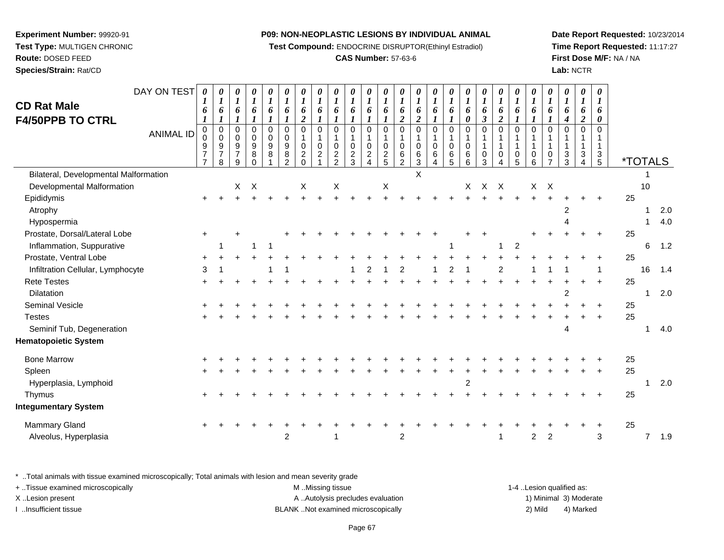**Test Compound:** ENDOCRINE DISRUPTOR(Ethinyl Estradiol)

# **CAS Number:** 57-63-6

**Date Report Requested:** 10/23/2014**Time Report Requested:** 11:17:27**First Dose M/F:** NA / NA**Lab:** NCTR

| <b>CD Rat Male</b><br><b>F4/50PPB TO CTRL</b> | DAY ON TEST      | 0<br>6                                                         | 0<br>$\boldsymbol{l}$<br>6                                        | $\pmb{\theta}$<br>$\boldsymbol{l}$<br>6           | $\boldsymbol{\theta}$<br>$\boldsymbol{l}$<br>6<br>$\boldsymbol{l}$ | 0<br>$\boldsymbol{l}$<br>6                      | 0<br>$\boldsymbol{l}$<br>6                                  | 0<br>$\boldsymbol{l}$<br>6<br>$\boldsymbol{2}$           | 0<br>$\boldsymbol{l}$<br>6                     | 0<br>$\boldsymbol{l}$<br>6                  | 0<br>$\boldsymbol{l}$<br>6     | 0<br>$\boldsymbol{l}$<br>6<br>$\boldsymbol{l}$               | 0<br>$\boldsymbol{l}$<br>6                | 0<br>$\boldsymbol{l}$<br>6<br>$\boldsymbol{2}$ | 0<br>$\boldsymbol{l}$<br>6<br>$\boldsymbol{2}$ | 0<br>$\boldsymbol{l}$<br>6           | 0<br>$\boldsymbol{l}$<br>6                    | 0<br>$\boldsymbol{l}$<br>6<br>0         | 0<br>$\boldsymbol{l}$<br>6<br>$\mathfrak{z}$ | 0<br>$\boldsymbol{l}$<br>6<br>$\boldsymbol{2}$                  | 0<br>1<br>6                                  | 0<br>$\boldsymbol{l}$<br>6<br>1 | $\theta$<br>1<br>6              | 0<br>$\boldsymbol{l}$<br>6<br>4 | 0<br>$\boldsymbol{l}$<br>6<br>$\overline{2}$ | 0<br>6<br>$\boldsymbol{\theta}$           |                       |                |     |
|-----------------------------------------------|------------------|----------------------------------------------------------------|-------------------------------------------------------------------|---------------------------------------------------|--------------------------------------------------------------------|-------------------------------------------------|-------------------------------------------------------------|----------------------------------------------------------|------------------------------------------------|---------------------------------------------|--------------------------------|--------------------------------------------------------------|-------------------------------------------|------------------------------------------------|------------------------------------------------|--------------------------------------|-----------------------------------------------|-----------------------------------------|----------------------------------------------|-----------------------------------------------------------------|----------------------------------------------|---------------------------------|---------------------------------|---------------------------------|----------------------------------------------|-------------------------------------------|-----------------------|----------------|-----|
|                                               | <b>ANIMAL ID</b> | $_0^0$<br>$\boldsymbol{9}$<br>$\overline{7}$<br>$\overline{7}$ | $\pmb{0}$<br>$\pmb{0}$<br>$\boldsymbol{9}$<br>$\overline{7}$<br>8 | 0<br>0<br>$\boldsymbol{9}$<br>$\overline{7}$<br>9 | $\pmb{0}$<br>0<br>$\boldsymbol{9}$<br>8<br>$\Omega$                | $\mathbf 0$<br>0<br>$\boldsymbol{9}$<br>$\,8\,$ | $\Omega$<br>$\mathbf 0$<br>$\boldsymbol{9}$<br>$\bf 8$<br>2 | $\mathbf 0$<br>$\mathbf 0$<br>$\overline{c}$<br>$\Omega$ | $\mathbf 0$<br>$\mathbf 0$<br>$\boldsymbol{2}$ | $\mathbf 0$<br>$\mathbf 0$<br>$\frac{2}{2}$ | $\Omega$<br>0<br>$\frac{2}{3}$ | $\Omega$<br>1<br>$\mathbf 0$<br>$\sqrt{2}$<br>$\overline{4}$ | $\mathbf 0$<br>$\pmb{0}$<br>$\frac{2}{5}$ | $\Omega$<br>$\mathbf 0$<br>6<br>$\overline{2}$ | $\Omega$<br>0<br>6<br>$\mathbf{3}$             | $\mathbf 0$<br>1<br>$\mathbf 0$<br>6 | $\overline{0}$<br>$\mathbf 0$<br>$\,6\,$<br>5 | $\Omega$<br>$\mathbf 0$<br>$\,6\,$<br>6 | $\Omega$<br>$\mathbf{1}$<br>$\mathbf 0$<br>3 | $\mathbf 0$<br>$\mathbf{1}$<br>$\mathbf{1}$<br>$\mathbf 0$<br>4 | $\Omega$<br>$\mathbf{1}$<br>$\mathbf 0$<br>5 | $\Omega$<br>0<br>6              | $\Omega$<br>0<br>$\overline{7}$ | $\mathbf 0$<br>3<br>3           | $\Omega$<br>3<br>4                           | $\Omega$<br>$\mathbf{1}$<br>$\frac{3}{5}$ | <i><b>*TOTALS</b></i> |                |     |
| Bilateral, Developmental Malformation         |                  |                                                                |                                                                   |                                                   |                                                                    |                                                 |                                                             |                                                          |                                                |                                             |                                |                                                              |                                           |                                                | X                                              |                                      |                                               |                                         |                                              |                                                                 |                                              |                                 |                                 |                                 |                                              |                                           |                       |                |     |
| Developmental Malformation                    |                  |                                                                |                                                                   | $\mathsf{X}^-$                                    | $\boldsymbol{\mathsf{X}}$                                          |                                                 |                                                             | X                                                        |                                                | Χ                                           |                                |                                                              | X                                         |                                                |                                                |                                      |                                               | X.                                      | X X                                          |                                                                 |                                              | X                               | $\mathsf{X}$                    |                                 |                                              |                                           |                       | 10             |     |
| Epididymis                                    |                  |                                                                |                                                                   |                                                   |                                                                    |                                                 |                                                             |                                                          |                                                |                                             |                                |                                                              |                                           |                                                |                                                |                                      |                                               |                                         |                                              |                                                                 |                                              |                                 |                                 |                                 |                                              | $\pm$                                     | 25                    |                |     |
| Atrophy                                       |                  |                                                                |                                                                   |                                                   |                                                                    |                                                 |                                                             |                                                          |                                                |                                             |                                |                                                              |                                           |                                                |                                                |                                      |                                               |                                         |                                              |                                                                 |                                              |                                 |                                 |                                 |                                              |                                           |                       |                | 2.0 |
| Hypospermia                                   |                  |                                                                |                                                                   |                                                   |                                                                    |                                                 |                                                             |                                                          |                                                |                                             |                                |                                                              |                                           |                                                |                                                |                                      |                                               |                                         |                                              |                                                                 |                                              |                                 |                                 |                                 |                                              |                                           |                       |                | 4.0 |
| Prostate, Dorsal/Lateral Lobe                 |                  | $\ddot{}$                                                      |                                                                   |                                                   |                                                                    |                                                 |                                                             |                                                          |                                                |                                             |                                |                                                              |                                           |                                                |                                                |                                      |                                               |                                         |                                              |                                                                 |                                              |                                 |                                 |                                 |                                              |                                           | 25                    |                |     |
| Inflammation, Suppurative                     |                  |                                                                |                                                                   |                                                   | 1                                                                  | $\mathbf{1}$                                    |                                                             |                                                          |                                                |                                             |                                |                                                              |                                           |                                                |                                                |                                      |                                               |                                         |                                              | 1                                                               | $\overline{c}$                               |                                 |                                 |                                 |                                              |                                           |                       | 6              | 1.2 |
| Prostate, Ventral Lobe                        |                  |                                                                |                                                                   |                                                   |                                                                    |                                                 |                                                             |                                                          |                                                |                                             |                                |                                                              |                                           |                                                |                                                |                                      |                                               |                                         |                                              |                                                                 |                                              |                                 |                                 |                                 |                                              |                                           | 25                    |                |     |
| Infiltration Cellular, Lymphocyte             |                  | 3                                                              |                                                                   |                                                   |                                                                    |                                                 |                                                             |                                                          |                                                |                                             |                                | $\overline{2}$                                               |                                           | 2                                              |                                                |                                      |                                               |                                         |                                              | 2                                                               |                                              |                                 |                                 |                                 |                                              |                                           |                       | 16             | 1.4 |
| <b>Rete Testes</b>                            |                  |                                                                |                                                                   |                                                   |                                                                    |                                                 |                                                             |                                                          |                                                |                                             |                                |                                                              |                                           |                                                |                                                |                                      |                                               |                                         |                                              |                                                                 |                                              |                                 |                                 |                                 | $\ddot{}$                                    | $\ddot{}$                                 | 25                    |                |     |
| <b>Dilatation</b>                             |                  |                                                                |                                                                   |                                                   |                                                                    |                                                 |                                                             |                                                          |                                                |                                             |                                |                                                              |                                           |                                                |                                                |                                      |                                               |                                         |                                              |                                                                 |                                              |                                 |                                 | $\overline{2}$                  |                                              |                                           |                       |                | 2.0 |
| Seminal Vesicle                               |                  |                                                                |                                                                   |                                                   |                                                                    |                                                 |                                                             |                                                          |                                                |                                             |                                |                                                              |                                           |                                                |                                                |                                      |                                               |                                         |                                              |                                                                 |                                              |                                 |                                 |                                 |                                              |                                           | 25                    |                |     |
| <b>Testes</b>                                 |                  |                                                                |                                                                   |                                                   |                                                                    |                                                 |                                                             |                                                          |                                                |                                             |                                |                                                              |                                           |                                                |                                                |                                      |                                               |                                         |                                              |                                                                 |                                              |                                 |                                 |                                 |                                              | $\pm$                                     | 25                    |                |     |
| Seminif Tub, Degeneration                     |                  |                                                                |                                                                   |                                                   |                                                                    |                                                 |                                                             |                                                          |                                                |                                             |                                |                                                              |                                           |                                                |                                                |                                      |                                               |                                         |                                              |                                                                 |                                              |                                 |                                 | 4                               |                                              |                                           |                       |                | 4.0 |
| <b>Hematopoietic System</b>                   |                  |                                                                |                                                                   |                                                   |                                                                    |                                                 |                                                             |                                                          |                                                |                                             |                                |                                                              |                                           |                                                |                                                |                                      |                                               |                                         |                                              |                                                                 |                                              |                                 |                                 |                                 |                                              |                                           |                       |                |     |
| <b>Bone Marrow</b>                            |                  |                                                                |                                                                   |                                                   |                                                                    |                                                 |                                                             |                                                          |                                                |                                             |                                |                                                              |                                           |                                                |                                                |                                      |                                               |                                         |                                              |                                                                 |                                              |                                 |                                 |                                 |                                              |                                           | 25                    |                |     |
| Spleen                                        |                  |                                                                |                                                                   |                                                   |                                                                    |                                                 |                                                             |                                                          |                                                |                                             |                                |                                                              |                                           |                                                |                                                |                                      |                                               |                                         |                                              |                                                                 |                                              |                                 |                                 |                                 |                                              |                                           | 25                    |                |     |
| Hyperplasia, Lymphoid                         |                  |                                                                |                                                                   |                                                   |                                                                    |                                                 |                                                             |                                                          |                                                |                                             |                                |                                                              |                                           |                                                |                                                |                                      |                                               | $\overline{c}$                          |                                              |                                                                 |                                              |                                 |                                 |                                 |                                              |                                           |                       |                | 2.0 |
| Thymus                                        |                  |                                                                |                                                                   |                                                   |                                                                    |                                                 |                                                             |                                                          |                                                |                                             |                                |                                                              |                                           |                                                |                                                |                                      |                                               |                                         |                                              |                                                                 |                                              |                                 |                                 |                                 |                                              |                                           | 25                    |                |     |
| <b>Integumentary System</b>                   |                  |                                                                |                                                                   |                                                   |                                                                    |                                                 |                                                             |                                                          |                                                |                                             |                                |                                                              |                                           |                                                |                                                |                                      |                                               |                                         |                                              |                                                                 |                                              |                                 |                                 |                                 |                                              |                                           |                       |                |     |
| <b>Mammary Gland</b>                          |                  |                                                                |                                                                   |                                                   |                                                                    |                                                 |                                                             |                                                          |                                                |                                             |                                |                                                              |                                           |                                                |                                                |                                      |                                               |                                         |                                              |                                                                 |                                              |                                 |                                 |                                 |                                              |                                           | 25                    |                |     |
| Alveolus, Hyperplasia                         |                  |                                                                |                                                                   |                                                   |                                                                    |                                                 | 2                                                           |                                                          |                                                |                                             |                                |                                                              |                                           | $\overline{c}$                                 |                                                |                                      |                                               |                                         |                                              | -1                                                              |                                              | 2                               | 2                               |                                 |                                              | $\mathbf{3}$                              |                       | $\overline{7}$ | 1.9 |
|                                               |                  |                                                                |                                                                   |                                                   |                                                                    |                                                 |                                                             |                                                          |                                                |                                             |                                |                                                              |                                           |                                                |                                                |                                      |                                               |                                         |                                              |                                                                 |                                              |                                 |                                 |                                 |                                              |                                           |                       |                |     |

\* ..Total animals with tissue examined microscopically; Total animals with lesion and mean severity grade

**Experiment Number:** 99920-91**Test Type:** MULTIGEN CHRONIC

| + . Tissue examined microscopically | M Missing tissue                   | 1-4 Lesion qualified as: |                        |
|-------------------------------------|------------------------------------|--------------------------|------------------------|
| X Lesion present                    | A Autolysis precludes evaluation   |                          | 1) Minimal 3) Moderate |
| Insufficient tissue                 | BLANK Not examined microscopically | 2) Mild                  | 4) Marked              |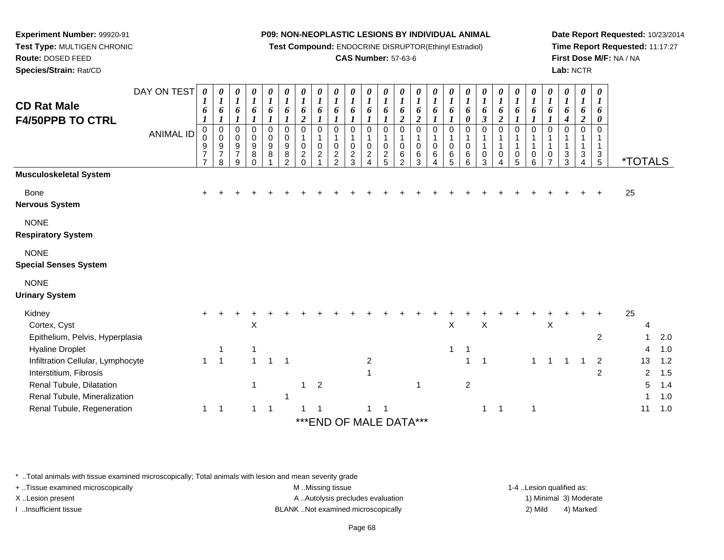**Test Compound:** ENDOCRINE DISRUPTOR(Ethinyl Estradiol)

# **CAS Number:** 57-63-6

**Date Report Requested:** 10/23/2014**Time Report Requested:** 11:17:27**First Dose M/F:** NA / NA**Lab:** NCTR

| <b>CD Rat Male</b><br><b>F4/50PPB TO CTRL</b> | DAY ON TEST      | 0<br>$\boldsymbol{l}$<br>6                                                       | 0<br>$\boldsymbol{l}$<br>6<br>1                        | 0<br>$\boldsymbol{l}$<br>6<br>$\boldsymbol{l}$            | $\boldsymbol{\theta}$<br>$\boldsymbol{l}$<br>6<br>$\boldsymbol{l}$ | 0<br>$\boldsymbol{l}$<br>6            | 0<br>$\boldsymbol{I}$<br>6<br>1                                 | 0<br>$\boldsymbol{l}$<br>6<br>$\boldsymbol{2}$      | 0<br>$\boldsymbol{l}$<br>6<br>1                   | 0<br>$\boldsymbol{l}$<br>6                                         | 0<br>$\boldsymbol{l}$<br>6<br>$\boldsymbol{\mathcal{I}}$ | $\theta$<br>$\boldsymbol{l}$<br>6                                     | $\boldsymbol{\theta}$<br>$\boldsymbol{l}$<br>6    | 0<br>$\boldsymbol{l}$<br>6<br>$\overline{a}$          | 0<br>$\boldsymbol{l}$<br>6<br>$\boldsymbol{2}$ | $\boldsymbol{\theta}$<br>$\boldsymbol{l}$<br>6<br>$\boldsymbol{l}$ | 0<br>$\boldsymbol{l}$<br>6<br>$\boldsymbol{\mathcal{I}}$ | $\boldsymbol{\theta}$<br>$\boldsymbol{l}$<br>6<br>$\boldsymbol{\theta}$ | $\boldsymbol{\theta}$<br>$\boldsymbol{l}$<br>6<br>$\boldsymbol{\beta}$ | $\boldsymbol{l}$<br>6<br>2      | $\boldsymbol{\theta}$<br>$\boldsymbol{l}$<br>6 | 0<br>$\boldsymbol{l}$<br>6<br>1 | 0<br>$\boldsymbol{l}$<br>6<br>$\boldsymbol{\mathit{1}}$ | 0<br>$\boldsymbol{l}$<br>6<br>$\boldsymbol{4}$  | 0<br>$\boldsymbol{l}$<br>6<br>$\overline{a}$ | $\boldsymbol{\theta}$<br>1<br>6<br>0 |                       |   |     |
|-----------------------------------------------|------------------|----------------------------------------------------------------------------------|--------------------------------------------------------|-----------------------------------------------------------|--------------------------------------------------------------------|---------------------------------------|-----------------------------------------------------------------|-----------------------------------------------------|---------------------------------------------------|--------------------------------------------------------------------|----------------------------------------------------------|-----------------------------------------------------------------------|---------------------------------------------------|-------------------------------------------------------|------------------------------------------------|--------------------------------------------------------------------|----------------------------------------------------------|-------------------------------------------------------------------------|------------------------------------------------------------------------|---------------------------------|------------------------------------------------|---------------------------------|---------------------------------------------------------|-------------------------------------------------|----------------------------------------------|--------------------------------------|-----------------------|---|-----|
|                                               | <b>ANIMAL ID</b> | $\pmb{0}$<br>$\mathbf 0$<br>$\boldsymbol{9}$<br>$\overline{7}$<br>$\overline{7}$ | $\mathbf 0$<br>$\mathbf 0$<br>9<br>$\overline{7}$<br>8 | $\pmb{0}$<br>0<br>$\boldsymbol{9}$<br>$\overline{7}$<br>9 | $\pmb{0}$<br>$\mathbf 0$<br>$\boldsymbol{9}$<br>8                  | 0<br>0<br>$\boldsymbol{9}$<br>$\bf 8$ | 0<br>$\pmb{0}$<br>$\boldsymbol{9}$<br>$\,8\,$<br>$\mathfrak{p}$ | 0<br>1<br>$\mathsf 0$<br>$\overline{c}$<br>$\Omega$ | $\mathbf 0$<br>1<br>$\mathbf 0$<br>$\overline{c}$ | $\mathbf 0$<br>1<br>$\mathbf 0$<br>$\overline{c}$<br>$\mathcal{P}$ | $\mathbf 0$<br>$\mathbf 0$<br>$\overline{a}$<br>3        | $\Omega$<br>$\mathbf{1}$<br>$\mathbf 0$<br>$\overline{c}$<br>$\Delta$ | $\mathbf 0$<br>$\mathbf 0$<br>$\overline{c}$<br>5 | $\mathbf 0$<br>$\mathbf 0$<br>$\,6$<br>$\mathfrak{p}$ | $\mathbf 0$<br>$\mathbf 0$<br>6<br>3           | $\mathbf 0$<br>1<br>$\mathbf 0$<br>6<br>4                          | $\pmb{0}$<br>$\mathbf{1}$<br>$\pmb{0}$<br>6<br>5         | $\pmb{0}$<br>1<br>$\mathbf 0$<br>6<br>6                                 | $\pmb{0}$<br>$\mathbf{1}$<br>0<br>3                                    | $\mathbf 0$<br>$\mathbf 1$<br>0 | $\mathbf 0$<br>1<br>0<br>5                     | $\mathbf 0$<br>1<br>0<br>6      | $\mathbf 0$<br>$\mathbf{1}$<br>0<br>$\overline{7}$      | $\mathbf 0$<br>$\mathbf{1}$<br>$\mathsf 3$<br>3 | $\mathbf 0$<br>$\mathbf{1}$<br>3<br>4        | $\Omega$<br>-1<br>3<br>5             | <i><b>*TOTALS</b></i> |   |     |
| <b>Musculoskeletal System</b>                 |                  |                                                                                  |                                                        |                                                           |                                                                    |                                       |                                                                 |                                                     |                                                   |                                                                    |                                                          |                                                                       |                                                   |                                                       |                                                |                                                                    |                                                          |                                                                         |                                                                        |                                 |                                                |                                 |                                                         |                                                 |                                              |                                      |                       |   |     |
| Bone<br><b>Nervous System</b>                 |                  |                                                                                  |                                                        |                                                           |                                                                    |                                       |                                                                 |                                                     |                                                   |                                                                    |                                                          |                                                                       |                                                   |                                                       |                                                |                                                                    |                                                          |                                                                         |                                                                        |                                 |                                                |                                 |                                                         |                                                 |                                              |                                      | 25                    |   |     |
| <b>NONE</b><br><b>Respiratory System</b>      |                  |                                                                                  |                                                        |                                                           |                                                                    |                                       |                                                                 |                                                     |                                                   |                                                                    |                                                          |                                                                       |                                                   |                                                       |                                                |                                                                    |                                                          |                                                                         |                                                                        |                                 |                                                |                                 |                                                         |                                                 |                                              |                                      |                       |   |     |
| <b>NONE</b><br><b>Special Senses System</b>   |                  |                                                                                  |                                                        |                                                           |                                                                    |                                       |                                                                 |                                                     |                                                   |                                                                    |                                                          |                                                                       |                                                   |                                                       |                                                |                                                                    |                                                          |                                                                         |                                                                        |                                 |                                                |                                 |                                                         |                                                 |                                              |                                      |                       |   |     |
| <b>NONE</b><br><b>Urinary System</b>          |                  |                                                                                  |                                                        |                                                           |                                                                    |                                       |                                                                 |                                                     |                                                   |                                                                    |                                                          |                                                                       |                                                   |                                                       |                                                |                                                                    |                                                          |                                                                         |                                                                        |                                 |                                                |                                 |                                                         |                                                 |                                              |                                      |                       |   |     |
| Kidney                                        |                  |                                                                                  |                                                        |                                                           |                                                                    |                                       |                                                                 |                                                     |                                                   |                                                                    |                                                          |                                                                       |                                                   |                                                       |                                                |                                                                    |                                                          |                                                                         |                                                                        |                                 |                                                |                                 |                                                         |                                                 |                                              |                                      | 25                    |   |     |
| Cortex, Cyst                                  |                  |                                                                                  |                                                        |                                                           | X                                                                  |                                       |                                                                 |                                                     |                                                   |                                                                    |                                                          |                                                                       |                                                   |                                                       |                                                |                                                                    | $\pmb{\times}$                                           |                                                                         | X                                                                      |                                 |                                                |                                 | X                                                       |                                                 |                                              |                                      |                       | 4 |     |
| Epithelium, Pelvis, Hyperplasia               |                  |                                                                                  |                                                        |                                                           |                                                                    |                                       |                                                                 |                                                     |                                                   |                                                                    |                                                          |                                                                       |                                                   |                                                       |                                                |                                                                    |                                                          |                                                                         |                                                                        |                                 |                                                |                                 |                                                         |                                                 |                                              | $\overline{c}$                       |                       |   | 2.0 |
| <b>Hyaline Droplet</b>                        |                  |                                                                                  | 1                                                      |                                                           | 1                                                                  |                                       |                                                                 |                                                     |                                                   |                                                                    |                                                          |                                                                       |                                                   |                                                       |                                                |                                                                    | $\mathbf 1$                                              | 1                                                                       |                                                                        |                                 |                                                |                                 |                                                         |                                                 |                                              |                                      |                       |   | 1.0 |
| Infiltration Cellular, Lymphocyte             |                  | $\overline{1}$                                                                   | $\overline{1}$                                         |                                                           | $\mathbf{1}$                                                       | $\mathbf 1$                           | $\overline{1}$                                                  |                                                     |                                                   |                                                                    |                                                          | $\overline{\mathbf{c}}$                                               |                                                   |                                                       |                                                |                                                                    |                                                          | $\mathbf{1}$                                                            | $\mathbf 1$                                                            |                                 |                                                | 1                               |                                                         |                                                 | 1                                            | $\overline{2}$                       | 13                    |   | 1.2 |
| Interstitium, Fibrosis                        |                  |                                                                                  |                                                        |                                                           |                                                                    |                                       |                                                                 |                                                     |                                                   |                                                                    |                                                          |                                                                       |                                                   |                                                       |                                                |                                                                    |                                                          |                                                                         |                                                                        |                                 |                                                |                                 |                                                         |                                                 |                                              | $\overline{2}$                       |                       | 2 | 1.5 |
| Renal Tubule, Dilatation                      |                  |                                                                                  |                                                        |                                                           | $\mathbf{1}$                                                       |                                       |                                                                 |                                                     | $\sqrt{2}$                                        |                                                                    |                                                          |                                                                       |                                                   |                                                       | 1                                              |                                                                    |                                                          | $\boldsymbol{2}$                                                        |                                                                        |                                 |                                                |                                 |                                                         |                                                 |                                              |                                      |                       | 5 | 1.4 |
| Renal Tubule, Mineralization                  |                  |                                                                                  |                                                        |                                                           |                                                                    |                                       |                                                                 |                                                     |                                                   |                                                                    |                                                          |                                                                       |                                                   |                                                       |                                                |                                                                    |                                                          |                                                                         |                                                                        |                                 |                                                |                                 |                                                         |                                                 |                                              |                                      |                       |   | 1.0 |
| Renal Tubule, Regeneration                    |                  | $\mathbf{1}$                                                                     | $\mathbf{1}$                                           |                                                           | $\mathbf{1}$                                                       | $\mathbf{1}$                          |                                                                 |                                                     |                                                   |                                                                    |                                                          | 1                                                                     |                                                   |                                                       |                                                |                                                                    |                                                          |                                                                         | $\mathbf{1}$                                                           | $\overline{1}$                  |                                                | -1                              |                                                         |                                                 |                                              |                                      | 11                    |   | 1.0 |
|                                               |                  |                                                                                  |                                                        |                                                           |                                                                    |                                       |                                                                 |                                                     | *** END OF MALE DATA***                           |                                                                    |                                                          |                                                                       |                                                   |                                                       |                                                |                                                                    |                                                          |                                                                         |                                                                        |                                 |                                                |                                 |                                                         |                                                 |                                              |                                      |                       |   |     |

\* ..Total animals with tissue examined microscopically; Total animals with lesion and mean severity grade

**Experiment Number:** 99920-91**Test Type:** MULTIGEN CHRONIC

**Route:** DOSED FEED**Species/Strain:** Rat/CD

+ ..Tissue examined microscopically examined microscopically examined as:  $M$  ..Missing tissue 1-4 ..Lesion qualified as: X..Lesion present **A ..Autolysis precludes evaluation** A ..Autolysis precludes evaluation 1) Minimal 3) Moderate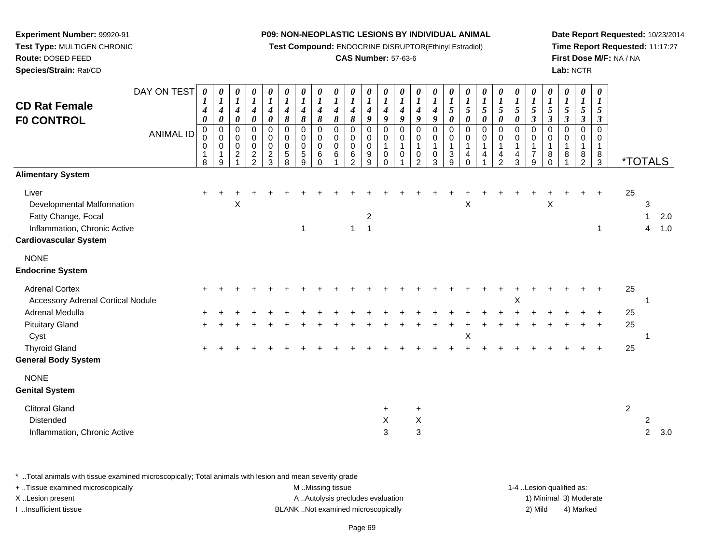**Test Compound:** ENDOCRINE DISRUPTOR(Ethinyl Estradiol)

# **CAS Number:** 57-63-6

**Date Report Requested:** 10/23/2014**Time Report Requested:** 11:17:27**First Dose M/F:** NA / NA**Lab:** NCTR

| <b>CD Rat Female</b><br><b>F0 CONTROL</b><br><b>Alimentary System</b>                                                                                                                                                                 | DAY ON TEST<br><b>ANIMAL ID</b> | 0<br>1<br>4<br>0<br>0<br>$\Omega$<br>0<br>1<br>8 | 0<br>$\boldsymbol{l}$<br>$\boldsymbol{4}$<br>$\pmb{\theta}$<br>$\pmb{0}$<br>$\mathbf 0$<br>0<br>1<br>9 | 0<br>$\boldsymbol{l}$<br>$\boldsymbol{4}$<br>$\pmb{\theta}$<br>0<br>$\pmb{0}$<br>$\mathsf 0$<br>$\overline{a}$ | 0<br>$\boldsymbol{l}$<br>$\boldsymbol{4}$<br>0<br>$\pmb{0}$<br>0<br>$\mathbf 0$<br>$\frac{2}{2}$ | 0<br>$\boldsymbol{l}$<br>$\boldsymbol{4}$<br>$\boldsymbol{\theta}$<br>$\pmb{0}$<br>0<br>$\mathbf 0$<br>$\boldsymbol{2}$<br>$\overline{3}$ | 0<br>$\boldsymbol{l}$<br>$\boldsymbol{4}$<br>$\pmb{8}$<br>$\mathbf 0$<br>$\mathbf 0$<br>$\mathbf 0$<br>$\sqrt{5}$<br>8 | 0<br>$\boldsymbol{l}$<br>4<br>8<br>$\pmb{0}$<br>0<br>$\mathbf 0$<br>5<br>9 | 0<br>$\boldsymbol{l}$<br>$\boldsymbol{4}$<br>$\pmb{8}$<br>$\mathbf 0$<br>$\mathbf 0$<br>$\mathbf 0$<br>$\,6\,$<br>$\Omega$ | 0<br>$\boldsymbol{l}$<br>4<br>8<br>$\mathbf 0$<br>$\mathbf 0$<br>$\mathbf 0$<br>6 | 0<br>$\boldsymbol{l}$<br>$\boldsymbol{4}$<br>8<br>$\pmb{0}$<br>0<br>$\ddot{\mathbf{0}}$<br>$\,6$<br>$\overline{2}$ | 0<br>$\overline{\mathbf{I}}$<br>$\boldsymbol{4}$<br>9<br>0<br>0<br>$\mathsf 0$<br>$\boldsymbol{9}$<br>9 | 0<br>$\boldsymbol{l}$<br>$\boldsymbol{4}$<br>9<br>$\pmb{0}$<br>$\pmb{0}$<br>$\mathbf{1}$<br>$\pmb{0}$<br>$\Omega$ | 0<br>$\boldsymbol{l}$<br>$\boldsymbol{4}$<br>9<br>$\mathbf 0$<br>0<br>$\mathbf{1}$<br>$\mathbf 0$ | 0<br>$\boldsymbol{l}$<br>4<br>9<br>0<br>0<br>$\mathbf{1}$<br>$\pmb{0}$<br>2 | 0<br>$\boldsymbol{l}$<br>$\boldsymbol{4}$<br>9<br>$\mathbf 0$<br>$\mathbf 0$<br>$\overline{1}$<br>0<br>3 | 0<br>$\boldsymbol{l}$<br>$\sqrt{5}$<br>0<br>$\pmb{0}$<br>0<br>$\mathbf{1}$<br>3<br>9 | 0<br>1<br>$\mathfrak{s}$<br>$\boldsymbol{\theta}$<br>$\mathbf 0$<br>0<br>1<br>4<br>$\Omega$ | 0<br>$\boldsymbol{l}$<br>5<br>0<br>$\mathsf 0$<br>0<br>$\mathbf{1}$<br>4 | 0<br>$\boldsymbol{l}$<br>$\sqrt{5}$<br>0<br>$\pmb{0}$<br>0<br>$\mathbf 1$<br>$\overline{\mathbf{4}}$<br>$\overline{2}$ | 0<br>$\boldsymbol{l}$<br>5<br>0<br>$\mathbf 0$<br>$\mathbf 0$<br>$\mathbf{1}$<br>4<br>$\mathbf{3}$ | 0<br>$\boldsymbol{l}$<br>$\sqrt{5}$<br>$\mathfrak{z}$<br>$\pmb{0}$<br>$\mathbf 0$<br>1<br>$\overline{7}$<br>9 | 0<br>$\boldsymbol{l}$<br>5<br>$\mathfrak{z}$<br>$\Omega$<br>0<br>8<br>$\Omega$ | 0<br>$\boldsymbol{l}$<br>5<br>$\boldsymbol{\beta}$<br>$\Omega$<br>$\Omega$<br>8 | 0<br>$\boldsymbol{l}$<br>$\mathfrak{s}$<br>$\boldsymbol{\beta}$<br>$\mathbf 0$<br>0<br>$\mathbf{1}$<br>8<br>$\overline{2}$ | $\pmb{\theta}$<br>$\boldsymbol{l}$<br>5<br>$\mathfrak{z}$<br>$\pmb{0}$<br>0<br>$\mathbf{1}$<br>$^8_3$ |                      |                          | <i><b>*TOTALS</b></i> |
|---------------------------------------------------------------------------------------------------------------------------------------------------------------------------------------------------------------------------------------|---------------------------------|--------------------------------------------------|--------------------------------------------------------------------------------------------------------|----------------------------------------------------------------------------------------------------------------|--------------------------------------------------------------------------------------------------|-------------------------------------------------------------------------------------------------------------------------------------------|------------------------------------------------------------------------------------------------------------------------|----------------------------------------------------------------------------|----------------------------------------------------------------------------------------------------------------------------|-----------------------------------------------------------------------------------|--------------------------------------------------------------------------------------------------------------------|---------------------------------------------------------------------------------------------------------|-------------------------------------------------------------------------------------------------------------------|---------------------------------------------------------------------------------------------------|-----------------------------------------------------------------------------|----------------------------------------------------------------------------------------------------------|--------------------------------------------------------------------------------------|---------------------------------------------------------------------------------------------|--------------------------------------------------------------------------|------------------------------------------------------------------------------------------------------------------------|----------------------------------------------------------------------------------------------------|---------------------------------------------------------------------------------------------------------------|--------------------------------------------------------------------------------|---------------------------------------------------------------------------------|----------------------------------------------------------------------------------------------------------------------------|-------------------------------------------------------------------------------------------------------|----------------------|--------------------------|-----------------------|
| Liver<br>Developmental Malformation<br>Fatty Change, Focal<br>Inflammation, Chronic Active<br><b>Cardiovascular System</b>                                                                                                            |                                 |                                                  |                                                                                                        | X                                                                                                              |                                                                                                  |                                                                                                                                           |                                                                                                                        | 1                                                                          |                                                                                                                            |                                                                                   | $\mathbf{1}$                                                                                                       | $\overline{\mathbf{c}}$<br>$\mathbf{1}$                                                                 |                                                                                                                   |                                                                                                   |                                                                             |                                                                                                          |                                                                                      | X                                                                                           |                                                                          |                                                                                                                        |                                                                                                    |                                                                                                               | X                                                                              |                                                                                 |                                                                                                                            | $\mathbf 1$                                                                                           | 25                   | 3<br>1<br>$\overline{4}$ | 2.0<br>1.0            |
| <b>NONE</b><br><b>Endocrine System</b><br><b>Adrenal Cortex</b><br><b>Accessory Adrenal Cortical Nodule</b><br>Adrenal Medulla<br><b>Pituitary Gland</b><br>Cyst<br><b>Thyroid Gland</b><br><b>General Body System</b><br><b>NONE</b> |                                 | $\pm$                                            |                                                                                                        |                                                                                                                |                                                                                                  |                                                                                                                                           |                                                                                                                        |                                                                            |                                                                                                                            |                                                                                   |                                                                                                                    |                                                                                                         |                                                                                                                   |                                                                                                   |                                                                             |                                                                                                          |                                                                                      | Χ                                                                                           |                                                                          |                                                                                                                        | X                                                                                                  |                                                                                                               |                                                                                |                                                                                 |                                                                                                                            |                                                                                                       | 25<br>25<br>25<br>25 | -1                       |                       |
| <b>Genital System</b><br><b>Clitoral Gland</b><br>Distended<br>Inflammation, Chronic Active                                                                                                                                           |                                 |                                                  |                                                                                                        |                                                                                                                |                                                                                                  |                                                                                                                                           |                                                                                                                        |                                                                            |                                                                                                                            |                                                                                   |                                                                                                                    |                                                                                                         | $\ddot{}$<br>X<br>3                                                                                               |                                                                                                   | $\ddot{}$<br>X<br>3                                                         |                                                                                                          |                                                                                      |                                                                                             |                                                                          |                                                                                                                        |                                                                                                    |                                                                                                               |                                                                                |                                                                                 |                                                                                                                            |                                                                                                       | $\overline{2}$       | 2<br>$\overline{2}$      | 3.0                   |

\* ..Total animals with tissue examined microscopically; Total animals with lesion and mean severity grade

**Experiment Number:** 99920-91**Test Type:** MULTIGEN CHRONIC

| + Tissue examined microscopically | M Missing tissue                   | 1-4 Lesion qualified as: |
|-----------------------------------|------------------------------------|--------------------------|
| X Lesion present                  | A Autolysis precludes evaluation   | 1) Minimal 3) Moderate   |
| Insufficient tissue               | BLANK Not examined microscopically | 4) Marked<br>2) Mild     |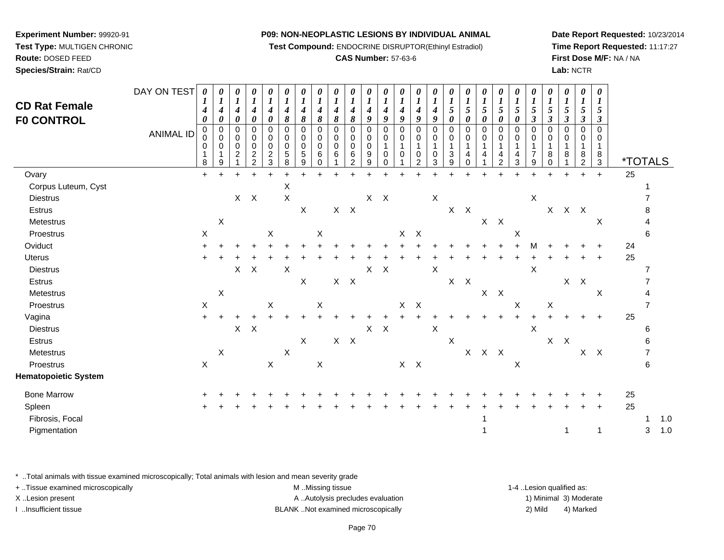**Test Compound:** ENDOCRINE DISRUPTOR(Ethinyl Estradiol)

# **CAS Number:** 57-63-6

**Date Report Requested:** 10/23/2014**Time Report Requested:** 11:17:27**First Dose M/F:** NA / NA**Lab:** NCTR

| <b>CD Rat Female</b><br><b>F0 CONTROL</b> | DAY ON TEST<br><b>ANIMAL ID</b> | $\boldsymbol{\theta}$<br>4<br>0<br>$_0^0$<br>0<br>8 | 0<br>$\boldsymbol{l}$<br>$\boldsymbol{4}$<br>0<br>0<br>0<br>$\mathbf 0$<br>9 | $\pmb{\theta}$<br>$\boldsymbol{l}$<br>$\boldsymbol{4}$<br>$\pmb{\theta}$<br>0<br>0<br>$\mathsf 0$<br>$\overline{c}$ | $\pmb{\theta}$<br>$\boldsymbol{l}$<br>$\boldsymbol{4}$<br>$\boldsymbol{\theta}$<br>$\mathbf 0$<br>0<br>$\pmb{0}$<br>$\boldsymbol{2}$<br>$\overline{2}$ | 0<br>4<br>0<br>$\mathbf 0$<br>0<br>$\mathbf 0$<br>$\overline{c}$<br>3 | $\boldsymbol{\theta}$<br>1<br>$\boldsymbol{4}$<br>8<br>$\mathbf 0$<br>0<br>$\Omega$<br>5<br>8 | 0<br>1<br>4<br>8<br>$\mathbf 0$<br>0<br>$\Omega$<br>5<br>9 | 0<br>4<br>8<br>$\mathbf 0$<br>0<br>$\Omega$<br>6<br>$\Omega$ | 0<br>$\boldsymbol{l}$<br>4<br>8<br>$\mathsf 0$<br>0<br>$\mathbf 0$<br>6 | 0<br>$\boldsymbol{l}$<br>$\boldsymbol{4}$<br>8<br>0<br>0<br>0<br>$\,6$<br>$\overline{2}$ | 0<br>1<br>4<br>9<br>$\boldsymbol{0}$<br>$\mathbf 0$<br>$\mathbf 0$<br>9<br>9 | 0<br>$\boldsymbol{l}$<br>4<br>9<br>$\pmb{0}$<br>0<br>1<br>0<br>$\Omega$ | 0<br>4<br>9<br>$\pmb{0}$<br>0<br>1<br>0 | 0<br>$\boldsymbol{l}$<br>4<br>9<br>$\mathbf 0$<br>0<br>$\mathbf{1}$<br>0<br>2 | $\boldsymbol{\theta}$<br>$\boldsymbol{l}$<br>4<br>9<br>$\overline{0}$<br>0<br>$\mathbf{1}$<br>0<br>3 | 0<br>5<br>0<br>$\mathbf 0$<br>0<br>$\mathbf{1}$<br>3<br>9 | 0<br>$\boldsymbol{l}$<br>$\sqrt{5}$<br>0<br>0<br>0<br>$\mathbf{1}$<br>4 | 0<br>$\boldsymbol{l}$<br>$5\overline{)}$<br>0<br>0<br>0<br>1<br>$\overline{4}$ | 0<br>5<br>0<br>$\pmb{0}$<br>0<br>1<br>4<br>$\overline{2}$ | 0<br>5<br>0<br>$\mathbf 0$<br>0<br>1<br>4<br>3 | 0<br>1<br>5<br>3<br>$\mathbf 0$<br>0<br>$\overline{7}$<br>9 | 0<br>1<br>5<br>3<br>$\Omega$<br>$\Omega$<br>8<br>$\Omega$ | 0<br>5<br>3<br>$\mathsf 0$<br>0<br>8 | 0<br>$\sqrt{5}$<br>$\boldsymbol{\beta}$<br>$\mathbf 0$<br>0<br>1<br>8<br>$\overline{2}$ | 0<br>5<br>3<br>$\overline{0}$<br>0<br>$\mathbf{1}$<br>8<br>$\mathbf{3}$ |    | <i><b>*TOTALS</b></i> |     |
|-------------------------------------------|---------------------------------|-----------------------------------------------------|------------------------------------------------------------------------------|---------------------------------------------------------------------------------------------------------------------|--------------------------------------------------------------------------------------------------------------------------------------------------------|-----------------------------------------------------------------------|-----------------------------------------------------------------------------------------------|------------------------------------------------------------|--------------------------------------------------------------|-------------------------------------------------------------------------|------------------------------------------------------------------------------------------|------------------------------------------------------------------------------|-------------------------------------------------------------------------|-----------------------------------------|-------------------------------------------------------------------------------|------------------------------------------------------------------------------------------------------|-----------------------------------------------------------|-------------------------------------------------------------------------|--------------------------------------------------------------------------------|-----------------------------------------------------------|------------------------------------------------|-------------------------------------------------------------|-----------------------------------------------------------|--------------------------------------|-----------------------------------------------------------------------------------------|-------------------------------------------------------------------------|----|-----------------------|-----|
| Ovary                                     |                                 | $\ddot{}$                                           | $\ddot{}$                                                                    | $\ddot{}$                                                                                                           | $\ddot{}$                                                                                                                                              | $\ddot{}$                                                             |                                                                                               |                                                            |                                                              |                                                                         |                                                                                          |                                                                              |                                                                         |                                         |                                                                               |                                                                                                      |                                                           |                                                                         |                                                                                |                                                           |                                                |                                                             |                                                           |                                      | $\ddot{}$                                                                               | $+$                                                                     | 25 |                       |     |
| Corpus Luteum, Cyst                       |                                 |                                                     |                                                                              |                                                                                                                     |                                                                                                                                                        |                                                                       | $\mathsf X$                                                                                   |                                                            |                                                              |                                                                         |                                                                                          |                                                                              |                                                                         |                                         |                                                                               |                                                                                                      |                                                           |                                                                         |                                                                                |                                                           |                                                |                                                             |                                                           |                                      |                                                                                         |                                                                         |    |                       |     |
| <b>Diestrus</b>                           |                                 |                                                     |                                                                              |                                                                                                                     | $X$ $X$                                                                                                                                                |                                                                       | $\boldsymbol{\mathsf{X}}$                                                                     |                                                            |                                                              |                                                                         |                                                                                          |                                                                              | $X$ $X$                                                                 |                                         |                                                                               | $\mathsf X$                                                                                          |                                                           |                                                                         |                                                                                |                                                           |                                                | $\boldsymbol{\mathsf{X}}$                                   |                                                           |                                      |                                                                                         |                                                                         |    |                       |     |
| Estrus                                    |                                 |                                                     |                                                                              |                                                                                                                     |                                                                                                                                                        |                                                                       |                                                                                               | $\mathsf X$                                                |                                                              |                                                                         | $\mathsf{X}-\mathsf{X}$                                                                  |                                                                              |                                                                         |                                         |                                                                               |                                                                                                      |                                                           | $X$ $X$                                                                 |                                                                                |                                                           |                                                |                                                             |                                                           | $X$ $X$ $X$                          |                                                                                         |                                                                         |    |                       |     |
| Metestrus                                 |                                 |                                                     | X                                                                            |                                                                                                                     |                                                                                                                                                        |                                                                       |                                                                                               |                                                            |                                                              |                                                                         |                                                                                          |                                                                              |                                                                         |                                         |                                                                               |                                                                                                      |                                                           |                                                                         | $X$ $X$                                                                        |                                                           |                                                |                                                             |                                                           |                                      |                                                                                         | X                                                                       |    |                       |     |
| Proestrus                                 |                                 | X                                                   |                                                                              |                                                                                                                     |                                                                                                                                                        | X                                                                     |                                                                                               |                                                            | X                                                            |                                                                         |                                                                                          |                                                                              |                                                                         |                                         | $X$ $X$                                                                       |                                                                                                      |                                                           |                                                                         |                                                                                |                                                           | X                                              |                                                             |                                                           |                                      |                                                                                         |                                                                         |    | 6                     |     |
| Oviduct                                   |                                 |                                                     |                                                                              |                                                                                                                     |                                                                                                                                                        |                                                                       |                                                                                               |                                                            |                                                              |                                                                         |                                                                                          |                                                                              |                                                                         |                                         |                                                                               |                                                                                                      |                                                           |                                                                         |                                                                                |                                                           |                                                |                                                             |                                                           |                                      |                                                                                         |                                                                         | 24 |                       |     |
| <b>Uterus</b>                             |                                 | $\ddot{}$                                           |                                                                              |                                                                                                                     |                                                                                                                                                        |                                                                       |                                                                                               |                                                            |                                                              |                                                                         |                                                                                          |                                                                              |                                                                         |                                         |                                                                               |                                                                                                      |                                                           |                                                                         |                                                                                |                                                           |                                                |                                                             |                                                           |                                      |                                                                                         | $\ddot{}$                                                               | 25 |                       |     |
| <b>Diestrus</b>                           |                                 |                                                     |                                                                              |                                                                                                                     | $X$ $X$                                                                                                                                                |                                                                       | $\mathsf X$                                                                                   |                                                            |                                                              |                                                                         |                                                                                          | $\mathsf{X}$                                                                 | $\mathsf{X}$                                                            |                                         |                                                                               | $\boldsymbol{\mathsf{X}}$                                                                            |                                                           |                                                                         |                                                                                |                                                           |                                                | X                                                           |                                                           |                                      |                                                                                         |                                                                         |    |                       |     |
| Estrus                                    |                                 |                                                     |                                                                              |                                                                                                                     |                                                                                                                                                        |                                                                       |                                                                                               | $\mathsf X$                                                |                                                              |                                                                         | $\mathsf{X}-\mathsf{X}$                                                                  |                                                                              |                                                                         |                                         |                                                                               |                                                                                                      |                                                           | $\mathsf{X}-\mathsf{X}$                                                 |                                                                                |                                                           |                                                |                                                             |                                                           |                                      | $\mathsf{X}-\mathsf{X}$                                                                 |                                                                         |    |                       |     |
| Metestrus                                 |                                 |                                                     | X                                                                            |                                                                                                                     |                                                                                                                                                        |                                                                       |                                                                                               |                                                            |                                                              |                                                                         |                                                                                          |                                                                              |                                                                         |                                         |                                                                               |                                                                                                      |                                                           |                                                                         | $X$ $X$                                                                        |                                                           |                                                |                                                             |                                                           |                                      |                                                                                         | X                                                                       |    |                       |     |
| Proestrus                                 |                                 | X                                                   |                                                                              |                                                                                                                     |                                                                                                                                                        | X                                                                     |                                                                                               |                                                            | X                                                            |                                                                         |                                                                                          |                                                                              |                                                                         | X                                       | $\boldsymbol{\mathsf{X}}$                                                     |                                                                                                      |                                                           |                                                                         |                                                                                |                                                           | X                                              |                                                             | X                                                         |                                      |                                                                                         |                                                                         |    | $\overline{7}$        |     |
| Vagina                                    |                                 | $\ddot{}$                                           |                                                                              |                                                                                                                     |                                                                                                                                                        |                                                                       |                                                                                               |                                                            |                                                              |                                                                         |                                                                                          |                                                                              |                                                                         |                                         |                                                                               |                                                                                                      |                                                           |                                                                         |                                                                                |                                                           |                                                |                                                             |                                                           |                                      |                                                                                         |                                                                         | 25 |                       |     |
| <b>Diestrus</b>                           |                                 |                                                     |                                                                              |                                                                                                                     | $X$ $X$                                                                                                                                                |                                                                       |                                                                                               |                                                            |                                                              |                                                                         |                                                                                          |                                                                              | $X$ $X$                                                                 |                                         |                                                                               | $\boldsymbol{\mathsf{X}}$                                                                            |                                                           |                                                                         |                                                                                |                                                           |                                                | X                                                           |                                                           |                                      |                                                                                         |                                                                         |    | 6                     |     |
| Estrus                                    |                                 |                                                     |                                                                              |                                                                                                                     |                                                                                                                                                        |                                                                       |                                                                                               | $\boldsymbol{\mathsf{X}}$                                  |                                                              |                                                                         | $\mathsf{X}-\mathsf{X}$                                                                  |                                                                              |                                                                         |                                         |                                                                               |                                                                                                      | $\mathsf X$                                               |                                                                         |                                                                                |                                                           |                                                |                                                             |                                                           | $X$ $X$                              |                                                                                         |                                                                         |    |                       |     |
| Metestrus                                 |                                 |                                                     | X                                                                            |                                                                                                                     |                                                                                                                                                        |                                                                       | X                                                                                             |                                                            |                                                              |                                                                         |                                                                                          |                                                                              |                                                                         |                                         |                                                                               |                                                                                                      |                                                           |                                                                         | $X$ $X$ $X$                                                                    |                                                           |                                                |                                                             |                                                           |                                      |                                                                                         | $X$ $X$                                                                 |    |                       |     |
| Proestrus                                 |                                 | X                                                   |                                                                              |                                                                                                                     |                                                                                                                                                        | X                                                                     |                                                                                               |                                                            | $\boldsymbol{\mathsf{X}}$                                    |                                                                         |                                                                                          |                                                                              |                                                                         |                                         | $X$ $X$                                                                       |                                                                                                      |                                                           |                                                                         |                                                                                |                                                           | X                                              |                                                             |                                                           |                                      |                                                                                         |                                                                         |    | 6                     |     |
| <b>Hematopoietic System</b>               |                                 |                                                     |                                                                              |                                                                                                                     |                                                                                                                                                        |                                                                       |                                                                                               |                                                            |                                                              |                                                                         |                                                                                          |                                                                              |                                                                         |                                         |                                                                               |                                                                                                      |                                                           |                                                                         |                                                                                |                                                           |                                                |                                                             |                                                           |                                      |                                                                                         |                                                                         |    |                       |     |
| <b>Bone Marrow</b>                        |                                 |                                                     |                                                                              |                                                                                                                     |                                                                                                                                                        |                                                                       |                                                                                               |                                                            |                                                              |                                                                         |                                                                                          |                                                                              |                                                                         |                                         |                                                                               |                                                                                                      |                                                           |                                                                         |                                                                                |                                                           |                                                |                                                             |                                                           |                                      |                                                                                         |                                                                         | 25 |                       |     |
| Spleen                                    |                                 |                                                     |                                                                              |                                                                                                                     |                                                                                                                                                        |                                                                       |                                                                                               |                                                            |                                                              |                                                                         |                                                                                          |                                                                              |                                                                         |                                         |                                                                               |                                                                                                      |                                                           |                                                                         |                                                                                |                                                           |                                                |                                                             |                                                           |                                      |                                                                                         |                                                                         | 25 |                       |     |
| Fibrosis, Focal                           |                                 |                                                     |                                                                              |                                                                                                                     |                                                                                                                                                        |                                                                       |                                                                                               |                                                            |                                                              |                                                                         |                                                                                          |                                                                              |                                                                         |                                         |                                                                               |                                                                                                      |                                                           |                                                                         |                                                                                |                                                           |                                                |                                                             |                                                           |                                      |                                                                                         |                                                                         |    | -1                    | 1.0 |
| Pigmentation                              |                                 |                                                     |                                                                              |                                                                                                                     |                                                                                                                                                        |                                                                       |                                                                                               |                                                            |                                                              |                                                                         |                                                                                          |                                                                              |                                                                         |                                         |                                                                               |                                                                                                      |                                                           |                                                                         |                                                                                |                                                           |                                                |                                                             |                                                           | 1                                    |                                                                                         | $\mathbf{1}$                                                            |    | 3                     | 1.0 |
|                                           |                                 |                                                     |                                                                              |                                                                                                                     |                                                                                                                                                        |                                                                       |                                                                                               |                                                            |                                                              |                                                                         |                                                                                          |                                                                              |                                                                         |                                         |                                                                               |                                                                                                      |                                                           |                                                                         |                                                                                |                                                           |                                                |                                                             |                                                           |                                      |                                                                                         |                                                                         |    |                       |     |

\* ..Total animals with tissue examined microscopically; Total animals with lesion and mean severity grade

**Experiment Number:** 99920-91**Test Type:** MULTIGEN CHRONIC

**Route:** DOSED FEED**Species/Strain:** Rat/CD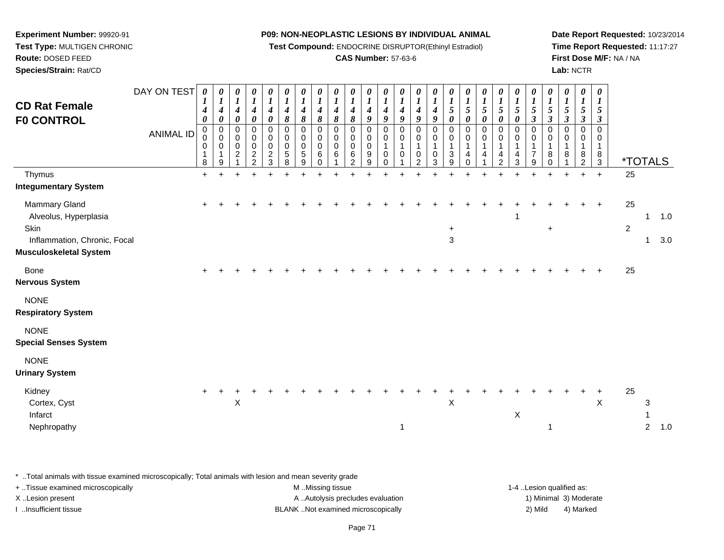**Test Compound:** ENDOCRINE DISRUPTOR(Ethinyl Estradiol)

# **CAS Number:** 57-63-6

**Date Report Requested:** 10/23/2014**Time Report Requested:** 11:17:27**First Dose M/F:** NA / NA**Lab:** NCTR

| DAY ON TEST<br>$\boldsymbol{\theta}$<br>$\pmb{\theta}$<br>0<br>$\boldsymbol{\theta}$<br>0<br>0<br>$\boldsymbol{\theta}$<br>$\pmb{\theta}$<br>0<br>$\pmb{\theta}$<br>0<br>0<br>0<br>0<br>0<br>0<br>0<br>0<br>0<br>0<br>0<br>0<br>0<br>0<br>0<br>$\boldsymbol{l}$<br>$\boldsymbol{l}$<br>$\boldsymbol{l}$<br>$\boldsymbol{l}$<br>$\boldsymbol{l}$<br>$\boldsymbol{l}$<br>$\boldsymbol{l}$<br>$\boldsymbol{l}$<br>$\boldsymbol{l}$<br>$\boldsymbol{l}$<br>$\boldsymbol{l}$<br>$\boldsymbol{l}$<br>$\boldsymbol{l}$<br>1<br>$\boldsymbol{l}$<br>$\boldsymbol{l}$<br>$\boldsymbol{l}$<br>$\boldsymbol{l}$<br>$\boldsymbol{l}$<br>$\boldsymbol{l}$<br>$\boldsymbol{l}$<br>1<br><b>CD Rat Female</b><br>5<br>$\mathfrak{s}$<br>$\sqrt{5}$<br>$\mathfrak{s}$<br>5<br>$\mathfrak{H}$<br>$\sqrt{5}$<br>5<br>$\boldsymbol{4}$<br>$\boldsymbol{4}$<br>4<br>5<br>5<br>4<br>$\boldsymbol{4}$<br>$\boldsymbol{4}$<br>$\boldsymbol{4}$<br>4<br>$\boldsymbol{4}$<br>4<br>4<br>$\boldsymbol{4}$<br>4<br>$\boldsymbol{4}$<br>4<br>8<br>$\pmb{\theta}$<br>$\pmb{\theta}$<br>8<br>9<br>9<br>$\boldsymbol{9}$<br>$\pmb{\theta}$<br>$\boldsymbol{\beta}$<br>0<br>$\pmb{\theta}$<br>8<br>8<br>8<br>9<br>9<br>$\pmb{\theta}$<br>0<br>$\boldsymbol{\theta}$<br>$\pmb{\theta}$<br>$\boldsymbol{\beta}$<br>$\boldsymbol{\beta}$<br>3<br><b>FO CONTROL</b><br>0<br>$\boldsymbol{\beta}$<br>$\mathbf 0$<br>$\pmb{0}$<br>$\mathbf 0$<br>$\pmb{0}$<br>$\mathbf 0$<br>0<br>0<br>$\mathbf 0$<br>$\mathbf 0$<br>$\mathbf 0$<br>$\mathbf 0$<br>0<br>$\mathbf 0$<br>$\mathbf 0$<br>0<br>0<br>0<br>0<br>0<br>$\mathbf 0$<br>0<br>0<br>$\Omega$<br>$\Omega$<br>0<br><b>ANIMAL ID</b><br>$\Omega$<br>0<br>0<br>0<br>0<br>$\mathbf 0$<br>0<br>0<br>0<br>$\mathbf 0$<br>0<br>0<br>0<br>0<br>0<br>0<br>0<br>$\Omega$<br>0<br>$\Omega$<br>0<br>0<br>0<br>0<br>$\mathbf 0$<br>$\mathbf 0$<br>$\mathbf 0$<br>$\mathbf 0$<br>$\mathbf 0$<br>$\mathbf 0$<br>0<br>$\mathbf{1}$<br>$\mathbf 0$<br>$\mathbf 0$<br>$\mathbf{1}$<br>1<br>$\mathbf{1}$<br>1<br>$\mathbf{1}$<br>1<br>0<br>0<br>$\mathbf{1}$<br>-1<br>1<br>1<br>$\mathbf{1}$<br>1<br>$\frac{2}{3}$<br>$^9_9$<br>$\overline{c}$<br>$\frac{2}{2}$<br>$\sqrt{5}$<br>6<br>6<br>3<br>5<br>6<br>0<br>0<br>0<br>4<br>7<br>8<br>$\frac{8}{2}$<br>$\frac{8}{3}$<br>0<br>4<br>4<br>8<br>1<br>4<br>1<br><i><b>*TOTALS</b></i><br>$\overline{9}$<br>$\overline{2}$<br>8<br>9<br>3<br>9<br>$\overline{2}$<br>3<br>9<br>8<br>$\mathbf 0$<br>$\overline{2}$<br>$\mathbf 0$<br>$\mathbf 0$<br>0<br>Thymus<br>25<br>$+$<br>$+$<br>$\ddot{}$<br>$+$<br>$\ddot{}$<br>$\ddot{}$<br>$+$<br>$\ddot{}$<br>$\ddot{}$<br>$+$<br>$\ddot{}$<br>$\div$<br>÷<br>+<br>÷<br>$\ddot{}$<br>÷<br>$\div$<br>$\pm$<br>$\ddot{}$<br>$\ddot{}$<br>÷<br>$\div$<br>25<br>Mammary Gland<br>$\ddot{}$<br>Alveolus, Hyperplasia<br>1.0<br>-1<br>1<br>$\overline{2}$<br>Skin<br>$\ddot{}$<br>$\ddot{}$<br>Inflammation, Chronic, Focal<br>$\mathbf{3}$<br>3.0<br>25<br>Bone<br>$\ddot{}$<br><b>NONE</b><br><b>NONE</b><br><b>NONE</b><br>25<br>Kidney<br>$\ddot{}$<br>$\mathsf X$<br>$\mathsf X$<br>$\mathsf X$<br>Cortex, Cyst<br>3<br>$\mathsf X$<br>Infarct<br>$\overline{c}$<br>1.0<br>Nephropathy<br>$\mathbf{1}$<br>1 | Species/Strain: Rat/CD      |  |  |  |  |  |  |  |  |  |  |  | Lab: NCTR |  |  |  |
|-----------------------------------------------------------------------------------------------------------------------------------------------------------------------------------------------------------------------------------------------------------------------------------------------------------------------------------------------------------------------------------------------------------------------------------------------------------------------------------------------------------------------------------------------------------------------------------------------------------------------------------------------------------------------------------------------------------------------------------------------------------------------------------------------------------------------------------------------------------------------------------------------------------------------------------------------------------------------------------------------------------------------------------------------------------------------------------------------------------------------------------------------------------------------------------------------------------------------------------------------------------------------------------------------------------------------------------------------------------------------------------------------------------------------------------------------------------------------------------------------------------------------------------------------------------------------------------------------------------------------------------------------------------------------------------------------------------------------------------------------------------------------------------------------------------------------------------------------------------------------------------------------------------------------------------------------------------------------------------------------------------------------------------------------------------------------------------------------------------------------------------------------------------------------------------------------------------------------------------------------------------------------------------------------------------------------------------------------------------------------------------------------------------------------------------------------------------------------------------------------------------------------------------------------------------------------------------------------------------------------------------------------------------------------------------------------------------------------------------------------------------------------------------------------------------------------------------------------------------------------------------------------------------------------------------------------------------------------------------------------------------------------------------------------------------------------------------------------------------------------------------------------------------------------------------------|-----------------------------|--|--|--|--|--|--|--|--|--|--|--|-----------|--|--|--|
|                                                                                                                                                                                                                                                                                                                                                                                                                                                                                                                                                                                                                                                                                                                                                                                                                                                                                                                                                                                                                                                                                                                                                                                                                                                                                                                                                                                                                                                                                                                                                                                                                                                                                                                                                                                                                                                                                                                                                                                                                                                                                                                                                                                                                                                                                                                                                                                                                                                                                                                                                                                                                                                                                                                                                                                                                                                                                                                                                                                                                                                                                                                                                                                         |                             |  |  |  |  |  |  |  |  |  |  |  |           |  |  |  |
| Musculoskeletal System<br><b>Nervous System</b><br><b>Respiratory System</b><br><b>Special Senses System</b><br><b>Urinary System</b>                                                                                                                                                                                                                                                                                                                                                                                                                                                                                                                                                                                                                                                                                                                                                                                                                                                                                                                                                                                                                                                                                                                                                                                                                                                                                                                                                                                                                                                                                                                                                                                                                                                                                                                                                                                                                                                                                                                                                                                                                                                                                                                                                                                                                                                                                                                                                                                                                                                                                                                                                                                                                                                                                                                                                                                                                                                                                                                                                                                                                                                   | <b>Integumentary System</b> |  |  |  |  |  |  |  |  |  |  |  |           |  |  |  |
|                                                                                                                                                                                                                                                                                                                                                                                                                                                                                                                                                                                                                                                                                                                                                                                                                                                                                                                                                                                                                                                                                                                                                                                                                                                                                                                                                                                                                                                                                                                                                                                                                                                                                                                                                                                                                                                                                                                                                                                                                                                                                                                                                                                                                                                                                                                                                                                                                                                                                                                                                                                                                                                                                                                                                                                                                                                                                                                                                                                                                                                                                                                                                                                         |                             |  |  |  |  |  |  |  |  |  |  |  |           |  |  |  |
|                                                                                                                                                                                                                                                                                                                                                                                                                                                                                                                                                                                                                                                                                                                                                                                                                                                                                                                                                                                                                                                                                                                                                                                                                                                                                                                                                                                                                                                                                                                                                                                                                                                                                                                                                                                                                                                                                                                                                                                                                                                                                                                                                                                                                                                                                                                                                                                                                                                                                                                                                                                                                                                                                                                                                                                                                                                                                                                                                                                                                                                                                                                                                                                         |                             |  |  |  |  |  |  |  |  |  |  |  |           |  |  |  |
|                                                                                                                                                                                                                                                                                                                                                                                                                                                                                                                                                                                                                                                                                                                                                                                                                                                                                                                                                                                                                                                                                                                                                                                                                                                                                                                                                                                                                                                                                                                                                                                                                                                                                                                                                                                                                                                                                                                                                                                                                                                                                                                                                                                                                                                                                                                                                                                                                                                                                                                                                                                                                                                                                                                                                                                                                                                                                                                                                                                                                                                                                                                                                                                         |                             |  |  |  |  |  |  |  |  |  |  |  |           |  |  |  |
|                                                                                                                                                                                                                                                                                                                                                                                                                                                                                                                                                                                                                                                                                                                                                                                                                                                                                                                                                                                                                                                                                                                                                                                                                                                                                                                                                                                                                                                                                                                                                                                                                                                                                                                                                                                                                                                                                                                                                                                                                                                                                                                                                                                                                                                                                                                                                                                                                                                                                                                                                                                                                                                                                                                                                                                                                                                                                                                                                                                                                                                                                                                                                                                         |                             |  |  |  |  |  |  |  |  |  |  |  |           |  |  |  |
|                                                                                                                                                                                                                                                                                                                                                                                                                                                                                                                                                                                                                                                                                                                                                                                                                                                                                                                                                                                                                                                                                                                                                                                                                                                                                                                                                                                                                                                                                                                                                                                                                                                                                                                                                                                                                                                                                                                                                                                                                                                                                                                                                                                                                                                                                                                                                                                                                                                                                                                                                                                                                                                                                                                                                                                                                                                                                                                                                                                                                                                                                                                                                                                         |                             |  |  |  |  |  |  |  |  |  |  |  |           |  |  |  |
|                                                                                                                                                                                                                                                                                                                                                                                                                                                                                                                                                                                                                                                                                                                                                                                                                                                                                                                                                                                                                                                                                                                                                                                                                                                                                                                                                                                                                                                                                                                                                                                                                                                                                                                                                                                                                                                                                                                                                                                                                                                                                                                                                                                                                                                                                                                                                                                                                                                                                                                                                                                                                                                                                                                                                                                                                                                                                                                                                                                                                                                                                                                                                                                         |                             |  |  |  |  |  |  |  |  |  |  |  |           |  |  |  |

\* ..Total animals with tissue examined microscopically; Total animals with lesion and mean severity grade

**Experiment Number:** 99920-91**Test Type:** MULTIGEN CHRONIC

**Route:** DOSED FEED

| + Tissue examined microscopically | M Missing tissue                   | 1-4 Lesion qualified as: |
|-----------------------------------|------------------------------------|--------------------------|
| X Lesion present                  | A Autolysis precludes evaluation   | 1) Minimal 3) Moderate   |
| Insufficient tissue               | BLANK Not examined microscopically | 2) Mild<br>4) Marked     |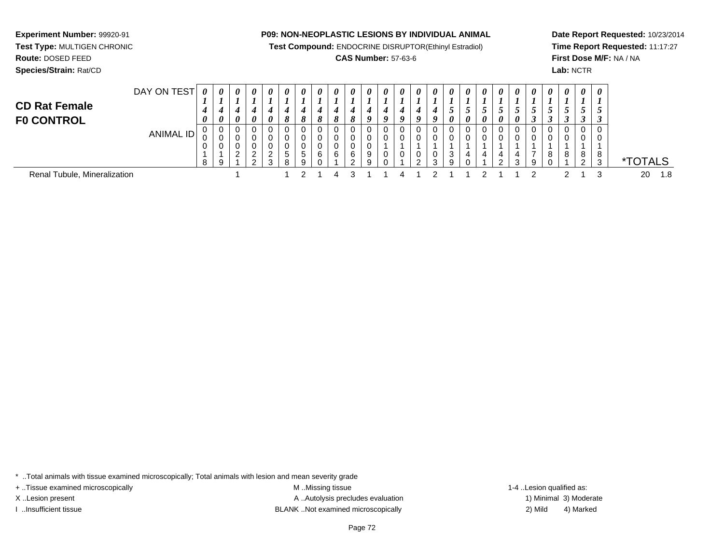**Test Compound:** ENDOCRINE DISRUPTOR(Ethinyl Estradiol)

# **CAS Number:** 57-63-6

**Date Report Requested:** 10/23/2014**Time Report Requested:** 11:17:27**First Dose M/F:** NA / NA**Lab:** NCTR

**Experiment Number:** 99920-91**Test Type:** MULTIGEN CHRONIC

| <b>CD Rat Female</b><br><b>FO CONTROL</b> | DAY ON TEST | $\boldsymbol{\theta}$<br>U | 0<br>0 | $\boldsymbol{\theta}$<br>$\boldsymbol{\theta}$ | $\boldsymbol{\theta}$<br>0 | $\theta$<br>0    | $\boldsymbol{\theta}$<br>4<br>8 | $\boldsymbol{\theta}$<br>$\mathbf{o}$<br>$\mathbf{o}$ | $\boldsymbol{\theta}$<br>$\mathbf{o}$ | $\theta$ | $\boldsymbol{\theta}$ | 0<br>$\boldsymbol{0}$ | $\theta$<br>o | $\boldsymbol{\theta}$ | $\boldsymbol{\theta}$<br>0 | $\boldsymbol{\theta}$<br>o | $\theta$<br>0 | $\boldsymbol{\theta}$<br>0 | 0<br>$\boldsymbol{\theta}$ | $\theta$<br>0 | $\boldsymbol{\theta}$<br>0 | $\boldsymbol{\theta}$ | $\theta$<br>◡    | $\theta$ | $\boldsymbol{\theta}$<br>J<br>J | 0<br>◡ |                       |
|-------------------------------------------|-------------|----------------------------|--------|------------------------------------------------|----------------------------|------------------|---------------------------------|-------------------------------------------------------|---------------------------------------|----------|-----------------------|-----------------------|---------------|-----------------------|----------------------------|----------------------------|---------------|----------------------------|----------------------------|---------------|----------------------------|-----------------------|------------------|----------|---------------------------------|--------|-----------------------|
|                                           | ANIMAL ID   | U<br>v<br>v<br>R           | 0<br>ν | 0<br>v<br>υ<br>ົ                               | ົ<br>$\sim$                | $\sim$<br>∠<br>ົ |                                 | 5<br>a                                                | 6                                     | 6        | U<br>υ<br>υ<br>6      | 9                     |               |                       | ◠                          | υ<br>υ<br>ົ                | 2<br>J        | U                          |                            | 0<br>4<br>ົ   | 4<br>ີ                     | 9                     | 0<br>0<br>8<br>n | 0<br>8   | 0<br>0<br>8<br>ົ                | 8<br>3 | <i><b>*TOTALS</b></i> |
| Renal Tubule, Mineralization              |             |                            |        |                                                |                            |                  |                                 |                                                       |                                       |          |                       |                       |               |                       |                            |                            |               |                            |                            |               |                            |                       |                  |          |                                 |        | 20<br>1.8             |

\* ..Total animals with tissue examined microscopically; Total animals with lesion and mean severity grade

+ ..Tissue examined microscopically examined microscopically examined as:  $M$  ..Missing tissue 1-4 ..Lesion qualified as:

X..Lesion present **A ..Autolysis precludes evaluation** A ..Autolysis precludes evaluation 1) Minimal 3) Moderate I ..Insufficient tissue BLANK ..Not examined microscopically 2) Mild 4) Marked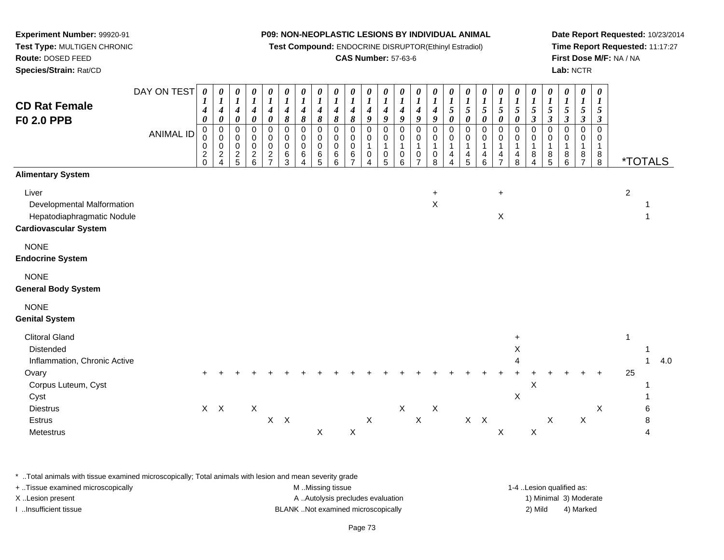**Test Compound:** ENDOCRINE DISRUPTOR(Ethinyl Estradiol)

#### **CAS Number:** 57-63-6

**Date Report Requested:** 10/23/2014**Time Report Requested:** 11:17:27**First Dose M/F:** NA / NA**Lab:** NCTR

| <b>CD Rat Female</b><br><b>F0 2.0 PPB</b><br><b>Alimentary System</b>                                                                                | DAY ON TEST<br><b>ANIMAL ID</b> | 1<br>4<br>0<br>0<br>0<br>$^2_{0}$ | $\boldsymbol{\theta}$<br>$\boldsymbol{l}$<br>$\boldsymbol{4}$<br>$\pmb{\theta}$<br>$\pmb{0}$<br>$\pmb{0}$<br>$\mathbf 0$<br>$\sqrt{2}$<br>$\overline{A}$ | 0<br>$\boldsymbol{l}$<br>$\boldsymbol{4}$<br>$\pmb{\theta}$<br>$\pmb{0}$<br>$\pmb{0}$<br>$\pmb{0}$<br>$rac{2}{5}$ | $\begin{array}{c} 0 \\ 1 \\ 4 \end{array}$<br>$\boldsymbol{\theta}$<br>0<br>$\pmb{0}$<br>$\mathsf{O}\xspace$<br>$\overline{c}$<br>6 | 0<br>$\boldsymbol{l}$<br>$\boldsymbol{4}$<br>$\boldsymbol{\theta}$<br>0<br>$\pmb{0}$<br>$\pmb{0}$<br>$\overline{a}$<br>$\overline{7}$ | 0<br>$\boldsymbol{l}$<br>$\boldsymbol{4}$<br>$\boldsymbol{\delta}$<br>$\mathbf 0$<br>$\mathbf 0$<br>$\mathbf 0$<br>6<br>3 | 0<br>$\boldsymbol{l}$<br>$\boldsymbol{4}$<br>$\pmb{8}$<br>$\mathbf 0$<br>$\mathbf 0$<br>$\mathbf 0$<br>6 | 0<br>$\boldsymbol{l}$<br>$\boldsymbol{4}$<br>8<br>$\mathbf 0$<br>0<br>$\mathbf 0$<br>6<br>5 | 0<br>$\boldsymbol{l}$<br>4<br>8<br>$\Omega$<br>0<br>$\mathbf 0$<br>6<br>6 | 0<br>$\boldsymbol{l}$<br>$\boldsymbol{4}$<br>8<br>$\mathbf 0$<br>$\mathbf 0$<br>$\mathbf 0$<br>6 | $\boldsymbol{\theta}$<br>$\boldsymbol{l}$<br>$\boldsymbol{4}$<br>9<br>$\mathbf 0$<br>$\pmb{0}$<br>$\mathbf{1}$<br>$\mathbf 0$<br>4 | $\boldsymbol{\theta}$<br>$\boldsymbol{l}$<br>$\boldsymbol{4}$<br>9<br>$\mathbf 0$<br>$\pmb{0}$<br>$\mathbf{1}$<br>0<br>5 | 0<br>$\boldsymbol{l}$<br>$\boldsymbol{4}$<br>9<br>$\pmb{0}$<br>$\mathbf 0$<br>$\mathbf{1}$<br>0<br>6 | 0<br>$\boldsymbol{l}$<br>$\boldsymbol{4}$<br>9<br>$\mathbf 0$<br>0<br>$\mathbf{1}$<br>$\,0\,$<br>$\overline{7}$ | $\boldsymbol{\theta}$<br>$\boldsymbol{l}$<br>$\boldsymbol{4}$<br>9<br>$\mathbf 0$<br>$\mathbf 0$<br>$\mathbf{1}$<br>0<br>8 | 0<br>$\boldsymbol{l}$<br>$\sqrt{5}$<br>0<br>$\mathbf 0$<br>0<br>$\mathbf{1}$<br>4<br>$\boldsymbol{\Lambda}$ | 0<br>$\boldsymbol{l}$<br>$\mathfrak{s}$<br>$\pmb{\theta}$<br>$\mathbf 0$<br>$\mathbf 0$<br>$\mathbf{1}$<br>$\overline{4}$<br>5 | 0<br>$\boldsymbol{l}$<br>5<br>$\pmb{\theta}$<br>0<br>$\pmb{0}$<br>$\mathbf{1}$<br>4<br>6 | $\pmb{\theta}$<br>$\boldsymbol{l}$<br>$\mathfrak{s}$<br>0<br>$\pmb{0}$<br>$\pmb{0}$<br>$\mathbf{1}$<br>4<br>$\overline{7}$ | 0<br>$\boldsymbol{l}$<br>$\mathfrak{s}$<br>$\boldsymbol{\theta}$<br>$\mathbf 0$<br>$\mathsf 0$<br>$\mathbf{1}$<br>4<br>8 | $\boldsymbol{\theta}$<br>$\boldsymbol{l}$<br>$\sqrt{5}$<br>$\mathfrak{z}$<br>$\mathbf 0$<br>$\mathbf 0$<br>$\mathbf{1}$<br>8<br>4 | 0<br>$\boldsymbol{l}$<br>5<br>$\mathfrak{z}$<br>0<br>0<br>$\mathbf{1}$<br>8<br>5 | 0<br>$\boldsymbol{l}$<br>5<br>$\mathfrak{z}$<br>$\Omega$<br>$\Omega$<br>$\mathbf{1}$<br>8<br>6 | $\boldsymbol{\theta}$<br>$\boldsymbol{l}$<br>5<br>$\boldsymbol{\beta}$<br>$\mathbf 0$<br>0<br>$\mathbf 1$<br>8<br>$\overline{7}$ | 0<br>$\boldsymbol{l}$<br>5<br>$\boldsymbol{\beta}$<br>$\mathbf 0$<br>0<br>$\mathbf{1}$<br>$\bf 8$<br>8 |                    | <i><b>*TOTALS</b></i> |     |
|------------------------------------------------------------------------------------------------------------------------------------------------------|---------------------------------|-----------------------------------|----------------------------------------------------------------------------------------------------------------------------------------------------------|-------------------------------------------------------------------------------------------------------------------|-------------------------------------------------------------------------------------------------------------------------------------|---------------------------------------------------------------------------------------------------------------------------------------|---------------------------------------------------------------------------------------------------------------------------|----------------------------------------------------------------------------------------------------------|---------------------------------------------------------------------------------------------|---------------------------------------------------------------------------|--------------------------------------------------------------------------------------------------|------------------------------------------------------------------------------------------------------------------------------------|--------------------------------------------------------------------------------------------------------------------------|------------------------------------------------------------------------------------------------------|-----------------------------------------------------------------------------------------------------------------|----------------------------------------------------------------------------------------------------------------------------|-------------------------------------------------------------------------------------------------------------|--------------------------------------------------------------------------------------------------------------------------------|------------------------------------------------------------------------------------------|----------------------------------------------------------------------------------------------------------------------------|--------------------------------------------------------------------------------------------------------------------------|-----------------------------------------------------------------------------------------------------------------------------------|----------------------------------------------------------------------------------|------------------------------------------------------------------------------------------------|----------------------------------------------------------------------------------------------------------------------------------|--------------------------------------------------------------------------------------------------------|--------------------|-----------------------|-----|
| Liver<br>Developmental Malformation<br>Hepatodiaphragmatic Nodule<br><b>Cardiovascular System</b>                                                    |                                 |                                   |                                                                                                                                                          |                                                                                                                   |                                                                                                                                     |                                                                                                                                       |                                                                                                                           |                                                                                                          |                                                                                             |                                                                           |                                                                                                  |                                                                                                                                    |                                                                                                                          |                                                                                                      |                                                                                                                 | $\ddot{}$<br>$\pmb{\times}$                                                                                                |                                                                                                             |                                                                                                                                |                                                                                          | $+$<br>X                                                                                                                   |                                                                                                                          |                                                                                                                                   |                                                                                  |                                                                                                |                                                                                                                                  |                                                                                                        | $\overline{c}$     |                       |     |
| <b>NONE</b><br><b>Endocrine System</b>                                                                                                               |                                 |                                   |                                                                                                                                                          |                                                                                                                   |                                                                                                                                     |                                                                                                                                       |                                                                                                                           |                                                                                                          |                                                                                             |                                                                           |                                                                                                  |                                                                                                                                    |                                                                                                                          |                                                                                                      |                                                                                                                 |                                                                                                                            |                                                                                                             |                                                                                                                                |                                                                                          |                                                                                                                            |                                                                                                                          |                                                                                                                                   |                                                                                  |                                                                                                |                                                                                                                                  |                                                                                                        |                    |                       |     |
| <b>NONE</b><br><b>General Body System</b>                                                                                                            |                                 |                                   |                                                                                                                                                          |                                                                                                                   |                                                                                                                                     |                                                                                                                                       |                                                                                                                           |                                                                                                          |                                                                                             |                                                                           |                                                                                                  |                                                                                                                                    |                                                                                                                          |                                                                                                      |                                                                                                                 |                                                                                                                            |                                                                                                             |                                                                                                                                |                                                                                          |                                                                                                                            |                                                                                                                          |                                                                                                                                   |                                                                                  |                                                                                                |                                                                                                                                  |                                                                                                        |                    |                       |     |
| <b>NONE</b><br><b>Genital System</b>                                                                                                                 |                                 |                                   |                                                                                                                                                          |                                                                                                                   |                                                                                                                                     |                                                                                                                                       |                                                                                                                           |                                                                                                          |                                                                                             |                                                                           |                                                                                                  |                                                                                                                                    |                                                                                                                          |                                                                                                      |                                                                                                                 |                                                                                                                            |                                                                                                             |                                                                                                                                |                                                                                          |                                                                                                                            |                                                                                                                          |                                                                                                                                   |                                                                                  |                                                                                                |                                                                                                                                  |                                                                                                        |                    |                       |     |
| <b>Clitoral Gland</b><br>Distended<br>Inflammation, Chronic Active<br>Ovary<br>Corpus Luteum, Cyst<br>Cyst<br><b>Diestrus</b><br>Estrus<br>Metestrus |                                 | ÷                                 | $X$ $X$                                                                                                                                                  |                                                                                                                   | X                                                                                                                                   |                                                                                                                                       | $X$ $X$                                                                                                                   |                                                                                                          | X                                                                                           |                                                                           | X                                                                                                | $\pmb{\times}$                                                                                                                     |                                                                                                                          | $\mathsf{X}$                                                                                         | $\boldsymbol{\mathsf{X}}$                                                                                       | X                                                                                                                          |                                                                                                             | $X$ $X$                                                                                                                        |                                                                                          | X                                                                                                                          | X<br>$\mathsf X$                                                                                                         | $\mathsf X$<br>X                                                                                                                  | $\mathsf X$                                                                      |                                                                                                | $\mathsf X$                                                                                                                      | $\ddot{}$<br>X                                                                                         | $\mathbf{1}$<br>25 | 1<br>8<br>4           | 4.0 |

\* ..Total animals with tissue examined microscopically; Total animals with lesion and mean severity grade

**Experiment Number:** 99920-91**Test Type:** MULTIGEN CHRONIC

| + Tissue examined microscopically | M Missing tissue                   | 1-4 Lesion qualified as: |                        |
|-----------------------------------|------------------------------------|--------------------------|------------------------|
| X Lesion present                  | A Autolysis precludes evaluation   |                          | 1) Minimal 3) Moderate |
| …Insufficient tissue              | BLANK Not examined microscopically | 2) Mild                  | 4) Marked              |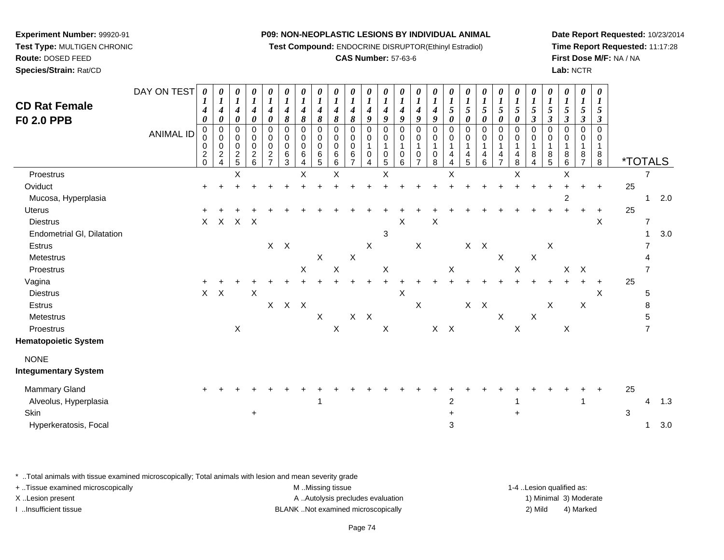**Test Compound:** ENDOCRINE DISRUPTOR(Ethinyl Estradiol)

#### **CAS Number:** 57-63-6

**Date Report Requested:** 10/23/2014**Time Report Requested:** 11:17:28**First Dose M/F:** NA / NA**Lab:** NCTR

| <b>CD Rat Female</b><br><b>F0 2.0 PPB</b>                                      | DAY ON TEST<br><b>ANIMAL ID</b> | $\boldsymbol{\theta}$<br>1<br>4<br>0<br>$\mathbf 0$<br>0<br>0<br>$\overline{c}$<br>$\Omega$ | 0<br>$\boldsymbol{l}$<br>4<br>$\boldsymbol{\theta}$<br>$\mathbf 0$<br>0<br>0<br>$\boldsymbol{2}$<br>$\overline{4}$ | 0<br>$\boldsymbol{l}$<br>4<br>$\boldsymbol{\theta}$<br>$\mathbf 0$<br>0<br>$\pmb{0}$<br>$\frac{2}{5}$ | 0<br>$\boldsymbol{l}$<br>$\boldsymbol{4}$<br>0<br>$\mathbf 0$<br>0<br>0<br>$\boldsymbol{2}$<br>$6\phantom{1}6$ | 0<br>$\boldsymbol{l}$<br>$\boldsymbol{4}$<br>0<br>$\mathbf 0$<br>0<br>0<br>$\overline{c}$<br>$\overline{7}$ | 0<br>$\boldsymbol{l}$<br>4<br>8<br>$\mathbf 0$<br>$\pmb{0}$<br>0<br>6<br>$\mathfrak{S}$ | 0<br>$\boldsymbol{l}$<br>$\boldsymbol{4}$<br>8<br>$\mathbf 0$<br>0<br>0<br>6<br>4 | 0<br>$\boldsymbol{l}$<br>$\boldsymbol{4}$<br>8<br>$\Omega$<br>0<br>0<br>$\,6$<br>5 | 0<br>$\boldsymbol{l}$<br>4<br>8<br>0<br>0<br>0<br>6<br>6 | 0<br>$\boldsymbol{l}$<br>4<br>$\pmb{8}$<br>$\mathbf 0$<br>0<br>0<br>6<br>$\overline{ }$ | 0<br>$\boldsymbol{l}$<br>4<br>9<br>$\mathbf 0$<br>0<br>$\mathbf{1}$<br>0<br>$\overline{4}$ | 0<br>$\boldsymbol{l}$<br>4<br>9<br>$\mathbf 0$<br>0<br>$\mathbf 1$<br>$\pmb{0}$<br>$\overline{5}$ | $\boldsymbol{\theta}$<br>$\boldsymbol{l}$<br>4<br>9<br>$\Omega$<br>0<br>$\mathbf{1}$<br>0<br>$6\phantom{1}6$ | 0<br>$\boldsymbol{l}$<br>$\boldsymbol{4}$<br>$\boldsymbol{q}$<br>$\mathbf 0$<br>0<br>1<br>0<br>$\overline{7}$ | $\boldsymbol{\theta}$<br>$\boldsymbol{l}$<br>$\boldsymbol{4}$<br>9<br>0<br>0<br>1<br>0<br>8 | $\boldsymbol{\theta}$<br>$\boldsymbol{l}$<br>5<br>0<br>$\Omega$<br>0<br>4<br>4 | $\boldsymbol{\theta}$<br>$\boldsymbol{l}$<br>$\sqrt{5}$<br>0<br>$\Omega$<br>0<br>1<br>4<br>5 | 0<br>$\boldsymbol{l}$<br>5<br>0<br>0<br>0<br>4<br>6 | 0<br>$\boldsymbol{l}$<br>$\sqrt{5}$<br>0<br>0<br>0<br>4<br>$\overline{7}$ | 0<br>$\boldsymbol{l}$<br>5<br>$\boldsymbol{\theta}$<br>$\Omega$<br>0<br>$\mathbf{1}$<br>4<br>8 | $\boldsymbol{\theta}$<br>$\boldsymbol{l}$<br>$\mathfrak{s}$<br>3<br>$\mathbf 0$<br>0<br>1<br>8<br>4 | 0<br>$\boldsymbol{l}$<br>$\mathfrak{z}$<br>$\boldsymbol{\beta}$<br>$\Omega$<br>0<br>8<br>5 | 0<br>$\boldsymbol{l}$<br>$\sqrt{5}$<br>$\boldsymbol{\beta}$<br>0<br>0<br>8<br>6 | 0<br>$\boldsymbol{l}$<br>5<br>$\boldsymbol{\beta}$<br>$\mathbf 0$<br>0<br>$\mathbf 1$<br>8<br>$\overline{7}$ | 0<br>1<br>5<br>3<br>0<br>0<br>$\mathbf 1$<br>8<br>8 |         | <i><b>*TOTALS</b></i>    |            |
|--------------------------------------------------------------------------------|---------------------------------|---------------------------------------------------------------------------------------------|--------------------------------------------------------------------------------------------------------------------|-------------------------------------------------------------------------------------------------------|----------------------------------------------------------------------------------------------------------------|-------------------------------------------------------------------------------------------------------------|-----------------------------------------------------------------------------------------|-----------------------------------------------------------------------------------|------------------------------------------------------------------------------------|----------------------------------------------------------|-----------------------------------------------------------------------------------------|--------------------------------------------------------------------------------------------|---------------------------------------------------------------------------------------------------|--------------------------------------------------------------------------------------------------------------|---------------------------------------------------------------------------------------------------------------|---------------------------------------------------------------------------------------------|--------------------------------------------------------------------------------|----------------------------------------------------------------------------------------------|-----------------------------------------------------|---------------------------------------------------------------------------|------------------------------------------------------------------------------------------------|-----------------------------------------------------------------------------------------------------|--------------------------------------------------------------------------------------------|---------------------------------------------------------------------------------|--------------------------------------------------------------------------------------------------------------|-----------------------------------------------------|---------|--------------------------|------------|
| Proestrus                                                                      |                                 |                                                                                             |                                                                                                                    | Χ                                                                                                     |                                                                                                                |                                                                                                             |                                                                                         | Χ                                                                                 |                                                                                    | Χ                                                        |                                                                                         |                                                                                            | X                                                                                                 |                                                                                                              |                                                                                                               |                                                                                             | X                                                                              |                                                                                              |                                                     |                                                                           | X                                                                                              |                                                                                                     |                                                                                            | Χ                                                                               |                                                                                                              |                                                     |         | 7                        |            |
| Oviduct<br>Mucosa, Hyperplasia                                                 |                                 |                                                                                             |                                                                                                                    |                                                                                                       |                                                                                                                |                                                                                                             |                                                                                         |                                                                                   |                                                                                    |                                                          |                                                                                         |                                                                                            |                                                                                                   |                                                                                                              |                                                                                                               |                                                                                             |                                                                                |                                                                                              |                                                     |                                                                           |                                                                                                |                                                                                                     |                                                                                            | $\overline{2}$                                                                  |                                                                                                              | $\ddot{}$                                           | 25      | 1                        | 2.0        |
| Uterus<br><b>Diestrus</b><br>Endometrial GI, Dilatation                        |                                 | $\times$                                                                                    | $\mathsf{X}$                                                                                                       | X X                                                                                                   |                                                                                                                |                                                                                                             |                                                                                         |                                                                                   |                                                                                    |                                                          |                                                                                         |                                                                                            | $\mathbf{3}$                                                                                      | Χ                                                                                                            |                                                                                                               | Χ                                                                                           |                                                                                |                                                                                              |                                                     |                                                                           |                                                                                                |                                                                                                     |                                                                                            |                                                                                 |                                                                                                              | X                                                   | 25      | 7<br>1                   | 3.0        |
| Estrus<br>Metestrus                                                            |                                 |                                                                                             |                                                                                                                    |                                                                                                       |                                                                                                                |                                                                                                             | $X$ $X$                                                                                 |                                                                                   | $\pmb{\times}$                                                                     |                                                          | $\mathsf{X}$                                                                            | X                                                                                          |                                                                                                   |                                                                                                              | X                                                                                                             |                                                                                             |                                                                                | $X$ $X$                                                                                      |                                                     | $\boldsymbol{\mathsf{X}}$                                                 |                                                                                                | $\boldsymbol{\mathsf{X}}$                                                                           | X                                                                                          |                                                                                 |                                                                                                              |                                                     |         | 7                        |            |
| Proestrus<br>Vagina<br><b>Diestrus</b>                                         |                                 | X                                                                                           | $\boldsymbol{\mathsf{X}}$                                                                                          |                                                                                                       | X                                                                                                              |                                                                                                             |                                                                                         | X                                                                                 |                                                                                    | $\mathsf X$                                              |                                                                                         |                                                                                            | X                                                                                                 | X                                                                                                            |                                                                                                               |                                                                                             | X                                                                              |                                                                                              |                                                     |                                                                           | $\mathsf X$                                                                                    |                                                                                                     |                                                                                            | $\mathsf{X}^-$                                                                  | $\boldsymbol{\mathsf{X}}$                                                                                    | $\ddot{}$<br>X                                      | 25      | 7<br>5                   |            |
| Estrus<br>Metestrus<br>Proestrus<br><b>Hematopoietic System</b>                |                                 |                                                                                             |                                                                                                                    | $\mathsf X$                                                                                           |                                                                                                                | X                                                                                                           | $X$ $X$                                                                                 |                                                                                   | $\mathsf{X}$                                                                       | $\mathsf X$                                              |                                                                                         | $X$ $X$                                                                                    | $\mathsf X$                                                                                       |                                                                                                              | X                                                                                                             | $X$ $X$                                                                                     |                                                                                | $X$ $X$                                                                                      |                                                     | $\mathsf{X}$                                                              | $\mathsf X$                                                                                    | $\mathsf X$                                                                                         | $\boldsymbol{\mathsf{X}}$                                                                  | $\boldsymbol{\mathsf{X}}$                                                       | $\mathsf X$                                                                                                  |                                                     |         | 8<br>5<br>$\overline{7}$ |            |
| <b>NONE</b><br><b>Integumentary System</b>                                     |                                 |                                                                                             |                                                                                                                    |                                                                                                       |                                                                                                                |                                                                                                             |                                                                                         |                                                                                   |                                                                                    |                                                          |                                                                                         |                                                                                            |                                                                                                   |                                                                                                              |                                                                                                               |                                                                                             |                                                                                |                                                                                              |                                                     |                                                                           |                                                                                                |                                                                                                     |                                                                                            |                                                                                 |                                                                                                              |                                                     |         |                          |            |
| <b>Mammary Gland</b><br>Alveolus, Hyperplasia<br>Skin<br>Hyperkeratosis, Focal |                                 |                                                                                             |                                                                                                                    |                                                                                                       | $\ddot{}$                                                                                                      |                                                                                                             |                                                                                         |                                                                                   | 1                                                                                  |                                                          |                                                                                         |                                                                                            |                                                                                                   |                                                                                                              |                                                                                                               |                                                                                             | 2<br>+<br>3                                                                    |                                                                                              |                                                     |                                                                           | $\ddot{}$                                                                                      |                                                                                                     |                                                                                            |                                                                                 |                                                                                                              |                                                     | 25<br>3 | 4<br>1                   | 1.3<br>3.0 |
|                                                                                |                                 |                                                                                             |                                                                                                                    |                                                                                                       |                                                                                                                |                                                                                                             |                                                                                         |                                                                                   |                                                                                    |                                                          |                                                                                         |                                                                                            |                                                                                                   |                                                                                                              |                                                                                                               |                                                                                             |                                                                                |                                                                                              |                                                     |                                                                           |                                                                                                |                                                                                                     |                                                                                            |                                                                                 |                                                                                                              |                                                     |         |                          |            |

\* ..Total animals with tissue examined microscopically; Total animals with lesion and mean severity grade

**Experiment Number:** 99920-91**Test Type:** MULTIGEN CHRONIC

| + Tissue examined microscopically | M Missing tissue                   | 1-4 Lesion qualified as: |                        |
|-----------------------------------|------------------------------------|--------------------------|------------------------|
| X Lesion present                  | A Autolysis precludes evaluation   |                          | 1) Minimal 3) Moderate |
| …Insufficient tissue              | BLANK Not examined microscopically | 2) Mild                  | 4) Marked              |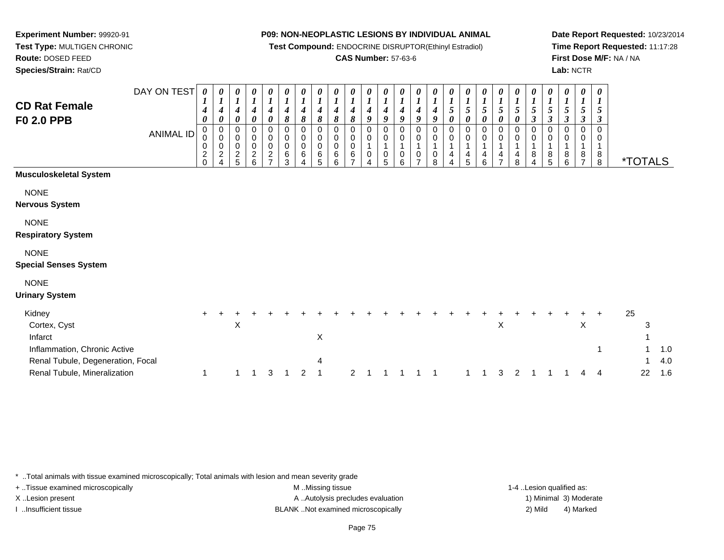**Test Compound:** ENDOCRINE DISRUPTOR(Ethinyl Estradiol)

#### **CAS Number:** 57-63-6

**Date Report Requested:** 10/23/2014**Time Report Requested:** 11:17:28**First Dose M/F:** NA / NA**Lab:** NCTR

| Species/Strain: Rat/CD                      |             |                                                       |                                              |                                    |                                                           |                                                 |                                                |                                                |                                                |                                 |                                    |                            |                                      |                            |                               |                                                |                            |                                          |                                      |             |                                 |                        |                                     |                                                    | Lab: NCTR                     |                                                                |                       |
|---------------------------------------------|-------------|-------------------------------------------------------|----------------------------------------------|------------------------------------|-----------------------------------------------------------|-------------------------------------------------|------------------------------------------------|------------------------------------------------|------------------------------------------------|---------------------------------|------------------------------------|----------------------------|--------------------------------------|----------------------------|-------------------------------|------------------------------------------------|----------------------------|------------------------------------------|--------------------------------------|-------------|---------------------------------|------------------------|-------------------------------------|----------------------------------------------------|-------------------------------|----------------------------------------------------------------|-----------------------|
| <b>CD Rat Female</b><br>F0 2.0 PPB          | DAY ON TEST | 0<br>$\boldsymbol{4}$<br>0                            | $\mathbf{I}$<br>4<br>0                       | 1<br>4<br>0                        | $\mathbf{I}$<br>$\boldsymbol{4}$<br>$\boldsymbol{\theta}$ | 0<br>$\boldsymbol{4}$<br>0                      | 0<br>$\boldsymbol{l}$<br>$\boldsymbol{4}$<br>8 | 0<br>$\boldsymbol{l}$<br>$\boldsymbol{4}$<br>8 | 0<br>$\boldsymbol{l}$<br>$\boldsymbol{4}$<br>8 | 0<br>4<br>8                     | 0<br>$\boldsymbol{l}$<br>4<br>8    | $\boldsymbol{l}$<br>4<br>9 | $\boldsymbol{\theta}$<br>1<br>4<br>9 | 0<br>$\boldsymbol{4}$<br>9 | 0<br>1<br>4<br>9              | 0<br>$\boldsymbol{l}$<br>$\boldsymbol{4}$<br>9 | 0<br>$\mathfrak{s}$<br>0   | 0<br>$\sqrt{5}$<br>$\boldsymbol{\theta}$ | $\theta$<br>1<br>$\mathfrak{s}$<br>0 | 1<br>5<br>0 | U<br>5<br>$\boldsymbol{\theta}$ | 0<br>5<br>$\mathbf{3}$ | 0<br>1<br>5<br>$\boldsymbol{\beta}$ | 0<br>$\boldsymbol{l}$<br>5<br>$\boldsymbol{\beta}$ | 0<br>5<br>$\mathfrak{z}$      | $\boldsymbol{\theta}$<br>$\mathcal{L}$<br>$\boldsymbol{\beta}$ |                       |
|                                             | ANIMAL ID   | 0<br>$\mathbf 0$<br>0<br>$\overline{\mathbf{c}}$<br>0 | 0<br>$\mathbf 0$<br>0<br>$\overline{c}$<br>4 | 0<br>0<br>0<br>$\overline{c}$<br>5 | 0<br>$\boldsymbol{0}$<br>0<br>$\overline{c}$<br>6         | 0<br>0<br>0<br>$\overline{c}$<br>$\overline{ }$ | 0<br>0<br>$\boldsymbol{0}$<br>6<br>3           | 0<br>0<br>$\pmb{0}$<br>6<br>4                  | 0<br>$\pmb{0}$<br>$\pmb{0}$<br>$\,6$<br>5      | 0<br>0<br>$\mathbf 0$<br>6<br>6 | 0<br>0<br>0<br>6<br>$\overline{ }$ | 0<br>$\mathbf 0$           | 0<br>0<br>0<br>5                     | 0<br>0<br>0<br>6           | 0<br>0<br>0<br>$\overline{ }$ | 0<br>0<br>$\mathbf 0$<br>8                     | 0<br>$\mathbf 0$<br>4<br>4 | 0<br>0<br>4<br>5                         | 0<br>0<br>4<br>6                     | 4<br>⇁      | 0<br>0<br>4<br>8                | 0<br>0<br>8<br>4       | 0<br>0<br>8<br>5                    | 0<br>8<br>6                                        | 0<br>0<br>8<br>$\overline{ }$ | 8<br>8                                                         | <i><b>*TOTALS</b></i> |
| <b>Musculoskeletal System</b>               |             |                                                       |                                              |                                    |                                                           |                                                 |                                                |                                                |                                                |                                 |                                    |                            |                                      |                            |                               |                                                |                            |                                          |                                      |             |                                 |                        |                                     |                                                    |                               |                                                                |                       |
| <b>NONE</b><br><b>Nervous System</b>        |             |                                                       |                                              |                                    |                                                           |                                                 |                                                |                                                |                                                |                                 |                                    |                            |                                      |                            |                               |                                                |                            |                                          |                                      |             |                                 |                        |                                     |                                                    |                               |                                                                |                       |
| <b>NONE</b><br><b>Respiratory System</b>    |             |                                                       |                                              |                                    |                                                           |                                                 |                                                |                                                |                                                |                                 |                                    |                            |                                      |                            |                               |                                                |                            |                                          |                                      |             |                                 |                        |                                     |                                                    |                               |                                                                |                       |
| <b>NONE</b><br><b>Special Senses System</b> |             |                                                       |                                              |                                    |                                                           |                                                 |                                                |                                                |                                                |                                 |                                    |                            |                                      |                            |                               |                                                |                            |                                          |                                      |             |                                 |                        |                                     |                                                    |                               |                                                                |                       |
| <b>NONE</b><br><b>Urinary System</b>        |             |                                                       |                                              |                                    |                                                           |                                                 |                                                |                                                |                                                |                                 |                                    |                            |                                      |                            |                               |                                                |                            |                                          |                                      |             |                                 |                        |                                     |                                                    |                               |                                                                |                       |

| Kidney                            |  |  |  |  |  |  |  |                                       |  |  |  |  |  | -25 |               |
|-----------------------------------|--|--|--|--|--|--|--|---------------------------------------|--|--|--|--|--|-----|---------------|
| Cortex, Cyst                      |  |  |  |  |  |  |  |                                       |  |  |  |  |  |     |               |
| Infarct                           |  |  |  |  |  |  |  |                                       |  |  |  |  |  |     |               |
| Inflammation, Chronic Active      |  |  |  |  |  |  |  |                                       |  |  |  |  |  |     | $1 \quad 1.0$ |
| Renal Tubule, Degeneration, Focal |  |  |  |  |  |  |  |                                       |  |  |  |  |  |     | 4.0           |
| Renal Tubule, Mineralization      |  |  |  |  |  |  |  | 1 2 1 2 1 1 1 1 1 1 1 1 3 2 1 1 1 4 4 |  |  |  |  |  | 22  | 1.6           |

\* ..Total animals with tissue examined microscopically; Total animals with lesion and mean severity grade

**Experiment Number:** 99920-91**Test Type:** MULTIGEN CHRONIC

**Route:** DOSED FEED

+ ..Tissue examined microscopically examined microscopically examined as:  $M$  ..Missing tissue 1-4 ..Lesion qualified as: X..Lesion present **A ..Autolysis precludes evaluation** A ..Autolysis precludes evaluation 1) Minimal 3) Moderate

I ..Insufficient tissue BLANK ..Not examined microscopically 2) Mild 4) Marked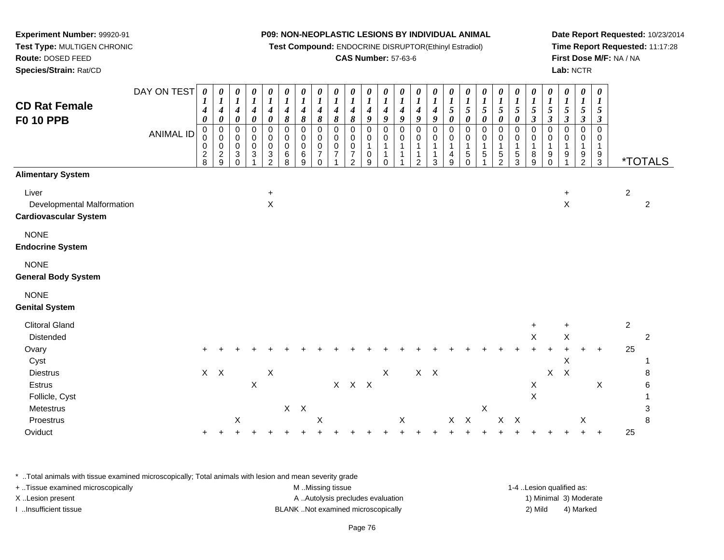**Test Compound:** ENDOCRINE DISRUPTOR(Ethinyl Estradiol)

#### **CAS Number:** 57-63-6

**Date Report Requested:** 10/23/2014**Time Report Requested:** 11:17:28**First Dose M/F:** NA / NA**Lab:** NCTR

| <b>CD Rat Female</b><br><b>F0 10 PPB</b>                            | DAY ON TEST<br><b>ANIMAL ID</b> | 0<br>$\boldsymbol{I}$<br>$\boldsymbol{4}$<br>$\boldsymbol{\theta}$<br>$\mathbf 0$<br>$\pmb{0}$<br>$\pmb{0}$<br>$_{\rm 8}^2$ | $\pmb{\theta}$<br>$\boldsymbol{l}$<br>$\boldsymbol{4}$<br>$\pmb{\theta}$<br>$\pmb{0}$<br>$\mathbf 0$<br>$\pmb{0}$<br>$\frac{2}{9}$ | 0<br>$\boldsymbol{l}$<br>$\boldsymbol{4}$<br>0<br>$\pmb{0}$<br>$\pmb{0}$<br>$\mathsf 0$<br>3<br>$\mathbf 0$ | $\pmb{\theta}$<br>$\boldsymbol{l}$<br>$\boldsymbol{4}$<br>$\pmb{\theta}$<br>$\mathbf 0$<br>$\pmb{0}$<br>$\pmb{0}$<br>$\ensuremath{\mathsf{3}}$ | 0<br>$\boldsymbol{l}$<br>$\boldsymbol{4}$<br>$\pmb{\theta}$<br>$\pmb{0}$<br>$\pmb{0}$<br>$\pmb{0}$<br>$\frac{3}{2}$ | 0<br>$\boldsymbol{l}$<br>$\boldsymbol{4}$<br>8<br>$\mathsf 0$<br>$\pmb{0}$<br>$\pmb{0}$<br>$^6_8$ | 0<br>$\boldsymbol{l}$<br>$\boldsymbol{4}$<br>8<br>$\pmb{0}$<br>$\pmb{0}$<br>$\pmb{0}$<br>6<br>9 | $\pmb{\theta}$<br>$\boldsymbol{l}$<br>$\boldsymbol{4}$<br>$\pmb{8}$<br>$\pmb{0}$<br>$\pmb{0}$<br>$\mathsf 0$<br>7<br>$\Omega$ | 0<br>$\boldsymbol{l}$<br>$\boldsymbol{4}$<br>8<br>$\pmb{0}$<br>$\pmb{0}$<br>$\mathsf 0$<br>7 | $\boldsymbol{\theta}$<br>$\boldsymbol{l}$<br>4<br>$\pmb{8}$<br>$\mathbf 0$<br>0<br>$\mathbf 0$<br>7<br>$\overline{c}$ | 0<br>$\boldsymbol{l}$<br>4<br>9<br>$\pmb{0}$<br>0<br>1<br>0<br>9 | $\boldsymbol{\theta}$<br>$\boldsymbol{l}$<br>4<br>9<br>$\pmb{0}$<br>0<br>1<br>1<br>$\Omega$ | 0<br>$\boldsymbol{l}$<br>$\boldsymbol{4}$<br>$\boldsymbol{g}$<br>0<br>0 | 0<br>$\boldsymbol{l}$<br>$\boldsymbol{4}$<br>9<br>$\pmb{0}$<br>$\mathsf 0$<br>1<br>$\overline{c}$ | 0<br>$\boldsymbol{l}$<br>$\boldsymbol{4}$<br>9<br>$\pmb{0}$<br>$\pmb{0}$<br>$\mathbf{1}$<br>1<br>3 | 0<br>$\boldsymbol{l}$<br>$\sqrt{5}$<br>$\boldsymbol{\theta}$<br>$\pmb{0}$<br>$\mathbf 0$<br>$\mathbf{1}$<br>4<br>9 | 0<br>$\boldsymbol{l}$<br>$\mathfrak{s}$<br>$\boldsymbol{\theta}$<br>$\pmb{0}$<br>$\pmb{0}$<br>$\mathbf{1}$<br>5<br>$\Omega$ | $\boldsymbol{\theta}$<br>$\boldsymbol{l}$<br>$\sqrt{5}$<br>$\pmb{\theta}$<br>$\pmb{0}$<br>0<br>$\mathbf{1}$<br>5 | 0<br>$\boldsymbol{l}$<br>$\sqrt{5}$<br>0<br>$\mathbf 0$<br>$\pmb{0}$<br>$\mathbf{1}$<br>$\frac{5}{2}$ | $\pmb{\theta}$<br>$\boldsymbol{l}$<br>$\sqrt{5}$<br>$\pmb{\theta}$<br>$\mathbf 0$<br>$\mathbf 0$<br>$\mathbf{1}$<br>5<br>3 | 0<br>$\boldsymbol{l}$<br>$\mathfrak{s}$<br>$\mathfrak{z}$<br>0<br>$\pmb{0}$<br>$\mathbf{1}$<br>$^8_9$ | 0<br>$\boldsymbol{l}$<br>$\frac{5}{3}$<br>$\pmb{0}$<br>$\mathsf 0$<br>1<br>9<br>$\mathbf 0$ | 0<br>$\boldsymbol{l}$<br>$\sqrt{5}$<br>$\boldsymbol{\beta}$<br>$\pmb{0}$<br>$\pmb{0}$<br>$\mathbf{1}$<br>9 | 0<br>$\boldsymbol{l}$<br>$\sqrt{5}$<br>$\boldsymbol{\beta}$<br>$\pmb{0}$<br>$\mathbf 0$<br>$\mathbf{1}$<br>$\frac{9}{2}$ | 0<br>$\boldsymbol{l}$<br>5<br>3<br>0<br>0<br>1<br>$\frac{9}{3}$ |                | <i><b>*TOTALS</b></i> |
|---------------------------------------------------------------------|---------------------------------|-----------------------------------------------------------------------------------------------------------------------------|------------------------------------------------------------------------------------------------------------------------------------|-------------------------------------------------------------------------------------------------------------|------------------------------------------------------------------------------------------------------------------------------------------------|---------------------------------------------------------------------------------------------------------------------|---------------------------------------------------------------------------------------------------|-------------------------------------------------------------------------------------------------|-------------------------------------------------------------------------------------------------------------------------------|----------------------------------------------------------------------------------------------|-----------------------------------------------------------------------------------------------------------------------|------------------------------------------------------------------|---------------------------------------------------------------------------------------------|-------------------------------------------------------------------------|---------------------------------------------------------------------------------------------------|----------------------------------------------------------------------------------------------------|--------------------------------------------------------------------------------------------------------------------|-----------------------------------------------------------------------------------------------------------------------------|------------------------------------------------------------------------------------------------------------------|-------------------------------------------------------------------------------------------------------|----------------------------------------------------------------------------------------------------------------------------|-------------------------------------------------------------------------------------------------------|---------------------------------------------------------------------------------------------|------------------------------------------------------------------------------------------------------------|--------------------------------------------------------------------------------------------------------------------------|-----------------------------------------------------------------|----------------|-----------------------|
| <b>Alimentary System</b>                                            |                                 |                                                                                                                             |                                                                                                                                    |                                                                                                             |                                                                                                                                                |                                                                                                                     |                                                                                                   |                                                                                                 |                                                                                                                               |                                                                                              |                                                                                                                       |                                                                  |                                                                                             |                                                                         |                                                                                                   |                                                                                                    |                                                                                                                    |                                                                                                                             |                                                                                                                  |                                                                                                       |                                                                                                                            |                                                                                                       |                                                                                             |                                                                                                            |                                                                                                                          |                                                                 |                |                       |
| Liver<br>Developmental Malformation<br><b>Cardiovascular System</b> |                                 |                                                                                                                             |                                                                                                                                    |                                                                                                             |                                                                                                                                                | +<br>X                                                                                                              |                                                                                                   |                                                                                                 |                                                                                                                               |                                                                                              |                                                                                                                       |                                                                  |                                                                                             |                                                                         |                                                                                                   |                                                                                                    |                                                                                                                    |                                                                                                                             |                                                                                                                  |                                                                                                       |                                                                                                                            |                                                                                                       |                                                                                             | $\ddot{}$<br>X                                                                                             |                                                                                                                          |                                                                 | $\overline{c}$ | $\overline{c}$        |
| <b>NONE</b><br><b>Endocrine System</b>                              |                                 |                                                                                                                             |                                                                                                                                    |                                                                                                             |                                                                                                                                                |                                                                                                                     |                                                                                                   |                                                                                                 |                                                                                                                               |                                                                                              |                                                                                                                       |                                                                  |                                                                                             |                                                                         |                                                                                                   |                                                                                                    |                                                                                                                    |                                                                                                                             |                                                                                                                  |                                                                                                       |                                                                                                                            |                                                                                                       |                                                                                             |                                                                                                            |                                                                                                                          |                                                                 |                |                       |
| <b>NONE</b><br><b>General Body System</b>                           |                                 |                                                                                                                             |                                                                                                                                    |                                                                                                             |                                                                                                                                                |                                                                                                                     |                                                                                                   |                                                                                                 |                                                                                                                               |                                                                                              |                                                                                                                       |                                                                  |                                                                                             |                                                                         |                                                                                                   |                                                                                                    |                                                                                                                    |                                                                                                                             |                                                                                                                  |                                                                                                       |                                                                                                                            |                                                                                                       |                                                                                             |                                                                                                            |                                                                                                                          |                                                                 |                |                       |
| <b>NONE</b><br><b>Genital System</b>                                |                                 |                                                                                                                             |                                                                                                                                    |                                                                                                             |                                                                                                                                                |                                                                                                                     |                                                                                                   |                                                                                                 |                                                                                                                               |                                                                                              |                                                                                                                       |                                                                  |                                                                                             |                                                                         |                                                                                                   |                                                                                                    |                                                                                                                    |                                                                                                                             |                                                                                                                  |                                                                                                       |                                                                                                                            |                                                                                                       |                                                                                             |                                                                                                            |                                                                                                                          |                                                                 |                |                       |
| <b>Clitoral Gland</b>                                               |                                 |                                                                                                                             |                                                                                                                                    |                                                                                                             |                                                                                                                                                |                                                                                                                     |                                                                                                   |                                                                                                 |                                                                                                                               |                                                                                              |                                                                                                                       |                                                                  |                                                                                             |                                                                         |                                                                                                   |                                                                                                    |                                                                                                                    |                                                                                                                             |                                                                                                                  |                                                                                                       |                                                                                                                            | +                                                                                                     |                                                                                             | $\ddot{}$                                                                                                  |                                                                                                                          |                                                                 | $\overline{2}$ |                       |
| Distended                                                           |                                 |                                                                                                                             |                                                                                                                                    |                                                                                                             |                                                                                                                                                |                                                                                                                     |                                                                                                   |                                                                                                 |                                                                                                                               |                                                                                              |                                                                                                                       |                                                                  |                                                                                             |                                                                         |                                                                                                   |                                                                                                    |                                                                                                                    |                                                                                                                             |                                                                                                                  |                                                                                                       |                                                                                                                            | X                                                                                                     |                                                                                             | X                                                                                                          |                                                                                                                          |                                                                 |                | 2                     |
| Ovary<br>Cyst                                                       |                                 |                                                                                                                             |                                                                                                                                    |                                                                                                             |                                                                                                                                                |                                                                                                                     |                                                                                                   |                                                                                                 |                                                                                                                               |                                                                                              |                                                                                                                       |                                                                  |                                                                                             |                                                                         |                                                                                                   |                                                                                                    |                                                                                                                    |                                                                                                                             |                                                                                                                  |                                                                                                       |                                                                                                                            |                                                                                                       |                                                                                             | X                                                                                                          |                                                                                                                          | $\ddot{}$                                                       | 25             | 1                     |
| <b>Diestrus</b>                                                     |                                 | $\mathsf{X}$                                                                                                                | $\mathsf{X}$                                                                                                                       |                                                                                                             |                                                                                                                                                | $\mathsf X$                                                                                                         |                                                                                                   |                                                                                                 |                                                                                                                               |                                                                                              |                                                                                                                       |                                                                  | $\mathsf{X}$                                                                                |                                                                         |                                                                                                   | $X$ $X$                                                                                            |                                                                                                                    |                                                                                                                             |                                                                                                                  |                                                                                                       |                                                                                                                            |                                                                                                       | $\boldsymbol{\mathsf{X}}$                                                                   | $\boldsymbol{\mathsf{X}}$                                                                                  |                                                                                                                          |                                                                 |                | 8                     |
| Estrus                                                              |                                 |                                                                                                                             |                                                                                                                                    |                                                                                                             | $\mathsf X$                                                                                                                                    |                                                                                                                     |                                                                                                   |                                                                                                 |                                                                                                                               |                                                                                              | $X$ $X$ $X$                                                                                                           |                                                                  |                                                                                             |                                                                         |                                                                                                   |                                                                                                    |                                                                                                                    |                                                                                                                             |                                                                                                                  |                                                                                                       |                                                                                                                            | X                                                                                                     |                                                                                             |                                                                                                            |                                                                                                                          | $\boldsymbol{\mathsf{X}}$                                       |                | 6                     |
| Follicle, Cyst                                                      |                                 |                                                                                                                             |                                                                                                                                    |                                                                                                             |                                                                                                                                                |                                                                                                                     |                                                                                                   |                                                                                                 |                                                                                                                               |                                                                                              |                                                                                                                       |                                                                  |                                                                                             |                                                                         |                                                                                                   |                                                                                                    |                                                                                                                    |                                                                                                                             |                                                                                                                  |                                                                                                       |                                                                                                                            | $\pmb{\times}$                                                                                        |                                                                                             |                                                                                                            |                                                                                                                          |                                                                 |                |                       |
| Metestrus<br>Proestrus                                              |                                 |                                                                                                                             |                                                                                                                                    |                                                                                                             |                                                                                                                                                |                                                                                                                     |                                                                                                   | $X$ $X$                                                                                         |                                                                                                                               |                                                                                              |                                                                                                                       |                                                                  |                                                                                             |                                                                         |                                                                                                   |                                                                                                    |                                                                                                                    | $X$ $X$                                                                                                                     | $\pmb{\mathsf{X}}$                                                                                               | $X$ $X$                                                                                               |                                                                                                                            |                                                                                                       |                                                                                             |                                                                                                            |                                                                                                                          |                                                                 |                | 3<br>8                |
| Oviduct                                                             |                                 |                                                                                                                             |                                                                                                                                    | X                                                                                                           |                                                                                                                                                |                                                                                                                     |                                                                                                   |                                                                                                 | X                                                                                                                             |                                                                                              |                                                                                                                       |                                                                  |                                                                                             | X                                                                       |                                                                                                   |                                                                                                    |                                                                                                                    |                                                                                                                             |                                                                                                                  |                                                                                                       |                                                                                                                            |                                                                                                       |                                                                                             |                                                                                                            | X                                                                                                                        | $\ddot{}$                                                       | 25             |                       |

\* ..Total animals with tissue examined microscopically; Total animals with lesion and mean severity grade

**Experiment Number:** 99920-91**Test Type:** MULTIGEN CHRONIC

| + Tissue examined microscopically | M Missing tissue                   | 1-4 Lesion qualified as: |                        |
|-----------------------------------|------------------------------------|--------------------------|------------------------|
| X Lesion present                  | A Autolysis precludes evaluation   |                          | 1) Minimal 3) Moderate |
| Insufficient tissue               | BLANK Not examined microscopically | 2) Mild                  | 4) Marked              |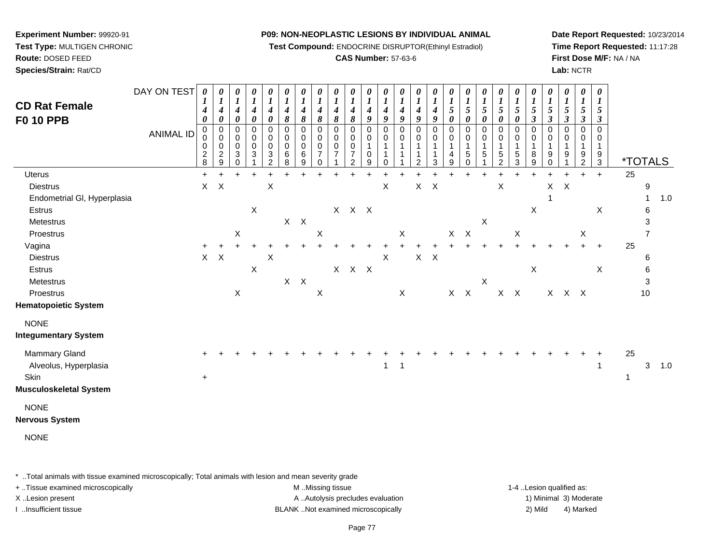**Test Compound:** ENDOCRINE DISRUPTOR(Ethinyl Estradiol)

#### **CAS Number:** 57-63-6

**Date Report Requested:** 10/23/2014**Time Report Requested:** 11:17:28**First Dose M/F:** NA / NA**Lab:** NCTR

| <b>CD Rat Female</b>          | DAY ON TEST      | 0<br>1<br>$\boldsymbol{4}$                                 | 0<br>$\boldsymbol{l}$<br>$\boldsymbol{4}$                                                 | 0<br>$\boldsymbol{l}$<br>$\boldsymbol{4}$                           | 0<br>$\boldsymbol{l}$<br>$\boldsymbol{4}$                    | 0<br>$\boldsymbol{l}$<br>$\boldsymbol{4}$                                                    | 0<br>$\boldsymbol{l}$<br>$\boldsymbol{4}$ | 0<br>$\boldsymbol{l}$<br>$\boldsymbol{4}$        | 0<br>$\boldsymbol{l}$<br>$\boldsymbol{4}$                   | 0<br>1<br>$\boldsymbol{4}$                           | 0<br>$\boldsymbol{l}$<br>4              | 0<br>$\boldsymbol{l}$<br>$\boldsymbol{4}$ | 0<br>$\boldsymbol{l}$<br>$\boldsymbol{4}$                       | 0<br>$\boldsymbol{l}$<br>$\boldsymbol{4}$ | 0<br>$\boldsymbol{l}$<br>$\boldsymbol{4}$ | 0<br>$\boldsymbol{l}$<br>$\boldsymbol{4}$ | 0<br>$\boldsymbol{l}$<br>5                               | 0<br>$\boldsymbol{l}$<br>5        | 0<br>$\boldsymbol{l}$<br>$\mathfrak{s}$                         | 0<br>$\boldsymbol{l}$<br>5                     | 0<br>$\boldsymbol{l}$<br>$\mathfrak{s}$                         | 0<br>$\boldsymbol{l}$<br>5              | 0<br>$\boldsymbol{l}$<br>$\mathfrak{s}$                 | 0<br>$\boldsymbol{l}$<br>$\mathfrak{s}$       | 0<br>$\boldsymbol{l}$<br>5               | 0<br>$\boldsymbol{l}$<br>5                               |              |              |     |
|-------------------------------|------------------|------------------------------------------------------------|-------------------------------------------------------------------------------------------|---------------------------------------------------------------------|--------------------------------------------------------------|----------------------------------------------------------------------------------------------|-------------------------------------------|--------------------------------------------------|-------------------------------------------------------------|------------------------------------------------------|-----------------------------------------|-------------------------------------------|-----------------------------------------------------------------|-------------------------------------------|-------------------------------------------|-------------------------------------------|----------------------------------------------------------|-----------------------------------|-----------------------------------------------------------------|------------------------------------------------|-----------------------------------------------------------------|-----------------------------------------|---------------------------------------------------------|-----------------------------------------------|------------------------------------------|----------------------------------------------------------|--------------|--------------|-----|
| <b>F0 10 PPB</b>              | <b>ANIMAL ID</b> | $\boldsymbol{\theta}$<br>$\mathbf 0$<br>0<br>$\frac{2}{8}$ | $\boldsymbol{\theta}$<br>$\mathbf 0$<br>$\mathbf 0$<br>$\pmb{0}$<br>$\boldsymbol{2}$<br>9 | $\boldsymbol{\theta}$<br>0<br>0<br>0<br>$\mathbf{3}$<br>$\mathbf 0$ | $\boldsymbol{\theta}$<br>0<br>$\pmb{0}$<br>0<br>$\mathbf{3}$ | $\pmb{\theta}$<br>$\pmb{0}$<br>0<br>$\pmb{0}$<br>$\ensuremath{\mathsf{3}}$<br>$\overline{2}$ | $\pmb{8}$<br>0<br>0<br>0<br>$\,6\,$<br>8  | $\pmb{8}$<br>$\mathbf 0$<br>0<br>0<br>$\,6$<br>9 | 8<br>0<br>$\mathbf 0$<br>0<br>$\overline{7}$<br>$\mathbf 0$ | $\pmb{8}$<br>$\mathbf 0$<br>0<br>0<br>$\overline{7}$ | 8<br>0<br>0<br>0<br>$\overline{7}$<br>2 | 9<br>0<br>0<br>$\mathbf 1$<br>0<br>9      | 9<br>$\mathbf 0$<br>$\mathbf 0$<br>1<br>$\mathbf 1$<br>$\Omega$ | 9<br>$\mathbf 0$<br>$\mathbf 0$<br>1      | 9<br>0<br>0<br>1<br>2                     | 9<br>0<br>0<br>$\mathbf{1}$<br>3          | $\boldsymbol{\theta}$<br>$\mathbf 0$<br>0<br>1<br>4<br>9 | 0<br>0<br>0<br>1<br>5<br>$\Omega$ | $\pmb{\theta}$<br>0<br>$\mathbf 0$<br>$\mathbf 1$<br>$\sqrt{5}$ | 0<br>0<br>0<br>$\mathbf 1$<br>$\mathbf 5$<br>2 | $\boldsymbol{\theta}$<br>$\pmb{0}$<br>0<br>1<br>$\sqrt{5}$<br>3 | $\mathfrak{z}$<br>0<br>0<br>1<br>8<br>9 | $\boldsymbol{\beta}$<br>0<br>0<br>1<br>9<br>$\mathbf 0$ | $\boldsymbol{\beta}$<br>$\mathbf 0$<br>0<br>9 | $\boldsymbol{\beta}$<br>0<br>0<br>9<br>2 | $\boldsymbol{\beta}$<br>0<br>0<br>1<br>9<br>$\mathbf{3}$ |              | *TOTALS      |     |
| <b>Uterus</b>                 |                  | $\ddot{}$                                                  |                                                                                           |                                                                     | $\ddot{}$                                                    | $\ddot{}$                                                                                    | $\ddot{}$                                 | $\ddot{}$                                        |                                                             |                                                      |                                         | $\pm$                                     |                                                                 |                                           |                                           |                                           |                                                          | $\ddot{}$                         | +                                                               |                                                |                                                                 | $\ddot{}$                               | +                                                       |                                               | $\ddot{}$                                | $+$                                                      | 25           |              |     |
| <b>Diestrus</b>               |                  | X                                                          | $\boldsymbol{\mathsf{X}}$                                                                 |                                                                     |                                                              | $\mathsf X$                                                                                  |                                           |                                                  |                                                             |                                                      |                                         |                                           | X                                                               |                                           | X                                         | $\mathsf X$                               |                                                          |                                   |                                                                 | Χ                                              |                                                                 |                                         | X                                                       | $\boldsymbol{\mathsf{X}}$                     |                                          |                                                          |              | 9            |     |
| Endometrial GI, Hyperplasia   |                  |                                                            |                                                                                           |                                                                     |                                                              |                                                                                              |                                           |                                                  |                                                             |                                                      |                                         |                                           |                                                                 |                                           |                                           |                                           |                                                          |                                   |                                                                 |                                                |                                                                 |                                         | $\mathbf{1}$                                            |                                               |                                          |                                                          |              | $\mathbf{1}$ | 1.0 |
| Estrus                        |                  |                                                            |                                                                                           |                                                                     | X                                                            |                                                                                              |                                           |                                                  |                                                             |                                                      | $X$ $X$ $X$                             |                                           |                                                                 |                                           |                                           |                                           |                                                          |                                   |                                                                 |                                                |                                                                 | $\boldsymbol{\mathsf{X}}$               |                                                         |                                               |                                          | X                                                        |              | 6            |     |
| Metestrus                     |                  |                                                            |                                                                                           |                                                                     |                                                              |                                                                                              | $X$ $X$                                   |                                                  |                                                             |                                                      |                                         |                                           |                                                                 |                                           |                                           |                                           |                                                          |                                   | X                                                               |                                                |                                                                 |                                         |                                                         |                                               |                                          |                                                          |              | 3            |     |
| Proestrus                     |                  |                                                            |                                                                                           | X                                                                   |                                                              |                                                                                              |                                           |                                                  | $\boldsymbol{\mathsf{X}}$                                   |                                                      |                                         |                                           |                                                                 | $\mathsf X$                               |                                           |                                           | $\mathsf{X}-\mathsf{X}$                                  |                                   |                                                                 |                                                | $\mathsf X$                                                     |                                         |                                                         |                                               | X                                        |                                                          |              | 7            |     |
| Vagina                        |                  | $\ddot{}$                                                  |                                                                                           |                                                                     |                                                              |                                                                                              |                                           |                                                  |                                                             |                                                      |                                         |                                           |                                                                 | $+$                                       |                                           |                                           |                                                          |                                   |                                                                 |                                                | $+$                                                             |                                         |                                                         |                                               | $+$                                      | $\ddot{}$                                                | 25           |              |     |
| <b>Diestrus</b>               |                  | $\mathsf X$                                                | X                                                                                         |                                                                     |                                                              | $\boldsymbol{\mathsf{X}}$                                                                    |                                           |                                                  |                                                             |                                                      |                                         |                                           | X                                                               |                                           | X                                         | $\boldsymbol{\mathsf{X}}$                 |                                                          |                                   |                                                                 |                                                |                                                                 |                                         |                                                         |                                               |                                          |                                                          |              | 6            |     |
| Estrus                        |                  |                                                            |                                                                                           |                                                                     | $\mathsf X$                                                  |                                                                                              |                                           |                                                  |                                                             |                                                      | $X$ $X$ $X$                             |                                           |                                                                 |                                           |                                           |                                           |                                                          |                                   |                                                                 |                                                |                                                                 | $\mathsf X$                             |                                                         |                                               |                                          | X                                                        |              | 6            |     |
| Metestrus                     |                  |                                                            |                                                                                           |                                                                     |                                                              |                                                                                              | $X$ $X$                                   |                                                  |                                                             |                                                      |                                         |                                           |                                                                 |                                           |                                           |                                           |                                                          |                                   | $\mathsf X$                                                     |                                                |                                                                 |                                         |                                                         |                                               |                                          |                                                          |              | 3            |     |
| Proestrus                     |                  |                                                            |                                                                                           | $\mathsf X$                                                         |                                                              |                                                                                              |                                           |                                                  | $\boldsymbol{\mathsf{X}}$                                   |                                                      |                                         |                                           |                                                                 | $\mathsf{X}$                              |                                           |                                           | $X$ $X$                                                  |                                   |                                                                 | $X$ $X$                                        |                                                                 |                                         |                                                         | X X X                                         |                                          |                                                          |              | 10           |     |
| <b>Hematopoietic System</b>   |                  |                                                            |                                                                                           |                                                                     |                                                              |                                                                                              |                                           |                                                  |                                                             |                                                      |                                         |                                           |                                                                 |                                           |                                           |                                           |                                                          |                                   |                                                                 |                                                |                                                                 |                                         |                                                         |                                               |                                          |                                                          |              |              |     |
| <b>NONE</b>                   |                  |                                                            |                                                                                           |                                                                     |                                                              |                                                                                              |                                           |                                                  |                                                             |                                                      |                                         |                                           |                                                                 |                                           |                                           |                                           |                                                          |                                   |                                                                 |                                                |                                                                 |                                         |                                                         |                                               |                                          |                                                          |              |              |     |
| <b>Integumentary System</b>   |                  |                                                            |                                                                                           |                                                                     |                                                              |                                                                                              |                                           |                                                  |                                                             |                                                      |                                         |                                           |                                                                 |                                           |                                           |                                           |                                                          |                                   |                                                                 |                                                |                                                                 |                                         |                                                         |                                               |                                          |                                                          |              |              |     |
| <b>Mammary Gland</b>          |                  |                                                            |                                                                                           |                                                                     |                                                              |                                                                                              |                                           |                                                  |                                                             |                                                      |                                         |                                           |                                                                 |                                           |                                           |                                           |                                                          |                                   |                                                                 |                                                |                                                                 |                                         |                                                         |                                               |                                          |                                                          | 25           |              |     |
| Alveolus, Hyperplasia         |                  |                                                            |                                                                                           |                                                                     |                                                              |                                                                                              |                                           |                                                  |                                                             |                                                      |                                         |                                           | 1                                                               | $\mathbf 1$                               |                                           |                                           |                                                          |                                   |                                                                 |                                                |                                                                 |                                         |                                                         |                                               |                                          | $\mathbf{1}$                                             |              | $\mathbf{3}$ | 1.0 |
| Skin                          |                  | $+$                                                        |                                                                                           |                                                                     |                                                              |                                                                                              |                                           |                                                  |                                                             |                                                      |                                         |                                           |                                                                 |                                           |                                           |                                           |                                                          |                                   |                                                                 |                                                |                                                                 |                                         |                                                         |                                               |                                          |                                                          | $\mathbf{1}$ |              |     |
| <b>Musculoskeletal System</b> |                  |                                                            |                                                                                           |                                                                     |                                                              |                                                                                              |                                           |                                                  |                                                             |                                                      |                                         |                                           |                                                                 |                                           |                                           |                                           |                                                          |                                   |                                                                 |                                                |                                                                 |                                         |                                                         |                                               |                                          |                                                          |              |              |     |
| <b>NONE</b>                   |                  |                                                            |                                                                                           |                                                                     |                                                              |                                                                                              |                                           |                                                  |                                                             |                                                      |                                         |                                           |                                                                 |                                           |                                           |                                           |                                                          |                                   |                                                                 |                                                |                                                                 |                                         |                                                         |                                               |                                          |                                                          |              |              |     |
| <b>Nervous System</b>         |                  |                                                            |                                                                                           |                                                                     |                                                              |                                                                                              |                                           |                                                  |                                                             |                                                      |                                         |                                           |                                                                 |                                           |                                           |                                           |                                                          |                                   |                                                                 |                                                |                                                                 |                                         |                                                         |                                               |                                          |                                                          |              |              |     |
| <b>NONE</b>                   |                  |                                                            |                                                                                           |                                                                     |                                                              |                                                                                              |                                           |                                                  |                                                             |                                                      |                                         |                                           |                                                                 |                                           |                                           |                                           |                                                          |                                   |                                                                 |                                                |                                                                 |                                         |                                                         |                                               |                                          |                                                          |              |              |     |

\* ..Total animals with tissue examined microscopically; Total animals with lesion and mean severity grade

**Experiment Number:** 99920-91**Test Type:** MULTIGEN CHRONIC

**Route:** DOSED FEED**Species/Strain:** Rat/CD

+ ..Tissue examined microscopically examined microscopically examined as:  $M$  ..Missing tissue 1-4 ..Lesion qualified as: X..Lesion present **A ..Autolysis precludes evaluation** A ..Autolysis precludes evaluation 1) Minimal 3) Moderate

I ..Insufficient tissue BLANK ..Not examined microscopically 2) Mild 4) Marked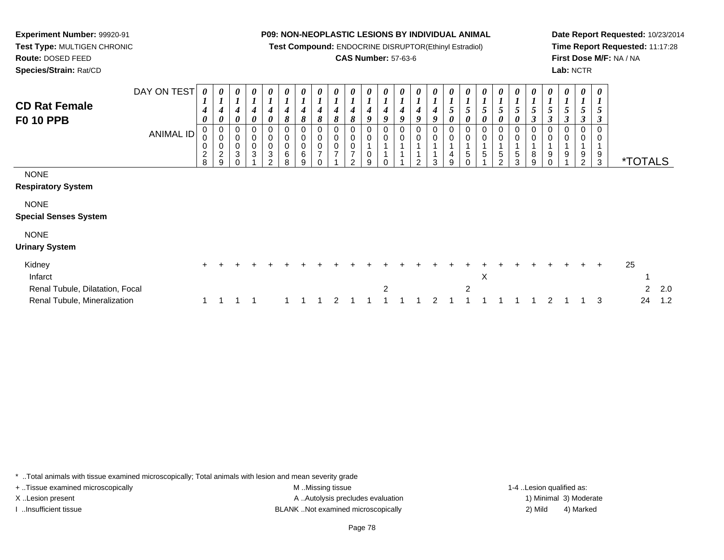**Test Compound:** ENDOCRINE DISRUPTOR(Ethinyl Estradiol)

#### **CAS Number:** 57-63-6

**Date Report Requested:** 10/23/2014**Time Report Requested:** 11:17:28**First Dose M/F:** NA / NA**Lab:** NCTR

| <b>CD Rat Female</b><br><b>F0 10 PPB</b>                        | DAY ON TEST<br><b>ANIMAL ID</b> | 0<br>4<br>0<br>0<br>$\mathbf 0$<br>0<br>$\overline{c}$<br>8 | $\boldsymbol{\theta}$<br>$\mathbf{I}$<br>4<br>$\boldsymbol{\theta}$<br>0<br>$\mathbf 0$<br>$\mathbf 0$<br>$\overline{c}$<br>9 | U<br>$\boldsymbol{l}$<br>4<br>$\boldsymbol{\theta}$<br>0<br>0<br>$\mathsf 0$<br>$\sqrt{3}$<br>U | U<br>$\boldsymbol{l}$<br>$\boldsymbol{4}$<br>$\boldsymbol{\theta}$<br>$\boldsymbol{0}$<br>$\boldsymbol{0}$<br>3 | $\boldsymbol{\theta}$<br>$\boldsymbol{4}$<br>0<br>0<br>$_{\rm 0}^{\rm 0}$<br>$\sqrt{3}$<br>$\mathfrak{D}$ | $\boldsymbol{\theta}$<br>4<br>8<br>0<br>0<br>6<br>8 | $\boldsymbol{\theta}$<br>4<br>8<br>0<br>$\pmb{0}$<br>6<br>9 | 0<br>$\boldsymbol{l}$<br>$\boldsymbol{4}$<br>8<br>$\boldsymbol{0}$<br>$\mathbf 0$<br>$\overline{7}$ | 0<br>$\boldsymbol{l}$<br>$\boldsymbol{4}$<br>8<br>0<br>$\pmb{0}$<br>$\mathsf 0$<br>$\overline{ }$ | 0<br>4<br>8<br>0<br>0<br>$\pmb{0}$<br>$\overline{ }$<br>$\mathfrak{p}$ | 0<br>$\boldsymbol{l}$<br>4<br>9<br>0<br>9 | $\mathbf{I}$<br>4<br>9<br>O | $\frac{\theta}{\theta}$<br>4<br>9<br>0<br>0 | 0<br>4<br>9<br>0<br>$\mathcal{D}$ | 0<br>$\boldsymbol{l}$<br>4<br>9<br>3 | $\boldsymbol{\theta}$<br>$\boldsymbol{l}$<br>5<br>0<br>1<br>$\overline{4}$<br>9 | $\boldsymbol{\theta}$<br>$\sqrt{5}$<br>0<br>0<br>0<br>$\overline{A}$<br>$\mathbf 5$<br>$\Omega$ | $\boldsymbol{\theta}$<br>$\mathfrak{I}$<br>0<br>0<br>0<br>$\sqrt{5}$ | $\mathbf{I}$<br>$\sqrt{5}$<br>5<br>2 | 5<br>5<br>3 | U<br>$\mathfrak{s}$<br>3<br>0<br>8<br>9 | U<br>$\mathfrak{s}$<br>$\boldsymbol{\beta}$<br>0<br>0<br>9<br>$\Omega$ | 5<br>$\boldsymbol{\beta}$<br>0<br>9 | 5<br>3<br>0<br>9<br>$\overline{2}$ | $\boldsymbol{\theta}$<br>0<br>9<br>3 | <i><b>*TOTALS</b></i> |            |
|-----------------------------------------------------------------|---------------------------------|-------------------------------------------------------------|-------------------------------------------------------------------------------------------------------------------------------|-------------------------------------------------------------------------------------------------|-----------------------------------------------------------------------------------------------------------------|-----------------------------------------------------------------------------------------------------------|-----------------------------------------------------|-------------------------------------------------------------|-----------------------------------------------------------------------------------------------------|---------------------------------------------------------------------------------------------------|------------------------------------------------------------------------|-------------------------------------------|-----------------------------|---------------------------------------------|-----------------------------------|--------------------------------------|---------------------------------------------------------------------------------|-------------------------------------------------------------------------------------------------|----------------------------------------------------------------------|--------------------------------------|-------------|-----------------------------------------|------------------------------------------------------------------------|-------------------------------------|------------------------------------|--------------------------------------|-----------------------|------------|
| <b>NONE</b><br><b>Respiratory System</b>                        |                                 |                                                             |                                                                                                                               |                                                                                                 |                                                                                                                 |                                                                                                           |                                                     |                                                             |                                                                                                     |                                                                                                   |                                                                        |                                           |                             |                                             |                                   |                                      |                                                                                 |                                                                                                 |                                                                      |                                      |             |                                         |                                                                        |                                     |                                    |                                      |                       |            |
| <b>NONE</b><br><b>Special Senses System</b>                     |                                 |                                                             |                                                                                                                               |                                                                                                 |                                                                                                                 |                                                                                                           |                                                     |                                                             |                                                                                                     |                                                                                                   |                                                                        |                                           |                             |                                             |                                   |                                      |                                                                                 |                                                                                                 |                                                                      |                                      |             |                                         |                                                                        |                                     |                                    |                                      |                       |            |
| <b>NONE</b><br><b>Urinary System</b>                            |                                 |                                                             |                                                                                                                               |                                                                                                 |                                                                                                                 |                                                                                                           |                                                     |                                                             |                                                                                                     |                                                                                                   |                                                                        |                                           |                             |                                             |                                   |                                      |                                                                                 |                                                                                                 |                                                                      |                                      |             |                                         |                                                                        |                                     |                                    |                                      |                       |            |
| Kidney<br>Infarct                                               |                                 |                                                             |                                                                                                                               |                                                                                                 |                                                                                                                 |                                                                                                           |                                                     |                                                             |                                                                                                     |                                                                                                   |                                                                        |                                           |                             |                                             |                                   |                                      |                                                                                 |                                                                                                 | X                                                                    |                                      |             |                                         |                                                                        |                                     |                                    |                                      | 25                    |            |
| Renal Tubule, Dilatation, Focal<br>Renal Tubule, Mineralization |                                 |                                                             |                                                                                                                               |                                                                                                 |                                                                                                                 |                                                                                                           |                                                     |                                                             |                                                                                                     |                                                                                                   |                                                                        |                                           | $\overline{2}$              |                                             |                                   |                                      |                                                                                 | 2                                                                                               |                                                                      |                                      |             |                                         | 2                                                                      |                                     |                                    | 3                                    | $\overline{2}$<br>24  | 2.0<br>1.2 |

\* ..Total animals with tissue examined microscopically; Total animals with lesion and mean severity grade

**Experiment Number:** 99920-91**Test Type:** MULTIGEN CHRONIC

**Route:** DOSED FEED**Species/Strain:** Rat/CD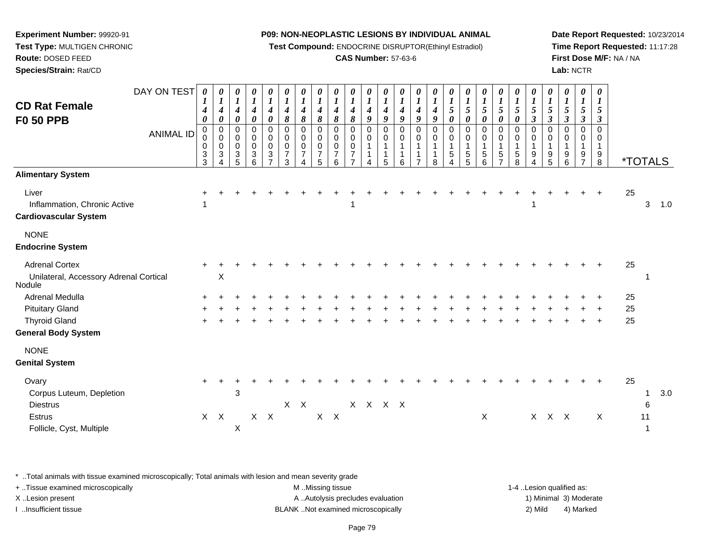**Test Compound:** ENDOCRINE DISRUPTOR(Ethinyl Estradiol)

#### **CAS Number:** 57-63-6

**Date Report Requested:** 10/23/2014**Time Report Requested:** 11:17:28**First Dose M/F:** NA / NA**Lab:** NCTR

| <b>CD Rat Female</b><br><b>F0 50 PPB</b>                                                          | DAY ON TEST<br><b>ANIMAL ID</b> | 0<br>4<br>0<br>$\pmb{0}$<br>0<br>0<br>3<br>3 | 0<br>4<br>0<br>$\mathbf 0$<br>$\mathbf 0$<br>$\mathbf 0$<br>3 | 0<br>1<br>$\boldsymbol{4}$<br>0<br>0<br>$\mathsf 0$<br>0<br>3<br>5 | 0<br>$\boldsymbol{l}$<br>$\boldsymbol{4}$<br>0<br>0<br>$\mathbf 0$<br>0<br>$\mathbf{3}$<br>6 | 0<br>$\boldsymbol{l}$<br>$\boldsymbol{4}$<br>0<br>0<br>0<br>0<br>3<br>$\overline{ }$ | 0<br>$\bm{l}$<br>4<br>$\pmb{8}$<br>$\pmb{0}$<br>$\mathbf 0$<br>$\mathbf 0$<br>7<br>3 | 0<br>1<br>4<br>8<br>$\mathbf 0$<br>$\mathbf 0$<br>0<br>$\overline{7}$ | 0<br>$\bm{l}$<br>4<br>$\pmb{8}$<br>$\Omega$<br>0<br>$\mathbf 0$<br>7<br>5 | $\boldsymbol{\theta}$<br>1<br>8<br>$\Omega$<br>0<br>0<br>7<br>6 | $\boldsymbol{\theta}$<br>8<br>$\Omega$<br>0<br>0 | 0<br>$\boldsymbol{l}$<br>4<br>9<br>$\mathsf 0$<br>0<br>1 | 0<br>$\boldsymbol{l}$<br>$\boldsymbol{4}$<br>9<br>$\mathbf 0$<br>$\mathbf 0$<br>$\mathbf{1}$<br>1<br>5 | 0<br>$\boldsymbol{l}$<br>4<br>9<br>0<br>0<br>1<br>1<br>6 | $\boldsymbol{\theta}$<br>1<br>4<br>9<br>$\mathbf 0$<br>$\mathbf 0$<br>1<br>1<br>7 | $\boldsymbol{\theta}$<br>$\boldsymbol{l}$<br>$\boldsymbol{4}$<br>9<br>$\mathbf 0$<br>0<br>1<br>1<br>8 | $\boldsymbol{\theta}$<br>$\boldsymbol{l}$<br>$\mathfrak{s}$<br>$\boldsymbol{\theta}$<br>$\mathbf 0$<br>0<br>$\mathbf{1}$<br>5<br>4 | $\boldsymbol{\theta}$<br>$\boldsymbol{l}$<br>$\mathfrak{s}$<br>0<br>0<br>0<br>$\mathbf{1}$<br>5<br>5 | $\boldsymbol{\theta}$<br>5<br>$\boldsymbol{\theta}$<br>$\mathbf 0$<br>$\mathbf 0$<br>$\mathbf{1}$<br>5<br>6 | 0<br>$\boldsymbol{l}$<br>5<br>$\pmb{\theta}$<br>$\mathbf 0$<br>$\pmb{0}$<br>$\mathbf{1}$<br>$\mathbf 5$<br>$\overline{ }$ | 0<br>$\boldsymbol{l}$<br>$\sqrt{5}$<br>0<br>0<br>0<br>1<br>$\sqrt{5}$<br>8 | 0<br>$\boldsymbol{l}$<br>$\sqrt{5}$<br>$\mathfrak{z}$<br>$\pmb{0}$<br>0<br>$\mathbf{1}$<br>9<br>4 | 0<br>$\boldsymbol{l}$<br>$5\overline{)}$<br>$\boldsymbol{\beta}$<br>$\mathbf 0$<br>$\mathbf 0$<br>$\mathbf{1}$<br>9<br>5 | 0<br>$\boldsymbol{l}$<br>5<br>$\mathfrak{z}$<br>$\pmb{0}$<br>$\pmb{0}$<br>$\mathbf{1}$<br>9<br>6 | 0<br>$\boldsymbol{l}$<br>5<br>$\boldsymbol{\beta}$<br>$\mathbf 0$<br>0<br>-1<br>9<br>$\overline{7}$ | 0<br>$\boldsymbol{l}$<br>5<br>3<br>$\Omega$<br>0<br>$\mathbf{1}$<br>9<br>8 |                |              | <i><b>*TOTALS</b></i> |
|---------------------------------------------------------------------------------------------------|---------------------------------|----------------------------------------------|---------------------------------------------------------------|--------------------------------------------------------------------|----------------------------------------------------------------------------------------------|--------------------------------------------------------------------------------------|--------------------------------------------------------------------------------------|-----------------------------------------------------------------------|---------------------------------------------------------------------------|-----------------------------------------------------------------|--------------------------------------------------|----------------------------------------------------------|--------------------------------------------------------------------------------------------------------|----------------------------------------------------------|-----------------------------------------------------------------------------------|-------------------------------------------------------------------------------------------------------|------------------------------------------------------------------------------------------------------------------------------------|------------------------------------------------------------------------------------------------------|-------------------------------------------------------------------------------------------------------------|---------------------------------------------------------------------------------------------------------------------------|----------------------------------------------------------------------------|---------------------------------------------------------------------------------------------------|--------------------------------------------------------------------------------------------------------------------------|--------------------------------------------------------------------------------------------------|-----------------------------------------------------------------------------------------------------|----------------------------------------------------------------------------|----------------|--------------|-----------------------|
| <b>Alimentary System</b><br>Liver<br>Inflammation, Chronic Active<br><b>Cardiovascular System</b> |                                 |                                              |                                                               |                                                                    |                                                                                              |                                                                                      |                                                                                      |                                                                       |                                                                           |                                                                 | 1                                                |                                                          |                                                                                                        |                                                          |                                                                                   |                                                                                                       |                                                                                                                                    |                                                                                                      |                                                                                                             |                                                                                                                           |                                                                            |                                                                                                   |                                                                                                                          |                                                                                                  |                                                                                                     |                                                                            | 25             | 3            | 1.0                   |
| <b>NONE</b><br><b>Endocrine System</b>                                                            |                                 |                                              |                                                               |                                                                    |                                                                                              |                                                                                      |                                                                                      |                                                                       |                                                                           |                                                                 |                                                  |                                                          |                                                                                                        |                                                          |                                                                                   |                                                                                                       |                                                                                                                                    |                                                                                                      |                                                                                                             |                                                                                                                           |                                                                            |                                                                                                   |                                                                                                                          |                                                                                                  |                                                                                                     |                                                                            |                |              |                       |
| <b>Adrenal Cortex</b><br>Unilateral, Accessory Adrenal Cortical<br>Nodule                         |                                 |                                              | X                                                             |                                                                    |                                                                                              |                                                                                      |                                                                                      |                                                                       |                                                                           |                                                                 |                                                  |                                                          |                                                                                                        |                                                          |                                                                                   |                                                                                                       |                                                                                                                                    |                                                                                                      |                                                                                                             |                                                                                                                           |                                                                            |                                                                                                   |                                                                                                                          |                                                                                                  |                                                                                                     |                                                                            | 25             |              |                       |
| Adrenal Medulla<br><b>Pituitary Gland</b><br><b>Thyroid Gland</b><br><b>General Body System</b>   |                                 |                                              |                                                               |                                                                    |                                                                                              |                                                                                      |                                                                                      |                                                                       |                                                                           |                                                                 |                                                  |                                                          |                                                                                                        |                                                          |                                                                                   |                                                                                                       |                                                                                                                                    |                                                                                                      |                                                                                                             |                                                                                                                           |                                                                            |                                                                                                   |                                                                                                                          |                                                                                                  |                                                                                                     |                                                                            | 25<br>25<br>25 |              |                       |
| <b>NONE</b><br><b>Genital System</b>                                                              |                                 |                                              |                                                               |                                                                    |                                                                                              |                                                                                      |                                                                                      |                                                                       |                                                                           |                                                                 |                                                  |                                                          |                                                                                                        |                                                          |                                                                                   |                                                                                                       |                                                                                                                                    |                                                                                                      |                                                                                                             |                                                                                                                           |                                                                            |                                                                                                   |                                                                                                                          |                                                                                                  |                                                                                                     |                                                                            |                |              |                       |
| Ovary<br>Corpus Luteum, Depletion<br><b>Diestrus</b><br>Estrus<br>Follicle, Cyst, Multiple        |                                 | $\ddot{}$                                    | $X$ $X$                                                       | 3<br>X                                                             |                                                                                              | $X$ $X$                                                                              |                                                                                      | $X$ $X$                                                               | $X$ $X$                                                                   |                                                                 |                                                  | X X X X                                                  |                                                                                                        |                                                          |                                                                                   |                                                                                                       |                                                                                                                                    |                                                                                                      | $\mathsf X$                                                                                                 |                                                                                                                           |                                                                            | X                                                                                                 | $X$ $X$                                                                                                                  |                                                                                                  |                                                                                                     | $\mathsf X$                                                                | 25             | 1<br>6<br>11 | 3.0                   |

\* ..Total animals with tissue examined microscopically; Total animals with lesion and mean severity grade

**Experiment Number:** 99920-91**Test Type:** MULTIGEN CHRONIC

| + Tissue examined microscopically | M Missing tissue                   | 1-4 Lesion qualified as: |                        |
|-----------------------------------|------------------------------------|--------------------------|------------------------|
| X Lesion present                  | A Autolysis precludes evaluation   |                          | 1) Minimal 3) Moderate |
| Insufficient tissue               | BLANK Not examined microscopically | 2) Mild                  | 4) Marked              |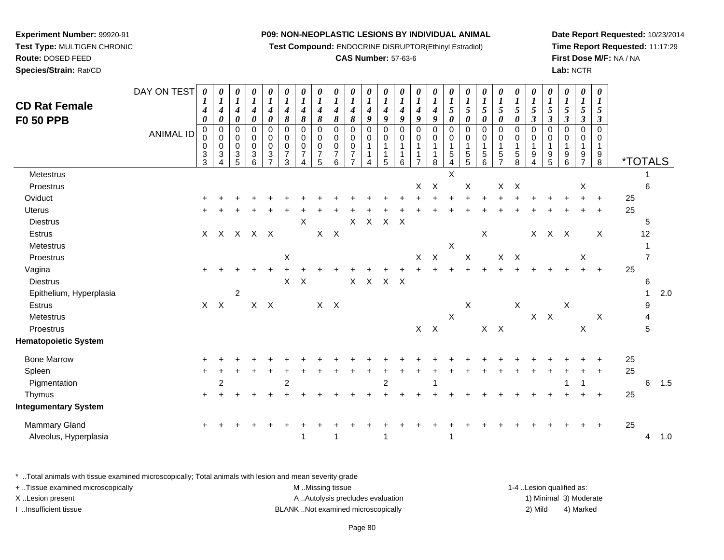**Test Compound:** ENDOCRINE DISRUPTOR(Ethinyl Estradiol)

#### **CAS Number:** 57-63-6

**Date Report Requested:** 10/23/2014**Time Report Requested:** 11:17:29**First Dose M/F:** NA / NA**Lab:** NCTR

| <b>CD Rat Female</b><br><b>F0 50 PPB</b> | DAY ON TEST<br><b>ANIMAL ID</b> | $\boldsymbol{\theta}$<br>4<br>0<br>$\mathbf 0$<br>0<br>0<br>3<br>3 | 0<br>$\boldsymbol{l}$<br>4<br>0<br>$\pmb{0}$<br>0<br>0<br>3<br>4 | 0<br>$\boldsymbol{l}$<br>$\boldsymbol{4}$<br>$\pmb{\theta}$<br>0<br>0<br>0<br>$\sqrt{3}$<br>$\overline{5}$ | $\pmb{\theta}$<br>$\boldsymbol{l}$<br>$\boldsymbol{4}$<br>0<br>$\mathbf 0$<br>$\mathbf 0$<br>$\mathbf 0$<br>$\sqrt{3}$<br>6 | $\pmb{\theta}$<br>$\boldsymbol{l}$<br>4<br>$\boldsymbol{\theta}$<br>$\pmb{0}$<br>0<br>$\mathbf 0$<br>$\sqrt{3}$<br>$\overline{7}$ | 0<br>$\boldsymbol{l}$<br>4<br>$\pmb{8}$<br>$\mathbf 0$<br>$\mathbf 0$<br>0<br>7<br>3 | 0<br>$\boldsymbol{l}$<br>4<br>8<br>$\mathbf 0$<br>$\Omega$<br>0<br>$\overline{7}$ | 0<br>$\boldsymbol{l}$<br>$\boldsymbol{4}$<br>8<br>$\mathbf 0$<br>$\Omega$<br>$\mathbf 0$<br>$\overline{7}$<br>5 | 0<br>$\boldsymbol{l}$<br>$\boldsymbol{4}$<br>8<br>$\pmb{0}$<br>$\mathbf 0$<br>$\pmb{0}$<br>$\overline{7}$<br>6 | 0<br>$\boldsymbol{l}$<br>4<br>8<br>0<br>$\mathbf 0$<br>$\mathsf 0$<br>$\overline{7}$<br>$\overline{7}$ | 0<br>$\boldsymbol{l}$<br>$\boldsymbol{4}$<br>9<br>0<br>0<br>$\mathbf{1}$<br>$\mathbf 1$<br>$\overline{4}$ | $\boldsymbol{\theta}$<br>$\boldsymbol{l}$<br>$\boldsymbol{4}$<br>9<br>$\mathbf 0$<br>0<br>$\mathbf{1}$<br>1<br>5 | 0<br>$\boldsymbol{l}$<br>4<br>9<br>0<br>0<br>$\mathbf{1}$<br>1<br>6 | $\boldsymbol{\theta}$<br>$\boldsymbol{l}$<br>$\boldsymbol{4}$<br>9<br>$\mathbf 0$<br>$\mathbf 0$<br>$\mathbf{1}$<br>$\mathbf{1}$<br>$\overline{7}$ | 0<br>$\boldsymbol{l}$<br>4<br>9<br>$\mathbf 0$<br>0<br>$\mathbf{1}$<br>1<br>8 | $\pmb{\theta}$<br>$\boldsymbol{l}$<br>5<br>0<br>$\mathbf 0$<br>0<br>$\mathbf{1}$<br>$\sqrt{5}$<br>4 | 0<br>$\boldsymbol{l}$<br>5<br>$\boldsymbol{\theta}$<br>0<br>0<br>$\mathbf{1}$<br>$\sqrt{5}$<br>5 | 0<br>$\boldsymbol{l}$<br>$\sqrt{5}$<br>0<br>0<br>0<br>$\mathbf 1$<br>$\mathbf 5$<br>6 | 0<br>$\boldsymbol{l}$<br>5<br>0<br>$\mathbf 0$<br>0<br>$\mathbf{1}$<br>$\mathbf 5$<br>$\overline{7}$ | $\pmb{\theta}$<br>$\boldsymbol{l}$<br>$\sqrt{5}$<br>0<br>0<br>0<br>$\mathbf{1}$<br>$\,$ 5 $\,$<br>8 | 0<br>$\bm{l}$<br>5<br>$\mathfrak{z}$<br>0<br>0<br>$\mathbf{1}$<br>9<br>4 | 0<br>$\boldsymbol{l}$<br>$\mathfrak{s}$<br>3<br>0<br>0<br>$\mathbf{1}$<br>$\frac{9}{5}$ | $\boldsymbol{\theta}$<br>1<br>5<br>3<br>$\Omega$<br>$\Omega$<br>1<br>9<br>$6\phantom{1}6$ | 0<br>$\boldsymbol{l}$<br>5<br>3<br>0<br>0<br>1<br>9<br>$\overline{7}$ | 0<br>1<br>5<br>$\boldsymbol{\beta}$<br>$\mathbf 0$<br>0<br>1<br>$\frac{9}{8}$ | <i><b>*TOTALS</b></i> |                |     |
|------------------------------------------|---------------------------------|--------------------------------------------------------------------|------------------------------------------------------------------|------------------------------------------------------------------------------------------------------------|-----------------------------------------------------------------------------------------------------------------------------|-----------------------------------------------------------------------------------------------------------------------------------|--------------------------------------------------------------------------------------|-----------------------------------------------------------------------------------|-----------------------------------------------------------------------------------------------------------------|----------------------------------------------------------------------------------------------------------------|--------------------------------------------------------------------------------------------------------|-----------------------------------------------------------------------------------------------------------|------------------------------------------------------------------------------------------------------------------|---------------------------------------------------------------------|----------------------------------------------------------------------------------------------------------------------------------------------------|-------------------------------------------------------------------------------|-----------------------------------------------------------------------------------------------------|--------------------------------------------------------------------------------------------------|---------------------------------------------------------------------------------------|------------------------------------------------------------------------------------------------------|-----------------------------------------------------------------------------------------------------|--------------------------------------------------------------------------|-----------------------------------------------------------------------------------------|-------------------------------------------------------------------------------------------|-----------------------------------------------------------------------|-------------------------------------------------------------------------------|-----------------------|----------------|-----|
| Metestrus                                |                                 |                                                                    |                                                                  |                                                                                                            |                                                                                                                             |                                                                                                                                   |                                                                                      |                                                                                   |                                                                                                                 |                                                                                                                |                                                                                                        |                                                                                                           |                                                                                                                  |                                                                     |                                                                                                                                                    |                                                                               | X                                                                                                   |                                                                                                  |                                                                                       |                                                                                                      |                                                                                                     |                                                                          |                                                                                         |                                                                                           |                                                                       |                                                                               |                       |                |     |
| Proestrus                                |                                 |                                                                    |                                                                  |                                                                                                            |                                                                                                                             |                                                                                                                                   |                                                                                      |                                                                                   |                                                                                                                 |                                                                                                                |                                                                                                        |                                                                                                           |                                                                                                                  |                                                                     | X                                                                                                                                                  | $\mathsf{X}$                                                                  |                                                                                                     | X                                                                                                |                                                                                       | X                                                                                                    | $\mathsf{X}$                                                                                        |                                                                          |                                                                                         |                                                                                           | X                                                                     |                                                                               |                       | 6              |     |
| Oviduct                                  |                                 |                                                                    |                                                                  |                                                                                                            |                                                                                                                             |                                                                                                                                   |                                                                                      |                                                                                   |                                                                                                                 |                                                                                                                |                                                                                                        |                                                                                                           |                                                                                                                  |                                                                     |                                                                                                                                                    |                                                                               |                                                                                                     |                                                                                                  |                                                                                       |                                                                                                      |                                                                                                     |                                                                          |                                                                                         |                                                                                           |                                                                       |                                                                               | 25                    |                |     |
| <b>Uterus</b>                            |                                 |                                                                    |                                                                  |                                                                                                            |                                                                                                                             |                                                                                                                                   |                                                                                      |                                                                                   |                                                                                                                 |                                                                                                                |                                                                                                        |                                                                                                           |                                                                                                                  |                                                                     |                                                                                                                                                    |                                                                               |                                                                                                     |                                                                                                  |                                                                                       |                                                                                                      |                                                                                                     |                                                                          |                                                                                         |                                                                                           |                                                                       | $\ddot{}$                                                                     | 25                    |                |     |
| <b>Diestrus</b>                          |                                 |                                                                    |                                                                  |                                                                                                            |                                                                                                                             |                                                                                                                                   |                                                                                      | X                                                                                 |                                                                                                                 |                                                                                                                |                                                                                                        | X X X X                                                                                                   |                                                                                                                  |                                                                     |                                                                                                                                                    |                                                                               |                                                                                                     |                                                                                                  |                                                                                       |                                                                                                      |                                                                                                     |                                                                          |                                                                                         |                                                                                           |                                                                       |                                                                               |                       | 5              |     |
| Estrus                                   |                                 |                                                                    |                                                                  |                                                                                                            | X X X X X                                                                                                                   |                                                                                                                                   |                                                                                      |                                                                                   | $X$ $X$                                                                                                         |                                                                                                                |                                                                                                        |                                                                                                           |                                                                                                                  |                                                                     |                                                                                                                                                    |                                                                               |                                                                                                     |                                                                                                  | $\sf X$                                                                               |                                                                                                      |                                                                                                     |                                                                          | X X X                                                                                   |                                                                                           |                                                                       | $\boldsymbol{\mathsf{X}}$                                                     |                       | 12             |     |
| Metestrus                                |                                 |                                                                    |                                                                  |                                                                                                            |                                                                                                                             |                                                                                                                                   |                                                                                      |                                                                                   |                                                                                                                 |                                                                                                                |                                                                                                        |                                                                                                           |                                                                                                                  |                                                                     |                                                                                                                                                    |                                                                               | X                                                                                                   |                                                                                                  |                                                                                       |                                                                                                      |                                                                                                     |                                                                          |                                                                                         |                                                                                           |                                                                       |                                                                               |                       |                |     |
| Proestrus                                |                                 |                                                                    |                                                                  |                                                                                                            |                                                                                                                             |                                                                                                                                   | X                                                                                    |                                                                                   |                                                                                                                 |                                                                                                                |                                                                                                        |                                                                                                           |                                                                                                                  |                                                                     | $\mathsf X$                                                                                                                                        | $\mathsf{X}$                                                                  |                                                                                                     | $\boldsymbol{\mathsf{X}}$                                                                        |                                                                                       | $X$ $X$                                                                                              |                                                                                                     |                                                                          |                                                                                         |                                                                                           | X                                                                     |                                                                               |                       | $\overline{7}$ |     |
| Vagina                                   |                                 | $+$                                                                | $\ddot{}$                                                        | $\pm$                                                                                                      |                                                                                                                             |                                                                                                                                   |                                                                                      |                                                                                   |                                                                                                                 |                                                                                                                |                                                                                                        |                                                                                                           |                                                                                                                  |                                                                     |                                                                                                                                                    |                                                                               |                                                                                                     | $\pm$                                                                                            | $\pm$                                                                                 |                                                                                                      |                                                                                                     |                                                                          |                                                                                         |                                                                                           |                                                                       | $+$                                                                           | 25                    |                |     |
| <b>Diestrus</b>                          |                                 |                                                                    |                                                                  |                                                                                                            |                                                                                                                             |                                                                                                                                   | X                                                                                    | $\boldsymbol{\mathsf{X}}$                                                         |                                                                                                                 |                                                                                                                | X                                                                                                      | $\mathsf{X}$                                                                                              | $X$ $X$                                                                                                          |                                                                     |                                                                                                                                                    |                                                                               |                                                                                                     |                                                                                                  |                                                                                       |                                                                                                      |                                                                                                     |                                                                          |                                                                                         |                                                                                           |                                                                       |                                                                               |                       | 6              |     |
| Epithelium, Hyperplasia                  |                                 |                                                                    |                                                                  | $\overline{c}$                                                                                             |                                                                                                                             |                                                                                                                                   |                                                                                      |                                                                                   |                                                                                                                 |                                                                                                                |                                                                                                        |                                                                                                           |                                                                                                                  |                                                                     |                                                                                                                                                    |                                                                               |                                                                                                     |                                                                                                  |                                                                                       |                                                                                                      |                                                                                                     |                                                                          |                                                                                         |                                                                                           |                                                                       |                                                                               |                       | 1              | 2.0 |
| Estrus                                   |                                 |                                                                    | $X$ $X$                                                          |                                                                                                            |                                                                                                                             | X X                                                                                                                               |                                                                                      |                                                                                   |                                                                                                                 | $X$ $X$                                                                                                        |                                                                                                        |                                                                                                           |                                                                                                                  |                                                                     |                                                                                                                                                    |                                                                               |                                                                                                     | X                                                                                                |                                                                                       |                                                                                                      | $\mathsf{X}$                                                                                        |                                                                          |                                                                                         | $\boldsymbol{\mathsf{X}}$                                                                 |                                                                       |                                                                               |                       | 9              |     |
| <b>Metestrus</b>                         |                                 |                                                                    |                                                                  |                                                                                                            |                                                                                                                             |                                                                                                                                   |                                                                                      |                                                                                   |                                                                                                                 |                                                                                                                |                                                                                                        |                                                                                                           |                                                                                                                  |                                                                     |                                                                                                                                                    |                                                                               | $\mathsf{X}$                                                                                        |                                                                                                  |                                                                                       |                                                                                                      |                                                                                                     |                                                                          | $X$ $X$                                                                                 |                                                                                           |                                                                       | $\boldsymbol{\mathsf{X}}$                                                     |                       | 4              |     |
| Proestrus                                |                                 |                                                                    |                                                                  |                                                                                                            |                                                                                                                             |                                                                                                                                   |                                                                                      |                                                                                   |                                                                                                                 |                                                                                                                |                                                                                                        |                                                                                                           |                                                                                                                  |                                                                     |                                                                                                                                                    | $X$ $X$                                                                       |                                                                                                     |                                                                                                  |                                                                                       | $X$ $X$                                                                                              |                                                                                                     |                                                                          |                                                                                         |                                                                                           | X                                                                     |                                                                               |                       | 5              |     |
| <b>Hematopoietic System</b>              |                                 |                                                                    |                                                                  |                                                                                                            |                                                                                                                             |                                                                                                                                   |                                                                                      |                                                                                   |                                                                                                                 |                                                                                                                |                                                                                                        |                                                                                                           |                                                                                                                  |                                                                     |                                                                                                                                                    |                                                                               |                                                                                                     |                                                                                                  |                                                                                       |                                                                                                      |                                                                                                     |                                                                          |                                                                                         |                                                                                           |                                                                       |                                                                               |                       |                |     |
| <b>Bone Marrow</b>                       |                                 |                                                                    |                                                                  |                                                                                                            |                                                                                                                             |                                                                                                                                   |                                                                                      |                                                                                   |                                                                                                                 |                                                                                                                |                                                                                                        |                                                                                                           |                                                                                                                  |                                                                     |                                                                                                                                                    |                                                                               |                                                                                                     |                                                                                                  |                                                                                       |                                                                                                      |                                                                                                     |                                                                          |                                                                                         |                                                                                           |                                                                       |                                                                               | 25                    |                |     |
| Spleen                                   |                                 |                                                                    |                                                                  |                                                                                                            |                                                                                                                             |                                                                                                                                   |                                                                                      |                                                                                   |                                                                                                                 |                                                                                                                |                                                                                                        |                                                                                                           |                                                                                                                  |                                                                     |                                                                                                                                                    |                                                                               |                                                                                                     |                                                                                                  |                                                                                       |                                                                                                      |                                                                                                     |                                                                          |                                                                                         |                                                                                           |                                                                       |                                                                               | 25                    |                |     |
| Pigmentation                             |                                 |                                                                    | 2                                                                |                                                                                                            |                                                                                                                             |                                                                                                                                   | $\overline{c}$                                                                       |                                                                                   |                                                                                                                 |                                                                                                                |                                                                                                        |                                                                                                           | $\overline{2}$                                                                                                   |                                                                     |                                                                                                                                                    |                                                                               |                                                                                                     |                                                                                                  |                                                                                       |                                                                                                      |                                                                                                     |                                                                          |                                                                                         |                                                                                           | $\mathbf 1$                                                           |                                                                               |                       | 6              | 1.5 |
| Thymus                                   |                                 | $+$                                                                |                                                                  |                                                                                                            |                                                                                                                             |                                                                                                                                   |                                                                                      |                                                                                   |                                                                                                                 |                                                                                                                |                                                                                                        |                                                                                                           |                                                                                                                  |                                                                     |                                                                                                                                                    |                                                                               |                                                                                                     |                                                                                                  |                                                                                       |                                                                                                      |                                                                                                     |                                                                          |                                                                                         |                                                                                           |                                                                       | $\ddot{}$                                                                     | 25                    |                |     |
| <b>Integumentary System</b>              |                                 |                                                                    |                                                                  |                                                                                                            |                                                                                                                             |                                                                                                                                   |                                                                                      |                                                                                   |                                                                                                                 |                                                                                                                |                                                                                                        |                                                                                                           |                                                                                                                  |                                                                     |                                                                                                                                                    |                                                                               |                                                                                                     |                                                                                                  |                                                                                       |                                                                                                      |                                                                                                     |                                                                          |                                                                                         |                                                                                           |                                                                       |                                                                               |                       |                |     |
| <b>Mammary Gland</b>                     |                                 |                                                                    |                                                                  |                                                                                                            |                                                                                                                             |                                                                                                                                   |                                                                                      |                                                                                   |                                                                                                                 |                                                                                                                |                                                                                                        |                                                                                                           |                                                                                                                  |                                                                     |                                                                                                                                                    |                                                                               |                                                                                                     |                                                                                                  |                                                                                       |                                                                                                      |                                                                                                     |                                                                          |                                                                                         |                                                                                           |                                                                       |                                                                               | 25                    |                |     |
| Alveolus, Hyperplasia                    |                                 |                                                                    |                                                                  |                                                                                                            |                                                                                                                             |                                                                                                                                   |                                                                                      | 1                                                                                 |                                                                                                                 | -1                                                                                                             |                                                                                                        |                                                                                                           | $\mathbf 1$                                                                                                      |                                                                     |                                                                                                                                                    |                                                                               | -1                                                                                                  |                                                                                                  |                                                                                       |                                                                                                      |                                                                                                     |                                                                          |                                                                                         |                                                                                           |                                                                       |                                                                               |                       | 4              | 1.0 |

\* ..Total animals with tissue examined microscopically; Total animals with lesion and mean severity grade

| + . Tissue examined microscopically | M Missing tissue                   | 1-4 Lesion qualified as: |                        |
|-------------------------------------|------------------------------------|--------------------------|------------------------|
| X Lesion present                    | A Autolysis precludes evaluation   |                          | 1) Minimal 3) Moderate |
| Insufficient tissue                 | BLANK Not examined microscopically | 2) Mild                  | 4) Marked              |

**Experiment Number:** 99920-91**Test Type:** MULTIGEN CHRONIC

**Route:** DOSED FEED

÷,

**Species/Strain:** Rat/CD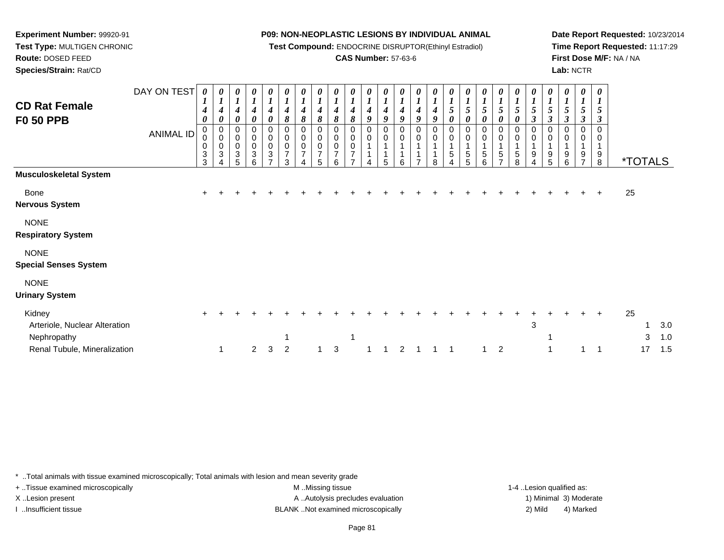**Test Compound:** ENDOCRINE DISRUPTOR(Ethinyl Estradiol)

#### **CAS Number:** 57-63-6

**Date Report Requested:** 10/23/2014**Time Report Requested:** 11:17:29**First Dose M/F:** NA / NA**Lab:** NCTR

|                                                               | 0<br>$\overline{ }$<br>4<br>0<br>0<br>$\bar{0}$<br>0<br>$\ensuremath{\mathsf{3}}$<br>3 | $\boldsymbol{\theta}$<br>$\boldsymbol{l}$<br>$\boldsymbol{4}$<br>$\boldsymbol{\theta}$<br>0<br>$\mathbf 0$<br>$\mathbf 0$<br>$\mathbf{3}$<br>4 | $\boldsymbol{\theta}$<br>$\boldsymbol{l}$<br>4<br>0<br>0<br>$\pmb{0}$<br>$\pmb{0}$<br>$\ensuremath{\mathsf{3}}$<br>5 | $\boldsymbol{\mathit{U}}$<br>$\boldsymbol{l}$<br>4<br>0<br>$\mathbf 0$<br>0<br>$\pmb{0}$<br>$\sqrt{3}$<br>6 | $\frac{\theta}{I}$<br>4<br>0<br>0<br>0<br>0<br>$\ensuremath{\mathsf{3}}$ | $\boldsymbol{\theta}$<br>$\boldsymbol{I}$<br>$\boldsymbol{4}$<br>8<br>0<br>$\mathbf 0$<br>$\pmb{0}$<br>$\overline{7}$<br>3 | $\boldsymbol{\theta}$<br>$\boldsymbol{l}$<br>4<br>8<br>0<br>$\pmb{0}$<br>0<br>$\overline{7}$ | $\boldsymbol{\theta}$<br>8<br>0<br>0<br>$\mathbf 0$<br>$\overline{7}$<br>5 | 8<br>0<br>0<br>0<br>$\overline{7}$<br>6 | $\boldsymbol{\theta}$<br>$\boldsymbol{l}$<br>4<br>8<br>$\mathbf 0$<br>$\mathbf 0$<br>$\mathbf 0$<br>$\overline{ }$ | 4<br>9<br>0<br>0 | 9<br>0<br>0<br>5 | 0<br>4<br>9<br>$\Omega$<br>0<br>6 | 0<br>1<br>4<br>9<br>0<br>0 | 0<br>$\boldsymbol{l}$<br>4<br>9<br>0<br>$\pmb{0}$<br>8 | 5<br>$\boldsymbol{\theta}$<br>$\mathbf 0$<br>0<br>1<br>5 | 5<br>0<br>$\mathbf 0$<br>0<br>5<br>5 | $\boldsymbol{\theta}$<br>$\boldsymbol{l}$<br>$\sqrt{5}$<br>0<br>$\mathbf 0$<br>$\mathbf 0$<br>$\overline{\mathbf{1}}$<br>$\,$ 5 $\,$<br>6 | $\boldsymbol{l}$<br>5<br>0<br>$\mathbf 0$<br>0<br>5 | $\sqrt{5}$<br>0<br>$\mathbf 0$<br>0<br>5<br>8 | 0<br>$\boldsymbol{l}$<br>5<br>3<br>0<br>0<br>9 | 0<br>$\boldsymbol{I}$<br>5<br>$\boldsymbol{\beta}$<br>0<br>0<br>1<br>9<br>5 | 0<br>$\boldsymbol{l}$<br>5<br>$\boldsymbol{\beta}$<br>0<br>$\boldsymbol{0}$<br>$\overline{1}$<br>9<br>6 | 0<br>$\boldsymbol{l}$<br>$\mathfrak{s}$<br>$\boldsymbol{\beta}$<br>$\mathbf 0$<br>0<br>$\mathbf{1}$<br>$9\,$<br>$\overline{ }$ | 0<br>5<br>3<br>0<br>0<br>9<br>8 |    |         |                       |
|---------------------------------------------------------------|----------------------------------------------------------------------------------------|------------------------------------------------------------------------------------------------------------------------------------------------|----------------------------------------------------------------------------------------------------------------------|-------------------------------------------------------------------------------------------------------------|--------------------------------------------------------------------------|----------------------------------------------------------------------------------------------------------------------------|----------------------------------------------------------------------------------------------|----------------------------------------------------------------------------|-----------------------------------------|--------------------------------------------------------------------------------------------------------------------|------------------|------------------|-----------------------------------|----------------------------|--------------------------------------------------------|----------------------------------------------------------|--------------------------------------|-------------------------------------------------------------------------------------------------------------------------------------------|-----------------------------------------------------|-----------------------------------------------|------------------------------------------------|-----------------------------------------------------------------------------|---------------------------------------------------------------------------------------------------------|--------------------------------------------------------------------------------------------------------------------------------|---------------------------------|----|---------|-----------------------|
|                                                               |                                                                                        |                                                                                                                                                |                                                                                                                      |                                                                                                             |                                                                          |                                                                                                                            |                                                                                              |                                                                            |                                         |                                                                                                                    |                  |                  |                                   |                            |                                                        |                                                          |                                      |                                                                                                                                           |                                                     |                                               |                                                |                                                                             |                                                                                                         |                                                                                                                                |                                 |    |         |                       |
|                                                               | $\ddot{}$                                                                              |                                                                                                                                                |                                                                                                                      |                                                                                                             |                                                                          |                                                                                                                            |                                                                                              |                                                                            |                                         |                                                                                                                    |                  |                  |                                   |                            |                                                        |                                                          |                                      |                                                                                                                                           |                                                     |                                               |                                                |                                                                             |                                                                                                         |                                                                                                                                |                                 | 25 |         |                       |
|                                                               |                                                                                        |                                                                                                                                                |                                                                                                                      |                                                                                                             |                                                                          |                                                                                                                            |                                                                                              |                                                                            |                                         |                                                                                                                    |                  |                  |                                   |                            |                                                        |                                                          |                                      |                                                                                                                                           |                                                     |                                               |                                                |                                                                             |                                                                                                         |                                                                                                                                |                                 |    |         |                       |
|                                                               |                                                                                        |                                                                                                                                                |                                                                                                                      |                                                                                                             |                                                                          |                                                                                                                            |                                                                                              |                                                                            |                                         |                                                                                                                    |                  |                  |                                   |                            |                                                        |                                                          |                                      |                                                                                                                                           |                                                     |                                               |                                                |                                                                             |                                                                                                         |                                                                                                                                |                                 |    |         |                       |
|                                                               |                                                                                        |                                                                                                                                                |                                                                                                                      |                                                                                                             |                                                                          |                                                                                                                            |                                                                                              |                                                                            |                                         |                                                                                                                    |                  |                  |                                   |                            |                                                        |                                                          |                                      |                                                                                                                                           |                                                     |                                               |                                                |                                                                             |                                                                                                         |                                                                                                                                |                                 |    |         |                       |
| Arteriole, Nuclear Alteration<br>Renal Tubule, Mineralization | $\pm$                                                                                  | $\mathbf{1}$                                                                                                                                   |                                                                                                                      | $\overline{2}$                                                                                              | 3                                                                        | 2                                                                                                                          |                                                                                              | 1                                                                          | 3                                       |                                                                                                                    |                  |                  | $\mathfrak{p}$                    |                            |                                                        | $\overline{1}$                                           |                                      | 1                                                                                                                                         | $\overline{2}$                                      |                                               | 3                                              |                                                                             |                                                                                                         | $\mathbf{1}$                                                                                                                   | $\overline{1}$                  | 25 | 3<br>17 | 3.0<br>1.0<br>1.5     |
|                                                               |                                                                                        | DAY ON TEST<br><b>ANIMAL ID</b>                                                                                                                |                                                                                                                      |                                                                                                             |                                                                          |                                                                                                                            |                                                                                              |                                                                            |                                         |                                                                                                                    |                  |                  |                                   |                            |                                                        |                                                          |                                      |                                                                                                                                           |                                                     |                                               |                                                |                                                                             |                                                                                                         |                                                                                                                                |                                 |    |         | <i><b>*TOTALS</b></i> |

\* ..Total animals with tissue examined microscopically; Total animals with lesion and mean severity grade

**Experiment Number:** 99920-91**Test Type:** MULTIGEN CHRONIC

**Route:** DOSED FEED**Species/Strain:** Rat/CD

+ ..Tissue examined microscopically examined microscopically examined as:  $M$  ..Missing tissue 1-4 ..Lesion qualified as: X..Lesion present **A ..Autolysis precludes evaluation** A ..Autolysis precludes evaluation 1) Minimal 3) Moderate

I ..Insufficient tissue BLANK ..Not examined microscopically 2) Mild 4) Marked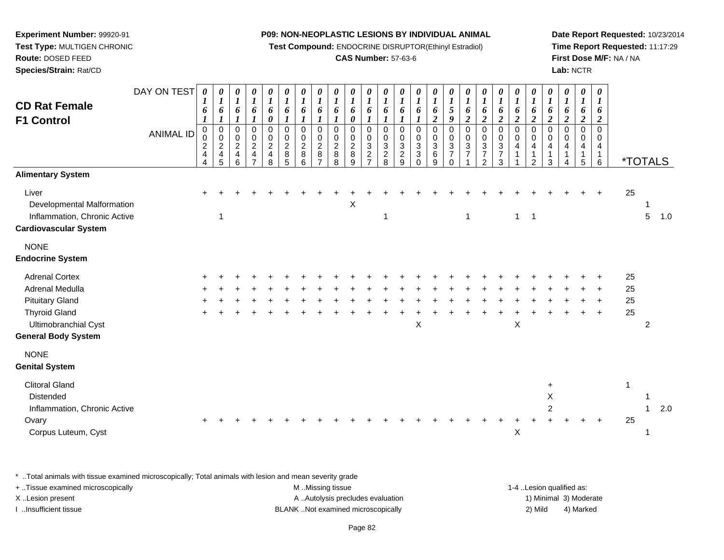**Test Compound:** ENDOCRINE DISRUPTOR(Ethinyl Estradiol)

#### **CAS Number:** 57-63-6

**Date Report Requested:** 10/23/2014**Time Report Requested:** 11:17:29**First Dose M/F:** NA / NA**Lab:** NCTR

| <b>CD Rat Female</b><br><b>F1 Control</b>                                                                                                        | DAY ON TEST<br><b>ANIMAL ID</b> | $\boldsymbol{\theta}$<br>$\boldsymbol{l}$<br>6<br>1<br>$\mathbf 0$<br>0<br>$\overline{c}$<br>$\overline{4}$<br>4 | 0<br>$\boldsymbol{l}$<br>6<br>$\boldsymbol{l}$<br>$\mathbf 0$<br>$\mathbf 0$<br>$\boldsymbol{2}$<br>$\overline{4}$<br>5 | $\boldsymbol{\theta}$<br>$\boldsymbol{l}$<br>6<br>$\boldsymbol{l}$<br>$\mathbf 0$<br>0<br>$\boldsymbol{2}$<br>$\overline{4}$<br>$6\phantom{1}$ | $\frac{\boldsymbol{\theta}}{\boldsymbol{I}}$<br>6<br>$\boldsymbol{l}$<br>0<br>$\pmb{0}$<br>$\frac{2}{4}$<br>$\overline{7}$ | $\boldsymbol{\theta}$<br>$\boldsymbol{l}$<br>6<br>$\boldsymbol{\theta}$<br>0<br>$\pmb{0}$<br>$\frac{2}{4}$<br>8 | 0<br>$\boldsymbol{l}$<br>6<br>$\boldsymbol{l}$<br>$\mathbf 0$<br>$\mathbf 0$<br>$\overline{2}$<br>$\bf 8$<br>5 | $\frac{\theta}{I}$<br>6<br>$\boldsymbol{l}$<br>$\mathbf 0$<br>$\mathbf 0$<br>$\boldsymbol{2}$<br>$\bf 8$<br>6 | $\frac{\theta}{I}$<br>6<br>$\boldsymbol{l}$<br>$\Omega$<br>$\mathbf 0$<br>$\overline{c}$<br>8<br>$\overline{7}$ | $\frac{\theta}{I}$<br>6<br>1<br>0<br>0<br>$\overline{c}$<br>8<br>8 | $\boldsymbol{\theta}$<br>$\boldsymbol{l}$<br>6<br>$\boldsymbol{\theta}$<br>$\Omega$<br>$\mathbf 0$<br>$\overline{2}$<br>8<br>9 | $\boldsymbol{\theta}$<br>$\boldsymbol{l}$<br>6<br>$\Omega$<br>0<br>$\sqrt{3}$<br>$\frac{2}{7}$ | $\boldsymbol{\theta}$<br>$\boldsymbol{l}$<br>6<br>$\Omega$<br>0<br>$\sqrt{3}$<br>$\frac{2}{8}$ | 0<br>$\boldsymbol{l}$<br>6<br>$\Omega$<br>0<br>$\ensuremath{\mathsf{3}}$<br>$\frac{2}{9}$ | 0<br>$\boldsymbol{l}$<br>6<br>$\Omega$<br>0<br>$\ensuremath{\mathsf{3}}$<br>$\ensuremath{\mathsf{3}}$<br>$\mathbf 0$ | 0<br>$\boldsymbol{l}$<br>6<br>$\overline{2}$<br>$\mathbf 0$<br>0<br>$\mathbf{3}$<br>6<br>9 | 0<br>$\boldsymbol{l}$<br>5<br>9<br>$\mathbf 0$<br>0<br>$\sqrt{3}$<br>$\overline{7}$<br>$\Omega$ | 0<br>$\boldsymbol{l}$<br>6<br>$\overline{2}$<br>$\mathbf 0$<br>$\mathbf 0$<br>$\sqrt{3}$<br>$\overline{7}$ | $\boldsymbol{\theta}$<br>$\boldsymbol{l}$<br>6<br>$\boldsymbol{2}$<br>$\mathbf 0$<br>$\pmb{0}$<br>$\ensuremath{\mathsf{3}}$<br>$\overline{7}$<br>$\mathfrak{p}$ | $\frac{\boldsymbol{\theta}}{\boldsymbol{I}}$<br>6<br>$\overline{2}$<br>0<br>$\mathbf 0$<br>$\mathbf{3}$<br>$\overline{7}$<br>3 | $\frac{\boldsymbol{\theta}}{\boldsymbol{I}}$<br>6<br>$\overline{2}$<br>$\mathbf 0$<br>$\boldsymbol{0}$<br>$\overline{\mathbf{4}}$ | $\boldsymbol{\theta}$<br>$\boldsymbol{I}$<br>6<br>$\boldsymbol{2}$<br>$\mathbf 0$<br>0<br>$\overline{\mathbf{4}}$<br>$\mathbf{1}$<br>$\overline{2}$ | 0<br>$\boldsymbol{l}$<br>6<br>$\overline{2}$<br>$\Omega$<br>0<br>4<br>1<br>3 | 0<br>$\boldsymbol{l}$<br>6<br>$\overline{2}$<br>$\Omega$<br>$\Omega$<br>4<br>$\mathbf{1}$<br>4 | 0<br>$\boldsymbol{l}$<br>6<br>$\boldsymbol{2}$<br>$\Omega$<br>0<br>4<br>1<br>5 | 0<br>$\boldsymbol{l}$<br>6<br>$\boldsymbol{2}$<br>$\Omega$<br>$\Omega$<br>4<br>1<br>$6\phantom{1}6$ |                      |                 | <i><b>*TOTALS</b></i> |
|--------------------------------------------------------------------------------------------------------------------------------------------------|---------------------------------|------------------------------------------------------------------------------------------------------------------|-------------------------------------------------------------------------------------------------------------------------|------------------------------------------------------------------------------------------------------------------------------------------------|----------------------------------------------------------------------------------------------------------------------------|-----------------------------------------------------------------------------------------------------------------|----------------------------------------------------------------------------------------------------------------|---------------------------------------------------------------------------------------------------------------|-----------------------------------------------------------------------------------------------------------------|--------------------------------------------------------------------|--------------------------------------------------------------------------------------------------------------------------------|------------------------------------------------------------------------------------------------|------------------------------------------------------------------------------------------------|-------------------------------------------------------------------------------------------|----------------------------------------------------------------------------------------------------------------------|--------------------------------------------------------------------------------------------|-------------------------------------------------------------------------------------------------|------------------------------------------------------------------------------------------------------------|-----------------------------------------------------------------------------------------------------------------------------------------------------------------|--------------------------------------------------------------------------------------------------------------------------------|-----------------------------------------------------------------------------------------------------------------------------------|-----------------------------------------------------------------------------------------------------------------------------------------------------|------------------------------------------------------------------------------|------------------------------------------------------------------------------------------------|--------------------------------------------------------------------------------|-----------------------------------------------------------------------------------------------------|----------------------|-----------------|-----------------------|
| <b>Alimentary System</b>                                                                                                                         |                                 |                                                                                                                  |                                                                                                                         |                                                                                                                                                |                                                                                                                            |                                                                                                                 |                                                                                                                |                                                                                                               |                                                                                                                 |                                                                    |                                                                                                                                |                                                                                                |                                                                                                |                                                                                           |                                                                                                                      |                                                                                            |                                                                                                 |                                                                                                            |                                                                                                                                                                 |                                                                                                                                |                                                                                                                                   |                                                                                                                                                     |                                                                              |                                                                                                |                                                                                |                                                                                                     |                      |                 |                       |
| Liver<br>Developmental Malformation<br>Inflammation, Chronic Active<br><b>Cardiovascular System</b>                                              |                                 |                                                                                                                  |                                                                                                                         |                                                                                                                                                |                                                                                                                            |                                                                                                                 |                                                                                                                |                                                                                                               |                                                                                                                 |                                                                    | X                                                                                                                              |                                                                                                | -1                                                                                             |                                                                                           |                                                                                                                      |                                                                                            |                                                                                                 | 1                                                                                                          |                                                                                                                                                                 |                                                                                                                                | $\mathbf{1}$                                                                                                                      | $\overline{1}$                                                                                                                                      |                                                                              |                                                                                                |                                                                                |                                                                                                     | 25                   | $5\phantom{.0}$ | 1.0                   |
| <b>NONE</b><br><b>Endocrine System</b>                                                                                                           |                                 |                                                                                                                  |                                                                                                                         |                                                                                                                                                |                                                                                                                            |                                                                                                                 |                                                                                                                |                                                                                                               |                                                                                                                 |                                                                    |                                                                                                                                |                                                                                                |                                                                                                |                                                                                           |                                                                                                                      |                                                                                            |                                                                                                 |                                                                                                            |                                                                                                                                                                 |                                                                                                                                |                                                                                                                                   |                                                                                                                                                     |                                                                              |                                                                                                |                                                                                |                                                                                                     |                      |                 |                       |
| <b>Adrenal Cortex</b><br>Adrenal Medulla<br><b>Pituitary Gland</b><br><b>Thyroid Gland</b><br>Ultimobranchial Cyst<br><b>General Body System</b> |                                 |                                                                                                                  |                                                                                                                         |                                                                                                                                                |                                                                                                                            |                                                                                                                 |                                                                                                                |                                                                                                               |                                                                                                                 |                                                                    |                                                                                                                                |                                                                                                |                                                                                                |                                                                                           | X                                                                                                                    |                                                                                            |                                                                                                 |                                                                                                            |                                                                                                                                                                 |                                                                                                                                | X                                                                                                                                 |                                                                                                                                                     |                                                                              |                                                                                                |                                                                                | $\ddot{}$                                                                                           | 25<br>25<br>25<br>25 | $\overline{2}$  |                       |
| <b>NONE</b><br><b>Genital System</b>                                                                                                             |                                 |                                                                                                                  |                                                                                                                         |                                                                                                                                                |                                                                                                                            |                                                                                                                 |                                                                                                                |                                                                                                               |                                                                                                                 |                                                                    |                                                                                                                                |                                                                                                |                                                                                                |                                                                                           |                                                                                                                      |                                                                                            |                                                                                                 |                                                                                                            |                                                                                                                                                                 |                                                                                                                                |                                                                                                                                   |                                                                                                                                                     |                                                                              |                                                                                                |                                                                                |                                                                                                     |                      |                 |                       |
| <b>Clitoral Gland</b><br>Distended<br>Inflammation, Chronic Active<br>Ovary<br>Corpus Luteum, Cyst                                               |                                 |                                                                                                                  |                                                                                                                         |                                                                                                                                                |                                                                                                                            |                                                                                                                 |                                                                                                                |                                                                                                               |                                                                                                                 |                                                                    |                                                                                                                                |                                                                                                |                                                                                                |                                                                                           |                                                                                                                      |                                                                                            |                                                                                                 |                                                                                                            |                                                                                                                                                                 |                                                                                                                                | X                                                                                                                                 |                                                                                                                                                     | +<br>X<br>$\overline{c}$                                                     |                                                                                                |                                                                                |                                                                                                     | $\mathbf{1}$<br>25   |                 | 2.0                   |

\* ..Total animals with tissue examined microscopically; Total animals with lesion and mean severity grade

**Experiment Number:** 99920-91**Test Type:** MULTIGEN CHRONIC

| + Tissue examined microscopically | M Missing tissue                   | 1-4 Lesion qualified as: |
|-----------------------------------|------------------------------------|--------------------------|
| X Lesion present                  | A Autolysis precludes evaluation   | 1) Minimal 3) Moderate   |
| …Insufficient tissue              | BLANK Not examined microscopically | 2) Mild<br>4) Marked     |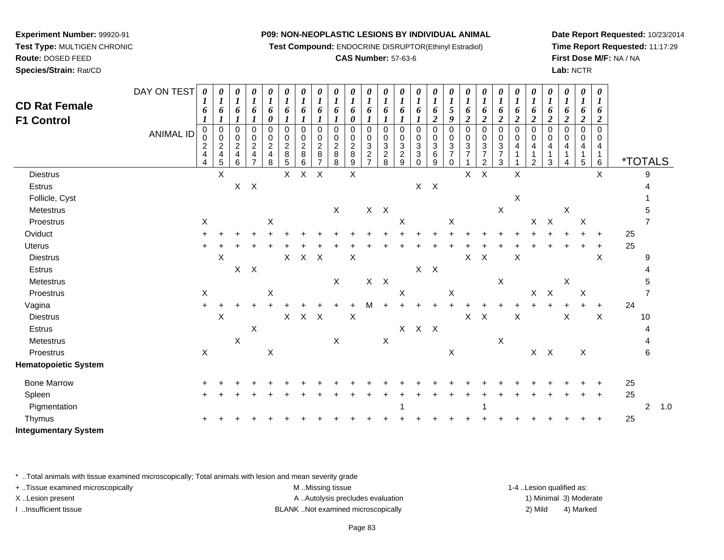**Test Compound:** ENDOCRINE DISRUPTOR(Ethinyl Estradiol)

#### **CAS Number:** 57-63-6

**Date Report Requested:** 10/23/2014**Time Report Requested:** 11:17:29**First Dose M/F:** NA / NA**Lab:** NCTR

| <b>CD Rat Female</b><br><b>F1 Control</b> | DAY ON TEST<br><b>ANIMAL ID</b> | 0<br>1<br>6<br>$\mathbf 0$<br>0<br>$\begin{array}{c} 2 \\ 4 \\ 4 \end{array}$ | 0<br>$\boldsymbol{l}$<br>6<br>$\mathbf 0$<br>0<br>$\overline{c}$<br>$\overline{\mathbf{4}}$ | 0<br>$\boldsymbol{l}$<br>6<br>0<br>0<br>$\overline{a}$<br>4 | 0<br>$\boldsymbol{l}$<br>6<br>1<br>$\mathbf 0$<br>0<br>$\boldsymbol{2}$<br>$\overline{\mathbf{4}}$ | 0<br>$\boldsymbol{l}$<br>6<br>0<br>$\mathbf 0$<br>0<br>$\overline{c}$<br>$\overline{4}$ | 0<br>$\boldsymbol{l}$<br>6<br>$\mathbf 0$<br>0<br>$\begin{array}{c} 2 \\ 8 \\ 5 \end{array}$ | $\boldsymbol{\theta}$<br>$\boldsymbol{l}$<br>6<br>$\mathbf 0$<br>0<br>$\overline{\mathbf{c}}$<br>8 | 0<br>$\boldsymbol{l}$<br>6<br>$\mathbf 0$<br>0<br>$^2_{\bf 8}$ | 0<br>$\boldsymbol{l}$<br>6<br>$\boldsymbol{l}$<br>$\mathbf 0$<br>0<br>$\overline{c}$<br>$\bf 8$ | 0<br>$\boldsymbol{l}$<br>6<br>0<br>$\mathbf 0$<br>0<br>$\begin{array}{c} 2 \\ 8 \\ 9 \end{array}$ | 0<br>$\boldsymbol{l}$<br>6<br>$\mathbf 0$<br>0<br>$\frac{3}{2}$ | 0<br>$\boldsymbol{l}$<br>6<br>0<br>0<br>$\frac{3}{2}$ | 0<br>$\boldsymbol{l}$<br>6<br>$\mathbf 0$<br>0<br>$\begin{array}{c} 3 \\ 2 \\ 9 \end{array}$ | 0<br>$\boldsymbol{l}$<br>6<br>$\mathbf 0$<br>0<br>$_3^3$ | $\boldsymbol{\theta}$<br>$\boldsymbol{l}$<br>6<br>$\boldsymbol{2}$<br>$\mathbf 0$<br>0<br>$\sqrt{3}$<br>$\,6\,$ | 0<br>$\boldsymbol{l}$<br>5<br>9<br>$\mathbf 0$<br>0<br>3<br>$\overline{7}$ | 0<br>$\boldsymbol{l}$<br>6<br>$\overline{2}$<br>$\mathbf 0$<br>0<br>$\ensuremath{\mathsf{3}}$<br>$\overline{7}$ | 0<br>$\boldsymbol{l}$<br>6<br>$\overline{c}$<br>0<br>$_{3}^{\rm 0}$<br>$\overline{7}$ | 0<br>$\boldsymbol{l}$<br>6<br>$\boldsymbol{2}$<br>0<br>0<br>$\frac{3}{7}$ | 0<br>$\boldsymbol{l}$<br>6<br>2<br>$\mathbf 0$<br>$\mathbf 0$<br>4<br>$\mathbf{1}$ | 0<br>$\boldsymbol{l}$<br>6<br>2<br>$\mathbf 0$<br>0<br>4<br>1 | 0<br>$\boldsymbol{l}$<br>6<br>$\overline{2}$<br>$\mathbf 0$<br>$\mathbf 0$<br>4 | $\pmb{\theta}$<br>$\boldsymbol{l}$<br>6<br>$\boldsymbol{2}$<br>0<br>$\Omega$<br>4 | $\boldsymbol{\theta}$<br>$\boldsymbol{l}$<br>6<br>$\boldsymbol{2}$<br>$\mathbf 0$<br>$\mathbf 0$<br>4<br>1 | 0<br>$\boldsymbol{l}$<br>6<br>$\overline{2}$<br>0<br>0<br>4<br>$\mathbf{1}$ |    |                       |     |
|-------------------------------------------|---------------------------------|-------------------------------------------------------------------------------|---------------------------------------------------------------------------------------------|-------------------------------------------------------------|----------------------------------------------------------------------------------------------------|-----------------------------------------------------------------------------------------|----------------------------------------------------------------------------------------------|----------------------------------------------------------------------------------------------------|----------------------------------------------------------------|-------------------------------------------------------------------------------------------------|---------------------------------------------------------------------------------------------------|-----------------------------------------------------------------|-------------------------------------------------------|----------------------------------------------------------------------------------------------|----------------------------------------------------------|-----------------------------------------------------------------------------------------------------------------|----------------------------------------------------------------------------|-----------------------------------------------------------------------------------------------------------------|---------------------------------------------------------------------------------------|---------------------------------------------------------------------------|------------------------------------------------------------------------------------|---------------------------------------------------------------|---------------------------------------------------------------------------------|-----------------------------------------------------------------------------------|------------------------------------------------------------------------------------------------------------|-----------------------------------------------------------------------------|----|-----------------------|-----|
|                                           |                                 |                                                                               | $\overline{5}$                                                                              | 6                                                           | $\overline{7}$                                                                                     | 8                                                                                       |                                                                                              | 6                                                                                                  | $\overline{7}$                                                 | 8                                                                                               |                                                                                                   |                                                                 |                                                       |                                                                                              | $\mathbf 0$                                              | 9                                                                                                               | $\Omega$                                                                   |                                                                                                                 | $\overline{2}$                                                                        | 3                                                                         |                                                                                    | 2                                                             | 3                                                                               | $\overline{4}$                                                                    | $\sqrt{5}$                                                                                                 | $\,6\,$                                                                     |    | <i><b>*TOTALS</b></i> |     |
| <b>Diestrus</b>                           |                                 |                                                                               | $\times$                                                                                    |                                                             |                                                                                                    |                                                                                         | X                                                                                            | $\mathsf{X}$                                                                                       | $\mathsf X$                                                    |                                                                                                 | X                                                                                                 |                                                                 |                                                       |                                                                                              |                                                          |                                                                                                                 |                                                                            | $\mathsf{X}$                                                                                                    | $\boldsymbol{\mathsf{X}}$                                                             |                                                                           | $\mathsf X$                                                                        |                                                               |                                                                                 |                                                                                   |                                                                                                            | X                                                                           |    | 9                     |     |
| Estrus                                    |                                 |                                                                               |                                                                                             |                                                             | $X$ $X$                                                                                            |                                                                                         |                                                                                              |                                                                                                    |                                                                |                                                                                                 |                                                                                                   |                                                                 |                                                       |                                                                                              |                                                          | $X$ $X$                                                                                                         |                                                                            |                                                                                                                 |                                                                                       |                                                                           |                                                                                    |                                                               |                                                                                 |                                                                                   |                                                                                                            |                                                                             |    |                       |     |
| Follicle, Cyst                            |                                 |                                                                               |                                                                                             |                                                             |                                                                                                    |                                                                                         |                                                                                              |                                                                                                    |                                                                |                                                                                                 |                                                                                                   |                                                                 |                                                       |                                                                                              |                                                          |                                                                                                                 |                                                                            |                                                                                                                 |                                                                                       |                                                                           | X                                                                                  |                                                               |                                                                                 |                                                                                   |                                                                                                            |                                                                             |    |                       |     |
| Metestrus                                 |                                 |                                                                               |                                                                                             |                                                             |                                                                                                    |                                                                                         |                                                                                              |                                                                                                    |                                                                | $\mathsf X$                                                                                     |                                                                                                   |                                                                 | $X$ $X$                                               |                                                                                              |                                                          |                                                                                                                 |                                                                            |                                                                                                                 |                                                                                       | $\mathsf X$                                                               |                                                                                    |                                                               |                                                                                 | X                                                                                 |                                                                                                            |                                                                             |    |                       |     |
| Proestrus                                 |                                 | X                                                                             |                                                                                             |                                                             |                                                                                                    | X                                                                                       |                                                                                              |                                                                                                    |                                                                |                                                                                                 |                                                                                                   |                                                                 |                                                       | $\boldsymbol{\mathsf{X}}$                                                                    |                                                          |                                                                                                                 | $\mathsf X$                                                                |                                                                                                                 |                                                                                       |                                                                           |                                                                                    | $X -$                                                         | $\mathsf X$                                                                     |                                                                                   | $\boldsymbol{\mathsf{X}}$                                                                                  |                                                                             |    |                       |     |
| Oviduct                                   |                                 |                                                                               |                                                                                             |                                                             |                                                                                                    |                                                                                         |                                                                                              |                                                                                                    |                                                                |                                                                                                 |                                                                                                   |                                                                 |                                                       |                                                                                              |                                                          |                                                                                                                 |                                                                            |                                                                                                                 |                                                                                       |                                                                           |                                                                                    |                                                               |                                                                                 |                                                                                   |                                                                                                            |                                                                             | 25 |                       |     |
| <b>Uterus</b>                             |                                 |                                                                               |                                                                                             |                                                             |                                                                                                    |                                                                                         |                                                                                              |                                                                                                    |                                                                |                                                                                                 |                                                                                                   |                                                                 |                                                       |                                                                                              |                                                          |                                                                                                                 |                                                                            |                                                                                                                 |                                                                                       |                                                                           |                                                                                    |                                                               |                                                                                 |                                                                                   |                                                                                                            |                                                                             | 25 |                       |     |
| <b>Diestrus</b>                           |                                 |                                                                               | X                                                                                           |                                                             |                                                                                                    |                                                                                         | $\mathsf{X}$                                                                                 |                                                                                                    | $X$ $X$                                                        |                                                                                                 | X                                                                                                 |                                                                 |                                                       |                                                                                              |                                                          |                                                                                                                 |                                                                            | X                                                                                                               | $\boldsymbol{\mathsf{X}}$                                                             |                                                                           | $\times$                                                                           |                                                               |                                                                                 |                                                                                   |                                                                                                            | X                                                                           |    | 9                     |     |
| Estrus                                    |                                 |                                                                               |                                                                                             |                                                             | $X$ $X$                                                                                            |                                                                                         |                                                                                              |                                                                                                    |                                                                |                                                                                                 |                                                                                                   |                                                                 |                                                       |                                                                                              |                                                          | $X$ $X$                                                                                                         |                                                                            |                                                                                                                 |                                                                                       |                                                                           |                                                                                    |                                                               |                                                                                 |                                                                                   |                                                                                                            |                                                                             |    |                       |     |
| Metestrus                                 |                                 |                                                                               |                                                                                             |                                                             |                                                                                                    |                                                                                         |                                                                                              |                                                                                                    |                                                                | $\mathsf X$                                                                                     |                                                                                                   |                                                                 | $X$ $X$                                               |                                                                                              |                                                          |                                                                                                                 |                                                                            |                                                                                                                 |                                                                                       | X                                                                         |                                                                                    |                                                               |                                                                                 | $\mathsf X$                                                                       |                                                                                                            |                                                                             |    |                       |     |
| Proestrus                                 |                                 | $\boldsymbol{\mathsf{X}}$                                                     |                                                                                             |                                                             |                                                                                                    | X                                                                                       |                                                                                              |                                                                                                    |                                                                |                                                                                                 |                                                                                                   |                                                                 |                                                       | X                                                                                            |                                                          |                                                                                                                 | $\boldsymbol{\mathsf{X}}$                                                  |                                                                                                                 |                                                                                       |                                                                           |                                                                                    | $X -$                                                         | $\boldsymbol{X}$                                                                |                                                                                   | X                                                                                                          |                                                                             |    | 7                     |     |
| Vagina                                    |                                 | $\ddot{}$                                                                     |                                                                                             |                                                             |                                                                                                    |                                                                                         |                                                                                              |                                                                                                    |                                                                |                                                                                                 |                                                                                                   | M                                                               | $+$                                                   | $\ddot{}$                                                                                    | $\ddot{}$                                                |                                                                                                                 |                                                                            |                                                                                                                 |                                                                                       |                                                                           |                                                                                    |                                                               |                                                                                 |                                                                                   |                                                                                                            | $\ddot{}$                                                                   | 24 |                       |     |
| <b>Diestrus</b>                           |                                 |                                                                               | $\boldsymbol{\mathsf{X}}$                                                                   |                                                             |                                                                                                    |                                                                                         | $\mathsf{X}$                                                                                 | $\mathsf X$                                                                                        | $\mathsf{X}$                                                   |                                                                                                 | $\mathsf X$                                                                                       |                                                                 |                                                       |                                                                                              |                                                          |                                                                                                                 |                                                                            | X                                                                                                               | $\boldsymbol{\mathsf{X}}$                                                             |                                                                           | X                                                                                  |                                                               |                                                                                 | X                                                                                 |                                                                                                            | X                                                                           |    | 10                    |     |
| Estrus                                    |                                 |                                                                               |                                                                                             |                                                             | $\sf X$                                                                                            |                                                                                         |                                                                                              |                                                                                                    |                                                                |                                                                                                 |                                                                                                   |                                                                 |                                                       | X                                                                                            |                                                          | $X$ $X$                                                                                                         |                                                                            |                                                                                                                 |                                                                                       |                                                                           |                                                                                    |                                                               |                                                                                 |                                                                                   |                                                                                                            |                                                                             |    |                       |     |
| Metestrus                                 |                                 |                                                                               |                                                                                             | $\boldsymbol{\mathsf{X}}$                                   |                                                                                                    |                                                                                         |                                                                                              |                                                                                                    |                                                                | $\mathsf X$                                                                                     |                                                                                                   |                                                                 | X                                                     |                                                                                              |                                                          |                                                                                                                 |                                                                            |                                                                                                                 |                                                                                       | X                                                                         |                                                                                    |                                                               |                                                                                 |                                                                                   |                                                                                                            |                                                                             |    |                       |     |
| Proestrus                                 |                                 | $\boldsymbol{X}$                                                              |                                                                                             |                                                             |                                                                                                    | $\boldsymbol{\mathsf{X}}$                                                               |                                                                                              |                                                                                                    |                                                                |                                                                                                 |                                                                                                   |                                                                 |                                                       |                                                                                              |                                                          |                                                                                                                 | $\mathsf X$                                                                |                                                                                                                 |                                                                                       |                                                                           |                                                                                    |                                                               | $X$ $X$                                                                         |                                                                                   | $\mathsf{X}$                                                                                               |                                                                             |    | 6                     |     |
| <b>Hematopoietic System</b>               |                                 |                                                                               |                                                                                             |                                                             |                                                                                                    |                                                                                         |                                                                                              |                                                                                                    |                                                                |                                                                                                 |                                                                                                   |                                                                 |                                                       |                                                                                              |                                                          |                                                                                                                 |                                                                            |                                                                                                                 |                                                                                       |                                                                           |                                                                                    |                                                               |                                                                                 |                                                                                   |                                                                                                            |                                                                             |    |                       |     |
| <b>Bone Marrow</b>                        |                                 |                                                                               |                                                                                             |                                                             |                                                                                                    |                                                                                         |                                                                                              |                                                                                                    |                                                                |                                                                                                 |                                                                                                   |                                                                 |                                                       |                                                                                              |                                                          |                                                                                                                 |                                                                            |                                                                                                                 |                                                                                       |                                                                           |                                                                                    |                                                               |                                                                                 |                                                                                   |                                                                                                            |                                                                             | 25 |                       |     |
| Spleen                                    |                                 |                                                                               |                                                                                             |                                                             |                                                                                                    |                                                                                         |                                                                                              |                                                                                                    |                                                                |                                                                                                 |                                                                                                   |                                                                 |                                                       |                                                                                              |                                                          |                                                                                                                 |                                                                            |                                                                                                                 |                                                                                       |                                                                           |                                                                                    |                                                               |                                                                                 |                                                                                   |                                                                                                            |                                                                             | 25 |                       |     |
| Pigmentation                              |                                 |                                                                               |                                                                                             |                                                             |                                                                                                    |                                                                                         |                                                                                              |                                                                                                    |                                                                |                                                                                                 |                                                                                                   |                                                                 |                                                       | 1                                                                                            |                                                          |                                                                                                                 |                                                                            |                                                                                                                 | 1                                                                                     |                                                                           |                                                                                    |                                                               |                                                                                 |                                                                                   |                                                                                                            |                                                                             |    | $\overline{2}$        | 1.0 |
| Thymus                                    |                                 |                                                                               |                                                                                             |                                                             |                                                                                                    |                                                                                         |                                                                                              |                                                                                                    |                                                                |                                                                                                 |                                                                                                   |                                                                 |                                                       |                                                                                              |                                                          |                                                                                                                 |                                                                            |                                                                                                                 |                                                                                       |                                                                           |                                                                                    |                                                               |                                                                                 |                                                                                   |                                                                                                            |                                                                             | 25 |                       |     |
| <b>Integumentary System</b>               |                                 |                                                                               |                                                                                             |                                                             |                                                                                                    |                                                                                         |                                                                                              |                                                                                                    |                                                                |                                                                                                 |                                                                                                   |                                                                 |                                                       |                                                                                              |                                                          |                                                                                                                 |                                                                            |                                                                                                                 |                                                                                       |                                                                           |                                                                                    |                                                               |                                                                                 |                                                                                   |                                                                                                            |                                                                             |    |                       |     |

\* ..Total animals with tissue examined microscopically; Total animals with lesion and mean severity grade

**Experiment Number:** 99920-91**Test Type:** MULTIGEN CHRONIC

**Route:** DOSED FEED**Species/Strain:** Rat/CD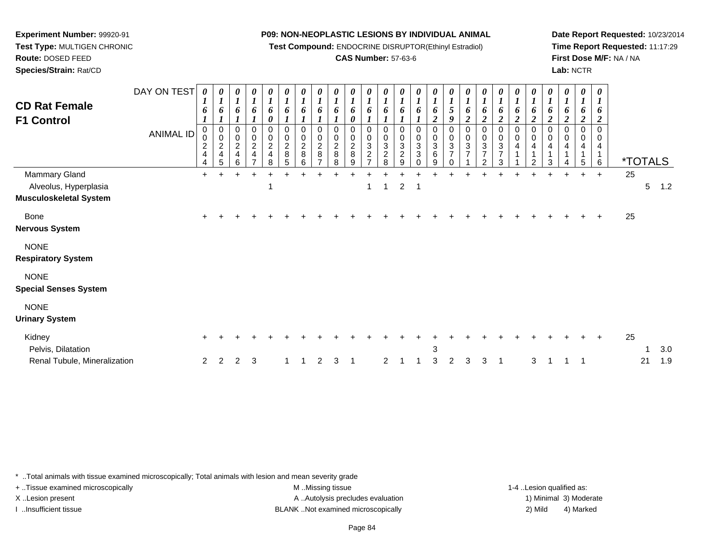**Test Compound:** ENDOCRINE DISRUPTOR(Ethinyl Estradiol)

#### **CAS Number:** 57-63-6

**Date Report Requested:** 10/23/2014**Time Report Requested:** 11:17:29**First Dose M/F:** NA / NA**Lab:** NCTR

| <b>CD Rat Female</b><br><b>F1 Control</b>                               | DAY ON TEST<br><b>ANIMAL ID</b> | $\boldsymbol{\theta}$<br>6<br>0<br>0<br>$\boldsymbol{2}$<br>4<br>4 | 0<br>$\boldsymbol{l}$<br>6<br>$\pmb{0}$<br>$\mathbf 0$<br>$\frac{2}{4}$<br>$\overline{5}$ | 0<br>$\boldsymbol{l}$<br>6<br>0<br>$\mathsf{O}\xspace$<br>$\frac{2}{4}$<br>6 | 0<br>$\boldsymbol{l}$<br>6<br>0<br>$\begin{array}{c} 0 \\ 2 \\ 4 \end{array}$<br>$\overline{ }$ | 0<br>$\boldsymbol{l}$<br>6<br>0<br>0<br>$\mathbf 0$<br>$\boldsymbol{2}$<br>4<br>8 | 0<br>$\boldsymbol{l}$<br>6<br>0<br>0<br>$\sqrt{2}$<br>8<br>5 | 0<br>$\boldsymbol{l}$<br>6<br>$\Omega$<br>0<br>$\overline{c}$<br>8<br>6 | $\boldsymbol{\theta}$<br>$\boldsymbol{l}$<br>$\Omega$<br>0<br>$\boldsymbol{2}$<br>8 | $\boldsymbol{\theta}$<br>6<br>0<br>0<br>$\boldsymbol{2}$<br>8<br>8 | 0<br>$\boldsymbol{l}$<br>6<br>0<br>0<br>$\mathbf 0$<br>$\overline{a}$<br>$\bf 8$<br>9 | 0<br>$\boldsymbol{l}$<br>6<br>0<br>0<br>$\ensuremath{\mathsf{3}}$<br>$\overline{c}$ | 0<br>$\boldsymbol{l}$<br>6<br>$\mathbf 0$<br>$\mathbf 0$<br>$\ensuremath{\mathsf{3}}$<br>$\overline{c}$<br>8 | 0<br>$\boldsymbol{l}$<br>6<br>$\pmb{0}$<br>$\pmb{0}$<br>$\ensuremath{\mathsf{3}}$<br>$\overline{c}$<br>9 | 0<br>$\boldsymbol{l}$<br>6<br>0<br>0<br>3<br>3<br>$\Omega$ | $\boldsymbol{\theta}$<br>$\boldsymbol{l}$<br>6<br>$\overline{\mathbf{c}}$<br>0<br>0<br>$\ensuremath{\mathsf{3}}$<br>6<br>9 | $\boldsymbol{\theta}$<br>$\boldsymbol{l}$<br>5<br>9<br>0<br>$\mathbf 0$<br>$\ensuremath{\mathsf{3}}$<br>$\overline{7}$ | U<br>$\boldsymbol{l}$<br>6<br>$\boldsymbol{2}$<br>0<br>0<br>$\frac{3}{7}$ | $\boldsymbol{\theta}$<br>$\boldsymbol{l}$<br>6<br>$\overline{c}$<br>0<br>$\pmb{0}$<br>$\frac{3}{7}$<br>2 | 0<br>$\boldsymbol{l}$<br>6<br>$\boldsymbol{2}$<br>0<br>$\mathbf 0$<br>$\ensuremath{\mathsf{3}}$<br>$\overline{\mathbf{7}}$<br>3 | 0<br>$\boldsymbol{l}$<br>6<br>2<br>0<br>0<br>4<br>4 | 0<br>$\boldsymbol{l}$<br>6<br>2<br>0<br>0<br>4<br>$\overline{2}$ | 0<br>$\boldsymbol{l}$<br>6<br>2<br>0<br>0<br>4<br>3 | 0<br>$\boldsymbol{l}$<br>2<br>0 | 0<br>6<br>2<br>$\Omega$<br>0<br>4<br>5 | 0<br>1<br>6<br>$\boldsymbol{2}$<br>$\mathbf 0$<br>0<br>4<br>1<br>$6\phantom{1}$ |    | <i><b>*TOTALS</b></i> |            |
|-------------------------------------------------------------------------|---------------------------------|--------------------------------------------------------------------|-------------------------------------------------------------------------------------------|------------------------------------------------------------------------------|-------------------------------------------------------------------------------------------------|-----------------------------------------------------------------------------------|--------------------------------------------------------------|-------------------------------------------------------------------------|-------------------------------------------------------------------------------------|--------------------------------------------------------------------|---------------------------------------------------------------------------------------|-------------------------------------------------------------------------------------|--------------------------------------------------------------------------------------------------------------|----------------------------------------------------------------------------------------------------------|------------------------------------------------------------|----------------------------------------------------------------------------------------------------------------------------|------------------------------------------------------------------------------------------------------------------------|---------------------------------------------------------------------------|----------------------------------------------------------------------------------------------------------|---------------------------------------------------------------------------------------------------------------------------------|-----------------------------------------------------|------------------------------------------------------------------|-----------------------------------------------------|---------------------------------|----------------------------------------|---------------------------------------------------------------------------------|----|-----------------------|------------|
| Mammary Gland<br>Alveolus, Hyperplasia<br><b>Musculoskeletal System</b> |                                 | $\ddot{}$                                                          | $\ddot{}$                                                                                 | +                                                                            |                                                                                                 | 1                                                                                 |                                                              |                                                                         |                                                                                     |                                                                    |                                                                                       | 1                                                                                   | 1                                                                                                            | $\overline{c}$                                                                                           | $\overline{1}$                                             |                                                                                                                            |                                                                                                                        |                                                                           |                                                                                                          |                                                                                                                                 |                                                     |                                                                  |                                                     |                                 |                                        | $\ddot{}$                                                                       | 25 | 5                     | 1.2        |
| Bone<br><b>Nervous System</b>                                           |                                 | $\ddot{}$                                                          |                                                                                           |                                                                              |                                                                                                 |                                                                                   |                                                              |                                                                         |                                                                                     |                                                                    |                                                                                       |                                                                                     |                                                                                                              |                                                                                                          |                                                            |                                                                                                                            |                                                                                                                        |                                                                           |                                                                                                          |                                                                                                                                 |                                                     |                                                                  |                                                     |                                 |                                        |                                                                                 | 25 |                       |            |
| <b>NONE</b><br><b>Respiratory System</b>                                |                                 |                                                                    |                                                                                           |                                                                              |                                                                                                 |                                                                                   |                                                              |                                                                         |                                                                                     |                                                                    |                                                                                       |                                                                                     |                                                                                                              |                                                                                                          |                                                            |                                                                                                                            |                                                                                                                        |                                                                           |                                                                                                          |                                                                                                                                 |                                                     |                                                                  |                                                     |                                 |                                        |                                                                                 |    |                       |            |
| <b>NONE</b><br><b>Special Senses System</b>                             |                                 |                                                                    |                                                                                           |                                                                              |                                                                                                 |                                                                                   |                                                              |                                                                         |                                                                                     |                                                                    |                                                                                       |                                                                                     |                                                                                                              |                                                                                                          |                                                            |                                                                                                                            |                                                                                                                        |                                                                           |                                                                                                          |                                                                                                                                 |                                                     |                                                                  |                                                     |                                 |                                        |                                                                                 |    |                       |            |
| <b>NONE</b><br><b>Urinary System</b>                                    |                                 |                                                                    |                                                                                           |                                                                              |                                                                                                 |                                                                                   |                                                              |                                                                         |                                                                                     |                                                                    |                                                                                       |                                                                                     |                                                                                                              |                                                                                                          |                                                            |                                                                                                                            |                                                                                                                        |                                                                           |                                                                                                          |                                                                                                                                 |                                                     |                                                                  |                                                     |                                 |                                        |                                                                                 |    |                       |            |
| Kidney<br>Pelvis, Dilatation<br>Renal Tubule, Mineralization            |                                 | $\ddot{}$<br>$\overline{2}$                                        | 2                                                                                         | $\overline{2}$                                                               | 3                                                                                               |                                                                                   |                                                              |                                                                         | $\overline{2}$                                                                      | 3                                                                  | $\overline{1}$                                                                        |                                                                                     | $\overline{2}$                                                                                               |                                                                                                          | 1                                                          | 3<br>3                                                                                                                     | 2                                                                                                                      | 3                                                                         | 3                                                                                                        | -1                                                                                                                              |                                                     | 3                                                                |                                                     |                                 | $\overline{1}$                         |                                                                                 | 25 | 21                    | 3.0<br>1.9 |

\* ..Total animals with tissue examined microscopically; Total animals with lesion and mean severity grade

**Experiment Number:** 99920-91**Test Type:** MULTIGEN CHRONIC

**Route:** DOSED FEED**Species/Strain:** Rat/CD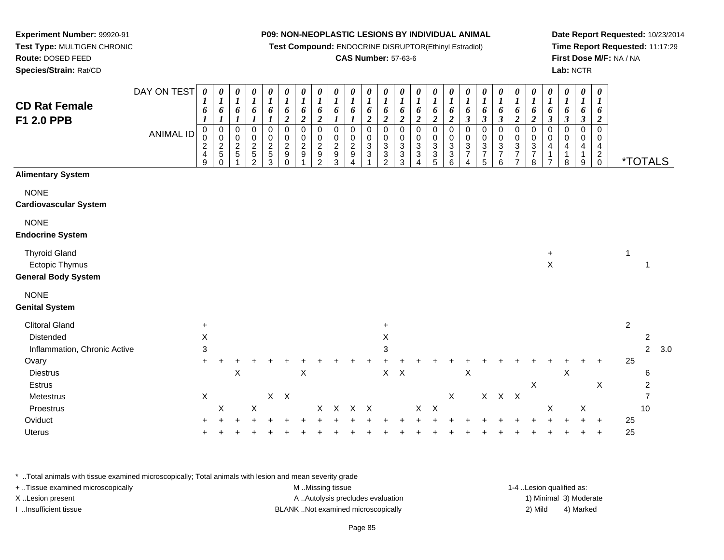**Test Compound:** ENDOCRINE DISRUPTOR(Ethinyl Estradiol)

#### **CAS Number:** 57-63-6

**Date Report Requested:** 10/23/2014**Time Report Requested:** 11:17:29**First Dose M/F:** NA / NA**Lab:** NCTR

| <b>CD Rat Female</b><br>F1 2.0 PPB                                   | DAY ON TEST<br><b>ANIMAL ID</b> | $\boldsymbol{\theta}$<br>6<br>0<br>$\boldsymbol{2}$<br>$\overline{\mathbf{4}}$<br>9 | 0<br>1<br>6<br>$\pmb{0}$<br>$\mathbf 0$<br>$\frac{2}{5}$<br>$\Omega$ | $\boldsymbol{\theta}$<br>$\boldsymbol{l}$<br>6<br>$\boldsymbol{l}$<br>0<br>$\pmb{0}$<br>$\frac{2}{5}$ | 0<br>$\boldsymbol{l}$<br>6<br>$\boldsymbol{l}$<br>0<br>$\mathbf 0$<br>$\frac{2}{5}$<br>$\overline{2}$ | $\boldsymbol{\theta}$<br>$\boldsymbol{l}$<br>6<br>$\mathbf 0$<br>0<br>$\sqrt{2}$<br>$\sqrt{5}$<br>3 | 0<br>1<br>6<br>$\boldsymbol{2}$<br>$\mathbf 0$<br>0<br>$\boldsymbol{2}$<br>9<br>$\Omega$ | 0<br>$\boldsymbol{l}$<br>6<br>$\boldsymbol{2}$<br>0<br>0<br>$\boldsymbol{2}$<br>9 | 0<br>$\boldsymbol{l}$<br>6<br>$\overline{\mathbf{c}}$<br>$\pmb{0}$<br>0<br>$\boldsymbol{2}$<br>$\boldsymbol{9}$<br>$\mathcal{P}$ | 0<br>$\boldsymbol{l}$<br>6<br>$\mathbf 0$<br>0<br>$\boldsymbol{2}$<br>$\boldsymbol{9}$<br>3 | 0<br>1<br>6<br>0<br>0<br>$\overline{2}$<br>$\boldsymbol{9}$ | 0<br>$\boldsymbol{l}$<br>6<br>$\overline{\mathbf{c}}$<br>0<br>0<br>$\sqrt{3}$<br>$\ensuremath{\mathsf{3}}$ | 0<br>$\boldsymbol{l}$<br>6<br>$\boldsymbol{2}$<br>0<br>0<br>$\ensuremath{\mathsf{3}}$<br>3<br>$\mathcal{P}$ | 0<br>1<br>6<br>$\boldsymbol{2}$<br>0<br>0<br>$\sqrt{3}$<br>$\sqrt{3}$<br>3 | $\boldsymbol{\theta}$<br>$\boldsymbol{l}$<br>6<br>$\boldsymbol{2}$<br>0<br>0<br>3<br>3<br>4 | $\boldsymbol{\theta}$<br>$\boldsymbol{l}$<br>6<br>$\boldsymbol{2}$<br>$\mathbf 0$<br>$\pmb{0}$<br>$\ensuremath{\mathsf{3}}$<br>$\ensuremath{\mathsf{3}}$<br>5 | $\boldsymbol{\theta}$<br>$\boldsymbol{l}$<br>6<br>$\boldsymbol{2}$<br>$\mathbf 0$<br>0<br>$\sqrt{3}$<br>$\mathbf{3}$<br>6 | 0<br>$\boldsymbol{l}$<br>6<br>$\boldsymbol{\beta}$<br>$\mathbf 0$<br>$\pmb{0}$<br>$\overline{3}$<br>$\overline{7}$<br>4 | 0<br>$\boldsymbol{l}$<br>6<br>$\boldsymbol{\mathfrak{z}}$<br>0<br>0<br>$\overline{3}$<br>$\boldsymbol{7}$<br>5 | 0<br>$\boldsymbol{l}$<br>6<br>$\boldsymbol{\beta}$<br>0<br>$\pmb{0}$<br>$\mathbf{3}$<br>$\boldsymbol{7}$<br>6 | 0<br>$\boldsymbol{l}$<br>6<br>$\boldsymbol{2}$<br>$\pmb{0}$<br>$\pmb{0}$<br>$\sqrt{3}$<br>$\boldsymbol{7}$<br>$\overline{7}$ | 0<br>$\boldsymbol{l}$<br>6<br>$\boldsymbol{2}$<br>$\pmb{0}$<br>$\,0\,$<br>$\ensuremath{\mathsf{3}}$<br>$\boldsymbol{7}$<br>8 | 0<br>$\boldsymbol{l}$<br>6<br>$\mathbf{3}$<br>0<br>$\mathbf 0$<br>4<br>1<br>7 | 0<br>$\boldsymbol{l}$<br>6<br>$\boldsymbol{\beta}$<br>0<br>0<br>4<br>$\mathbf{1}$<br>8 | 0<br>$\boldsymbol{l}$<br>6<br>$\boldsymbol{\beta}$<br>$\mathbf 0$<br>0<br>4<br>1<br>9 | 0<br>$\boldsymbol{l}$<br>6<br>$\boldsymbol{2}$<br>0<br>0<br>4<br>$\sqrt{2}$<br>$\pmb{0}$ |                | <i><b>*TOTALS</b></i>                     |     |
|----------------------------------------------------------------------|---------------------------------|-------------------------------------------------------------------------------------|----------------------------------------------------------------------|-------------------------------------------------------------------------------------------------------|-------------------------------------------------------------------------------------------------------|-----------------------------------------------------------------------------------------------------|------------------------------------------------------------------------------------------|-----------------------------------------------------------------------------------|----------------------------------------------------------------------------------------------------------------------------------|---------------------------------------------------------------------------------------------|-------------------------------------------------------------|------------------------------------------------------------------------------------------------------------|-------------------------------------------------------------------------------------------------------------|----------------------------------------------------------------------------|---------------------------------------------------------------------------------------------|---------------------------------------------------------------------------------------------------------------------------------------------------------------|---------------------------------------------------------------------------------------------------------------------------|-------------------------------------------------------------------------------------------------------------------------|----------------------------------------------------------------------------------------------------------------|---------------------------------------------------------------------------------------------------------------|------------------------------------------------------------------------------------------------------------------------------|------------------------------------------------------------------------------------------------------------------------------|-------------------------------------------------------------------------------|----------------------------------------------------------------------------------------|---------------------------------------------------------------------------------------|------------------------------------------------------------------------------------------|----------------|-------------------------------------------|-----|
| <b>Alimentary System</b>                                             |                                 |                                                                                     |                                                                      |                                                                                                       |                                                                                                       |                                                                                                     |                                                                                          |                                                                                   |                                                                                                                                  |                                                                                             |                                                             |                                                                                                            |                                                                                                             |                                                                            |                                                                                             |                                                                                                                                                               |                                                                                                                           |                                                                                                                         |                                                                                                                |                                                                                                               |                                                                                                                              |                                                                                                                              |                                                                               |                                                                                        |                                                                                       |                                                                                          |                |                                           |     |
| <b>NONE</b><br><b>Cardiovascular System</b>                          |                                 |                                                                                     |                                                                      |                                                                                                       |                                                                                                       |                                                                                                     |                                                                                          |                                                                                   |                                                                                                                                  |                                                                                             |                                                             |                                                                                                            |                                                                                                             |                                                                            |                                                                                             |                                                                                                                                                               |                                                                                                                           |                                                                                                                         |                                                                                                                |                                                                                                               |                                                                                                                              |                                                                                                                              |                                                                               |                                                                                        |                                                                                       |                                                                                          |                |                                           |     |
| <b>NONE</b><br><b>Endocrine System</b>                               |                                 |                                                                                     |                                                                      |                                                                                                       |                                                                                                       |                                                                                                     |                                                                                          |                                                                                   |                                                                                                                                  |                                                                                             |                                                             |                                                                                                            |                                                                                                             |                                                                            |                                                                                             |                                                                                                                                                               |                                                                                                                           |                                                                                                                         |                                                                                                                |                                                                                                               |                                                                                                                              |                                                                                                                              |                                                                               |                                                                                        |                                                                                       |                                                                                          |                |                                           |     |
| <b>Thyroid Gland</b><br>Ectopic Thymus<br><b>General Body System</b> |                                 |                                                                                     |                                                                      |                                                                                                       |                                                                                                       |                                                                                                     |                                                                                          |                                                                                   |                                                                                                                                  |                                                                                             |                                                             |                                                                                                            |                                                                                                             |                                                                            |                                                                                             |                                                                                                                                                               |                                                                                                                           |                                                                                                                         |                                                                                                                |                                                                                                               |                                                                                                                              |                                                                                                                              | $\ddot{}$<br>$\mathsf X$                                                      |                                                                                        |                                                                                       |                                                                                          | 1              | $\mathbf 1$                               |     |
| <b>NONE</b><br><b>Genital System</b>                                 |                                 |                                                                                     |                                                                      |                                                                                                       |                                                                                                       |                                                                                                     |                                                                                          |                                                                                   |                                                                                                                                  |                                                                                             |                                                             |                                                                                                            |                                                                                                             |                                                                            |                                                                                             |                                                                                                                                                               |                                                                                                                           |                                                                                                                         |                                                                                                                |                                                                                                               |                                                                                                                              |                                                                                                                              |                                                                               |                                                                                        |                                                                                       |                                                                                          |                |                                           |     |
| <b>Clitoral Gland</b><br>Distended<br>Inflammation, Chronic Active   |                                 | $\ddot{}$<br>X<br>3                                                                 |                                                                      |                                                                                                       |                                                                                                       |                                                                                                     |                                                                                          |                                                                                   |                                                                                                                                  |                                                                                             |                                                             |                                                                                                            | $\pm$<br>X<br>3                                                                                             |                                                                            |                                                                                             |                                                                                                                                                               |                                                                                                                           |                                                                                                                         |                                                                                                                |                                                                                                               |                                                                                                                              |                                                                                                                              |                                                                               |                                                                                        |                                                                                       |                                                                                          | $\overline{c}$ | $\overline{\mathbf{c}}$<br>$\overline{2}$ | 3.0 |
| Ovary<br><b>Diestrus</b><br>Estrus                                   |                                 | $+$                                                                                 | +                                                                    | $\pmb{\times}$                                                                                        |                                                                                                       |                                                                                                     |                                                                                          | X                                                                                 |                                                                                                                                  |                                                                                             |                                                             |                                                                                                            | $\mathsf{X}$                                                                                                | $\mathsf{X}$                                                               |                                                                                             |                                                                                                                                                               |                                                                                                                           | X                                                                                                                       |                                                                                                                |                                                                                                               |                                                                                                                              | X                                                                                                                            |                                                                               | X                                                                                      |                                                                                       | $\ddot{}$<br>X                                                                           | 25             | 6<br>2                                    |     |
| Metestrus                                                            |                                 | $\mathsf X$                                                                         |                                                                      |                                                                                                       |                                                                                                       | $\mathsf X$                                                                                         | $\mathsf{X}$                                                                             |                                                                                   |                                                                                                                                  |                                                                                             |                                                             |                                                                                                            |                                                                                                             |                                                                            |                                                                                             |                                                                                                                                                               | $\mathsf X$                                                                                                               |                                                                                                                         | X                                                                                                              | $X$ $X$                                                                                                       |                                                                                                                              |                                                                                                                              |                                                                               |                                                                                        |                                                                                       |                                                                                          |                | $\overline{7}$                            |     |
| Proestrus<br>Oviduct                                                 |                                 |                                                                                     | X                                                                    |                                                                                                       | $\pmb{\times}$                                                                                        |                                                                                                     |                                                                                          |                                                                                   | X                                                                                                                                | $\mathsf{X}$                                                                                | $X$ X                                                       |                                                                                                            |                                                                                                             |                                                                            | X                                                                                           | $\mathsf X$                                                                                                                                                   |                                                                                                                           |                                                                                                                         |                                                                                                                |                                                                                                               |                                                                                                                              |                                                                                                                              | X                                                                             |                                                                                        | X                                                                                     | ÷                                                                                        | 25             | 10                                        |     |
| <b>Uterus</b>                                                        |                                 |                                                                                     |                                                                      |                                                                                                       |                                                                                                       |                                                                                                     |                                                                                          |                                                                                   |                                                                                                                                  |                                                                                             |                                                             |                                                                                                            |                                                                                                             |                                                                            |                                                                                             |                                                                                                                                                               |                                                                                                                           |                                                                                                                         |                                                                                                                |                                                                                                               |                                                                                                                              |                                                                                                                              |                                                                               |                                                                                        |                                                                                       | $\overline{ }$                                                                           | 25             |                                           |     |

\* ..Total animals with tissue examined microscopically; Total animals with lesion and mean severity grade

**Experiment Number:** 99920-91**Test Type:** MULTIGEN CHRONIC

| + Tissue examined microscopically | M Missing tissue                   | 1-4 Lesion qualified as: |                        |
|-----------------------------------|------------------------------------|--------------------------|------------------------|
| X Lesion present                  | A Autolysis precludes evaluation   |                          | 1) Minimal 3) Moderate |
| Insufficient tissue               | BLANK Not examined microscopically | 2) Mild                  | 4) Marked              |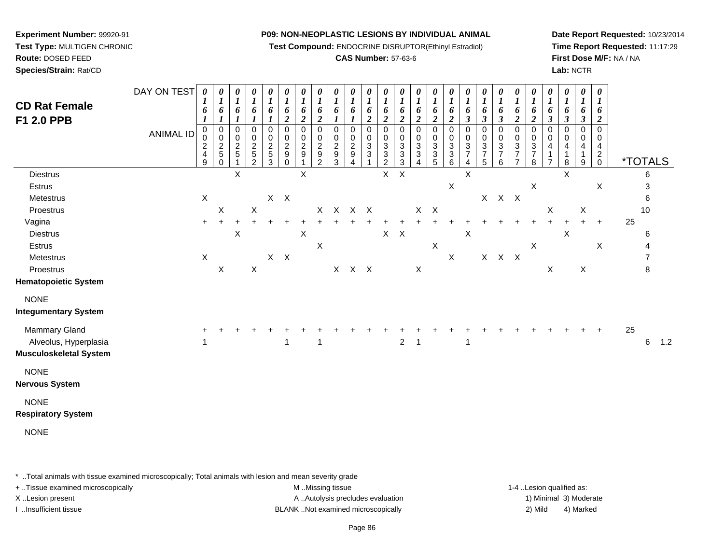**Test Compound:** ENDOCRINE DISRUPTOR(Ethinyl Estradiol)

#### **CAS Number:** 57-63-6

**Date Report Requested:** 10/23/2014**Time Report Requested:** 11:17:29**First Dose M/F:** NA / NA**Lab:** NCTR

| <b>CD Rat Female</b><br>F1 2.0 PPB                                      | DAY ON TEST<br><b>ANIMAL ID</b> | $\boldsymbol{\theta}$<br>1<br>6<br>$\boldsymbol{l}$<br>0<br>0<br>$\frac{2}{9}$ | 0<br>$\boldsymbol{l}$<br>6<br>1<br>$\pmb{0}$<br>$\pmb{0}$<br>$\frac{2}{5}$<br>$\Omega$ | 0<br>$\boldsymbol{l}$<br>6<br>0<br>$\begin{array}{c} 0 \\ 2 \\ 5 \end{array}$ | 0<br>$\boldsymbol{l}$<br>6<br>0<br>$0$<br>$2$<br>$5$<br>$2$ | 0<br>$\boldsymbol{l}$<br>6<br>$\boldsymbol{l}$<br>0<br>$\pmb{0}$<br>$\frac{2}{3}$ | 0<br>$\boldsymbol{l}$<br>6<br>$\boldsymbol{2}$<br>$\pmb{0}$<br>$\pmb{0}$<br>$\sqrt{2}$<br>$\boldsymbol{9}$<br>$\mathbf 0$ | 0<br>$\boldsymbol{l}$<br>6<br>$\boldsymbol{2}$<br>0<br>0<br>$\overline{\mathbf{c}}$<br>9 | $\boldsymbol{\theta}$<br>$\boldsymbol{l}$<br>6<br>$\boldsymbol{2}$<br>$\mathbf 0$<br>0<br>$\sqrt{2}$<br>9<br>$\overline{2}$ | 0<br>1<br>6<br>0<br>0<br>$\overline{c}$<br>9<br>3 | 0<br>$\boldsymbol{l}$<br>6<br>0<br>0<br>$\boldsymbol{2}$<br>9<br>4 | 0<br>1<br>6<br>$\overline{\mathbf{c}}$<br>0<br>$_3^0$<br>3 | 0<br>1<br>6<br>$\boldsymbol{2}$<br>0<br>0<br>$\ensuremath{\mathsf{3}}$<br>$\frac{3}{2}$ | 0<br>1<br>6<br>$\overline{c}$<br>0<br>$\mathbf 0$<br>$\sqrt{3}$<br>$\sqrt{3}$<br>3 | 0<br>$\boldsymbol{l}$<br>6<br>$\overline{c}$<br>$\mathbf 0$<br>$\pmb{0}$<br>$\ensuremath{\mathsf{3}}$<br>3<br>4 | 0<br>$\boldsymbol{l}$<br>6<br>$\overline{c}$<br>0<br>0<br>3<br>3<br>5 | 0<br>$\boldsymbol{l}$<br>6<br>$\boldsymbol{2}$<br>0<br>$\pmb{0}$<br>$\mathbf{3}$<br>3<br>6 | 0<br>$\boldsymbol{l}$<br>6<br>$\boldsymbol{\beta}$<br>0<br>$\pmb{0}$<br>$\ensuremath{\mathsf{3}}$<br>$\overline{7}$<br>4 | 0<br>$\boldsymbol{l}$<br>6<br>$\boldsymbol{\beta}$<br>0<br>$\begin{array}{c} 0 \\ 3 \\ 7 \end{array}$<br>$\overline{5}$ | 0<br>$\boldsymbol{l}$<br>6<br>3<br>0<br>$\pmb{0}$<br>$\frac{3}{7}$<br>$\,6\,$ | 0<br>$\boldsymbol{l}$<br>6<br>$\overline{c}$<br>0<br>$\pmb{0}$<br>$\mathbf{3}$<br>$\boldsymbol{7}$<br>$\overline{7}$ | 0<br>1<br>6<br>$\boldsymbol{2}$<br>0<br>0<br>$\ensuremath{\mathsf{3}}$<br>$\overline{7}$<br>8 | 0<br>1<br>6<br>3<br>0<br>0<br>4<br>1 | 0<br>$\boldsymbol{l}$<br>6<br>$\boldsymbol{\beta}$<br>0<br>0<br>4<br>1<br>8 | 0<br>1<br>6<br>3<br>0<br>0<br>4<br>1<br>9 | 0<br>$\bm{l}$<br>6<br>$\overline{c}$<br>$\mathbf 0$<br>0<br>4<br>$^2_{\rm 0}$ |    | <i><b>*TOTALS</b></i> |     |
|-------------------------------------------------------------------------|---------------------------------|--------------------------------------------------------------------------------|----------------------------------------------------------------------------------------|-------------------------------------------------------------------------------|-------------------------------------------------------------|-----------------------------------------------------------------------------------|---------------------------------------------------------------------------------------------------------------------------|------------------------------------------------------------------------------------------|-----------------------------------------------------------------------------------------------------------------------------|---------------------------------------------------|--------------------------------------------------------------------|------------------------------------------------------------|-----------------------------------------------------------------------------------------|------------------------------------------------------------------------------------|-----------------------------------------------------------------------------------------------------------------|-----------------------------------------------------------------------|--------------------------------------------------------------------------------------------|--------------------------------------------------------------------------------------------------------------------------|-------------------------------------------------------------------------------------------------------------------------|-------------------------------------------------------------------------------|----------------------------------------------------------------------------------------------------------------------|-----------------------------------------------------------------------------------------------|--------------------------------------|-----------------------------------------------------------------------------|-------------------------------------------|-------------------------------------------------------------------------------|----|-----------------------|-----|
| <b>Diestrus</b><br>Estrus<br>Metestrus                                  |                                 | $\mathsf X$                                                                    |                                                                                        | X                                                                             |                                                             |                                                                                   | $X$ $X$                                                                                                                   | $\times$                                                                                 |                                                                                                                             |                                                   |                                                                    |                                                            | $X$ $X$                                                                                 |                                                                                    |                                                                                                                 |                                                                       | X                                                                                          | X                                                                                                                        | $X -$                                                                                                                   | $X$ $X$                                                                       |                                                                                                                      | X                                                                                             |                                      | X                                                                           |                                           | X                                                                             |    | 6<br>3<br>6           |     |
| Proestrus<br>Vagina<br><b>Diestrus</b><br>Estrus                        |                                 | $\ddot{}$                                                                      | X                                                                                      | X                                                                             | X                                                           | $\pm$                                                                             | $\ddot{}$                                                                                                                 | $\ddot{}$<br>$\boldsymbol{\mathsf{X}}$                                                   | $\pmb{\times}$                                                                                                              | X X X X                                           |                                                                    |                                                            |                                                                                         | $X$ $X$                                                                            | X                                                                                                               | $\mathsf{X}$<br>$\sf X$                                               |                                                                                            | X                                                                                                                        |                                                                                                                         |                                                                               |                                                                                                                      | $\mathsf X$                                                                                   | X                                    | X                                                                           | X<br>$+$                                  | $\ddot{}$<br>$\boldsymbol{\mathsf{X}}$                                        | 25 | 10<br>6               |     |
| Metestrus<br>Proestrus<br><b>Hematopoietic System</b>                   |                                 | X                                                                              | $\mathsf X$                                                                            |                                                                               | $\mathsf X$                                                 |                                                                                   | $X$ $X$                                                                                                                   |                                                                                          |                                                                                                                             |                                                   | X X X                                                              |                                                            |                                                                                         |                                                                                    | $\mathsf X$                                                                                                     |                                                                       | X                                                                                          |                                                                                                                          |                                                                                                                         | $X$ $X$ $X$                                                                   |                                                                                                                      |                                                                                               | X                                    |                                                                             | $\boldsymbol{\mathsf{X}}$                 |                                                                               |    | $\overline{7}$<br>8   |     |
| <b>NONE</b><br><b>Integumentary System</b>                              |                                 |                                                                                |                                                                                        |                                                                               |                                                             |                                                                                   |                                                                                                                           |                                                                                          |                                                                                                                             |                                                   |                                                                    |                                                            |                                                                                         |                                                                                    |                                                                                                                 |                                                                       |                                                                                            |                                                                                                                          |                                                                                                                         |                                                                               |                                                                                                                      |                                                                                               |                                      |                                                                             |                                           |                                                                               |    |                       |     |
| Mammary Gland<br>Alveolus, Hyperplasia<br><b>Musculoskeletal System</b> |                                 | 1                                                                              |                                                                                        |                                                                               |                                                             |                                                                                   | -1                                                                                                                        |                                                                                          | 1                                                                                                                           |                                                   |                                                                    |                                                            |                                                                                         | 2                                                                                  | $\overline{1}$                                                                                                  |                                                                       |                                                                                            | 1                                                                                                                        |                                                                                                                         |                                                                               |                                                                                                                      |                                                                                               |                                      |                                                                             |                                           |                                                                               | 25 | $\,6\,$               | 1.2 |
| <b>NONE</b><br><b>Nervous System</b>                                    |                                 |                                                                                |                                                                                        |                                                                               |                                                             |                                                                                   |                                                                                                                           |                                                                                          |                                                                                                                             |                                                   |                                                                    |                                                            |                                                                                         |                                                                                    |                                                                                                                 |                                                                       |                                                                                            |                                                                                                                          |                                                                                                                         |                                                                               |                                                                                                                      |                                                                                               |                                      |                                                                             |                                           |                                                                               |    |                       |     |
| <b>NONE</b><br><b>Respiratory System</b>                                |                                 |                                                                                |                                                                                        |                                                                               |                                                             |                                                                                   |                                                                                                                           |                                                                                          |                                                                                                                             |                                                   |                                                                    |                                                            |                                                                                         |                                                                                    |                                                                                                                 |                                                                       |                                                                                            |                                                                                                                          |                                                                                                                         |                                                                               |                                                                                                                      |                                                                                               |                                      |                                                                             |                                           |                                                                               |    |                       |     |
| <b>NONE</b>                                                             |                                 |                                                                                |                                                                                        |                                                                               |                                                             |                                                                                   |                                                                                                                           |                                                                                          |                                                                                                                             |                                                   |                                                                    |                                                            |                                                                                         |                                                                                    |                                                                                                                 |                                                                       |                                                                                            |                                                                                                                          |                                                                                                                         |                                                                               |                                                                                                                      |                                                                                               |                                      |                                                                             |                                           |                                                                               |    |                       |     |

\* ..Total animals with tissue examined microscopically; Total animals with lesion and mean severity grade

+ ..Tissue examined microscopically examined microscopically examined as:  $M$  ..Missing tissue 1-4 ..Lesion qualified as: X..Lesion present **A ..Autolysis precludes evaluation** A ..Autolysis precludes evaluation 1) Minimal 3) Moderate

I ..Insufficient tissue BLANK ..Not examined microscopically 2) Mild 4) Marked

# **Experiment Number:** 99920-91

**Route:** DOSED FEED**Species/Strain:** Rat/CD

### **Test Type:** MULTIGEN CHRONIC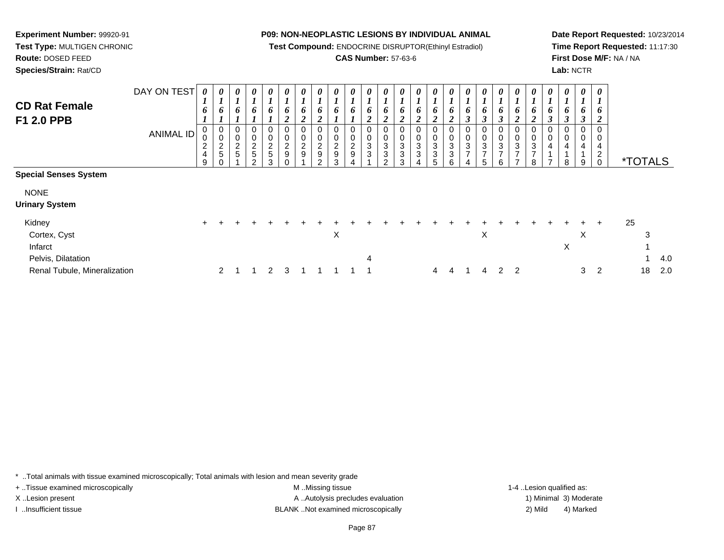**Test Compound:** ENDOCRINE DISRUPTOR(Ethinyl Estradiol)

#### **CAS Number:** 57-63-6

**Date Report Requested:** 10/23/2014**Time Report Requested:** 11:17:30**First Dose M/F:** NA / NA**Lab:** NCTR

| Species/Strain: Rat/CD                                               |             |                       |                                               |                          |                                    |                            |                                                 |                                            |                                   |                                            |                        |                            |                             |                        |                                       |                                             |                       |                                                          |                          |                                        |                  |                                    |                                      |                  | Lab: NCTR                       |                                            |                       |
|----------------------------------------------------------------------|-------------|-----------------------|-----------------------------------------------|--------------------------|------------------------------------|----------------------------|-------------------------------------------------|--------------------------------------------|-----------------------------------|--------------------------------------------|------------------------|----------------------------|-----------------------------|------------------------|---------------------------------------|---------------------------------------------|-----------------------|----------------------------------------------------------|--------------------------|----------------------------------------|------------------|------------------------------------|--------------------------------------|------------------|---------------------------------|--------------------------------------------|-----------------------|
| <b>CD Rat Female</b><br>F1 2.0 PPB                                   | DAY ON TEST | 0<br>×.<br>6          | 0<br>$\mathbf{I}$<br>$\bm{o}$<br>$\mathbf{I}$ | $\boldsymbol{\theta}$    | 0<br>6                             | 0<br>6                     | $\boldsymbol{\theta}$<br>$\mathbf{I}$<br>6<br>◢ | $\boldsymbol{\theta}$<br>$\mathbf{I}$<br>6 | 0<br>6                            | $\boldsymbol{\theta}$<br>6                 | 0<br>$\mathbf{I}$<br>6 | $\boldsymbol{\theta}$<br>6 | 0<br>6<br>$\mathbf{\Omega}$ | 0<br>6<br><sup>1</sup> | 0<br>L<br>6<br>$\mathbf{\hat{}}$<br>◢ | $\boldsymbol{\theta}$<br>L<br>$\bm{o}$<br>◢ | 0<br>6<br>◢           | $\boldsymbol{\theta}$<br>$\overline{ }$<br>$\bm{b}$<br>J | o<br>J                   | $\boldsymbol{\theta}$<br>$\bm{o}$<br>3 | 0<br>6<br>∠      | $\boldsymbol{\theta}$<br>6<br>2    | $\boldsymbol{\theta}$<br>ı<br>6<br>J | 0<br>6<br>J      | $\boldsymbol{\theta}$<br>6<br>J | $\boldsymbol{\theta}$<br>$\mathbf{I}$<br>6 |                       |
|                                                                      | ANIMAL ID   | 0<br>0<br>2<br>4<br>9 | 0<br>0<br>$\frac{2}{5}$                       | 0<br>$\overline{c}$<br>5 | 0<br>0<br>$\overline{c}$<br>5<br>◠ | 0<br>0<br>$rac{2}{5}$<br>3 | 0<br>0<br>$\frac{2}{9}$<br>0                    | $\overline{c}$<br>9                        | 0<br>0<br>$\frac{2}{9}$<br>$\sim$ | $\mathbf 0$<br>0<br>C.<br>$rac{2}{9}$<br>3 | 0<br>$\frac{2}{9}$     | 3                          | 0<br>0<br>$_3^3$<br>ົ       | 0<br>0<br>3<br>3<br>3  | 0<br>$\frac{3}{3}$                    | 0<br>0<br>$\frac{3}{3}$                     | 0<br>0<br>$_3^3$<br>6 | 0<br>0<br>3<br>$\overline{\phantom{0}}$                  | 0<br>3<br>$\overline{ }$ | 0<br>0<br>3<br>⇁<br>ี                  | 0<br>0<br>3<br>⇁ | 0<br>0<br>3<br>$\overline{ }$<br>8 | 0<br>4                               | 0<br>0<br>4<br>8 | 0<br>0<br>4<br>9                | 0<br>0<br>4<br>2<br>0                      | <i><b>*TOTALS</b></i> |
| <b>Special Senses System</b><br><b>NONE</b><br><b>Urinary System</b> |             |                       |                                               |                          |                                    |                            |                                                 |                                            |                                   |                                            |                        |                            |                             |                        |                                       |                                             |                       |                                                          |                          |                                        |                  |                                    |                                      |                  |                                 |                                            |                       |
| Kidney                                                               |             | $\pm$                 |                                               |                          |                                    |                            |                                                 |                                            |                                   |                                            |                        |                            |                             |                        |                                       |                                             |                       |                                                          |                          |                                        |                  |                                    |                                      |                  |                                 | $\pm$                                      | 25                    |

| Kidney                       |  |  |  |  |                     |  |  |  |             |  |  |  |  | - 25 |    |     |
|------------------------------|--|--|--|--|---------------------|--|--|--|-------------|--|--|--|--|------|----|-----|
| Cortex, Cyst                 |  |  |  |  |                     |  |  |  |             |  |  |  |  |      |    |     |
| Infarct                      |  |  |  |  |                     |  |  |  |             |  |  |  |  |      |    |     |
| Pelvis, Dilatation           |  |  |  |  |                     |  |  |  |             |  |  |  |  |      |    | 4.0 |
| Renal Tubule, Mineralization |  |  |  |  | 2 1 1 2 3 1 1 1 1 1 |  |  |  | 4 4 1 4 2 2 |  |  |  |  |      | 18 | 2.0 |

\* ..Total animals with tissue examined microscopically; Total animals with lesion and mean severity grade

**Experiment Number:** 99920-91**Test Type:** MULTIGEN CHRONIC

**Route:** DOSED FEED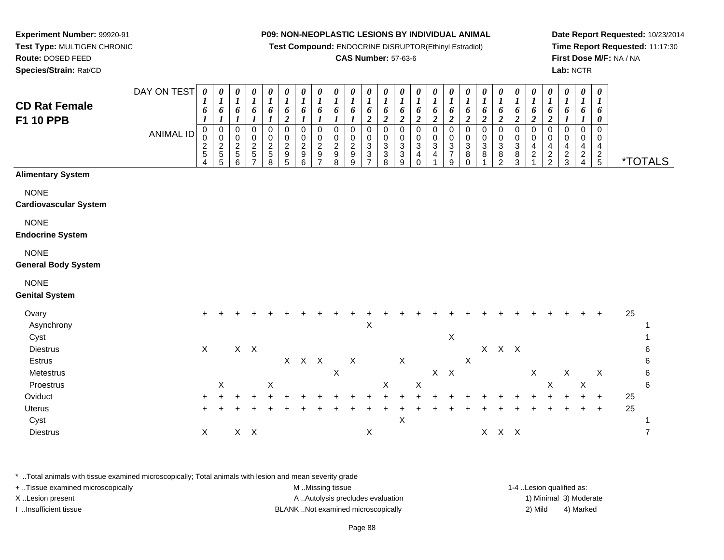**Test Compound:** ENDOCRINE DISRUPTOR(Ethinyl Estradiol)

#### **CAS Number:** 57-63-6

**Date Report Requested:** 10/23/2014**Time Report Requested:** 11:17:30**First Dose M/F:** NA / NA**Lab:** NCTR

| <b>CD Rat Female</b><br><b>F1 10 PPB</b>                                                                | DAY ON TEST      | $\pmb{\theta}$<br>1<br>6                                    | $\boldsymbol{\theta}$<br>$\boldsymbol{l}$<br>6<br>$\boldsymbol{l}$ | $\pmb{\theta}$<br>$\boldsymbol{l}$<br>6<br>$\boldsymbol{l}$ | $\boldsymbol{\theta}$<br>$\boldsymbol{l}$<br>6<br>$\boldsymbol{l}$ | $\pmb{\theta}$<br>$\boldsymbol{l}$<br>6<br>$\boldsymbol{l}$ | $\pmb{\theta}$<br>$\boldsymbol{l}$<br>$\pmb{6}$<br>$\boldsymbol{2}$  | $\boldsymbol{\theta}$<br>$\boldsymbol{l}$<br>6<br>1          | 0<br>$\boldsymbol{I}$<br>6<br>$\mathbf{I}$                        | 0<br>1<br>6                                                   | 0<br>$\boldsymbol{I}$<br>6<br>$\boldsymbol{l}$              | 0<br>1<br>6<br>$\boldsymbol{2}$ | $\pmb{\theta}$<br>$\boldsymbol{l}$<br>6<br>$\overline{2}$ | $\pmb{\theta}$<br>$\boldsymbol{l}$<br>6<br>$\overline{2}$                            | $\pmb{\theta}$<br>$\boldsymbol{l}$<br>6<br>$\boldsymbol{2}$ | 0<br>1<br>6<br>$\boldsymbol{2}$                    | $\pmb{\theta}$<br>$\boldsymbol{l}$<br>6<br>$\overline{c}$            | 0<br>$\boldsymbol{l}$<br>6<br>$\boldsymbol{2}$ | $\pmb{\theta}$<br>$\boldsymbol{l}$<br>6<br>$\boldsymbol{2}$ | 0<br>$\boldsymbol{l}$<br>6<br>$\overline{c}$               | $\pmb{\theta}$<br>$\boldsymbol{l}$<br>6<br>$\boldsymbol{2}$         | $\pmb{\theta}$<br>$\boldsymbol{l}$<br>6<br>$\overline{2}$ | $\pmb{\theta}$<br>$\boldsymbol{l}$<br>6<br>$\boldsymbol{2}$ | $\boldsymbol{\theta}$<br>$\boldsymbol{l}$<br>6<br>$\boldsymbol{l}$ | $\pmb{\theta}$<br>$\boldsymbol{l}$<br>6<br>$\mathbf{I}$ | $\boldsymbol{\theta}$<br>$\boldsymbol{l}$<br>6<br>0 |    |                       |
|---------------------------------------------------------------------------------------------------------|------------------|-------------------------------------------------------------|--------------------------------------------------------------------|-------------------------------------------------------------|--------------------------------------------------------------------|-------------------------------------------------------------|----------------------------------------------------------------------|--------------------------------------------------------------|-------------------------------------------------------------------|---------------------------------------------------------------|-------------------------------------------------------------|---------------------------------|-----------------------------------------------------------|--------------------------------------------------------------------------------------|-------------------------------------------------------------|----------------------------------------------------|----------------------------------------------------------------------|------------------------------------------------|-------------------------------------------------------------|------------------------------------------------------------|---------------------------------------------------------------------|-----------------------------------------------------------|-------------------------------------------------------------|--------------------------------------------------------------------|---------------------------------------------------------|-----------------------------------------------------|----|-----------------------|
|                                                                                                         | <b>ANIMAL ID</b> | $\pmb{0}$<br>$\mathbf 0$<br>$\frac{2}{5}$<br>$\overline{4}$ | $\overline{0}$<br>$\pmb{0}$<br>$\overline{2}$<br>$\,$ 5 $\,$<br>5  | $\pmb{0}$<br>$\pmb{0}$<br>$\frac{2}{5}$<br>6                | $\pmb{0}$<br>$\overline{0}$<br>$\frac{2}{5}$<br>$\overline{7}$     | 0<br>$\begin{array}{c} 0 \\ 2 \\ 5 \end{array}$<br>8        | $\pmb{0}$<br>$\pmb{0}$<br>$\begin{array}{c} 2 \\ 9 \\ 5 \end{array}$ | 0<br>$\pmb{0}$<br>$\begin{array}{c} 2 \\ 9 \\ 6 \end{array}$ | $\Omega$<br>0<br>$\sqrt{2}$<br>$\boldsymbol{9}$<br>$\overline{7}$ | $\mathbf 0$<br>0<br>$\boldsymbol{2}$<br>$\boldsymbol{9}$<br>8 | $\mathbf 0$<br>0<br>$\overline{c}$<br>9<br>$\boldsymbol{9}$ | $\mathbf 0$<br>0<br>3<br>3<br>7 | $\mathbf 0$<br>0<br>3<br>3<br>8                           | 0<br>$\boldsymbol{0}$<br>$\ensuremath{\mathsf{3}}$<br>$\ensuremath{\mathsf{3}}$<br>9 | 0<br>$\pmb{0}$<br>$\sqrt{3}$<br>4<br>$\mathbf 0$            | $\mathbf 0$<br>$\mathbf 0$<br>$\sqrt{3}$<br>4<br>1 | $\mathbf 0$<br>0<br>$\sqrt{3}$<br>$\overline{7}$<br>$\boldsymbol{9}$ | $\mathbf 0$<br>0<br>3<br>8<br>0                | $\mathbf 0$<br>0<br>$\ensuremath{\mathsf{3}}$<br>8          | $\boldsymbol{0}$<br>0<br>$\sqrt{3}$<br>8<br>$\overline{c}$ | $\pmb{0}$<br>$\pmb{0}$<br>$\overline{3}$<br>$\bf 8$<br>$\mathbf{3}$ | 0<br>$\mathbf 0$<br>4<br>$\sqrt{2}$                       | $\mathbf 0$<br>$\pmb{0}$<br>$\overline{4}$<br>$\frac{2}{2}$ | $\mathbf 0$<br>0<br>4<br>$\frac{2}{3}$                             | $\pmb{0}$<br>$\pmb{0}$<br>4<br>$\frac{2}{4}$            | $\mathbf 0$<br>0<br>$\overline{4}$<br>$rac{2}{5}$   |    | <i><b>*TOTALS</b></i> |
| <b>Alimentary System</b>                                                                                |                  |                                                             |                                                                    |                                                             |                                                                    |                                                             |                                                                      |                                                              |                                                                   |                                                               |                                                             |                                 |                                                           |                                                                                      |                                                             |                                                    |                                                                      |                                                |                                                             |                                                            |                                                                     |                                                           |                                                             |                                                                    |                                                         |                                                     |    |                       |
| <b>NONE</b><br><b>Cardiovascular System</b>                                                             |                  |                                                             |                                                                    |                                                             |                                                                    |                                                             |                                                                      |                                                              |                                                                   |                                                               |                                                             |                                 |                                                           |                                                                                      |                                                             |                                                    |                                                                      |                                                |                                                             |                                                            |                                                                     |                                                           |                                                             |                                                                    |                                                         |                                                     |    |                       |
| <b>NONE</b><br><b>Endocrine System</b>                                                                  |                  |                                                             |                                                                    |                                                             |                                                                    |                                                             |                                                                      |                                                              |                                                                   |                                                               |                                                             |                                 |                                                           |                                                                                      |                                                             |                                                    |                                                                      |                                                |                                                             |                                                            |                                                                     |                                                           |                                                             |                                                                    |                                                         |                                                     |    |                       |
| <b>NONE</b><br><b>General Body System</b>                                                               |                  |                                                             |                                                                    |                                                             |                                                                    |                                                             |                                                                      |                                                              |                                                                   |                                                               |                                                             |                                 |                                                           |                                                                                      |                                                             |                                                    |                                                                      |                                                |                                                             |                                                            |                                                                     |                                                           |                                                             |                                                                    |                                                         |                                                     |    |                       |
| <b>NONE</b><br><b>Genital System</b>                                                                    |                  |                                                             |                                                                    |                                                             |                                                                    |                                                             |                                                                      |                                                              |                                                                   |                                                               |                                                             |                                 |                                                           |                                                                                      |                                                             |                                                    |                                                                      |                                                |                                                             |                                                            |                                                                     |                                                           |                                                             |                                                                    |                                                         |                                                     |    |                       |
| Ovary<br>Asynchrony<br>Cyst                                                                             |                  |                                                             |                                                                    |                                                             |                                                                    |                                                             |                                                                      |                                                              |                                                                   |                                                               |                                                             | $\mathsf X$                     |                                                           |                                                                                      |                                                             |                                                    | $\pmb{\times}$                                                       |                                                |                                                             |                                                            |                                                                     |                                                           |                                                             |                                                                    |                                                         |                                                     | 25 |                       |
| <b>Diestrus</b>                                                                                         |                  | X                                                           |                                                                    |                                                             | $X$ $X$                                                            |                                                             |                                                                      |                                                              |                                                                   |                                                               |                                                             |                                 |                                                           |                                                                                      |                                                             |                                                    |                                                                      |                                                |                                                             | $X$ $X$ $X$                                                |                                                                     |                                                           |                                                             |                                                                    |                                                         |                                                     |    | 6                     |
| Estrus                                                                                                  |                  |                                                             |                                                                    |                                                             |                                                                    |                                                             |                                                                      | $X$ $X$ $X$                                                  |                                                                   | $\boldsymbol{\mathsf{X}}$                                     | $\mathsf X$                                                 |                                 |                                                           | $\mathsf X$                                                                          |                                                             |                                                    | $X$ $X$                                                              | $\boldsymbol{\mathsf{X}}$                      |                                                             |                                                            |                                                                     | $\mathsf X$                                               |                                                             | $\mathsf X$                                                        |                                                         | $\boldsymbol{\mathsf{X}}$                           |    | 6                     |
| Metestrus<br>Proestrus                                                                                  |                  |                                                             | X                                                                  |                                                             |                                                                    | X                                                           |                                                                      |                                                              |                                                                   |                                                               |                                                             |                                 | X                                                         |                                                                                      | Χ                                                           |                                                    |                                                                      |                                                |                                                             |                                                            |                                                                     |                                                           | Χ                                                           |                                                                    | $\mathsf X$                                             |                                                     |    | 6<br>6                |
| Oviduct                                                                                                 |                  |                                                             |                                                                    |                                                             |                                                                    |                                                             |                                                                      |                                                              |                                                                   |                                                               |                                                             |                                 |                                                           |                                                                                      |                                                             |                                                    |                                                                      |                                                |                                                             |                                                            |                                                                     |                                                           |                                                             |                                                                    | $\ddot{}$                                               | $\ddot{}$                                           | 25 |                       |
| <b>Uterus</b>                                                                                           |                  |                                                             |                                                                    |                                                             |                                                                    |                                                             |                                                                      |                                                              |                                                                   |                                                               |                                                             |                                 |                                                           |                                                                                      |                                                             |                                                    |                                                                      |                                                |                                                             |                                                            |                                                                     |                                                           |                                                             |                                                                    |                                                         | $\ddot{}$                                           | 25 |                       |
| Cyst                                                                                                    |                  |                                                             |                                                                    |                                                             |                                                                    |                                                             |                                                                      |                                                              |                                                                   |                                                               |                                                             |                                 |                                                           | $\boldsymbol{\mathsf{X}}$                                                            |                                                             |                                                    |                                                                      |                                                |                                                             |                                                            |                                                                     |                                                           |                                                             |                                                                    |                                                         |                                                     |    |                       |
| <b>Diestrus</b>                                                                                         |                  | $\mathsf X$                                                 |                                                                    |                                                             | $X$ $X$                                                            |                                                             |                                                                      |                                                              |                                                                   |                                                               |                                                             | $\mathsf X$                     |                                                           |                                                                                      |                                                             |                                                    |                                                                      |                                                |                                                             | X X X                                                      |                                                                     |                                                           |                                                             |                                                                    |                                                         |                                                     |    | $\overline{7}$        |
| * Total animals with tissue examined microscopically; Total animals with lesion and mean severity grade |                  |                                                             |                                                                    |                                                             |                                                                    |                                                             |                                                                      |                                                              |                                                                   |                                                               |                                                             |                                 |                                                           |                                                                                      |                                                             |                                                    |                                                                      |                                                |                                                             |                                                            |                                                                     |                                                           |                                                             |                                                                    |                                                         |                                                     |    |                       |

**Experiment Number:** 99920-91**Test Type:** MULTIGEN CHRONIC

**Route:** DOSED FEED**Species/Strain:** Rat/CD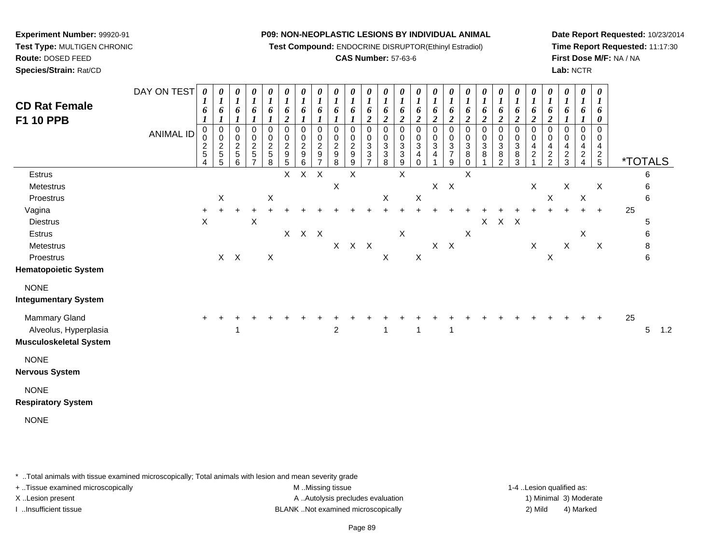**Test Compound:** ENDOCRINE DISRUPTOR(Ethinyl Estradiol)

#### **CAS Number:** 57-63-6

**Date Report Requested:** 10/23/2014**Time Report Requested:** 11:17:30**First Dose M/F:** NA / NA**Lab:** NCTR

| <b>CD Rat Female</b><br><b>F1 10 PPB</b>                                | DAY ON TEST<br><b>ANIMAL ID</b> | 0<br>1<br>6<br>$\boldsymbol{l}$<br>0<br>$\begin{array}{c} 0 \\ 2 \\ 5 \end{array}$<br>4 | 0<br>$\boldsymbol{l}$<br>6<br>$\boldsymbol{l}$<br>$\pmb{0}$<br>$\frac{0}{2}$<br>$\sqrt{5}$ | 0<br>$\boldsymbol{l}$<br>6<br>$\mathbf{I}$<br>$\pmb{0}$<br>$\frac{0}{2}$<br>$\,6$ | $\begin{matrix} 0 \\ 1 \\ 6 \end{matrix}$<br>$\boldsymbol{l}$<br>$\pmb{0}$<br>$\frac{0}{2}$<br>$\overline{7}$ | 0<br>$\boldsymbol{l}$<br>6<br>$\boldsymbol{l}$<br>$\pmb{0}$<br>$\frac{0}{2}$<br>8 | 0<br>$\boldsymbol{l}$<br>6<br>$\boldsymbol{2}$<br>$\pmb{0}$<br>$\pmb{0}$<br>$\overline{2}$<br>$\boldsymbol{9}$<br>5 | 0<br>$\boldsymbol{l}$<br>6<br>0<br>$\pmb{0}$<br>$\overline{2}$<br>9<br>6 | 0<br>$\boldsymbol{l}$<br>6<br>$\mathbf 0$<br>$\pmb{0}$<br>$\overline{2}$<br>$\boldsymbol{9}$<br>$\overline{7}$ | 0<br>$\boldsymbol{l}$<br>6<br>$\pmb{0}$<br>$\pmb{0}$<br>$\overline{2}$<br>$\boldsymbol{9}$<br>8 | 0<br>$\boldsymbol{l}$<br>6<br>1<br>$\pmb{0}$<br>$\pmb{0}$<br>$\overline{2}$<br>$\boldsymbol{9}$<br>$9\,$ | 0<br>$\boldsymbol{l}$<br>6<br>$\overline{2}$<br>$\pmb{0}$<br>$_{3}^{\rm 0}$<br>$\mathbf{3}$<br>$\overline{ }$ | 0<br>$\boldsymbol{l}$<br>6<br>$\overline{2}$<br>0<br>$_{3}^{\rm 0}$<br>$\ensuremath{\mathsf{3}}$<br>8 | 0<br>$\boldsymbol{l}$<br>6<br>$\overline{c}$<br>$\mathbf 0$<br>$_{3}^{\rm 0}$<br>$\sqrt{3}$<br>$\boldsymbol{9}$ | 0<br>$\boldsymbol{l}$<br>6<br>$\overline{\mathbf{c}}$<br>$\pmb{0}$<br>$_{3}^{\rm 0}$<br>4<br>$\mathbf 0$ | 0<br>$\boldsymbol{l}$<br>6<br>$\boldsymbol{2}$<br>$\mathbf 0$<br>$\mathbf 0$<br>3<br>4 | 0<br>$\boldsymbol{l}$<br>6<br>$\boldsymbol{2}$<br>$\pmb{0}$<br>$\pmb{0}$<br>$\overline{3}$<br>$\overline{7}$<br>$\boldsymbol{9}$ | 0<br>$\boldsymbol{l}$<br>6<br>$\boldsymbol{2}$<br>$\mathbf 0$<br>$_{3}^{\rm 0}$<br>8<br>$\pmb{0}$ | $\frac{\boldsymbol{0}}{\boldsymbol{1}}$<br>6<br>$\overline{2}$<br>$\mathsf 0$<br>$\frac{0}{3}$ | 0<br>$\boldsymbol{l}$<br>6<br>$\overline{\mathbf{c}}$<br>$\mathbf 0$<br>$_{3}^{\rm 0}$<br>$\overline{8}$<br>$\overline{2}$ | 0<br>$\boldsymbol{l}$<br>6<br>$\overline{c}$<br>0<br>$_{3}^{\rm 0}$<br>$\overline{8}$<br>3 | 0<br>$\boldsymbol{l}$<br>6<br>$\boldsymbol{2}$<br>$\mathbf 0$<br>0<br>4<br>$\sqrt{2}$ | 0<br>$\boldsymbol{l}$<br>6<br>$\overline{2}$<br>$\mathbf 0$<br>0<br>$\overline{4}$<br>$\boldsymbol{2}$<br>$\overline{2}$ | 0<br>$\boldsymbol{l}$<br>6<br>0<br>0<br>4<br>$\sqrt{2}$<br>3 | 0<br>$\boldsymbol{l}$<br>6<br>$\mathbf 0$<br>0<br>4<br>$\overline{c}$<br>4 | 0<br>$\boldsymbol{l}$<br>6<br>0<br>0<br>0<br>4<br>$\frac{2}{5}$ | <i><b>*TOTALS</b></i> |             |     |
|-------------------------------------------------------------------------|---------------------------------|-----------------------------------------------------------------------------------------|--------------------------------------------------------------------------------------------|-----------------------------------------------------------------------------------|---------------------------------------------------------------------------------------------------------------|-----------------------------------------------------------------------------------|---------------------------------------------------------------------------------------------------------------------|--------------------------------------------------------------------------|----------------------------------------------------------------------------------------------------------------|-------------------------------------------------------------------------------------------------|----------------------------------------------------------------------------------------------------------|---------------------------------------------------------------------------------------------------------------|-------------------------------------------------------------------------------------------------------|-----------------------------------------------------------------------------------------------------------------|----------------------------------------------------------------------------------------------------------|----------------------------------------------------------------------------------------|----------------------------------------------------------------------------------------------------------------------------------|---------------------------------------------------------------------------------------------------|------------------------------------------------------------------------------------------------|----------------------------------------------------------------------------------------------------------------------------|--------------------------------------------------------------------------------------------|---------------------------------------------------------------------------------------|--------------------------------------------------------------------------------------------------------------------------|--------------------------------------------------------------|----------------------------------------------------------------------------|-----------------------------------------------------------------|-----------------------|-------------|-----|
| Estrus                                                                  |                                 |                                                                                         |                                                                                            |                                                                                   |                                                                                                               |                                                                                   | X                                                                                                                   | $\mathsf{X}$                                                             | $\boldsymbol{\mathsf{X}}$                                                                                      |                                                                                                 | $\pmb{\times}$                                                                                           |                                                                                                               |                                                                                                       | $\sf X$                                                                                                         |                                                                                                          |                                                                                        |                                                                                                                                  | X                                                                                                 |                                                                                                |                                                                                                                            |                                                                                            |                                                                                       |                                                                                                                          |                                                              |                                                                            |                                                                 |                       | 6           |     |
| Metestrus                                                               |                                 |                                                                                         |                                                                                            |                                                                                   |                                                                                                               |                                                                                   |                                                                                                                     |                                                                          |                                                                                                                | $\mathsf X$                                                                                     |                                                                                                          |                                                                                                               |                                                                                                       |                                                                                                                 |                                                                                                          |                                                                                        | $X$ $X$                                                                                                                          |                                                                                                   |                                                                                                |                                                                                                                            |                                                                                            | $\mathsf X$                                                                           |                                                                                                                          | $\mathsf X$                                                  |                                                                            | X                                                               |                       | 6           |     |
| Proestrus                                                               |                                 |                                                                                         | X                                                                                          |                                                                                   |                                                                                                               | $\boldsymbol{\mathsf{X}}$                                                         |                                                                                                                     |                                                                          |                                                                                                                |                                                                                                 |                                                                                                          |                                                                                                               | X                                                                                                     |                                                                                                                 | $\boldsymbol{\mathsf{X}}$                                                                                |                                                                                        |                                                                                                                                  |                                                                                                   |                                                                                                |                                                                                                                            |                                                                                            |                                                                                       | $\pmb{\times}$                                                                                                           |                                                              | $\mathsf X$                                                                |                                                                 |                       | 6           |     |
| Vagina                                                                  |                                 | $\ddot{}$                                                                               |                                                                                            | $\pm$                                                                             | $\ddot{}$                                                                                                     | $+$                                                                               |                                                                                                                     |                                                                          |                                                                                                                |                                                                                                 |                                                                                                          |                                                                                                               | $+$                                                                                                   |                                                                                                                 | ÷                                                                                                        |                                                                                        |                                                                                                                                  |                                                                                                   |                                                                                                |                                                                                                                            |                                                                                            |                                                                                       |                                                                                                                          |                                                              |                                                                            | $\ddot{}$                                                       | 25                    |             |     |
| <b>Diestrus</b>                                                         |                                 | X                                                                                       |                                                                                            |                                                                                   | X                                                                                                             |                                                                                   |                                                                                                                     |                                                                          |                                                                                                                |                                                                                                 |                                                                                                          |                                                                                                               |                                                                                                       |                                                                                                                 |                                                                                                          |                                                                                        |                                                                                                                                  |                                                                                                   | X                                                                                              | $X$ $X$                                                                                                                    |                                                                                            |                                                                                       |                                                                                                                          |                                                              |                                                                            |                                                                 |                       | $\,$ 5 $\,$ |     |
| Estrus                                                                  |                                 |                                                                                         |                                                                                            |                                                                                   |                                                                                                               |                                                                                   |                                                                                                                     | $X$ $X$ $X$                                                              |                                                                                                                |                                                                                                 |                                                                                                          |                                                                                                               |                                                                                                       | $\boldsymbol{X}$                                                                                                |                                                                                                          |                                                                                        |                                                                                                                                  | X                                                                                                 |                                                                                                |                                                                                                                            |                                                                                            |                                                                                       |                                                                                                                          |                                                              | X                                                                          |                                                                 |                       | 6           |     |
| Metestrus                                                               |                                 |                                                                                         |                                                                                            |                                                                                   |                                                                                                               |                                                                                   |                                                                                                                     |                                                                          |                                                                                                                |                                                                                                 | X X X                                                                                                    |                                                                                                               |                                                                                                       |                                                                                                                 |                                                                                                          |                                                                                        | $X$ $X$                                                                                                                          |                                                                                                   |                                                                                                |                                                                                                                            |                                                                                            | $\mathsf{X}$                                                                          |                                                                                                                          | $\mathsf X$                                                  |                                                                            | $\boldsymbol{\mathsf{X}}$                                       |                       | 8           |     |
| Proestrus                                                               |                                 |                                                                                         |                                                                                            | $X$ $X$                                                                           |                                                                                                               | $\sf X$                                                                           |                                                                                                                     |                                                                          |                                                                                                                |                                                                                                 |                                                                                                          |                                                                                                               | X                                                                                                     |                                                                                                                 | $\boldsymbol{\mathsf{X}}$                                                                                |                                                                                        |                                                                                                                                  |                                                                                                   |                                                                                                |                                                                                                                            |                                                                                            |                                                                                       | $\boldsymbol{\mathsf{X}}$                                                                                                |                                                              |                                                                            |                                                                 |                       | 6           |     |
| <b>Hematopoietic System</b>                                             |                                 |                                                                                         |                                                                                            |                                                                                   |                                                                                                               |                                                                                   |                                                                                                                     |                                                                          |                                                                                                                |                                                                                                 |                                                                                                          |                                                                                                               |                                                                                                       |                                                                                                                 |                                                                                                          |                                                                                        |                                                                                                                                  |                                                                                                   |                                                                                                |                                                                                                                            |                                                                                            |                                                                                       |                                                                                                                          |                                                              |                                                                            |                                                                 |                       |             |     |
| <b>NONE</b>                                                             |                                 |                                                                                         |                                                                                            |                                                                                   |                                                                                                               |                                                                                   |                                                                                                                     |                                                                          |                                                                                                                |                                                                                                 |                                                                                                          |                                                                                                               |                                                                                                       |                                                                                                                 |                                                                                                          |                                                                                        |                                                                                                                                  |                                                                                                   |                                                                                                |                                                                                                                            |                                                                                            |                                                                                       |                                                                                                                          |                                                              |                                                                            |                                                                 |                       |             |     |
| <b>Integumentary System</b>                                             |                                 |                                                                                         |                                                                                            |                                                                                   |                                                                                                               |                                                                                   |                                                                                                                     |                                                                          |                                                                                                                |                                                                                                 |                                                                                                          |                                                                                                               |                                                                                                       |                                                                                                                 |                                                                                                          |                                                                                        |                                                                                                                                  |                                                                                                   |                                                                                                |                                                                                                                            |                                                                                            |                                                                                       |                                                                                                                          |                                                              |                                                                            |                                                                 |                       |             |     |
| Mammary Gland<br>Alveolus, Hyperplasia<br><b>Musculoskeletal System</b> |                                 | $+$                                                                                     |                                                                                            | 1                                                                                 |                                                                                                               |                                                                                   |                                                                                                                     |                                                                          |                                                                                                                | $\overline{2}$                                                                                  |                                                                                                          |                                                                                                               | $\overline{1}$                                                                                        |                                                                                                                 | $\overline{1}$                                                                                           |                                                                                        | 1                                                                                                                                |                                                                                                   |                                                                                                |                                                                                                                            |                                                                                            |                                                                                       |                                                                                                                          |                                                              |                                                                            |                                                                 | 25                    | $\sqrt{5}$  | 1.2 |
| <b>NONE</b><br><b>Nervous System</b>                                    |                                 |                                                                                         |                                                                                            |                                                                                   |                                                                                                               |                                                                                   |                                                                                                                     |                                                                          |                                                                                                                |                                                                                                 |                                                                                                          |                                                                                                               |                                                                                                       |                                                                                                                 |                                                                                                          |                                                                                        |                                                                                                                                  |                                                                                                   |                                                                                                |                                                                                                                            |                                                                                            |                                                                                       |                                                                                                                          |                                                              |                                                                            |                                                                 |                       |             |     |
| <b>NONE</b><br><b>Respiratory System</b>                                |                                 |                                                                                         |                                                                                            |                                                                                   |                                                                                                               |                                                                                   |                                                                                                                     |                                                                          |                                                                                                                |                                                                                                 |                                                                                                          |                                                                                                               |                                                                                                       |                                                                                                                 |                                                                                                          |                                                                                        |                                                                                                                                  |                                                                                                   |                                                                                                |                                                                                                                            |                                                                                            |                                                                                       |                                                                                                                          |                                                              |                                                                            |                                                                 |                       |             |     |
| <b>NONE</b>                                                             |                                 |                                                                                         |                                                                                            |                                                                                   |                                                                                                               |                                                                                   |                                                                                                                     |                                                                          |                                                                                                                |                                                                                                 |                                                                                                          |                                                                                                               |                                                                                                       |                                                                                                                 |                                                                                                          |                                                                                        |                                                                                                                                  |                                                                                                   |                                                                                                |                                                                                                                            |                                                                                            |                                                                                       |                                                                                                                          |                                                              |                                                                            |                                                                 |                       |             |     |

\* ..Total animals with tissue examined microscopically; Total animals with lesion and mean severity grade

**Experiment Number:** 99920-91**Test Type:** MULTIGEN CHRONIC

**Route:** DOSED FEED**Species/Strain:** Rat/CD

+ ..Tissue examined microscopically examined microscopically examined as:  $M$  ..Missing tissue 1-4 ..Lesion qualified as: X..Lesion present **A ..Autolysis precludes evaluation** A ..Autolysis precludes evaluation 1) Minimal 3) Moderate

I ..Insufficient tissue BLANK ..Not examined microscopically 2) Mild 4) Marked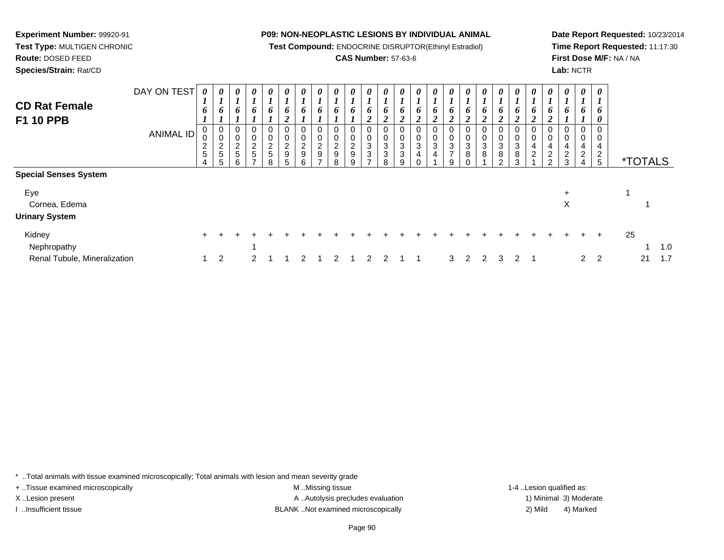**Test Compound:** ENDOCRINE DISRUPTOR(Ethinyl Estradiol)

#### **CAS Number:** 57-63-6

**Date Report Requested:** 10/23/2014**Time Report Requested:** 11:17:30**First Dose M/F:** NA / NA**Lab:** NCTR

| Species/Strain: Rat/CD                        |             |                               |                  |                                        |                     |                               |                             |                                      |                                            |                               |                                                   |                            |                  |   |                               |             |                            |               |                            |                  |                       |               |                                     | Lab: NCTR                    |                                    |                       |                       |
|-----------------------------------------------|-------------|-------------------------------|------------------|----------------------------------------|---------------------|-------------------------------|-----------------------------|--------------------------------------|--------------------------------------------|-------------------------------|---------------------------------------------------|----------------------------|------------------|---|-------------------------------|-------------|----------------------------|---------------|----------------------------|------------------|-----------------------|---------------|-------------------------------------|------------------------------|------------------------------------|-----------------------|-----------------------|
| <b>CD Rat Female</b><br><b>F1 10 PPB</b>      | DAY ON TEST | $\boldsymbol{\theta}$<br>6    | 0<br>O.          | 0                                      | $\theta$            | $\boldsymbol{\theta}$<br>Ð    | 0<br>6<br>$\mathbf{\hat{}}$ | $\boldsymbol{\theta}$<br>6           | 0<br>6                                     | $\boldsymbol{\theta}$<br>6    | 0<br>6                                            | $\boldsymbol{\theta}$<br>6 | 0<br>6           | 0 | $\boldsymbol{\theta}$<br>6    | 0<br>6      | $\boldsymbol{\theta}$<br>6 | $\theta$<br>6 | $\boldsymbol{\theta}$<br>O | $\theta$<br>o    | 0<br>O                | $\theta$<br>o | $\boldsymbol{\theta}$<br>o          | 0<br>6                       | $\boldsymbol{\theta}$<br>6         | 0<br>6<br>0           |                       |
|                                               | ANIMAL ID   | υ<br>$\overline{2}$<br>5<br>4 | ົ<br>∠<br>5<br>5 | U<br>$\mathbf{0}$<br>ົ<br>∠<br>b.<br>6 | 0<br>$\overline{c}$ | U<br>U<br>$\overline{2}$<br>8 | 0<br>$0$<br>$9$<br>$5$      | 0<br>$\pmb{0}$<br>$\frac{2}{9}$<br>6 | $\mathbf{0}$<br>0<br>$\boldsymbol{2}$<br>9 | υ<br>$\overline{c}$<br>9<br>8 | 0<br>0<br>$\overline{c}$<br>$\boldsymbol{9}$<br>9 | 0<br>3<br>3                | 0<br>3<br>3<br>8 | 9 | 0<br>0<br>3<br>$\overline{4}$ | 0<br>0<br>3 | 0<br>0<br>3<br>⇁<br>9      | 0<br>3<br>8   | U<br>3<br>8                | 0<br>3<br>8<br>ົ | U<br>0<br>3<br>8<br>3 | U<br>4<br>2   | U<br>4<br>$\Omega$<br>$\mathcal{D}$ | 0<br>0<br>4<br>$\frac{2}{3}$ | 0<br>0<br>4<br>$\overline{a}$<br>4 | 0<br>4<br>$rac{2}{5}$ | <i><b>*TOTALS</b></i> |
| <b>Special Senses System</b>                  |             |                               |                  |                                        |                     |                               |                             |                                      |                                            |                               |                                                   |                            |                  |   |                               |             |                            |               |                            |                  |                       |               |                                     |                              |                                    |                       |                       |
| Eye<br>Cornea, Edema<br><b>Urinary System</b> |             |                               |                  |                                        |                     |                               |                             |                                      |                                            |                               |                                                   |                            |                  |   |                               |             |                            |               |                            |                  |                       |               |                                     | $\pm$<br>X                   |                                    |                       |                       |

| Kidnev                       |  |  |  |  |  |  |                                       |  |  |  |  |  |  |       |
|------------------------------|--|--|--|--|--|--|---------------------------------------|--|--|--|--|--|--|-------|
| Nephropathy                  |  |  |  |  |  |  |                                       |  |  |  |  |  |  |       |
| Renal Tubule, Mineralization |  |  |  |  |  |  | 1 2 2 1 1 2 1 2 1 2 2 1 1 3 2 2 3 2 1 |  |  |  |  |  |  | 21 17 |

\* ..Total animals with tissue examined microscopically; Total animals with lesion and mean severity grade

**Experiment Number:** 99920-91**Test Type:** MULTIGEN CHRONIC

**Route:** DOSED FEED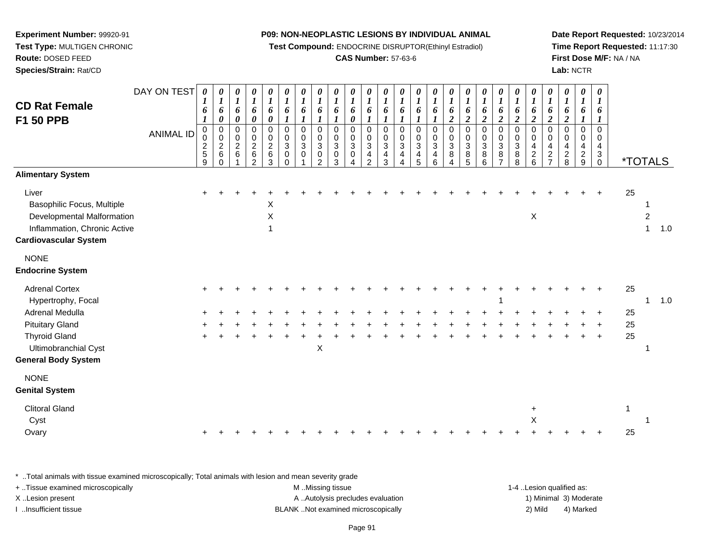**Test Compound:** ENDOCRINE DISRUPTOR(Ethinyl Estradiol)

#### **CAS Number:** 57-63-6

**Date Report Requested:** 10/23/2014**Time Report Requested:** 11:17:30**First Dose M/F:** NA / NA**Lab:** NCTR

| <b>CD Rat Female</b><br>F1 50 PPB<br><b>Alimentary System</b>                                                                                                          | DAY ON TEST<br><b>ANIMAL ID</b> | $\boldsymbol{\theta}$<br>1<br>6<br>$\pmb{0}$<br>0<br>$\boldsymbol{2}$<br>$\sqrt{5}$<br>9 | 0<br>$\boldsymbol{l}$<br>6<br>$\pmb{\theta}$<br>$\pmb{0}$<br>0<br>$\boldsymbol{2}$<br>$\,6\,$<br>$\Omega$ | $\boldsymbol{\theta}$<br>$\boldsymbol{l}$<br>6<br>$\boldsymbol{\theta}$<br>$\mathbf 0$<br>$\mathbf 0$<br>$\overline{c}$<br>$\,6$ | 0<br>$\boldsymbol{l}$<br>6<br>$\boldsymbol{\theta}$<br>$\pmb{0}$<br>$\pmb{0}$<br>$\overline{2}$<br>$\,6\,$<br>$\mathcal{P}$ | 0<br>$\boldsymbol{l}$<br>6<br>$\pmb{\theta}$<br>0<br>$\mathbf 0$<br>$\overline{2}$<br>$\,6\,$<br>3 | 0<br>$\boldsymbol{l}$<br>6<br>$\mathbf 0$<br>$\pmb{0}$<br>$\overline{3}$<br>$\mathbf 0$<br>$\Omega$ | $\boldsymbol{\theta}$<br>1<br>6<br>$\boldsymbol{l}$<br>$\mathbf 0$<br>$\mathbf 0$<br>$\mathfrak{S}$<br>0 | 0<br>$\boldsymbol{l}$<br>6<br>$\,0\,$<br>$\mathbf 0$<br>$\mathfrak{S}$<br>$\pmb{0}$<br>2 | 0<br>$\boldsymbol{l}$<br>6<br>$\mathbf 0$<br>$\mathbf 0$<br>$\mathbf{3}$<br>0<br>3 | 0<br>$\boldsymbol{l}$<br>6<br>$\pmb{\theta}$<br>0<br>0<br>$\mathbf{3}$<br>$\mathbf 0$ | $\boldsymbol{\theta}$<br>$\boldsymbol{l}$<br>6<br>$\pmb{0}$<br>$\mathbf 0$<br>$\mathbf{3}$<br>4<br>$\mathcal{P}$ | $\boldsymbol{\theta}$<br>1<br>6<br>0<br>0<br>$\overline{3}$<br>4<br>3 | 0<br>$\boldsymbol{l}$<br>6<br>$\mathbf 0$<br>0<br>$\overline{3}$<br>$\overline{4}$ | 0<br>$\boldsymbol{l}$<br>6<br>0<br>0<br>$\overline{3}$<br>$\overline{4}$<br>5 | 0<br>$\boldsymbol{l}$<br>6<br>$\mathbf 0$<br>0<br>$\mathbf{3}$<br>4<br>6 | 0<br>$\boldsymbol{l}$<br>6<br>$\overline{c}$<br>$\mathbf 0$<br>0<br>$\mathbf{3}$<br>8<br>4 | 0<br>$\boldsymbol{l}$<br>6<br>$\boldsymbol{2}$<br>$\mathbf 0$<br>0<br>$\sqrt{3}$<br>8<br>5 | $\boldsymbol{l}$<br>6<br>$\boldsymbol{2}$<br>$\mathbf 0$<br>$\mathbf 0$<br>$\mathfrak{S}$<br>8<br>6 | 0<br>$\boldsymbol{l}$<br>6<br>$\boldsymbol{2}$<br>$\pmb{0}$<br>$\pmb{0}$<br>$\overline{3}$<br>8 | 0<br>$\boldsymbol{l}$<br>6<br>$\overline{\mathbf{c}}$<br>0<br>0<br>$\overline{3}$<br>$\bf 8$<br>8 | 0<br>$\boldsymbol{l}$<br>6<br>$\boldsymbol{2}$<br>$\pmb{0}$<br>$\pmb{0}$<br>$\overline{\mathbf{4}}$<br>$\sqrt{2}$<br>6 | 0<br>$\boldsymbol{l}$<br>6<br>$\boldsymbol{2}$<br>$\mathbf 0$<br>$\mathbf 0$<br>4<br>$\overline{c}$<br>$\overline{7}$ | 0<br>$\boldsymbol{l}$<br>6<br>$\boldsymbol{2}$<br>$\mathbf 0$<br>0<br>4<br>$\overline{c}$<br>8 | 0<br>$\boldsymbol{l}$<br>6<br>$\pmb{0}$<br>0<br>4<br>$\overline{a}$<br>9 | 0<br>$\boldsymbol{l}$<br>6<br>0<br>0<br>4<br>3<br>$\mathbf 0$ | <i><b>*TOTALS</b></i> |                                |     |
|------------------------------------------------------------------------------------------------------------------------------------------------------------------------|---------------------------------|------------------------------------------------------------------------------------------|-----------------------------------------------------------------------------------------------------------|----------------------------------------------------------------------------------------------------------------------------------|-----------------------------------------------------------------------------------------------------------------------------|----------------------------------------------------------------------------------------------------|-----------------------------------------------------------------------------------------------------|----------------------------------------------------------------------------------------------------------|------------------------------------------------------------------------------------------|------------------------------------------------------------------------------------|---------------------------------------------------------------------------------------|------------------------------------------------------------------------------------------------------------------|-----------------------------------------------------------------------|------------------------------------------------------------------------------------|-------------------------------------------------------------------------------|--------------------------------------------------------------------------|--------------------------------------------------------------------------------------------|--------------------------------------------------------------------------------------------|-----------------------------------------------------------------------------------------------------|-------------------------------------------------------------------------------------------------|---------------------------------------------------------------------------------------------------|------------------------------------------------------------------------------------------------------------------------|-----------------------------------------------------------------------------------------------------------------------|------------------------------------------------------------------------------------------------|--------------------------------------------------------------------------|---------------------------------------------------------------|-----------------------|--------------------------------|-----|
| Liver<br>Basophilic Focus, Multiple<br>Developmental Malformation<br>Inflammation, Chronic Active<br><b>Cardiovascular System</b>                                      |                                 |                                                                                          |                                                                                                           |                                                                                                                                  |                                                                                                                             | х<br>$\mathsf X$<br>1                                                                              |                                                                                                     |                                                                                                          |                                                                                          |                                                                                    |                                                                                       |                                                                                                                  |                                                                       |                                                                                    |                                                                               |                                                                          |                                                                                            |                                                                                            |                                                                                                     |                                                                                                 |                                                                                                   | X                                                                                                                      |                                                                                                                       |                                                                                                |                                                                          |                                                               | 25                    | $\overline{c}$<br>$\mathbf{1}$ | 1.0 |
| <b>NONE</b><br><b>Endocrine System</b>                                                                                                                                 |                                 |                                                                                          |                                                                                                           |                                                                                                                                  |                                                                                                                             |                                                                                                    |                                                                                                     |                                                                                                          |                                                                                          |                                                                                    |                                                                                       |                                                                                                                  |                                                                       |                                                                                    |                                                                               |                                                                          |                                                                                            |                                                                                            |                                                                                                     |                                                                                                 |                                                                                                   |                                                                                                                        |                                                                                                                       |                                                                                                |                                                                          |                                                               |                       |                                |     |
| <b>Adrenal Cortex</b><br>Hypertrophy, Focal<br>Adrenal Medulla<br><b>Pituitary Gland</b><br><b>Thyroid Gland</b><br>Ultimobranchial Cyst<br><b>General Body System</b> |                                 |                                                                                          |                                                                                                           |                                                                                                                                  |                                                                                                                             |                                                                                                    |                                                                                                     |                                                                                                          | $\pmb{\mathsf{X}}$                                                                       |                                                                                    |                                                                                       |                                                                                                                  |                                                                       |                                                                                    |                                                                               |                                                                          |                                                                                            |                                                                                            |                                                                                                     |                                                                                                 |                                                                                                   |                                                                                                                        |                                                                                                                       |                                                                                                |                                                                          | $\ddot{}$                                                     | 25<br>25<br>25<br>25  |                                | 1.0 |
| <b>NONE</b><br><b>Genital System</b><br><b>Clitoral Gland</b><br>Cyst<br>Ovary                                                                                         |                                 |                                                                                          |                                                                                                           |                                                                                                                                  |                                                                                                                             |                                                                                                    |                                                                                                     |                                                                                                          |                                                                                          |                                                                                    |                                                                                       |                                                                                                                  |                                                                       |                                                                                    |                                                                               |                                                                          |                                                                                            |                                                                                            |                                                                                                     |                                                                                                 |                                                                                                   | $\ddot{}$<br>Χ                                                                                                         |                                                                                                                       |                                                                                                |                                                                          |                                                               | $\mathbf{1}$<br>25    |                                |     |

\* ..Total animals with tissue examined microscopically; Total animals with lesion and mean severity grade

**Experiment Number:** 99920-91**Test Type:** MULTIGEN CHRONIC

| + Tissue examined microscopically | M Missing tissue                   | 1-4 Lesion qualified as: |                        |
|-----------------------------------|------------------------------------|--------------------------|------------------------|
| X Lesion present                  | A Autolysis precludes evaluation   |                          | 1) Minimal 3) Moderate |
| lnsufficient tissue               | BLANK Not examined microscopically | 2) Mild                  | 4) Marked              |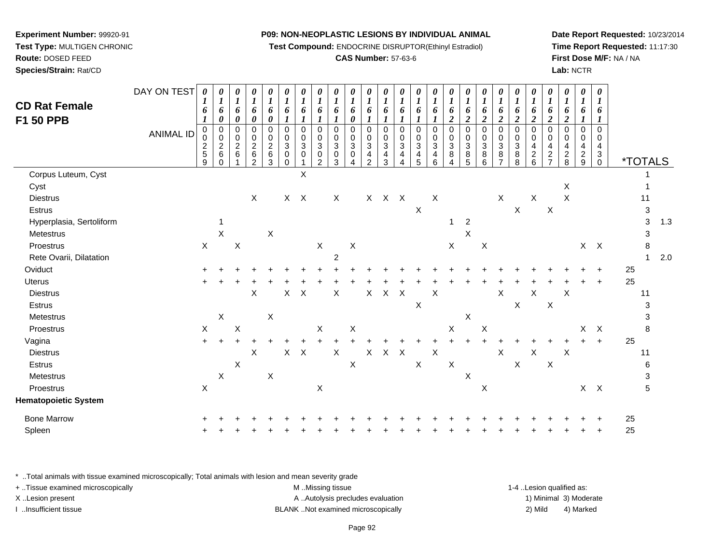**Test Compound:** ENDOCRINE DISRUPTOR(Ethinyl Estradiol)

#### **CAS Number:** 57-63-6

**Date Report Requested:** 10/23/2014**Time Report Requested:** 11:17:30**First Dose M/F:** NA / NA**Lab:** NCTR

| <b>CD Rat Female</b>        | DAY ON TEST      | $\boldsymbol{\theta}$                  | 0<br>$\boldsymbol{l}$                                           | 0<br>$\boldsymbol{l}$      | 0<br>$\boldsymbol{l}$                               | 0<br>$\boldsymbol{l}$                                                               | 0<br>$\boldsymbol{l}$                                      | 0<br>$\boldsymbol{l}$      | 0<br>$\boldsymbol{l}$                               | $\theta$<br>$\boldsymbol{l}$            | 0<br>$\boldsymbol{l}$           | 0<br>$\boldsymbol{l}$                                                                      | $\boldsymbol{\theta}$<br>$\boldsymbol{l}$          | 0<br>$\boldsymbol{l}$                              | $\theta$<br>$\boldsymbol{l}$ | 0<br>$\boldsymbol{l}$        | $\boldsymbol{\theta}$<br>$\boldsymbol{l}$               | 0<br>$\boldsymbol{l}$                              | 0<br>$\boldsymbol{l}$            | 0<br>$\boldsymbol{l}$                                | 0<br>$\boldsymbol{l}$                                         | 0<br>$\boldsymbol{l}$                | 0<br>$\boldsymbol{l}$                         | 0<br>$\boldsymbol{l}$               | 0<br>$\boldsymbol{l}$                 | 0<br>1                                 |                           |     |
|-----------------------------|------------------|----------------------------------------|-----------------------------------------------------------------|----------------------------|-----------------------------------------------------|-------------------------------------------------------------------------------------|------------------------------------------------------------|----------------------------|-----------------------------------------------------|-----------------------------------------|---------------------------------|--------------------------------------------------------------------------------------------|----------------------------------------------------|----------------------------------------------------|------------------------------|------------------------------|---------------------------------------------------------|----------------------------------------------------|----------------------------------|------------------------------------------------------|---------------------------------------------------------------|--------------------------------------|-----------------------------------------------|-------------------------------------|---------------------------------------|----------------------------------------|---------------------------|-----|
| <b>F1 50 PPB</b>            |                  | 6<br>1                                 | 6<br>0                                                          | 6<br>0                     | 6<br>0                                              | 6<br>0                                                                              | 6                                                          | 6<br>1                     | 6<br>1                                              | 6                                       | 6<br>0                          | 6<br>1                                                                                     | 6<br>$\mathbf{I}$                                  | 6                                                  | 6                            | 6                            | 6<br>$\overline{c}$                                     | 6<br>$\boldsymbol{2}$                              | 6<br>$\overline{c}$              | 6<br>$\overline{2}$                                  | 6<br>$\boldsymbol{2}$                                         | 6<br>$\boldsymbol{2}$                | 6<br>$\boldsymbol{2}$                         | 6<br>$\boldsymbol{2}$               | 6                                     | 6                                      |                           |     |
|                             | <b>ANIMAL ID</b> | $\mathbf 0$<br>0<br>$\frac{2}{5}$<br>9 | $\mathsf 0$<br>$\boldsymbol{0}$<br>$\frac{2}{6}$<br>$\mathbf 0$ | $\mathbf 0$<br>0<br>$^2$ 6 | $\mathbf 0$<br>0<br>$\frac{2}{6}$<br>$\overline{2}$ | $\mathbf 0$<br>$\mathbf 0$<br>$\begin{array}{c} 2 \\ 6 \end{array}$<br>$\mathbf{3}$ | $\mathbf 0$<br>$\mathbf 0$<br>3<br>$\mathbf 0$<br>$\Omega$ | 0<br>0<br>3<br>$\mathbf 0$ | $\Omega$<br>0<br>3<br>$\mathbf 0$<br>$\overline{2}$ | $\mathbf 0$<br>$_3^0$<br>$\pmb{0}$<br>3 | $\mathbf 0$<br>0<br>3<br>0<br>4 | $\mathbf 0$<br>0<br>$\ensuremath{\mathsf{3}}$<br>$\overline{\mathbf{4}}$<br>$\overline{2}$ | $\mathbf 0$<br>$\mathbf 0$<br>$\sqrt{3}$<br>4<br>3 | $\mathbf 0$<br>$\mathbf 0$<br>$\sqrt{3}$<br>4<br>4 | 0<br>0<br>3<br>4<br>5        | $\Omega$<br>0<br>3<br>4<br>6 | $\mathbf 0$<br>0<br>$\ensuremath{\mathsf{3}}$<br>8<br>Δ | $\pmb{0}$<br>$_{3}^{\rm 0}$<br>$\overline{8}$<br>5 | 0<br>0<br>$\mathbf{3}$<br>$^8_6$ | 0<br>0<br>$\begin{array}{c} 3 \\ 8 \\ 7 \end{array}$ | $\pmb{0}$<br>$\mathbf 0$<br>$\sqrt{3}$<br>$\overline{8}$<br>8 | $\pmb{0}$<br>0<br>4<br>$\frac{2}{6}$ | $\Omega$<br>$\mathbf 0$<br>4<br>$\frac{2}{7}$ | $\Omega$<br>0<br>4<br>$\frac{2}{8}$ | $\Omega$<br>0<br>4<br>$\sqrt{2}$<br>9 | $\mathbf 0$<br>0<br>4<br>$\frac{3}{0}$ | <i><b>*TOTALS</b></i>     |     |
| Corpus Luteum, Cyst         |                  |                                        |                                                                 |                            |                                                     |                                                                                     |                                                            | X                          |                                                     |                                         |                                 |                                                                                            |                                                    |                                                    |                              |                              |                                                         |                                                    |                                  |                                                      |                                                               |                                      |                                               |                                     |                                       |                                        |                           |     |
| Cyst                        |                  |                                        |                                                                 |                            |                                                     |                                                                                     |                                                            |                            |                                                     |                                         |                                 |                                                                                            |                                                    |                                                    |                              |                              |                                                         |                                                    |                                  |                                                      |                                                               |                                      |                                               | X                                   |                                       |                                        |                           |     |
| <b>Diestrus</b>             |                  |                                        |                                                                 |                            | X                                                   |                                                                                     |                                                            | $X$ $X$                    |                                                     | X                                       |                                 |                                                                                            | X X X                                              |                                                    |                              | $\boldsymbol{\mathsf{X}}$    |                                                         |                                                    |                                  | X                                                    |                                                               | $\boldsymbol{\mathsf{X}}$            |                                               | $\boldsymbol{\mathsf{X}}$           |                                       |                                        | 11                        |     |
| <b>Estrus</b>               |                  |                                        |                                                                 |                            |                                                     |                                                                                     |                                                            |                            |                                                     |                                         |                                 |                                                                                            |                                                    |                                                    | $\boldsymbol{\mathsf{X}}$    |                              |                                                         |                                                    |                                  |                                                      | $\boldsymbol{\mathsf{X}}$                                     |                                      | $\boldsymbol{\mathsf{X}}$                     |                                     |                                       |                                        | $\ensuremath{\mathsf{3}}$ |     |
| Hyperplasia, Sertoliform    |                  |                                        |                                                                 |                            |                                                     |                                                                                     |                                                            |                            |                                                     |                                         |                                 |                                                                                            |                                                    |                                                    |                              |                              | $\mathbf{1}$                                            | $\overline{2}$                                     |                                  |                                                      |                                                               |                                      |                                               |                                     |                                       |                                        | $\mathbf{3}$              | 1.3 |
| Metestrus                   |                  |                                        | X                                                               |                            |                                                     | X                                                                                   |                                                            |                            |                                                     |                                         |                                 |                                                                                            |                                                    |                                                    |                              |                              |                                                         | X                                                  |                                  |                                                      |                                                               |                                      |                                               |                                     |                                       |                                        | 3                         |     |
| Proestrus                   |                  | $\mathsf X$                            |                                                                 | $\sf X$                    |                                                     |                                                                                     |                                                            |                            | $\boldsymbol{\mathsf{X}}$                           |                                         | X                               |                                                                                            |                                                    |                                                    |                              |                              | $\mathsf X$                                             |                                                    | $\mathsf X$                      |                                                      |                                                               |                                      |                                               |                                     |                                       | $X$ $X$                                | 8                         |     |
| Rete Ovarii, Dilatation     |                  |                                        |                                                                 |                            |                                                     |                                                                                     |                                                            |                            |                                                     | $\overline{2}$                          |                                 |                                                                                            |                                                    |                                                    |                              |                              |                                                         |                                                    |                                  |                                                      |                                                               |                                      |                                               |                                     |                                       |                                        | $\mathbf{1}$              | 2.0 |
| Oviduct                     |                  |                                        |                                                                 |                            |                                                     |                                                                                     |                                                            |                            |                                                     |                                         |                                 |                                                                                            |                                                    |                                                    |                              |                              |                                                         |                                                    |                                  |                                                      |                                                               |                                      |                                               |                                     |                                       | $\ddot{}$                              | 25                        |     |
| <b>Uterus</b>               |                  |                                        |                                                                 |                            |                                                     |                                                                                     |                                                            |                            |                                                     |                                         |                                 |                                                                                            |                                                    |                                                    |                              |                              |                                                         |                                                    |                                  |                                                      |                                                               |                                      |                                               |                                     |                                       | $\ddot{}$                              | 25                        |     |
| <b>Diestrus</b>             |                  |                                        |                                                                 |                            | X                                                   |                                                                                     | X                                                          | $\mathsf{X}$               |                                                     | X                                       |                                 |                                                                                            | $X$ $X$ $X$                                        |                                                    |                              | X                            |                                                         |                                                    |                                  | $\mathsf X$                                          |                                                               | $\mathsf X$                          |                                               | $\boldsymbol{\mathsf{X}}$           |                                       |                                        | 11                        |     |
| Estrus                      |                  |                                        |                                                                 |                            |                                                     |                                                                                     |                                                            |                            |                                                     |                                         |                                 |                                                                                            |                                                    |                                                    | $\sf X$                      |                              |                                                         |                                                    |                                  |                                                      | $\mathsf X$                                                   |                                      | $\sf X$                                       |                                     |                                       |                                        | 3                         |     |
| Metestrus                   |                  |                                        | Χ                                                               |                            |                                                     | X                                                                                   |                                                            |                            |                                                     |                                         |                                 |                                                                                            |                                                    |                                                    |                              |                              |                                                         | X                                                  |                                  |                                                      |                                                               |                                      |                                               |                                     |                                       |                                        | 3                         |     |
| Proestrus                   |                  | $\mathsf X$                            |                                                                 | X                          |                                                     |                                                                                     |                                                            |                            | $\boldsymbol{\mathsf{X}}$                           |                                         | X                               |                                                                                            |                                                    |                                                    |                              |                              | $\boldsymbol{\mathsf{X}}$                               |                                                    | X                                |                                                      |                                                               |                                      |                                               |                                     |                                       | $X$ $X$                                | 8                         |     |
| Vagina                      |                  |                                        |                                                                 |                            |                                                     |                                                                                     |                                                            |                            |                                                     |                                         |                                 |                                                                                            |                                                    |                                                    |                              |                              |                                                         |                                                    |                                  |                                                      |                                                               |                                      |                                               |                                     |                                       | $\ddot{}$                              | 25                        |     |
| <b>Diestrus</b>             |                  |                                        |                                                                 |                            | X                                                   |                                                                                     | X                                                          | $\mathsf{X}$               |                                                     | $\mathsf X$                             |                                 | $\mathsf X$                                                                                | $\mathsf X$                                        | $\mathsf{X}$                                       |                              | X                            |                                                         |                                                    |                                  | $\mathsf X$                                          |                                                               | $\mathsf X$                          |                                               | $\boldsymbol{\mathsf{X}}$           |                                       |                                        | 11                        |     |
| Estrus                      |                  |                                        |                                                                 | X                          |                                                     |                                                                                     |                                                            |                            |                                                     |                                         | $\mathsf X$                     |                                                                                            |                                                    |                                                    | $\mathsf X$                  |                              | $\mathsf X$                                             |                                                    |                                  |                                                      | $\mathsf X$                                                   |                                      | $\boldsymbol{\mathsf{X}}$                     |                                     |                                       |                                        | 6                         |     |
| Metestrus                   |                  |                                        | $\boldsymbol{\mathsf{X}}$                                       |                            |                                                     | $\boldsymbol{\mathsf{X}}$                                                           |                                                            |                            |                                                     |                                         |                                 |                                                                                            |                                                    |                                                    |                              |                              |                                                         | $\mathsf X$                                        |                                  |                                                      |                                                               |                                      |                                               |                                     |                                       |                                        | 3                         |     |
| Proestrus                   |                  | $\pmb{\times}$                         |                                                                 |                            |                                                     |                                                                                     |                                                            |                            | $\boldsymbol{\mathsf{X}}$                           |                                         |                                 |                                                                                            |                                                    |                                                    |                              |                              |                                                         |                                                    | $\boldsymbol{\mathsf{X}}$        |                                                      |                                                               |                                      |                                               |                                     |                                       | $X$ $X$                                | 5                         |     |
| <b>Hematopoietic System</b> |                  |                                        |                                                                 |                            |                                                     |                                                                                     |                                                            |                            |                                                     |                                         |                                 |                                                                                            |                                                    |                                                    |                              |                              |                                                         |                                                    |                                  |                                                      |                                                               |                                      |                                               |                                     |                                       |                                        |                           |     |
| <b>Bone Marrow</b>          |                  |                                        |                                                                 |                            |                                                     |                                                                                     |                                                            |                            |                                                     |                                         |                                 |                                                                                            |                                                    |                                                    |                              |                              |                                                         |                                                    |                                  |                                                      |                                                               |                                      |                                               |                                     |                                       |                                        | 25                        |     |
| Spleen                      |                  |                                        |                                                                 |                            |                                                     |                                                                                     |                                                            |                            |                                                     |                                         |                                 |                                                                                            |                                                    |                                                    |                              |                              |                                                         |                                                    |                                  |                                                      |                                                               |                                      |                                               |                                     |                                       | $\ddot{}$                              | 25                        |     |
|                             |                  |                                        |                                                                 |                            |                                                     |                                                                                     |                                                            |                            |                                                     |                                         |                                 |                                                                                            |                                                    |                                                    |                              |                              |                                                         |                                                    |                                  |                                                      |                                                               |                                      |                                               |                                     |                                       |                                        |                           |     |

\* ..Total animals with tissue examined microscopically; Total animals with lesion and mean severity grade

**Experiment Number:** 99920-91**Test Type:** MULTIGEN CHRONIC

**Route:** DOSED FEED**Species/Strain:** Rat/CD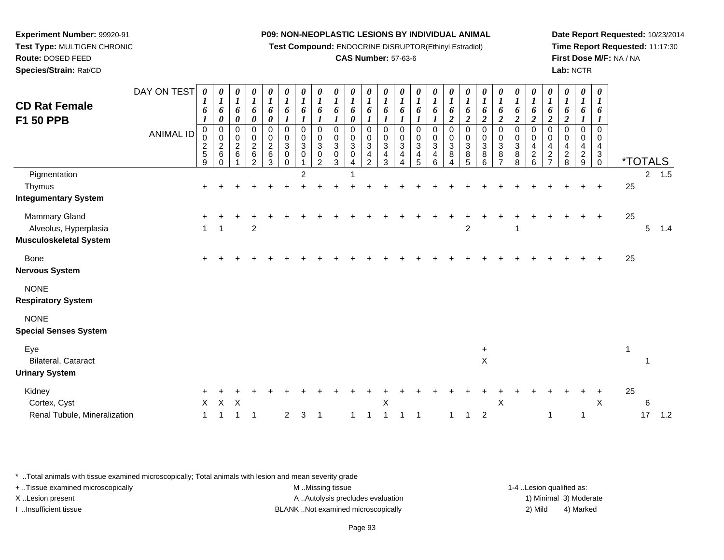**Test Compound:** ENDOCRINE DISRUPTOR(Ethinyl Estradiol)

#### **CAS Number:** 57-63-6

**Date Report Requested:** 10/23/2014**Time Report Requested:** 11:17:30**First Dose M/F:** NA / NA**Lab:** NCTR

| <b>CD Rat Female</b><br>F1 50 PPB                                       | DAY ON TEST<br><b>ANIMAL ID</b> | $\boldsymbol{\theta}$<br>6<br>$\pmb{0}$<br>$\pmb{0}$<br>$rac{2}{5}$<br>$\boldsymbol{9}$ | 0<br>$\boldsymbol{l}$<br>6<br>0<br>00026<br>$\mathbf 0$ | 0<br>$\boldsymbol{l}$<br>6<br>$\boldsymbol{\theta}$<br>0<br>$\begin{array}{c} 0 \\ 2 \\ 6 \end{array}$ | 0<br>$\boldsymbol{l}$<br>6<br>0<br>0<br>$\begin{array}{c} 0 \\ 2 \\ 6 \end{array}$<br>$\overline{c}$ | 0<br>$\boldsymbol{l}$<br>6<br>$\boldsymbol{\theta}$<br>0<br>0<br>$\sqrt{2}$<br>$\,6\,$<br>3 | 0<br>$\boldsymbol{l}$<br>6<br>$\mathbf 0$<br>0<br>3<br>0<br>$\Omega$ | 0<br>$\boldsymbol{l}$<br>6<br>$\mathbf 0$<br>0<br>3<br>0 | 0<br>$\boldsymbol{l}$<br>6<br>$\Omega$<br>0<br>3<br>$\mathbf 0$<br>2 | 0<br>6<br>$\mathbf 0$<br>0<br>$\ensuremath{\mathsf{3}}$<br>$\mathbf 0$<br>3 | 0<br>$\boldsymbol{l}$<br>6<br>$\pmb{\theta}$<br>0<br>$_3^0$<br>$\mathsf 0$<br>4 | 0<br>$\boldsymbol{l}$<br>6<br>0<br>0<br>$\sqrt{3}$<br>4<br>$\overline{2}$ | 0<br>$\boldsymbol{l}$<br>6<br>$\mathbf 0$<br>0<br>$\sqrt{3}$<br>4<br>3 | 0<br>1<br>6<br>$\pmb{0}$<br>$\pmb{0}$<br>$\ensuremath{\mathsf{3}}$<br>4<br>4 | 0<br>$\boldsymbol{l}$<br>6<br>$\mathbf 0$<br>0<br>3<br>4<br>5 | 0<br>$\boldsymbol{l}$<br>6<br>$\pmb{0}$<br>$\pmb{0}$<br>3<br>$\overline{4}$<br>$\,6\,$ | $\boldsymbol{\theta}$<br>$\boldsymbol{l}$<br>6<br>$\boldsymbol{2}$<br>$\mathbf 0$<br>0<br>3<br>8 | 0<br>6<br>$\boldsymbol{2}$<br>$\mathsf 0$<br>$\begin{smallmatrix}0\\3\end{smallmatrix}$<br>$\bf 8$<br>5 | 0<br>$\boldsymbol{l}$<br>6<br>$\overline{2}$<br>0<br>$\frac{0}{3}$<br>$\bf 8$<br>6 | 0<br>$\boldsymbol{l}$<br>6<br>$\boldsymbol{2}$<br>0<br>$\boldsymbol{0}$<br>$\ensuremath{\mathsf{3}}$<br>$\bf 8$ | 0<br>$\boldsymbol{l}$<br>6<br>$\boldsymbol{2}$<br>$\mbox{O}$<br>$\pmb{0}$<br>$\sqrt{3}$<br>$\bf 8$<br>8 | 0<br>$\boldsymbol{l}$<br>6<br>$\boldsymbol{2}$<br>$\mathbf 0$<br>$\,0\,$<br>$\overline{4}$<br>$\begin{array}{c} 2 \\ 6 \end{array}$ | $\boldsymbol{\theta}$<br>$\boldsymbol{l}$<br>6<br>$\boldsymbol{2}$<br>$\mathbf 0$<br>0<br>4<br>$\frac{2}{7}$ | 0<br>$\boldsymbol{l}$<br>6<br>$\boldsymbol{2}$<br>0<br>4<br>$\sqrt{2}$<br>8 | $\boldsymbol{\theta}$<br>6<br>$\mathbf{0}$<br>0<br>4<br>$\overline{c}$<br>9 | 0<br>1<br>6<br>0<br>0<br>4<br>$\sqrt{3}$<br>$\pmb{0}$ |             | <i><b>*TOTALS</b></i> |     |
|-------------------------------------------------------------------------|---------------------------------|-----------------------------------------------------------------------------------------|---------------------------------------------------------|--------------------------------------------------------------------------------------------------------|------------------------------------------------------------------------------------------------------|---------------------------------------------------------------------------------------------|----------------------------------------------------------------------|----------------------------------------------------------|----------------------------------------------------------------------|-----------------------------------------------------------------------------|---------------------------------------------------------------------------------|---------------------------------------------------------------------------|------------------------------------------------------------------------|------------------------------------------------------------------------------|---------------------------------------------------------------|----------------------------------------------------------------------------------------|--------------------------------------------------------------------------------------------------|---------------------------------------------------------------------------------------------------------|------------------------------------------------------------------------------------|-----------------------------------------------------------------------------------------------------------------|---------------------------------------------------------------------------------------------------------|-------------------------------------------------------------------------------------------------------------------------------------|--------------------------------------------------------------------------------------------------------------|-----------------------------------------------------------------------------|-----------------------------------------------------------------------------|-------------------------------------------------------|-------------|-----------------------|-----|
| Pigmentation<br>Thymus<br><b>Integumentary System</b>                   |                                 |                                                                                         |                                                         |                                                                                                        |                                                                                                      |                                                                                             |                                                                      | $\overline{c}$                                           |                                                                      |                                                                             |                                                                                 |                                                                           |                                                                        |                                                                              |                                                               |                                                                                        |                                                                                                  |                                                                                                         |                                                                                    |                                                                                                                 |                                                                                                         |                                                                                                                                     |                                                                                                              |                                                                             |                                                                             |                                                       | 25          | $\overline{2}$        | 1.5 |
| Mammary Gland<br>Alveolus, Hyperplasia<br><b>Musculoskeletal System</b> |                                 | 1                                                                                       | 1                                                       |                                                                                                        | $\boldsymbol{2}$                                                                                     |                                                                                             |                                                                      |                                                          |                                                                      |                                                                             |                                                                                 |                                                                           |                                                                        |                                                                              |                                                               |                                                                                        |                                                                                                  | $\overline{c}$                                                                                          |                                                                                    |                                                                                                                 | 1                                                                                                       |                                                                                                                                     |                                                                                                              |                                                                             |                                                                             | ÷                                                     | 25          | 5                     | 1.4 |
| Bone<br><b>Nervous System</b>                                           |                                 | $\ddot{}$                                                                               |                                                         |                                                                                                        |                                                                                                      |                                                                                             |                                                                      |                                                          |                                                                      |                                                                             |                                                                                 |                                                                           |                                                                        |                                                                              |                                                               |                                                                                        |                                                                                                  |                                                                                                         |                                                                                    |                                                                                                                 |                                                                                                         |                                                                                                                                     |                                                                                                              |                                                                             |                                                                             |                                                       | 25          |                       |     |
| <b>NONE</b><br><b>Respiratory System</b>                                |                                 |                                                                                         |                                                         |                                                                                                        |                                                                                                      |                                                                                             |                                                                      |                                                          |                                                                      |                                                                             |                                                                                 |                                                                           |                                                                        |                                                                              |                                                               |                                                                                        |                                                                                                  |                                                                                                         |                                                                                    |                                                                                                                 |                                                                                                         |                                                                                                                                     |                                                                                                              |                                                                             |                                                                             |                                                       |             |                       |     |
| <b>NONE</b><br><b>Special Senses System</b>                             |                                 |                                                                                         |                                                         |                                                                                                        |                                                                                                      |                                                                                             |                                                                      |                                                          |                                                                      |                                                                             |                                                                                 |                                                                           |                                                                        |                                                                              |                                                               |                                                                                        |                                                                                                  |                                                                                                         |                                                                                    |                                                                                                                 |                                                                                                         |                                                                                                                                     |                                                                                                              |                                                                             |                                                                             |                                                       |             |                       |     |
| Eye<br>Bilateral, Cataract<br><b>Urinary System</b>                     |                                 |                                                                                         |                                                         |                                                                                                        |                                                                                                      |                                                                                             |                                                                      |                                                          |                                                                      |                                                                             |                                                                                 |                                                                           |                                                                        |                                                                              |                                                               |                                                                                        |                                                                                                  |                                                                                                         | $\ddot{}$<br>$\pmb{\times}$                                                        |                                                                                                                 |                                                                                                         |                                                                                                                                     |                                                                                                              |                                                                             |                                                                             |                                                       | $\mathbf 1$ | $\mathbf 1$           |     |
| Kidney<br>Cortex, Cyst<br>Renal Tubule, Mineralization                  |                                 | X<br>1                                                                                  | $\mathsf{X}$                                            | $\mathsf{X}$<br>1                                                                                      | $\mathbf 1$                                                                                          |                                                                                             | $\overline{c}$                                                       | 3                                                        | -1                                                                   |                                                                             |                                                                                 |                                                                           | X                                                                      |                                                                              | -1                                                            |                                                                                        | 1                                                                                                | 1                                                                                                       | $\boldsymbol{2}$                                                                   | X                                                                                                               |                                                                                                         |                                                                                                                                     | 1                                                                                                            |                                                                             | 1                                                                           | +<br>Χ                                                | 25          | 6<br>17               | 1.2 |

\* ..Total animals with tissue examined microscopically; Total animals with lesion and mean severity grade

**Experiment Number:** 99920-91**Test Type:** MULTIGEN CHRONIC

**Route:** DOSED FEED**Species/Strain:** Rat/CD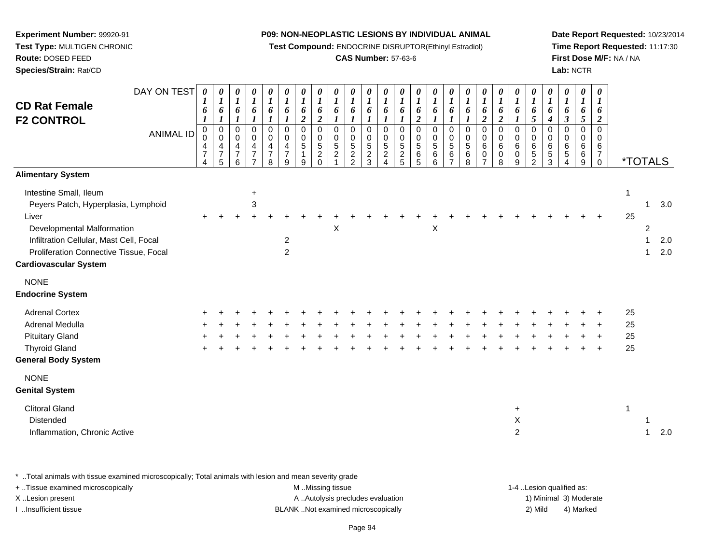**Test Compound:** ENDOCRINE DISRUPTOR(Ethinyl Estradiol)

#### **CAS Number:** 57-63-6

**Date Report Requested:** 10/23/2014**Time Report Requested:** 11:17:30**First Dose M/F:** NA / NA**Lab:** NCTR

| DAY ON TEST<br><b>CD Rat Female</b><br><b>F2 CONTROL</b><br><b>ANIMAL ID</b>                                                                                                                                                                          | 0<br>1<br>6<br>1<br>$\pmb{0}$<br>0<br>$\frac{4}{7}$<br>$\overline{4}$ | 0<br>$\boldsymbol{l}$<br>6<br>1<br>$\pmb{0}$<br>$\pmb{0}$<br>$\frac{4}{7}$<br>5 | 0<br>$\boldsymbol{l}$<br>6<br>1<br>$\pmb{0}$<br>$\mathsf{O}$<br>$\frac{4}{7}$<br>6 | $\boldsymbol{\theta}$<br>$\boldsymbol{l}$<br>$\pmb{6}$<br>$\boldsymbol{l}$<br>$_{\rm 0}^{\rm 0}$<br>$\frac{4}{7}$<br>$\overline{7}$ | 0<br>$\boldsymbol{l}$<br>6<br>1<br>$\pmb{0}$<br>$\mathbf 0$<br>$\frac{4}{7}$<br>8 | 0<br>$\boldsymbol{l}$<br>6<br>$\boldsymbol{l}$<br>$\pmb{0}$<br>0<br>$\frac{4}{7}$<br>9 | 0<br>$\boldsymbol{l}$<br>6<br>$\boldsymbol{2}$<br>$\mathbf 0$<br>$\mathbf 0$<br>$\sqrt{5}$<br>1<br>9 | 0<br>$\boldsymbol{l}$<br>6<br>$\boldsymbol{2}$<br>$\overline{0}$<br>0<br>$\sqrt{5}$<br>$\overline{2}$<br>$\Omega$ | 0<br>$\boldsymbol{l}$<br>6<br>$\pmb{0}$<br>0<br>$\sqrt{5}$<br>$\overline{2}$ | 0<br>$\boldsymbol{l}$<br>6<br>$\pmb{0}$<br>$\mathbf 0$<br>$\frac{5}{2}$ | 0<br>$\boldsymbol{l}$<br>6<br>$\pmb{0}$<br>$\pmb{0}$<br>$\overline{5}$<br>$\overline{c}$<br>3 | 0<br>$\boldsymbol{l}$<br>6<br>$\boldsymbol{l}$<br>$\pmb{0}$<br>$\pmb{0}$<br>$\overline{5}$<br>$\boldsymbol{2}$<br>$\overline{4}$ | 0<br>$\boldsymbol{l}$<br>6<br>$\pmb{0}$<br>$\pmb{0}$<br>$\frac{5}{2}$<br>5 | $\boldsymbol{\theta}$<br>$\boldsymbol{l}$<br>6<br>$\boldsymbol{2}$<br>$\pmb{0}$<br>0<br>$\,$ 5 $\,$<br>$\,6$<br>5 | 0<br>$\boldsymbol{l}$<br>6<br>$\boldsymbol{l}$<br>$\pmb{0}$<br>0<br>$\sqrt{5}$<br>6<br>6 | $\boldsymbol{\theta}$<br>$\boldsymbol{l}$<br>6<br>1<br>$\pmb{0}$<br>$\pmb{0}$<br>$\overline{5}$ 6<br>$\overline{7}$ | 0<br>$\boldsymbol{l}$<br>6<br>$\pmb{0}$<br>$\mathbf 0$<br>$\overline{5}$<br>$\,6$<br>8 | 0<br>$\boldsymbol{l}$<br>6<br>$\boldsymbol{2}$<br>$\pmb{0}$<br>$\pmb{0}$<br>6<br>0<br>$\overline{7}$ | 0<br>$\boldsymbol{l}$<br>6<br>$\boldsymbol{2}$<br>$\mathbf 0$<br>$\mathbf 0$<br>6<br>0<br>8 | 0<br>$\boldsymbol{l}$<br>6<br>$\mathbf 0$<br>0<br>6<br>$\mathbf 0$<br>9 | 0<br>$\boldsymbol{l}$<br>6<br>5<br>$\mathbf 0$<br>0<br>6<br>5<br>$\mathcal{P}$ | 0<br>$\boldsymbol{l}$<br>6<br>$\boldsymbol{4}$<br>$\mathbf 0$<br>$\mathbf 0$<br>6<br>$\sqrt{5}$<br>3 | $\boldsymbol{\theta}$<br>$\boldsymbol{l}$<br>6<br>$\boldsymbol{\beta}$<br>$\overline{0}$<br>0<br>$\frac{6}{5}$<br>$\Delta$ | 0<br>$\boldsymbol{l}$<br>6<br>5<br>0<br>0<br>$\begin{array}{c} 6 \\ 6 \end{array}$<br>9 | 0<br>$\boldsymbol{I}$<br>6<br>$\boldsymbol{2}$<br>$\mathbf 0$<br>0<br>$\,6\,$<br>$\overline{7}$<br>$\mathbf 0$ | <i><b>*TOTALS</b></i> |                                          |                   |
|-------------------------------------------------------------------------------------------------------------------------------------------------------------------------------------------------------------------------------------------------------|-----------------------------------------------------------------------|---------------------------------------------------------------------------------|------------------------------------------------------------------------------------|-------------------------------------------------------------------------------------------------------------------------------------|-----------------------------------------------------------------------------------|----------------------------------------------------------------------------------------|------------------------------------------------------------------------------------------------------|-------------------------------------------------------------------------------------------------------------------|------------------------------------------------------------------------------|-------------------------------------------------------------------------|-----------------------------------------------------------------------------------------------|----------------------------------------------------------------------------------------------------------------------------------|----------------------------------------------------------------------------|-------------------------------------------------------------------------------------------------------------------|------------------------------------------------------------------------------------------|---------------------------------------------------------------------------------------------------------------------|----------------------------------------------------------------------------------------|------------------------------------------------------------------------------------------------------|---------------------------------------------------------------------------------------------|-------------------------------------------------------------------------|--------------------------------------------------------------------------------|------------------------------------------------------------------------------------------------------|----------------------------------------------------------------------------------------------------------------------------|-----------------------------------------------------------------------------------------|----------------------------------------------------------------------------------------------------------------|-----------------------|------------------------------------------|-------------------|
| <b>Alimentary System</b><br>Intestine Small, Ileum<br>Peyers Patch, Hyperplasia, Lymphoid<br>Liver<br>Developmental Malformation<br>Infiltration Cellular, Mast Cell, Focal<br>Proliferation Connective Tissue, Focal<br><b>Cardiovascular System</b> |                                                                       |                                                                                 |                                                                                    | $\ddot{}$<br>3                                                                                                                      |                                                                                   | $\overline{c}$<br>$\overline{c}$                                                       |                                                                                                      |                                                                                                                   | X                                                                            |                                                                         |                                                                                               |                                                                                                                                  |                                                                            |                                                                                                                   | X                                                                                        |                                                                                                                     |                                                                                        |                                                                                                      |                                                                                             |                                                                         |                                                                                |                                                                                                      |                                                                                                                            |                                                                                         |                                                                                                                | $\mathbf{1}$<br>25    | 1<br>$\overline{c}$<br>1<br>$\mathbf{1}$ | 3.0<br>2.0<br>2.0 |
| <b>NONE</b><br><b>Endocrine System</b>                                                                                                                                                                                                                |                                                                       |                                                                                 |                                                                                    |                                                                                                                                     |                                                                                   |                                                                                        |                                                                                                      |                                                                                                                   |                                                                              |                                                                         |                                                                                               |                                                                                                                                  |                                                                            |                                                                                                                   |                                                                                          |                                                                                                                     |                                                                                        |                                                                                                      |                                                                                             |                                                                         |                                                                                |                                                                                                      |                                                                                                                            |                                                                                         |                                                                                                                |                       |                                          |                   |
| <b>Adrenal Cortex</b><br>Adrenal Medulla<br><b>Pituitary Gland</b><br><b>Thyroid Gland</b><br><b>General Body System</b>                                                                                                                              |                                                                       |                                                                                 |                                                                                    |                                                                                                                                     |                                                                                   |                                                                                        |                                                                                                      |                                                                                                                   |                                                                              |                                                                         |                                                                                               |                                                                                                                                  |                                                                            |                                                                                                                   |                                                                                          |                                                                                                                     |                                                                                        |                                                                                                      |                                                                                             |                                                                         |                                                                                |                                                                                                      |                                                                                                                            |                                                                                         | $\ddot{}$                                                                                                      | 25<br>25<br>25<br>25  |                                          |                   |
| <b>NONE</b><br><b>Genital System</b><br><b>Clitoral Gland</b><br>Distended<br>Inflammation, Chronic Active                                                                                                                                            |                                                                       |                                                                                 |                                                                                    |                                                                                                                                     |                                                                                   |                                                                                        |                                                                                                      |                                                                                                                   |                                                                              |                                                                         |                                                                                               |                                                                                                                                  |                                                                            |                                                                                                                   |                                                                                          |                                                                                                                     |                                                                                        |                                                                                                      |                                                                                             | $\ddot{}$<br>X<br>$\overline{c}$                                        |                                                                                |                                                                                                      |                                                                                                                            |                                                                                         |                                                                                                                | $\mathbf{1}$          | 1                                        | 2.0               |

\* ..Total animals with tissue examined microscopically; Total animals with lesion and mean severity grade

**Experiment Number:** 99920-91**Test Type:** MULTIGEN CHRONIC

| + Tissue examined microscopically | M Missing tissue                   | 1-4 Lesion qualified as: |                        |
|-----------------------------------|------------------------------------|--------------------------|------------------------|
| X Lesion present                  | A Autolysis precludes evaluation   |                          | 1) Minimal 3) Moderate |
| Insufficient tissue               | BLANK Not examined microscopically | 2) Mild                  | 4) Marked              |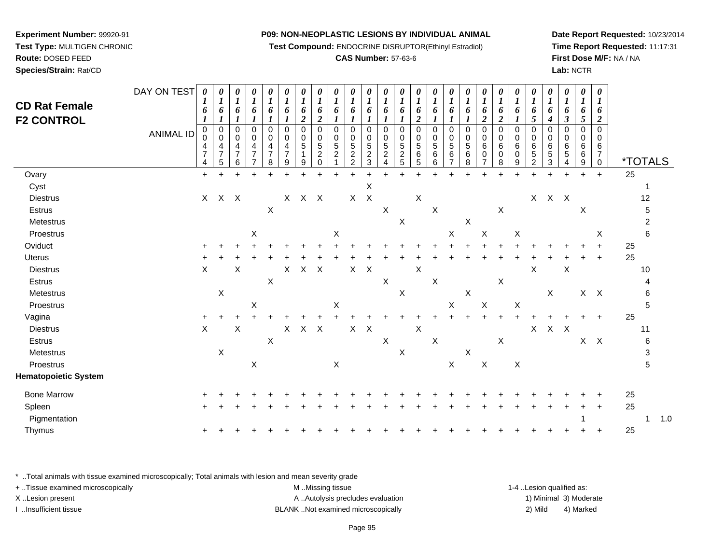**Test Compound:** ENDOCRINE DISRUPTOR(Ethinyl Estradiol)

#### **CAS Number:** 57-63-6

**Date Report Requested:** 10/23/2014**Time Report Requested:** 11:17:31**First Dose M/F:** NA / NA**Lab:** NCTR

DAY ON TEST**CD Rat FemaleF2 CONTROL**ANIMAL ID*0 1 6 1* 0 0 4 7 4 $\ddot{}$ *0 1 6 1* 0 0 4 7 5 $+$ *0 1 6 1* 0 0 4 7 6 $\ddot{}$ *0 1 6 1* 0 0 4 7 7 $\ddot{}$ *0 1 6 1* 0 0 4 7 8*0 1 6 1* 0 0 4 7 9 $\ddot{}$ *0 1 6 2* 0 0 5 1 9*0 1 6 2* 0 0 5 2 0 $\ddot{}$ *0 1 6 1* 0 0 5 2 1 $\ddot{}$ *0 1 6 1* 0 0 5 2 2 $+$ *0 1 6 1* 0 0 5 2 3 $\ddot{}$ *0 1 6 1* 0 0 5 2 4*0 1 6 1* 0 0 5 2 5 $\ddot{}$ *0 1 6 2* 0 0 5 6 5*0 1 6 1* 0 0 5 6 6 $\ddot{}$ *0 1 6 1* 0 0 5 6 7 $\ddot{}$ *0 1 6 1* 0 0 5 6 8*0 1 6 2* 0 0 6 0 7 $\ddot{}$ *0 1 6 2* 0 0 6 0 8*0 1 6 1* 0 0 6 0 9*0 1 6 5* 0 0 6 5 2*0 1 6 4* 0 0 6 5 3*0 1 6 3* 0 0 6 5 4 $\ddot{}$ *0 1 6 5* 0 0 6 6 9*0 1 6 2* 0 0 6 7 $\overline{0}$ 0 \*TOTALS**Ovary**  $\mathsf y$  <sup>+</sup> <sup>+</sup> <sup>+</sup> <sup>+</sup> <sup>+</sup> <sup>+</sup> <sup>+</sup> <sup>+</sup> <sup>+</sup> <sup>+</sup> <sup>+</sup> <sup>+</sup> <sup>+</sup> <sup>+</sup> <sup>+</sup> <sup>+</sup> <sup>+</sup> <sup>+</sup> <sup>+</sup> <sup>+</sup> <sup>+</sup> <sup>+</sup> <sup>+</sup> + 25 Cystt to the contract of the contract of the contract of the contract of the contract of the contract of the contract of the contract of the contract of the contract of the contract of the contract of the contract of the contr  $\chi$  1 **Diestrus**  $\mathsf{s}$  X X X X X X X X X X X X X X X X 12 **Estrus**  $\mathsf{x}$  $X$   $X$   $X$   $X$   $X$  5 **Metestrus**  $\mathsf{S}$  $X$  2 Proestrus $\mathsf{x}$  $X$  X  $X$  X  $X$  X  $X$  6 **Oviduct**  $\mathfrak{t}$  + <sup>+</sup> <sup>+</sup> <sup>+</sup> <sup>+</sup> <sup>+</sup> <sup>+</sup> <sup>+</sup> <sup>+</sup> <sup>+</sup> <sup>+</sup> <sup>+</sup> <sup>+</sup> <sup>+</sup> <sup>+</sup> <sup>+</sup> <sup>+</sup> <sup>+</sup> <sup>+</sup> <sup>+</sup> <sup>+</sup> <sup>+</sup> <sup>+</sup> <sup>+</sup> + 25 Uterus <sup>+</sup> <sup>+</sup> <sup>+</sup> <sup>+</sup> <sup>+</sup> <sup>+</sup> <sup>+</sup> <sup>+</sup> <sup>+</sup> <sup>+</sup> <sup>+</sup> <sup>+</sup> <sup>+</sup> <sup>+</sup> <sup>+</sup> <sup>+</sup> <sup>+</sup> <sup>+</sup> <sup>+</sup> <sup>+</sup> <sup>+</sup> <sup>+</sup> <sup>+</sup> <sup>+</sup> + 25 **Diestrus**  $\mathsf{s}$  X X X X X X X X X X X X 10 **Estrus**  $\mathsf{x}$  $X$   $X$   $X$   $X$   $4$ **Metestrus**  $\mathsf{x}$  $X$  X  $X$  X  $X$  5 Proestrus $\mathsf{x}$  $X$  X  $X$  X  $X$  5 Vaginaa  $+$  <sup>+</sup> <sup>+</sup> <sup>+</sup> <sup>+</sup> <sup>+</sup> <sup>+</sup> <sup>+</sup> <sup>+</sup> <sup>+</sup> <sup>+</sup> <sup>+</sup> <sup>+</sup> <sup>+</sup> <sup>+</sup> <sup>+</sup> <sup>+</sup> <sup>+</sup> <sup>+</sup> <sup>+</sup> <sup>+</sup> <sup>+</sup> <sup>+</sup> <sup>+</sup> + 25 **Diestrus**  $\mathsf{x}$ X X X X X X X X X X X X X X 11 Estrus $\mathsf{s}$  X  $X$   $X$   $X$   $X$   $X$  6 **Metestrus**  $\mathsf{x}$  $X$   $X$   $X$  3 **Proestrus**  $\mathsf{x}$  $X$  X  $X$  X  $X$  5 **Hematopoietic System**Bone Marrow <sup>+</sup> <sup>+</sup> <sup>+</sup> <sup>+</sup> <sup>+</sup> <sup>+</sup> <sup>+</sup> <sup>+</sup> <sup>+</sup> <sup>+</sup> <sup>+</sup> <sup>+</sup> <sup>+</sup> <sup>+</sup> <sup>+</sup> <sup>+</sup> <sup>+</sup> <sup>+</sup> <sup>+</sup> <sup>+</sup> <sup>+</sup> <sup>+</sup> <sup>+</sup> <sup>+</sup> + 25 Spleenn  $+$  <sup>+</sup> <sup>+</sup> <sup>+</sup> <sup>+</sup> <sup>+</sup> <sup>+</sup> <sup>+</sup> <sup>+</sup> <sup>+</sup> <sup>+</sup> <sup>+</sup> <sup>+</sup> <sup>+</sup> <sup>+</sup> <sup>+</sup> <sup>+</sup> <sup>+</sup> <sup>+</sup> <sup>+</sup> <sup>+</sup> <sup>+</sup> <sup>+</sup> <sup>+</sup> + 25 **Pigmentation** n and  $1$  1.0 **Thymus**  <sup>+</sup><sup>+</sup> <sup>+</sup> <sup>+</sup> <sup>+</sup> <sup>+</sup> <sup>+</sup> <sup>+</sup> <sup>+</sup> <sup>+</sup> <sup>+</sup> <sup>+</sup> <sup>+</sup> <sup>+</sup> <sup>+</sup> <sup>+</sup> <sup>+</sup> <sup>+</sup> <sup>+</sup> <sup>+</sup> <sup>+</sup> <sup>+</sup> <sup>+</sup> <sup>+</sup> + 25

\* ..Total animals with tissue examined microscopically; Total animals with lesion and mean severity grade

+ ..Tissue examined microscopically examined microscopically examined as: M ..Missing tissue 1-4 ..Lesion qualified as: X..Lesion present 1) Minimal 3) Moderate A ..Autolysis precludes evaluation 1 and 1) Minimal 3) Moderate I ..Insufficient tissue BLANK ..Not examined microscopically 2) Mild 4) Marked

#### **Experiment Number:** 99920-91**Test Type:** MULTIGEN CHRONIC**Route:** DOSED FEED

**Species/Strain:** Rat/CD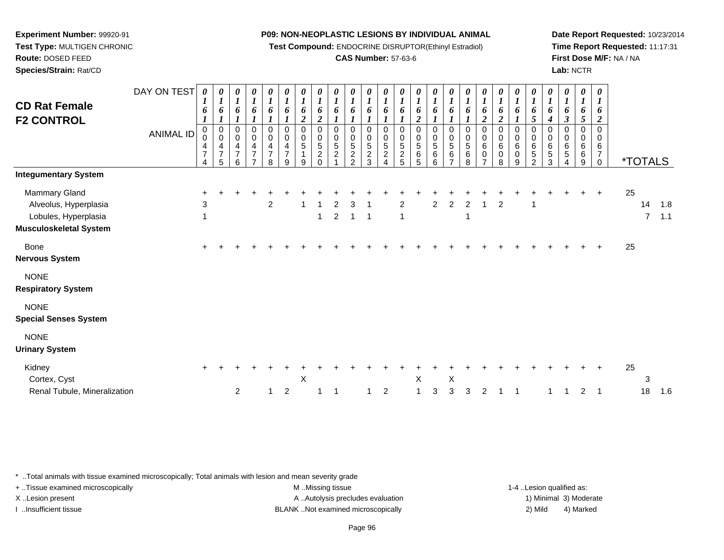**Test Compound:** ENDOCRINE DISRUPTOR(Ethinyl Estradiol)

#### **CAS Number:** 57-63-6

**Date Report Requested:** 10/23/2014**Time Report Requested:** 11:17:31**First Dose M/F:** NA / NA**Lab:** NCTR

| <b>CD Rat Female</b><br><b>F2 CONTROL</b>                                                       | DAY ON TEST<br><b>ANIMAL ID</b> | 0<br>$\boldsymbol{l}$<br>6<br>$\boldsymbol{l}$<br>0<br>0<br>$\overline{4}$<br>$\overline{7}$<br>4 | $\boldsymbol{\theta}$<br>$\boldsymbol{l}$<br>6<br>$\boldsymbol{l}$<br>$\pmb{0}$<br>$\pmb{0}$<br>$\overline{4}$<br>$\overline{7}$<br>5 | 0<br>$\boldsymbol{l}$<br>6<br>$\boldsymbol{l}$<br>$\pmb{0}$<br>$\pmb{0}$<br>$\overline{4}$<br>$\overline{7}$<br>6 | $\frac{\theta}{I}$<br>$\pmb{6}$<br>$\boldsymbol{l}$<br>0<br>$\mathsf{O}\xspace$<br>$\overline{4}$<br>$\overline{7}$<br>$\overline{ }$ | 0<br>$\boldsymbol{l}$<br>6<br>$\boldsymbol{l}$<br>0<br>$\pmb{0}$<br>$\overline{4}$<br>$\boldsymbol{7}$<br>8 | 0<br>$\boldsymbol{l}$<br>6<br>$\boldsymbol{l}$<br>$\pmb{0}$<br>$\pmb{0}$<br>$\overline{\mathbf{4}}$<br>$\overline{7}$<br>9 | 0<br>$\boldsymbol{l}$<br>6<br>$\boldsymbol{2}$<br>$\pmb{0}$<br>$\pmb{0}$<br>$\overline{5}$<br>1<br>9 | $\boldsymbol{\theta}$<br>$\boldsymbol{l}$<br>6<br>$\boldsymbol{2}$<br>0<br>$\mathbf 0$<br>$\,$ 5 $\,$<br>$\overline{2}$<br>$\Omega$ | $\boldsymbol{\theta}$<br>$\boldsymbol{l}$<br>6<br>1<br>0<br>$\mathbf 0$<br>$\,$ 5 $\,$<br>$\overline{c}$ | $\boldsymbol{l}$<br>6<br>$\mathbf 0$<br>$\mathbf 0$<br>$\,$ 5 $\,$<br>$\sqrt{2}$<br>$\mathfrak{D}$ | $\boldsymbol{\theta}$<br>$\boldsymbol{l}$<br>6<br>0<br>0<br>$\sqrt{5}$<br>$\frac{2}{3}$ | 0<br>$\boldsymbol{l}$<br>6<br>1<br>0<br>0<br>$\mathbf 5$<br>$\boldsymbol{2}$<br>4 | 0<br>$\boldsymbol{l}$<br>6<br>$\boldsymbol{l}$<br>0<br>0<br>5<br>$rac{2}{5}$ | 0<br>$\boldsymbol{l}$<br>6<br>$\boldsymbol{2}$<br>$\pmb{0}$<br>$\mathbf 0$<br>$\sqrt{5}$<br>6<br>5 | 0<br>$\boldsymbol{l}$<br>6<br>$\boldsymbol{l}$<br>0<br>0<br>$\sqrt{5}$<br>6<br>6 | $\boldsymbol{\theta}$<br>$\boldsymbol{l}$<br>6<br>$\boldsymbol{l}$<br>0<br>0<br>$\,$ 5 $\,$<br>6<br>$\overline{7}$ | $\boldsymbol{\theta}$<br>$\boldsymbol{l}$<br>6<br>$\boldsymbol{l}$<br>0<br>$\mathbf 0$<br>$\sqrt{5}$<br>6<br>8 | $\boldsymbol{\theta}$<br>$\boldsymbol{l}$<br>6<br>$\boldsymbol{2}$<br>0<br>$\pmb{0}$<br>$\,6$<br>0<br>7 | 0<br>$\boldsymbol{l}$<br>6<br>$\overline{\mathbf{c}}$<br>0<br>$\mathbf 0$<br>$\,6$<br>$\pmb{0}$<br>8 | 0<br>$\boldsymbol{l}$<br>6<br>$\boldsymbol{l}$<br>0<br>$\pmb{0}$<br>$\,6\,$<br>$\pmb{0}$<br>9 | 0<br>$\boldsymbol{l}$<br>6<br>$\mathfrak{s}$<br>$\pmb{0}$<br>$\mathbf 0$<br>$\,6\,$<br>5<br>$\overline{2}$ | 0<br>$\boldsymbol{l}$<br>6<br>$\boldsymbol{4}$<br>$\pmb{0}$<br>$\mathbf 0$<br>6<br>$\mathbf 5$<br>3 | 0<br>$\boldsymbol{l}$<br>6<br>$\boldsymbol{\beta}$<br>0<br>0<br>6<br>5<br>4 | 0<br>$\boldsymbol{l}$<br>6<br>5<br>0<br>0<br>6<br>6<br>9 | $\boldsymbol{\theta}$<br>$\boldsymbol{l}$<br>6<br>$\boldsymbol{2}$<br>$\Omega$<br>$\mathbf 0$<br>6<br>7<br>$\mathbf 0$ |    | <i><b>*TOTALS</b></i> |            |
|-------------------------------------------------------------------------------------------------|---------------------------------|---------------------------------------------------------------------------------------------------|---------------------------------------------------------------------------------------------------------------------------------------|-------------------------------------------------------------------------------------------------------------------|---------------------------------------------------------------------------------------------------------------------------------------|-------------------------------------------------------------------------------------------------------------|----------------------------------------------------------------------------------------------------------------------------|------------------------------------------------------------------------------------------------------|-------------------------------------------------------------------------------------------------------------------------------------|----------------------------------------------------------------------------------------------------------|----------------------------------------------------------------------------------------------------|-----------------------------------------------------------------------------------------|-----------------------------------------------------------------------------------|------------------------------------------------------------------------------|----------------------------------------------------------------------------------------------------|----------------------------------------------------------------------------------|--------------------------------------------------------------------------------------------------------------------|----------------------------------------------------------------------------------------------------------------|---------------------------------------------------------------------------------------------------------|------------------------------------------------------------------------------------------------------|-----------------------------------------------------------------------------------------------|------------------------------------------------------------------------------------------------------------|-----------------------------------------------------------------------------------------------------|-----------------------------------------------------------------------------|----------------------------------------------------------|------------------------------------------------------------------------------------------------------------------------|----|-----------------------|------------|
| <b>Integumentary System</b>                                                                     |                                 |                                                                                                   |                                                                                                                                       |                                                                                                                   |                                                                                                                                       |                                                                                                             |                                                                                                                            |                                                                                                      |                                                                                                                                     |                                                                                                          |                                                                                                    |                                                                                         |                                                                                   |                                                                              |                                                                                                    |                                                                                  |                                                                                                                    |                                                                                                                |                                                                                                         |                                                                                                      |                                                                                               |                                                                                                            |                                                                                                     |                                                                             |                                                          |                                                                                                                        |    |                       |            |
| Mammary Gland<br>Alveolus, Hyperplasia<br>Lobules, Hyperplasia<br><b>Musculoskeletal System</b> |                                 | 3                                                                                                 |                                                                                                                                       |                                                                                                                   |                                                                                                                                       | $\overline{2}$                                                                                              |                                                                                                                            |                                                                                                      | 1                                                                                                                                   | $\overline{2}$                                                                                           | 1                                                                                                  | $\overline{1}$                                                                          |                                                                                   | 2                                                                            |                                                                                                    | $\overline{2}$                                                                   | 2                                                                                                                  | 2                                                                                                              |                                                                                                         | 2                                                                                                    |                                                                                               |                                                                                                            |                                                                                                     |                                                                             |                                                          |                                                                                                                        | 25 | 14<br>$\overline{7}$  | 1.8<br>1.1 |
| Bone<br><b>Nervous System</b>                                                                   |                                 |                                                                                                   |                                                                                                                                       |                                                                                                                   |                                                                                                                                       |                                                                                                             |                                                                                                                            |                                                                                                      |                                                                                                                                     |                                                                                                          |                                                                                                    |                                                                                         |                                                                                   |                                                                              |                                                                                                    |                                                                                  |                                                                                                                    |                                                                                                                |                                                                                                         |                                                                                                      |                                                                                               |                                                                                                            |                                                                                                     |                                                                             |                                                          |                                                                                                                        | 25 |                       |            |
| <b>NONE</b><br><b>Respiratory System</b>                                                        |                                 |                                                                                                   |                                                                                                                                       |                                                                                                                   |                                                                                                                                       |                                                                                                             |                                                                                                                            |                                                                                                      |                                                                                                                                     |                                                                                                          |                                                                                                    |                                                                                         |                                                                                   |                                                                              |                                                                                                    |                                                                                  |                                                                                                                    |                                                                                                                |                                                                                                         |                                                                                                      |                                                                                               |                                                                                                            |                                                                                                     |                                                                             |                                                          |                                                                                                                        |    |                       |            |
| <b>NONE</b><br><b>Special Senses System</b>                                                     |                                 |                                                                                                   |                                                                                                                                       |                                                                                                                   |                                                                                                                                       |                                                                                                             |                                                                                                                            |                                                                                                      |                                                                                                                                     |                                                                                                          |                                                                                                    |                                                                                         |                                                                                   |                                                                              |                                                                                                    |                                                                                  |                                                                                                                    |                                                                                                                |                                                                                                         |                                                                                                      |                                                                                               |                                                                                                            |                                                                                                     |                                                                             |                                                          |                                                                                                                        |    |                       |            |
| <b>NONE</b><br><b>Urinary System</b>                                                            |                                 |                                                                                                   |                                                                                                                                       |                                                                                                                   |                                                                                                                                       |                                                                                                             |                                                                                                                            |                                                                                                      |                                                                                                                                     |                                                                                                          |                                                                                                    |                                                                                         |                                                                                   |                                                                              |                                                                                                    |                                                                                  |                                                                                                                    |                                                                                                                |                                                                                                         |                                                                                                      |                                                                                               |                                                                                                            |                                                                                                     |                                                                             |                                                          |                                                                                                                        |    |                       |            |
| Kidney<br>Cortex, Cyst<br>Renal Tubule, Mineralization                                          |                                 | $\ddot{}$                                                                                         |                                                                                                                                       | 2                                                                                                                 |                                                                                                                                       |                                                                                                             | $\overline{2}$                                                                                                             | X                                                                                                    |                                                                                                                                     |                                                                                                          |                                                                                                    |                                                                                         | 2                                                                                 |                                                                              | X<br>1                                                                                             | 3                                                                                | X<br>3                                                                                                             | 3                                                                                                              | 2                                                                                                       |                                                                                                      |                                                                                               |                                                                                                            |                                                                                                     |                                                                             | 2                                                        |                                                                                                                        | 25 | 3<br>18               | 1.6        |

\* ..Total animals with tissue examined microscopically; Total animals with lesion and mean severity grade

**Experiment Number:** 99920-91**Test Type:** MULTIGEN CHRONIC

**Route:** DOSED FEED**Species/Strain:** Rat/CD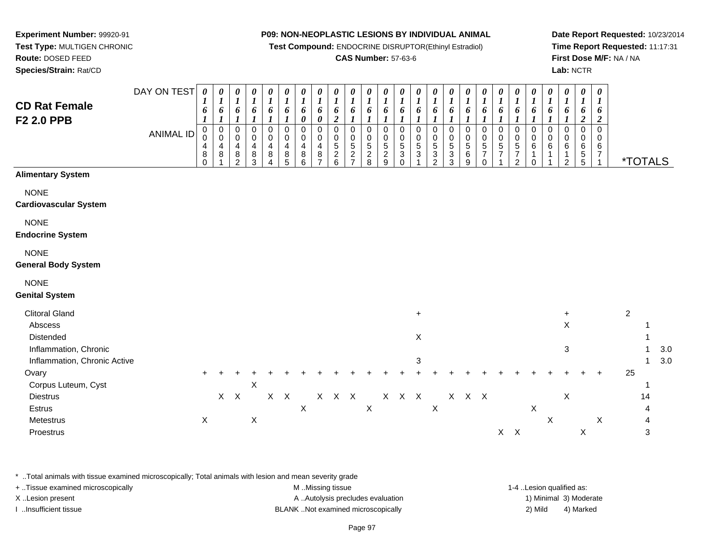**Test Compound:** ENDOCRINE DISRUPTOR(Ethinyl Estradiol)

#### **CAS Number:** 57-63-6

**Date Report Requested:** 10/23/2014**Time Report Requested:** 11:17:31**First Dose M/F:** NA / NA**Lab:** NCTR

| <b>CD Rat Female</b>                                                                                                                                                                          | DAY ON TEST      | $\boldsymbol{\theta}$<br>6                  | 0<br>$\boldsymbol{I}$<br>6                        | $\pmb{\theta}$<br>$\boldsymbol{l}$<br>6                       | 0<br>$\boldsymbol{l}$<br>6                            | 0<br>$\boldsymbol{l}$<br>6                                 | 0<br>$\boldsymbol{l}$<br>6       | 0<br>$\boldsymbol{l}$<br>6                  | 0<br>$\boldsymbol{l}$<br>6                        | 0<br>6                                                                                      | 0<br>$\boldsymbol{l}$<br>6                      | 0<br>$\boldsymbol{l}$<br>6             | 0<br>$\boldsymbol{l}$<br>6                 | 0<br>$\boldsymbol{l}$<br>6                        | 0<br>$\boldsymbol{l}$<br>6                                       | 0<br>$\boldsymbol{l}$<br>6                                                              | 0<br>$\boldsymbol{l}$<br>6                                               | 0<br>$\boldsymbol{l}$<br>6                         | 0<br>$\boldsymbol{l}$<br>6                                                           | 0<br>$\boldsymbol{l}$<br>6                        | 0<br>$\boldsymbol{l}$<br>6                                             | 0<br>$\boldsymbol{l}$<br>6                     | 0<br>1<br>6                     | 0<br>6                                                               | 0<br>1<br>6                                              | 0<br>1<br>6                                                                        |                      |                                             |                |
|-----------------------------------------------------------------------------------------------------------------------------------------------------------------------------------------------|------------------|---------------------------------------------|---------------------------------------------------|---------------------------------------------------------------|-------------------------------------------------------|------------------------------------------------------------|----------------------------------|---------------------------------------------|---------------------------------------------------|---------------------------------------------------------------------------------------------|-------------------------------------------------|----------------------------------------|--------------------------------------------|---------------------------------------------------|------------------------------------------------------------------|-----------------------------------------------------------------------------------------|--------------------------------------------------------------------------|----------------------------------------------------|--------------------------------------------------------------------------------------|---------------------------------------------------|------------------------------------------------------------------------|------------------------------------------------|---------------------------------|----------------------------------------------------------------------|----------------------------------------------------------|------------------------------------------------------------------------------------|----------------------|---------------------------------------------|----------------|
| F2 2.0 PPB                                                                                                                                                                                    | <b>ANIMAL ID</b> | $\pmb{0}$<br>$\Omega$<br>4<br>8<br>$\Omega$ | $\mathbf 0$<br>$\mathbf 0$<br>$\overline{4}$<br>8 | 1<br>$\pmb{0}$<br>$\pmb{0}$<br>4<br>$\bf 8$<br>$\overline{2}$ | 1<br>$\mathbf 0$<br>0<br>4<br>$\,8\,$<br>$\mathbf{3}$ | $\mathbf{I}$<br>$\,0\,$<br>$\boldsymbol{0}$<br>4<br>8<br>4 | 1<br>0<br>0<br>4<br>$\,8\,$<br>5 | $\pmb{\theta}$<br>0<br>0<br>4<br>8<br>$\,6$ | 0<br>$\mathbf 0$<br>0<br>4<br>8<br>$\overline{ }$ | $\boldsymbol{2}$<br>$\mathbf 0$<br>0<br>$\sqrt{5}$<br>$\begin{array}{c} 2 \\ 6 \end{array}$ | $\mathbf 0$<br>0<br>$\sqrt{5}$<br>$\frac{2}{7}$ | $\mathbf 0$<br>0<br>5<br>$\frac{2}{8}$ | 1<br>0<br>0<br>$\sqrt{5}$<br>$\frac{2}{9}$ | 0<br>0<br>$\sqrt{5}$<br>$\sqrt{3}$<br>$\mathbf 0$ | $\boldsymbol{l}$<br>$\mathbf 0$<br>0<br>$\sqrt{5}$<br>$\sqrt{3}$ | 1<br>$\boldsymbol{0}$<br>0<br>$\sqrt{5}$<br>$\ensuremath{\mathsf{3}}$<br>$\overline{2}$ | 1<br>$\pmb{0}$<br>$\begin{array}{c} 0 \\ 5 \end{array}$<br>$\frac{3}{3}$ | $\mathbf 0$<br>0<br>$\overline{5}$<br>$\,6\,$<br>9 | $\boldsymbol{l}$<br>0<br>$\boldsymbol{0}$<br>$\overline{5}$<br>$\boldsymbol{7}$<br>0 | 1<br>$\mathbf 0$<br>0<br>5<br>$\overline{7}$<br>1 | $\mathbf 0$<br>0<br>$\overline{5}$<br>$\overline{7}$<br>$\overline{2}$ | $\Omega$<br>0<br>6<br>$\mathbf{1}$<br>$\Omega$ | $\Omega$<br>$\Omega$<br>6<br>-1 | $\Omega$<br>$\Omega$<br>6<br>1<br>$\overline{2}$                     | $\overline{c}$<br>$\mathbf 0$<br>0<br>6<br>$\frac{5}{5}$ | $\overline{\mathbf{c}}$<br>$\mathbf 0$<br>0<br>6<br>$\overline{7}$<br>$\mathbf{1}$ |                      | <i><b>*TOTALS</b></i>                       |                |
| <b>Alimentary System</b>                                                                                                                                                                      |                  |                                             |                                                   |                                                               |                                                       |                                                            |                                  |                                             |                                                   |                                                                                             |                                                 |                                        |                                            |                                                   |                                                                  |                                                                                         |                                                                          |                                                    |                                                                                      |                                                   |                                                                        |                                                |                                 |                                                                      |                                                          |                                                                                    |                      |                                             |                |
| <b>NONE</b><br><b>Cardiovascular System</b>                                                                                                                                                   |                  |                                             |                                                   |                                                               |                                                       |                                                            |                                  |                                             |                                                   |                                                                                             |                                                 |                                        |                                            |                                                   |                                                                  |                                                                                         |                                                                          |                                                    |                                                                                      |                                                   |                                                                        |                                                |                                 |                                                                      |                                                          |                                                                                    |                      |                                             |                |
| <b>NONE</b><br><b>Endocrine System</b>                                                                                                                                                        |                  |                                             |                                                   |                                                               |                                                       |                                                            |                                  |                                             |                                                   |                                                                                             |                                                 |                                        |                                            |                                                   |                                                                  |                                                                                         |                                                                          |                                                    |                                                                                      |                                                   |                                                                        |                                                |                                 |                                                                      |                                                          |                                                                                    |                      |                                             |                |
| <b>NONE</b><br><b>General Body System</b>                                                                                                                                                     |                  |                                             |                                                   |                                                               |                                                       |                                                            |                                  |                                             |                                                   |                                                                                             |                                                 |                                        |                                            |                                                   |                                                                  |                                                                                         |                                                                          |                                                    |                                                                                      |                                                   |                                                                        |                                                |                                 |                                                                      |                                                          |                                                                                    |                      |                                             |                |
| <b>NONE</b><br><b>Genital System</b>                                                                                                                                                          |                  |                                             |                                                   |                                                               |                                                       |                                                            |                                  |                                             |                                                   |                                                                                             |                                                 |                                        |                                            |                                                   |                                                                  |                                                                                         |                                                                          |                                                    |                                                                                      |                                                   |                                                                        |                                                |                                 |                                                                      |                                                          |                                                                                    |                      |                                             |                |
| <b>Clitoral Gland</b><br>Abscess<br>Distended<br>Inflammation, Chronic<br>Inflammation, Chronic Active<br>Ovary<br>Corpus Luteum, Cyst<br><b>Diestrus</b><br>Estrus<br>Metestrus<br>Proestrus |                  | $\mathsf X$                                 |                                                   | $X$ $X$                                                       | $\mathsf X$<br>$\mathsf X$                            |                                                            | $X$ $X$                          | $\boldsymbol{\mathsf{X}}$                   |                                                   | X X X                                                                                       |                                                 | $\boldsymbol{\mathsf{X}}$              |                                            | X X X                                             | $+$<br>X<br>3                                                    | $\mathsf X$                                                                             |                                                                          | X X X                                              |                                                                                      | $X$ $X$                                           |                                                                        | $\boldsymbol{\mathsf{X}}$                      | $\boldsymbol{\mathsf{X}}$       | $\ddot{}$<br>$\mathsf X$<br>$\ensuremath{\mathsf{3}}$<br>$\mathsf X$ | $\boldsymbol{\mathsf{X}}$                                | $\ddot{}$<br>$\mathsf X$                                                           | $\overline{2}$<br>25 | 1<br>1<br>1<br>14<br>4<br>4<br>$\mathbf{3}$ | $3.0\,$<br>3.0 |

\* ..Total animals with tissue examined microscopically; Total animals with lesion and mean severity grade

**Experiment Number:** 99920-91**Test Type:** MULTIGEN CHRONIC

| + Tissue examined microscopically | M Missing tissue                   | 1-4 Lesion qualified as: |                        |
|-----------------------------------|------------------------------------|--------------------------|------------------------|
| X Lesion present                  | A Autolysis precludes evaluation   |                          | 1) Minimal 3) Moderate |
| Insufficient tissue               | BLANK Not examined microscopically | 2) Mild                  | 4) Marked              |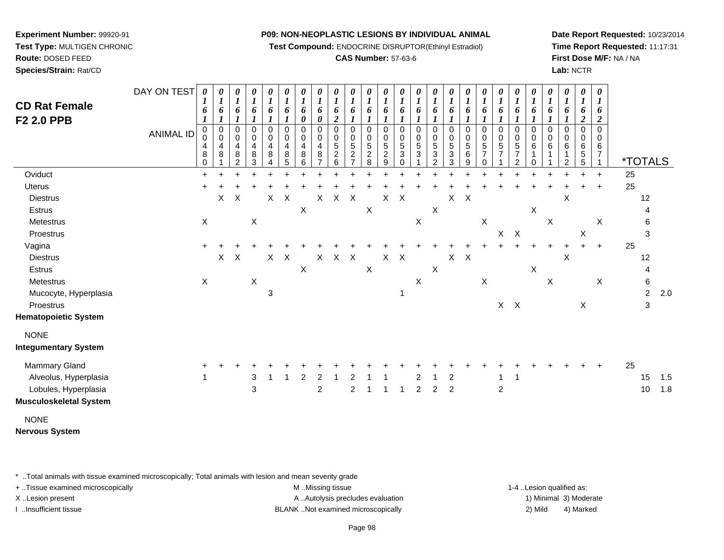**Test Compound:** ENDOCRINE DISRUPTOR(Ethinyl Estradiol)

#### **CAS Number:** 57-63-6

**Date Report Requested:** 10/23/2014**Time Report Requested:** 11:17:31**First Dose M/F:** NA / NA**Lab:** NCTR

| <b>CD Rat Female</b>        | DAY ON TEST      | $\boldsymbol{\theta}$                       | 0<br>$\boldsymbol{l}$<br>6 | 0<br>$\boldsymbol{l}$<br>6                           | $\pmb{\theta}$<br>$\boldsymbol{l}$<br>6 | 0<br>$\boldsymbol{l}$<br>6      | 0<br>$\boldsymbol{l}$<br>6 | 0<br>$\boldsymbol{l}$<br>6 | 0<br>$\boldsymbol{l}$<br>6                              | 0<br>$\boldsymbol{l}$<br>6                                                | $\theta$<br>$\boldsymbol{l}$<br>6                        | 0<br>$\boldsymbol{l}$<br>6                     | 0<br>$\boldsymbol{l}$<br>6                             | 0<br>$\boldsymbol{l}$<br>6                   | 0<br>$\boldsymbol{l}$<br>6 | 0<br>$\boldsymbol{l}$                                           | $\boldsymbol{\theta}$<br>$\boldsymbol{l}$                             | $\boldsymbol{\theta}$<br>$\boldsymbol{l}$<br>6 | $\boldsymbol{\theta}$<br>$\boldsymbol{l}$<br>6 | 0<br>$\boldsymbol{l}$<br>6             | 0<br>$\boldsymbol{l}$<br>6                          | 0<br>$\boldsymbol{l}$<br>6 | 0<br>$\boldsymbol{l}$     | 0<br>$\boldsymbol{l}$<br>6 | 0                                                   | 0<br>1<br>6                                                        |    |                       |     |
|-----------------------------|------------------|---------------------------------------------|----------------------------|------------------------------------------------------|-----------------------------------------|---------------------------------|----------------------------|----------------------------|---------------------------------------------------------|---------------------------------------------------------------------------|----------------------------------------------------------|------------------------------------------------|--------------------------------------------------------|----------------------------------------------|----------------------------|-----------------------------------------------------------------|-----------------------------------------------------------------------|------------------------------------------------|------------------------------------------------|----------------------------------------|-----------------------------------------------------|----------------------------|---------------------------|----------------------------|-----------------------------------------------------|--------------------------------------------------------------------|----|-----------------------|-----|
| F2 2.0 PPB                  | <b>ANIMAL ID</b> | 6<br>$\mathbf 0$<br>0<br>4<br>8<br>$\Omega$ | 1<br>0<br>0<br>4<br>8      | 1<br>0<br>0<br>$\overline{4}$<br>8<br>$\overline{2}$ | $\mathbf 0$<br>$\pmb{0}$<br>4<br>8<br>3 | $\mathbf 0$<br>0<br>4<br>8<br>4 | 0<br>0<br>4<br>8<br>5      | 0<br>0<br>0<br>4<br>8<br>6 | 0<br>$\mathbf 0$<br>0<br>4<br>$\bf 8$<br>$\overline{7}$ | $\overline{c}$<br>$\mathbf 0$<br>0<br>$\sqrt{5}$<br>$\boldsymbol{2}$<br>6 | 0<br>0<br>$\sqrt{5}$<br>$\overline{c}$<br>$\overline{7}$ | 0<br>0<br>$\mathbf 5$<br>$\boldsymbol{2}$<br>8 | $\mathbf 0$<br>0<br>$\mathbf 5$<br>$\overline{c}$<br>9 | $\pmb{0}$<br>0<br>$\frac{5}{3}$<br>$\pmb{0}$ | 0<br>0<br>$\,$ 5 $\,$<br>3 | 6<br>0<br>0<br>5<br>$\ensuremath{\mathsf{3}}$<br>$\overline{2}$ | 6<br>$\mathbf 0$<br>0<br>$\sqrt{5}$<br>$\ensuremath{\mathsf{3}}$<br>3 | 0<br>0<br>$\frac{5}{6}$<br>9                   | 0<br>0<br>$\,$ 5 $\,$<br>$\overline{7}$<br>0   | 0<br>0<br>$\sqrt{5}$<br>$\overline{7}$ | $\Omega$<br>0<br>$\,$ 5 $\,$<br>$\overline{7}$<br>2 | 0<br>0<br>6<br>0           | 6<br>0<br>0<br>6          | 0<br>0<br>6<br>2           | 6<br>2<br>$\mathbf 0$<br>0<br>6<br>$\mathbf 5$<br>5 | $\boldsymbol{2}$<br>$\mathbf 0$<br>0<br>6<br>$\boldsymbol{7}$<br>1 |    | <i><b>*TOTALS</b></i> |     |
| Oviduct                     |                  | $+$                                         |                            |                                                      |                                         |                                 |                            |                            |                                                         |                                                                           |                                                          |                                                |                                                        |                                              |                            |                                                                 |                                                                       |                                                |                                                |                                        |                                                     |                            |                           |                            |                                                     | $\ddot{}$                                                          | 25 |                       |     |
| <b>Uterus</b>               |                  |                                             |                            |                                                      |                                         |                                 |                            |                            |                                                         |                                                                           |                                                          |                                                |                                                        |                                              |                            |                                                                 |                                                                       |                                                |                                                |                                        |                                                     |                            |                           |                            |                                                     | $\div$                                                             | 25 |                       |     |
| <b>Diestrus</b>             |                  |                                             | X                          | $\boldsymbol{\mathsf{X}}$                            |                                         | $\mathsf{X}$                    | $\boldsymbol{\mathsf{X}}$  |                            | X                                                       | $\mathsf{X}$                                                              | $\boldsymbol{\mathsf{X}}$                                |                                                | X                                                      | $\mathsf{X}$                                 |                            |                                                                 | $\mathsf{X}$                                                          | $\mathsf{X}$                                   |                                                |                                        |                                                     |                            |                           | $\pmb{\times}$             |                                                     |                                                                    |    | 12                    |     |
| Estrus                      |                  |                                             |                            |                                                      |                                         |                                 |                            | $\boldsymbol{\mathsf{X}}$  |                                                         |                                                                           |                                                          | X                                              |                                                        |                                              |                            | $\boldsymbol{\mathsf{X}}$                                       |                                                                       |                                                |                                                |                                        |                                                     | X                          |                           |                            |                                                     |                                                                    |    |                       |     |
| Metestrus                   |                  | $\mathsf X$                                 |                            |                                                      | X                                       |                                 |                            |                            |                                                         |                                                                           |                                                          |                                                |                                                        |                                              | $\mathsf X$                |                                                                 |                                                                       |                                                | $\mathsf X$                                    |                                        |                                                     |                            | $\mathsf X$               |                            |                                                     | Χ                                                                  |    | 6                     |     |
| Proestrus                   |                  |                                             |                            |                                                      |                                         |                                 |                            |                            |                                                         |                                                                           |                                                          |                                                |                                                        |                                              |                            |                                                                 |                                                                       |                                                |                                                | X                                      | $\mathsf{X}$                                        |                            |                           |                            | X                                                   |                                                                    |    | 3                     |     |
| Vagina                      |                  | $\ddot{}$                                   |                            |                                                      |                                         |                                 |                            |                            |                                                         |                                                                           |                                                          |                                                |                                                        |                                              |                            |                                                                 |                                                                       |                                                |                                                |                                        |                                                     |                            |                           |                            |                                                     | $\ddot{}$                                                          | 25 |                       |     |
| <b>Diestrus</b>             |                  |                                             | $\mathsf{X}$               | X                                                    |                                         | $\mathsf{X}$                    | $\mathsf{X}$               |                            | $\mathsf{X}$                                            | $\mathsf{X}$                                                              | $\mathsf{X}$                                             |                                                | X                                                      | $\mathsf{X}$                                 |                            |                                                                 | $\mathsf{X}$                                                          | $\mathsf{X}$                                   |                                                |                                        |                                                     |                            |                           | X                          |                                                     |                                                                    |    | 12                    |     |
| Estrus                      |                  |                                             |                            |                                                      |                                         |                                 |                            | $\sf X$                    |                                                         |                                                                           |                                                          | $\mathsf X$                                    |                                                        |                                              |                            | $\mathsf X$                                                     |                                                                       |                                                |                                                |                                        |                                                     | $\mathsf X$                |                           |                            |                                                     |                                                                    |    |                       |     |
| Metestrus                   |                  | $\mathsf X$                                 |                            |                                                      | $\boldsymbol{\mathsf{X}}$               |                                 |                            |                            |                                                         |                                                                           |                                                          |                                                |                                                        |                                              | X                          |                                                                 |                                                                       |                                                | $\mathsf X$                                    |                                        |                                                     |                            | $\boldsymbol{\mathsf{X}}$ |                            |                                                     | X                                                                  |    | 6                     |     |
| Mucocyte, Hyperplasia       |                  |                                             |                            |                                                      |                                         | $\ensuremath{\mathsf{3}}$       |                            |                            |                                                         |                                                                           |                                                          |                                                |                                                        | $\mathbf{1}$                                 |                            |                                                                 |                                                                       |                                                |                                                |                                        |                                                     |                            |                           |                            |                                                     |                                                                    |    | $\overline{c}$        | 2.0 |
| Proestrus                   |                  |                                             |                            |                                                      |                                         |                                 |                            |                            |                                                         |                                                                           |                                                          |                                                |                                                        |                                              |                            |                                                                 |                                                                       |                                                |                                                |                                        | $X$ $X$                                             |                            |                           |                            | X                                                   |                                                                    |    | 3                     |     |
| <b>Hematopoietic System</b> |                  |                                             |                            |                                                      |                                         |                                 |                            |                            |                                                         |                                                                           |                                                          |                                                |                                                        |                                              |                            |                                                                 |                                                                       |                                                |                                                |                                        |                                                     |                            |                           |                            |                                                     |                                                                    |    |                       |     |
| <b>NONE</b>                 |                  |                                             |                            |                                                      |                                         |                                 |                            |                            |                                                         |                                                                           |                                                          |                                                |                                                        |                                              |                            |                                                                 |                                                                       |                                                |                                                |                                        |                                                     |                            |                           |                            |                                                     |                                                                    |    |                       |     |
| <b>Integumentary System</b> |                  |                                             |                            |                                                      |                                         |                                 |                            |                            |                                                         |                                                                           |                                                          |                                                |                                                        |                                              |                            |                                                                 |                                                                       |                                                |                                                |                                        |                                                     |                            |                           |                            |                                                     |                                                                    |    |                       |     |
| <b>Mammary Gland</b>        |                  |                                             |                            |                                                      |                                         |                                 |                            |                            |                                                         |                                                                           |                                                          |                                                |                                                        |                                              |                            |                                                                 |                                                                       |                                                |                                                |                                        |                                                     |                            |                           |                            |                                                     |                                                                    | 25 |                       |     |
| Alveolus, Hyperplasia       |                  |                                             |                            |                                                      | 3                                       |                                 |                            | 2                          | 2                                                       |                                                                           | 2                                                        |                                                |                                                        |                                              | 2                          |                                                                 | $\overline{2}$                                                        |                                                |                                                | $\mathbf{1}$                           | $\overline{1}$                                      |                            |                           |                            |                                                     |                                                                    |    | 15                    | 1.5 |
| Lobules, Hyperplasia        |                  |                                             |                            |                                                      | 3                                       |                                 |                            |                            | $\overline{c}$                                          |                                                                           | $\overline{c}$                                           |                                                | 1                                                      | 1                                            | $\overline{c}$             | $\overline{2}$                                                  | $\overline{c}$                                                        |                                                |                                                | $\overline{2}$                         |                                                     |                            |                           |                            |                                                     |                                                                    |    | 10                    | 1.8 |
| Musculoskeletal System      |                  |                                             |                            |                                                      |                                         |                                 |                            |                            |                                                         |                                                                           |                                                          |                                                |                                                        |                                              |                            |                                                                 |                                                                       |                                                |                                                |                                        |                                                     |                            |                           |                            |                                                     |                                                                    |    |                       |     |
| <b>NONE</b>                 |                  |                                             |                            |                                                      |                                         |                                 |                            |                            |                                                         |                                                                           |                                                          |                                                |                                                        |                                              |                            |                                                                 |                                                                       |                                                |                                                |                                        |                                                     |                            |                           |                            |                                                     |                                                                    |    |                       |     |
| Nervous System              |                  |                                             |                            |                                                      |                                         |                                 |                            |                            |                                                         |                                                                           |                                                          |                                                |                                                        |                                              |                            |                                                                 |                                                                       |                                                |                                                |                                        |                                                     |                            |                           |                            |                                                     |                                                                    |    |                       |     |

\* ..Total animals with tissue examined microscopically; Total animals with lesion and mean severity grade

**Experiment Number:** 99920-91**Test Type:** MULTIGEN CHRONIC

**Route:** DOSED FEED**Species/Strain:** Rat/CD

+ ..Tissue examined microscopically examined microscopically examined as:  $M$  ..Missing tissue 1-4 ..Lesion qualified as: X..Lesion present **A ..Autolysis precludes evaluation** A ..Autolysis precludes evaluation 1) Minimal 3) Moderate

I ..Insufficient tissue BLANK ..Not examined microscopically 2) Mild 4) Marked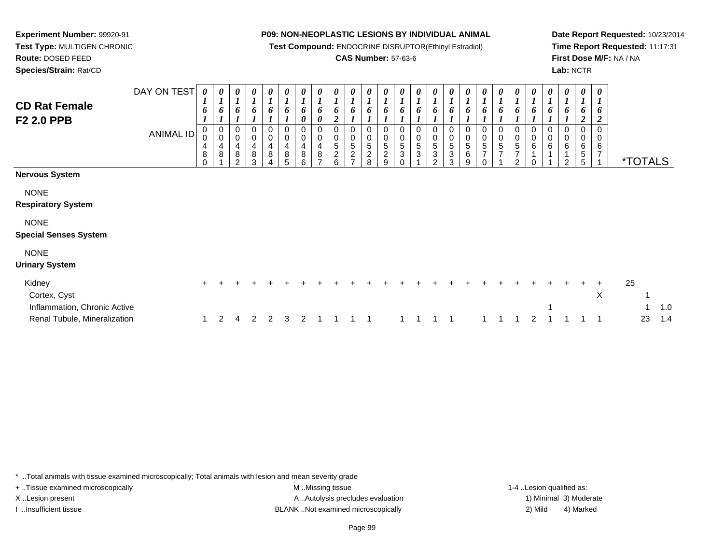**Test Compound:** ENDOCRINE DISRUPTOR(Ethinyl Estradiol)

#### **CAS Number:** 57-63-6

**Date Report Requested:** 10/23/2014**Time Report Requested:** 11:17:31**First Dose M/F:** NA / NA**Lab:** NCTR

| <b>CD Rat Female</b><br>F2 2.0 PPB                           | DAY ON TEST<br>ANIMAL ID | $\boldsymbol{\theta}$<br>$\mathbf{I}$<br>6<br>$\mathbf 0$<br>0<br>4<br>8<br>0 | 0<br>$\boldsymbol{l}$<br>0<br>4<br>8 | 0<br>6<br>0<br>4<br>$\bf 8$<br>ົ | 0<br>6<br>0<br>0<br>4<br>$\bf 8$<br>3 | 0<br>1<br>6<br>0<br>$\pmb{0}$<br>4<br>8 | 0<br>$\boldsymbol{l}$<br>6<br>0<br>$\overline{4}$<br>8<br>5 | 0<br>6<br>0<br>0<br>0<br>4<br>8<br>6 | 0<br>6<br>0<br>0<br>0<br>4<br>8 | 0<br>o<br>2<br>0<br>$\sqrt{5}$<br>$\overline{c}$<br>6 | $\boldsymbol{\theta}$<br>$\boldsymbol{l}$<br>0<br>0<br>$\sqrt{5}$<br>$\overline{c}$ | 0<br>$\boldsymbol{l}$<br>6<br>$\pmb{0}$<br>$\overline{5}$<br>$\frac{2}{8}$ | $\boldsymbol{\theta}$<br>$\boldsymbol{l}$<br>6<br>$\mathbf 0$<br>$\overline{5}$<br>$\boldsymbol{2}$<br>9 | 0<br>6<br>$\mathbf 0$<br>5<br>3 | 0<br>6<br>0<br>$\mathbf 5$<br>3 | 0<br>6<br>0<br>0<br>5<br>3<br>C | 0<br>$\mathbf{I}$<br>6<br>0<br>0<br>$\sqrt{5}$<br>$\sqrt{3}$<br>3 | $\boldsymbol{\theta}$<br>0<br>5<br>6<br>9 | 0<br>6<br>0<br>0<br>5<br>$\overline{ }$ | 0<br>6<br>0<br>5<br>$\overline{7}$ | 0<br>$\boldsymbol{l}$<br>6<br>0<br>$\sqrt{5}$<br>$\boldsymbol{7}$<br>$\mathfrak{p}$ | 0<br>$\boldsymbol{l}$<br>6<br>0<br>$\,6\,$<br>1 | 0<br>6<br>0<br>0<br>$\,6\,$ | 0<br>o<br>0<br>0<br>6<br>ົ | 0<br>$\boldsymbol{l}$<br>6<br>5<br>5 | $\boldsymbol{\theta}$<br>$\mathbf{I}$<br>6<br>2<br>0<br>$\Omega$<br>6<br>7 |    | <i><b>*TOTALS</b></i> |            |
|--------------------------------------------------------------|--------------------------|-------------------------------------------------------------------------------|--------------------------------------|----------------------------------|---------------------------------------|-----------------------------------------|-------------------------------------------------------------|--------------------------------------|---------------------------------|-------------------------------------------------------|-------------------------------------------------------------------------------------|----------------------------------------------------------------------------|----------------------------------------------------------------------------------------------------------|---------------------------------|---------------------------------|---------------------------------|-------------------------------------------------------------------|-------------------------------------------|-----------------------------------------|------------------------------------|-------------------------------------------------------------------------------------|-------------------------------------------------|-----------------------------|----------------------------|--------------------------------------|----------------------------------------------------------------------------|----|-----------------------|------------|
| <b>Nervous System</b>                                        |                          |                                                                               |                                      |                                  |                                       |                                         |                                                             |                                      |                                 |                                                       |                                                                                     |                                                                            |                                                                                                          |                                 |                                 |                                 |                                                                   |                                           |                                         |                                    |                                                                                     |                                                 |                             |                            |                                      |                                                                            |    |                       |            |
| <b>NONE</b><br><b>Respiratory System</b>                     |                          |                                                                               |                                      |                                  |                                       |                                         |                                                             |                                      |                                 |                                                       |                                                                                     |                                                                            |                                                                                                          |                                 |                                 |                                 |                                                                   |                                           |                                         |                                    |                                                                                     |                                                 |                             |                            |                                      |                                                                            |    |                       |            |
| <b>NONE</b><br><b>Special Senses System</b>                  |                          |                                                                               |                                      |                                  |                                       |                                         |                                                             |                                      |                                 |                                                       |                                                                                     |                                                                            |                                                                                                          |                                 |                                 |                                 |                                                                   |                                           |                                         |                                    |                                                                                     |                                                 |                             |                            |                                      |                                                                            |    |                       |            |
| <b>NONE</b><br><b>Urinary System</b>                         |                          |                                                                               |                                      |                                  |                                       |                                         |                                                             |                                      |                                 |                                                       |                                                                                     |                                                                            |                                                                                                          |                                 |                                 |                                 |                                                                   |                                           |                                         |                                    |                                                                                     |                                                 |                             |                            |                                      |                                                                            |    |                       |            |
| Kidney<br>Cortex, Cyst                                       |                          | $\ddot{}$                                                                     |                                      |                                  |                                       |                                         |                                                             |                                      |                                 |                                                       |                                                                                     |                                                                            |                                                                                                          |                                 |                                 |                                 |                                                                   |                                           |                                         |                                    |                                                                                     |                                                 |                             |                            |                                      | X                                                                          | 25 |                       |            |
| Inflammation, Chronic Active<br>Renal Tubule, Mineralization |                          | 4                                                                             | $\mathcal{P}$                        | 4                                | 2                                     | 2                                       | 3                                                           |                                      |                                 |                                                       |                                                                                     |                                                                            |                                                                                                          |                                 |                                 |                                 |                                                                   |                                           |                                         |                                    |                                                                                     |                                                 |                             |                            |                                      |                                                                            |    | 23                    | 1.0<br>1.4 |

\* ..Total animals with tissue examined microscopically; Total animals with lesion and mean severity grade

**Experiment Number:** 99920-91**Test Type:** MULTIGEN CHRONIC

**Route:** DOSED FEED**Species/Strain:** Rat/CD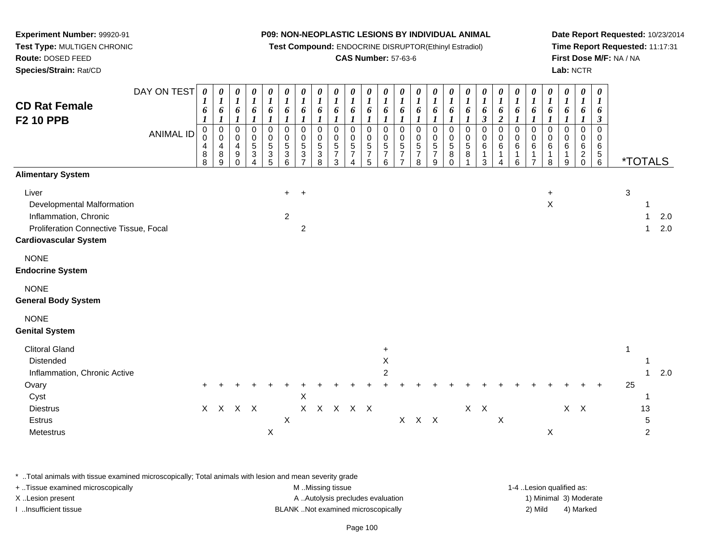**Test Compound:** ENDOCRINE DISRUPTOR(Ethinyl Estradiol)

#### **CAS Number:** 57-63-6

**Date Report Requested:** 10/23/2014**Time Report Requested:** 11:17:31**First Dose M/F:** NA / NA**Lab:** NCTR

| Species/Strain: Rat/CD                                                                                                                                      |                                 |                              |                                                                                           |                                                                                                             |                                                                                          |                                                                                                    |                                                                            |                                                                                |                                                                                                                           |                                                                                             |                                                                                             |                                                                                    |                                                                                   |                                                                                                                     |                                                                                                 |                                                                                   |                                                                                                                  |                                                                                                  |                                                                                |                                                                                                             |                                                                   |                                                                                                                    |                                                                                | Lab: NCTR                                                                     |                                                           |                                                                                                                             |                    |                                           |            |
|-------------------------------------------------------------------------------------------------------------------------------------------------------------|---------------------------------|------------------------------|-------------------------------------------------------------------------------------------|-------------------------------------------------------------------------------------------------------------|------------------------------------------------------------------------------------------|----------------------------------------------------------------------------------------------------|----------------------------------------------------------------------------|--------------------------------------------------------------------------------|---------------------------------------------------------------------------------------------------------------------------|---------------------------------------------------------------------------------------------|---------------------------------------------------------------------------------------------|------------------------------------------------------------------------------------|-----------------------------------------------------------------------------------|---------------------------------------------------------------------------------------------------------------------|-------------------------------------------------------------------------------------------------|-----------------------------------------------------------------------------------|------------------------------------------------------------------------------------------------------------------|--------------------------------------------------------------------------------------------------|--------------------------------------------------------------------------------|-------------------------------------------------------------------------------------------------------------|-------------------------------------------------------------------|--------------------------------------------------------------------------------------------------------------------|--------------------------------------------------------------------------------|-------------------------------------------------------------------------------|-----------------------------------------------------------|-----------------------------------------------------------------------------------------------------------------------------|--------------------|-------------------------------------------|------------|
| <b>CD Rat Female</b><br>F2 10 PPB                                                                                                                           | DAY ON TEST<br><b>ANIMAL ID</b> | 1<br>6<br>$\Omega$<br>8<br>8 | $\boldsymbol{\theta}$<br>$\boldsymbol{l}$<br>6<br>$\pmb{0}$<br>$\mathbf 0$<br>4<br>8<br>9 | 0<br>$\boldsymbol{I}$<br>6<br>$\boldsymbol{l}$<br>$\boldsymbol{0}$<br>$\mathsf{O}$<br>4<br>9<br>$\mathbf 0$ | 0<br>$\boldsymbol{l}$<br>6<br>1<br>$\pmb{0}$<br>$\pmb{0}$<br>$\sqrt{5}$<br>$\frac{3}{4}$ | 0<br>$\boldsymbol{l}$<br>6<br>$\boldsymbol{l}$<br>$\mathbf 0$<br>0<br>$\,$ 5 $\,$<br>$\frac{3}{5}$ | 0<br>$\boldsymbol{l}$<br>6<br>1<br>$\pmb{0}$<br>0<br>$\,$ 5 $\,$<br>$^3$ 6 | 0<br>$\bm{l}$<br>6<br>1<br>$\mathbf 0$<br>$\Omega$<br>5<br>3<br>$\overline{7}$ | 0<br>$\boldsymbol{l}$<br>6<br>$\boldsymbol{\mathit{1}}$<br>$\Omega$<br>0<br>$\,$ 5 $\,$<br>$\ensuremath{\mathsf{3}}$<br>8 | $\boldsymbol{\theta}$<br>$\boldsymbol{l}$<br>6<br>$\Omega$<br>0<br>5<br>$\overline{7}$<br>3 | 0<br>$\boldsymbol{l}$<br>6<br>$\Omega$<br>$\mathbf 0$<br>$\,$ 5 $\,$<br>$\overline{7}$<br>4 | 0<br>$\boldsymbol{\mathit{1}}$<br>6<br>0<br>0<br>$\sqrt{5}$<br>$\overline{7}$<br>5 | 0<br>$\boldsymbol{l}$<br>6<br>1<br>0<br>0<br>$\,$ 5 $\,$<br>$\boldsymbol{7}$<br>6 | 0<br>$\boldsymbol{l}$<br>6<br>$\boldsymbol{l}$<br>$\pmb{0}$<br>0<br>$\,$ 5 $\,$<br>$\overline{7}$<br>$\overline{7}$ | 0<br>$\boldsymbol{l}$<br>6<br>1<br>$\pmb{0}$<br>$\pmb{0}$<br>$\,$ 5 $\,$<br>$\overline{7}$<br>8 | 0<br>$\bm{l}$<br>6<br>1<br>$\mathbf 0$<br>0<br>$\,$ 5 $\,$<br>$\overline{7}$<br>9 | $\boldsymbol{\theta}$<br>$\boldsymbol{l}$<br>6<br>1<br>$\mathbf 0$<br>0<br>$\,$ 5 $\,$<br>$\bf 8$<br>$\mathbf 0$ | $\boldsymbol{\theta}$<br>$\boldsymbol{l}$<br>6<br>$\boldsymbol{l}$<br>$\mathbf 0$<br>0<br>5<br>8 | 0<br>$\boldsymbol{l}$<br>6<br>$\boldsymbol{\beta}$<br>$\pmb{0}$<br>0<br>6<br>3 | 0<br>$\boldsymbol{I}$<br>6<br>$\boldsymbol{2}$<br>$\boldsymbol{0}$<br>$\boldsymbol{0}$<br>$\,6\,$<br>1<br>4 | 0<br>$\boldsymbol{l}$<br>6<br>1<br>$\pmb{0}$<br>0<br>$\,6\,$<br>6 | 0<br>$\boldsymbol{l}$<br>6<br>$\boldsymbol{l}$<br>$\mathbf 0$<br>$\mathbf 0$<br>6<br>$\mathbf 1$<br>$\overline{7}$ | $\boldsymbol{\theta}$<br>$\bm{l}$<br>6<br>1<br>0<br>$\mathbf 0$<br>6<br>1<br>8 | $\boldsymbol{\theta}$<br>$\bm{l}$<br>6<br>$\Omega$<br>$\Omega$<br>6<br>1<br>9 | 0<br>1<br>6<br>1<br>$\mathbf 0$<br>0<br>6<br>$^2_{\rm 0}$ | 0<br>$\boldsymbol{l}$<br>6<br>$\boldsymbol{\beta}$<br>$\mathbf 0$<br>$\Omega$<br>6<br>$\begin{array}{c} 5 \\ 6 \end{array}$ |                    | <i><b>*TOTALS</b></i>                     |            |
| <b>Alimentary System</b><br>Liver<br>Developmental Malformation<br>Inflammation, Chronic<br>Proliferation Connective Tissue, Focal<br>Cardiovascular System |                                 |                              |                                                                                           |                                                                                                             |                                                                                          |                                                                                                    | $+$<br>$\overline{2}$                                                      | $+$<br>$\boldsymbol{2}$                                                        |                                                                                                                           |                                                                                             |                                                                                             |                                                                                    |                                                                                   |                                                                                                                     |                                                                                                 |                                                                                   |                                                                                                                  |                                                                                                  |                                                                                |                                                                                                             |                                                                   |                                                                                                                    | $\ddot{}$<br>$\mathsf X$                                                       |                                                                               |                                                           |                                                                                                                             | $\sqrt{3}$         |                                           | 2.0<br>2.0 |
| <b>NONE</b><br><b>Endocrine System</b><br><b>NONE</b><br><b>General Body System</b>                                                                         |                                 |                              |                                                                                           |                                                                                                             |                                                                                          |                                                                                                    |                                                                            |                                                                                |                                                                                                                           |                                                                                             |                                                                                             |                                                                                    |                                                                                   |                                                                                                                     |                                                                                                 |                                                                                   |                                                                                                                  |                                                                                                  |                                                                                |                                                                                                             |                                                                   |                                                                                                                    |                                                                                |                                                                               |                                                           |                                                                                                                             |                    |                                           |            |
| <b>NONE</b><br><b>Genital System</b>                                                                                                                        |                                 |                              |                                                                                           |                                                                                                             |                                                                                          |                                                                                                    |                                                                            |                                                                                |                                                                                                                           |                                                                                             |                                                                                             |                                                                                    |                                                                                   |                                                                                                                     |                                                                                                 |                                                                                   |                                                                                                                  |                                                                                                  |                                                                                |                                                                                                             |                                                                   |                                                                                                                    |                                                                                |                                                                               |                                                           |                                                                                                                             |                    |                                           |            |
| <b>Clitoral Gland</b><br>Distended<br>Inflammation, Chronic Active<br>Ovary<br>Cyst<br><b>Diestrus</b><br>Estrus<br>Metestrus                               |                                 |                              | X X X X                                                                                   |                                                                                                             |                                                                                          | $\boldsymbol{\mathsf{X}}$                                                                          | X                                                                          | $\sf X$                                                                        | X X X X X                                                                                                                 |                                                                                             |                                                                                             |                                                                                    | $\ddot{}$<br>X<br>$\overline{c}$                                                  |                                                                                                                     | X X X                                                                                           |                                                                                   |                                                                                                                  | X X                                                                                              |                                                                                | $\boldsymbol{\mathsf{X}}$                                                                                   |                                                                   |                                                                                                                    | X                                                                              | $X$ $X$                                                                       |                                                           |                                                                                                                             | $\mathbf{1}$<br>25 | $\mathbf{1}$<br>13<br>5<br>$\overline{2}$ | 2.0        |

\* ..Total animals with tissue examined microscopically; Total animals with lesion and mean severity grade

**Experiment Number:** 99920-91**Test Type:** MULTIGEN CHRONIC

**Route:** DOSED FEED

| + Tissue examined microscopically | M Missing tissue                   | 1-4 Lesion qualified as: |                        |
|-----------------------------------|------------------------------------|--------------------------|------------------------|
| X Lesion present                  | A Autolysis precludes evaluation   |                          | 1) Minimal 3) Moderate |
| …Insufficient tissue              | BLANK Not examined microscopically | 2) Mild                  | 4) Marked              |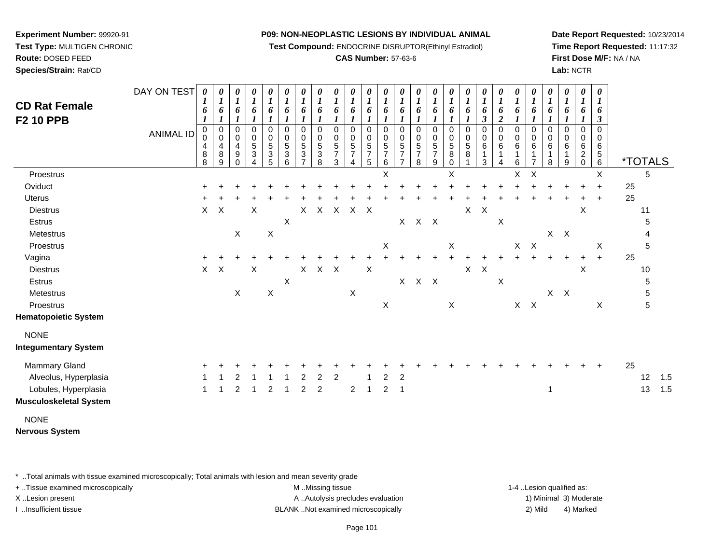**Test Compound:** ENDOCRINE DISRUPTOR(Ethinyl Estradiol)

#### **CAS Number:** 57-63-6

**Date Report Requested:** 10/23/2014**Time Report Requested:** 11:17:32**First Dose M/F:** NA / NA**Lab:** NCTR

| <b>CD Rat Female</b>        | DAY ON TEST      | $\boldsymbol{\theta}$<br>6                                                         | 0<br>$\boldsymbol{l}$<br>6<br>$\mathbf{I}$       | 0<br>$\boldsymbol{l}$<br>6                                      | 0<br>$\boldsymbol{l}$<br>6<br>$\mathbf{I}$        | 0<br>$\boldsymbol{l}$<br>6                                                  | 0<br>$\boldsymbol{l}$<br>6             | 0<br>$\boldsymbol{l}$<br>6                                                          | 0<br>$\boldsymbol{l}$<br>6           | 0<br>$\boldsymbol{l}$<br>6                                 | 0<br>$\boldsymbol{l}$<br>6             | 0<br>1<br>6                       | 0<br>$\boldsymbol{l}$<br>6                                                    | 0<br>$\boldsymbol{l}$<br>6                                     | 0<br>$\boldsymbol{l}$<br>6                  | 0<br>$\boldsymbol{l}$<br>6                       | 0<br>$\boldsymbol{l}$<br>6           | 0<br>$\boldsymbol{l}$<br>6      | 0<br>$\boldsymbol{l}$<br>6                            | 0<br>$\boldsymbol{l}$<br>6                                       | 0<br>$\boldsymbol{l}$<br>6                   | 0<br>$\boldsymbol{l}$<br>6         | 0<br>$\boldsymbol{l}$<br>6 | 0<br>$\boldsymbol{l}$<br>6            | 0<br>$\boldsymbol{l}$<br>6                               | $\pmb{\theta}$<br>1<br>6                                                |    |                       |     |
|-----------------------------|------------------|------------------------------------------------------------------------------------|--------------------------------------------------|-----------------------------------------------------------------|---------------------------------------------------|-----------------------------------------------------------------------------|----------------------------------------|-------------------------------------------------------------------------------------|--------------------------------------|------------------------------------------------------------|----------------------------------------|-----------------------------------|-------------------------------------------------------------------------------|----------------------------------------------------------------|---------------------------------------------|--------------------------------------------------|--------------------------------------|---------------------------------|-------------------------------------------------------|------------------------------------------------------------------|----------------------------------------------|------------------------------------|----------------------------|---------------------------------------|----------------------------------------------------------|-------------------------------------------------------------------------|----|-----------------------|-----|
| F2 10 PPB                   | <b>ANIMAL ID</b> | $\boldsymbol{l}$<br>$\mathbf 0$<br>0<br>4<br>$\begin{array}{c} 8 \\ 8 \end{array}$ | 0<br>0<br>$\overline{\mathbf{4}}$<br>$\bf8$<br>9 | 1<br>0<br>$\overline{0}$<br>$\overline{4}$<br>$9\,$<br>$\Omega$ | 0<br>$\pmb{0}$<br>$\frac{5}{3}$<br>$\overline{4}$ | 0<br>$\pmb{0}$<br>$\sqrt{5}$<br>$\ensuremath{\mathsf{3}}$<br>$\overline{5}$ | $\mathbf 0$<br>0<br>$\frac{5}{3}$<br>6 | $\boldsymbol{I}$<br>$\mathbf 0$<br>0<br>$\,$ 5 $\,$<br>$\sqrt{3}$<br>$\overline{7}$ | 1<br>$\mathbf 0$<br>0<br>5<br>3<br>8 | 1<br>$\mathbf 0$<br>0<br>$\sqrt{5}$<br>$\overline{7}$<br>3 | 1<br>$\mathbf 0$<br>0<br>$\frac{5}{7}$ | 1<br>0<br>0<br>$\frac{5}{7}$<br>5 | $\boldsymbol{l}$<br>0<br>$\pmb{0}$<br>$\overline{5}$<br>$\boldsymbol{7}$<br>6 | 1<br>0<br>0<br>$\mathbf 5$<br>$\overline{7}$<br>$\overline{7}$ | 1<br>$\mathbf 0$<br>0<br>$\frac{5}{7}$<br>8 | $\boldsymbol{l}$<br>0<br>0<br>$\frac{5}{7}$<br>9 | 1<br>0<br>0<br>5<br>8<br>$\mathbf 0$ | 1<br>0<br>0<br>$\,$ 5 $\,$<br>8 | $\mathfrak{z}$<br>0<br>$\pmb{0}$<br>$\,6\,$<br>1<br>3 | $\overline{\mathbf{c}}$<br>0<br>0<br>$\,6\,$<br>$\mathbf 1$<br>4 | 1<br>0<br>$\pmb{0}$<br>6<br>$\mathbf 1$<br>6 | 0<br>0<br>6<br>1<br>$\overline{7}$ | 0<br>0<br>6<br>1<br>8      | 1<br>0<br>0<br>6<br>$\mathbf{1}$<br>9 | 1<br>$\mathbf 0$<br>0<br>6<br>$\overline{c}$<br>$\Omega$ | 3<br>$\mathbf 0$<br>0<br>$\,6$<br>$\begin{array}{c} 5 \\ 6 \end{array}$ |    | <i><b>*TOTALS</b></i> |     |
| Proestrus                   |                  |                                                                                    |                                                  |                                                                 |                                                   |                                                                             |                                        |                                                                                     |                                      |                                                            |                                        |                                   | X                                                                             |                                                                |                                             |                                                  | X                                    |                                 |                                                       |                                                                  | X                                            | $\sf X$                            |                            |                                       |                                                          | X                                                                       |    | 5                     |     |
| Oviduct                     |                  |                                                                                    |                                                  |                                                                 |                                                   |                                                                             |                                        |                                                                                     |                                      |                                                            |                                        |                                   |                                                                               |                                                                |                                             |                                                  |                                      |                                 |                                                       |                                                                  |                                              |                                    |                            |                                       |                                                          | $\ddot{}$                                                               | 25 |                       |     |
| <b>Uterus</b>               |                  |                                                                                    |                                                  |                                                                 |                                                   |                                                                             |                                        |                                                                                     |                                      |                                                            |                                        |                                   |                                                                               |                                                                |                                             |                                                  |                                      |                                 |                                                       |                                                                  |                                              |                                    |                            |                                       |                                                          |                                                                         | 25 |                       |     |
| <b>Diestrus</b>             |                  | $\mathsf{X}$                                                                       | $\boldsymbol{\mathsf{X}}$                        |                                                                 | $\boldsymbol{\mathsf{X}}$                         |                                                                             |                                        | X                                                                                   |                                      | $X$ $X$                                                    | $X$ X                                  |                                   |                                                                               |                                                                |                                             |                                                  |                                      | $\mathsf X$                     | $\boldsymbol{\mathsf{X}}$                             |                                                                  |                                              |                                    |                            |                                       | $\boldsymbol{\mathsf{X}}$                                |                                                                         |    | 11                    |     |
| Estrus                      |                  |                                                                                    |                                                  |                                                                 |                                                   |                                                                             | $\mathsf X$                            |                                                                                     |                                      |                                                            |                                        |                                   |                                                                               | X                                                              |                                             | $X$ $X$                                          |                                      |                                 |                                                       | $\mathsf X$                                                      |                                              |                                    |                            |                                       |                                                          |                                                                         |    | 5                     |     |
| Metestrus                   |                  |                                                                                    |                                                  | $\mathsf X$                                                     |                                                   | $\sf X$                                                                     |                                        |                                                                                     |                                      |                                                            |                                        |                                   |                                                                               |                                                                |                                             |                                                  |                                      |                                 |                                                       |                                                                  |                                              |                                    | $\mathsf{X}$               | $\mathsf{X}$                          |                                                          |                                                                         |    |                       |     |
| Proestrus                   |                  |                                                                                    |                                                  |                                                                 |                                                   |                                                                             |                                        |                                                                                     |                                      |                                                            |                                        |                                   | X                                                                             |                                                                |                                             |                                                  | $\boldsymbol{\mathsf{X}}$            |                                 |                                                       |                                                                  |                                              | $X$ $X$                            |                            |                                       |                                                          | X                                                                       |    | 5                     |     |
| Vagina                      |                  | +                                                                                  |                                                  |                                                                 |                                                   |                                                                             |                                        |                                                                                     |                                      |                                                            |                                        |                                   |                                                                               |                                                                |                                             |                                                  |                                      |                                 |                                                       |                                                                  |                                              |                                    |                            |                                       |                                                          | $\ddot{+}$                                                              | 25 |                       |     |
| <b>Diestrus</b>             |                  | $\mathsf{X}$                                                                       | $\boldsymbol{\mathsf{X}}$                        |                                                                 | $\boldsymbol{\mathsf{X}}$                         |                                                                             |                                        | $\boldsymbol{\mathsf{X}}$                                                           | $\sf X$                              | $\boldsymbol{\mathsf{X}}$                                  |                                        | Χ                                 |                                                                               |                                                                |                                             |                                                  |                                      | X                               | $\boldsymbol{\mathsf{X}}$                             |                                                                  |                                              |                                    |                            |                                       | Χ                                                        |                                                                         |    | $10$                  |     |
| Estrus                      |                  |                                                                                    |                                                  |                                                                 |                                                   |                                                                             | $\boldsymbol{\mathsf{X}}$              |                                                                                     |                                      |                                                            |                                        |                                   |                                                                               | $\mathsf{X}$                                                   |                                             | $X$ $X$                                          |                                      |                                 |                                                       | Χ                                                                |                                              |                                    |                            |                                       |                                                          |                                                                         |    | $\mathbf 5$           |     |
| Metestrus                   |                  |                                                                                    |                                                  | $\mathsf X$                                                     |                                                   | $\boldsymbol{\mathsf{X}}$                                                   |                                        |                                                                                     |                                      |                                                            | X                                      |                                   |                                                                               |                                                                |                                             |                                                  |                                      |                                 |                                                       |                                                                  |                                              |                                    | $\mathsf X$                | $\mathsf{X}$                          |                                                          |                                                                         |    | 5                     |     |
| Proestrus                   |                  |                                                                                    |                                                  |                                                                 |                                                   |                                                                             |                                        |                                                                                     |                                      |                                                            |                                        |                                   | X                                                                             |                                                                |                                             |                                                  | $\mathsf X$                          |                                 |                                                       |                                                                  |                                              | $\mathsf{X}-\mathsf{X}$            |                            |                                       |                                                          | $\mathsf X$                                                             |    | $\,$ 5 $\,$           |     |
| <b>Hematopoietic System</b> |                  |                                                                                    |                                                  |                                                                 |                                                   |                                                                             |                                        |                                                                                     |                                      |                                                            |                                        |                                   |                                                                               |                                                                |                                             |                                                  |                                      |                                 |                                                       |                                                                  |                                              |                                    |                            |                                       |                                                          |                                                                         |    |                       |     |
| <b>NONE</b>                 |                  |                                                                                    |                                                  |                                                                 |                                                   |                                                                             |                                        |                                                                                     |                                      |                                                            |                                        |                                   |                                                                               |                                                                |                                             |                                                  |                                      |                                 |                                                       |                                                                  |                                              |                                    |                            |                                       |                                                          |                                                                         |    |                       |     |
| <b>Integumentary System</b> |                  |                                                                                    |                                                  |                                                                 |                                                   |                                                                             |                                        |                                                                                     |                                      |                                                            |                                        |                                   |                                                                               |                                                                |                                             |                                                  |                                      |                                 |                                                       |                                                                  |                                              |                                    |                            |                                       |                                                          |                                                                         |    |                       |     |
| Mammary Gland               |                  |                                                                                    |                                                  |                                                                 |                                                   |                                                                             |                                        |                                                                                     |                                      |                                                            |                                        |                                   |                                                                               |                                                                |                                             |                                                  |                                      |                                 |                                                       |                                                                  |                                              |                                    |                            |                                       |                                                          |                                                                         | 25 |                       |     |
| Alveolus, Hyperplasia       |                  |                                                                                    |                                                  | 2                                                               |                                                   |                                                                             |                                        | 2                                                                                   | 2                                    | 2                                                          |                                        |                                   | $\overline{2}$                                                                | $\overline{2}$                                                 |                                             |                                                  |                                      |                                 |                                                       |                                                                  |                                              |                                    |                            |                                       |                                                          |                                                                         |    | 12                    | 1.5 |
| Lobules, Hyperplasia        |                  | 1                                                                                  | -1                                               | $\overline{c}$                                                  |                                                   | $\overline{2}$                                                              |                                        | 2                                                                                   | $\overline{2}$                       |                                                            | $\overline{2}$                         | 1                                 | $\overline{2}$                                                                | $\overline{\mathbf{1}}$                                        |                                             |                                                  |                                      |                                 |                                                       |                                                                  |                                              |                                    | 1                          |                                       |                                                          |                                                                         |    | 13                    | 1.5 |
| Musculoskeletal System      |                  |                                                                                    |                                                  |                                                                 |                                                   |                                                                             |                                        |                                                                                     |                                      |                                                            |                                        |                                   |                                                                               |                                                                |                                             |                                                  |                                      |                                 |                                                       |                                                                  |                                              |                                    |                            |                                       |                                                          |                                                                         |    |                       |     |
| <b>NONE</b>                 |                  |                                                                                    |                                                  |                                                                 |                                                   |                                                                             |                                        |                                                                                     |                                      |                                                            |                                        |                                   |                                                                               |                                                                |                                             |                                                  |                                      |                                 |                                                       |                                                                  |                                              |                                    |                            |                                       |                                                          |                                                                         |    |                       |     |
| Nervous System              |                  |                                                                                    |                                                  |                                                                 |                                                   |                                                                             |                                        |                                                                                     |                                      |                                                            |                                        |                                   |                                                                               |                                                                |                                             |                                                  |                                      |                                 |                                                       |                                                                  |                                              |                                    |                            |                                       |                                                          |                                                                         |    |                       |     |

\* ..Total animals with tissue examined microscopically; Total animals with lesion and mean severity grade

**Experiment Number:** 99920-91**Test Type:** MULTIGEN CHRONIC

**Route:** DOSED FEED**Species/Strain:** Rat/CD

+ ..Tissue examined microscopically examined microscopically examined as:  $M$  ..Missing tissue 1-4 ..Lesion qualified as: X..Lesion present **A ..Autolysis precludes evaluation** A ..Autolysis precludes evaluation 1) Minimal 3) Moderate

I ..Insufficient tissue BLANK ..Not examined microscopically 2) Mild 4) Marked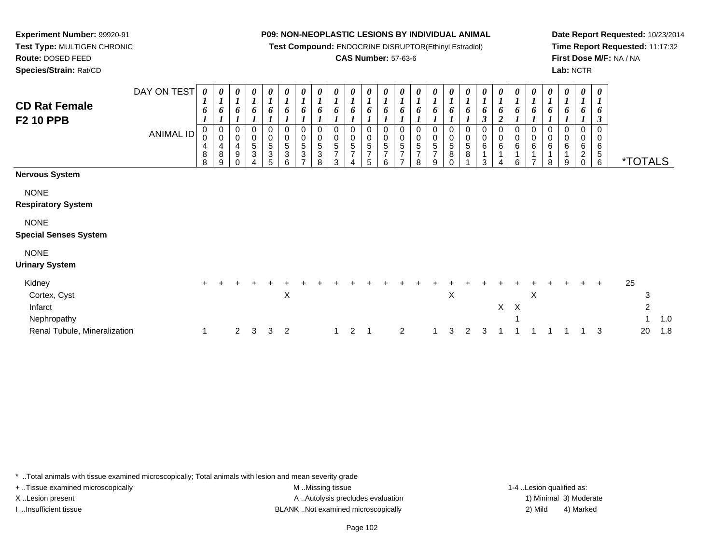**Test Compound:** ENDOCRINE DISRUPTOR(Ethinyl Estradiol)

#### **CAS Number:** 57-63-6

**Date Report Requested:** 10/23/2014**Time Report Requested:** 11:17:32**First Dose M/F:** NA / NA**Lab:** NCTR

| <b>CD Rat Female</b><br><b>F2 10 PPB</b>    | DAY ON TEST<br><b>ANIMAL ID</b> | $\boldsymbol{\theta}$<br>6<br>0<br>$\mathbf 0$<br>4<br>8<br>8 | 0<br>$\boldsymbol{l}$<br>6<br>0<br>$\mathsf{O}\xspace$<br>4<br>8<br>9 | $\boldsymbol{\theta}$<br>$\boldsymbol{l}$<br>6<br>0<br>0<br>$\overline{4}$<br>$\boldsymbol{9}$ | $\boldsymbol{\theta}$<br>$\boldsymbol{l}$<br>6<br>$\pmb{0}$<br>$\,$ 5 $\,$<br>3 | $\pmb{\theta}$<br>$\boldsymbol{l}$<br>6<br>0<br>$\pmb{0}$<br>$\,$ 5 $\,$<br>$\sqrt{3}$<br>5 | 0<br>$\boldsymbol{l}$<br>6<br>0<br>0<br>5<br>3<br>6 | 0<br>$\boldsymbol{l}$<br>6<br>0<br>$\pmb{0}$<br>$\sqrt{5}$<br>$\ensuremath{\mathsf{3}}$<br>$\overline{ }$ | $\pmb{\theta}$<br>$\boldsymbol{l}$<br>6<br>0<br>$\pmb{0}$<br>$\sqrt{5}$<br>$\ensuremath{\mathsf{3}}$<br>8 | 0<br>$\boldsymbol{l}$<br>6<br>0<br>$\pmb{0}$<br>$\sqrt{5}$<br>$\overline{7}$<br>3 | $\boldsymbol{\theta}$<br>$\boldsymbol{l}$<br>6<br>0<br>0<br>5<br>$\overline{7}$<br>4 | 0<br>$\boldsymbol{l}$<br>6<br>0<br>5<br>7<br>5 | $\boldsymbol{\theta}$<br>$\boldsymbol{l}$<br>0<br>0<br>0<br>5<br>$\overline{7}$<br>6 | $\frac{\theta}{I}$<br>6<br>0<br>$\mathsf 0$<br>$\sqrt{5}$<br>$\overline{7}$ | 0<br>6<br>0<br>0<br>$\sqrt{5}$<br>$\overline{7}$<br>8 | 0<br>$\boldsymbol{l}$<br>6<br>0<br>0<br>$\sqrt{5}$<br>$\overline{7}$<br>9 | $\boldsymbol{\theta}$<br>$\boldsymbol{l}$<br>6<br>$\pmb{0}$<br>$\sqrt{5}$<br>8 | 0<br>$\boldsymbol{l}$<br>6<br>0<br>$\pmb{0}$<br>$^5_8$ | $\boldsymbol{\theta}$<br>$\boldsymbol{l}$<br>6<br>3<br>0<br>0<br>$\,6\,$<br>1<br>3 | 0<br>$\boldsymbol{l}$<br>6<br>2<br>0<br>6<br>4 | $\boldsymbol{\theta}$<br>$\boldsymbol{l}$<br>o<br>0<br>$\,6$<br>$\mathbf 1$<br>6 | 0<br>6<br>0<br>$\,6\,$ | $\boldsymbol{\theta}$<br>$\boldsymbol{l}$<br>6<br>0<br>0<br>$\,6\,$<br>$\mathbf{1}$<br>8 | 0<br>6<br>0<br>$\,6\,$<br>1<br>9 | $\boldsymbol{\theta}$<br>o<br>0<br>$\,6$<br>$\overline{c}$ | 0<br>6<br>0<br>6<br>$\,$ 5 $\,$<br>6 | <i><b>*TOTALS</b></i> |                     |            |
|---------------------------------------------|---------------------------------|---------------------------------------------------------------|-----------------------------------------------------------------------|------------------------------------------------------------------------------------------------|---------------------------------------------------------------------------------|---------------------------------------------------------------------------------------------|-----------------------------------------------------|-----------------------------------------------------------------------------------------------------------|-----------------------------------------------------------------------------------------------------------|-----------------------------------------------------------------------------------|--------------------------------------------------------------------------------------|------------------------------------------------|--------------------------------------------------------------------------------------|-----------------------------------------------------------------------------|-------------------------------------------------------|---------------------------------------------------------------------------|--------------------------------------------------------------------------------|--------------------------------------------------------|------------------------------------------------------------------------------------|------------------------------------------------|----------------------------------------------------------------------------------|------------------------|------------------------------------------------------------------------------------------|----------------------------------|------------------------------------------------------------|--------------------------------------|-----------------------|---------------------|------------|
| <b>Nervous System</b>                       |                                 |                                                               |                                                                       |                                                                                                |                                                                                 |                                                                                             |                                                     |                                                                                                           |                                                                                                           |                                                                                   |                                                                                      |                                                |                                                                                      |                                                                             |                                                       |                                                                           |                                                                                |                                                        |                                                                                    |                                                |                                                                                  |                        |                                                                                          |                                  |                                                            |                                      |                       |                     |            |
| <b>NONE</b><br><b>Respiratory System</b>    |                                 |                                                               |                                                                       |                                                                                                |                                                                                 |                                                                                             |                                                     |                                                                                                           |                                                                                                           |                                                                                   |                                                                                      |                                                |                                                                                      |                                                                             |                                                       |                                                                           |                                                                                |                                                        |                                                                                    |                                                |                                                                                  |                        |                                                                                          |                                  |                                                            |                                      |                       |                     |            |
| <b>NONE</b><br><b>Special Senses System</b> |                                 |                                                               |                                                                       |                                                                                                |                                                                                 |                                                                                             |                                                     |                                                                                                           |                                                                                                           |                                                                                   |                                                                                      |                                                |                                                                                      |                                                                             |                                                       |                                                                           |                                                                                |                                                        |                                                                                    |                                                |                                                                                  |                        |                                                                                          |                                  |                                                            |                                      |                       |                     |            |
| <b>NONE</b><br><b>Urinary System</b>        |                                 |                                                               |                                                                       |                                                                                                |                                                                                 |                                                                                             |                                                     |                                                                                                           |                                                                                                           |                                                                                   |                                                                                      |                                                |                                                                                      |                                                                             |                                                       |                                                                           |                                                                                |                                                        |                                                                                    |                                                |                                                                                  |                        |                                                                                          |                                  |                                                            |                                      |                       |                     |            |
| Kidney<br>Cortex, Cyst<br>Infarct           |                                 |                                                               |                                                                       |                                                                                                |                                                                                 |                                                                                             | X                                                   |                                                                                                           |                                                                                                           |                                                                                   |                                                                                      |                                                |                                                                                      |                                                                             |                                                       |                                                                           | X                                                                              |                                                        |                                                                                    | $\mathsf{X}$                                   | $\times$                                                                         | X                      |                                                                                          |                                  |                                                            | $\ddot{}$                            | 25                    | 3<br>$\overline{c}$ |            |
| Nephropathy<br>Renal Tubule, Mineralization |                                 |                                                               |                                                                       | $\overline{2}$                                                                                 | 3                                                                               | 3                                                                                           | $\overline{2}$                                      |                                                                                                           |                                                                                                           |                                                                                   | 2                                                                                    |                                                |                                                                                      | $\overline{c}$                                                              |                                                       |                                                                           | 3                                                                              | 2                                                      | 3                                                                                  |                                                |                                                                                  |                        |                                                                                          |                                  |                                                            | 3                                    |                       | 20                  | 1.0<br>1.8 |

\* ..Total animals with tissue examined microscopically; Total animals with lesion and mean severity grade

**Experiment Number:** 99920-91**Test Type:** MULTIGEN CHRONIC

**Route:** DOSED FEED**Species/Strain:** Rat/CD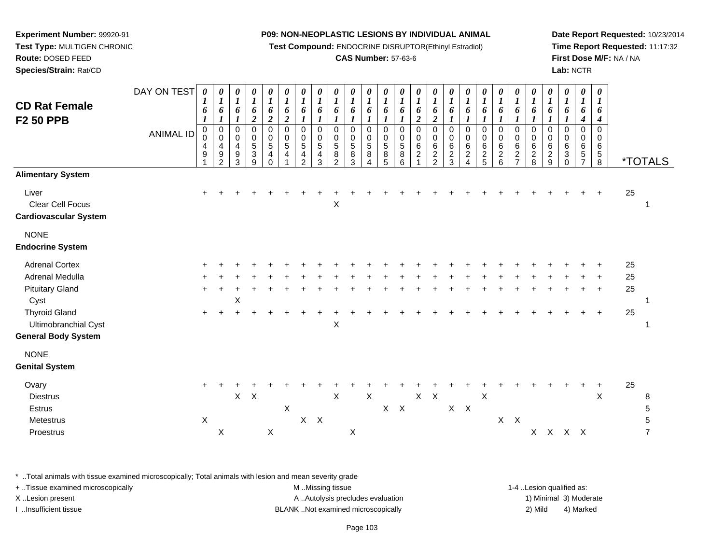**Test Compound:** ENDOCRINE DISRUPTOR(Ethinyl Estradiol)

#### **CAS Number:** 57-63-6

**Date Report Requested:** 10/23/2014**Time Report Requested:** 11:17:32**First Dose M/F:** NA / NA**Lab:** NCTR

| <b>CD Rat Female</b><br><b>F2 50 PPB</b>                                   | DAY ON TEST<br><b>ANIMAL ID</b> | 0<br>1<br>6<br>$\bm{l}$<br>$\mathbf 0$<br>0<br>4<br>9 | $\pmb{\theta}$<br>$\boldsymbol{l}$<br>6<br>1<br>$\mathbf 0$<br>$\mathbf 0$<br>4<br>$\boldsymbol{9}$<br>$\mathcal{P}$ | 0<br>$\boldsymbol{l}$<br>6<br>$\boldsymbol{l}$<br>$\pmb{0}$<br>$\boldsymbol{0}$<br>4<br>9<br>3 | 0<br>$\boldsymbol{l}$<br>6<br>$\overline{2}$<br>0<br>$\pmb{0}$<br>$\mathbf 5$<br>$\ensuremath{\mathsf{3}}$<br>9 | $\pmb{\theta}$<br>$\boldsymbol{l}$<br>6<br>$\boldsymbol{2}$<br>$\mathbf 0$<br>$\pmb{0}$<br>$\sqrt{5}$<br>4<br>$\Omega$ | $\pmb{\theta}$<br>$\boldsymbol{l}$<br>6<br>$\boldsymbol{2}$<br>$\mathbf 0$<br>$\pmb{0}$<br>$\sqrt{5}$<br>4 | 0<br>$\boldsymbol{l}$<br>6<br>$\boldsymbol{I}$<br>$\mathbf 0$<br>0<br>$\sqrt{5}$<br>4<br>$\mathcal{P}$ | $\pmb{\theta}$<br>$\boldsymbol{l}$<br>6<br>$\boldsymbol{l}$<br>$\mathbf 0$<br>0<br>$\sqrt{5}$<br>$\overline{\mathbf{r}}$<br>3 | $\boldsymbol{\theta}$<br>$\boldsymbol{l}$<br>6<br>$\boldsymbol{l}$<br>$\mathbf 0$<br>$\mathbf 0$<br>$\sqrt{5}$<br>8<br>$\mathcal{P}$ | $\pmb{\theta}$<br>$\boldsymbol{l}$<br>6<br>$\boldsymbol{l}$<br>$\mathbf 0$<br>$\pmb{0}$<br>$\sqrt{5}$<br>$\bf 8$<br>3 | 0<br>$\boldsymbol{l}$<br>6<br>1<br>$\mathbf 0$<br>$\mathbf 0$<br>$\sqrt{5}$<br>$\bf 8$<br>$\overline{4}$ | 0<br>$\boldsymbol{l}$<br>6<br>1<br>0<br>$\boldsymbol{0}$<br>$\,$ 5 $\,$<br>$^8_5$ | 0<br>$\boldsymbol{l}$<br>6<br>$\boldsymbol{l}$<br>$\mathbf 0$<br>$\mathbf 0$<br>$\,$ 5 $\,$<br>$\bf8$<br>6 | 0<br>$\boldsymbol{l}$<br>6<br>$\boldsymbol{2}$<br>$\pmb{0}$<br>$\pmb{0}$<br>$\,6$<br>$\boldsymbol{2}$ | 0<br>$\boldsymbol{l}$<br>6<br>$\overline{2}$<br>0<br>$\pmb{0}$<br>$\,6\,$<br>$\frac{2}{2}$ | 0<br>$\boldsymbol{l}$<br>6<br>$\boldsymbol{l}$<br>0<br>$\pmb{0}$<br>$\,6\,$<br>$\frac{2}{3}$ | $\boldsymbol{\theta}$<br>$\boldsymbol{l}$<br>6<br>$\boldsymbol{l}$<br>$\mathbf 0$<br>$\mathbf 0$<br>$\,6\,$<br>$\frac{2}{4}$ | 0<br>$\boldsymbol{l}$<br>6<br>$\mathbf{I}$<br>0<br>0<br>$\,6\,$<br>$\frac{2}{5}$ | $\boldsymbol{\theta}$<br>$\boldsymbol{\mathit{1}}$<br>6<br>$\boldsymbol{l}$<br>$\pmb{0}$<br>$\mathsf{O}\xspace$<br>$\,6\,$<br>$\frac{2}{6}$ | 0<br>$\boldsymbol{l}$<br>6<br>$\boldsymbol{l}$<br>$\mathbf 0$<br>$\pmb{0}$<br>$\,6\,$<br>$\frac{2}{7}$ | 0<br>$\boldsymbol{l}$<br>6<br>$\mathbf{I}$<br>$\mathbf 0$<br>$\boldsymbol{0}$<br>$\,6\,$<br>$^{\mathsf{2}}_{\mathsf{8}}$ | 0<br>$\boldsymbol{l}$<br>6<br>$\mathbf{I}$<br>0<br>0<br>6<br>$\frac{2}{9}$ | $\boldsymbol{\theta}$<br>$\boldsymbol{l}$<br>6<br>1<br>0<br>0<br>6<br>$\ensuremath{\mathsf{3}}$<br>$\mathbf 0$ | $\pmb{\theta}$<br>$\boldsymbol{l}$<br>6<br>$\boldsymbol{4}$<br>$\Omega$<br>0<br>6<br>$\mathbf 5$<br>$\overline{7}$ | $\pmb{\theta}$<br>1<br>6<br>4<br>$\mathbf 0$<br>0<br>6<br>$\begin{array}{c} 5 \\ 8 \end{array}$ |    | <i><b>*TOTALS</b></i> |
|----------------------------------------------------------------------------|---------------------------------|-------------------------------------------------------|----------------------------------------------------------------------------------------------------------------------|------------------------------------------------------------------------------------------------|-----------------------------------------------------------------------------------------------------------------|------------------------------------------------------------------------------------------------------------------------|------------------------------------------------------------------------------------------------------------|--------------------------------------------------------------------------------------------------------|-------------------------------------------------------------------------------------------------------------------------------|--------------------------------------------------------------------------------------------------------------------------------------|-----------------------------------------------------------------------------------------------------------------------|----------------------------------------------------------------------------------------------------------|-----------------------------------------------------------------------------------|------------------------------------------------------------------------------------------------------------|-------------------------------------------------------------------------------------------------------|--------------------------------------------------------------------------------------------|----------------------------------------------------------------------------------------------|------------------------------------------------------------------------------------------------------------------------------|----------------------------------------------------------------------------------|---------------------------------------------------------------------------------------------------------------------------------------------|--------------------------------------------------------------------------------------------------------|--------------------------------------------------------------------------------------------------------------------------|----------------------------------------------------------------------------|----------------------------------------------------------------------------------------------------------------|--------------------------------------------------------------------------------------------------------------------|-------------------------------------------------------------------------------------------------|----|-----------------------|
| <b>Alimentary System</b>                                                   |                                 |                                                       |                                                                                                                      |                                                                                                |                                                                                                                 |                                                                                                                        |                                                                                                            |                                                                                                        |                                                                                                                               |                                                                                                                                      |                                                                                                                       |                                                                                                          |                                                                                   |                                                                                                            |                                                                                                       |                                                                                            |                                                                                              |                                                                                                                              |                                                                                  |                                                                                                                                             |                                                                                                        |                                                                                                                          |                                                                            |                                                                                                                |                                                                                                                    |                                                                                                 |    |                       |
| Liver<br>Clear Cell Focus<br><b>Cardiovascular System</b>                  |                                 |                                                       |                                                                                                                      |                                                                                                |                                                                                                                 |                                                                                                                        |                                                                                                            |                                                                                                        |                                                                                                                               | X                                                                                                                                    |                                                                                                                       |                                                                                                          |                                                                                   |                                                                                                            |                                                                                                       |                                                                                            |                                                                                              |                                                                                                                              |                                                                                  |                                                                                                                                             |                                                                                                        |                                                                                                                          |                                                                            |                                                                                                                |                                                                                                                    |                                                                                                 | 25 |                       |
| <b>NONE</b><br><b>Endocrine System</b>                                     |                                 |                                                       |                                                                                                                      |                                                                                                |                                                                                                                 |                                                                                                                        |                                                                                                            |                                                                                                        |                                                                                                                               |                                                                                                                                      |                                                                                                                       |                                                                                                          |                                                                                   |                                                                                                            |                                                                                                       |                                                                                            |                                                                                              |                                                                                                                              |                                                                                  |                                                                                                                                             |                                                                                                        |                                                                                                                          |                                                                            |                                                                                                                |                                                                                                                    |                                                                                                 |    |                       |
| <b>Adrenal Cortex</b>                                                      |                                 |                                                       |                                                                                                                      |                                                                                                |                                                                                                                 |                                                                                                                        |                                                                                                            |                                                                                                        |                                                                                                                               |                                                                                                                                      |                                                                                                                       |                                                                                                          |                                                                                   |                                                                                                            |                                                                                                       |                                                                                            |                                                                                              |                                                                                                                              |                                                                                  |                                                                                                                                             |                                                                                                        |                                                                                                                          |                                                                            |                                                                                                                |                                                                                                                    |                                                                                                 | 25 |                       |
| Adrenal Medulla                                                            |                                 |                                                       |                                                                                                                      |                                                                                                |                                                                                                                 |                                                                                                                        |                                                                                                            |                                                                                                        |                                                                                                                               |                                                                                                                                      |                                                                                                                       |                                                                                                          |                                                                                   |                                                                                                            |                                                                                                       |                                                                                            |                                                                                              |                                                                                                                              |                                                                                  |                                                                                                                                             |                                                                                                        |                                                                                                                          |                                                                            |                                                                                                                |                                                                                                                    |                                                                                                 | 25 |                       |
| <b>Pituitary Gland</b><br>Cyst                                             |                                 | $\pm$                                                 |                                                                                                                      | X                                                                                              |                                                                                                                 |                                                                                                                        |                                                                                                            |                                                                                                        |                                                                                                                               |                                                                                                                                      |                                                                                                                       |                                                                                                          |                                                                                   |                                                                                                            |                                                                                                       |                                                                                            |                                                                                              |                                                                                                                              |                                                                                  |                                                                                                                                             |                                                                                                        |                                                                                                                          |                                                                            |                                                                                                                |                                                                                                                    |                                                                                                 | 25 |                       |
| <b>Thyroid Gland</b><br>Ultimobranchial Cyst<br><b>General Body System</b> |                                 | $+$                                                   |                                                                                                                      |                                                                                                |                                                                                                                 |                                                                                                                        |                                                                                                            |                                                                                                        |                                                                                                                               | X                                                                                                                                    |                                                                                                                       |                                                                                                          |                                                                                   |                                                                                                            |                                                                                                       |                                                                                            |                                                                                              |                                                                                                                              |                                                                                  |                                                                                                                                             |                                                                                                        |                                                                                                                          |                                                                            |                                                                                                                |                                                                                                                    | $\ddot{}$                                                                                       | 25 | -1                    |
| <b>NONE</b><br><b>Genital System</b>                                       |                                 |                                                       |                                                                                                                      |                                                                                                |                                                                                                                 |                                                                                                                        |                                                                                                            |                                                                                                        |                                                                                                                               |                                                                                                                                      |                                                                                                                       |                                                                                                          |                                                                                   |                                                                                                            |                                                                                                       |                                                                                            |                                                                                              |                                                                                                                              |                                                                                  |                                                                                                                                             |                                                                                                        |                                                                                                                          |                                                                            |                                                                                                                |                                                                                                                    |                                                                                                 |    |                       |
| Ovary<br><b>Diestrus</b><br>Estrus                                         |                                 | $\ddot{}$                                             |                                                                                                                      | $\mathsf{X}$                                                                                   | $\mathsf{X}$                                                                                                    |                                                                                                                        | $\boldsymbol{\mathsf{X}}$                                                                                  |                                                                                                        |                                                                                                                               | $\mathsf X$                                                                                                                          |                                                                                                                       | $\mathsf X$                                                                                              | $X$ $X$                                                                           |                                                                                                            | $\mathsf X$                                                                                           | $\boldsymbol{\mathsf{X}}$                                                                  | $X$ $X$                                                                                      |                                                                                                                              | $\pmb{\times}$                                                                   |                                                                                                                                             |                                                                                                        |                                                                                                                          |                                                                            |                                                                                                                |                                                                                                                    | X                                                                                               | 25 | 8<br>5                |
| Metestrus<br>Proestrus                                                     |                                 | $\boldsymbol{\mathsf{X}}$                             | X                                                                                                                    |                                                                                                |                                                                                                                 | $\boldsymbol{\mathsf{X}}$                                                                                              |                                                                                                            |                                                                                                        | $X$ $X$                                                                                                                       |                                                                                                                                      | X                                                                                                                     |                                                                                                          |                                                                                   |                                                                                                            |                                                                                                       |                                                                                            |                                                                                              |                                                                                                                              |                                                                                  | $\mathsf{X}$                                                                                                                                | $\mathsf{X}$                                                                                           | $\mathsf{X}$                                                                                                             | X                                                                          | $X$ $X$                                                                                                        |                                                                                                                    |                                                                                                 |    | 5<br>$\overline{7}$   |

\* ..Total animals with tissue examined microscopically; Total animals with lesion and mean severity grade

**Experiment Number:** 99920-91**Test Type:** MULTIGEN CHRONIC

| + . Tissue examined microscopically | M Missing tissue                   | 1-4 Lesion qualified as: |                        |
|-------------------------------------|------------------------------------|--------------------------|------------------------|
| X Lesion present                    | A Autolysis precludes evaluation   |                          | 1) Minimal 3) Moderate |
| Insufficient tissue                 | BLANK Not examined microscopically | 2) Mild                  | 4) Marked              |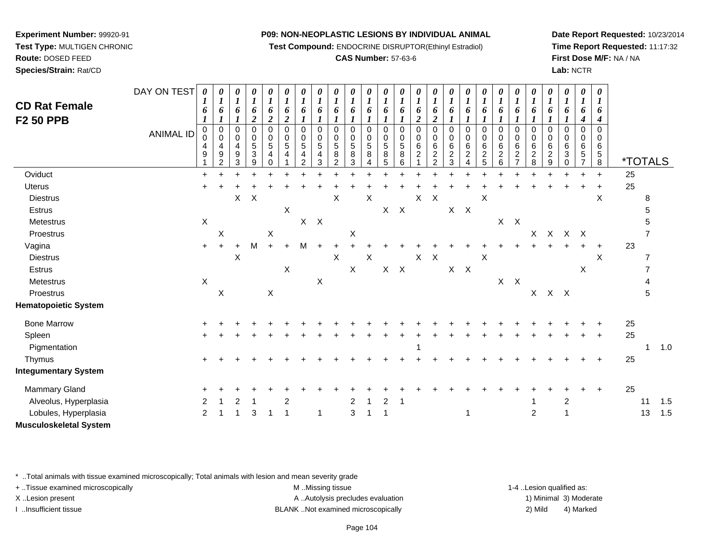**Test Compound:** ENDOCRINE DISRUPTOR(Ethinyl Estradiol)

#### **CAS Number:** 57-63-6

**Date Report Requested:** 10/23/2014**Time Report Requested:** 11:17:32**First Dose M/F:** NA / NA**Lab:** NCTR

| <b>CD Rat Female</b><br><b>F2 50 PPB</b> | DAY ON TEST<br><b>ANIMAL ID</b> | $\boldsymbol{\theta}$<br>6<br>$\mathbf 0$<br>4<br>9 | $\pmb{\theta}$<br>6<br>$\pmb{0}$<br>$\pmb{0}$<br>4<br>9<br>2 | 0<br>$\boldsymbol{l}$<br>6<br>$\mathsf 0$<br>0<br>4<br>9<br>3 | 0<br>$\boldsymbol{l}$<br>6<br>$\boldsymbol{2}$<br>0<br>$\pmb{0}$<br>$\overline{5}$<br>$\ensuremath{\mathsf{3}}$<br>9 | 0<br>$\boldsymbol{l}$<br>6<br>$\boldsymbol{2}$<br>$\pmb{0}$<br>$\,0\,$<br>5<br>4<br>$\Omega$ | $\pmb{\theta}$<br>$\boldsymbol{l}$<br>6<br>$\boldsymbol{2}$<br>$\pmb{0}$<br>0<br>$\overline{5}$<br>4 | 0<br>$\boldsymbol{l}$<br>6<br>$\mathbf 0$<br>0<br>5<br>4<br>2 | 0<br>$\boldsymbol{l}$<br>6<br>$\mathbf 0$<br>0<br>5<br>4<br>3 | 0<br>$\boldsymbol{l}$<br>6<br>$\mathbf 0$<br>0<br>5<br>8<br>2 | 0<br>6<br>$\mathbf 0$<br>0<br>5<br>8<br>3 | 0<br>6<br>$\Omega$<br>0<br>5<br>8 | 0<br>6<br>0<br>0<br>5<br>8<br>5 | 0<br>1<br>6<br>0<br>0<br>5<br>8<br>6 | 6<br>$\boldsymbol{2}$<br>0<br>0<br>6<br>$\overline{c}$ | 0<br>6<br>$\boldsymbol{2}$<br>$\mathbf 0$<br>0<br>$\,6\,$<br>$\overline{\mathbf{c}}$<br>2 | $\pmb{\theta}$<br>$\boldsymbol{l}$<br>6<br>$\mathbf 0$<br>0<br>$\,6\,$<br>$\overline{c}$<br>3 | 0<br>1<br>6<br>$\Omega$<br>0<br>6<br>$\overline{c}$ | $\boldsymbol{\theta}$<br>6<br>$\mathbf 0$<br>0<br>$6\phantom{1}6$<br>$\overline{c}$ | 0<br>6<br>$\overline{0}$<br>0<br>6<br>$\overline{\mathbf{c}}$<br>6 | $\boldsymbol{\theta}$<br>6<br>$\Omega$<br>0<br>$\,6\,$<br>$\overline{c}$ | 0<br>1<br>6<br>0<br>0<br>$\,6\,$<br>$\frac{2}{8}$ | $\boldsymbol{\theta}$<br>$\boldsymbol{l}$<br>6<br>$\mathbf 0$<br>0<br>$\,6$<br>$\overline{c}$<br>9 | 0<br>$\boldsymbol{l}$<br>6<br>$\mathbf 0$<br>0<br>6<br>3<br>0 | $\boldsymbol{\theta}$<br>$\boldsymbol{l}$<br>6<br>4<br>$\pmb{0}$<br>0<br>$\,6$<br>5 | 0<br>1<br>6<br>4<br>$\Omega$<br>0<br>6<br>5<br>8 | <i><b>*TOTALS</b></i> |             |     |
|------------------------------------------|---------------------------------|-----------------------------------------------------|--------------------------------------------------------------|---------------------------------------------------------------|----------------------------------------------------------------------------------------------------------------------|----------------------------------------------------------------------------------------------|------------------------------------------------------------------------------------------------------|---------------------------------------------------------------|---------------------------------------------------------------|---------------------------------------------------------------|-------------------------------------------|-----------------------------------|---------------------------------|--------------------------------------|--------------------------------------------------------|-------------------------------------------------------------------------------------------|-----------------------------------------------------------------------------------------------|-----------------------------------------------------|-------------------------------------------------------------------------------------|--------------------------------------------------------------------|--------------------------------------------------------------------------|---------------------------------------------------|----------------------------------------------------------------------------------------------------|---------------------------------------------------------------|-------------------------------------------------------------------------------------|--------------------------------------------------|-----------------------|-------------|-----|
| Oviduct                                  |                                 | $\ddot{}$                                           |                                                              |                                                               |                                                                                                                      |                                                                                              |                                                                                                      |                                                               |                                                               |                                                               |                                           |                                   |                                 |                                      |                                                        |                                                                                           |                                                                                               |                                                     |                                                                                     |                                                                    |                                                                          |                                                   |                                                                                                    |                                                               |                                                                                     | $\pm$                                            | 25                    |             |     |
| <b>Uterus</b>                            |                                 |                                                     |                                                              |                                                               |                                                                                                                      |                                                                                              |                                                                                                      |                                                               |                                                               |                                                               |                                           |                                   |                                 |                                      |                                                        |                                                                                           |                                                                                               |                                                     |                                                                                     |                                                                    |                                                                          |                                                   |                                                                                                    |                                                               |                                                                                     | $\ddot{}$                                        | 25                    |             |     |
| <b>Diestrus</b>                          |                                 |                                                     |                                                              | $\mathsf{X}$                                                  | $\boldsymbol{\mathsf{X}}$                                                                                            |                                                                                              |                                                                                                      |                                                               |                                                               | $\mathsf X$                                                   |                                           | X                                 |                                 |                                      | X                                                      | $\boldsymbol{X}$                                                                          |                                                                                               |                                                     | X                                                                                   |                                                                    |                                                                          |                                                   |                                                                                                    |                                                               |                                                                                     | X                                                |                       | 8           |     |
| Estrus                                   |                                 |                                                     |                                                              |                                                               |                                                                                                                      |                                                                                              | X                                                                                                    |                                                               |                                                               |                                                               |                                           |                                   |                                 | $X$ $X$                              |                                                        |                                                                                           | $\mathsf{X}^-$                                                                                | $\mathsf{X}$                                        |                                                                                     |                                                                    |                                                                          |                                                   |                                                                                                    |                                                               |                                                                                     |                                                  |                       |             |     |
| Metestrus                                |                                 | $\sf X$                                             |                                                              |                                                               |                                                                                                                      |                                                                                              |                                                                                                      | X                                                             | $\boldsymbol{\mathsf{X}}$                                     |                                                               |                                           |                                   |                                 |                                      |                                                        |                                                                                           |                                                                                               |                                                     |                                                                                     |                                                                    | $X$ $X$                                                                  |                                                   |                                                                                                    |                                                               |                                                                                     |                                                  |                       |             |     |
| Proestrus                                |                                 |                                                     | X                                                            |                                                               |                                                                                                                      | $\boldsymbol{\mathsf{X}}$                                                                    |                                                                                                      |                                                               |                                                               |                                                               | X                                         |                                   |                                 |                                      |                                                        |                                                                                           |                                                                                               |                                                     |                                                                                     |                                                                    |                                                                          | X                                                 |                                                                                                    | X X X                                                         |                                                                                     |                                                  |                       |             |     |
| Vagina                                   |                                 | $+$                                                 | $\ddot{}$                                                    | $\ddot{}$                                                     | M                                                                                                                    | $+$                                                                                          | $+$                                                                                                  | M                                                             | $\ddot{}$                                                     |                                                               |                                           |                                   |                                 |                                      |                                                        |                                                                                           |                                                                                               |                                                     |                                                                                     |                                                                    |                                                                          |                                                   |                                                                                                    |                                                               |                                                                                     | $\ddot{}$                                        | 23                    |             |     |
| <b>Diestrus</b>                          |                                 |                                                     |                                                              | X                                                             |                                                                                                                      |                                                                                              |                                                                                                      |                                                               |                                                               | X                                                             |                                           | X                                 |                                 |                                      | $\mathsf{X}$                                           | $\mathsf{X}$                                                                              |                                                                                               |                                                     | Χ                                                                                   |                                                                    |                                                                          |                                                   |                                                                                                    |                                                               |                                                                                     | X                                                |                       |             |     |
| Estrus                                   |                                 |                                                     |                                                              |                                                               |                                                                                                                      |                                                                                              | X                                                                                                    |                                                               |                                                               |                                                               | $\boldsymbol{\mathsf{X}}$                 |                                   |                                 | $X$ $X$                              |                                                        |                                                                                           |                                                                                               | $X$ $X$                                             |                                                                                     |                                                                    |                                                                          |                                                   |                                                                                                    |                                                               | X                                                                                   |                                                  |                       |             |     |
| Metestrus                                |                                 | $\boldsymbol{\mathsf{X}}$                           |                                                              |                                                               |                                                                                                                      |                                                                                              |                                                                                                      |                                                               | X                                                             |                                                               |                                           |                                   |                                 |                                      |                                                        |                                                                                           |                                                                                               |                                                     |                                                                                     |                                                                    | $X$ $X$                                                                  |                                                   |                                                                                                    |                                                               |                                                                                     |                                                  |                       |             |     |
| Proestrus                                |                                 |                                                     | $\mathsf X$                                                  |                                                               |                                                                                                                      | $\boldsymbol{\mathsf{X}}$                                                                    |                                                                                                      |                                                               |                                                               |                                                               |                                           |                                   |                                 |                                      |                                                        |                                                                                           |                                                                                               |                                                     |                                                                                     |                                                                    |                                                                          |                                                   | X X X                                                                                              |                                                               |                                                                                     |                                                  |                       | 5           |     |
| <b>Hematopoietic System</b>              |                                 |                                                     |                                                              |                                                               |                                                                                                                      |                                                                                              |                                                                                                      |                                                               |                                                               |                                                               |                                           |                                   |                                 |                                      |                                                        |                                                                                           |                                                                                               |                                                     |                                                                                     |                                                                    |                                                                          |                                                   |                                                                                                    |                                                               |                                                                                     |                                                  |                       |             |     |
| <b>Bone Marrow</b>                       |                                 |                                                     |                                                              |                                                               |                                                                                                                      |                                                                                              |                                                                                                      |                                                               |                                                               |                                                               |                                           |                                   |                                 |                                      |                                                        |                                                                                           |                                                                                               |                                                     |                                                                                     |                                                                    |                                                                          |                                                   |                                                                                                    |                                                               |                                                                                     |                                                  | 25                    |             |     |
| Spleen                                   |                                 |                                                     |                                                              |                                                               |                                                                                                                      |                                                                                              |                                                                                                      |                                                               |                                                               |                                                               |                                           |                                   |                                 |                                      |                                                        |                                                                                           |                                                                                               |                                                     |                                                                                     |                                                                    |                                                                          |                                                   |                                                                                                    |                                                               |                                                                                     | $\ddot{}$                                        | 25                    |             |     |
| Pigmentation                             |                                 |                                                     |                                                              |                                                               |                                                                                                                      |                                                                                              |                                                                                                      |                                                               |                                                               |                                                               |                                           |                                   |                                 |                                      | -1                                                     |                                                                                           |                                                                                               |                                                     |                                                                                     |                                                                    |                                                                          |                                                   |                                                                                                    |                                                               |                                                                                     |                                                  |                       | $\mathbf 1$ | 1.0 |
| Thymus                                   |                                 |                                                     |                                                              |                                                               |                                                                                                                      |                                                                                              |                                                                                                      |                                                               |                                                               |                                                               |                                           |                                   |                                 |                                      |                                                        |                                                                                           |                                                                                               |                                                     |                                                                                     |                                                                    |                                                                          |                                                   |                                                                                                    |                                                               |                                                                                     |                                                  | 25                    |             |     |
| <b>Integumentary System</b>              |                                 |                                                     |                                                              |                                                               |                                                                                                                      |                                                                                              |                                                                                                      |                                                               |                                                               |                                                               |                                           |                                   |                                 |                                      |                                                        |                                                                                           |                                                                                               |                                                     |                                                                                     |                                                                    |                                                                          |                                                   |                                                                                                    |                                                               |                                                                                     |                                                  |                       |             |     |
| Mammary Gland                            |                                 |                                                     |                                                              |                                                               |                                                                                                                      |                                                                                              |                                                                                                      |                                                               |                                                               |                                                               |                                           |                                   |                                 |                                      |                                                        |                                                                                           |                                                                                               |                                                     |                                                                                     |                                                                    |                                                                          |                                                   |                                                                                                    |                                                               |                                                                                     |                                                  | 25                    |             |     |
| Alveolus, Hyperplasia                    |                                 |                                                     |                                                              | 2                                                             |                                                                                                                      |                                                                                              | $\overline{2}$                                                                                       |                                                               |                                                               |                                                               | 2                                         |                                   | 2                               |                                      |                                                        |                                                                                           |                                                                                               |                                                     |                                                                                     |                                                                    |                                                                          |                                                   |                                                                                                    | $\overline{c}$                                                |                                                                                     |                                                  |                       | 11          | 1.5 |
| Lobules, Hyperplasia                     |                                 | $\overline{c}$                                      |                                                              |                                                               | 3                                                                                                                    |                                                                                              | $\overline{1}$                                                                                       |                                                               | $\overline{\mathbf{1}}$                                       |                                                               | 3                                         |                                   | -1                              |                                      |                                                        |                                                                                           |                                                                                               | $\mathbf 1$                                         |                                                                                     |                                                                    |                                                                          | $\overline{c}$                                    |                                                                                                    | $\overline{1}$                                                |                                                                                     |                                                  |                       | 13          | 1.5 |
| Musculoskeletal System                   |                                 |                                                     |                                                              |                                                               |                                                                                                                      |                                                                                              |                                                                                                      |                                                               |                                                               |                                                               |                                           |                                   |                                 |                                      |                                                        |                                                                                           |                                                                                               |                                                     |                                                                                     |                                                                    |                                                                          |                                                   |                                                                                                    |                                                               |                                                                                     |                                                  |                       |             |     |

\* ..Total animals with tissue examined microscopically; Total animals with lesion and mean severity grade

+ ..Tissue examined microscopically examined microscopically examined as:  $M$  ..Missing tissue 1-4 ..Lesion qualified as:

X..Lesion present **A ..Autolysis precludes evaluation** A ..Autolysis precludes evaluation 1) Minimal 3) Moderate

I ..Insufficient tissue BLANK ..Not examined microscopically 2) Mild 4) Marked

# **Experiment Number:** 99920-91

**Species/Strain:** Rat/CD

# **Test Type:** MULTIGEN CHRONIC

**Route:** DOSED FEED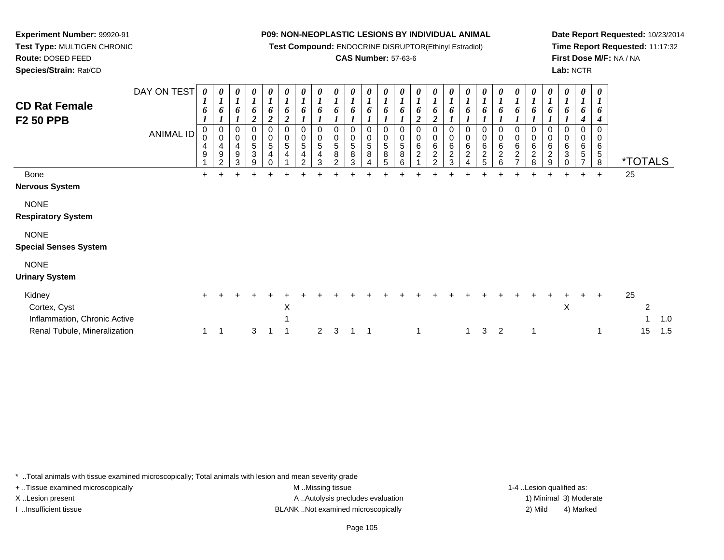**Test Compound:** ENDOCRINE DISRUPTOR(Ethinyl Estradiol)

#### **CAS Number:** 57-63-6

**Date Report Requested:** 10/23/2014**Time Report Requested:** 11:17:32**First Dose M/F:** NA / NA**Lab:** NCTR

| <b>CD Rat Female</b><br><b>F2 50 PPB</b>               | DAY ON TEST<br>ANIMAL ID | $\boldsymbol{\theta}$<br>1<br>6<br>0<br>4<br>9 | $\boldsymbol{\theta}$<br>$\boldsymbol{l}$<br>6<br>$\pmb{0}$<br>$\pmb{0}$<br>4<br>$\boldsymbol{9}$<br>$\overline{2}$ | $\frac{\theta}{I}$<br>6<br>0<br>$\pmb{0}$<br>$\overline{\mathbf{4}}$<br>$\boldsymbol{9}$<br>3 | 0<br>$\boldsymbol{l}$<br>6<br>$\overline{\mathbf{c}}$<br>0<br>0<br>$\,$ 5 $\,$<br>$\ensuremath{\mathsf{3}}$<br>9 | $\boldsymbol{\theta}$<br>$\boldsymbol{l}$<br>6<br>2<br>0<br>$\pmb{0}$<br>$\sqrt{5}$<br>4 | $\frac{\boldsymbol{\theta}}{\boldsymbol{I}}$<br>6<br>$\overline{\mathbf{c}}$<br>0<br>$\pmb{0}$<br>$\sqrt{5}$<br>4 | $\frac{\theta}{I}$<br>6<br>0<br>$\pmb{0}$<br>$\sqrt{5}$<br>4<br>າ | $\boldsymbol{l}$<br>0<br>5<br>4 | $\boldsymbol{\mathit{U}}$<br>$\bm{0}$<br>0<br>$\mathbf 0$<br>5<br>8 | $\boldsymbol{\theta}$<br>6<br>0<br>5<br>8<br>З | 0<br>6<br>0<br>$\pmb{0}$<br>$\sqrt{5}$<br>$\,8\,$ | 0<br>6<br>0<br>0<br>5<br>8<br>5 | 0<br>6<br>0<br>$\mathbf 0$<br>5<br>8<br>6 | 0<br>6<br>2<br>0<br>$\mathbf 0$<br>6<br>$\overline{c}$ | 0<br>$\boldsymbol{l}$<br>6<br>$\boldsymbol{2}$<br>0<br>$\pmb{0}$<br>6<br>$\overline{c}$<br>$\overline{2}$ | $\boldsymbol{l}$<br>6<br>$\boldsymbol{I}$<br>0<br>$\pmb{0}$<br>6<br>$\overline{\mathbf{c}}$<br>3 | 0<br>$\boldsymbol{l}$<br>6<br>$\overline{ }$<br>0<br>$\pmb{0}$<br>6<br>$\boldsymbol{2}$ | 0<br>1<br>6<br>0<br>0<br>$\,6$<br>$\overline{c}$<br>5 | 0<br>1<br>6<br>L<br>0<br>0<br>6<br>$\frac{2}{6}$ | 0<br>$\boldsymbol{l}$<br>6<br>$\overline{I}$<br>0<br>$\pmb{0}$<br>6<br>$\overline{\mathbf{c}}$<br>$\overline{ }$ | 0<br>$\boldsymbol{l}$<br>6<br>0<br>$\mathbf 0$<br>6<br>$\boldsymbol{2}$<br>8 | 0<br>$\boldsymbol{l}$<br>6<br>0<br>0<br>6<br>2<br>9 | 0<br>$\boldsymbol{l}$<br>o<br>0<br>0<br>6<br>3 | 0<br>$\boldsymbol{l}$<br>0<br>5 | $\boldsymbol{\theta}$<br>6<br>0<br>0<br>6<br>5<br>8 |    | <i><b>*TOTALS</b></i> |     |
|--------------------------------------------------------|--------------------------|------------------------------------------------|---------------------------------------------------------------------------------------------------------------------|-----------------------------------------------------------------------------------------------|------------------------------------------------------------------------------------------------------------------|------------------------------------------------------------------------------------------|-------------------------------------------------------------------------------------------------------------------|-------------------------------------------------------------------|---------------------------------|---------------------------------------------------------------------|------------------------------------------------|---------------------------------------------------|---------------------------------|-------------------------------------------|--------------------------------------------------------|-----------------------------------------------------------------------------------------------------------|--------------------------------------------------------------------------------------------------|-----------------------------------------------------------------------------------------|-------------------------------------------------------|--------------------------------------------------|------------------------------------------------------------------------------------------------------------------|------------------------------------------------------------------------------|-----------------------------------------------------|------------------------------------------------|---------------------------------|-----------------------------------------------------|----|-----------------------|-----|
| Bone<br><b>Nervous System</b>                          |                          | $\ddot{}$                                      | $\ddot{}$                                                                                                           | $\ddot{}$                                                                                     | $\ddot{}$                                                                                                        | $\ddot{}$                                                                                | $\ddot{}$                                                                                                         |                                                                   |                                 |                                                                     |                                                |                                                   |                                 |                                           |                                                        |                                                                                                           |                                                                                                  |                                                                                         |                                                       |                                                  |                                                                                                                  |                                                                              |                                                     |                                                |                                 | $\ddot{}$                                           | 25 |                       |     |
| <b>NONE</b><br>Respiratory System                      |                          |                                                |                                                                                                                     |                                                                                               |                                                                                                                  |                                                                                          |                                                                                                                   |                                                                   |                                 |                                                                     |                                                |                                                   |                                 |                                           |                                                        |                                                                                                           |                                                                                                  |                                                                                         |                                                       |                                                  |                                                                                                                  |                                                                              |                                                     |                                                |                                 |                                                     |    |                       |     |
| <b>NONE</b><br><b>Special Senses System</b>            |                          |                                                |                                                                                                                     |                                                                                               |                                                                                                                  |                                                                                          |                                                                                                                   |                                                                   |                                 |                                                                     |                                                |                                                   |                                 |                                           |                                                        |                                                                                                           |                                                                                                  |                                                                                         |                                                       |                                                  |                                                                                                                  |                                                                              |                                                     |                                                |                                 |                                                     |    |                       |     |
| <b>NONE</b><br><b>Urinary System</b>                   |                          |                                                |                                                                                                                     |                                                                                               |                                                                                                                  |                                                                                          |                                                                                                                   |                                                                   |                                 |                                                                     |                                                |                                                   |                                 |                                           |                                                        |                                                                                                           |                                                                                                  |                                                                                         |                                                       |                                                  |                                                                                                                  |                                                                              |                                                     |                                                |                                 |                                                     |    |                       |     |
| Kidney<br>Cortex, Cyst<br>Inflammation, Chronic Active |                          | $\pm$                                          |                                                                                                                     |                                                                                               |                                                                                                                  |                                                                                          | X                                                                                                                 |                                                                   |                                 |                                                                     |                                                |                                                   |                                 |                                           |                                                        |                                                                                                           |                                                                                                  |                                                                                         |                                                       |                                                  |                                                                                                                  |                                                                              |                                                     | X                                              |                                 | $\div$                                              | 25 | $\overline{2}$        | 1.0 |
| Renal Tubule, Mineralization                           |                          | 1                                              |                                                                                                                     |                                                                                               | 3                                                                                                                | 1                                                                                        | -1                                                                                                                |                                                                   | $\overline{2}$                  | 3                                                                   | 1                                              | $\overline{1}$                                    |                                 |                                           | -1                                                     |                                                                                                           |                                                                                                  | -1                                                                                      | 3                                                     | 2                                                |                                                                                                                  | $\overline{1}$                                                               |                                                     |                                                |                                 | 1                                                   |    | 15                    | 1.5 |

\* ..Total animals with tissue examined microscopically; Total animals with lesion and mean severity grade

**Experiment Number:** 99920-91**Test Type:** MULTIGEN CHRONIC

**Route:** DOSED FEED**Species/Strain:** Rat/CD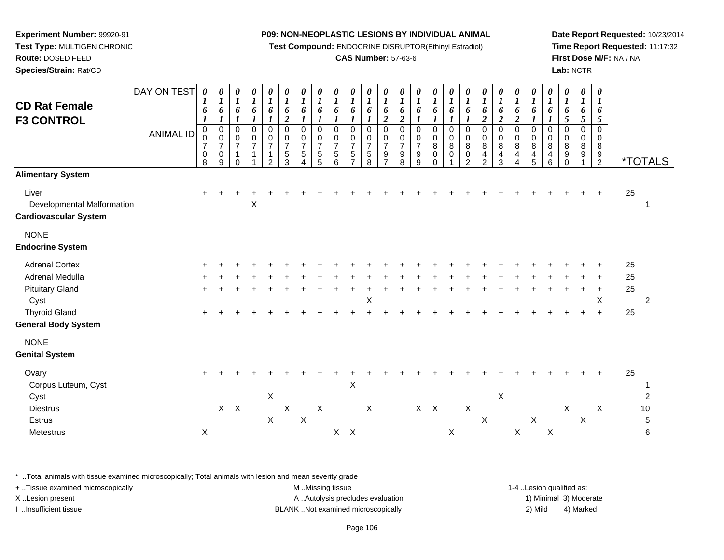**Test Compound:** ENDOCRINE DISRUPTOR(Ethinyl Estradiol)

#### **CAS Number:** 57-63-6

**Date Report Requested:** 10/23/2014**Time Report Requested:** 11:17:32**First Dose M/F:** NA / NA**Lab:** NCTR

| <b>CD Rat Female</b><br><b>F3 CONTROL</b>                  | DAY ON TEST<br><b>ANIMAL ID</b> | 0<br>$\boldsymbol{l}$<br>6<br>$\boldsymbol{l}$<br>$\mathbf 0$<br>0<br>$\overline{7}$<br>$\pmb{0}$<br>8 | $\boldsymbol{\theta}$<br>$\boldsymbol{l}$<br>6<br>$\boldsymbol{l}$<br>$\pmb{0}$<br>$\pmb{0}$<br>$\overline{7}$<br>$\pmb{0}$<br>9 | 0<br>$\boldsymbol{l}$<br>6<br>$\boldsymbol{l}$<br>0<br>0<br>$\overline{7}$<br>1<br>$\Omega$ | $\boldsymbol{\theta}$<br>$\boldsymbol{l}$<br>$\pmb{6}$<br>$\boldsymbol{l}$<br>$\mathbf 0$<br>$\pmb{0}$<br>$\boldsymbol{7}$<br>1 | 0<br>$\boldsymbol{l}$<br>6<br>$\boldsymbol{l}$<br>0<br>$\pmb{0}$<br>$\boldsymbol{7}$<br>1<br>$\overline{2}$ | 0<br>$\boldsymbol{l}$<br>6<br>$\overline{2}$<br>$\mathbf 0$<br>$\pmb{0}$<br>$\overline{7}$<br>$\sqrt{5}$<br>3 | 0<br>$\boldsymbol{l}$<br>6<br>$\boldsymbol{l}$<br>$\mathbf 0$<br>0<br>$\overline{7}$<br>5<br>4 | 0<br>$\boldsymbol{l}$<br>6<br>$\boldsymbol{l}$<br>0<br>0<br>$\overline{7}$<br>$\mathbf 5$<br>5 | $\boldsymbol{\theta}$<br>$\boldsymbol{l}$<br>6<br>$\boldsymbol{l}$<br>$\mathbf 0$<br>0<br>$\overline{7}$<br>$\mathbf 5$<br>6 | $\boldsymbol{\theta}$<br>$\boldsymbol{l}$<br>6<br>1<br>$\mathbf 0$<br>0<br>$\overline{7}$<br>$\mathbf 5$<br>$\overline{ }$ | $\frac{\theta}{I}$<br>6<br>1<br>0<br>$\mathbf 0$<br>$\overline{7}$<br>5<br>8 | 0<br>$\boldsymbol{l}$<br>6<br>$\overline{c}$<br>$\mathbf 0$<br>$\pmb{0}$<br>$\overline{7}$<br>$\boldsymbol{9}$<br>$\overline{7}$ | 0<br>$\boldsymbol{l}$<br>6<br>$\boldsymbol{2}$<br>$\mathbf 0$<br>$\pmb{0}$<br>$\overline{7}$<br>9<br>8 | 0<br>$\boldsymbol{l}$<br>6<br>$\mathbf{I}$<br>$\mathbf 0$<br>$\pmb{0}$<br>$\overline{7}$<br>9<br>9 | 0<br>$\boldsymbol{l}$<br>6<br>$\boldsymbol{l}$<br>0<br>0<br>8<br>0<br>$\Omega$ | $\frac{\theta}{I}$<br>6<br>$\boldsymbol{l}$<br>0<br>$\pmb{0}$<br>$\bf 8$<br>$\mathbf 0$ | $\boldsymbol{\theta}$<br>$\boldsymbol{l}$<br>6<br>$\boldsymbol{l}$<br>$\pmb{0}$<br>$\pmb{0}$<br>$\bf 8$<br>$\pmb{0}$<br>$\overline{2}$ | $\begin{matrix} 0 \\ 1 \end{matrix}$<br>6<br>$\overline{2}$<br>$\pmb{0}$<br>$\mathbf 0$<br>$\bf 8$<br>$\frac{4}{2}$ | $\frac{\theta}{I}$<br>$\boldsymbol{6}$<br>$\overline{c}$<br>0<br>$\pmb{0}$<br>$\bf 8$<br>$\frac{4}{3}$ | 0<br>$\boldsymbol{l}$<br>6<br>$\overline{2}$<br>0<br>0<br>$\bf 8$<br>$\overline{4}$<br>4 | 0<br>$\boldsymbol{l}$<br>6<br>$\mathbf 0$<br>0<br>8<br>4<br>5 | 0<br>$\boldsymbol{l}$<br>6<br>0<br>0<br>8<br>4<br>6 | 0<br>$\boldsymbol{l}$<br>6<br>5<br>0<br>0<br>8<br>9<br>$\Omega$ | 0<br>$\boldsymbol{l}$<br>6<br>5<br>$\mathbf 0$<br>0<br>8<br>9 | $\boldsymbol{\theta}$<br>$\boldsymbol{l}$<br>6<br>$5\overline{)}$<br>$\mathbf 0$<br>0<br>8<br>$\frac{9}{2}$ |    | <i><b>*TOTALS</b></i> |
|------------------------------------------------------------|---------------------------------|--------------------------------------------------------------------------------------------------------|----------------------------------------------------------------------------------------------------------------------------------|---------------------------------------------------------------------------------------------|---------------------------------------------------------------------------------------------------------------------------------|-------------------------------------------------------------------------------------------------------------|---------------------------------------------------------------------------------------------------------------|------------------------------------------------------------------------------------------------|------------------------------------------------------------------------------------------------|------------------------------------------------------------------------------------------------------------------------------|----------------------------------------------------------------------------------------------------------------------------|------------------------------------------------------------------------------|----------------------------------------------------------------------------------------------------------------------------------|--------------------------------------------------------------------------------------------------------|----------------------------------------------------------------------------------------------------|--------------------------------------------------------------------------------|-----------------------------------------------------------------------------------------|----------------------------------------------------------------------------------------------------------------------------------------|---------------------------------------------------------------------------------------------------------------------|--------------------------------------------------------------------------------------------------------|------------------------------------------------------------------------------------------|---------------------------------------------------------------|-----------------------------------------------------|-----------------------------------------------------------------|---------------------------------------------------------------|-------------------------------------------------------------------------------------------------------------|----|-----------------------|
| <b>Alimentary System</b><br>Liver                          |                                 | $\pm$                                                                                                  |                                                                                                                                  |                                                                                             |                                                                                                                                 |                                                                                                             |                                                                                                               |                                                                                                |                                                                                                |                                                                                                                              |                                                                                                                            |                                                                              |                                                                                                                                  |                                                                                                        |                                                                                                    |                                                                                |                                                                                         |                                                                                                                                        |                                                                                                                     |                                                                                                        |                                                                                          |                                                               |                                                     |                                                                 |                                                               |                                                                                                             | 25 |                       |
| Developmental Malformation<br><b>Cardiovascular System</b> |                                 |                                                                                                        |                                                                                                                                  |                                                                                             | Χ                                                                                                                               |                                                                                                             |                                                                                                               |                                                                                                |                                                                                                |                                                                                                                              |                                                                                                                            |                                                                              |                                                                                                                                  |                                                                                                        |                                                                                                    |                                                                                |                                                                                         |                                                                                                                                        |                                                                                                                     |                                                                                                        |                                                                                          |                                                               |                                                     |                                                                 |                                                               |                                                                                                             |    | -1                    |
| <b>NONE</b><br><b>Endocrine System</b>                     |                                 |                                                                                                        |                                                                                                                                  |                                                                                             |                                                                                                                                 |                                                                                                             |                                                                                                               |                                                                                                |                                                                                                |                                                                                                                              |                                                                                                                            |                                                                              |                                                                                                                                  |                                                                                                        |                                                                                                    |                                                                                |                                                                                         |                                                                                                                                        |                                                                                                                     |                                                                                                        |                                                                                          |                                                               |                                                     |                                                                 |                                                               |                                                                                                             |    |                       |
| <b>Adrenal Cortex</b>                                      |                                 |                                                                                                        |                                                                                                                                  |                                                                                             |                                                                                                                                 |                                                                                                             |                                                                                                               |                                                                                                |                                                                                                |                                                                                                                              |                                                                                                                            |                                                                              |                                                                                                                                  |                                                                                                        |                                                                                                    |                                                                                |                                                                                         |                                                                                                                                        |                                                                                                                     |                                                                                                        |                                                                                          |                                                               |                                                     |                                                                 |                                                               |                                                                                                             | 25 |                       |
| Adrenal Medulla                                            |                                 |                                                                                                        |                                                                                                                                  |                                                                                             |                                                                                                                                 |                                                                                                             |                                                                                                               |                                                                                                |                                                                                                |                                                                                                                              |                                                                                                                            |                                                                              |                                                                                                                                  |                                                                                                        |                                                                                                    |                                                                                |                                                                                         |                                                                                                                                        |                                                                                                                     |                                                                                                        |                                                                                          |                                                               |                                                     |                                                                 |                                                               |                                                                                                             | 25 |                       |
| <b>Pituitary Gland</b>                                     |                                 | ÷                                                                                                      |                                                                                                                                  |                                                                                             |                                                                                                                                 |                                                                                                             |                                                                                                               |                                                                                                |                                                                                                |                                                                                                                              |                                                                                                                            |                                                                              |                                                                                                                                  |                                                                                                        |                                                                                                    |                                                                                |                                                                                         |                                                                                                                                        |                                                                                                                     |                                                                                                        |                                                                                          |                                                               |                                                     |                                                                 |                                                               |                                                                                                             | 25 |                       |
| Cyst                                                       |                                 |                                                                                                        |                                                                                                                                  |                                                                                             |                                                                                                                                 |                                                                                                             |                                                                                                               |                                                                                                |                                                                                                |                                                                                                                              |                                                                                                                            | $\sf X$                                                                      |                                                                                                                                  |                                                                                                        |                                                                                                    |                                                                                |                                                                                         |                                                                                                                                        |                                                                                                                     |                                                                                                        |                                                                                          |                                                               |                                                     |                                                                 |                                                               | X                                                                                                           |    | 2                     |
| <b>Thyroid Gland</b>                                       |                                 |                                                                                                        |                                                                                                                                  |                                                                                             |                                                                                                                                 |                                                                                                             |                                                                                                               |                                                                                                |                                                                                                |                                                                                                                              |                                                                                                                            |                                                                              |                                                                                                                                  |                                                                                                        |                                                                                                    |                                                                                |                                                                                         |                                                                                                                                        |                                                                                                                     |                                                                                                        |                                                                                          |                                                               |                                                     |                                                                 |                                                               | $\ddot{}$                                                                                                   | 25 |                       |
| <b>General Body System</b>                                 |                                 |                                                                                                        |                                                                                                                                  |                                                                                             |                                                                                                                                 |                                                                                                             |                                                                                                               |                                                                                                |                                                                                                |                                                                                                                              |                                                                                                                            |                                                                              |                                                                                                                                  |                                                                                                        |                                                                                                    |                                                                                |                                                                                         |                                                                                                                                        |                                                                                                                     |                                                                                                        |                                                                                          |                                                               |                                                     |                                                                 |                                                               |                                                                                                             |    |                       |
| <b>NONE</b><br><b>Genital System</b>                       |                                 |                                                                                                        |                                                                                                                                  |                                                                                             |                                                                                                                                 |                                                                                                             |                                                                                                               |                                                                                                |                                                                                                |                                                                                                                              |                                                                                                                            |                                                                              |                                                                                                                                  |                                                                                                        |                                                                                                    |                                                                                |                                                                                         |                                                                                                                                        |                                                                                                                     |                                                                                                        |                                                                                          |                                                               |                                                     |                                                                 |                                                               |                                                                                                             |    |                       |
| Ovary                                                      |                                 | $+$                                                                                                    |                                                                                                                                  |                                                                                             |                                                                                                                                 |                                                                                                             |                                                                                                               |                                                                                                |                                                                                                |                                                                                                                              |                                                                                                                            |                                                                              |                                                                                                                                  |                                                                                                        |                                                                                                    |                                                                                |                                                                                         |                                                                                                                                        |                                                                                                                     |                                                                                                        |                                                                                          |                                                               |                                                     |                                                                 |                                                               |                                                                                                             | 25 |                       |
| Corpus Luteum, Cyst                                        |                                 |                                                                                                        |                                                                                                                                  |                                                                                             |                                                                                                                                 |                                                                                                             |                                                                                                               |                                                                                                |                                                                                                |                                                                                                                              | $\boldsymbol{\mathsf{X}}$                                                                                                  |                                                                              |                                                                                                                                  |                                                                                                        |                                                                                                    |                                                                                |                                                                                         |                                                                                                                                        |                                                                                                                     |                                                                                                        |                                                                                          |                                                               |                                                     |                                                                 |                                                               |                                                                                                             |    |                       |
| Cyst                                                       |                                 |                                                                                                        |                                                                                                                                  |                                                                                             |                                                                                                                                 | X                                                                                                           |                                                                                                               |                                                                                                |                                                                                                |                                                                                                                              |                                                                                                                            |                                                                              |                                                                                                                                  |                                                                                                        |                                                                                                    |                                                                                |                                                                                         |                                                                                                                                        |                                                                                                                     | X                                                                                                      |                                                                                          |                                                               |                                                     |                                                                 |                                                               |                                                                                                             |    | $\overline{2}$        |
| <b>Diestrus</b>                                            |                                 |                                                                                                        |                                                                                                                                  | $X$ $X$                                                                                     |                                                                                                                                 |                                                                                                             | $\boldsymbol{\mathsf{X}}$                                                                                     |                                                                                                | $\sf X$                                                                                        |                                                                                                                              |                                                                                                                            | X                                                                            |                                                                                                                                  |                                                                                                        | $X$ $X$                                                                                            |                                                                                |                                                                                         | $\mathsf X$                                                                                                                            |                                                                                                                     |                                                                                                        |                                                                                          |                                                               |                                                     | $\mathsf X$                                                     |                                                               | $\mathsf X$                                                                                                 |    | 10                    |
| Estrus                                                     |                                 |                                                                                                        |                                                                                                                                  |                                                                                             |                                                                                                                                 | $\mathsf X$                                                                                                 |                                                                                                               | $\sf X$                                                                                        |                                                                                                |                                                                                                                              |                                                                                                                            |                                                                              |                                                                                                                                  |                                                                                                        |                                                                                                    |                                                                                |                                                                                         |                                                                                                                                        | X                                                                                                                   |                                                                                                        |                                                                                          | $\mathsf X$                                                   |                                                     |                                                                 | $\boldsymbol{\mathsf{X}}$                                     |                                                                                                             |    | $\sqrt{5}$            |
| Metestrus                                                  |                                 | $\boldsymbol{\mathsf{X}}$                                                                              |                                                                                                                                  |                                                                                             |                                                                                                                                 |                                                                                                             |                                                                                                               |                                                                                                |                                                                                                |                                                                                                                              | $X$ $X$                                                                                                                    |                                                                              |                                                                                                                                  |                                                                                                        |                                                                                                    |                                                                                | X                                                                                       |                                                                                                                                        |                                                                                                                     |                                                                                                        | X                                                                                        |                                                               | $\boldsymbol{\mathsf{X}}$                           |                                                                 |                                                               |                                                                                                             |    | 6                     |

\* ..Total animals with tissue examined microscopically; Total animals with lesion and mean severity grade

**Experiment Number:** 99920-91**Test Type:** MULTIGEN CHRONIC

| + Tissue examined microscopically | M Missing tissue                   | 1-4 Lesion qualified as: |                        |
|-----------------------------------|------------------------------------|--------------------------|------------------------|
| X Lesion present                  | A Autolysis precludes evaluation   |                          | 1) Minimal 3) Moderate |
| …Insufficient tissue              | BLANK Not examined microscopically | 2) Mild                  | 4) Marked              |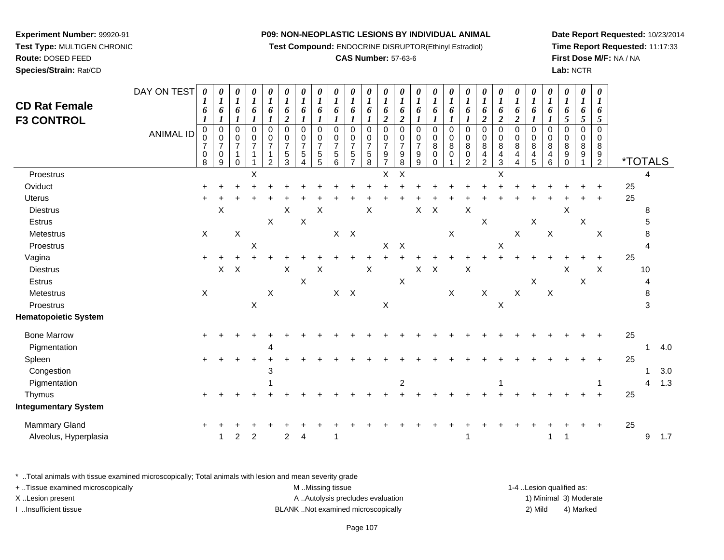**Test Compound:** ENDOCRINE DISRUPTOR(Ethinyl Estradiol)

#### **CAS Number:** 57-63-6

**Date Report Requested:** 10/23/2014**Time Report Requested:** 11:17:33**First Dose M/F:** NA / NA**Lab:** NCTR

|                                           | DAY ON TEST      | $\boldsymbol{\theta}$                   | 0<br>$\boldsymbol{l}$                                        | 0<br>$\boldsymbol{l}$                                   | 0<br>$\bm{l}$                                 | 0<br>$\boldsymbol{l}$                                | 0<br>$\boldsymbol{l}$           | 0<br>$\boldsymbol{l}$              | 0<br>$\boldsymbol{l}$                        | 0<br>$\boldsymbol{l}$                        | 0<br>$\boldsymbol{l}$                                     | 0<br>$\boldsymbol{l}$                                            | 0<br>$\boldsymbol{l}$                                               | 0<br>$\boldsymbol{l}$                        | 0<br>$\boldsymbol{l}$              | 0<br>$\boldsymbol{l}$     | 0<br>$\boldsymbol{l}$ | 0<br>$\boldsymbol{l}$                                            | 0<br>$\boldsymbol{l}$                                                          | 0<br>$\boldsymbol{l}$                                          | 0<br>$\boldsymbol{l}$                                       | 0<br>$\boldsymbol{l}$                                              | 0<br>$\boldsymbol{l}$     | 0<br>$\bm{l}$         | 0<br>1                    | 0<br>$\boldsymbol{l}$                              |                       |                |     |
|-------------------------------------------|------------------|-----------------------------------------|--------------------------------------------------------------|---------------------------------------------------------|-----------------------------------------------|------------------------------------------------------|---------------------------------|------------------------------------|----------------------------------------------|----------------------------------------------|-----------------------------------------------------------|------------------------------------------------------------------|---------------------------------------------------------------------|----------------------------------------------|------------------------------------|---------------------------|-----------------------|------------------------------------------------------------------|--------------------------------------------------------------------------------|----------------------------------------------------------------|-------------------------------------------------------------|--------------------------------------------------------------------|---------------------------|-----------------------|---------------------------|----------------------------------------------------|-----------------------|----------------|-----|
| <b>CD Rat Female</b><br><b>F3 CONTROL</b> |                  | 6<br>1                                  | 6                                                            | 6<br>1                                                  | 6<br>1                                        | 6<br>$\boldsymbol{l}$                                | 6<br>$\boldsymbol{2}$           | 6<br>1                             | 6                                            | 6                                            | 6                                                         | 6                                                                | 6<br>$\boldsymbol{2}$                                               | 6<br>2                                       | 6                                  | 6                         | 6                     | 6                                                                | 6<br>$\overline{c}$                                                            | 6<br>$\boldsymbol{2}$                                          | 6<br>$\boldsymbol{2}$                                       | 6                                                                  | 6                         | 6<br>5                | 6<br>5                    | 6<br>5                                             |                       |                |     |
|                                           | <b>ANIMAL ID</b> | $\mathbf 0$<br>$\overline{7}$<br>0<br>8 | $\pmb{0}$<br>$\mathsf 0$<br>$\overline{7}$<br>$\pmb{0}$<br>9 | $\mathbf 0$<br>0<br>$\overline{7}$<br>$\mathbf{1}$<br>0 | $\pmb{0}$<br>$\pmb{0}$<br>$\overline{7}$<br>1 | $\pmb{0}$<br>$\mathbf 0$<br>7<br>1<br>$\overline{2}$ | $\mathbf 0$<br>0<br>7<br>5<br>3 | 0<br>0<br>$\overline{7}$<br>5<br>4 | $\mathbf 0$<br>0<br>$\overline{7}$<br>5<br>5 | $\mathbf 0$<br>0<br>$\overline{7}$<br>5<br>6 | $\mathbf 0$<br>0<br>$\overline{7}$<br>5<br>$\overline{7}$ | 0<br>$\pmb{0}$<br>$\overline{7}$<br>$\sqrt{5}$<br>$\overline{8}$ | $\mathbf 0$<br>$\mathbf 0$<br>$\overline{7}$<br>9<br>$\overline{7}$ | $\mathbf 0$<br>0<br>$\overline{7}$<br>9<br>8 | 0<br>0<br>$\overline{7}$<br>9<br>9 | 0<br>0<br>8<br>0<br>0     | 0<br>0<br>8<br>0      | $\mathbf 0$<br>$_{\rm 0}^{\rm 0}$<br>$\pmb{0}$<br>$\overline{2}$ | $\mathbf 0$<br>$\pmb{0}$<br>$\overline{8}$<br>$\overline{4}$<br>$\overline{2}$ | 0<br>$\pmb{0}$<br>8<br>$\overline{\mathbf{4}}$<br>$\mathbf{3}$ | $\pmb{0}$<br>$\pmb{0}$<br>8<br>$\overline{\mathbf{4}}$<br>4 | $\mathbf 0$<br>$\pmb{0}$<br>$\bf8$<br>$\overline{\mathbf{4}}$<br>5 | 0<br>0<br>8<br>4<br>6     | 0<br>0<br>8<br>9<br>0 | 0<br>0<br>8<br>9          | $\mathbf 0$<br>0<br>$\,8\,$<br>9<br>$\overline{2}$ | <i><b>*TOTALS</b></i> |                |     |
| Proestrus                                 |                  |                                         |                                                              |                                                         | X                                             |                                                      |                                 |                                    |                                              |                                              |                                                           |                                                                  | X                                                                   | $\boldsymbol{\mathsf{X}}$                    |                                    |                           |                       |                                                                  |                                                                                | X                                                              |                                                             |                                                                    |                           |                       |                           |                                                    |                       |                |     |
| Oviduct                                   |                  | $\pm$                                   |                                                              |                                                         |                                               |                                                      |                                 |                                    |                                              |                                              |                                                           |                                                                  |                                                                     |                                              |                                    |                           |                       |                                                                  |                                                                                |                                                                |                                                             |                                                                    |                           |                       |                           |                                                    | 25                    |                |     |
| <b>Uterus</b>                             |                  |                                         |                                                              |                                                         |                                               |                                                      |                                 |                                    |                                              |                                              |                                                           |                                                                  |                                                                     |                                              |                                    |                           |                       |                                                                  |                                                                                |                                                                |                                                             |                                                                    |                           |                       |                           |                                                    | 25                    |                |     |
| <b>Diestrus</b>                           |                  |                                         | X                                                            |                                                         |                                               |                                                      | X                               |                                    | X                                            |                                              |                                                           | X                                                                |                                                                     |                                              | X                                  | $\mathsf X$               |                       | X                                                                |                                                                                |                                                                |                                                             |                                                                    |                           | X                     |                           |                                                    |                       | 8              |     |
| Estrus                                    |                  |                                         |                                                              |                                                         |                                               | $\mathsf X$                                          |                                 | $\mathsf X$                        |                                              |                                              |                                                           |                                                                  |                                                                     |                                              |                                    |                           |                       |                                                                  | $\pmb{\times}$                                                                 |                                                                |                                                             | $\mathsf X$                                                        |                           |                       | $\boldsymbol{\mathsf{X}}$ |                                                    |                       |                |     |
| Metestrus                                 |                  | $\mathsf X$                             |                                                              | $\mathsf X$                                             |                                               |                                                      |                                 |                                    |                                              |                                              | $X$ $X$                                                   |                                                                  |                                                                     |                                              |                                    |                           | $\mathsf X$           |                                                                  |                                                                                |                                                                | $\sf X$                                                     |                                                                    | X                         |                       |                           | $\mathsf X$                                        |                       |                |     |
| Proestrus                                 |                  |                                         |                                                              |                                                         | Χ                                             |                                                      |                                 |                                    |                                              |                                              |                                                           |                                                                  | X                                                                   | $\mathsf{X}$                                 |                                    |                           |                       |                                                                  |                                                                                | Χ                                                              |                                                             |                                                                    |                           |                       |                           |                                                    |                       |                |     |
| Vagina                                    |                  |                                         |                                                              |                                                         |                                               |                                                      |                                 |                                    |                                              |                                              |                                                           |                                                                  |                                                                     |                                              |                                    |                           |                       |                                                                  |                                                                                |                                                                |                                                             |                                                                    |                           |                       |                           | $\ddot{}$                                          | 25                    |                |     |
| <b>Diestrus</b>                           |                  |                                         | $\pmb{\times}$                                               | $\sf X$                                                 |                                               |                                                      | $\mathsf X$                     |                                    | $\boldsymbol{\mathsf{X}}$                    |                                              |                                                           | $\pmb{\times}$                                                   |                                                                     |                                              | X                                  | $\boldsymbol{\mathsf{X}}$ |                       | X                                                                |                                                                                |                                                                |                                                             |                                                                    |                           | X                     |                           | $\mathsf X$                                        |                       | 10             |     |
| Estrus                                    |                  |                                         |                                                              |                                                         |                                               |                                                      |                                 | $\mathsf X$                        |                                              |                                              |                                                           |                                                                  |                                                                     | $\pmb{\times}$                               |                                    |                           |                       |                                                                  |                                                                                |                                                                |                                                             | X                                                                  |                           |                       | $\boldsymbol{\mathsf{X}}$ |                                                    |                       |                |     |
| Metestrus                                 |                  | $\boldsymbol{\mathsf{X}}$               |                                                              |                                                         |                                               | $\mathsf{X}$                                         |                                 |                                    |                                              |                                              | $\mathsf{X}-\mathsf{X}$                                   |                                                                  |                                                                     |                                              |                                    |                           | $\mathsf X$           |                                                                  | X                                                                              |                                                                | $\mathsf X$                                                 |                                                                    | $\boldsymbol{\mathsf{X}}$ |                       |                           |                                                    |                       |                |     |
| Proestrus                                 |                  |                                         |                                                              |                                                         | $\mathsf X$                                   |                                                      |                                 |                                    |                                              |                                              |                                                           |                                                                  | $\boldsymbol{\mathsf{X}}$                                           |                                              |                                    |                           |                       |                                                                  |                                                                                | $\mathsf X$                                                    |                                                             |                                                                    |                           |                       |                           |                                                    |                       | 3              |     |
| <b>Hematopoietic System</b>               |                  |                                         |                                                              |                                                         |                                               |                                                      |                                 |                                    |                                              |                                              |                                                           |                                                                  |                                                                     |                                              |                                    |                           |                       |                                                                  |                                                                                |                                                                |                                                             |                                                                    |                           |                       |                           |                                                    |                       |                |     |
| <b>Bone Marrow</b>                        |                  |                                         |                                                              |                                                         |                                               |                                                      |                                 |                                    |                                              |                                              |                                                           |                                                                  |                                                                     |                                              |                                    |                           |                       |                                                                  |                                                                                |                                                                |                                                             |                                                                    |                           |                       |                           |                                                    | 25                    |                |     |
| Pigmentation                              |                  |                                         |                                                              |                                                         |                                               | $\overline{\phantom{a}}$                             |                                 |                                    |                                              |                                              |                                                           |                                                                  |                                                                     |                                              |                                    |                           |                       |                                                                  |                                                                                |                                                                |                                                             |                                                                    |                           |                       |                           |                                                    |                       | 1              | 4.0 |
| Spleen                                    |                  |                                         |                                                              |                                                         |                                               |                                                      |                                 |                                    |                                              |                                              |                                                           |                                                                  |                                                                     |                                              |                                    |                           |                       |                                                                  |                                                                                |                                                                |                                                             |                                                                    |                           |                       |                           |                                                    | 25                    |                |     |
| Congestion                                |                  |                                         |                                                              |                                                         |                                               | 3                                                    |                                 |                                    |                                              |                                              |                                                           |                                                                  |                                                                     |                                              |                                    |                           |                       |                                                                  |                                                                                |                                                                |                                                             |                                                                    |                           |                       |                           |                                                    |                       | 1              | 3.0 |
| Pigmentation                              |                  |                                         |                                                              |                                                         |                                               |                                                      |                                 |                                    |                                              |                                              |                                                           |                                                                  |                                                                     | $\overline{2}$                               |                                    |                           |                       |                                                                  |                                                                                |                                                                |                                                             |                                                                    |                           |                       |                           |                                                    |                       | $\overline{4}$ | 1.3 |
| Thymus                                    |                  | $\ddot{}$                               |                                                              |                                                         |                                               |                                                      |                                 |                                    |                                              |                                              |                                                           |                                                                  |                                                                     |                                              |                                    |                           |                       |                                                                  |                                                                                |                                                                |                                                             |                                                                    |                           |                       |                           |                                                    | 25                    |                |     |
| <b>Integumentary System</b>               |                  |                                         |                                                              |                                                         |                                               |                                                      |                                 |                                    |                                              |                                              |                                                           |                                                                  |                                                                     |                                              |                                    |                           |                       |                                                                  |                                                                                |                                                                |                                                             |                                                                    |                           |                       |                           |                                                    |                       |                |     |
| Mammary Gland                             |                  |                                         |                                                              |                                                         |                                               |                                                      |                                 |                                    |                                              |                                              |                                                           |                                                                  |                                                                     |                                              |                                    |                           |                       |                                                                  |                                                                                |                                                                |                                                             |                                                                    |                           |                       |                           |                                                    | 25                    |                |     |
| Alveolus, Hyperplasia                     |                  |                                         |                                                              | 2                                                       | 2                                             |                                                      | 2                               | 4                                  |                                              |                                              |                                                           |                                                                  |                                                                     |                                              |                                    |                           |                       |                                                                  |                                                                                |                                                                |                                                             |                                                                    | 1                         | 1                     |                           |                                                    |                       | 9              | 1.7 |
|                                           |                  |                                         |                                                              |                                                         |                                               |                                                      |                                 |                                    |                                              |                                              |                                                           |                                                                  |                                                                     |                                              |                                    |                           |                       |                                                                  |                                                                                |                                                                |                                                             |                                                                    |                           |                       |                           |                                                    |                       |                |     |

\* ..Total animals with tissue examined microscopically; Total animals with lesion and mean severity grade

**Experiment Number:** 99920-91**Test Type:** MULTIGEN CHRONIC

| + Tissue examined microscopically | M Missing tissue                   | 1-4 Lesion qualified as: |                        |
|-----------------------------------|------------------------------------|--------------------------|------------------------|
| X Lesion present                  | A Autolysis precludes evaluation   |                          | 1) Minimal 3) Moderate |
| Insufficient tissue               | BLANK Not examined microscopically | 2) Mild                  | 4) Marked              |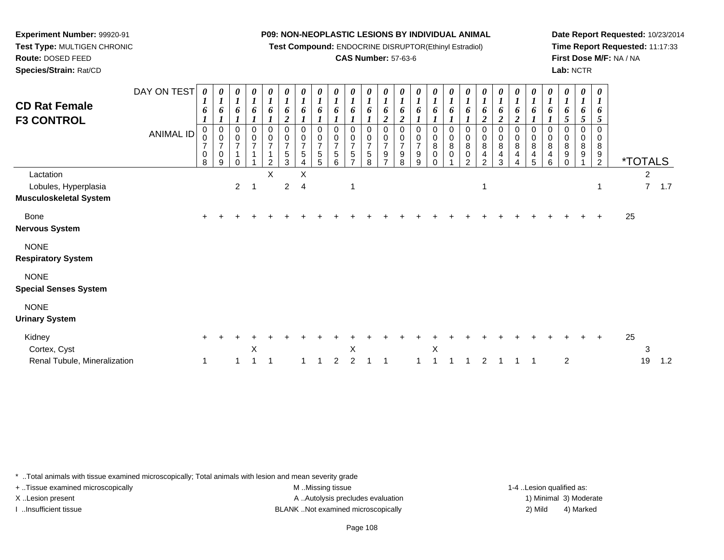**Test Compound:** ENDOCRINE DISRUPTOR(Ethinyl Estradiol)

#### **CAS Number:** 57-63-6

**Date Report Requested:** 10/23/2014**Time Report Requested:** 11:17:33**First Dose M/F:** NA / NA**Lab:** NCTR

| <b>CD Rat Female</b><br><b>F3 CONTROL</b>                   | DAY ON TEST<br><b>ANIMAL ID</b> | $\boldsymbol{\theta}$<br>$\bf{l}$<br>6<br>0<br>0<br>$\overline{7}$<br>0<br>8 | 0<br>1<br>6<br>$\boldsymbol{l}$<br>0<br>$\pmb{0}$<br>$\overline{7}$<br>0<br>9 | 0<br>$\boldsymbol{l}$<br>6<br>1<br>0<br>$\mathsf 0$<br>7<br>0 | 0<br>$\boldsymbol{l}$<br>6<br>$\boldsymbol{l}$<br>$\mathbf 0$<br>$\mathbf 0$<br>$\overline{7}$<br>1 | 0<br>$\boldsymbol{l}$<br>6<br>0<br>$\pmb{0}$<br>$\overline{7}$<br>2 | 0<br>$\boldsymbol{l}$<br>6<br>$\overline{2}$<br>$\mathbf 0$<br>0<br>$\overline{7}$<br>5<br>3 | $\boldsymbol{\theta}$<br>$\boldsymbol{l}$<br>6<br>0<br>0<br>$\overline{7}$<br>5 | $\boldsymbol{\theta}$<br>$\boldsymbol{l}$<br>6<br>$\Omega$<br>0<br>$\overline{7}$<br>5 | $\pmb{\theta}$<br>$\boldsymbol{l}$<br>6<br>$\Omega$<br>$\frac{0}{7}$<br>$\sqrt{5}$<br>6 | $\frac{\theta}{I}$<br>6<br>0<br>0<br>$\overline{7}$<br>$\sqrt{5}$<br>$\overline{ }$ | 0<br>$\boldsymbol{l}$<br>6<br>0<br>0<br>$\overline{7}$<br>$\,$ 5 $\,$<br>8 | 0<br>$\boldsymbol{l}$<br>6<br>$\overline{2}$<br>$\mathbf 0$<br>$\frac{0}{7}$<br>9<br>$\overline{\phantom{a}}$ | $\boldsymbol{\theta}$<br>6<br>2<br>0<br>0<br>$\overline{7}$<br>9<br>8 | $\boldsymbol{\theta}$<br>$\boldsymbol{l}$<br>6<br>$\mathbf 0$<br>$\pmb{0}$<br>$\overline{7}$<br>$\boldsymbol{9}$<br>9 | $\boldsymbol{\theta}$<br>1<br>6<br>1<br>0<br>0<br>8<br>$\pmb{0}$<br>$\Omega$ | 0<br>1<br>6<br>0<br>$\pmb{0}$<br>$\bf 8$<br>0 | 0<br>1<br>6<br>0<br>$\pmb{0}$<br>8<br>$\pmb{0}$<br>2 | 0<br>$\boldsymbol{l}$<br>6<br>$\overline{\mathbf{c}}$<br>0<br>$\pmb{0}$<br>8<br>4<br>2 | 0<br>$\boldsymbol{l}$<br>6<br>$\boldsymbol{2}$<br>$\mathbf 0$<br>$\mathbf 0$<br>8<br>4<br>3 | 0<br>$\boldsymbol{l}$<br>6<br>$\boldsymbol{2}$<br>$\mathbf 0$<br>$\pmb{0}$<br>$\,8\,$<br>4<br>4 | $\boldsymbol{\theta}$<br>$\boldsymbol{l}$<br>6<br>0<br>0<br>8<br>4<br>5 | $\boldsymbol{\theta}$<br>$\boldsymbol{l}$<br>6<br>0<br>8<br>4<br>6 | 0<br>$\boldsymbol{l}$<br>6<br>5<br>0<br>8<br>9 | 0<br>$\boldsymbol{l}$<br>6<br>$\sqrt{5}$<br>0<br>$\pmb{0}$<br>$\bf8$<br>9 | $\boldsymbol{\theta}$<br>6<br>5<br>0<br>0<br>8<br>$\frac{9}{2}$ |    | <i><b>*TOTALS</b></i> |     |
|-------------------------------------------------------------|---------------------------------|------------------------------------------------------------------------------|-------------------------------------------------------------------------------|---------------------------------------------------------------|-----------------------------------------------------------------------------------------------------|---------------------------------------------------------------------|----------------------------------------------------------------------------------------------|---------------------------------------------------------------------------------|----------------------------------------------------------------------------------------|-----------------------------------------------------------------------------------------|-------------------------------------------------------------------------------------|----------------------------------------------------------------------------|---------------------------------------------------------------------------------------------------------------|-----------------------------------------------------------------------|-----------------------------------------------------------------------------------------------------------------------|------------------------------------------------------------------------------|-----------------------------------------------|------------------------------------------------------|----------------------------------------------------------------------------------------|---------------------------------------------------------------------------------------------|-------------------------------------------------------------------------------------------------|-------------------------------------------------------------------------|--------------------------------------------------------------------|------------------------------------------------|---------------------------------------------------------------------------|-----------------------------------------------------------------|----|-----------------------|-----|
| Lactation<br>Lobules, Hyperplasia<br>Musculoskeletal System |                                 |                                                                              |                                                                               | $\overline{2}$                                                | -1                                                                                                  | X                                                                   | $\overline{2}$                                                                               | Χ<br>$\overline{4}$                                                             |                                                                                        |                                                                                         | 1                                                                                   |                                                                            |                                                                                                               |                                                                       |                                                                                                                       |                                                                              |                                               |                                                      | 1                                                                                      |                                                                                             |                                                                                                 |                                                                         |                                                                    |                                                |                                                                           | 1                                                               |    | 2<br>$\overline{7}$   | 1.7 |
| <b>Bone</b><br>Nervous System                               |                                 | +                                                                            |                                                                               |                                                               |                                                                                                     |                                                                     |                                                                                              |                                                                                 |                                                                                        |                                                                                         |                                                                                     |                                                                            |                                                                                                               |                                                                       |                                                                                                                       |                                                                              |                                               |                                                      |                                                                                        |                                                                                             |                                                                                                 |                                                                         |                                                                    |                                                |                                                                           |                                                                 | 25 |                       |     |
| <b>NONE</b><br><b>Respiratory System</b>                    |                                 |                                                                              |                                                                               |                                                               |                                                                                                     |                                                                     |                                                                                              |                                                                                 |                                                                                        |                                                                                         |                                                                                     |                                                                            |                                                                                                               |                                                                       |                                                                                                                       |                                                                              |                                               |                                                      |                                                                                        |                                                                                             |                                                                                                 |                                                                         |                                                                    |                                                |                                                                           |                                                                 |    |                       |     |
| <b>NONE</b><br><b>Special Senses System</b>                 |                                 |                                                                              |                                                                               |                                                               |                                                                                                     |                                                                     |                                                                                              |                                                                                 |                                                                                        |                                                                                         |                                                                                     |                                                                            |                                                                                                               |                                                                       |                                                                                                                       |                                                                              |                                               |                                                      |                                                                                        |                                                                                             |                                                                                                 |                                                                         |                                                                    |                                                |                                                                           |                                                                 |    |                       |     |
| <b>NONE</b><br><b>Urinary System</b>                        |                                 |                                                                              |                                                                               |                                                               |                                                                                                     |                                                                     |                                                                                              |                                                                                 |                                                                                        |                                                                                         |                                                                                     |                                                                            |                                                                                                               |                                                                       |                                                                                                                       |                                                                              |                                               |                                                      |                                                                                        |                                                                                             |                                                                                                 |                                                                         |                                                                    |                                                |                                                                           |                                                                 |    |                       |     |
| Kidney<br>Cortex, Cyst<br>Renal Tubule, Mineralization      |                                 | $+$<br>1                                                                     |                                                                               |                                                               | X                                                                                                   | -1                                                                  |                                                                                              |                                                                                 |                                                                                        | 2                                                                                       | X<br>$\overline{2}$                                                                 |                                                                            | $\overline{1}$                                                                                                |                                                                       |                                                                                                                       | X                                                                            |                                               |                                                      | 2                                                                                      |                                                                                             |                                                                                                 |                                                                         |                                                                    | $\overline{c}$                                 |                                                                           |                                                                 | 25 | 3<br>19               | 1.2 |

\* ..Total animals with tissue examined microscopically; Total animals with lesion and mean severity grade

**Experiment Number:** 99920-91**Test Type:** MULTIGEN CHRONIC

**Route:** DOSED FEED**Species/Strain:** Rat/CD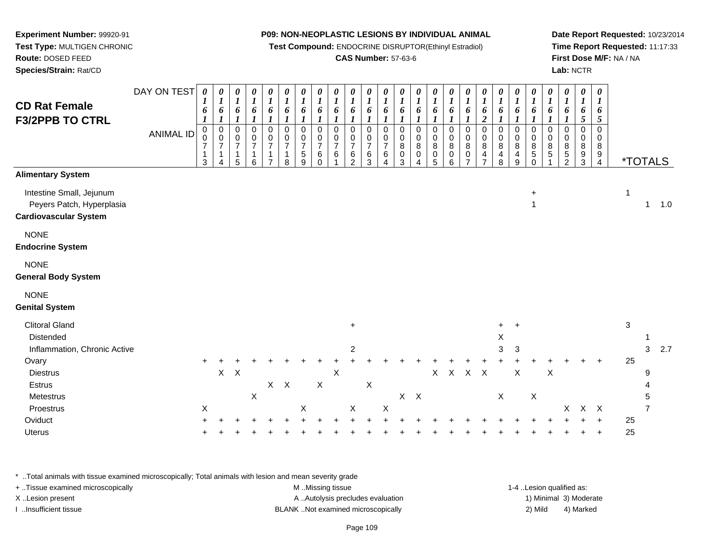**Test Compound:** ENDOCRINE DISRUPTOR(Ethinyl Estradiol)

## **CAS Number:** 57-63-6

**Date Report Requested:** 10/23/2014**Time Report Requested:** 11:17:33**First Dose M/F:** NA / NA**Lab:** NCTR

|                                                                                       | DAY ON TEST      | $\boldsymbol{\theta}$<br>1    | $\boldsymbol{\theta}$<br>1              | 0<br>1                             | $\pmb{\theta}$<br>$\boldsymbol{l}$       | 0<br>$\boldsymbol{l}$                                           | $\pmb{\theta}$<br>$\boldsymbol{l}$ | 0<br>$\boldsymbol{l}$         | 0<br>$\boldsymbol{l}$                | 0<br>$\boldsymbol{l}$              | 0<br>$\boldsymbol{l}$                     | 0<br>$\boldsymbol{l}$         | 0<br>$\boldsymbol{l}$                   | 0<br>$\boldsymbol{l}$     | $\boldsymbol{\theta}$<br>$\boldsymbol{l}$ | 0<br>$\boldsymbol{l}$     | $\boldsymbol{\theta}$<br>$\boldsymbol{l}$ | 0<br>$\boldsymbol{l}$                           | 0<br>$\boldsymbol{l}$                   | 0<br>$\boldsymbol{l}$           | 0<br>$\boldsymbol{l}$     | 0<br>$\boldsymbol{l}$             | 0<br>$\boldsymbol{l}$ | $\boldsymbol{\theta}$<br>$\boldsymbol{l}$        | 0<br>1           | 0<br>1                            |                       |                |     |
|---------------------------------------------------------------------------------------|------------------|-------------------------------|-----------------------------------------|------------------------------------|------------------------------------------|-----------------------------------------------------------------|------------------------------------|-------------------------------|--------------------------------------|------------------------------------|-------------------------------------------|-------------------------------|-----------------------------------------|---------------------------|-------------------------------------------|---------------------------|-------------------------------------------|-------------------------------------------------|-----------------------------------------|---------------------------------|---------------------------|-----------------------------------|-----------------------|--------------------------------------------------|------------------|-----------------------------------|-----------------------|----------------|-----|
| <b>CD Rat Female</b>                                                                  |                  | 6                             | 6                                       | 6                                  | 6                                        | 6                                                               | 6                                  | 6                             | 6                                    | 6                                  | 6                                         | 6                             | 6                                       | 6                         | 6                                         | 6                         | 6                                         | 6                                               | 6                                       | 6                               | 6                         | 6                                 | 6                     | 6                                                | 6                | 6                                 |                       |                |     |
| <b>F3/2PPB TO CTRL</b>                                                                |                  | $\boldsymbol{l}$<br>$\pmb{0}$ | 1<br>$\mathbf 0$                        | $\pmb{0}$                          | 1<br>$\pmb{0}$                           | $\boldsymbol{l}$<br>$\pmb{0}$                                   | $\boldsymbol{l}$<br>$\mbox{O}$     | $\pmb{0}$                     | $\mathbf 0$                          | $\mathbf 0$                        | 0                                         | 0                             | $\boldsymbol{l}$<br>$\mathbf 0$         | $\mathbf{I}$<br>$\pmb{0}$ | $\pmb{0}$                                 | $\mathbf{I}$<br>$\pmb{0}$ | 1<br>$\mathsf 0$                          | 0                                               | $\overline{\mathbf{c}}$<br>$\mathsf 0$  | $\boldsymbol{l}$<br>$\mathbf 0$ | $\mathbf{I}$<br>$\pmb{0}$ | $\mathbf 0$                       | $\mathbf 0$           | $\boldsymbol{l}$<br>$\mathbf 0$                  | 5<br>$\pmb{0}$   | 5<br>$\mathbf 0$                  |                       |                |     |
|                                                                                       | <b>ANIMAL ID</b> | 0<br>$\overline{7}$<br>1<br>3 | $\mathbf 0$<br>$\overline{7}$<br>1<br>4 | $\mathsf 0$<br>$\overline{7}$<br>5 | $\mathbf 0$<br>$\overline{7}$<br>-1<br>6 | $\mathbf 0$<br>$\overline{7}$<br>$\mathbf{1}$<br>$\overline{7}$ | $\mathsf 0$<br>$\overline{7}$<br>8 | 0<br>$\overline{7}$<br>5<br>9 | 0<br>$\overline{7}$<br>6<br>$\Omega$ | $\mathbf 0$<br>$\overline{7}$<br>6 | 0<br>$\overline{7}$<br>6<br>$\mathcal{P}$ | 0<br>$\overline{7}$<br>6<br>3 | $\mathbf 0$<br>$\overline{7}$<br>6<br>Δ | $\pmb{0}$<br>8<br>0<br>3  | $\mathbf 0$<br>8<br>0<br>4                | 0<br>8<br>$\pmb{0}$<br>5  | $\mathbf 0$<br>8<br>0<br>6                | $\mathbf 0$<br>8<br>$\pmb{0}$<br>$\overline{ }$ | $\mathsf 0$<br>8<br>4<br>$\overline{7}$ | $\pmb{0}$<br>8<br>4<br>8        | 0<br>8<br>4<br>9          | $\mathbf 0$<br>8<br>5<br>$\Omega$ | $\mathbf 0$<br>8<br>5 | $\mathbf 0$<br>8<br>$\sqrt{5}$<br>$\overline{2}$ | 0<br>8<br>9<br>3 | $\mathbf 0$<br>8<br>$\frac{9}{4}$ | <i><b>*TOTALS</b></i> |                |     |
| <b>Alimentary System</b>                                                              |                  |                               |                                         |                                    |                                          |                                                                 |                                    |                               |                                      |                                    |                                           |                               |                                         |                           |                                           |                           |                                           |                                                 |                                         |                                 |                           |                                   |                       |                                                  |                  |                                   |                       |                |     |
| Intestine Small, Jejunum<br>Peyers Patch, Hyperplasia<br><b>Cardiovascular System</b> |                  |                               |                                         |                                    |                                          |                                                                 |                                    |                               |                                      |                                    |                                           |                               |                                         |                           |                                           |                           |                                           |                                                 |                                         |                                 |                           | $\ddot{}$<br>1                    |                       |                                                  |                  |                                   | $\mathbf{1}$          | $\mathbf{1}$   | 1.0 |
| <b>NONE</b><br><b>Endocrine System</b>                                                |                  |                               |                                         |                                    |                                          |                                                                 |                                    |                               |                                      |                                    |                                           |                               |                                         |                           |                                           |                           |                                           |                                                 |                                         |                                 |                           |                                   |                       |                                                  |                  |                                   |                       |                |     |
| <b>NONE</b><br><b>General Body System</b>                                             |                  |                               |                                         |                                    |                                          |                                                                 |                                    |                               |                                      |                                    |                                           |                               |                                         |                           |                                           |                           |                                           |                                                 |                                         |                                 |                           |                                   |                       |                                                  |                  |                                   |                       |                |     |
| <b>NONE</b><br><b>Genital System</b>                                                  |                  |                               |                                         |                                    |                                          |                                                                 |                                    |                               |                                      |                                    |                                           |                               |                                         |                           |                                           |                           |                                           |                                                 |                                         |                                 |                           |                                   |                       |                                                  |                  |                                   |                       |                |     |
| <b>Clitoral Gland</b>                                                                 |                  |                               |                                         |                                    |                                          |                                                                 |                                    |                               |                                      |                                    | $\ddot{}$                                 |                               |                                         |                           |                                           |                           |                                           |                                                 |                                         |                                 |                           |                                   |                       |                                                  |                  |                                   | $\mathbf{3}$          |                |     |
| Distended                                                                             |                  |                               |                                         |                                    |                                          |                                                                 |                                    |                               |                                      |                                    |                                           |                               |                                         |                           |                                           |                           |                                           |                                                 |                                         | X                               |                           |                                   |                       |                                                  |                  |                                   |                       |                |     |
| Inflammation, Chronic Active                                                          |                  |                               |                                         |                                    |                                          |                                                                 |                                    |                               |                                      |                                    | $\overline{c}$                            |                               |                                         |                           |                                           |                           |                                           |                                                 |                                         | 3                               | 3                         |                                   |                       |                                                  |                  |                                   |                       | 3              | 2.7 |
| Ovary                                                                                 |                  |                               |                                         |                                    |                                          |                                                                 |                                    |                               |                                      |                                    |                                           |                               |                                         |                           |                                           |                           |                                           |                                                 |                                         |                                 |                           |                                   |                       |                                                  |                  |                                   | 25                    |                |     |
| <b>Diestrus</b>                                                                       |                  |                               | $\mathsf{X}$                            | $\boldsymbol{\mathsf{X}}$          |                                          | $\mathsf X$                                                     | $\mathsf{X}$                       |                               | $\mathsf X$                          | $\sf X$                            |                                           |                               |                                         |                           |                                           | $\mathsf{X}^-$            |                                           | X X X                                           |                                         |                                 | $\boldsymbol{\mathsf{X}}$ |                                   | $\mathsf X$           |                                                  |                  |                                   |                       | 9              |     |
| Estrus<br>Metestrus                                                                   |                  |                               |                                         |                                    | X                                        |                                                                 |                                    |                               |                                      |                                    |                                           | $\sf X$                       |                                         | $X$ $X$                   |                                           |                           |                                           |                                                 |                                         | $\sf X$                         |                           | X                                 |                       |                                                  |                  |                                   |                       | 5              |     |
| Proestrus                                                                             |                  | X                             |                                         |                                    |                                          |                                                                 |                                    | X                             |                                      |                                    | X                                         |                               | $\mathsf X$                             |                           |                                           |                           |                                           |                                                 |                                         |                                 |                           |                                   |                       | X                                                | $X$ $X$          |                                   |                       | $\overline{7}$ |     |
| Oviduct                                                                               |                  |                               |                                         |                                    |                                          |                                                                 |                                    |                               |                                      |                                    |                                           |                               |                                         |                           |                                           |                           |                                           |                                                 |                                         |                                 |                           |                                   |                       |                                                  |                  |                                   | 25                    |                |     |
| <b>Uterus</b>                                                                         |                  |                               |                                         |                                    |                                          |                                                                 |                                    |                               |                                      |                                    |                                           |                               |                                         |                           |                                           |                           |                                           |                                                 |                                         |                                 |                           |                                   |                       |                                                  | $\ddot{}$        | $\ddot{}$                         | 25                    |                |     |

\* ..Total animals with tissue examined microscopically; Total animals with lesion and mean severity grade

**Experiment Number:** 99920-91**Test Type:** MULTIGEN CHRONIC

| + Tissue examined microscopically | M Missing tissue                   | 1-4 Lesion qualified as: |                        |
|-----------------------------------|------------------------------------|--------------------------|------------------------|
| X Lesion present                  | A Autolysis precludes evaluation   |                          | 1) Minimal 3) Moderate |
| Insufficient tissue               | BLANK Not examined microscopically | 2) Mild                  | 4) Marked              |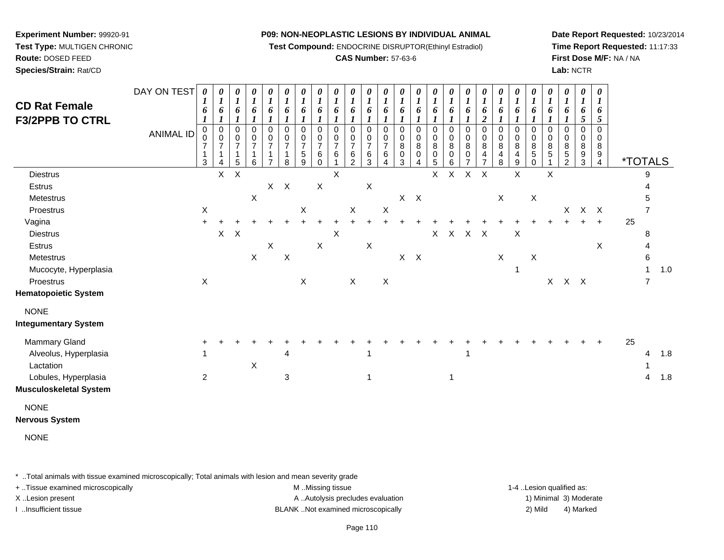**Test Compound:** ENDOCRINE DISRUPTOR(Ethinyl Estradiol)

## **CAS Number:** 57-63-6

**Date Report Requested:** 10/23/2014**Time Report Requested:** 11:17:33**First Dose M/F:** NA / NA**Lab:** NCTR

| <b>CD Rat Female</b><br><b>F3/2PPB TO CTRL</b> | DAY ON TEST<br><b>ANIMAL ID</b> | 0<br>1<br>6<br>$\boldsymbol{l}$<br>0<br>7<br>$\mathbf{1}$<br>$\mathbf{3}$ | 0<br>$\boldsymbol{l}$<br>6<br>$\pmb{0}$<br>$\pmb{0}$<br>$\overline{7}$<br>$\mathbf{1}$<br>4 | 0<br>$\boldsymbol{l}$<br>6<br>0<br>$\mathbf 0$<br>$\overline{7}$<br>$\mathbf{1}$<br>5 | 0<br>$\boldsymbol{l}$<br>6<br>$\pmb{0}$<br>$\mathsf 0$<br>$\boldsymbol{7}$<br>$\mathbf{1}$<br>$\,6\,$ | 0<br>$\boldsymbol{l}$<br>6<br>$\mathbf{I}$<br>0<br>0<br>$\overline{\mathbf{7}}$<br>$\mathbf 1$<br>$\overline{7}$ | 0<br>$\boldsymbol{l}$<br>6<br>$\mathbf 0$<br>$\pmb{0}$<br>$\overline{7}$<br>$\mathbf 1$<br>8 | 0<br>$\boldsymbol{l}$<br>6<br>$\mathbf 0$<br>0<br>$\overline{7}$<br>$\,$ 5 $\,$<br>9 | 0<br>$\boldsymbol{l}$<br>6<br>$\mathbf 0$<br>0<br>$\overline{7}$<br>6<br>$\Omega$ | 0<br>$\boldsymbol{l}$<br>6<br>0<br>0<br>$\overline{7}$<br>6 | 0<br>$\boldsymbol{l}$<br>6<br>0<br>$\mathbf 0$<br>$\overline{7}$<br>6<br>$\overline{2}$ | 0<br>$\boldsymbol{l}$<br>6<br>$\mathbf 0$<br>0<br>$\overline{7}$<br>6<br>$\mathbf{3}$ | 0<br>$\boldsymbol{l}$<br>6<br>$\mathbf 0$<br>0<br>$\overline{7}$<br>6<br>4 | 0<br>$\boldsymbol{l}$<br>6<br>0<br>0<br>8<br>0<br>3 | 0<br>$\boldsymbol{l}$<br>6<br>$\mathbf 0$<br>0<br>$\bf 8$<br>0<br>$\overline{4}$ | 0<br>$\boldsymbol{l}$<br>6<br>$\mathbf 0$<br>0<br>$\bf8$<br>$\pmb{0}$<br>5 | 0<br>$\boldsymbol{l}$<br>6<br>0<br>$\pmb{0}$<br>$\bf8$<br>0<br>6 | 0<br>$\boldsymbol{l}$<br>6<br>0<br>$\mathsf{O}\xspace$<br>$\bf 8$<br>$\pmb{0}$<br>$\overline{7}$ | 0<br>$\boldsymbol{l}$<br>6<br>$\boldsymbol{2}$<br>$\mathbf 0$<br>$\boldsymbol{0}$<br>$\bf 8$<br>$\overline{\mathbf{4}}$<br>$\overline{7}$ | 0<br>$\boldsymbol{l}$<br>6<br>1<br>$\pmb{0}$<br>$\,0\,$<br>$\bf 8$<br>$\overline{\mathbf{4}}$<br>8 | 0<br>$\boldsymbol{l}$<br>6<br>$\mathbf 0$<br>0<br>$\bf 8$<br>$\overline{4}$<br>9 | 0<br>$\boldsymbol{l}$<br>6<br>$\mathbf 0$<br>0<br>$\bf 8$<br>$\sqrt{5}$<br>$\Omega$ | $\boldsymbol{l}$<br>6<br>0<br>0<br>8<br>5 | 0<br>$\boldsymbol{l}$<br>6<br>0<br>0<br>$\bf8$<br>$\,$ 5 $\,$<br>$\mathfrak{p}$ | 0<br>1<br>6<br>5<br>0<br>0<br>8<br>9<br>3 | 0<br>$\bm{l}$<br>6<br>5<br>$\mathbf 0$<br>0<br>8<br>9<br>$\overline{4}$ | <i><b>*TOTALS</b></i> |                |     |
|------------------------------------------------|---------------------------------|---------------------------------------------------------------------------|---------------------------------------------------------------------------------------------|---------------------------------------------------------------------------------------|-------------------------------------------------------------------------------------------------------|------------------------------------------------------------------------------------------------------------------|----------------------------------------------------------------------------------------------|--------------------------------------------------------------------------------------|-----------------------------------------------------------------------------------|-------------------------------------------------------------|-----------------------------------------------------------------------------------------|---------------------------------------------------------------------------------------|----------------------------------------------------------------------------|-----------------------------------------------------|----------------------------------------------------------------------------------|----------------------------------------------------------------------------|------------------------------------------------------------------|--------------------------------------------------------------------------------------------------|-------------------------------------------------------------------------------------------------------------------------------------------|----------------------------------------------------------------------------------------------------|----------------------------------------------------------------------------------|-------------------------------------------------------------------------------------|-------------------------------------------|---------------------------------------------------------------------------------|-------------------------------------------|-------------------------------------------------------------------------|-----------------------|----------------|-----|
| <b>Diestrus</b>                                |                                 |                                                                           | $\mathsf{X}$                                                                                | $\boldsymbol{\mathsf{X}}$                                                             |                                                                                                       |                                                                                                                  |                                                                                              |                                                                                      |                                                                                   | X                                                           |                                                                                         |                                                                                       |                                                                            |                                                     |                                                                                  | X                                                                          | $\pmb{\times}$                                                   | X                                                                                                | $\boldsymbol{\mathsf{X}}$                                                                                                                 |                                                                                                    | $\sf X$                                                                          |                                                                                     | $\times$                                  |                                                                                 |                                           |                                                                         |                       | 9              |     |
| Estrus                                         |                                 |                                                                           |                                                                                             |                                                                                       |                                                                                                       |                                                                                                                  | $X$ $X$                                                                                      |                                                                                      | $\mathsf X$                                                                       |                                                             |                                                                                         | $\mathsf X$                                                                           |                                                                            |                                                     |                                                                                  |                                                                            |                                                                  |                                                                                                  |                                                                                                                                           |                                                                                                    |                                                                                  |                                                                                     |                                           |                                                                                 |                                           |                                                                         |                       |                |     |
| Metestrus                                      |                                 |                                                                           |                                                                                             |                                                                                       | $\mathsf X$                                                                                           |                                                                                                                  |                                                                                              |                                                                                      |                                                                                   |                                                             |                                                                                         |                                                                                       |                                                                            |                                                     | $X$ $X$                                                                          |                                                                            |                                                                  |                                                                                                  |                                                                                                                                           | $\mathsf X$                                                                                        |                                                                                  | $\boldsymbol{\mathsf{X}}$                                                           |                                           |                                                                                 |                                           |                                                                         |                       |                |     |
| Proestrus                                      |                                 | X                                                                         |                                                                                             |                                                                                       |                                                                                                       |                                                                                                                  |                                                                                              | X                                                                                    |                                                                                   |                                                             | X                                                                                       |                                                                                       | $\mathsf X$                                                                |                                                     |                                                                                  |                                                                            |                                                                  |                                                                                                  |                                                                                                                                           |                                                                                                    |                                                                                  |                                                                                     |                                           | X                                                                               |                                           | $X$ $X$                                                                 |                       |                |     |
| Vagina                                         |                                 | $\ddot{}$                                                                 |                                                                                             |                                                                                       |                                                                                                       |                                                                                                                  |                                                                                              |                                                                                      |                                                                                   |                                                             |                                                                                         |                                                                                       |                                                                            |                                                     |                                                                                  |                                                                            |                                                                  |                                                                                                  |                                                                                                                                           |                                                                                                    |                                                                                  |                                                                                     |                                           |                                                                                 |                                           | $+$                                                                     | 25                    |                |     |
| <b>Diestrus</b>                                |                                 |                                                                           | $\mathsf{X}$                                                                                | $\boldsymbol{\mathsf{X}}$                                                             |                                                                                                       |                                                                                                                  |                                                                                              |                                                                                      |                                                                                   | X                                                           |                                                                                         |                                                                                       |                                                                            |                                                     |                                                                                  | $\mathsf{X}$                                                               |                                                                  | X X X                                                                                            |                                                                                                                                           |                                                                                                    | $\boldsymbol{\mathsf{X}}$                                                        |                                                                                     |                                           |                                                                                 |                                           |                                                                         |                       | 8              |     |
| Estrus                                         |                                 |                                                                           |                                                                                             |                                                                                       |                                                                                                       | X                                                                                                                |                                                                                              |                                                                                      | $\mathsf X$                                                                       |                                                             |                                                                                         | X                                                                                     |                                                                            |                                                     |                                                                                  |                                                                            |                                                                  |                                                                                                  |                                                                                                                                           |                                                                                                    |                                                                                  |                                                                                     |                                           |                                                                                 |                                           | X                                                                       |                       |                |     |
| Metestrus                                      |                                 |                                                                           |                                                                                             |                                                                                       | $\mathsf X$                                                                                           |                                                                                                                  | $\boldsymbol{\mathsf{X}}$                                                                    |                                                                                      |                                                                                   |                                                             |                                                                                         |                                                                                       |                                                                            | X                                                   | $\mathsf{X}$                                                                     |                                                                            |                                                                  |                                                                                                  |                                                                                                                                           | $\mathsf X$                                                                                        |                                                                                  | $\boldsymbol{\mathsf{X}}$                                                           |                                           |                                                                                 |                                           |                                                                         |                       | 6              |     |
| Mucocyte, Hyperplasia                          |                                 |                                                                           |                                                                                             |                                                                                       |                                                                                                       |                                                                                                                  |                                                                                              |                                                                                      |                                                                                   |                                                             |                                                                                         |                                                                                       |                                                                            |                                                     |                                                                                  |                                                                            |                                                                  |                                                                                                  |                                                                                                                                           |                                                                                                    | $\mathbf{1}$                                                                     |                                                                                     |                                           |                                                                                 |                                           |                                                                         |                       | $\mathbf{1}$   | 1.0 |
| Proestrus                                      |                                 | $\boldsymbol{\mathsf{X}}$                                                 |                                                                                             |                                                                                       |                                                                                                       |                                                                                                                  |                                                                                              | $\mathsf X$                                                                          |                                                                                   |                                                             | X                                                                                       |                                                                                       | $\mathsf X$                                                                |                                                     |                                                                                  |                                                                            |                                                                  |                                                                                                  |                                                                                                                                           |                                                                                                    |                                                                                  |                                                                                     | $\mathsf X$                               |                                                                                 | $X$ $X$                                   |                                                                         |                       | $\overline{7}$ |     |
| <b>Hematopoietic System</b>                    |                                 |                                                                           |                                                                                             |                                                                                       |                                                                                                       |                                                                                                                  |                                                                                              |                                                                                      |                                                                                   |                                                             |                                                                                         |                                                                                       |                                                                            |                                                     |                                                                                  |                                                                            |                                                                  |                                                                                                  |                                                                                                                                           |                                                                                                    |                                                                                  |                                                                                     |                                           |                                                                                 |                                           |                                                                         |                       |                |     |
| <b>NONE</b>                                    |                                 |                                                                           |                                                                                             |                                                                                       |                                                                                                       |                                                                                                                  |                                                                                              |                                                                                      |                                                                                   |                                                             |                                                                                         |                                                                                       |                                                                            |                                                     |                                                                                  |                                                                            |                                                                  |                                                                                                  |                                                                                                                                           |                                                                                                    |                                                                                  |                                                                                     |                                           |                                                                                 |                                           |                                                                         |                       |                |     |
| <b>Integumentary System</b>                    |                                 |                                                                           |                                                                                             |                                                                                       |                                                                                                       |                                                                                                                  |                                                                                              |                                                                                      |                                                                                   |                                                             |                                                                                         |                                                                                       |                                                                            |                                                     |                                                                                  |                                                                            |                                                                  |                                                                                                  |                                                                                                                                           |                                                                                                    |                                                                                  |                                                                                     |                                           |                                                                                 |                                           |                                                                         |                       |                |     |
| Mammary Gland                                  |                                 |                                                                           |                                                                                             |                                                                                       |                                                                                                       |                                                                                                                  |                                                                                              |                                                                                      |                                                                                   |                                                             |                                                                                         |                                                                                       |                                                                            |                                                     |                                                                                  |                                                                            |                                                                  |                                                                                                  |                                                                                                                                           |                                                                                                    |                                                                                  |                                                                                     |                                           |                                                                                 |                                           |                                                                         | 25                    |                |     |
| Alveolus, Hyperplasia                          |                                 |                                                                           |                                                                                             |                                                                                       |                                                                                                       |                                                                                                                  | 4                                                                                            |                                                                                      |                                                                                   |                                                             |                                                                                         |                                                                                       |                                                                            |                                                     |                                                                                  |                                                                            |                                                                  | 1                                                                                                |                                                                                                                                           |                                                                                                    |                                                                                  |                                                                                     |                                           |                                                                                 |                                           |                                                                         |                       | 4              | 1.8 |
| Lactation                                      |                                 |                                                                           |                                                                                             |                                                                                       | $\mathsf X$                                                                                           |                                                                                                                  |                                                                                              |                                                                                      |                                                                                   |                                                             |                                                                                         |                                                                                       |                                                                            |                                                     |                                                                                  |                                                                            |                                                                  |                                                                                                  |                                                                                                                                           |                                                                                                    |                                                                                  |                                                                                     |                                           |                                                                                 |                                           |                                                                         |                       |                |     |
| Lobules, Hyperplasia                           |                                 | $\overline{2}$                                                            |                                                                                             |                                                                                       |                                                                                                       |                                                                                                                  | $\mathfrak{S}$                                                                               |                                                                                      |                                                                                   |                                                             |                                                                                         |                                                                                       |                                                                            |                                                     |                                                                                  |                                                                            | -1                                                               |                                                                                                  |                                                                                                                                           |                                                                                                    |                                                                                  |                                                                                     |                                           |                                                                                 |                                           |                                                                         |                       | $\overline{4}$ | 1.8 |
| <b>Musculoskeletal System</b>                  |                                 |                                                                           |                                                                                             |                                                                                       |                                                                                                       |                                                                                                                  |                                                                                              |                                                                                      |                                                                                   |                                                             |                                                                                         |                                                                                       |                                                                            |                                                     |                                                                                  |                                                                            |                                                                  |                                                                                                  |                                                                                                                                           |                                                                                                    |                                                                                  |                                                                                     |                                           |                                                                                 |                                           |                                                                         |                       |                |     |
| <b>NONE</b>                                    |                                 |                                                                           |                                                                                             |                                                                                       |                                                                                                       |                                                                                                                  |                                                                                              |                                                                                      |                                                                                   |                                                             |                                                                                         |                                                                                       |                                                                            |                                                     |                                                                                  |                                                                            |                                                                  |                                                                                                  |                                                                                                                                           |                                                                                                    |                                                                                  |                                                                                     |                                           |                                                                                 |                                           |                                                                         |                       |                |     |
| <b>Nervous System</b>                          |                                 |                                                                           |                                                                                             |                                                                                       |                                                                                                       |                                                                                                                  |                                                                                              |                                                                                      |                                                                                   |                                                             |                                                                                         |                                                                                       |                                                                            |                                                     |                                                                                  |                                                                            |                                                                  |                                                                                                  |                                                                                                                                           |                                                                                                    |                                                                                  |                                                                                     |                                           |                                                                                 |                                           |                                                                         |                       |                |     |
| <b>NONE</b>                                    |                                 |                                                                           |                                                                                             |                                                                                       |                                                                                                       |                                                                                                                  |                                                                                              |                                                                                      |                                                                                   |                                                             |                                                                                         |                                                                                       |                                                                            |                                                     |                                                                                  |                                                                            |                                                                  |                                                                                                  |                                                                                                                                           |                                                                                                    |                                                                                  |                                                                                     |                                           |                                                                                 |                                           |                                                                         |                       |                |     |

\* ..Total animals with tissue examined microscopically; Total animals with lesion and mean severity grade

**Experiment Number:** 99920-91**Test Type:** MULTIGEN CHRONIC

**Route:** DOSED FEED**Species/Strain:** Rat/CD

+ ..Tissue examined microscopically examined microscopically examined as:  $M$  ..Missing tissue 1-4 ..Lesion qualified as: X..Lesion present **A ..Autolysis precludes evaluation** A ..Autolysis precludes evaluation 1) Minimal 3) Moderate

I ..Insufficient tissue BLANK ..Not examined microscopically 2) Mild 4) Marked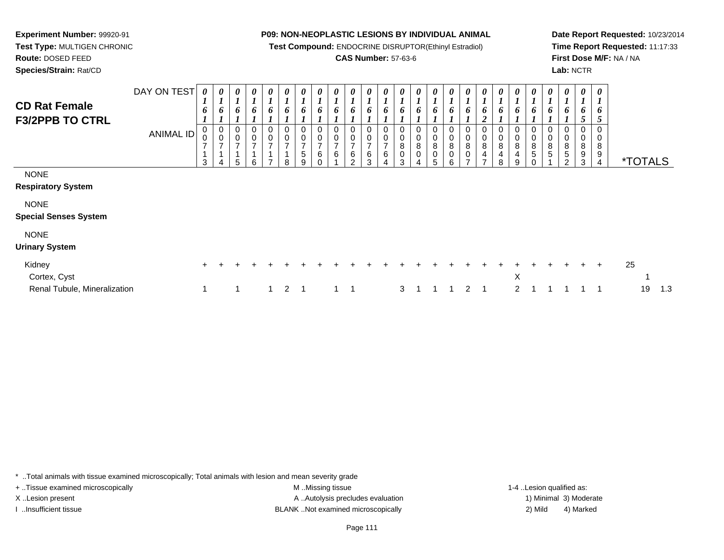**Test Compound:** ENDOCRINE DISRUPTOR(Ethinyl Estradiol)

## **CAS Number:** 57-63-6

**Date Report Requested:** 10/23/2014**Time Report Requested:** 11:17:33**First Dose M/F:** NA / NA**Lab:** NCTR

| <b>CD Rat Female</b><br><b>F3/2PPB TO CTRL</b> | DAY ON TEST<br><b>ANIMAL ID</b> | $\boldsymbol{\theta}$<br>$\mathbf{I}$<br>6<br>0<br>0<br>$\overline{ }$<br>3 | 0<br>$\overline{I}$<br>$\pmb{0}$ | $\boldsymbol{\theta}$<br>$\mathbf{I}$<br>0<br>0<br>⇁ | 0<br>1<br>6<br>0<br>0<br>$\overline{\phantom{0}}$<br>ี | $\boldsymbol{\theta}$<br>$\boldsymbol{l}$<br>6<br>0<br>0<br>$\overline{ }$ | $\boldsymbol{\theta}$<br>$\boldsymbol{l}$<br>6<br>$\mathbf 0$<br>0<br>7<br>$\Omega$ | 0<br>6<br>0<br>$\pmb{0}$<br>$\overline{ }$<br>$\,$ 5 $\,$<br>9 | 0<br>6<br>0<br>$\pmb{0}$<br>$\overline{ }$<br>6 | 0<br>$\mathbf{I}$<br>$\overline{ }$<br>6 | $\boldsymbol{\theta}$<br>$\bm{o}$<br>0<br>$\overline{7}$<br>$\,6$<br>$\Omega$ | $\frac{\theta}{I}$<br>6<br>0<br>0<br>$\overline{z}$<br>$\,6\,$<br>3 | $\boldsymbol{\theta}$<br>6<br>0<br>0<br>$\overline{7}$<br>$\,6\,$ | $\boldsymbol{\theta}$<br>$\boldsymbol{l}$<br>6<br>0<br>0<br>8<br>$\pmb{0}$<br>3 | $\boldsymbol{\theta}$<br>$\mathbf{I}$<br>6<br>0<br>0<br>8<br>$\pmb{0}$ | 0<br>$\mathbf{I}$<br>6<br>0<br>0<br>8<br>$\mathbf 0$<br>5 | $\boldsymbol{\theta}$<br>$\mathbf{I}$<br>6<br>0<br>0<br>8<br>0<br>6 | $\boldsymbol{\theta}$<br>$\boldsymbol{l}$<br>8 | 0<br>6<br>$\overline{2}$<br>0<br>0<br>8<br>4<br>⇁ | $\boldsymbol{\theta}$<br>$\mathbf{I}$<br>6<br>0<br>0<br>$\bf 8$<br>4<br>8 | $\boldsymbol{\theta}$<br>$\mathbf I$<br>6<br>0<br>0<br>8<br>4<br>9 | $\boldsymbol{\theta}$<br>$\boldsymbol{l}$<br>$\bm{o}$<br>$\boldsymbol{0}$<br>$\, 8$<br>$\sqrt{5}$ | 0<br>6<br>0<br>$\,0\,$<br>$\bf8$<br>$\sqrt{5}$ | $\boldsymbol{\theta}$<br>$\boldsymbol{I}$<br>o<br>0<br>0<br>8<br>$\overline{5}$<br>$\mathfrak{p}$ | 0<br>1<br>8<br>9<br>3 | $\boldsymbol{\theta}$<br>7<br>6<br>5<br>0<br>0<br>8<br>9<br>$\overline{4}$ |    | <i><b>*TOTALS</b></i> |     |
|------------------------------------------------|---------------------------------|-----------------------------------------------------------------------------|----------------------------------|------------------------------------------------------|--------------------------------------------------------|----------------------------------------------------------------------------|-------------------------------------------------------------------------------------|----------------------------------------------------------------|-------------------------------------------------|------------------------------------------|-------------------------------------------------------------------------------|---------------------------------------------------------------------|-------------------------------------------------------------------|---------------------------------------------------------------------------------|------------------------------------------------------------------------|-----------------------------------------------------------|---------------------------------------------------------------------|------------------------------------------------|---------------------------------------------------|---------------------------------------------------------------------------|--------------------------------------------------------------------|---------------------------------------------------------------------------------------------------|------------------------------------------------|---------------------------------------------------------------------------------------------------|-----------------------|----------------------------------------------------------------------------|----|-----------------------|-----|
| <b>NONE</b><br><b>Respiratory System</b>       |                                 |                                                                             |                                  |                                                      |                                                        |                                                                            |                                                                                     |                                                                |                                                 |                                          |                                                                               |                                                                     |                                                                   |                                                                                 |                                                                        |                                                           |                                                                     |                                                |                                                   |                                                                           |                                                                    |                                                                                                   |                                                |                                                                                                   |                       |                                                                            |    |                       |     |
| <b>NONE</b><br><b>Special Senses System</b>    |                                 |                                                                             |                                  |                                                      |                                                        |                                                                            |                                                                                     |                                                                |                                                 |                                          |                                                                               |                                                                     |                                                                   |                                                                                 |                                                                        |                                                           |                                                                     |                                                |                                                   |                                                                           |                                                                    |                                                                                                   |                                                |                                                                                                   |                       |                                                                            |    |                       |     |
| <b>NONE</b><br><b>Urinary System</b>           |                                 |                                                                             |                                  |                                                      |                                                        |                                                                            |                                                                                     |                                                                |                                                 |                                          |                                                                               |                                                                     |                                                                   |                                                                                 |                                                                        |                                                           |                                                                     |                                                |                                                   |                                                                           |                                                                    |                                                                                                   |                                                |                                                                                                   |                       |                                                                            |    |                       |     |
| Kidney<br>Cortex, Cyst                         |                                 | $\ddot{}$                                                                   |                                  |                                                      |                                                        |                                                                            |                                                                                     |                                                                |                                                 |                                          |                                                                               |                                                                     |                                                                   |                                                                                 |                                                                        |                                                           |                                                                     |                                                |                                                   |                                                                           | X                                                                  |                                                                                                   |                                                |                                                                                                   |                       | $\ddot{}$                                                                  | 25 |                       |     |
| Renal Tubule, Mineralization                   |                                 | 1                                                                           |                                  |                                                      |                                                        | 1                                                                          | 2                                                                                   | -1                                                             |                                                 |                                          | $\overline{\phantom{a}}$                                                      |                                                                     |                                                                   | 3                                                                               |                                                                        |                                                           |                                                                     |                                                |                                                   |                                                                           | 2                                                                  |                                                                                                   |                                                |                                                                                                   |                       |                                                                            |    | 19                    | 1.3 |

\* ..Total animals with tissue examined microscopically; Total animals with lesion and mean severity grade

**Experiment Number:** 99920-91**Test Type:** MULTIGEN CHRONIC

**Route:** DOSED FEED**Species/Strain:** Rat/CD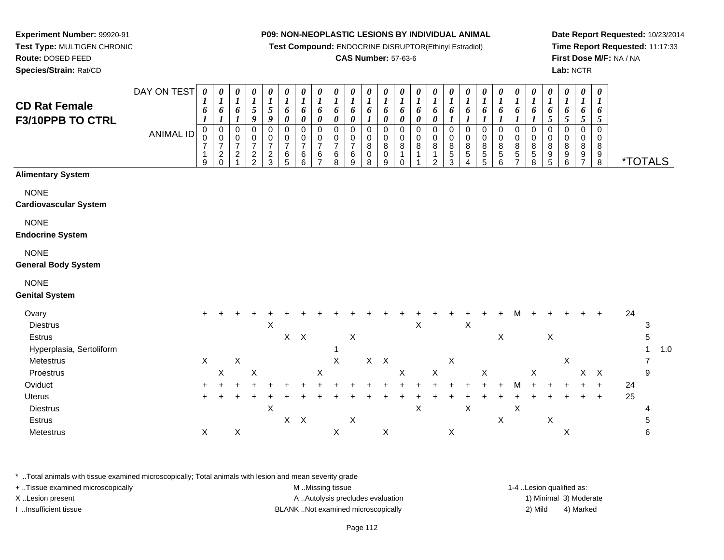**Test Compound:** ENDOCRINE DISRUPTOR(Ethinyl Estradiol)

## **CAS Number:** 57-63-6

**Date Report Requested:** 10/23/2014**Time Report Requested:** 11:17:33**First Dose M/F:** NA / NA**Lab:** NCTR

<sup>+</sup> <sup>+</sup> <sup>+</sup> <sup>+</sup> + 24

| <b>CD Rat Female</b><br>F3/10PPB TO CTRL    | DAY ON TEST<br><b>ANIMAL ID</b> | $\boldsymbol{\theta}$<br>6<br>0<br>9 | U<br>$\boldsymbol{l}$<br>6<br>0<br>0<br>7<br>$\overline{c}$<br>$\Omega$ | 0<br>6<br>0<br>0<br>7<br>$\overline{c}$ | 0<br>5<br>9<br>0<br>0<br>7<br>$\frac{2}{2}$ | 0<br>$\boldsymbol{l}$<br>$\sqrt{5}$<br>9<br>0<br>0<br>$\overline{7}$<br>$\frac{2}{3}$ | 0<br>$\boldsymbol{l}$<br>6<br>0<br>0<br>0<br>$\overline{7}$<br>6<br>5 | 0<br>6<br>$\boldsymbol{\theta}$<br>0<br>0<br>$\overline{7}$<br>6<br>6 | 0<br>6<br>$\boldsymbol{\theta}$<br>0<br>0<br>$\overline{7}$<br>6 | 0<br>6<br>0<br>0<br>0<br>7<br>6<br>8 | 1<br>0<br>$\Omega$<br>0<br>7<br>6<br>9 | $\boldsymbol{\theta}$<br>6<br>ı<br>0<br>0<br>8<br>0<br>8 | 0<br>6<br>0<br>0<br>0<br>8<br>0<br>9 | 0<br>6<br>0<br>0<br>0<br>8 | 0<br>6<br>0<br>0<br>0<br>8 | $\boldsymbol{\theta}$<br>0<br>0<br>0<br>8<br>$\mathfrak{p}$ | $\boldsymbol{\theta}$<br>6<br>0<br>0<br>8<br>$\,$ 5 $\,$<br>3 | $\boldsymbol{\theta}$<br>0<br>0<br>0<br>8<br>5<br>4 | 0<br>6<br>0<br>0<br>8<br>5<br>5 | $\boldsymbol{\theta}$<br>6<br>0<br>0<br>8<br>5<br>6 | 0<br>6<br>0<br>$_{8}^{\rm 0}$<br>$\sqrt{5}$ | 0<br>6<br>0<br>0<br>8<br>5<br>8 | 0<br>6<br>5<br>0<br>0<br>8<br>9<br>5 | 0<br>6<br>5<br>0<br>0<br>8<br>9<br>6 | 0<br>6<br>5<br>0<br>0<br>8<br>9<br>$\overline{ }$ | 0<br>$\bm{o}$<br>5<br>0<br>0<br>8<br>9<br>8 |    | <i><b>*TOTALS</b></i> |     |
|---------------------------------------------|---------------------------------|--------------------------------------|-------------------------------------------------------------------------|-----------------------------------------|---------------------------------------------|---------------------------------------------------------------------------------------|-----------------------------------------------------------------------|-----------------------------------------------------------------------|------------------------------------------------------------------|--------------------------------------|----------------------------------------|----------------------------------------------------------|--------------------------------------|----------------------------|----------------------------|-------------------------------------------------------------|---------------------------------------------------------------|-----------------------------------------------------|---------------------------------|-----------------------------------------------------|---------------------------------------------|---------------------------------|--------------------------------------|--------------------------------------|---------------------------------------------------|---------------------------------------------|----|-----------------------|-----|
| <b>Alimentary System</b>                    |                                 |                                      |                                                                         |                                         |                                             |                                                                                       |                                                                       |                                                                       |                                                                  |                                      |                                        |                                                          |                                      |                            |                            |                                                             |                                                               |                                                     |                                 |                                                     |                                             |                                 |                                      |                                      |                                                   |                                             |    |                       |     |
| <b>NONE</b><br><b>Cardiovascular System</b> |                                 |                                      |                                                                         |                                         |                                             |                                                                                       |                                                                       |                                                                       |                                                                  |                                      |                                        |                                                          |                                      |                            |                            |                                                             |                                                               |                                                     |                                 |                                                     |                                             |                                 |                                      |                                      |                                                   |                                             |    |                       |     |
| <b>NONE</b><br><b>Endocrine System</b>      |                                 |                                      |                                                                         |                                         |                                             |                                                                                       |                                                                       |                                                                       |                                                                  |                                      |                                        |                                                          |                                      |                            |                            |                                                             |                                                               |                                                     |                                 |                                                     |                                             |                                 |                                      |                                      |                                                   |                                             |    |                       |     |
| <b>NONE</b><br><b>General Body System</b>   |                                 |                                      |                                                                         |                                         |                                             |                                                                                       |                                                                       |                                                                       |                                                                  |                                      |                                        |                                                          |                                      |                            |                            |                                                             |                                                               |                                                     |                                 |                                                     |                                             |                                 |                                      |                                      |                                                   |                                             |    |                       |     |
| <b>NONE</b><br><b>Genital System</b>        |                                 |                                      |                                                                         |                                         |                                             |                                                                                       |                                                                       |                                                                       |                                                                  |                                      |                                        |                                                          |                                      |                            |                            |                                                             |                                                               |                                                     |                                 |                                                     |                                             |                                 |                                      |                                      |                                                   |                                             |    |                       |     |
| Ovary<br><b>Diestrus</b>                    |                                 | $\ddot{}$                            |                                                                         |                                         |                                             | X                                                                                     |                                                                       |                                                                       |                                                                  |                                      |                                        |                                                          |                                      |                            | X                          |                                                             |                                                               | $\boldsymbol{\mathsf{X}}$                           |                                 |                                                     | м                                           |                                 |                                      |                                      |                                                   | $^{+}$                                      | 24 | 3                     |     |
| Estrus<br>Hyperplasia, Sertoliform          |                                 |                                      |                                                                         |                                         |                                             |                                                                                       |                                                                       | $X$ $X$                                                               |                                                                  |                                      | X                                      |                                                          |                                      |                            |                            |                                                             |                                                               |                                                     |                                 | X                                                   |                                             |                                 | Χ                                    |                                      |                                                   |                                             |    | 5                     | 1.0 |
| <b>Metestrus</b>                            |                                 | $\times$                             |                                                                         | $\mathsf{X}$                            |                                             |                                                                                       |                                                                       |                                                                       |                                                                  | X                                    |                                        |                                                          | X X                                  |                            |                            |                                                             | X                                                             |                                                     |                                 |                                                     |                                             |                                 |                                      | $\times$                             |                                                   |                                             |    | $\overline{7}$        |     |

\* ..Total animals with tissue examined microscopically; Total animals with lesion and mean severity grade

s  $X$ 

s  $X$ 

 $\mathfrak{t}$  +

<sup>+</sup>

 $\mathsf{x}$ 

 $\mathsf{s}$  X

 $\mathsf{s}$  X

**Experiment Number:** 99920-91**Test Type:** MULTIGEN CHRONIC

**Route:** DOSED FEED**Species/Strain:** Rat/CD

**Proestrus** 

**Oviduct** 

Uterus

**Diestrus** 

**Metestrus** 

Estrus

+ ..Tissue examined microscopically examined microscopically examined as:  $M$  ..Missing tissue 1-4 ..Lesion qualified as: X..Lesion present **A ..Autolysis precludes evaluation** A ..Autolysis precludes evaluation 1) Minimal 3) Moderate I ..Insufficient tissue BLANK ..Not examined microscopically 2) Mild 4) Marked

<sup>+</sup> <sup>+</sup> <sup>+</sup> <sup>+</sup> <sup>+</sup> <sup>+</sup> <sup>+</sup> <sup>+</sup> <sup>+</sup> <sup>+</sup> <sup>+</sup> <sup>+</sup> <sup>+</sup> <sup>+</sup> <sup>+</sup> <sup>+</sup> <sup>+</sup> <sup>+</sup> <sup>M</sup>

 $X$  X X X X X X X X X X 7

 $X$  X  $X$  X  $X$  X  $\geq$  6

<sup>+</sup> <sup>+</sup> <sup>+</sup> <sup>+</sup> <sup>+</sup> <sup>+</sup> <sup>+</sup> <sup>+</sup> <sup>+</sup> <sup>+</sup> <sup>+</sup> <sup>+</sup> <sup>+</sup> <sup>+</sup> <sup>+</sup> <sup>+</sup> <sup>+</sup> <sup>+</sup> <sup>+</sup> <sup>+</sup> <sup>+</sup> <sup>+</sup> <sup>+</sup> + 25

 $X$  X  $X$  X  $X$  X  $X$  X  $X$  9

 $X$   $X$   $X$   $X$   $4$ 

 $X$  X  $X$  5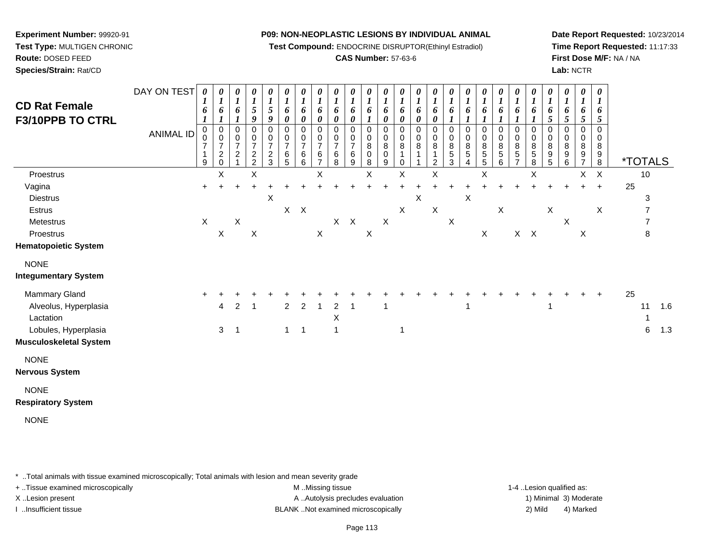**Test Compound:** ENDOCRINE DISRUPTOR(Ethinyl Estradiol)

#### **CAS Number:** 57-63-6

**Date Report Requested:** 10/23/2014**Time Report Requested:** 11:17:33**First Dose M/F:** NA / NA**Lab:** NCTR

DAY ON TEST**CD Rat Female F3/10PPB TO CTRL**ANIMAL ID*0 1 6 1* 0 0 7 1 9*0 1 6 1* 0 0 7 2 0 $\boldsymbol{\mathsf{X}}$ *0 1 6 1* 0 0 7 2 1*0 1 5 9* 0 0 7 2 2 $\sf X$ *0 1 5 9* 0 0 7 2 3*0 1 6 0* 0 0 7 6 5*0 1 6 0* 0 0 7 6 6*0 1 6 0* 0 0 7 6 7 $\pmb{\times}$ *0 1 6 0* 0 0 7 6 8*0 1 6 0* 0 0 7 6 9*0 1 6 1* 0 0 8 0 8 $\sf X$ *0 1 6 0* 0 0 8 0 9*0 1 6 0* 0 0 8 1 0 $\boldsymbol{\mathsf{X}}$ *0 1 6 0* 0 0 8 1 1*0 1 6 0* 0 0 8 1 2X *0 1 6 1* 0 0 8 5 3*0 1 6 1* 0 0 8 5 4*0 1 6 1* 0 0 8 5 5X *0 1 6 1* 0 0 8 5 6*0 1 6 1* 0 0 8 5 7*0 1 6 1* 0 0 8 5 8X *0 1 6 5* 0 0 8 9 5*0 1 6 5* 0 0 8 9 6*0 1 6 5* 0 0 8 9 7 $X$   $X$ *0 1 6 5* 0 0 8 9 $\check{8}$ 8 \*TOTALSProestrus $\mathsf{x}$ X X X X X X X X X X X 10 Vaginaa  $+$  <sup>+</sup> <sup>+</sup> <sup>+</sup> <sup>+</sup> <sup>+</sup> <sup>+</sup> <sup>+</sup> <sup>+</sup> <sup>+</sup> <sup>+</sup> <sup>+</sup> <sup>+</sup> <sup>+</sup> <sup>+</sup> <sup>+</sup> <sup>+</sup> <sup>+</sup> <sup>+</sup> <sup>+</sup> <sup>+</sup> <sup>+</sup> <sup>+</sup> <sup>+</sup> + 25 **Diestrus**  $\mathsf{x}$  $X$   $X$   $X$  3 **Estrus** s  $X$  $X$  X  $X$  X  $X$  X  $X$  7 **Metestrus**  $\mathsf{x}$  $X$  X X X X X X X X  $X$  X X 7 Proestrus $\mathsf{x}$  $X$  X  $X$  X  $X$  X  $X$  X  $X$  8 **Hematopoietic System**NONE **Integumentary System**Mammary Glandd  $+$  <sup>+</sup> <sup>+</sup> <sup>+</sup> <sup>+</sup> <sup>+</sup> <sup>+</sup> <sup>+</sup> <sup>+</sup> <sup>+</sup> <sup>+</sup> <sup>+</sup> <sup>+</sup> <sup>+</sup> <sup>+</sup> <sup>+</sup> <sup>+</sup> <sup>+</sup> <sup>+</sup> <sup>+</sup> <sup>+</sup> <sup>+</sup> <sup>+</sup> <sup>+</sup> + 25 Alveolus, Hyperplasia <sup>4</sup> <sup>2</sup> <sup>1</sup> <sup>2</sup> <sup>2</sup> <sup>1</sup> <sup>2</sup> <sup>1</sup> <sup>1</sup> <sup>1</sup> <sup>1</sup> <sup>11</sup> 1.6 **Lactation** n  $X$  $\chi$  1 Lobules, Hyperplasiaa 3 1 1 1 1 1 1 1 6 1.3 **Musculoskeletal System**NONE **Nervous System**NONE **Respiratory System**NONE

\* ..Total animals with tissue examined microscopically; Total animals with lesion and mean severity grade

**Experiment Number:** 99920-91**Test Type:** MULTIGEN CHRONIC

**Route:** DOSED FEED**Species/Strain:** Rat/CD

+ ..Tissue examined microscopically examined microscopically examined as: M ..Missing tissue 1-4 ..Lesion qualified as: X..Lesion present **A ..**Autolysis precludes evaluation A ..Autolysis precludes evaluation 1) Minimal 3) Moderate

I ..Insufficient tissue BLANK ..Not examined microscopically 2) Mild 4) Marked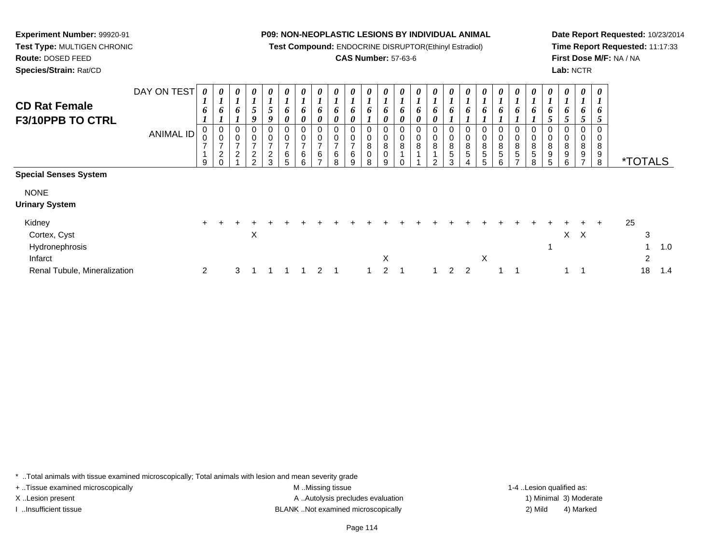**Test Compound:** ENDOCRINE DISRUPTOR(Ethinyl Estradiol)

## **CAS Number:** 57-63-6

**Date Report Requested:** 10/23/2014**Time Report Requested:** 11:17:33**First Dose M/F:** NA / NA**Lab:** NCTR

|                              | DAY ON TEST      | $\boldsymbol{\theta}$ | U<br>$\boldsymbol{l}$            | $\boldsymbol{\theta}$             | 0                              | $\boldsymbol{\theta}$<br>$\boldsymbol{l}$ | $\boldsymbol{\theta}$ | $\boldsymbol{\theta}$ | $\boldsymbol{\theta}$ | $\boldsymbol{\theta}$ | U      | U      | $\boldsymbol{\theta}$ | $\boldsymbol{\theta}$ | $\boldsymbol{\theta}$ | $\boldsymbol{\theta}$ | $\boldsymbol{\theta}$ | $\boldsymbol{\theta}$ | $\boldsymbol{\theta}$ | $\boldsymbol{\mathit{U}}$  | $\boldsymbol{\theta}$ | 0      | $\boldsymbol{\theta}$ | $\boldsymbol{\theta}$ | 0                     | $\boldsymbol{\theta}$ |                       |    |     |
|------------------------------|------------------|-----------------------|----------------------------------|-----------------------------------|--------------------------------|-------------------------------------------|-----------------------|-----------------------|-----------------------|-----------------------|--------|--------|-----------------------|-----------------------|-----------------------|-----------------------|-----------------------|-----------------------|-----------------------|----------------------------|-----------------------|--------|-----------------------|-----------------------|-----------------------|-----------------------|-----------------------|----|-----|
| <b>CD Rat Female</b>         |                  | $\mathbf{I}$<br>6     | o                                | $\mathbf{I}$<br>6                 | $\mathbf{I}$<br>5 <sup>5</sup> | $\sqrt{5}$                                | $\mathbf{I}$<br>6     | 6                     | 6                     | $\mathbf{I}$<br>6     | 1<br>0 | 6      | 6                     | 6                     | 6                     | $\bm{o}$              | 6                     | $\mathbf{I}$<br>6     | $\mathbf{I}$<br>6     | $\overline{ }$<br>$\bm{o}$ | $\mathbf{I}$<br>6     | 6      | $\mathbf{I}$<br>6     | $\mathbf I$<br>6      | 6                     | 6                     |                       |    |     |
| F3/10PPB TO CTRL             |                  |                       |                                  |                                   | 9                              | 9                                         | $\boldsymbol{\theta}$ | 0                     | $\boldsymbol{\theta}$ | 0                     | U      |        | 0                     | 0                     |                       |                       |                       |                       |                       |                            |                       |        | 5                     | 5                     | 5                     |                       |                       |    |     |
|                              | <b>ANIMAL ID</b> | 0                     | 0                                | 0                                 | 0                              | 0                                         |                       | 0                     | 0                     | 0                     |        | 0      | 0                     | 0                     |                       |                       |                       | 0                     |                       | 0                          | 0                     |        |                       |                       | 0                     |                       |                       |    |     |
|                              |                  | $\rightarrow$         |                                  | $\boldsymbol{0}$<br>$\rightarrow$ | 0<br>$\overline{\phantom{a}}$  | 0<br>$\overline{ }$                       | $\mathbf 0$           | 0<br>$\overline{ }$   | 0<br>$\overline{ }$   | 0<br>$\overline{ }$   | ⇁      | 0      | 0                     | 0                     | 0                     |                       | 0                     | 0                     | 0                     | $\pmb{0}$                  | $\pmb{0}$             | 0      | 0                     |                       | 0                     |                       |                       |    |     |
|                              |                  |                       | $\overline{7}$<br>$\overline{2}$ | $\overline{c}$                    |                                |                                           | $\overline{7}$<br>6   | 6                     | 6                     | 6                     | 6      | 8<br>0 | 8<br>0                | 8                     | 8                     | 8                     | 8<br>$\sqrt{5}$       | 8<br>$\sqrt{5}$       | 8<br>$\sqrt{5}$       | 8<br>5                     | 8<br>$\sqrt{5}$       | 8<br>5 | 8<br>$\boldsymbol{9}$ | 8<br>9                | 8<br>$\boldsymbol{9}$ | 8<br>9                |                       |    |     |
|                              |                  | 9                     |                                  |                                   | $\frac{2}{2}$                  | $\frac{2}{3}$                             | 5                     | 6                     |                       | 8                     | 9      | 8      | 9                     |                       |                       | $\sim$                | 3                     |                       | 5                     | 6                          | $\overline{ }$        | 8      | 5                     | 6                     | $\overline{ }$        | 8                     | <i><b>*TOTALS</b></i> |    |     |
| <b>Special Senses System</b> |                  |                       |                                  |                                   |                                |                                           |                       |                       |                       |                       |        |        |                       |                       |                       |                       |                       |                       |                       |                            |                       |        |                       |                       |                       |                       |                       |    |     |
| <b>NONE</b>                  |                  |                       |                                  |                                   |                                |                                           |                       |                       |                       |                       |        |        |                       |                       |                       |                       |                       |                       |                       |                            |                       |        |                       |                       |                       |                       |                       |    |     |
| <b>Urinary System</b>        |                  |                       |                                  |                                   |                                |                                           |                       |                       |                       |                       |        |        |                       |                       |                       |                       |                       |                       |                       |                            |                       |        |                       |                       |                       |                       |                       |    |     |
| Kidney                       |                  | $\pm$                 |                                  |                                   |                                |                                           |                       |                       |                       |                       |        |        |                       |                       |                       |                       |                       |                       |                       |                            |                       |        |                       |                       |                       | $\pm$                 | 25                    |    |     |
| Cortex, Cyst                 |                  |                       |                                  |                                   | X                              |                                           |                       |                       |                       |                       |        |        |                       |                       |                       |                       |                       |                       |                       |                            |                       |        |                       |                       | $X$ $X$               |                       |                       | 3  |     |
| Hydronephrosis               |                  |                       |                                  |                                   |                                |                                           |                       |                       |                       |                       |        |        |                       |                       |                       |                       |                       |                       |                       |                            |                       |        |                       |                       |                       |                       |                       |    | 1.0 |
| Infarct                      |                  |                       |                                  |                                   |                                |                                           |                       |                       |                       |                       |        |        | X                     |                       |                       |                       |                       |                       | X                     |                            |                       |        |                       |                       |                       |                       |                       | 2  |     |
| Renal Tubule, Mineralization |                  | 2                     |                                  | 3                                 |                                |                                           |                       |                       |                       |                       |        |        | $\mathcal{P}$         | и                     |                       |                       | $\overline{2}$        | $\overline{2}$        |                       |                            |                       |        |                       |                       |                       |                       |                       | 18 | 1.4 |
|                              |                  |                       |                                  |                                   |                                |                                           |                       |                       |                       |                       |        |        |                       |                       |                       |                       |                       |                       |                       |                            |                       |        |                       |                       |                       |                       |                       |    |     |

\* ..Total animals with tissue examined microscopically; Total animals with lesion and mean severity grade

**Experiment Number:** 99920-91**Test Type:** MULTIGEN CHRONIC

**Route:** DOSED FEED**Species/Strain:** Rat/CD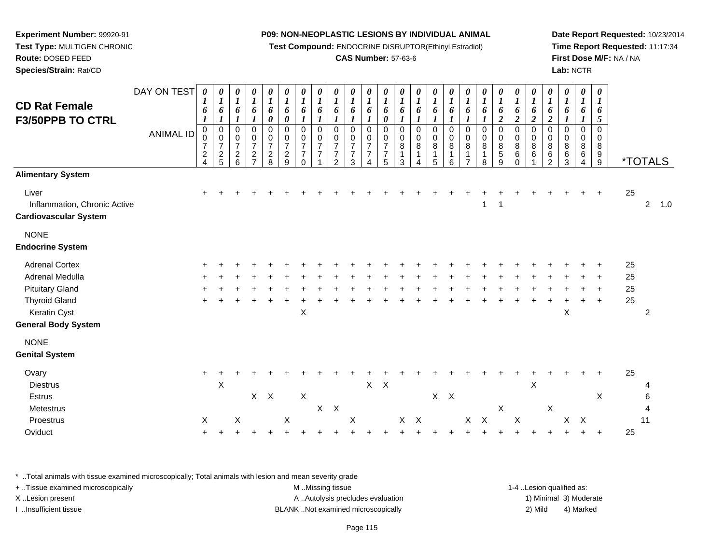**Test Compound:** ENDOCRINE DISRUPTOR(Ethinyl Estradiol)

## **CAS Number:** 57-63-6

**Date Report Requested:** 10/23/2014**Time Report Requested:** 11:17:34**First Dose M/F:** NA / NA**Lab:** NCTR

| <b>CD Rat Female</b><br><b>F3/50PPB TO CTRL</b>                       | DAY ON TEST<br><b>ANIMAL ID</b> | 1<br>6<br>$\boldsymbol{l}$<br>$\pmb{0}$<br>0<br>7<br>$\boldsymbol{2}$ | 0<br>$\boldsymbol{l}$<br>6<br>$\boldsymbol{l}$<br>$\pmb{0}$<br>$\mathbf 0$<br>$\boldsymbol{7}$ | 0<br>$\boldsymbol{l}$<br>6<br>$\boldsymbol{l}$<br>$\pmb{0}$<br>$\pmb{0}$<br>$\overline{7}$<br>$\overline{\mathbf{c}}$ | 0<br>$\boldsymbol{l}$<br>$\pmb{6}$<br>$\boldsymbol{l}$<br>$\pmb{0}$<br>$\pmb{0}$<br>$\overline{7}$<br>$\overline{\mathbf{c}}$ | 0<br>$\boldsymbol{l}$<br>6<br>$\boldsymbol{\theta}$<br>$\pmb{0}$<br>$\pmb{0}$<br>$\overline{7}$<br>$\boldsymbol{2}$ | $\boldsymbol{\theta}$<br>$\boldsymbol{l}$<br>6<br>$\pmb{\theta}$<br>$\pmb{0}$<br>$\pmb{0}$<br>$\overline{7}$<br>$\sqrt{2}$ | $\boldsymbol{\theta}$<br>$\boldsymbol{l}$<br>6<br>$\mathbf 0$<br>$\mathbf 0$<br>$\overline{7}$<br>$\overline{7}$ | $\boldsymbol{\theta}$<br>$\boldsymbol{l}$<br>6<br>$\boldsymbol{l}$<br>$\mathbf 0$<br>0<br>$\overline{7}$<br>$\overline{7}$ | 0<br>$\boldsymbol{l}$<br>6<br>$\boldsymbol{l}$<br>$\mathbf 0$<br>$\mathbf 0$<br>$\overline{7}$<br>$\overline{7}$ | 0<br>$\boldsymbol{l}$<br>6<br>$\boldsymbol{l}$<br>$\pmb{0}$<br>$\pmb{0}$<br>$\overline{7}$<br>$\overline{7}$ | 0<br>$\boldsymbol{l}$<br>6<br>$\boldsymbol{l}$<br>0<br>$\mathsf{O}$<br>$\overline{7}$<br>$\overline{7}$ | 0<br>$\boldsymbol{l}$<br>6<br>$\pmb{\theta}$<br>0<br>$\pmb{0}$<br>$\overline{7}$<br>$\overline{7}$ | $\boldsymbol{\theta}$<br>$\boldsymbol{l}$<br>6<br>$\boldsymbol{l}$<br>$\pmb{0}$<br>$\pmb{0}$<br>$\bf 8$<br>$\mathbf{1}$ | 0<br>$\boldsymbol{l}$<br>6<br>$\boldsymbol{l}$<br>$\pmb{0}$<br>$\mathbf 0$<br>$\bf 8$<br>$\mathbf{1}$ | 0<br>$\boldsymbol{l}$<br>6<br>$\boldsymbol{l}$<br>$\pmb{0}$<br>$\boldsymbol{0}$<br>$\bf 8$<br>$\mathbf{1}$ | 0<br>$\boldsymbol{l}$<br>6<br>$\boldsymbol{l}$<br>$\boldsymbol{0}$<br>0<br>8<br>$\mathbf{1}$ | $\boldsymbol{\theta}$<br>$\boldsymbol{l}$<br>6<br>1<br>$\pmb{0}$<br>$\pmb{0}$<br>8<br>1 | 0<br>$\boldsymbol{l}$<br>6<br>0<br>$\pmb{0}$<br>$\,8\,$<br>$\mathbf{1}$ | 0<br>$\boldsymbol{\mathit{1}}$<br>6<br>$\boldsymbol{2}$<br>$\pmb{0}$<br>$\mathbf 0$<br>$\bf 8$<br>$\sqrt{5}$ | 0<br>$\boldsymbol{l}$<br>6<br>$\overline{\mathbf{c}}$<br>$\mathsf 0$<br>$\pmb{0}$<br>8<br>6 | 0<br>$\boldsymbol{I}$<br>6<br>$\boldsymbol{2}$<br>$\pmb{0}$<br>$\pmb{0}$<br>8<br>6 | 0<br>$\boldsymbol{I}$<br>6<br>$\boldsymbol{2}$<br>$\pmb{0}$<br>0<br>8<br>6 | 0<br>$\boldsymbol{l}$<br>6<br>$\boldsymbol{l}$<br>0<br>0<br>8<br>6 | 0<br>$\boldsymbol{l}$<br>6<br>$\boldsymbol{l}$<br>0<br>0<br>8<br>6 | 0<br>$\boldsymbol{l}$<br>6<br>$\mathfrak{s}$<br>$\pmb{0}$<br>0<br>8<br>9 |    |                       |     |
|-----------------------------------------------------------------------|---------------------------------|-----------------------------------------------------------------------|------------------------------------------------------------------------------------------------|-----------------------------------------------------------------------------------------------------------------------|-------------------------------------------------------------------------------------------------------------------------------|---------------------------------------------------------------------------------------------------------------------|----------------------------------------------------------------------------------------------------------------------------|------------------------------------------------------------------------------------------------------------------|----------------------------------------------------------------------------------------------------------------------------|------------------------------------------------------------------------------------------------------------------|--------------------------------------------------------------------------------------------------------------|---------------------------------------------------------------------------------------------------------|----------------------------------------------------------------------------------------------------|-------------------------------------------------------------------------------------------------------------------------|-------------------------------------------------------------------------------------------------------|------------------------------------------------------------------------------------------------------------|----------------------------------------------------------------------------------------------|-----------------------------------------------------------------------------------------|-------------------------------------------------------------------------|--------------------------------------------------------------------------------------------------------------|---------------------------------------------------------------------------------------------|------------------------------------------------------------------------------------|----------------------------------------------------------------------------|--------------------------------------------------------------------|--------------------------------------------------------------------|--------------------------------------------------------------------------|----|-----------------------|-----|
|                                                                       |                                 | $\overline{4}$                                                        | $\frac{2}{5}$                                                                                  | 6                                                                                                                     | $\overline{7}$                                                                                                                | 8                                                                                                                   | 9                                                                                                                          | $\Omega$                                                                                                         |                                                                                                                            | $\mathcal{P}$                                                                                                    | 3                                                                                                            | 4                                                                                                       | 5                                                                                                  | 3                                                                                                                       | 4                                                                                                     | 5                                                                                                          | 6                                                                                            | ⇁                                                                                       | 8                                                                       | 9                                                                                                            | $\Omega$                                                                                    |                                                                                    | $\mathcal{P}$                                                              | 3                                                                  | 4                                                                  | 9                                                                        |    | <i><b>*TOTALS</b></i> |     |
| <b>Alimentary System</b>                                              |                                 |                                                                       |                                                                                                |                                                                                                                       |                                                                                                                               |                                                                                                                     |                                                                                                                            |                                                                                                                  |                                                                                                                            |                                                                                                                  |                                                                                                              |                                                                                                         |                                                                                                    |                                                                                                                         |                                                                                                       |                                                                                                            |                                                                                              |                                                                                         |                                                                         |                                                                                                              |                                                                                             |                                                                                    |                                                                            |                                                                    |                                                                    |                                                                          |    |                       |     |
| Liver<br>Inflammation, Chronic Active<br><b>Cardiovascular System</b> |                                 |                                                                       |                                                                                                |                                                                                                                       |                                                                                                                               |                                                                                                                     |                                                                                                                            |                                                                                                                  |                                                                                                                            |                                                                                                                  |                                                                                                              |                                                                                                         |                                                                                                    |                                                                                                                         |                                                                                                       |                                                                                                            |                                                                                              |                                                                                         | 1                                                                       | -1                                                                                                           |                                                                                             |                                                                                    |                                                                            |                                                                    |                                                                    |                                                                          | 25 | $\overline{2}$        | 1.0 |
| <b>NONE</b>                                                           |                                 |                                                                       |                                                                                                |                                                                                                                       |                                                                                                                               |                                                                                                                     |                                                                                                                            |                                                                                                                  |                                                                                                                            |                                                                                                                  |                                                                                                              |                                                                                                         |                                                                                                    |                                                                                                                         |                                                                                                       |                                                                                                            |                                                                                              |                                                                                         |                                                                         |                                                                                                              |                                                                                             |                                                                                    |                                                                            |                                                                    |                                                                    |                                                                          |    |                       |     |
| <b>Endocrine System</b>                                               |                                 |                                                                       |                                                                                                |                                                                                                                       |                                                                                                                               |                                                                                                                     |                                                                                                                            |                                                                                                                  |                                                                                                                            |                                                                                                                  |                                                                                                              |                                                                                                         |                                                                                                    |                                                                                                                         |                                                                                                       |                                                                                                            |                                                                                              |                                                                                         |                                                                         |                                                                                                              |                                                                                             |                                                                                    |                                                                            |                                                                    |                                                                    |                                                                          |    |                       |     |
| <b>Adrenal Cortex</b>                                                 |                                 |                                                                       |                                                                                                |                                                                                                                       |                                                                                                                               |                                                                                                                     |                                                                                                                            |                                                                                                                  |                                                                                                                            |                                                                                                                  |                                                                                                              |                                                                                                         |                                                                                                    |                                                                                                                         |                                                                                                       |                                                                                                            |                                                                                              |                                                                                         |                                                                         |                                                                                                              |                                                                                             |                                                                                    |                                                                            |                                                                    |                                                                    |                                                                          | 25 |                       |     |
| Adrenal Medulla                                                       |                                 |                                                                       |                                                                                                |                                                                                                                       |                                                                                                                               |                                                                                                                     |                                                                                                                            |                                                                                                                  |                                                                                                                            |                                                                                                                  |                                                                                                              |                                                                                                         |                                                                                                    |                                                                                                                         |                                                                                                       |                                                                                                            |                                                                                              |                                                                                         |                                                                         |                                                                                                              |                                                                                             |                                                                                    |                                                                            |                                                                    |                                                                    |                                                                          | 25 |                       |     |
| <b>Pituitary Gland</b>                                                |                                 |                                                                       |                                                                                                |                                                                                                                       |                                                                                                                               |                                                                                                                     |                                                                                                                            |                                                                                                                  |                                                                                                                            |                                                                                                                  |                                                                                                              |                                                                                                         |                                                                                                    |                                                                                                                         |                                                                                                       |                                                                                                            |                                                                                              |                                                                                         |                                                                         |                                                                                                              |                                                                                             |                                                                                    |                                                                            |                                                                    |                                                                    |                                                                          | 25 |                       |     |
| <b>Thyroid Gland</b>                                                  |                                 |                                                                       |                                                                                                |                                                                                                                       |                                                                                                                               |                                                                                                                     |                                                                                                                            |                                                                                                                  |                                                                                                                            |                                                                                                                  |                                                                                                              |                                                                                                         |                                                                                                    |                                                                                                                         |                                                                                                       |                                                                                                            |                                                                                              |                                                                                         |                                                                         |                                                                                                              |                                                                                             |                                                                                    |                                                                            |                                                                    |                                                                    | $\ddot{}$                                                                | 25 |                       |     |
| Keratin Cyst                                                          |                                 |                                                                       |                                                                                                |                                                                                                                       |                                                                                                                               |                                                                                                                     |                                                                                                                            | X                                                                                                                |                                                                                                                            |                                                                                                                  |                                                                                                              |                                                                                                         |                                                                                                    |                                                                                                                         |                                                                                                       |                                                                                                            |                                                                                              |                                                                                         |                                                                         |                                                                                                              |                                                                                             |                                                                                    |                                                                            | $\pmb{\times}$                                                     |                                                                    |                                                                          |    | $\overline{2}$        |     |
| <b>General Body System</b>                                            |                                 |                                                                       |                                                                                                |                                                                                                                       |                                                                                                                               |                                                                                                                     |                                                                                                                            |                                                                                                                  |                                                                                                                            |                                                                                                                  |                                                                                                              |                                                                                                         |                                                                                                    |                                                                                                                         |                                                                                                       |                                                                                                            |                                                                                              |                                                                                         |                                                                         |                                                                                                              |                                                                                             |                                                                                    |                                                                            |                                                                    |                                                                    |                                                                          |    |                       |     |
| <b>NONE</b>                                                           |                                 |                                                                       |                                                                                                |                                                                                                                       |                                                                                                                               |                                                                                                                     |                                                                                                                            |                                                                                                                  |                                                                                                                            |                                                                                                                  |                                                                                                              |                                                                                                         |                                                                                                    |                                                                                                                         |                                                                                                       |                                                                                                            |                                                                                              |                                                                                         |                                                                         |                                                                                                              |                                                                                             |                                                                                    |                                                                            |                                                                    |                                                                    |                                                                          |    |                       |     |
| <b>Genital System</b>                                                 |                                 |                                                                       |                                                                                                |                                                                                                                       |                                                                                                                               |                                                                                                                     |                                                                                                                            |                                                                                                                  |                                                                                                                            |                                                                                                                  |                                                                                                              |                                                                                                         |                                                                                                    |                                                                                                                         |                                                                                                       |                                                                                                            |                                                                                              |                                                                                         |                                                                         |                                                                                                              |                                                                                             |                                                                                    |                                                                            |                                                                    |                                                                    |                                                                          |    |                       |     |
| Ovary                                                                 |                                 | +                                                                     |                                                                                                |                                                                                                                       |                                                                                                                               |                                                                                                                     |                                                                                                                            |                                                                                                                  |                                                                                                                            |                                                                                                                  |                                                                                                              |                                                                                                         |                                                                                                    |                                                                                                                         |                                                                                                       |                                                                                                            |                                                                                              |                                                                                         |                                                                         |                                                                                                              |                                                                                             |                                                                                    |                                                                            |                                                                    |                                                                    |                                                                          | 25 |                       |     |
| <b>Diestrus</b>                                                       |                                 |                                                                       | Χ                                                                                              |                                                                                                                       |                                                                                                                               |                                                                                                                     |                                                                                                                            |                                                                                                                  |                                                                                                                            |                                                                                                                  |                                                                                                              | $\mathsf{X}$                                                                                            | $\boldsymbol{\mathsf{X}}$                                                                          |                                                                                                                         |                                                                                                       |                                                                                                            |                                                                                              |                                                                                         |                                                                         |                                                                                                              |                                                                                             | X                                                                                  |                                                                            |                                                                    |                                                                    |                                                                          |    |                       |     |
| Estrus                                                                |                                 |                                                                       |                                                                                                |                                                                                                                       | X                                                                                                                             | $\boldsymbol{\mathsf{X}}$                                                                                           |                                                                                                                            | $\mathsf{X}$                                                                                                     |                                                                                                                            |                                                                                                                  |                                                                                                              |                                                                                                         |                                                                                                    |                                                                                                                         |                                                                                                       | X                                                                                                          | $\mathsf{X}$                                                                                 |                                                                                         |                                                                         |                                                                                                              |                                                                                             |                                                                                    |                                                                            |                                                                    |                                                                    | X                                                                        |    | 6                     |     |
| Metestrus                                                             |                                 |                                                                       |                                                                                                |                                                                                                                       |                                                                                                                               |                                                                                                                     |                                                                                                                            |                                                                                                                  | X                                                                                                                          | $\boldsymbol{\mathsf{X}}$                                                                                        |                                                                                                              |                                                                                                         |                                                                                                    |                                                                                                                         |                                                                                                       |                                                                                                            |                                                                                              |                                                                                         |                                                                         | X                                                                                                            |                                                                                             |                                                                                    | $\pmb{\times}$                                                             |                                                                    |                                                                    |                                                                          |    | 4                     |     |
| Proestrus                                                             |                                 | X                                                                     |                                                                                                | Χ                                                                                                                     |                                                                                                                               |                                                                                                                     | X                                                                                                                          |                                                                                                                  |                                                                                                                            |                                                                                                                  | Χ                                                                                                            |                                                                                                         |                                                                                                    | $\mathsf X$                                                                                                             | $\mathsf{X}$                                                                                          |                                                                                                            |                                                                                              | $\mathsf{X}$                                                                            | $\boldsymbol{\mathsf{X}}$                                               |                                                                                                              | $\sf X$                                                                                     |                                                                                    |                                                                            | X                                                                  | $\boldsymbol{\mathsf{X}}$                                          |                                                                          |    | 11                    |     |
| Oviduct                                                               |                                 |                                                                       |                                                                                                |                                                                                                                       |                                                                                                                               |                                                                                                                     |                                                                                                                            |                                                                                                                  |                                                                                                                            |                                                                                                                  |                                                                                                              |                                                                                                         |                                                                                                    |                                                                                                                         |                                                                                                       |                                                                                                            |                                                                                              |                                                                                         |                                                                         |                                                                                                              |                                                                                             |                                                                                    |                                                                            |                                                                    |                                                                    | $\overline{ }$                                                           | 25 |                       |     |

\* ..Total animals with tissue examined microscopically; Total animals with lesion and mean severity grade

**Experiment Number:** 99920-91**Test Type:** MULTIGEN CHRONIC

| + Tissue examined microscopically | M Missing tissue                  | 1-4 Lesion qualified as: |                        |
|-----------------------------------|-----------------------------------|--------------------------|------------------------|
| X Lesion present                  | A Autolysis precludes evaluation  |                          | 1) Minimal 3) Moderate |
| lnsufficient tissue               | BLANKNot examined microscopically | 2) Mild                  | 4) Marked              |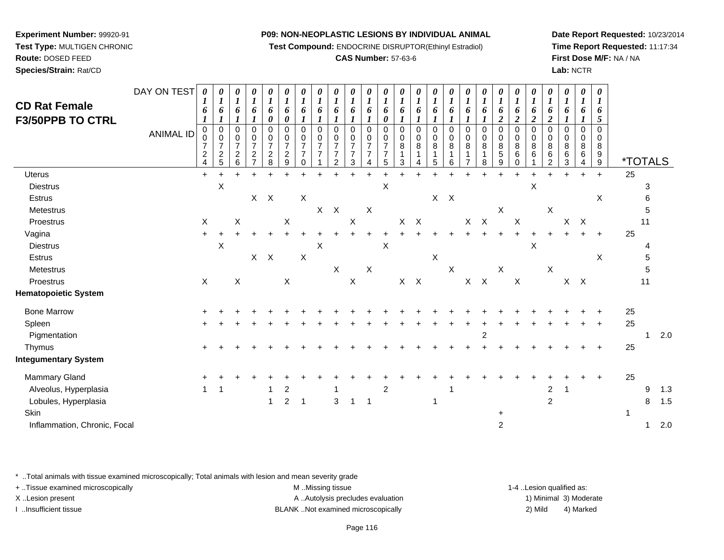**Test Compound:** ENDOCRINE DISRUPTOR(Ethinyl Estradiol)

## **CAS Number:** 57-63-6

**Date Report Requested:** 10/23/2014**Time Report Requested:** 11:17:34**First Dose M/F:** NA / NA**Lab:** NCTR

<sup>1</sup> 2.0

| <b>CD Rat Female</b><br><b>F3/50PPB TO CTRL</b> | DAY ON TEST<br><b>ANIMAL ID</b> | 0<br>6<br>0<br>$\overline{7}$<br>$\overline{\mathbf{c}}$<br>4 | 0<br>6<br>$\pmb{0}$<br>$\pmb{0}$<br>$\overline{7}$<br>$\overline{c}$<br>5 | $\pmb{\theta}$<br>1<br>6<br>$\pmb{0}$<br>$\frac{0}{7}$<br>$\overline{c}$<br>$\,6$ | $\boldsymbol{\theta}$<br>$\boldsymbol{l}$<br>6<br>0<br>0<br>$\overline{7}$<br>$\overline{c}$<br>$\overline{7}$ | $\pmb{\theta}$<br>$\boldsymbol{l}$<br>6<br>0<br>0<br>$\pmb{0}$<br>$\overline{7}$<br>$\overline{c}$<br>8 | 0<br>1<br>6<br>0<br>$\mathbf 0$<br>$\mathbf 0$<br>$\overline{7}$<br>$\overline{a}$<br>9 | 0<br>$\boldsymbol{l}$<br>6<br>$\mathbf 0$<br>$\mathbf 0$<br>$\overline{7}$<br>7<br>$\Omega$ | 0<br>$\boldsymbol{l}$<br>6<br>$\mathbf 0$<br>0<br>$\overline{7}$ | 0<br>$\boldsymbol{l}$<br>6<br>$\mathbf 0$<br>0<br>$\overline{7}$<br>$\overline{2}$ | 0<br>$\boldsymbol{l}$<br>6<br>$\Omega$<br>$\Omega$<br>$\overline{7}$<br>3 | 0<br>$\boldsymbol{l}$<br>6<br>0<br>0<br>$\overline{7}$ | $\pmb{\theta}$<br>$\boldsymbol{l}$<br>6<br>0<br>0<br>$\mathbf 0$<br>$\overline{7}$<br>$\overline{7}$<br>5 | 0<br>1<br>6<br>0<br>0<br>8<br>3 | 0<br>6<br>0<br>0<br>8 | 0<br>6<br>$\Omega$<br>$\Omega$<br>8<br>1<br>5 | 0<br>6<br>$\Omega$<br>0<br>8<br>6 | 0<br>$\boldsymbol{l}$<br>6<br>$\mathbf 0$<br>0<br>8 | 0<br>$\boldsymbol{l}$<br>6<br>0<br>0<br>8<br>8 | 0<br>6<br>$\overline{\mathbf{c}}$<br>$\mathbf 0$<br>$\mathbf 0$<br>8<br>5<br>9 | $\pmb{\theta}$<br>$\boldsymbol{l}$<br>6<br>$\overline{\mathbf{c}}$<br>$\pmb{0}$<br>$\pmb{0}$<br>8<br>6<br>$\mathbf 0$ | 0<br>6<br>$\overline{c}$<br>$\mathbf 0$<br>$\mathbf 0$<br>8<br>6 | 0<br>$\boldsymbol{l}$<br>6<br>$\overline{2}$<br>$\mathbf 0$<br>0<br>8<br>6<br>$\overline{2}$ | $\boldsymbol{\theta}$<br>$\boldsymbol{l}$<br>6<br>$\mathbf 0$<br>$\mathbf 0$<br>8<br>6<br>3 | $\boldsymbol{\theta}$<br>$\boldsymbol{l}$<br>6<br>0<br>$\mathbf 0$<br>8<br>6<br>4 | $\boldsymbol{\theta}$<br>$\boldsymbol{l}$<br>6<br>5<br>$\Omega$<br>0<br>8<br>9<br>9 |    |    | <i><b>*TOTALS</b></i> |
|-------------------------------------------------|---------------------------------|---------------------------------------------------------------|---------------------------------------------------------------------------|-----------------------------------------------------------------------------------|----------------------------------------------------------------------------------------------------------------|---------------------------------------------------------------------------------------------------------|-----------------------------------------------------------------------------------------|---------------------------------------------------------------------------------------------|------------------------------------------------------------------|------------------------------------------------------------------------------------|---------------------------------------------------------------------------|--------------------------------------------------------|-----------------------------------------------------------------------------------------------------------|---------------------------------|-----------------------|-----------------------------------------------|-----------------------------------|-----------------------------------------------------|------------------------------------------------|--------------------------------------------------------------------------------|-----------------------------------------------------------------------------------------------------------------------|------------------------------------------------------------------|----------------------------------------------------------------------------------------------|---------------------------------------------------------------------------------------------|-----------------------------------------------------------------------------------|-------------------------------------------------------------------------------------|----|----|-----------------------|
| <b>Uterus</b>                                   |                                 | $\ddot{}$                                                     | $\ddot{}$                                                                 |                                                                                   |                                                                                                                |                                                                                                         |                                                                                         |                                                                                             |                                                                  |                                                                                    |                                                                           |                                                        |                                                                                                           |                                 |                       |                                               |                                   |                                                     |                                                |                                                                                |                                                                                                                       |                                                                  |                                                                                              |                                                                                             | $\ddot{}$                                                                         | $\ddot{}$                                                                           | 25 |    |                       |
| <b>Diestrus</b>                                 |                                 |                                                               | $\mathsf X$                                                               |                                                                                   |                                                                                                                |                                                                                                         |                                                                                         |                                                                                             |                                                                  |                                                                                    |                                                                           |                                                        | X                                                                                                         |                                 |                       |                                               |                                   |                                                     |                                                |                                                                                |                                                                                                                       | X                                                                |                                                                                              |                                                                                             |                                                                                   |                                                                                     |    | 3  |                       |
| Estrus                                          |                                 |                                                               |                                                                           |                                                                                   |                                                                                                                | $X$ $X$                                                                                                 |                                                                                         | $\mathsf X$                                                                                 |                                                                  |                                                                                    |                                                                           |                                                        |                                                                                                           |                                 |                       |                                               | $X$ $X$                           |                                                     |                                                |                                                                                |                                                                                                                       |                                                                  |                                                                                              |                                                                                             |                                                                                   | X                                                                                   |    | 6  |                       |
| Metestrus                                       |                                 |                                                               |                                                                           |                                                                                   |                                                                                                                |                                                                                                         |                                                                                         |                                                                                             | X                                                                | $\boldsymbol{\mathsf{X}}$                                                          |                                                                           | $\mathsf X$                                            |                                                                                                           |                                 |                       |                                               |                                   |                                                     |                                                | $\mathsf X$                                                                    |                                                                                                                       |                                                                  | X                                                                                            |                                                                                             |                                                                                   |                                                                                     |    | 5  |                       |
| Proestrus                                       |                                 | X                                                             |                                                                           | X                                                                                 |                                                                                                                |                                                                                                         | $\boldsymbol{\mathsf{X}}$                                                               |                                                                                             |                                                                  |                                                                                    | $\boldsymbol{\mathsf{X}}$                                                 |                                                        |                                                                                                           |                                 | $X$ $X$               |                                               |                                   |                                                     | $X$ $X$                                        |                                                                                | $\boldsymbol{\mathsf{X}}$                                                                                             |                                                                  |                                                                                              |                                                                                             | $X$ $X$                                                                           |                                                                                     |    | 11 |                       |
| Vagina                                          |                                 | +                                                             |                                                                           |                                                                                   |                                                                                                                |                                                                                                         |                                                                                         |                                                                                             |                                                                  |                                                                                    |                                                                           |                                                        |                                                                                                           |                                 |                       |                                               |                                   |                                                     |                                                |                                                                                |                                                                                                                       |                                                                  |                                                                                              |                                                                                             |                                                                                   | $+$                                                                                 | 25 |    |                       |
| <b>Diestrus</b>                                 |                                 |                                                               | $\mathsf X$                                                               |                                                                                   |                                                                                                                |                                                                                                         |                                                                                         |                                                                                             | $\pmb{\times}$                                                   |                                                                                    |                                                                           |                                                        | X                                                                                                         |                                 |                       |                                               |                                   |                                                     |                                                |                                                                                |                                                                                                                       | X                                                                |                                                                                              |                                                                                             |                                                                                   |                                                                                     |    | 4  |                       |
| Estrus                                          |                                 |                                                               |                                                                           |                                                                                   |                                                                                                                | $X$ $X$                                                                                                 |                                                                                         | $\mathsf X$                                                                                 |                                                                  |                                                                                    |                                                                           |                                                        |                                                                                                           |                                 |                       | X                                             |                                   |                                                     |                                                |                                                                                |                                                                                                                       |                                                                  |                                                                                              |                                                                                             |                                                                                   | X                                                                                   |    | 5  |                       |
| Metestrus                                       |                                 |                                                               |                                                                           |                                                                                   |                                                                                                                |                                                                                                         |                                                                                         |                                                                                             |                                                                  | $\mathsf X$                                                                        |                                                                           | $\mathsf X$                                            |                                                                                                           |                                 |                       |                                               | $\boldsymbol{\mathsf{X}}$         |                                                     |                                                | $\mathsf X$                                                                    |                                                                                                                       |                                                                  | $\mathsf X$                                                                                  |                                                                                             |                                                                                   |                                                                                     |    | 5  |                       |
| Proestrus                                       |                                 | $\sf X$                                                       |                                                                           | X                                                                                 |                                                                                                                |                                                                                                         | $\boldsymbol{\mathsf{X}}$                                                               |                                                                                             |                                                                  |                                                                                    | $\mathsf X$                                                               |                                                        |                                                                                                           |                                 | $X$ $X$               |                                               |                                   |                                                     | $X$ $X$                                        |                                                                                | $\mathsf X$                                                                                                           |                                                                  |                                                                                              |                                                                                             | $X$ $X$                                                                           |                                                                                     |    | 11 |                       |
| <b>Hematopoietic System</b>                     |                                 |                                                               |                                                                           |                                                                                   |                                                                                                                |                                                                                                         |                                                                                         |                                                                                             |                                                                  |                                                                                    |                                                                           |                                                        |                                                                                                           |                                 |                       |                                               |                                   |                                                     |                                                |                                                                                |                                                                                                                       |                                                                  |                                                                                              |                                                                                             |                                                                                   |                                                                                     |    |    |                       |
| <b>Bone Marrow</b>                              |                                 |                                                               |                                                                           |                                                                                   |                                                                                                                |                                                                                                         |                                                                                         |                                                                                             |                                                                  |                                                                                    |                                                                           |                                                        |                                                                                                           |                                 |                       |                                               |                                   |                                                     |                                                |                                                                                |                                                                                                                       |                                                                  |                                                                                              |                                                                                             |                                                                                   |                                                                                     | 25 |    |                       |
| Spleen                                          |                                 | +                                                             |                                                                           |                                                                                   |                                                                                                                |                                                                                                         |                                                                                         |                                                                                             |                                                                  |                                                                                    |                                                                           |                                                        |                                                                                                           |                                 |                       |                                               |                                   |                                                     |                                                |                                                                                |                                                                                                                       |                                                                  |                                                                                              |                                                                                             |                                                                                   | ÷                                                                                   | 25 |    |                       |
| Pigmentation                                    |                                 |                                                               |                                                                           |                                                                                   |                                                                                                                |                                                                                                         |                                                                                         |                                                                                             |                                                                  |                                                                                    |                                                                           |                                                        |                                                                                                           |                                 |                       |                                               |                                   |                                                     | $\overline{2}$                                 |                                                                                |                                                                                                                       |                                                                  |                                                                                              |                                                                                             |                                                                                   |                                                                                     |    | 1  | 2.0                   |
| Thymus                                          |                                 |                                                               |                                                                           |                                                                                   |                                                                                                                |                                                                                                         |                                                                                         |                                                                                             |                                                                  |                                                                                    |                                                                           |                                                        |                                                                                                           |                                 |                       |                                               |                                   |                                                     |                                                |                                                                                |                                                                                                                       |                                                                  |                                                                                              |                                                                                             |                                                                                   |                                                                                     | 25 |    |                       |
| <b>Integumentary System</b>                     |                                 |                                                               |                                                                           |                                                                                   |                                                                                                                |                                                                                                         |                                                                                         |                                                                                             |                                                                  |                                                                                    |                                                                           |                                                        |                                                                                                           |                                 |                       |                                               |                                   |                                                     |                                                |                                                                                |                                                                                                                       |                                                                  |                                                                                              |                                                                                             |                                                                                   |                                                                                     |    |    |                       |
| Mammary Gland                                   |                                 |                                                               |                                                                           |                                                                                   |                                                                                                                |                                                                                                         |                                                                                         |                                                                                             |                                                                  |                                                                                    |                                                                           |                                                        |                                                                                                           |                                 |                       |                                               |                                   |                                                     |                                                |                                                                                |                                                                                                                       |                                                                  |                                                                                              |                                                                                             |                                                                                   |                                                                                     | 25 |    |                       |
| Alveolus, Hyperplasia                           |                                 | 1                                                             | 1                                                                         |                                                                                   |                                                                                                                |                                                                                                         | 2                                                                                       |                                                                                             |                                                                  |                                                                                    |                                                                           |                                                        | 2                                                                                                         |                                 |                       |                                               |                                   |                                                     |                                                |                                                                                |                                                                                                                       |                                                                  | $\overline{c}$                                                                               | 1                                                                                           |                                                                                   |                                                                                     |    | 9  | 1.3                   |
| Lobules, Hyperplasia                            |                                 |                                                               |                                                                           |                                                                                   |                                                                                                                |                                                                                                         | $\overline{a}$                                                                          | $\overline{1}$                                                                              |                                                                  | $\sqrt{3}$                                                                         | 1                                                                         | $\overline{1}$                                         |                                                                                                           |                                 |                       | $\overline{\mathbf{1}}$                       |                                   |                                                     |                                                |                                                                                |                                                                                                                       |                                                                  | 2                                                                                            |                                                                                             |                                                                                   |                                                                                     |    | 8  | 1.5                   |
| Skin                                            |                                 |                                                               |                                                                           |                                                                                   |                                                                                                                |                                                                                                         |                                                                                         |                                                                                             |                                                                  |                                                                                    |                                                                           |                                                        |                                                                                                           |                                 |                       |                                               |                                   |                                                     |                                                | +                                                                              |                                                                                                                       |                                                                  |                                                                                              |                                                                                             |                                                                                   |                                                                                     | -1 |    |                       |
| Inflammation, Chronic, Focal                    |                                 |                                                               |                                                                           |                                                                                   |                                                                                                                |                                                                                                         |                                                                                         |                                                                                             |                                                                  |                                                                                    |                                                                           |                                                        |                                                                                                           |                                 |                       |                                               |                                   |                                                     |                                                | $\overline{2}$                                                                 |                                                                                                                       |                                                                  |                                                                                              |                                                                                             |                                                                                   |                                                                                     |    |    | 1 2.0                 |

\* ..Total animals with tissue examined microscopically; Total animals with lesion and mean severity grade

**Experiment Number:** 99920-91**Test Type:** MULTIGEN CHRONIC

**Route:** DOSED FEED**Species/Strain:** Rat/CD

+ ..Tissue examined microscopically examined microscopically examined as:  $M$  ..Missing tissue 1-4 ..Lesion qualified as: X..Lesion present **A ..Autolysis precludes evaluation** A ..Autolysis precludes evaluation 1) Minimal 3) Moderate 4) Marked I ..Insufficient tissue 2) Mild and the SLANK ..Not examined microscopically and the SLANK ... Insufficient tissue

<u>2</u>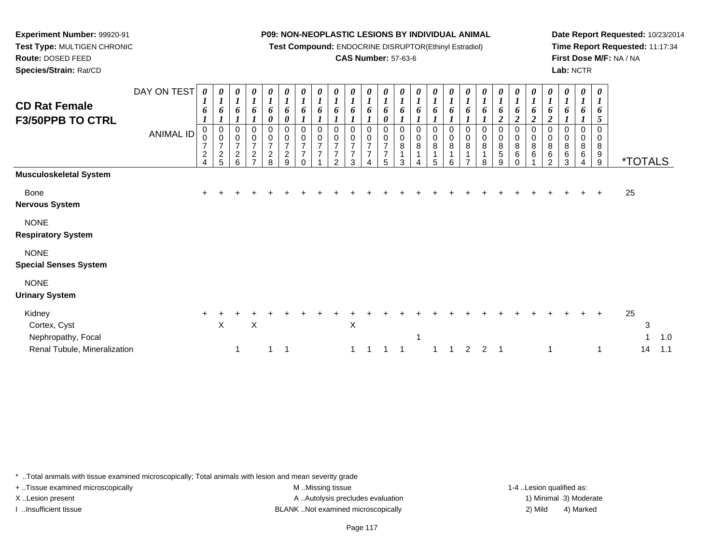**Test Compound:** ENDOCRINE DISRUPTOR(Ethinyl Estradiol)

## **CAS Number:** 57-63-6

**Date Report Requested:** 10/23/2014**Time Report Requested:** 11:17:34**First Dose M/F:** NA / NA**Lab:** NCTR

| <b>CD Rat Female</b><br><b>F3/50PPB TO CTRL</b>                              | DAY ON TEST<br><b>ANIMAL ID</b> | $\boldsymbol{\theta}$<br>$\boldsymbol{l}$<br>6<br>$\boldsymbol{l}$<br>$\pmb{0}$<br>0<br>$\overline{7}$<br>$\frac{2}{4}$ | $\boldsymbol{\theta}$<br>$\boldsymbol{l}$<br>6<br>$\pmb{0}$<br>$\mathbf 0$<br>$\overline{7}$<br>$\overline{c}$<br>5 | 0<br>$\boldsymbol{l}$<br>6<br>$\pmb{0}$<br>$\pmb{0}$<br>$\overline{7}$<br>$\boldsymbol{2}$<br>6 | $\frac{\theta}{I}$<br>6<br>0<br>$\mathbf 0$<br>$\overline{7}$<br>$\overline{c}$<br>$\overline{ }$ | $\boldsymbol{\theta}$<br>$\boldsymbol{l}$<br>6<br>0<br>0<br>$\pmb{0}$<br>$\boldsymbol{7}$<br>$\frac{2}{8}$ | $\boldsymbol{\theta}$<br>$\boldsymbol{l}$<br>6<br>$\boldsymbol{\theta}$<br>$\mathbf 0$<br>$\pmb{0}$<br>$\overline{7}$<br>$\frac{2}{9}$ | 0<br>$\boldsymbol{l}$<br>6<br>$\mathbf 0$<br>$\pmb{0}$<br>$\overline{7}$<br>$\overline{7}$<br>$\Omega$ | 0<br>$\boldsymbol{l}$<br>6<br>$\mathbf 0$<br>0<br>$\overline{7}$<br>$\overline{7}$ | 0<br>$\boldsymbol{l}$<br>6<br>1<br>$\mathbf 0$<br>0<br>$\overline{7}$<br>$\overline{7}$<br>$\mathcal{P}$ | 0<br>$\boldsymbol{l}$<br>6<br>1<br>$\Omega$<br>0<br>$\overline{7}$<br>7<br>3 | 0<br>$\mathbf{I}$<br>6<br>$\mathbf 0$<br>0<br>7<br>7 | 0<br>6<br>0<br>$\mathbf 0$<br>0<br>$\overline{7}$<br>$\overline{7}$<br>5 | 0<br>$\mathbf{I}$<br>6<br>0<br>0<br>$\,8\,$<br>3 | 0<br>$\boldsymbol{l}$<br>6<br>$\mathbf 0$<br>0<br>8 | $\boldsymbol{\theta}$<br>6<br>$\mathbf 0$<br>0<br>8<br>5 | $\boldsymbol{\theta}$<br>6<br>$\mathbf 0$<br>0<br>8<br>6 | $\boldsymbol{\theta}$<br>$\mathbf{I}$<br>6<br>$\mathbf 0$<br>$\mathbf 0$<br>8<br>$\overline{ }$ | 0<br>$\boldsymbol{l}$<br>6<br>0<br>$\pmb{0}$<br>$\bf 8$<br>8 | $\boldsymbol{\theta}$<br>$\boldsymbol{l}$<br>6<br>$\boldsymbol{2}$<br>$\mathbf 0$<br>$\pmb{0}$<br>8<br>$\sqrt{5}$<br>9 | 0<br>$\boldsymbol{l}$<br>6<br>$\boldsymbol{2}$<br>0<br>$_{8}^{\rm 0}$<br>$\,6$<br>$\Omega$ | 0<br>$\boldsymbol{l}$<br>6<br>$\overline{c}$<br>0<br>0<br>8<br>6 | $\boldsymbol{\theta}$<br>$\boldsymbol{l}$<br>6<br>$\boldsymbol{2}$<br>$\mathbf 0$<br>0<br>8<br>$\,6\,$<br>$\mathfrak{p}$ | $\pmb{\theta}$<br>$\boldsymbol{l}$<br>6<br>$\mathbf 0$<br>0<br>8<br>6<br>3 | 0<br>$\boldsymbol{l}$<br>6<br>$\mathbf 0$<br>0<br>8<br>6<br>4 | $\boldsymbol{\theta}$<br>6<br>5<br>0<br>$\Omega$<br>8<br>9<br>9 |    | <i><b>*TOTALS</b></i> |                   |
|------------------------------------------------------------------------------|---------------------------------|-------------------------------------------------------------------------------------------------------------------------|---------------------------------------------------------------------------------------------------------------------|-------------------------------------------------------------------------------------------------|---------------------------------------------------------------------------------------------------|------------------------------------------------------------------------------------------------------------|----------------------------------------------------------------------------------------------------------------------------------------|--------------------------------------------------------------------------------------------------------|------------------------------------------------------------------------------------|----------------------------------------------------------------------------------------------------------|------------------------------------------------------------------------------|------------------------------------------------------|--------------------------------------------------------------------------|--------------------------------------------------|-----------------------------------------------------|----------------------------------------------------------|----------------------------------------------------------|-------------------------------------------------------------------------------------------------|--------------------------------------------------------------|------------------------------------------------------------------------------------------------------------------------|--------------------------------------------------------------------------------------------|------------------------------------------------------------------|--------------------------------------------------------------------------------------------------------------------------|----------------------------------------------------------------------------|---------------------------------------------------------------|-----------------------------------------------------------------|----|-----------------------|-------------------|
| Musculoskeletal System                                                       |                                 |                                                                                                                         |                                                                                                                     |                                                                                                 |                                                                                                   |                                                                                                            |                                                                                                                                        |                                                                                                        |                                                                                    |                                                                                                          |                                                                              |                                                      |                                                                          |                                                  |                                                     |                                                          |                                                          |                                                                                                 |                                                              |                                                                                                                        |                                                                                            |                                                                  |                                                                                                                          |                                                                            |                                                               |                                                                 |    |                       |                   |
| <b>Bone</b><br>Nervous System                                                |                                 | $\ddot{}$                                                                                                               |                                                                                                                     |                                                                                                 |                                                                                                   |                                                                                                            |                                                                                                                                        |                                                                                                        |                                                                                    |                                                                                                          |                                                                              |                                                      |                                                                          |                                                  |                                                     |                                                          |                                                          |                                                                                                 |                                                              |                                                                                                                        |                                                                                            |                                                                  |                                                                                                                          |                                                                            |                                                               |                                                                 | 25 |                       |                   |
| <b>NONE</b><br><b>Respiratory System</b>                                     |                                 |                                                                                                                         |                                                                                                                     |                                                                                                 |                                                                                                   |                                                                                                            |                                                                                                                                        |                                                                                                        |                                                                                    |                                                                                                          |                                                                              |                                                      |                                                                          |                                                  |                                                     |                                                          |                                                          |                                                                                                 |                                                              |                                                                                                                        |                                                                                            |                                                                  |                                                                                                                          |                                                                            |                                                               |                                                                 |    |                       |                   |
| <b>NONE</b><br><b>Special Senses System</b>                                  |                                 |                                                                                                                         |                                                                                                                     |                                                                                                 |                                                                                                   |                                                                                                            |                                                                                                                                        |                                                                                                        |                                                                                    |                                                                                                          |                                                                              |                                                      |                                                                          |                                                  |                                                     |                                                          |                                                          |                                                                                                 |                                                              |                                                                                                                        |                                                                                            |                                                                  |                                                                                                                          |                                                                            |                                                               |                                                                 |    |                       |                   |
| <b>NONE</b><br><b>Urinary System</b>                                         |                                 |                                                                                                                         |                                                                                                                     |                                                                                                 |                                                                                                   |                                                                                                            |                                                                                                                                        |                                                                                                        |                                                                                    |                                                                                                          |                                                                              |                                                      |                                                                          |                                                  |                                                     |                                                          |                                                          |                                                                                                 |                                                              |                                                                                                                        |                                                                                            |                                                                  |                                                                                                                          |                                                                            |                                                               |                                                                 |    |                       |                   |
| Kidney<br>Cortex, Cyst<br>Nephropathy, Focal<br>Renal Tubule, Mineralization |                                 | $\ddot{}$                                                                                                               | $\boldsymbol{\mathsf{X}}$                                                                                           | $\mathbf{1}$                                                                                    | $\pmb{\times}$                                                                                    | $\mathbf{1}$                                                                                               | $\overline{1}$                                                                                                                         |                                                                                                        |                                                                                    |                                                                                                          | $\pmb{\times}$<br>$\mathbf{1}$                                               | $\overline{\mathbf{1}}$                              |                                                                          | $\overline{1}$                                   |                                                     | $\mathbf{1}$                                             | $\overline{1}$                                           | $\overline{2}$                                                                                  | 2                                                            | $\overline{1}$                                                                                                         |                                                                                            |                                                                  | $\mathbf{1}$                                                                                                             |                                                                            |                                                               | $\mathbf{1}$                                                    | 25 | 3                     | 1.0<br>$14 - 1.1$ |
|                                                                              |                                 |                                                                                                                         |                                                                                                                     |                                                                                                 |                                                                                                   |                                                                                                            |                                                                                                                                        |                                                                                                        |                                                                                    |                                                                                                          |                                                                              |                                                      |                                                                          |                                                  |                                                     |                                                          |                                                          |                                                                                                 |                                                              |                                                                                                                        |                                                                                            |                                                                  |                                                                                                                          |                                                                            |                                                               |                                                                 |    |                       |                   |

\* ..Total animals with tissue examined microscopically; Total animals with lesion and mean severity grade

**Experiment Number:** 99920-91**Test Type:** MULTIGEN CHRONIC

**Route:** DOSED FEED**Species/Strain:** Rat/CD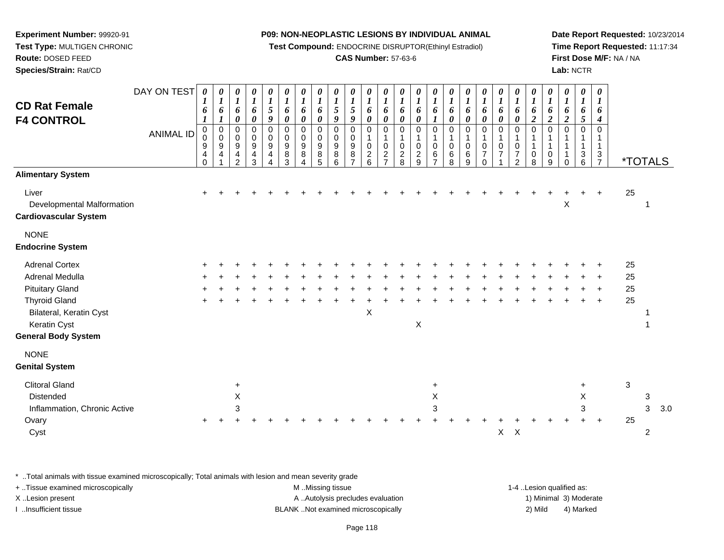**Test Compound:** ENDOCRINE DISRUPTOR(Ethinyl Estradiol)

## **CAS Number:** 57-63-6

**Date Report Requested:** 10/23/2014**Time Report Requested:** 11:17:34**First Dose M/F:** NA / NA**Lab:** NCTR

| <b>CD Rat Female</b><br><b>F4 CONTROL</b>                                                                                                                           | DAY ON TEST<br><b>ANIMAL ID</b> | 0<br>$\boldsymbol{l}$<br>6<br>$\boldsymbol{l}$<br>$\mathbf 0$<br>0<br>9<br>$\begin{matrix} 4 \\ 0 \end{matrix}$ | 0<br>$\boldsymbol{l}$<br>6<br>$\boldsymbol{l}$<br>$\pmb{0}$<br>$\mathbf 0$<br>$\boldsymbol{9}$<br>4 | 0<br>$\boldsymbol{l}$<br>6<br>$\pmb{\theta}$<br>$\pmb{0}$<br>$\pmb{0}$<br>$\boldsymbol{9}$<br>$\overline{\mathbf{4}}$<br>$\mathfrak{p}$ | $\frac{\boldsymbol{0}}{\boldsymbol{1}}$<br>6<br>$\pmb{\theta}$<br>0<br>$\mathbf 0$<br>$\boldsymbol{9}$<br>$\frac{4}{3}$ | $\begin{array}{c} \n0 \\ \n1 \\ \n5 \n\end{array}$<br>9<br>$\mathbf 0$<br>$\pmb{0}$<br>$\boldsymbol{9}$<br>4<br>$\overline{A}$ | $\frac{\theta}{I}$<br>6<br>$\boldsymbol{\theta}$<br>$\pmb{0}$<br>$\pmb{0}$<br>$\boldsymbol{9}$<br>$\bf8$<br>3 | $\begin{matrix} 0 \\ 1 \end{matrix}$<br>6<br>$\pmb{\theta}$<br>$\mathbf 0$<br>$\pmb{0}$<br>9<br>$\bf8$<br>$\overline{A}$ | $\boldsymbol{\theta}$<br>$\boldsymbol{l}$<br>6<br>$\boldsymbol{\theta}$<br>$\Omega$<br>$\mathbf 0$<br>9<br>$\, 8$<br>5 | $\boldsymbol{\theta}$<br>$\boldsymbol{l}$<br>5<br>9<br>$\Omega$<br>$\mathbf 0$<br>9<br>8<br>6 | $\boldsymbol{\theta}$<br>$\boldsymbol{l}$<br>$\mathfrak{s}$<br>9<br>$\Omega$<br>0<br>9<br>8<br>$\overline{ }$ | $\boldsymbol{\theta}$<br>$\boldsymbol{l}$<br>6<br>0<br>$\Omega$<br>$\mathbf 0$<br>$\frac{2}{6}$ | 0<br>$\boldsymbol{l}$<br>6<br>$\pmb{\theta}$<br>$\Omega$<br>1<br>$\mathbf 0$<br>$\frac{2}{7}$ | 0<br>$\boldsymbol{l}$<br>6<br>0<br>$\Omega$<br>$\mathbf{1}$<br>$\mathbf 0$<br>$\boldsymbol{2}$<br>8 | $\boldsymbol{\theta}$<br>$\boldsymbol{l}$<br>6<br>$\boldsymbol{\theta}$<br>$\mathbf 0$<br>1<br>0<br>$\frac{2}{9}$ | 0<br>$\boldsymbol{l}$<br>6<br>$\boldsymbol{l}$<br>$\mathbf 0$<br>$\mathbf{1}$<br>0<br>6<br>$\overline{7}$ | 0<br>$\boldsymbol{l}$<br>6<br>$\pmb{\theta}$<br>$\mathbf 0$<br>$\mathbf{1}$<br>0<br>$\,6$<br>8 | $\boldsymbol{\theta}$<br>$\boldsymbol{I}$<br>6<br>$\boldsymbol{\theta}$<br>$\boldsymbol{0}$<br>$\mathbf{1}$<br>$\mathbf 0$<br>6<br>9 | 0<br>$\boldsymbol{l}$<br>6<br>0<br>$\pmb{0}$<br>0<br>$\overline{7}$<br>$\Omega$ | 0<br>$\boldsymbol{l}$<br>6<br>0<br>$\mathbf 0$<br>0<br>7 | 0<br>$\boldsymbol{l}$<br>6<br>0<br>$\Omega$<br>0<br>$\overline{7}$<br>$\overline{2}$ | 0<br>$\boldsymbol{l}$<br>6<br>$\boldsymbol{2}$<br>$\pmb{0}$<br>$\mathbf{1}$<br>$\mathbf{1}$<br>$\,0\,$<br>8 | $\frac{\boldsymbol{\theta}}{\boldsymbol{I}}$<br>6<br>$\boldsymbol{2}$<br>$\pmb{0}$<br>$\mathbf{1}$<br>$\mathbf 1$<br>$\mathsf 0$<br>9 | $\boldsymbol{\theta}$<br>$\boldsymbol{l}$<br>6<br>$\boldsymbol{2}$<br>$\mathbf 0$<br>$\mathbf{1}$<br>1<br>1<br>$\Omega$ | 0<br>$\boldsymbol{l}$<br>6<br>$\mathfrak{s}$<br>$\Omega$<br>1<br>$^3$ 6 | 0<br>$\boldsymbol{I}$<br>6<br>$\boldsymbol{4}$<br>$\Omega$<br>$\mathbf{1}$<br>$\mathbf{1}$<br>$\frac{3}{7}$ | <i><b>*TOTALS</b></i> |                          |     |
|---------------------------------------------------------------------------------------------------------------------------------------------------------------------|---------------------------------|-----------------------------------------------------------------------------------------------------------------|-----------------------------------------------------------------------------------------------------|-----------------------------------------------------------------------------------------------------------------------------------------|-------------------------------------------------------------------------------------------------------------------------|--------------------------------------------------------------------------------------------------------------------------------|---------------------------------------------------------------------------------------------------------------|--------------------------------------------------------------------------------------------------------------------------|------------------------------------------------------------------------------------------------------------------------|-----------------------------------------------------------------------------------------------|---------------------------------------------------------------------------------------------------------------|-------------------------------------------------------------------------------------------------|-----------------------------------------------------------------------------------------------|-----------------------------------------------------------------------------------------------------|-------------------------------------------------------------------------------------------------------------------|-----------------------------------------------------------------------------------------------------------|------------------------------------------------------------------------------------------------|--------------------------------------------------------------------------------------------------------------------------------------|---------------------------------------------------------------------------------|----------------------------------------------------------|--------------------------------------------------------------------------------------|-------------------------------------------------------------------------------------------------------------|---------------------------------------------------------------------------------------------------------------------------------------|-------------------------------------------------------------------------------------------------------------------------|-------------------------------------------------------------------------|-------------------------------------------------------------------------------------------------------------|-----------------------|--------------------------|-----|
| <b>Alimentary System</b><br>Liver<br>Developmental Malformation<br><b>Cardiovascular System</b>                                                                     |                                 |                                                                                                                 |                                                                                                     |                                                                                                                                         |                                                                                                                         |                                                                                                                                |                                                                                                               |                                                                                                                          |                                                                                                                        |                                                                                               |                                                                                                               |                                                                                                 |                                                                                               |                                                                                                     |                                                                                                                   |                                                                                                           |                                                                                                |                                                                                                                                      |                                                                                 |                                                          |                                                                                      |                                                                                                             |                                                                                                                                       | X                                                                                                                       |                                                                         |                                                                                                             | 25                    |                          |     |
| <b>NONE</b><br><b>Endocrine System</b>                                                                                                                              |                                 |                                                                                                                 |                                                                                                     |                                                                                                                                         |                                                                                                                         |                                                                                                                                |                                                                                                               |                                                                                                                          |                                                                                                                        |                                                                                               |                                                                                                               |                                                                                                 |                                                                                               |                                                                                                     |                                                                                                                   |                                                                                                           |                                                                                                |                                                                                                                                      |                                                                                 |                                                          |                                                                                      |                                                                                                             |                                                                                                                                       |                                                                                                                         |                                                                         |                                                                                                             |                       |                          |     |
| <b>Adrenal Cortex</b><br>Adrenal Medulla<br><b>Pituitary Gland</b><br><b>Thyroid Gland</b><br>Bilateral, Keratin Cyst<br>Keratin Cyst<br><b>General Body System</b> |                                 |                                                                                                                 |                                                                                                     |                                                                                                                                         |                                                                                                                         |                                                                                                                                |                                                                                                               |                                                                                                                          |                                                                                                                        |                                                                                               |                                                                                                               | Χ                                                                                               |                                                                                               |                                                                                                     | Χ                                                                                                                 |                                                                                                           |                                                                                                |                                                                                                                                      |                                                                                 |                                                          |                                                                                      |                                                                                                             |                                                                                                                                       |                                                                                                                         |                                                                         |                                                                                                             | 25<br>25<br>25<br>25  |                          |     |
| <b>NONE</b><br><b>Genital System</b><br><b>Clitoral Gland</b><br>Distended<br>Inflammation, Chronic Active<br>Ovary<br>Cyst                                         |                                 |                                                                                                                 |                                                                                                     | $\ddot{}$<br>X<br>3                                                                                                                     |                                                                                                                         |                                                                                                                                |                                                                                                               |                                                                                                                          |                                                                                                                        |                                                                                               |                                                                                                               |                                                                                                 |                                                                                               |                                                                                                     |                                                                                                                   | $\ddot{}$<br>$\mathsf X$<br>3                                                                             |                                                                                                |                                                                                                                                      |                                                                                 |                                                          | $X$ $X$                                                                              |                                                                                                             |                                                                                                                                       |                                                                                                                         | $+$<br>X<br>3                                                           |                                                                                                             | $\mathbf{3}$<br>25    | 3<br>3<br>$\overline{2}$ | 3.0 |

\* ..Total animals with tissue examined microscopically; Total animals with lesion and mean severity grade

**Experiment Number:** 99920-91**Test Type:** MULTIGEN CHRONIC

| + Tissue examined microscopically | M Missing tissue                   | 1-4 Lesion qualified as: |                        |
|-----------------------------------|------------------------------------|--------------------------|------------------------|
| X Lesion present                  | A Autolysis precludes evaluation   |                          | 1) Minimal 3) Moderate |
| Insufficient tissue               | BLANK Not examined microscopically | 2) Mild                  | 4) Marked              |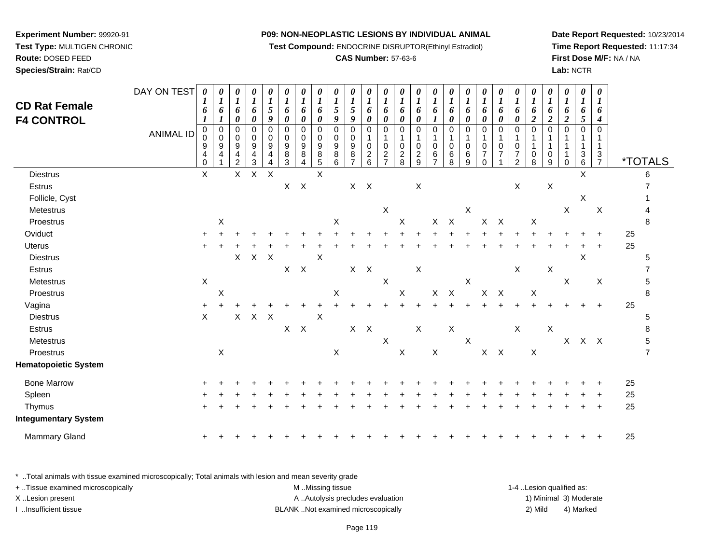**Test Compound:** ENDOCRINE DISRUPTOR(Ethinyl Estradiol)

## **CAS Number:** 57-63-6

**Date Report Requested:** 10/23/2014**Time Report Requested:** 11:17:34**First Dose M/F:** NA / NA**Lab:** NCTR

| <b>CD Rat Female</b><br><b>F4 CONTROL</b> | DAY ON TEST<br><b>ANIMAL ID</b> | 0<br>1<br>6<br>0<br>0<br>9<br>4<br>0 | 0<br>$\boldsymbol{l}$<br>6<br>$\pmb{0}$<br>$\pmb{0}$<br>9<br>4 | 0<br>$\boldsymbol{l}$<br>6<br>0<br>$\pmb{0}$<br>$\pmb{0}$<br>9<br>4<br>$\overline{c}$ | 0<br>$\boldsymbol{l}$<br>6<br>$\pmb{\theta}$<br>$\pmb{0}$<br>$\pmb{0}$<br>9<br>$\overline{\mathbf{r}}$<br>$\mathbf{3}$ | $\pmb{\theta}$<br>$\boldsymbol{l}$<br>$\sqrt{5}$<br>9<br>0<br>$\mathbf 0$<br>9<br>4 | 0<br>$\boldsymbol{l}$<br>6<br>$\boldsymbol{\theta}$<br>0<br>$\mathbf 0$<br>9<br>8<br>3 | 0<br>$\boldsymbol{l}$<br>6<br>$\boldsymbol{\theta}$<br>0<br>$\mathbf 0$<br>9<br>8<br>4 | 0<br>$\boldsymbol{l}$<br>6<br>0<br>0<br>0<br>9<br>$^8_5$ | $\boldsymbol{\theta}$<br>$\boldsymbol{l}$<br>$\mathfrak{s}$<br>9<br>0<br>$\mathbf 0$<br>9<br>8<br>6 | $\boldsymbol{\theta}$<br>5<br>9<br>$\mathbf 0$<br>$\mathbf 0$<br>9<br>$\,8\,$<br>$\overline{7}$ | 0<br>1<br>6<br>0<br>0<br>$\mathbf{1}$<br>$\mathbf 0$<br>$\frac{2}{6}$ | 0<br>$\boldsymbol{l}$<br>6<br>0<br>$\mathbf 0$<br>$\mathbf 0$<br>$\overline{c}$<br>$\overline{7}$ | 0<br>$\boldsymbol{l}$<br>6<br>0<br>0<br>$\overline{1}$<br>$\mathbf 0$<br>$\overline{c}$<br>$\,8\,$ | 0<br>$\boldsymbol{l}$<br>6<br>0<br>0<br>$\mathbf 0$<br>$\overline{c}$<br>9 | 0<br>$\boldsymbol{l}$<br>6<br>0<br>1<br>$\mathbf 0$<br>6<br>$\overline{7}$ | 0<br>$\boldsymbol{l}$<br>6<br>0<br>0<br>$\mathbf 0$<br>6<br>8 | 0<br>$\boldsymbol{l}$<br>6<br>0<br>$\pmb{0}$<br>1<br>$\mathbf 0$<br>6<br>9 | 0<br>$\boldsymbol{l}$<br>6<br>$\boldsymbol{\theta}$<br>$\mathbf 0$<br>$\mathbf{1}$<br>$\mathbf 0$<br>$\overline{7}$<br>$\Omega$ | 0<br>$\boldsymbol{l}$<br>6<br>0<br>0<br>$\mathbf{1}$<br>0<br>$\overline{7}$ | 0<br>$\boldsymbol{l}$<br>6<br>0<br>0<br>$\mathbf{1}$<br>$\pmb{0}$<br>$\overline{7}$<br>$\overline{a}$ | $\pmb{\theta}$<br>$\boldsymbol{l}$<br>6<br>$\boldsymbol{2}$<br>$\pmb{0}$<br>$\mathbf{1}$<br>$\mathbf{1}$<br>$\pmb{0}$<br>$\,8\,$ | 0<br>$\boldsymbol{l}$<br>6<br>$\boldsymbol{2}$<br>$\mathbf 0$<br>$\mathbf 1$<br>$\mathbf{1}$<br>0<br>$\mathsf g$ | 0<br>$\boldsymbol{l}$<br>6<br>$\boldsymbol{2}$<br>0<br>1<br>$\mathbf{1}$<br>1<br>$\mathbf 0$ | $\pmb{\theta}$<br>$\boldsymbol{l}$<br>6<br>5<br>0<br>$\mathbf{1}$<br>$^3$ 6 | $\boldsymbol{\theta}$<br>$\boldsymbol{l}$<br>6<br>4<br>$\mathbf 0$<br>1<br>$\mathbf{1}$<br>$\sqrt{3}$<br>$\overline{7}$ |    | <i><b>*TOTALS</b></i> |
|-------------------------------------------|---------------------------------|--------------------------------------|----------------------------------------------------------------|---------------------------------------------------------------------------------------|------------------------------------------------------------------------------------------------------------------------|-------------------------------------------------------------------------------------|----------------------------------------------------------------------------------------|----------------------------------------------------------------------------------------|----------------------------------------------------------|-----------------------------------------------------------------------------------------------------|-------------------------------------------------------------------------------------------------|-----------------------------------------------------------------------|---------------------------------------------------------------------------------------------------|----------------------------------------------------------------------------------------------------|----------------------------------------------------------------------------|----------------------------------------------------------------------------|---------------------------------------------------------------|----------------------------------------------------------------------------|---------------------------------------------------------------------------------------------------------------------------------|-----------------------------------------------------------------------------|-------------------------------------------------------------------------------------------------------|----------------------------------------------------------------------------------------------------------------------------------|------------------------------------------------------------------------------------------------------------------|----------------------------------------------------------------------------------------------|-----------------------------------------------------------------------------|-------------------------------------------------------------------------------------------------------------------------|----|-----------------------|
| <b>Diestrus</b>                           |                                 | X                                    |                                                                | X                                                                                     | $\mathsf X$                                                                                                            | $\boldsymbol{\mathsf{X}}$                                                           |                                                                                        |                                                                                        | X                                                        |                                                                                                     |                                                                                                 |                                                                       |                                                                                                   |                                                                                                    |                                                                            |                                                                            |                                                               |                                                                            |                                                                                                                                 |                                                                             |                                                                                                       |                                                                                                                                  |                                                                                                                  |                                                                                              | X                                                                           |                                                                                                                         |    | 6                     |
| Estrus                                    |                                 |                                      |                                                                |                                                                                       |                                                                                                                        |                                                                                     |                                                                                        | $X$ $X$                                                                                |                                                          |                                                                                                     |                                                                                                 | $X$ $X$                                                               |                                                                                                   |                                                                                                    | X                                                                          |                                                                            |                                                               |                                                                            |                                                                                                                                 |                                                                             | X                                                                                                     |                                                                                                                                  | $\boldsymbol{\mathsf{X}}$                                                                                        |                                                                                              |                                                                             |                                                                                                                         |    |                       |
| Follicle, Cyst                            |                                 |                                      |                                                                |                                                                                       |                                                                                                                        |                                                                                     |                                                                                        |                                                                                        |                                                          |                                                                                                     |                                                                                                 |                                                                       |                                                                                                   |                                                                                                    |                                                                            |                                                                            |                                                               |                                                                            |                                                                                                                                 |                                                                             |                                                                                                       |                                                                                                                                  |                                                                                                                  |                                                                                              | X                                                                           |                                                                                                                         |    |                       |
| Metestrus                                 |                                 |                                      |                                                                |                                                                                       |                                                                                                                        |                                                                                     |                                                                                        |                                                                                        |                                                          |                                                                                                     |                                                                                                 |                                                                       | $\boldsymbol{\mathsf{X}}$                                                                         |                                                                                                    |                                                                            |                                                                            |                                                               | $\mathsf X$                                                                |                                                                                                                                 |                                                                             |                                                                                                       |                                                                                                                                  |                                                                                                                  | X                                                                                            |                                                                             | $\boldsymbol{\mathsf{X}}$                                                                                               |    |                       |
| Proestrus                                 |                                 |                                      | Χ                                                              |                                                                                       |                                                                                                                        |                                                                                     |                                                                                        |                                                                                        |                                                          | $\boldsymbol{\mathsf{X}}$                                                                           |                                                                                                 |                                                                       |                                                                                                   | $\mathsf X$                                                                                        |                                                                            |                                                                            | $X$ $X$                                                       |                                                                            | $X$ $X$                                                                                                                         |                                                                             |                                                                                                       | $\mathsf X$                                                                                                                      |                                                                                                                  |                                                                                              |                                                                             |                                                                                                                         |    | 8                     |
| Oviduct                                   |                                 |                                      |                                                                |                                                                                       |                                                                                                                        |                                                                                     |                                                                                        |                                                                                        |                                                          |                                                                                                     |                                                                                                 |                                                                       |                                                                                                   |                                                                                                    |                                                                            |                                                                            |                                                               |                                                                            |                                                                                                                                 |                                                                             |                                                                                                       |                                                                                                                                  |                                                                                                                  |                                                                                              |                                                                             |                                                                                                                         | 25 |                       |
| Uterus                                    |                                 |                                      |                                                                |                                                                                       |                                                                                                                        |                                                                                     |                                                                                        |                                                                                        |                                                          |                                                                                                     |                                                                                                 |                                                                       |                                                                                                   |                                                                                                    |                                                                            |                                                                            |                                                               |                                                                            |                                                                                                                                 |                                                                             |                                                                                                       |                                                                                                                                  |                                                                                                                  |                                                                                              |                                                                             |                                                                                                                         | 25 |                       |
| <b>Diestrus</b>                           |                                 |                                      |                                                                | $\mathsf{X}$                                                                          | $\mathsf X$                                                                                                            | $\mathsf{X}$                                                                        |                                                                                        |                                                                                        | X                                                        |                                                                                                     |                                                                                                 |                                                                       |                                                                                                   |                                                                                                    |                                                                            |                                                                            |                                                               |                                                                            |                                                                                                                                 |                                                                             |                                                                                                       |                                                                                                                                  |                                                                                                                  |                                                                                              | X                                                                           |                                                                                                                         |    | 5                     |
| Estrus                                    |                                 |                                      |                                                                |                                                                                       |                                                                                                                        |                                                                                     |                                                                                        | $X$ $X$                                                                                |                                                          |                                                                                                     |                                                                                                 | $X$ $X$                                                               |                                                                                                   |                                                                                                    | X                                                                          |                                                                            |                                                               |                                                                            |                                                                                                                                 |                                                                             | X                                                                                                     |                                                                                                                                  | $\boldsymbol{\mathsf{X}}$                                                                                        |                                                                                              |                                                                             |                                                                                                                         |    |                       |
| Metestrus                                 |                                 | $\mathsf X$                          |                                                                |                                                                                       |                                                                                                                        |                                                                                     |                                                                                        |                                                                                        |                                                          |                                                                                                     |                                                                                                 |                                                                       | $\boldsymbol{\mathsf{X}}$                                                                         |                                                                                                    |                                                                            |                                                                            |                                                               | $\mathsf X$                                                                |                                                                                                                                 |                                                                             |                                                                                                       |                                                                                                                                  |                                                                                                                  | $\sf X$                                                                                      |                                                                             | $\mathsf X$                                                                                                             |    | 5                     |
| Proestrus                                 |                                 |                                      | X                                                              |                                                                                       |                                                                                                                        |                                                                                     |                                                                                        |                                                                                        |                                                          | X                                                                                                   |                                                                                                 |                                                                       |                                                                                                   | $\boldsymbol{\mathsf{X}}$                                                                          |                                                                            | $\mathsf X$                                                                | $\boldsymbol{X}$                                              |                                                                            | $X$ $X$                                                                                                                         |                                                                             |                                                                                                       | $\boldsymbol{\mathsf{X}}$                                                                                                        |                                                                                                                  |                                                                                              |                                                                             |                                                                                                                         |    | 8                     |
| Vagina                                    |                                 | $^+$                                 |                                                                |                                                                                       |                                                                                                                        |                                                                                     |                                                                                        |                                                                                        |                                                          |                                                                                                     |                                                                                                 |                                                                       |                                                                                                   |                                                                                                    |                                                                            |                                                                            |                                                               |                                                                            |                                                                                                                                 |                                                                             |                                                                                                       |                                                                                                                                  |                                                                                                                  |                                                                                              |                                                                             | $\ddot{}$                                                                                                               | 25 |                       |
| <b>Diestrus</b>                           |                                 | $\boldsymbol{\mathsf{X}}$            |                                                                | X                                                                                     | $\mathsf X$                                                                                                            | $\mathsf{X}$                                                                        |                                                                                        |                                                                                        | $\boldsymbol{\mathsf{X}}$                                |                                                                                                     |                                                                                                 |                                                                       |                                                                                                   |                                                                                                    |                                                                            |                                                                            |                                                               |                                                                            |                                                                                                                                 |                                                                             |                                                                                                       |                                                                                                                                  |                                                                                                                  |                                                                                              |                                                                             |                                                                                                                         |    | 5                     |
| Estrus                                    |                                 |                                      |                                                                |                                                                                       |                                                                                                                        |                                                                                     | $X$ $X$                                                                                |                                                                                        |                                                          |                                                                                                     |                                                                                                 | $X$ $X$                                                               |                                                                                                   |                                                                                                    | $\mathsf{X}$                                                               |                                                                            | $\boldsymbol{\mathsf{X}}$                                     |                                                                            |                                                                                                                                 |                                                                             | X                                                                                                     |                                                                                                                                  | $\boldsymbol{\mathsf{X}}$                                                                                        |                                                                                              |                                                                             |                                                                                                                         |    | 8                     |
| Metestrus                                 |                                 |                                      |                                                                |                                                                                       |                                                                                                                        |                                                                                     |                                                                                        |                                                                                        |                                                          |                                                                                                     |                                                                                                 |                                                                       | $\mathsf X$                                                                                       |                                                                                                    |                                                                            |                                                                            |                                                               | $\boldsymbol{\mathsf{X}}$                                                  |                                                                                                                                 |                                                                             |                                                                                                       |                                                                                                                                  |                                                                                                                  | $\mathsf{X}$                                                                                 | $X$ $X$                                                                     |                                                                                                                         |    | $\,$ 5 $\,$           |
| Proestrus                                 |                                 |                                      | $\mathsf{X}$                                                   |                                                                                       |                                                                                                                        |                                                                                     |                                                                                        |                                                                                        |                                                          | $\boldsymbol{\mathsf{X}}$                                                                           |                                                                                                 |                                                                       |                                                                                                   | $\mathsf X$                                                                                        |                                                                            | $\mathsf X$                                                                |                                                               |                                                                            | $X$ $X$                                                                                                                         |                                                                             |                                                                                                       | $\sf X$                                                                                                                          |                                                                                                                  |                                                                                              |                                                                             |                                                                                                                         |    | $\overline{7}$        |
| <b>Hematopoietic System</b>               |                                 |                                      |                                                                |                                                                                       |                                                                                                                        |                                                                                     |                                                                                        |                                                                                        |                                                          |                                                                                                     |                                                                                                 |                                                                       |                                                                                                   |                                                                                                    |                                                                            |                                                                            |                                                               |                                                                            |                                                                                                                                 |                                                                             |                                                                                                       |                                                                                                                                  |                                                                                                                  |                                                                                              |                                                                             |                                                                                                                         |    |                       |
| <b>Bone Marrow</b>                        |                                 |                                      |                                                                |                                                                                       |                                                                                                                        |                                                                                     |                                                                                        |                                                                                        |                                                          |                                                                                                     |                                                                                                 |                                                                       |                                                                                                   |                                                                                                    |                                                                            |                                                                            |                                                               |                                                                            |                                                                                                                                 |                                                                             |                                                                                                       |                                                                                                                                  |                                                                                                                  |                                                                                              |                                                                             |                                                                                                                         | 25 |                       |
| Spleen                                    |                                 |                                      |                                                                |                                                                                       |                                                                                                                        |                                                                                     |                                                                                        |                                                                                        |                                                          |                                                                                                     |                                                                                                 |                                                                       |                                                                                                   |                                                                                                    |                                                                            |                                                                            |                                                               |                                                                            |                                                                                                                                 |                                                                             |                                                                                                       |                                                                                                                                  |                                                                                                                  |                                                                                              |                                                                             |                                                                                                                         | 25 |                       |
| Thymus                                    |                                 |                                      |                                                                |                                                                                       |                                                                                                                        |                                                                                     |                                                                                        |                                                                                        |                                                          |                                                                                                     |                                                                                                 |                                                                       |                                                                                                   |                                                                                                    |                                                                            |                                                                            |                                                               |                                                                            |                                                                                                                                 |                                                                             |                                                                                                       |                                                                                                                                  |                                                                                                                  |                                                                                              |                                                                             | $\ddot{}$                                                                                                               | 25 |                       |
| <b>Integumentary System</b>               |                                 |                                      |                                                                |                                                                                       |                                                                                                                        |                                                                                     |                                                                                        |                                                                                        |                                                          |                                                                                                     |                                                                                                 |                                                                       |                                                                                                   |                                                                                                    |                                                                            |                                                                            |                                                               |                                                                            |                                                                                                                                 |                                                                             |                                                                                                       |                                                                                                                                  |                                                                                                                  |                                                                                              |                                                                             |                                                                                                                         |    |                       |
| <b>Mammary Gland</b>                      |                                 | $+$                                  |                                                                |                                                                                       |                                                                                                                        |                                                                                     |                                                                                        |                                                                                        |                                                          |                                                                                                     |                                                                                                 |                                                                       |                                                                                                   |                                                                                                    |                                                                            |                                                                            |                                                               |                                                                            |                                                                                                                                 |                                                                             |                                                                                                       |                                                                                                                                  |                                                                                                                  |                                                                                              |                                                                             |                                                                                                                         | 25 |                       |

\* ..Total animals with tissue examined microscopically; Total animals with lesion and mean severity grade

**Experiment Number:** 99920-91**Test Type:** MULTIGEN CHRONIC

| + Tissue examined microscopically | M Missing tissue                   | 1-4 Lesion qualified as: |                        |
|-----------------------------------|------------------------------------|--------------------------|------------------------|
| X Lesion present                  | A Autolysis precludes evaluation   |                          | 1) Minimal 3) Moderate |
| …Insufficient tissue              | BLANK Not examined microscopically | 2) Mild                  | 4) Marked              |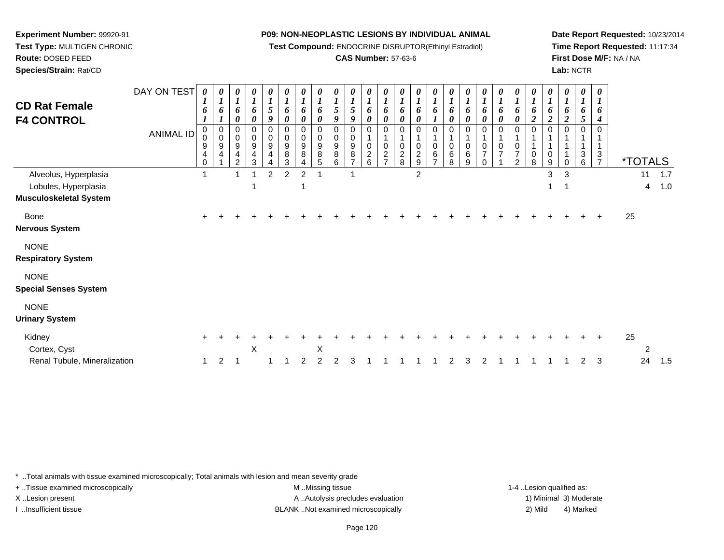**Test Compound:** ENDOCRINE DISRUPTOR(Ethinyl Estradiol)

## **CAS Number:** 57-63-6

**Date Report Requested:** 10/23/2014**Time Report Requested:** 11:17:34**First Dose M/F:** NA / NA**Lab:** NCTR

| <b>CD Rat Female</b><br><b>F4 CONTROL</b>                               | DAY ON TEST<br><b>ANIMAL ID</b> | $\boldsymbol{\theta}$<br>$\bf{l}$<br>6<br>0<br>0<br>9<br>4<br>0 | 0<br>$\boldsymbol{l}$<br>6<br>$\boldsymbol{0}$<br>$\mathsf 0$<br>9<br>4 | 0<br>$\boldsymbol{l}$<br>6<br>0<br>0<br>$\pmb{0}$<br>9<br>4<br>$\overline{2}$ | 0<br>$\boldsymbol{l}$<br>6<br>$\boldsymbol{\theta}$<br>0<br>$\mathbf 0$<br>$\boldsymbol{9}$<br>4<br>3 | $\boldsymbol{\theta}$<br>$\boldsymbol{l}$<br>$\sqrt{5}$<br>9<br>0<br>$\pmb{0}$<br>$\boldsymbol{9}$<br>4 | $\boldsymbol{\theta}$<br>$\boldsymbol{l}$<br>6<br>$\boldsymbol{\theta}$<br>0<br>$\mathbf 0$<br>9<br>8<br>3 | $\boldsymbol{\theta}$<br>$\boldsymbol{l}$<br>6<br>0<br>0<br>0<br>9<br>8 | $\boldsymbol{\theta}$<br>$\boldsymbol{l}$<br>6<br>0<br>0<br>0<br>$\boldsymbol{9}$<br>8<br>5 | 0<br>$\boldsymbol{l}$<br>5<br>9<br>0<br>$_{9}^{\rm 0}$<br>8<br>6 | $\frac{\theta}{I}$<br>5<br>9<br>0<br>$\mathbf 0$<br>9<br>8<br>$\overline{ }$ | 0<br>$\boldsymbol{l}$<br>6<br>0<br>$\pmb{0}$<br>$\frac{2}{6}$ | $\boldsymbol{\theta}$<br>$\boldsymbol{l}$<br>6<br>$\boldsymbol{\theta}$<br>$\mathbf{1}$<br>$\pmb{0}$<br>$\boldsymbol{2}$<br>$\overline{ }$ | $\boldsymbol{l}$<br>6<br>0<br>0<br>1<br>0<br>$\frac{2}{8}$ | $\boldsymbol{\theta}$<br>$\boldsymbol{l}$<br>6<br>$\boldsymbol{\theta}$<br>0<br>-1<br>$\mathbf 0$<br>$\sqrt{2}$<br>9 | $\boldsymbol{l}$<br>6<br>1<br>0<br>$\mathsf 0$<br>6 | $\boldsymbol{\theta}$<br>$\boldsymbol{l}$<br>6<br>0<br>0<br>$\pmb{0}$<br>6<br>8 | 0<br>$\boldsymbol{l}$<br>6<br>$\boldsymbol{\theta}$<br>0<br>1<br>$\mathsf 0$<br>6<br>9 | 0<br>$\boldsymbol{l}$<br>6<br>0<br>0<br>0<br>$\overline{7}$<br>0 | 0<br>$\boldsymbol{l}$<br>6<br>$\boldsymbol{\theta}$<br>0<br>$\mathbf{1}$<br>$\pmb{0}$<br>$\overline{7}$ | $\boldsymbol{\theta}$<br>$\boldsymbol{l}$<br>6<br>0<br>0<br>1<br>$\pmb{0}$<br>$\overline{7}$<br>$\overline{2}$ | $\boldsymbol{\theta}$<br>$\boldsymbol{l}$<br>6<br>$\overline{c}$<br>0<br>0<br>8 | $\boldsymbol{\theta}$<br>1<br>6<br>$\boldsymbol{2}$<br>0<br>9 | $\boldsymbol{\theta}$<br>$\boldsymbol{l}$<br>6<br>$\overline{2}$ | 0<br>$\boldsymbol{l}$<br>6<br>5<br>0<br>$\sqrt{3}$<br>6 | $\boldsymbol{\theta}$<br>$\boldsymbol{l}$<br>6<br>4<br>0<br>1<br>$\frac{3}{7}$ |    | <i><b>*TOTALS</b></i> |            |
|-------------------------------------------------------------------------|---------------------------------|-----------------------------------------------------------------|-------------------------------------------------------------------------|-------------------------------------------------------------------------------|-------------------------------------------------------------------------------------------------------|---------------------------------------------------------------------------------------------------------|------------------------------------------------------------------------------------------------------------|-------------------------------------------------------------------------|---------------------------------------------------------------------------------------------|------------------------------------------------------------------|------------------------------------------------------------------------------|---------------------------------------------------------------|--------------------------------------------------------------------------------------------------------------------------------------------|------------------------------------------------------------|----------------------------------------------------------------------------------------------------------------------|-----------------------------------------------------|---------------------------------------------------------------------------------|----------------------------------------------------------------------------------------|------------------------------------------------------------------|---------------------------------------------------------------------------------------------------------|----------------------------------------------------------------------------------------------------------------|---------------------------------------------------------------------------------|---------------------------------------------------------------|------------------------------------------------------------------|---------------------------------------------------------|--------------------------------------------------------------------------------|----|-----------------------|------------|
| Alveolus, Hyperplasia<br>Lobules, Hyperplasia<br>Musculoskeletal System |                                 |                                                                 |                                                                         |                                                                               |                                                                                                       | 2                                                                                                       | $\overline{2}$                                                                                             | 2                                                                       |                                                                                             |                                                                  |                                                                              |                                                               |                                                                                                                                            |                                                            | $\overline{2}$                                                                                                       |                                                     |                                                                                 |                                                                                        |                                                                  |                                                                                                         |                                                                                                                |                                                                                 | 3<br>$\mathbf{1}$                                             | 3                                                                |                                                         |                                                                                |    | 11<br>4               | 1.7<br>1.0 |
| <b>Bone</b><br>Nervous System                                           |                                 |                                                                 |                                                                         |                                                                               |                                                                                                       |                                                                                                         |                                                                                                            |                                                                         |                                                                                             |                                                                  |                                                                              |                                                               |                                                                                                                                            |                                                            |                                                                                                                      |                                                     |                                                                                 |                                                                                        |                                                                  |                                                                                                         |                                                                                                                |                                                                                 |                                                               |                                                                  |                                                         |                                                                                | 25 |                       |            |
| <b>NONE</b><br><b>Respiratory System</b>                                |                                 |                                                                 |                                                                         |                                                                               |                                                                                                       |                                                                                                         |                                                                                                            |                                                                         |                                                                                             |                                                                  |                                                                              |                                                               |                                                                                                                                            |                                                            |                                                                                                                      |                                                     |                                                                                 |                                                                                        |                                                                  |                                                                                                         |                                                                                                                |                                                                                 |                                                               |                                                                  |                                                         |                                                                                |    |                       |            |
| <b>NONE</b><br><b>Special Senses System</b>                             |                                 |                                                                 |                                                                         |                                                                               |                                                                                                       |                                                                                                         |                                                                                                            |                                                                         |                                                                                             |                                                                  |                                                                              |                                                               |                                                                                                                                            |                                                            |                                                                                                                      |                                                     |                                                                                 |                                                                                        |                                                                  |                                                                                                         |                                                                                                                |                                                                                 |                                                               |                                                                  |                                                         |                                                                                |    |                       |            |
| <b>NONE</b><br><b>Urinary System</b>                                    |                                 |                                                                 |                                                                         |                                                                               |                                                                                                       |                                                                                                         |                                                                                                            |                                                                         |                                                                                             |                                                                  |                                                                              |                                                               |                                                                                                                                            |                                                            |                                                                                                                      |                                                     |                                                                                 |                                                                                        |                                                                  |                                                                                                         |                                                                                                                |                                                                                 |                                                               |                                                                  |                                                         |                                                                                |    |                       |            |
| Kidney<br>Cortex, Cyst<br>Renal Tubule, Mineralization                  |                                 | 1                                                               | 2                                                                       | -1                                                                            | X                                                                                                     |                                                                                                         |                                                                                                            | 2                                                                       | X<br>$\mathfrak{p}$                                                                         | $\overline{2}$                                                   | 3                                                                            |                                                               |                                                                                                                                            |                                                            |                                                                                                                      |                                                     | 2                                                                               | 3                                                                                      | 2                                                                |                                                                                                         |                                                                                                                |                                                                                 |                                                               |                                                                  | $\overline{2}$                                          | 3                                                                              | 25 | 2<br>24               | 1.5        |

\* ..Total animals with tissue examined microscopically; Total animals with lesion and mean severity grade

**Experiment Number:** 99920-91**Test Type:** MULTIGEN CHRONIC

**Route:** DOSED FEED**Species/Strain:** Rat/CD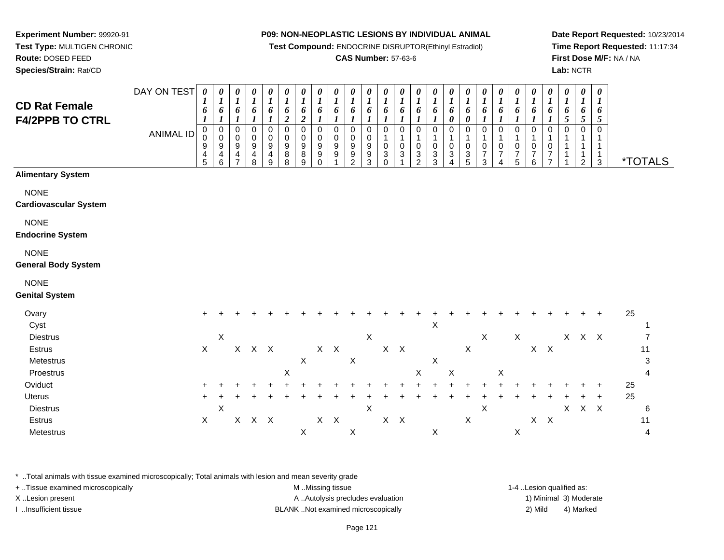**Test Compound:** ENDOCRINE DISRUPTOR(Ethinyl Estradiol)

#### **CAS Number:** 57-63-6

DAY ON TEST*0000000000000000000000*

**Date Report Requested:** 10/23/2014**Time Report Requested:** 11:17:34**First Dose M/F:** NA / NA**Lab:** NCTR

\*TOTALS

| <b>CD Rat Female</b><br><b>F4/2PPB TO CTRL</b> |                  | 1<br>6<br>$\boldsymbol{l}$ | 1<br>6<br>$\boldsymbol{l}$      | 1<br>6<br>1 | $\boldsymbol{l}$<br>$\pmb{6}$<br>$\boldsymbol{l}$ | 1<br>6                       | $\mathbf{I}$<br>6<br>$\overline{2}$ | $\boldsymbol{l}$<br>6<br>$\overline{2}$ | 1<br>6                | 1<br>6           | $\boldsymbol{l}$<br>6                                       | 6                                    | 6                       | 6            | 6                             | 6                                                  | $\boldsymbol{l}$<br>6<br>0               | 1<br>6<br>0      | $\boldsymbol{l}$<br>6<br>1       | 6           | 6                             | 6                        | 6                        | $\mathbf{I}$<br>6<br>$5\overline{)}$ | 1<br>6<br>$5\overline{)}$ | $\boldsymbol{l}$<br>6<br>$\mathfrak{s}$ |       |    |
|------------------------------------------------|------------------|----------------------------|---------------------------------|-------------|---------------------------------------------------|------------------------------|-------------------------------------|-----------------------------------------|-----------------------|------------------|-------------------------------------------------------------|--------------------------------------|-------------------------|--------------|-------------------------------|----------------------------------------------------|------------------------------------------|------------------|----------------------------------|-------------|-------------------------------|--------------------------|--------------------------|--------------------------------------|---------------------------|-----------------------------------------|-------|----|
|                                                | <b>ANIMAL ID</b> | 0<br>0<br>9<br>4<br>5      | $\mathbf 0$<br>0<br>9<br>4<br>6 | 0<br>9<br>4 | 0<br>0<br>$\boldsymbol{9}$<br>4<br>8              | $\Omega$<br>0<br>9<br>4<br>9 | 0<br>0<br>9<br>8<br>8               | 0<br>0<br>9<br>8<br>9                   | 0<br>0<br>9<br>9<br>U | 0<br>0<br>9<br>9 | $\mathbf 0$<br>0<br>$\boldsymbol{9}$<br>9<br>$\mathfrak{p}$ | 0<br>0<br>$\boldsymbol{9}$<br>9<br>3 | 0<br>0<br>3<br>$\Omega$ | 0<br>0<br>3  | 0<br>0<br>3<br>$\overline{2}$ | 0<br>$\mathbf 0$<br>$\ensuremath{\mathsf{3}}$<br>3 | 0<br>0<br>$\ensuremath{\mathsf{3}}$<br>4 | 0<br>0<br>3<br>5 | $\pmb{0}$<br>$\overline{7}$<br>3 | 0<br>7<br>4 | 0<br>1<br>$\pmb{0}$<br>7<br>5 | 0<br>$\pmb{0}$<br>7<br>6 | 0<br>0<br>$\overline{7}$ | 0                                    | 0<br>2                    | 0<br>3                                  | *TOT. |    |
| <b>Alimentary System</b>                       |                  |                            |                                 |             |                                                   |                              |                                     |                                         |                       |                  |                                                             |                                      |                         |              |                               |                                                    |                                          |                  |                                  |             |                               |                          |                          |                                      |                           |                                         |       |    |
| <b>NONE</b><br><b>Cardiovascular System</b>    |                  |                            |                                 |             |                                                   |                              |                                     |                                         |                       |                  |                                                             |                                      |                         |              |                               |                                                    |                                          |                  |                                  |             |                               |                          |                          |                                      |                           |                                         |       |    |
| <b>NONE</b><br><b>Endocrine System</b>         |                  |                            |                                 |             |                                                   |                              |                                     |                                         |                       |                  |                                                             |                                      |                         |              |                               |                                                    |                                          |                  |                                  |             |                               |                          |                          |                                      |                           |                                         |       |    |
| <b>NONE</b><br><b>General Body System</b>      |                  |                            |                                 |             |                                                   |                              |                                     |                                         |                       |                  |                                                             |                                      |                         |              |                               |                                                    |                                          |                  |                                  |             |                               |                          |                          |                                      |                           |                                         |       |    |
| <b>NONE</b><br><b>Genital System</b>           |                  |                            |                                 |             |                                                   |                              |                                     |                                         |                       |                  |                                                             |                                      |                         |              |                               |                                                    |                                          |                  |                                  |             |                               |                          |                          |                                      |                           |                                         |       |    |
| Ovary                                          |                  |                            |                                 |             |                                                   |                              |                                     |                                         |                       |                  |                                                             |                                      |                         |              |                               |                                                    |                                          |                  |                                  |             |                               |                          |                          |                                      |                           | $\ddot{}$                               | 25    |    |
| Cyst                                           |                  |                            |                                 |             |                                                   |                              |                                     |                                         |                       |                  |                                                             |                                      |                         |              |                               | X                                                  |                                          |                  |                                  |             |                               |                          |                          |                                      |                           |                                         |       |    |
| <b>Diestrus</b>                                |                  |                            | $\boldsymbol{\mathsf{X}}$       |             |                                                   |                              |                                     |                                         |                       |                  |                                                             | X                                    |                         |              |                               |                                                    |                                          |                  | $\boldsymbol{X}$                 |             | $\mathsf X$                   |                          |                          | $\mathsf{X}$                         |                           | $X$ $X$                                 |       |    |
| Estrus                                         |                  | $\mathsf X$                |                                 |             | $X$ $X$ $X$                                       |                              |                                     |                                         |                       | $X$ $X$          |                                                             |                                      | X                       | $\mathsf{X}$ |                               |                                                    |                                          | X                |                                  |             |                               |                          | $X$ $X$                  |                                      |                           |                                         |       | 11 |
| Metestrus                                      |                  |                            |                                 |             |                                                   |                              |                                     | $\mathsf X$                             |                       |                  | $\boldsymbol{\mathsf{X}}$                                   |                                      |                         |              |                               | X                                                  |                                          |                  |                                  |             |                               |                          |                          |                                      |                           |                                         |       | 3  |
| Proestrus                                      |                  |                            |                                 |             |                                                   |                              | X                                   |                                         |                       |                  |                                                             |                                      |                         |              | X                             |                                                    | $\boldsymbol{\mathsf{X}}$                |                  |                                  | X           |                               |                          |                          |                                      |                           |                                         |       |    |
| Oviduct                                        |                  | $+$                        |                                 |             |                                                   |                              |                                     |                                         |                       |                  |                                                             |                                      |                         |              |                               |                                                    |                                          |                  |                                  |             |                               |                          |                          |                                      | $\pm$                     | $\div$                                  | 25    |    |

 <sup>+</sup> <sup>+</sup> <sup>+</sup> <sup>+</sup> <sup>+</sup> <sup>+</sup> <sup>+</sup> <sup>+</sup> <sup>+</sup> <sup>+</sup> <sup>+</sup> <sup>+</sup> <sup>+</sup> <sup>+</sup> <sup>+</sup> <sup>+</sup> <sup>+</sup> <sup>+</sup> <sup>+</sup> <sup>+</sup> <sup>+</sup> <sup>+</sup> <sup>+</sup> + 25 Uterus <sup>+</sup> <sup>+</sup> <sup>+</sup> <sup>+</sup> <sup>+</sup> <sup>+</sup> <sup>+</sup> <sup>+</sup> <sup>+</sup> <sup>+</sup> <sup>+</sup> <sup>+</sup> <sup>+</sup> <sup>+</sup> <sup>+</sup> <sup>+</sup> <sup>+</sup> <sup>+</sup> <sup>+</sup> <sup>+</sup> <sup>+</sup> <sup>+</sup> <sup>+</sup> <sup>+</sup> + 25 **Diestrus**  $\mathsf{x}$  $X$   $X$   $X$   $X$  6 Estrus $\mathsf{x}$ X X X X X X X X X X X X X X 11 **Metestrus** s  $X$ 

 $\mathfrak{t}$  +

**Experiment Number:** 99920-91**Test Type:** MULTIGEN CHRONIC

**Route:** DOSED FEED**Species/Strain:** Rat/CD

\* ..Total animals with tissue examined microscopically; Total animals with lesion and mean severity grade

+ ..Tissue examined microscopically examined microscopically examined as: M ..Missing tissue 1-4 ..Lesion qualified as: X..Lesion present **A ..**Autolysis precludes evaluation A ..Autolysis precludes evaluation 1) Minimal 3) Moderate I ..Insufficient tissue BLANK ..Not examined microscopically 2) Mild 4) Marked

 $X$  X  $X$  4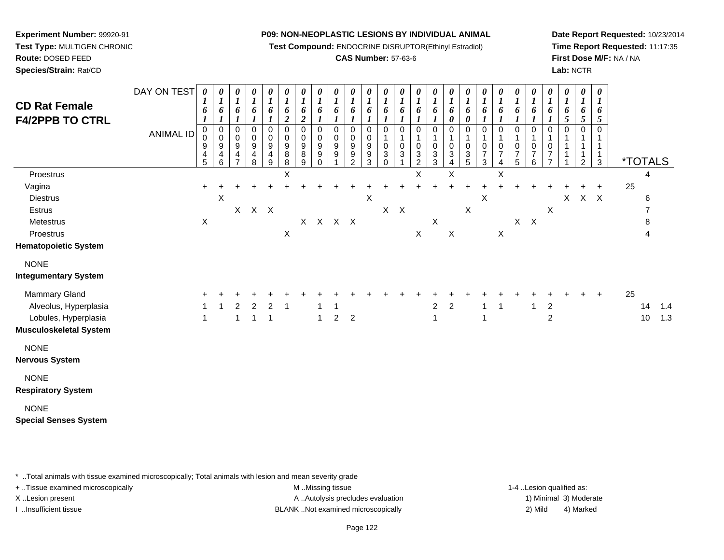**Test Compound:** ENDOCRINE DISRUPTOR(Ethinyl Estradiol)

## **CAS Number:** 57-63-6

**Date Report Requested:** 10/23/2014**Time Report Requested:** 11:17:35**First Dose M/F:** NA / NA**Lab:** NCTR

| <b>CD Rat Female</b><br><b>F4/2PPB TO CTRL</b>        | DAY ON TEST<br><b>ANIMAL ID</b> | 0<br>$\boldsymbol{l}$<br>6<br>0<br>0<br>9<br>$\frac{4}{5}$ | 0<br>$\boldsymbol{l}$<br>6<br>$\boldsymbol{l}$<br>$\pmb{0}$<br>$\pmb{0}$<br>$\boldsymbol{9}$<br>4<br>6 | 0<br>$\boldsymbol{I}$<br>6<br>0<br>0<br>9<br>4<br>$\overline{ }$ | 0<br>$\boldsymbol{l}$<br>$\pmb{6}$<br>$\boldsymbol{l}$<br>$\mathbf 0$<br>$\pmb{0}$<br>$\boldsymbol{9}$<br>$\begin{array}{c} 4 \\ 8 \end{array}$ | 0<br>$\boldsymbol{I}$<br>6<br>$\mathbf{I}$<br>0<br>$\pmb{0}$<br>$\boldsymbol{9}$<br>4<br>9 | 0<br>$\boldsymbol{l}$<br>6<br>$\overline{c}$<br>$\pmb{0}$<br>$\pmb{0}$<br>$\boldsymbol{9}$<br>8<br>8 | 0<br>$\boldsymbol{l}$<br>6<br>$\boldsymbol{2}$<br>$\pmb{0}$<br>0<br>9<br>8<br>9 | 0<br>$\boldsymbol{l}$<br>6<br>1<br>0<br>0<br>$\boldsymbol{9}$<br>9<br>$\Omega$ | 0<br>$\boldsymbol{l}$<br>6<br>$\boldsymbol{l}$<br>$\mathbf 0$<br>$\mathbf 0$<br>$\mathsf g$<br>9 | $\boldsymbol{\theta}$<br>$\boldsymbol{l}$<br>6<br>$\mathbf 0$<br>$\pmb{0}$<br>$\boldsymbol{9}$<br>$\boldsymbol{9}$<br>$\mathfrak{D}$ | 0<br>$\boldsymbol{l}$<br>6<br>0<br>$\pmb{0}$<br>$\boldsymbol{9}$<br>9<br>3 | 0<br>$\boldsymbol{l}$<br>6<br>$\mathbf 0$<br>$\mathbf{1}$<br>$\pmb{0}$<br>$\mathbf{3}$<br>0 | 0<br>$\boldsymbol{l}$<br>6<br>$\boldsymbol{l}$<br>$\,0\,$<br>$\mathbf{1}$<br>$\pmb{0}$<br>$\ensuremath{\mathsf{3}}$ | $\boldsymbol{\theta}$<br>$\boldsymbol{l}$<br>6<br>$\mathbf 0$<br>$\mathbf{1}$<br>$\mathbf 0$<br>$\frac{3}{2}$ | 0<br>$\boldsymbol{l}$<br>6<br>$\boldsymbol{l}$<br>$\mathbf 0$<br>$\overline{1}$<br>$\mathbf 0$<br>$\mathbf{3}$<br>3 | 0<br>$\boldsymbol{l}$<br>6<br>0<br>0<br>$\mathbf{1}$<br>0<br>$\ensuremath{\mathsf{3}}$<br>4 | 0<br>$\boldsymbol{l}$<br>6<br>0<br>$\mathbf 0$<br>1<br>$\pmb{0}$<br>$\ensuremath{\mathsf{3}}$<br>5 | 0<br>$\boldsymbol{l}$<br>6<br>$\mathbf 0$<br>1<br>$\frac{0}{7}$<br>3 | 0<br>$\boldsymbol{l}$<br>6<br>$\mathbf{I}$<br>0<br>$\mathbf{1}$<br>$\pmb{0}$<br>$\overline{7}$<br>4 | 0<br>$\boldsymbol{l}$<br>6<br>$\boldsymbol{l}$<br>$\mathbf 0$<br>$\mathbf{1}$<br>$\pmb{0}$<br>$\overline{7}$<br>5 | 0<br>$\boldsymbol{l}$<br>6<br>$\mathbf 0$<br>1<br>$\pmb{0}$<br>$\overline{7}$<br>6 | 0<br>$\boldsymbol{l}$<br>6<br>0<br>1<br>0<br>$\overline{7}$ | 0<br>$\boldsymbol{l}$<br>6<br>5<br>0 | $\pmb{\theta}$<br>$\boldsymbol{l}$<br>6<br>$\mathfrak{s}$<br>0<br>1<br>$\overline{2}$ | $\pmb{\theta}$<br>$\boldsymbol{l}$<br>6<br>5<br>$\pmb{0}$<br>$\mathbf 1$<br>1<br>$\mathbf{1}$<br>$\mathfrak{S}$ |    | <i><b>*TOTALS</b></i> |     |
|-------------------------------------------------------|---------------------------------|------------------------------------------------------------|--------------------------------------------------------------------------------------------------------|------------------------------------------------------------------|-------------------------------------------------------------------------------------------------------------------------------------------------|--------------------------------------------------------------------------------------------|------------------------------------------------------------------------------------------------------|---------------------------------------------------------------------------------|--------------------------------------------------------------------------------|--------------------------------------------------------------------------------------------------|--------------------------------------------------------------------------------------------------------------------------------------|----------------------------------------------------------------------------|---------------------------------------------------------------------------------------------|---------------------------------------------------------------------------------------------------------------------|---------------------------------------------------------------------------------------------------------------|---------------------------------------------------------------------------------------------------------------------|---------------------------------------------------------------------------------------------|----------------------------------------------------------------------------------------------------|----------------------------------------------------------------------|-----------------------------------------------------------------------------------------------------|-------------------------------------------------------------------------------------------------------------------|------------------------------------------------------------------------------------|-------------------------------------------------------------|--------------------------------------|---------------------------------------------------------------------------------------|-----------------------------------------------------------------------------------------------------------------|----|-----------------------|-----|
| Proestrus                                             |                                 |                                                            |                                                                                                        |                                                                  |                                                                                                                                                 |                                                                                            | X                                                                                                    |                                                                                 |                                                                                |                                                                                                  |                                                                                                                                      |                                                                            |                                                                                             |                                                                                                                     | X                                                                                                             |                                                                                                                     | X                                                                                           |                                                                                                    |                                                                      | X                                                                                                   |                                                                                                                   |                                                                                    |                                                             |                                      |                                                                                       |                                                                                                                 |    |                       |     |
| Vagina                                                |                                 | $+$                                                        |                                                                                                        |                                                                  |                                                                                                                                                 |                                                                                            |                                                                                                      |                                                                                 |                                                                                |                                                                                                  |                                                                                                                                      |                                                                            |                                                                                             |                                                                                                                     |                                                                                                               |                                                                                                                     |                                                                                             |                                                                                                    |                                                                      |                                                                                                     |                                                                                                                   |                                                                                    |                                                             |                                      |                                                                                       | $\ddot{}$                                                                                                       | 25 |                       |     |
| <b>Diestrus</b>                                       |                                 |                                                            | Χ                                                                                                      |                                                                  |                                                                                                                                                 |                                                                                            |                                                                                                      |                                                                                 |                                                                                |                                                                                                  |                                                                                                                                      | X                                                                          |                                                                                             |                                                                                                                     |                                                                                                               |                                                                                                                     |                                                                                             |                                                                                                    | X                                                                    |                                                                                                     |                                                                                                                   |                                                                                    |                                                             | X                                    | X X                                                                                   |                                                                                                                 |    | 6                     |     |
| <b>Estrus</b>                                         |                                 |                                                            |                                                                                                        |                                                                  | $X$ $X$ $X$                                                                                                                                     |                                                                                            |                                                                                                      |                                                                                 |                                                                                |                                                                                                  |                                                                                                                                      |                                                                            | X                                                                                           | $\mathsf{X}$                                                                                                        |                                                                                                               |                                                                                                                     |                                                                                             | $\pmb{\times}$                                                                                     |                                                                      |                                                                                                     |                                                                                                                   |                                                                                    | $\times$                                                    |                                      |                                                                                       |                                                                                                                 |    | 7                     |     |
| Metestrus                                             |                                 | X                                                          |                                                                                                        |                                                                  |                                                                                                                                                 |                                                                                            |                                                                                                      | $X -$                                                                           |                                                                                | X X X                                                                                            |                                                                                                                                      |                                                                            |                                                                                             |                                                                                                                     |                                                                                                               | X                                                                                                                   |                                                                                             |                                                                                                    |                                                                      |                                                                                                     |                                                                                                                   | $X$ $X$                                                                            |                                                             |                                      |                                                                                       |                                                                                                                 |    | 8                     |     |
| Proestrus                                             |                                 |                                                            |                                                                                                        |                                                                  |                                                                                                                                                 |                                                                                            | X                                                                                                    |                                                                                 |                                                                                |                                                                                                  |                                                                                                                                      |                                                                            |                                                                                             |                                                                                                                     | $\mathsf X$                                                                                                   |                                                                                                                     | $\boldsymbol{\mathsf{X}}$                                                                   |                                                                                                    |                                                                      | $\mathsf X$                                                                                         |                                                                                                                   |                                                                                    |                                                             |                                      |                                                                                       |                                                                                                                 |    |                       |     |
| <b>Hematopoietic System</b>                           |                                 |                                                            |                                                                                                        |                                                                  |                                                                                                                                                 |                                                                                            |                                                                                                      |                                                                                 |                                                                                |                                                                                                  |                                                                                                                                      |                                                                            |                                                                                             |                                                                                                                     |                                                                                                               |                                                                                                                     |                                                                                             |                                                                                                    |                                                                      |                                                                                                     |                                                                                                                   |                                                                                    |                                                             |                                      |                                                                                       |                                                                                                                 |    |                       |     |
| <b>NONE</b><br><b>Integumentary System</b>            |                                 |                                                            |                                                                                                        |                                                                  |                                                                                                                                                 |                                                                                            |                                                                                                      |                                                                                 |                                                                                |                                                                                                  |                                                                                                                                      |                                                                            |                                                                                             |                                                                                                                     |                                                                                                               |                                                                                                                     |                                                                                             |                                                                                                    |                                                                      |                                                                                                     |                                                                                                                   |                                                                                    |                                                             |                                      |                                                                                       |                                                                                                                 |    |                       |     |
| <b>Mammary Gland</b><br>Alveolus, Hyperplasia         |                                 |                                                            |                                                                                                        | $\overline{c}$                                                   | $\overline{c}$                                                                                                                                  | $\overline{2}$                                                                             | -1                                                                                                   |                                                                                 |                                                                                |                                                                                                  |                                                                                                                                      |                                                                            |                                                                                             |                                                                                                                     |                                                                                                               | 2                                                                                                                   | $\overline{2}$                                                                              |                                                                                                    | 1                                                                    | -1                                                                                                  |                                                                                                                   |                                                                                    | $\overline{2}$                                              |                                      |                                                                                       | ÷                                                                                                               | 25 | 14                    | 1.4 |
| Lobules, Hyperplasia<br><b>Musculoskeletal System</b> |                                 | $\mathbf{1}$                                               |                                                                                                        | $\overline{1}$                                                   | $\mathbf{1}$                                                                                                                                    | $\overline{1}$                                                                             |                                                                                                      |                                                                                 | $\mathbf{1}$                                                                   | $\overline{2}$                                                                                   | $\sqrt{2}$                                                                                                                           |                                                                            |                                                                                             |                                                                                                                     |                                                                                                               | $\mathbf{1}$                                                                                                        |                                                                                             |                                                                                                    | 1                                                                    |                                                                                                     |                                                                                                                   |                                                                                    | $\overline{c}$                                              |                                      |                                                                                       |                                                                                                                 |    | 10                    | 1.3 |
| <b>NONE</b><br><b>Nervous System</b>                  |                                 |                                                            |                                                                                                        |                                                                  |                                                                                                                                                 |                                                                                            |                                                                                                      |                                                                                 |                                                                                |                                                                                                  |                                                                                                                                      |                                                                            |                                                                                             |                                                                                                                     |                                                                                                               |                                                                                                                     |                                                                                             |                                                                                                    |                                                                      |                                                                                                     |                                                                                                                   |                                                                                    |                                                             |                                      |                                                                                       |                                                                                                                 |    |                       |     |
| <b>NONE</b><br><b>Respiratory System</b>              |                                 |                                                            |                                                                                                        |                                                                  |                                                                                                                                                 |                                                                                            |                                                                                                      |                                                                                 |                                                                                |                                                                                                  |                                                                                                                                      |                                                                            |                                                                                             |                                                                                                                     |                                                                                                               |                                                                                                                     |                                                                                             |                                                                                                    |                                                                      |                                                                                                     |                                                                                                                   |                                                                                    |                                                             |                                      |                                                                                       |                                                                                                                 |    |                       |     |
| <b>NONE</b><br><b>Special Senses System</b>           |                                 |                                                            |                                                                                                        |                                                                  |                                                                                                                                                 |                                                                                            |                                                                                                      |                                                                                 |                                                                                |                                                                                                  |                                                                                                                                      |                                                                            |                                                                                             |                                                                                                                     |                                                                                                               |                                                                                                                     |                                                                                             |                                                                                                    |                                                                      |                                                                                                     |                                                                                                                   |                                                                                    |                                                             |                                      |                                                                                       |                                                                                                                 |    |                       |     |

\* ..Total animals with tissue examined microscopically; Total animals with lesion and mean severity grade

+ ..Tissue examined microscopically examined microscopically examined as:  $M$  ..Missing tissue 1-4 ..Lesion qualified as:

**Experiment Number:** 99920-91**Test Type:** MULTIGEN CHRONIC

**Route:** DOSED FEED**Species/Strain:** Rat/CD

X..Lesion present **A ..Autolysis precludes evaluation** A ..Autolysis precludes evaluation 1) Minimal 3) Moderate

I ..Insufficient tissue BLANK ..Not examined microscopically 2) Mild 4) Marked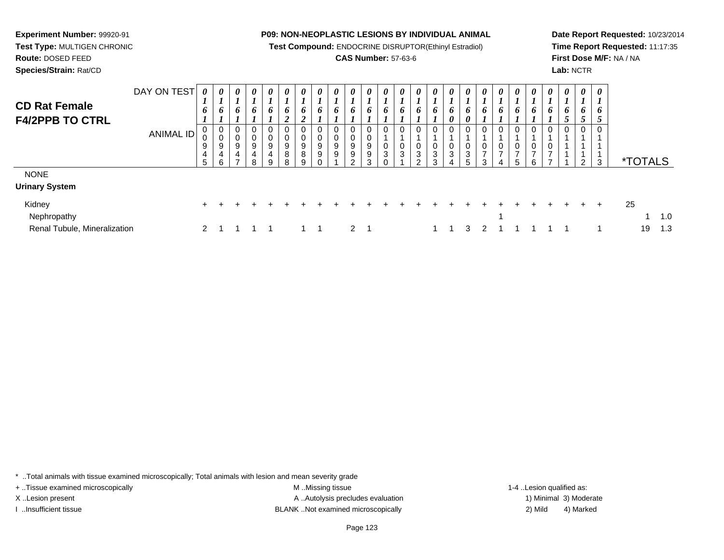**Test Compound:** ENDOCRINE DISRUPTOR(Ethinyl Estradiol)

# **CAS Number:** 57-63-6

**Date Report Requested:** 10/23/2014**Time Report Requested:** 11:17:35**First Dose M/F:** NA / NA**Lab:** NCTR

| <b>CD Rat Female</b><br><b>F4/2PPB TO CTRL</b> | DAY ON TEST<br><b>ANIMAL ID</b> | 0<br>L<br>6<br>0<br>U<br>9<br>4<br>5 | $\boldsymbol{\theta}$<br>1<br>$\bm{o}$<br>U<br>9<br>4<br>ĥ | 0<br>o<br>0<br>0<br>9<br>4<br>- | $\boldsymbol{\theta}$<br>6<br>0<br>0<br>9<br>4<br>8 | 0<br>L<br>6<br>0<br>0<br>9<br>4<br>9 | 0<br>$\mathbf I$<br>6<br>$\overline{\mathbf{c}}$<br>$\boldsymbol{0}$<br>$\boldsymbol{9}$<br>8<br>8 | $\boldsymbol{\theta}$<br>$\bm{o}$<br>n<br>∠<br>0<br>9<br>8<br>9 | $\boldsymbol{\theta}$<br>o<br>0<br>9<br>9 | $\boldsymbol{\theta}$<br>6<br>0<br>9<br>9 | U<br>$\bm{o}$<br>0<br>0<br>9<br>9<br>ົ | 0<br>$\mathbf{r}$<br>L<br>6<br>0<br>0<br>$\frac{9}{3}$ | $\boldsymbol{\theta}$<br>6<br>0<br>$\frac{0}{3}$ | 0<br>$\bm{o}$<br>U<br>0<br>3 | $\bm{o}$<br>3 | $\theta$<br>o<br>$\mathbf 0$<br>3<br>З | $\theta$<br>o<br>0<br>0<br>3 | $\boldsymbol{\theta}$<br>o<br>0<br>0<br>3<br>5 | $\boldsymbol{\theta}$<br>6<br>0<br>0<br>$\overline{\phantom{a}}$<br>3 | 0<br>6<br>0<br>$\overline{ }$ | 0<br>6<br>0<br>0<br>$\overline{ }$<br>5 | $\boldsymbol{\theta}$<br>$\bm{b}$<br>$\mathbf 0$<br>$\overline{ }$<br><b>6</b> | 0<br>$\bm{o}$<br>0 | $\boldsymbol{\theta}$<br>6 | 0<br>6<br>J<br>$\mathcal{D}$ | $\boldsymbol{\theta}$<br>6<br>C<br>$\mathbf 0$<br>3 | <i><b>*TOTALS</b></i> |     |  |
|------------------------------------------------|---------------------------------|--------------------------------------|------------------------------------------------------------|---------------------------------|-----------------------------------------------------|--------------------------------------|----------------------------------------------------------------------------------------------------|-----------------------------------------------------------------|-------------------------------------------|-------------------------------------------|----------------------------------------|--------------------------------------------------------|--------------------------------------------------|------------------------------|---------------|----------------------------------------|------------------------------|------------------------------------------------|-----------------------------------------------------------------------|-------------------------------|-----------------------------------------|--------------------------------------------------------------------------------|--------------------|----------------------------|------------------------------|-----------------------------------------------------|-----------------------|-----|--|
| <b>NONE</b>                                    |                                 |                                      |                                                            |                                 |                                                     |                                      |                                                                                                    |                                                                 |                                           |                                           |                                        |                                                        |                                                  |                              |               |                                        |                              |                                                |                                                                       |                               |                                         |                                                                                |                    |                            |                              |                                                     |                       |     |  |
| <b>Urinary System</b>                          |                                 |                                      |                                                            |                                 |                                                     |                                      |                                                                                                    |                                                                 |                                           |                                           |                                        |                                                        |                                                  |                              |               |                                        |                              |                                                |                                                                       |                               |                                         |                                                                                |                    |                            |                              |                                                     |                       |     |  |
| Kidney<br>Nephropathy                          |                                 | $\pm$                                |                                                            |                                 |                                                     |                                      |                                                                                                    |                                                                 |                                           |                                           |                                        |                                                        |                                                  |                              |               |                                        |                              |                                                |                                                                       |                               |                                         |                                                                                |                    |                            | ÷.                           | $\pm$                                               | 25                    | 1.0 |  |
| Renal Tubule, Mineralization                   |                                 | ົ                                    |                                                            |                                 |                                                     |                                      |                                                                                                    |                                                                 |                                           |                                           | $\mathcal{P}$                          |                                                        |                                                  |                              |               |                                        |                              |                                                |                                                                       |                               |                                         |                                                                                |                    |                            |                              |                                                     | 19                    | 1.3 |  |

\* ..Total animals with tissue examined microscopically; Total animals with lesion and mean severity grade

+ ..Tissue examined microscopically examined microscopically examined as:  $M$  ..Missing tissue 1-4 ..Lesion qualified as:

**Experiment Number:** 99920-91**Test Type:** MULTIGEN CHRONIC

**Route:** DOSED FEED**Species/Strain:** Rat/CD

X..Lesion present **A ..Autolysis precludes evaluation** A ..Autolysis precludes evaluation 1) Minimal 3) Moderate I ..Insufficient tissue BLANK ..Not examined microscopically 2) Mild 4) Marked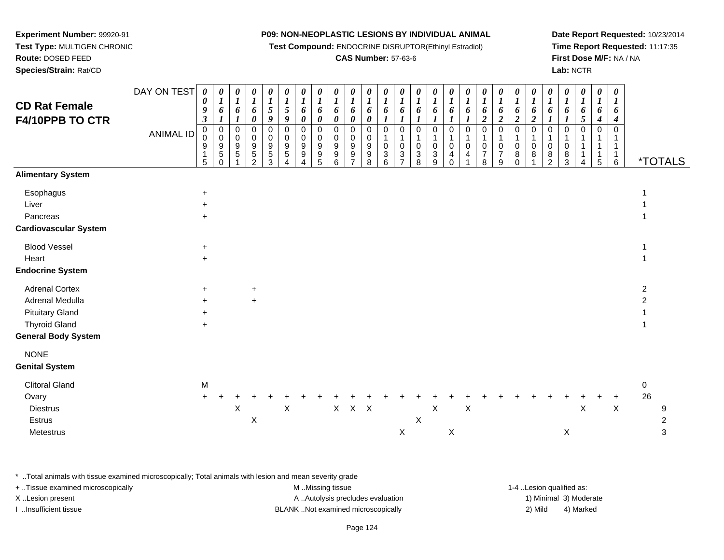**Test Compound:** ENDOCRINE DISRUPTOR(Ethinyl Estradiol)

# **CAS Number:** 57-63-6

**Date Report Requested:** 10/23/2014**Time Report Requested:** 11:17:35**First Dose M/F:** NA / NA**Lab:** NCTR

| <b>CD Rat Female</b><br>F4/10PPB TO CTR                        | DAY ON TEST<br><b>ANIMAL ID</b> | $\boldsymbol{\theta}$<br>0<br>9<br>$\mathfrak{z}$<br>0<br>$\mathbf 0$<br>9<br>$\mathbf{1}$<br>5 | $\boldsymbol{\theta}$<br>$\boldsymbol{I}$<br>6<br>$\pmb{0}$<br>$\pmb{0}$<br>$\begin{array}{c} 9 \\ 5 \end{array}$<br>$\Omega$ | $\boldsymbol{\theta}$<br>$\boldsymbol{l}$<br>6<br>$\boldsymbol{l}$<br>$\pmb{0}$<br>$\mathbf 0$<br>9<br>$\sqrt{5}$ | 0<br>$\boldsymbol{l}$<br>6<br>$\boldsymbol{\theta}$<br>0<br>0<br>9<br>$\,$ 5 $\,$<br>$\mathcal{P}$ | 0<br>$\boldsymbol{l}$<br>5<br>9<br>$\mathbf 0$<br>0<br>9<br>$\,$ 5 $\,$<br>3 | 0<br>$\boldsymbol{l}$<br>$\mathfrak{s}$<br>9<br>$\mathbf 0$<br>$\mathbf 0$<br>$9\,$<br>$\sqrt{5}$<br>$\Lambda$ | $\boldsymbol{\theta}$<br>$\boldsymbol{l}$<br>6<br>0<br>0<br>0<br>9<br>$9\,$ | 0<br>$\boldsymbol{l}$<br>6<br>$\pmb{\theta}$<br>0<br>$\pmb{0}$<br>9<br>$\begin{array}{c} 9 \\ 5 \end{array}$ | 0<br>$\boldsymbol{l}$<br>6<br>$\boldsymbol{\theta}$<br>$\mathbf 0$<br>$\mathbf 0$<br>$\boldsymbol{9}$<br>9<br>6 | 0<br>$\boldsymbol{l}$<br>6<br>$\boldsymbol{\theta}$<br>$\pmb{0}$<br>$\mathbf 0$<br>9<br>9<br>⇁ | 0<br>$\boldsymbol{l}$<br>6<br>0<br>0<br>0<br>$\boldsymbol{9}$<br>$_{8}^{\rm 9}$ | 0<br>$\boldsymbol{l}$<br>6<br>$\mathbf 0$<br>$\mathbf 0$<br>$\ensuremath{\mathsf{3}}$<br>6 | $\boldsymbol{\theta}$<br>$\boldsymbol{l}$<br>6<br>$\boldsymbol{l}$<br>0<br>$\mathbf{1}$<br>$\pmb{0}$<br>$\frac{3}{7}$ | 0<br>$\boldsymbol{l}$<br>6<br>$\pmb{0}$<br>$\mathbf{1}$<br>$\pmb{0}$<br>$\ensuremath{\mathsf{3}}$<br>8 | 0<br>$\boldsymbol{l}$<br>6<br>$\mathbf 0$<br>$\mathbf 0$<br>$\ensuremath{\mathsf{3}}$<br>9 | $\boldsymbol{\theta}$<br>$\boldsymbol{l}$<br>6<br>$\boldsymbol{l}$<br>0<br>$\mathbf{1}$<br>0<br>$\overline{\mathcal{A}}$<br>$\Omega$ | 0<br>1<br>6<br>$\mathbf 0$<br>1<br>0<br>4 | 0<br>$\boldsymbol{l}$<br>6<br>$\boldsymbol{2}$<br>$\mathbf 0$<br>$\pmb{0}$<br>$\overline{7}$<br>8 | 0<br>$\boldsymbol{l}$<br>6<br>$\boldsymbol{2}$<br>0<br>$\mathbf{1}$<br>$\mathbf 0$<br>$\overline{7}$<br>9 | 0<br>$\boldsymbol{l}$<br>6<br>$\overline{2}$<br>$\mathbf 0$<br>$\mathbf{1}$<br>$\mathbf 0$<br>8<br>$\Omega$ | 0<br>$\boldsymbol{l}$<br>6<br>$\boldsymbol{2}$<br>$\mathbf 0$<br>$\mathbf 1$<br>$\pmb{0}$<br>8<br>$\overline{A}$ | 0<br>$\boldsymbol{l}$<br>6<br>$\mathbf 0$<br>-1<br>0<br>$\bf 8$<br>2 | $\boldsymbol{\theta}$<br>$\boldsymbol{l}$<br>6<br>$\boldsymbol{l}$<br>$\mathbf 0$<br>1<br>0<br>8<br>3 | 0<br>$\boldsymbol{l}$<br>6<br>5<br>0<br>1<br>1<br>1 | $\pmb{\theta}$<br>$\boldsymbol{l}$<br>6<br>4<br>0<br>1<br>1<br>5 | 0<br>$\boldsymbol{l}$<br>6<br>4<br>0<br>1<br>$\mathbf{1}$<br>$\mathbf{1}$<br>6 |                         | <i><b>*TOTALS</b></i> |
|----------------------------------------------------------------|---------------------------------|-------------------------------------------------------------------------------------------------|-------------------------------------------------------------------------------------------------------------------------------|-------------------------------------------------------------------------------------------------------------------|----------------------------------------------------------------------------------------------------|------------------------------------------------------------------------------|----------------------------------------------------------------------------------------------------------------|-----------------------------------------------------------------------------|--------------------------------------------------------------------------------------------------------------|-----------------------------------------------------------------------------------------------------------------|------------------------------------------------------------------------------------------------|---------------------------------------------------------------------------------|--------------------------------------------------------------------------------------------|-----------------------------------------------------------------------------------------------------------------------|--------------------------------------------------------------------------------------------------------|--------------------------------------------------------------------------------------------|--------------------------------------------------------------------------------------------------------------------------------------|-------------------------------------------|---------------------------------------------------------------------------------------------------|-----------------------------------------------------------------------------------------------------------|-------------------------------------------------------------------------------------------------------------|------------------------------------------------------------------------------------------------------------------|----------------------------------------------------------------------|-------------------------------------------------------------------------------------------------------|-----------------------------------------------------|------------------------------------------------------------------|--------------------------------------------------------------------------------|-------------------------|-----------------------|
| <b>Alimentary System</b>                                       |                                 |                                                                                                 |                                                                                                                               |                                                                                                                   |                                                                                                    |                                                                              |                                                                                                                |                                                                             |                                                                                                              |                                                                                                                 |                                                                                                |                                                                                 |                                                                                            |                                                                                                                       |                                                                                                        |                                                                                            |                                                                                                                                      |                                           |                                                                                                   |                                                                                                           |                                                                                                             |                                                                                                                  |                                                                      |                                                                                                       |                                                     |                                                                  |                                                                                |                         |                       |
| Esophagus<br>Liver<br>Pancreas<br><b>Cardiovascular System</b> |                                 | $\ddot{}$<br>$\ddot{}$<br>$\ddot{}$                                                             |                                                                                                                               |                                                                                                                   |                                                                                                    |                                                                              |                                                                                                                |                                                                             |                                                                                                              |                                                                                                                 |                                                                                                |                                                                                 |                                                                                            |                                                                                                                       |                                                                                                        |                                                                                            |                                                                                                                                      |                                           |                                                                                                   |                                                                                                           |                                                                                                             |                                                                                                                  |                                                                      |                                                                                                       |                                                     |                                                                  |                                                                                |                         |                       |
| <b>Blood Vessel</b>                                            |                                 | $\ddot{}$                                                                                       |                                                                                                                               |                                                                                                                   |                                                                                                    |                                                                              |                                                                                                                |                                                                             |                                                                                                              |                                                                                                                 |                                                                                                |                                                                                 |                                                                                            |                                                                                                                       |                                                                                                        |                                                                                            |                                                                                                                                      |                                           |                                                                                                   |                                                                                                           |                                                                                                             |                                                                                                                  |                                                                      |                                                                                                       |                                                     |                                                                  |                                                                                |                         |                       |
| Heart                                                          |                                 | $\ddot{}$                                                                                       |                                                                                                                               |                                                                                                                   |                                                                                                    |                                                                              |                                                                                                                |                                                                             |                                                                                                              |                                                                                                                 |                                                                                                |                                                                                 |                                                                                            |                                                                                                                       |                                                                                                        |                                                                                            |                                                                                                                                      |                                           |                                                                                                   |                                                                                                           |                                                                                                             |                                                                                                                  |                                                                      |                                                                                                       |                                                     |                                                                  |                                                                                |                         |                       |
| <b>Endocrine System</b>                                        |                                 |                                                                                                 |                                                                                                                               |                                                                                                                   |                                                                                                    |                                                                              |                                                                                                                |                                                                             |                                                                                                              |                                                                                                                 |                                                                                                |                                                                                 |                                                                                            |                                                                                                                       |                                                                                                        |                                                                                            |                                                                                                                                      |                                           |                                                                                                   |                                                                                                           |                                                                                                             |                                                                                                                  |                                                                      |                                                                                                       |                                                     |                                                                  |                                                                                |                         |                       |
| <b>Adrenal Cortex</b>                                          |                                 | $\ddot{}$                                                                                       |                                                                                                                               |                                                                                                                   | $\ddot{}$                                                                                          |                                                                              |                                                                                                                |                                                                             |                                                                                                              |                                                                                                                 |                                                                                                |                                                                                 |                                                                                            |                                                                                                                       |                                                                                                        |                                                                                            |                                                                                                                                      |                                           |                                                                                                   |                                                                                                           |                                                                                                             |                                                                                                                  |                                                                      |                                                                                                       |                                                     |                                                                  |                                                                                | $\overline{\mathbf{c}}$ |                       |
| Adrenal Medulla                                                |                                 | $\ddot{}$                                                                                       |                                                                                                                               |                                                                                                                   | $\ddot{}$                                                                                          |                                                                              |                                                                                                                |                                                                             |                                                                                                              |                                                                                                                 |                                                                                                |                                                                                 |                                                                                            |                                                                                                                       |                                                                                                        |                                                                                            |                                                                                                                                      |                                           |                                                                                                   |                                                                                                           |                                                                                                             |                                                                                                                  |                                                                      |                                                                                                       |                                                     |                                                                  |                                                                                | $\overline{2}$          |                       |
| <b>Pituitary Gland</b>                                         |                                 | $\div$                                                                                          |                                                                                                                               |                                                                                                                   |                                                                                                    |                                                                              |                                                                                                                |                                                                             |                                                                                                              |                                                                                                                 |                                                                                                |                                                                                 |                                                                                            |                                                                                                                       |                                                                                                        |                                                                                            |                                                                                                                                      |                                           |                                                                                                   |                                                                                                           |                                                                                                             |                                                                                                                  |                                                                      |                                                                                                       |                                                     |                                                                  |                                                                                |                         |                       |
| <b>Thyroid Gland</b><br><b>General Body System</b>             |                                 | $\ddot{}$                                                                                       |                                                                                                                               |                                                                                                                   |                                                                                                    |                                                                              |                                                                                                                |                                                                             |                                                                                                              |                                                                                                                 |                                                                                                |                                                                                 |                                                                                            |                                                                                                                       |                                                                                                        |                                                                                            |                                                                                                                                      |                                           |                                                                                                   |                                                                                                           |                                                                                                             |                                                                                                                  |                                                                      |                                                                                                       |                                                     |                                                                  |                                                                                |                         |                       |
| <b>NONE</b>                                                    |                                 |                                                                                                 |                                                                                                                               |                                                                                                                   |                                                                                                    |                                                                              |                                                                                                                |                                                                             |                                                                                                              |                                                                                                                 |                                                                                                |                                                                                 |                                                                                            |                                                                                                                       |                                                                                                        |                                                                                            |                                                                                                                                      |                                           |                                                                                                   |                                                                                                           |                                                                                                             |                                                                                                                  |                                                                      |                                                                                                       |                                                     |                                                                  |                                                                                |                         |                       |
| <b>Genital System</b>                                          |                                 |                                                                                                 |                                                                                                                               |                                                                                                                   |                                                                                                    |                                                                              |                                                                                                                |                                                                             |                                                                                                              |                                                                                                                 |                                                                                                |                                                                                 |                                                                                            |                                                                                                                       |                                                                                                        |                                                                                            |                                                                                                                                      |                                           |                                                                                                   |                                                                                                           |                                                                                                             |                                                                                                                  |                                                                      |                                                                                                       |                                                     |                                                                  |                                                                                |                         |                       |
| <b>Clitoral Gland</b>                                          |                                 | M                                                                                               |                                                                                                                               |                                                                                                                   |                                                                                                    |                                                                              |                                                                                                                |                                                                             |                                                                                                              |                                                                                                                 |                                                                                                |                                                                                 |                                                                                            |                                                                                                                       |                                                                                                        |                                                                                            |                                                                                                                                      |                                           |                                                                                                   |                                                                                                           |                                                                                                             |                                                                                                                  |                                                                      |                                                                                                       |                                                     |                                                                  |                                                                                | 0                       |                       |
| Ovary                                                          |                                 | $+$                                                                                             |                                                                                                                               |                                                                                                                   |                                                                                                    |                                                                              |                                                                                                                |                                                                             |                                                                                                              |                                                                                                                 |                                                                                                |                                                                                 |                                                                                            |                                                                                                                       |                                                                                                        |                                                                                            |                                                                                                                                      |                                           |                                                                                                   |                                                                                                           |                                                                                                             |                                                                                                                  |                                                                      |                                                                                                       |                                                     |                                                                  |                                                                                | 26                      |                       |
| <b>Diestrus</b>                                                |                                 |                                                                                                 |                                                                                                                               | $\mathsf X$                                                                                                       |                                                                                                    |                                                                              | $\boldsymbol{\mathsf{X}}$                                                                                      |                                                                             |                                                                                                              | $\mathsf{X}$                                                                                                    | $X$ $X$                                                                                        |                                                                                 |                                                                                            |                                                                                                                       |                                                                                                        | X                                                                                          |                                                                                                                                      | $\mathsf X$                               |                                                                                                   |                                                                                                           |                                                                                                             |                                                                                                                  |                                                                      |                                                                                                       | X                                                   |                                                                  | $\pmb{\times}$                                                                 |                         | 9                     |
| Estrus                                                         |                                 |                                                                                                 |                                                                                                                               |                                                                                                                   | Χ                                                                                                  |                                                                              |                                                                                                                |                                                                             |                                                                                                              |                                                                                                                 |                                                                                                |                                                                                 |                                                                                            |                                                                                                                       | X                                                                                                      |                                                                                            |                                                                                                                                      |                                           |                                                                                                   |                                                                                                           |                                                                                                             |                                                                                                                  |                                                                      |                                                                                                       |                                                     |                                                                  |                                                                                |                         | $\overline{2}$        |
| Metestrus                                                      |                                 |                                                                                                 |                                                                                                                               |                                                                                                                   |                                                                                                    |                                                                              |                                                                                                                |                                                                             |                                                                                                              |                                                                                                                 |                                                                                                |                                                                                 |                                                                                            | $\mathsf X$                                                                                                           |                                                                                                        |                                                                                            | $\boldsymbol{\mathsf{X}}$                                                                                                            |                                           |                                                                                                   |                                                                                                           |                                                                                                             |                                                                                                                  |                                                                      | X                                                                                                     |                                                     |                                                                  |                                                                                |                         | 3                     |

\* ..Total animals with tissue examined microscopically; Total animals with lesion and mean severity grade

**Experiment Number:** 99920-91**Test Type:** MULTIGEN CHRONIC

| + Tissue examined microscopically | M Missing tissue                   | 1-4 Lesion qualified as: |                        |
|-----------------------------------|------------------------------------|--------------------------|------------------------|
| X Lesion present                  | A Autolysis precludes evaluation   |                          | 1) Minimal 3) Moderate |
| Insufficient tissue               | BLANK Not examined microscopically | 2) Mild                  | 4) Marked              |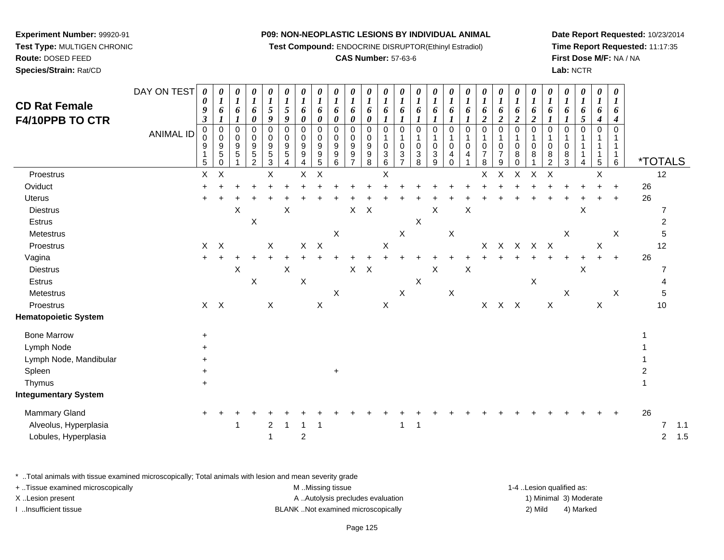**Test Compound:** ENDOCRINE DISRUPTOR(Ethinyl Estradiol)

*0 1*

*0 1*

*0 1*

*0 1*

*0 1*

*0 1*

*0 1*

*0 1*

*0 1*

*0 1*

*0 1*

*0 1*

*0 1*

*0 1*

*0 1*

## **CAS Number:** 57-63-6

**Date Report Requested:** 10/23/2014**Time Report Requested:** 11:17:35**First Dose M/F:** NA / NA**Lab:** NCTR

*0 1*

| <b>CD Rat Female</b><br>F4/10PPB TO CTR | <b>ANIMAL ID</b> | $\boldsymbol{\theta}$<br>9<br>$\boldsymbol{\beta}$<br>0<br>0<br>9 | 6<br>0<br>0<br>$\boldsymbol{9}$ | 6<br>$\mathbf 0$<br>$\mathbf 0$<br>$9\,$ | $\boldsymbol{l}$<br>6<br>$\boldsymbol{\theta}$<br>$\mathbf 0$<br>0<br>$\boldsymbol{9}$ | 1<br>$\sqrt{5}$<br>9<br>$\mathbf 0$<br>0<br>$\boldsymbol{9}$ | $\sqrt{5}$<br>9<br>$\mathbf 0$<br>$\mathbf 0$<br>$\boldsymbol{9}$ | 1<br>6<br>0<br>0<br>0<br>$9\,$ | 6<br>$\boldsymbol{\theta}$<br>0<br>0<br>$\boldsymbol{9}$ | 6<br>0<br>$\mathbf 0$<br>0<br>$\boldsymbol{9}$ | $\boldsymbol{I}$<br>6<br>$\boldsymbol{\theta}$<br>$\mathbf 0$<br>0<br>9 | 6<br>0<br>$\mathbf 0$<br>0<br>$9\,$ | 6<br>0<br>$\mathbf 0$ | $\boldsymbol{l}$<br>6<br>$\mathbf 0$<br>$\mathbf 0$ | 6<br>$\pmb{0}$<br>$\mathbf{1}$<br>$\mathbf 0$ | 6<br>$\mathbf 0$<br>0     | $\mathbf{I}$<br>6<br>$\boldsymbol{l}$<br>$\mathbf 0$<br>$\mathbf 1$<br>$\mathbf 0$ | 6<br>$\mathbf 0$<br>$\mathbf 0$ | 6<br>$\overline{c}$<br>0<br>1<br>0 | $\bf{l}$<br>6<br>$\boldsymbol{2}$<br>$\mathbf 0$<br>$\overline{1}$<br>$\pmb{0}$ | 6<br>$\boldsymbol{2}$<br>$\mathbf 0$<br>$\mathbf 0$ | $\mathbf{I}$<br>6<br>$\overline{\mathbf{c}}$<br>$\mathbf 0$<br>$\mathbf 0$ | 1<br>6<br>$\mathbf 0$<br>1<br>$\mathbf 0$ | 1<br>6<br>$\mathbf 0$<br>1<br>0 | $\mathbf{I}$<br>6<br>5<br>0<br>$\mathbf{1}$ | 6<br>$\boldsymbol{4}$<br>$\pmb{0}$<br>1<br>$\mathbf{1}$ | $\boldsymbol{I}$<br>6<br>4<br>$\mathbf 0$<br>$\mathbf{1}$ |    |                       |        |
|-----------------------------------------|------------------|-------------------------------------------------------------------|---------------------------------|------------------------------------------|----------------------------------------------------------------------------------------|--------------------------------------------------------------|-------------------------------------------------------------------|--------------------------------|----------------------------------------------------------|------------------------------------------------|-------------------------------------------------------------------------|-------------------------------------|-----------------------|-----------------------------------------------------|-----------------------------------------------|---------------------------|------------------------------------------------------------------------------------|---------------------------------|------------------------------------|---------------------------------------------------------------------------------|-----------------------------------------------------|----------------------------------------------------------------------------|-------------------------------------------|---------------------------------|---------------------------------------------|---------------------------------------------------------|-----------------------------------------------------------|----|-----------------------|--------|
|                                         |                  | 1<br>5                                                            | 5<br>0                          | 5                                        | 5<br>$\overline{2}$                                                                    | $\mathbf 5$<br>3                                             | $\sqrt{5}$                                                        | 9<br>4                         | 9<br>5                                                   | 9<br>6                                         | $9\,$                                                                   | $9\,$<br>8                          | 3<br>6                | $\mathbf{3}$<br>$\overline{7}$                      | $\sqrt{3}$<br>8                               | 3<br>9                    | 4<br>$\mathbf 0$                                                                   | 4                               | $\overline{7}$<br>8                | $\overline{7}$<br>9                                                             | 8<br>$\Omega$                                       | 8                                                                          | 8<br>$\overline{2}$                       | 8<br>3                          | 4                                           | $\mathbf 1$<br>5                                        | 1<br>6                                                    |    | <i><b>*TOTALS</b></i> |        |
| Proestrus                               |                  | X                                                                 | X                               |                                          |                                                                                        | X                                                            |                                                                   | X                              | X                                                        |                                                |                                                                         |                                     | X                     |                                                     |                                               |                           |                                                                                    |                                 | X                                  | $\pmb{\times}$                                                                  | X                                                   | X                                                                          | X                                         |                                 |                                             | X                                                       |                                                           |    | 12                    |        |
| Oviduct                                 |                  |                                                                   |                                 |                                          |                                                                                        |                                                              |                                                                   |                                |                                                          |                                                |                                                                         |                                     |                       |                                                     |                                               |                           |                                                                                    |                                 |                                    |                                                                                 |                                                     |                                                                            |                                           |                                 |                                             |                                                         |                                                           | 26 |                       |        |
| <b>Uterus</b>                           |                  |                                                                   |                                 |                                          |                                                                                        |                                                              |                                                                   |                                |                                                          |                                                |                                                                         |                                     |                       |                                                     |                                               |                           |                                                                                    |                                 |                                    |                                                                                 |                                                     |                                                                            |                                           |                                 |                                             |                                                         | $\ddot{}$                                                 | 26 |                       |        |
| <b>Diestrus</b>                         |                  |                                                                   |                                 | $\pmb{\times}$                           |                                                                                        |                                                              | X                                                                 |                                |                                                          |                                                | X                                                                       | X                                   |                       |                                                     |                                               | X                         |                                                                                    | X                               |                                    |                                                                                 |                                                     |                                                                            |                                           |                                 | X                                           |                                                         |                                                           |    |                       |        |
| Estrus                                  |                  |                                                                   |                                 |                                          | $\mathsf X$                                                                            |                                                              |                                                                   |                                |                                                          |                                                |                                                                         |                                     |                       |                                                     | $\mathsf X$                                   |                           |                                                                                    |                                 |                                    |                                                                                 |                                                     |                                                                            |                                           |                                 |                                             |                                                         |                                                           |    | $\overline{2}$        |        |
| Metestrus                               |                  |                                                                   |                                 |                                          |                                                                                        |                                                              |                                                                   |                                |                                                          | $\pmb{\times}$                                 |                                                                         |                                     |                       | X                                                   |                                               |                           | $\boldsymbol{\mathsf{X}}$                                                          |                                 |                                    |                                                                                 |                                                     |                                                                            |                                           | $\pmb{\times}$                  |                                             |                                                         | $\pmb{\times}$                                            |    | 5                     |        |
| Proestrus                               |                  | X                                                                 | $\boldsymbol{\mathsf{X}}$       |                                          |                                                                                        | $\mathsf X$                                                  |                                                                   |                                | $\mathsf{X}-\mathsf{X}$                                  |                                                |                                                                         |                                     | X                     |                                                     |                                               |                           |                                                                                    |                                 | X                                  | $\boldsymbol{X}$                                                                | X                                                   |                                                                            | $X$ $X$                                   |                                 |                                             | X                                                       |                                                           |    | 12                    |        |
| Vagina                                  |                  | $+$                                                               | $+$                             |                                          |                                                                                        | $\ddot{}$                                                    | $\ddot{}$                                                         | ÷                              |                                                          | $\ddot{}$                                      |                                                                         |                                     |                       |                                                     |                                               |                           |                                                                                    |                                 |                                    |                                                                                 |                                                     |                                                                            |                                           | $\ddot{}$                       | $\ddot{}$                                   | $+$                                                     | $+$                                                       | 26 |                       |        |
| <b>Diestrus</b>                         |                  |                                                                   |                                 | $\mathsf X$                              |                                                                                        |                                                              | $\mathsf X$                                                       |                                |                                                          |                                                | $\pmb{\times}$                                                          | $\boldsymbol{\mathsf{X}}$           |                       |                                                     |                                               | $\boldsymbol{\mathsf{X}}$ |                                                                                    | $\mathsf X$                     |                                    |                                                                                 |                                                     |                                                                            |                                           |                                 | $\mathsf X$                                 |                                                         |                                                           |    |                       |        |
| Estrus                                  |                  |                                                                   |                                 |                                          | $\boldsymbol{\mathsf{X}}$                                                              |                                                              |                                                                   | $\mathsf X$                    |                                                          |                                                |                                                                         |                                     |                       |                                                     | $\mathsf X$                                   |                           |                                                                                    |                                 |                                    |                                                                                 |                                                     | $\pmb{\times}$                                                             |                                           |                                 |                                             |                                                         |                                                           |    |                       |        |
| Metestrus                               |                  |                                                                   |                                 |                                          |                                                                                        |                                                              |                                                                   |                                |                                                          | X                                              |                                                                         |                                     |                       | $\mathsf X$                                         |                                               |                           | $\mathsf X$                                                                        |                                 |                                    |                                                                                 |                                                     |                                                                            |                                           | $\pmb{\times}$                  |                                             |                                                         | $\mathsf X$                                               |    | 5                     |        |
| Proestrus                               |                  |                                                                   | $X$ $X$                         |                                          |                                                                                        | $\boldsymbol{\mathsf{X}}$                                    |                                                                   |                                | $\boldsymbol{\mathsf{X}}$                                |                                                |                                                                         |                                     | $\mathsf X$           |                                                     |                                               |                           |                                                                                    |                                 |                                    | $X$ $X$ $X$                                                                     |                                                     |                                                                            | $\mathsf X$                               |                                 |                                             | X                                                       |                                                           |    | $10$                  |        |
| <b>Hematopoietic System</b>             |                  |                                                                   |                                 |                                          |                                                                                        |                                                              |                                                                   |                                |                                                          |                                                |                                                                         |                                     |                       |                                                     |                                               |                           |                                                                                    |                                 |                                    |                                                                                 |                                                     |                                                                            |                                           |                                 |                                             |                                                         |                                                           |    |                       |        |
| <b>Bone Marrow</b>                      |                  | +                                                                 |                                 |                                          |                                                                                        |                                                              |                                                                   |                                |                                                          |                                                |                                                                         |                                     |                       |                                                     |                                               |                           |                                                                                    |                                 |                                    |                                                                                 |                                                     |                                                                            |                                           |                                 |                                             |                                                         |                                                           |    |                       |        |
| Lymph Node                              |                  |                                                                   |                                 |                                          |                                                                                        |                                                              |                                                                   |                                |                                                          |                                                |                                                                         |                                     |                       |                                                     |                                               |                           |                                                                                    |                                 |                                    |                                                                                 |                                                     |                                                                            |                                           |                                 |                                             |                                                         |                                                           |    |                       |        |
| Lymph Node, Mandibular                  |                  |                                                                   |                                 |                                          |                                                                                        |                                                              |                                                                   |                                |                                                          |                                                |                                                                         |                                     |                       |                                                     |                                               |                           |                                                                                    |                                 |                                    |                                                                                 |                                                     |                                                                            |                                           |                                 |                                             |                                                         |                                                           |    |                       |        |
| Spleen                                  |                  |                                                                   |                                 |                                          |                                                                                        |                                                              |                                                                   |                                |                                                          | $\ddot{}$                                      |                                                                         |                                     |                       |                                                     |                                               |                           |                                                                                    |                                 |                                    |                                                                                 |                                                     |                                                                            |                                           |                                 |                                             |                                                         |                                                           | 2  |                       |        |
| Thymus                                  |                  | $\ddot{}$                                                         |                                 |                                          |                                                                                        |                                                              |                                                                   |                                |                                                          |                                                |                                                                         |                                     |                       |                                                     |                                               |                           |                                                                                    |                                 |                                    |                                                                                 |                                                     |                                                                            |                                           |                                 |                                             |                                                         |                                                           |    |                       |        |
| <b>Integumentary System</b>             |                  |                                                                   |                                 |                                          |                                                                                        |                                                              |                                                                   |                                |                                                          |                                                |                                                                         |                                     |                       |                                                     |                                               |                           |                                                                                    |                                 |                                    |                                                                                 |                                                     |                                                                            |                                           |                                 |                                             |                                                         |                                                           |    |                       |        |
| Mammary Gland                           |                  |                                                                   |                                 |                                          |                                                                                        |                                                              |                                                                   |                                |                                                          |                                                |                                                                         |                                     |                       |                                                     |                                               |                           |                                                                                    |                                 |                                    |                                                                                 |                                                     |                                                                            |                                           |                                 |                                             |                                                         |                                                           | 26 |                       |        |
| Alveolus, Hyperplasia                   |                  |                                                                   |                                 | -1                                       |                                                                                        | $\overline{c}$                                               |                                                                   | 1                              | -1                                                       |                                                |                                                                         |                                     |                       | 1                                                   | $\overline{1}$                                |                           |                                                                                    |                                 |                                    |                                                                                 |                                                     |                                                                            |                                           |                                 |                                             |                                                         |                                                           |    | $\overline{7}$        | 1.1    |
| Lobules, Hyperplasia                    |                  |                                                                   |                                 |                                          |                                                                                        | $\overline{1}$                                               |                                                                   | $\overline{c}$                 |                                                          |                                                |                                                                         |                                     |                       |                                                     |                                               |                           |                                                                                    |                                 |                                    |                                                                                 |                                                     |                                                                            |                                           |                                 |                                             |                                                         |                                                           |    |                       | 2, 1.5 |
|                                         |                  |                                                                   |                                 |                                          |                                                                                        |                                                              |                                                                   |                                |                                                          |                                                |                                                                         |                                     |                       |                                                     |                                               |                           |                                                                                    |                                 |                                    |                                                                                 |                                                     |                                                                            |                                           |                                 |                                             |                                                         |                                                           |    |                       |        |

\* ..Total animals with tissue examined microscopically; Total animals with lesion and mean severity grade

DAY ON TEST *0 0*

*0 1*

*0 1*

*0 1*

*0 1*

*0 1*

*0 1*

*0 1*

*0 1*

*0 1*

**Experiment Number:** 99920-91**Test Type:** MULTIGEN CHRONIC

| + Tissue examined microscopically | M Missing tissue                   | 1-4 Lesion qualified as: |                        |
|-----------------------------------|------------------------------------|--------------------------|------------------------|
| X Lesion present                  | A Autolysis precludes evaluation   |                          | 1) Minimal 3) Moderate |
| Insufficient tissue               | BLANK Not examined microscopically | 2) Mild                  | 4) Marked              |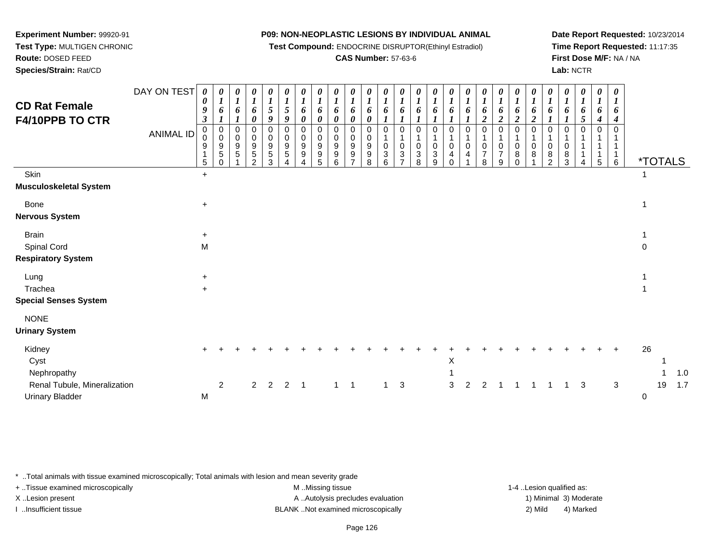**Test Compound:** ENDOCRINE DISRUPTOR(Ethinyl Estradiol)

## **CAS Number:** 57-63-6

**Date Report Requested:** 10/23/2014**Time Report Requested:** 11:17:35**First Dose M/F:** NA / NA**Lab:** NCTR

| <b>CD Rat Female</b>                                   | DAY ON TEST      | $\boldsymbol{\theta}$<br>$\pmb{\theta}$                          | $\boldsymbol{\theta}$<br>$\boldsymbol{l}$          | $\theta$<br>$\boldsymbol{l}$           | $\boldsymbol{\theta}$<br>$\boldsymbol{l}$                                                | 0<br>$\boldsymbol{l}$                      | 0<br>$\boldsymbol{l}$                           | 0<br>$\boldsymbol{l}$                           | 0<br>$\boldsymbol{l}$                  | $\boldsymbol{\theta}$<br>$\boldsymbol{l}$                 | $\boldsymbol{\theta}$<br>$\boldsymbol{l}$                                              | 0<br>$\boldsymbol{l}$                                         | 0<br>$\boldsymbol{l}$                           | $\boldsymbol{\theta}$<br>$\boldsymbol{l}$                                    | $\boldsymbol{\theta}$<br>$\boldsymbol{l}$   | $\boldsymbol{l}$          | 0                                 | 0<br>$\overline{\mathbf{I}}$ | 0<br>$\boldsymbol{l}$                                                            | $\boldsymbol{\theta}$<br>$\boldsymbol{l}$                                           | $\boldsymbol{\theta}$<br>$\boldsymbol{l}$             | $\boldsymbol{\theta}$<br>$\boldsymbol{l}$   | $\boldsymbol{\theta}$                           | $\boldsymbol{\theta}$<br>$\boldsymbol{l}$ | 0<br>$\boldsymbol{l}$                     | 0<br>$\boldsymbol{l}$   | $\boldsymbol{\theta}$<br>$\boldsymbol{I}$                    |              |                       |     |
|--------------------------------------------------------|------------------|------------------------------------------------------------------|----------------------------------------------------|----------------------------------------|------------------------------------------------------------------------------------------|--------------------------------------------|-------------------------------------------------|-------------------------------------------------|----------------------------------------|-----------------------------------------------------------|----------------------------------------------------------------------------------------|---------------------------------------------------------------|-------------------------------------------------|------------------------------------------------------------------------------|---------------------------------------------|---------------------------|-----------------------------------|------------------------------|----------------------------------------------------------------------------------|-------------------------------------------------------------------------------------|-------------------------------------------------------|---------------------------------------------|-------------------------------------------------|-------------------------------------------|-------------------------------------------|-------------------------|--------------------------------------------------------------|--------------|-----------------------|-----|
| F4/10PPB TO CTR                                        | <b>ANIMAL ID</b> | 9<br>$\mathfrak{z}$<br>$\mathbf 0$<br>$\mathbf 0$<br>9<br>1<br>5 | 6<br>0<br>$\mathsf 0$<br>$\frac{9}{5}$<br>$\Omega$ | 6<br>$\Omega$<br>$\mathbf 0$<br>9<br>5 | 6<br>0<br>$\Omega$<br>$\mathbf 0$<br>$\boldsymbol{9}$<br>$\overline{5}$<br>$\mathcal{P}$ | 5<br>9<br>$\Omega$<br>0<br>$9\,$<br>5<br>3 | 5<br>9<br>$\Omega$<br>0<br>9<br>$5\phantom{.0}$ | 6<br>0<br>$\Omega$<br>$\mathbf 0$<br>$9\,$<br>9 | 6<br>0<br>$\Omega$<br>0<br>9<br>9<br>5 | 6<br>0<br>$\Omega$<br>0<br>$9\,$<br>$\boldsymbol{9}$<br>6 | 6<br>$\boldsymbol{\theta}$<br>$\mathbf 0$<br>0<br>$\boldsymbol{9}$<br>$\boldsymbol{9}$ | 6<br>0<br>0<br>0<br>$\boldsymbol{9}$<br>$\boldsymbol{9}$<br>8 | 6<br>$\Omega$<br>$\pmb{0}$<br>$\mathbf{3}$<br>6 | 6<br>$\Omega$<br>$\overline{1}$<br>$\pmb{0}$<br>$\sqrt{3}$<br>$\overline{ }$ | 6<br>$\Omega$<br>1<br>$\mathbf 0$<br>3<br>8 | 6<br>0<br>$\sqrt{3}$<br>9 | 6<br>$\Omega$<br>$\mathbf 0$<br>4 | 6<br>0<br>$\mathbf 0$<br>4   | 6<br>$\boldsymbol{2}$<br>0<br>$\mathbf{1}$<br>$\mathbf 0$<br>$\overline{7}$<br>8 | 6<br>$\overline{\mathbf{2}}$<br>$\Omega$<br>1<br>$\mathbf 0$<br>$\overline{7}$<br>9 | 6<br>$\overline{c}$<br>$\Omega$<br>0<br>8<br>$\Omega$ | 6<br>$\boldsymbol{2}$<br>$\Omega$<br>0<br>8 | 6<br>$\Omega$<br>0<br>$\bf 8$<br>$\mathfrak{p}$ | 6<br>$\Omega$<br>1<br>0<br>8<br>3         | 6<br>5<br>$\Omega$<br>1<br>$\overline{1}$ | 6<br>4<br>$\Omega$<br>5 | 6<br>4<br>$\Omega$<br>1<br>$\mathbf{1}$<br>$\mathbf{1}$<br>6 |              | <i><b>*TOTALS</b></i> |     |
| Skin                                                   |                  | $\ddot{}$                                                        |                                                    |                                        |                                                                                          |                                            |                                                 |                                                 |                                        |                                                           |                                                                                        |                                                               |                                                 |                                                                              |                                             |                           |                                   |                              |                                                                                  |                                                                                     |                                                       |                                             |                                                 |                                           |                                           |                         |                                                              |              |                       |     |
| Musculoskeletal System                                 |                  |                                                                  |                                                    |                                        |                                                                                          |                                            |                                                 |                                                 |                                        |                                                           |                                                                                        |                                                               |                                                 |                                                                              |                                             |                           |                                   |                              |                                                                                  |                                                                                     |                                                       |                                             |                                                 |                                           |                                           |                         |                                                              |              |                       |     |
| <b>Bone</b><br><b>Nervous System</b>                   |                  | $\ddot{}$                                                        |                                                    |                                        |                                                                                          |                                            |                                                 |                                                 |                                        |                                                           |                                                                                        |                                                               |                                                 |                                                                              |                                             |                           |                                   |                              |                                                                                  |                                                                                     |                                                       |                                             |                                                 |                                           |                                           |                         |                                                              |              |                       |     |
| <b>Brain</b>                                           |                  | $\ddot{}$                                                        |                                                    |                                        |                                                                                          |                                            |                                                 |                                                 |                                        |                                                           |                                                                                        |                                                               |                                                 |                                                                              |                                             |                           |                                   |                              |                                                                                  |                                                                                     |                                                       |                                             |                                                 |                                           |                                           |                         |                                                              | $\mathbf{1}$ |                       |     |
| Spinal Cord                                            |                  | M                                                                |                                                    |                                        |                                                                                          |                                            |                                                 |                                                 |                                        |                                                           |                                                                                        |                                                               |                                                 |                                                                              |                                             |                           |                                   |                              |                                                                                  |                                                                                     |                                                       |                                             |                                                 |                                           |                                           |                         |                                                              | $\mathbf 0$  |                       |     |
| <b>Respiratory System</b>                              |                  |                                                                  |                                                    |                                        |                                                                                          |                                            |                                                 |                                                 |                                        |                                                           |                                                                                        |                                                               |                                                 |                                                                              |                                             |                           |                                   |                              |                                                                                  |                                                                                     |                                                       |                                             |                                                 |                                           |                                           |                         |                                                              |              |                       |     |
| Lung                                                   |                  | $+$                                                              |                                                    |                                        |                                                                                          |                                            |                                                 |                                                 |                                        |                                                           |                                                                                        |                                                               |                                                 |                                                                              |                                             |                           |                                   |                              |                                                                                  |                                                                                     |                                                       |                                             |                                                 |                                           |                                           |                         |                                                              |              |                       |     |
| Trachea                                                |                  | $+$                                                              |                                                    |                                        |                                                                                          |                                            |                                                 |                                                 |                                        |                                                           |                                                                                        |                                                               |                                                 |                                                                              |                                             |                           |                                   |                              |                                                                                  |                                                                                     |                                                       |                                             |                                                 |                                           |                                           |                         |                                                              |              |                       |     |
| <b>Special Senses System</b>                           |                  |                                                                  |                                                    |                                        |                                                                                          |                                            |                                                 |                                                 |                                        |                                                           |                                                                                        |                                                               |                                                 |                                                                              |                                             |                           |                                   |                              |                                                                                  |                                                                                     |                                                       |                                             |                                                 |                                           |                                           |                         |                                                              |              |                       |     |
| <b>NONE</b><br><b>Urinary System</b>                   |                  |                                                                  |                                                    |                                        |                                                                                          |                                            |                                                 |                                                 |                                        |                                                           |                                                                                        |                                                               |                                                 |                                                                              |                                             |                           |                                   |                              |                                                                                  |                                                                                     |                                                       |                                             |                                                 |                                           |                                           |                         |                                                              |              |                       |     |
| Kidney<br>Cyst<br>Nephropathy                          |                  |                                                                  |                                                    |                                        |                                                                                          |                                            |                                                 |                                                 |                                        |                                                           |                                                                                        |                                                               |                                                 |                                                                              |                                             |                           | X                                 |                              |                                                                                  |                                                                                     |                                                       |                                             |                                                 |                                           |                                           |                         | $\ddot{}$                                                    | 26           |                       | 1.0 |
| Renal Tubule, Mineralization<br><b>Urinary Bladder</b> |                  | M                                                                | $\overline{2}$                                     |                                        | $\overline{2}$                                                                           | $\overline{2}$                             | $\overline{2}$                                  | $\overline{1}$                                  |                                        | $\mathbf{1}$                                              | $\overline{1}$                                                                         |                                                               | 1                                               | 3                                                                            |                                             |                           | 3                                 | 2                            | $\overline{2}$                                                                   |                                                                                     |                                                       |                                             |                                                 |                                           | 3                                         |                         | $\sqrt{3}$                                                   | 0            | 19                    | 1.7 |
|                                                        |                  |                                                                  |                                                    |                                        |                                                                                          |                                            |                                                 |                                                 |                                        |                                                           |                                                                                        |                                                               |                                                 |                                                                              |                                             |                           |                                   |                              |                                                                                  |                                                                                     |                                                       |                                             |                                                 |                                           |                                           |                         |                                                              |              |                       |     |

\* ..Total animals with tissue examined microscopically; Total animals with lesion and mean severity grade

**Experiment Number:** 99920-91**Test Type:** MULTIGEN CHRONIC

**Route:** DOSED FEED**Species/Strain:** Rat/CD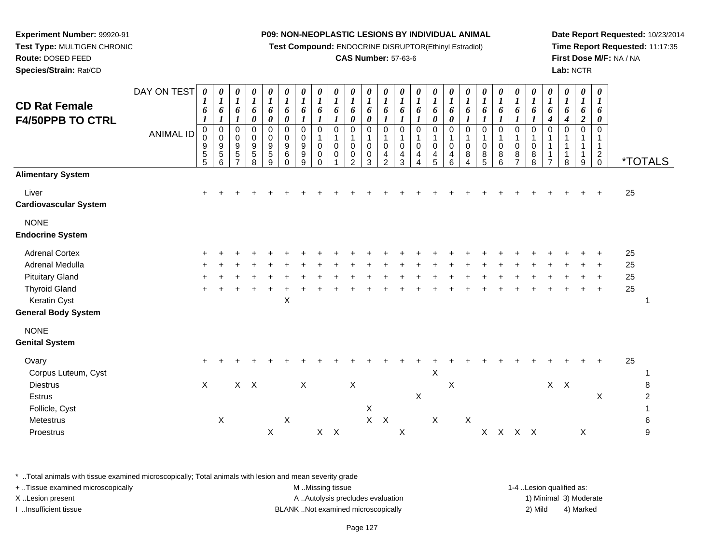**Test Compound:** ENDOCRINE DISRUPTOR(Ethinyl Estradiol)

## **CAS Number:** 57-63-6

**Date Report Requested:** 10/23/2014**Time Report Requested:** 11:17:35**First Dose M/F:** NA / NA**Lab:** NCTR

| <b>CD Rat Female</b>                       | DAY ON TEST      | $\boldsymbol{\theta}$<br>1           | 0<br>$\boldsymbol{l}$                                          | 0<br>$\boldsymbol{l}$                     | $\boldsymbol{\theta}$<br>$\boldsymbol{l}$         | $\boldsymbol{\theta}$<br>$\boldsymbol{l}$ | 0<br>$\boldsymbol{l}$                                | 0<br>$\boldsymbol{l}$                   | 0<br>$\bm{l}$                      | 0<br>$\boldsymbol{l}$  | 0<br>$\boldsymbol{l}$        | 0<br>$\boldsymbol{l}$ | 0<br>$\boldsymbol{l}$                              | 0<br>$\boldsymbol{l}$    | 0<br>$\boldsymbol{l}$    | 0<br>$\boldsymbol{l}$ | 0<br>1                                | 0<br>$\bm{l}$             | 0<br>$\boldsymbol{l}$                     | 0<br>$\boldsymbol{l}$ | 0<br>$\bm{l}$                                    | 0<br>$\boldsymbol{l}$                | 0<br>$\boldsymbol{l}$ | 0<br>1                | 0<br>$\boldsymbol{l}$                | 0<br>$\boldsymbol{I}$                       |    |                       |
|--------------------------------------------|------------------|--------------------------------------|----------------------------------------------------------------|-------------------------------------------|---------------------------------------------------|-------------------------------------------|------------------------------------------------------|-----------------------------------------|------------------------------------|------------------------|------------------------------|-----------------------|----------------------------------------------------|--------------------------|--------------------------|-----------------------|---------------------------------------|---------------------------|-------------------------------------------|-----------------------|--------------------------------------------------|--------------------------------------|-----------------------|-----------------------|--------------------------------------|---------------------------------------------|----|-----------------------|
| <b>F4/50PPB TO CTRL</b>                    |                  | 6<br>1                               | 6<br>$\boldsymbol{l}$                                          | 6<br>$\boldsymbol{l}$<br>$\pmb{0}$        | 6<br>$\pmb{\theta}$<br>$\overline{0}$             | 6<br>0<br>$\mathsf 0$                     | $\pmb{6}$<br>0<br>$\pmb{0}$                          | 6<br>$\boldsymbol{l}$<br>$\mathbf 0$    | 6<br>0                             | 6<br>$\mathbf 0$       | 6<br>0<br>$\pmb{0}$          | 6<br>0<br>$\Omega$    | 6<br>$\boldsymbol{l}$<br>$\mathbf 0$               | 6<br>1<br>$\overline{0}$ | 6<br>1<br>$\overline{0}$ | 6<br>0<br>0           | 6<br>0<br>$\mathbf 0$                 | 6<br>$\mathbf 0$          | 6<br>$\mathbf{I}$<br>$\pmb{0}$            | 6<br>$\mathbf 0$      | 6<br>$\boldsymbol{I}$<br>$\mathbf 0$             | 6<br>$\boldsymbol{l}$<br>$\mathbf 0$ | 6<br>4<br>$\mathbf 0$ | 6<br>4<br>$\mathbf 0$ | 6<br>$\boldsymbol{2}$<br>$\mathbf 0$ | 6<br>0<br>$\mathbf 0$                       |    |                       |
|                                            | <b>ANIMAL ID</b> | 0<br>0<br>$\boldsymbol{9}$<br>5<br>5 | $\pmb{0}$<br>$\pmb{0}$<br>$\boldsymbol{9}$<br>$\mathbf 5$<br>6 | $\mathbf 0$<br>$\boldsymbol{9}$<br>5<br>7 | $\pmb{0}$<br>$\boldsymbol{9}$<br>$\,$ 5 $\,$<br>8 | 0<br>$\boldsymbol{9}$<br>5<br>9           | $\pmb{0}$<br>$\boldsymbol{9}$<br>$\,6\,$<br>$\Omega$ | $\pmb{0}$<br>$\boldsymbol{9}$<br>9<br>9 | 1<br>$\pmb{0}$<br>$\mathbf 0$<br>0 | $\mathbf{1}$<br>0<br>0 | 1<br>0<br>0<br>$\mathcal{P}$ | 0<br>0<br>3           | $\mathbf{1}$<br>$\mathbf 0$<br>4<br>$\mathfrak{p}$ | $\pmb{0}$<br>4<br>3      | 1<br>$\mathsf 0$<br>4    | 0<br>4<br>5           | 1<br>$\pmb{0}$<br>$\overline{4}$<br>6 | 1<br>$\pmb{0}$<br>8<br>4  | $\mathbf{1}$<br>$\pmb{0}$<br>$\bf 8$<br>5 | $\mathbf 0$<br>8<br>6 | $\mathbf{1}$<br>$\pmb{0}$<br>8<br>$\overline{ }$ | $\mathbf 1$<br>0<br>8<br>8           | ⇁                     | 8                     | 1<br>1<br>9                          | $\mathbf 1$<br>$\mathbf{1}$<br>$^2_{\rm 0}$ |    | <i><b>*TOTALS</b></i> |
| <b>Alimentary System</b>                   |                  |                                      |                                                                |                                           |                                                   |                                           |                                                      |                                         |                                    |                        |                              |                       |                                                    |                          |                          |                       |                                       |                           |                                           |                       |                                                  |                                      |                       |                       |                                      |                                             |    |                       |
| Liver<br><b>Cardiovascular System</b>      |                  | 4                                    |                                                                |                                           |                                                   |                                           |                                                      |                                         |                                    |                        |                              |                       |                                                    |                          |                          |                       |                                       |                           |                                           |                       |                                                  |                                      |                       |                       |                                      |                                             | 25 |                       |
| <b>NONE</b><br><b>Endocrine System</b>     |                  |                                      |                                                                |                                           |                                                   |                                           |                                                      |                                         |                                    |                        |                              |                       |                                                    |                          |                          |                       |                                       |                           |                                           |                       |                                                  |                                      |                       |                       |                                      |                                             |    |                       |
| <b>Adrenal Cortex</b>                      |                  |                                      |                                                                |                                           |                                                   |                                           |                                                      |                                         |                                    |                        |                              |                       |                                                    |                          |                          |                       |                                       |                           |                                           |                       |                                                  |                                      |                       |                       |                                      |                                             | 25 |                       |
| Adrenal Medulla                            |                  |                                      |                                                                |                                           |                                                   |                                           |                                                      |                                         |                                    |                        |                              |                       |                                                    |                          |                          |                       |                                       |                           |                                           |                       |                                                  |                                      |                       |                       |                                      |                                             | 25 |                       |
| <b>Pituitary Gland</b>                     |                  |                                      |                                                                |                                           |                                                   |                                           |                                                      |                                         |                                    |                        |                              |                       |                                                    |                          |                          |                       |                                       |                           |                                           |                       |                                                  |                                      |                       |                       |                                      |                                             | 25 |                       |
| <b>Thyroid Gland</b>                       |                  | $\ddot{}$                            |                                                                |                                           |                                                   |                                           |                                                      |                                         |                                    |                        |                              |                       |                                                    |                          |                          |                       |                                       |                           |                                           |                       |                                                  |                                      |                       |                       | $\ddot{}$                            | $\ddot{}$                                   | 25 |                       |
| Keratin Cyst<br><b>General Body System</b> |                  |                                      |                                                                |                                           |                                                   |                                           | $\sf X$                                              |                                         |                                    |                        |                              |                       |                                                    |                          |                          |                       |                                       |                           |                                           |                       |                                                  |                                      |                       |                       |                                      |                                             |    | 1                     |
| <b>NONE</b><br><b>Genital System</b>       |                  |                                      |                                                                |                                           |                                                   |                                           |                                                      |                                         |                                    |                        |                              |                       |                                                    |                          |                          |                       |                                       |                           |                                           |                       |                                                  |                                      |                       |                       |                                      |                                             |    |                       |
| Ovary<br>Corpus Luteum, Cyst               |                  | $\ddot{}$                            |                                                                |                                           |                                                   |                                           |                                                      |                                         |                                    |                        |                              |                       |                                                    |                          |                          | $\mathsf X$           |                                       |                           |                                           |                       |                                                  |                                      |                       |                       |                                      | $+$                                         | 25 |                       |
| <b>Diestrus</b><br>Estrus                  |                  | $\mathsf{X}$                         |                                                                |                                           | $X$ $X$                                           |                                           |                                                      | $\boldsymbol{\mathsf{X}}$               |                                    |                        | $\mathsf X$                  |                       |                                                    |                          | X                        |                       | X                                     |                           |                                           |                       |                                                  |                                      |                       | $X$ $X$               |                                      | X                                           |    | 8<br>$\boldsymbol{2}$ |
| Follicle, Cyst                             |                  |                                      |                                                                |                                           |                                                   |                                           |                                                      |                                         |                                    |                        |                              | $\mathsf X$           |                                                    |                          |                          |                       |                                       |                           |                                           |                       |                                                  |                                      |                       |                       |                                      |                                             |    |                       |
| Metestrus<br>Proestrus                     |                  |                                      | Χ                                                              |                                           |                                                   | $\mathsf X$                               | X                                                    |                                         |                                    | $X$ $X$                |                              | $\mathsf{X}$          | $\boldsymbol{\mathsf{X}}$                          | X                        |                          | X                     |                                       | $\boldsymbol{\mathsf{X}}$ | X                                         |                       | X X X                                            |                                      |                       |                       | X                                    |                                             |    | 6<br>9                |
|                                            |                  |                                      |                                                                |                                           |                                                   |                                           |                                                      |                                         |                                    |                        |                              |                       |                                                    |                          |                          |                       |                                       |                           |                                           |                       |                                                  |                                      |                       |                       |                                      |                                             |    |                       |

\* ..Total animals with tissue examined microscopically; Total animals with lesion and mean severity grade

**Experiment Number:** 99920-91**Test Type:** MULTIGEN CHRONIC

| + Tissue examined microscopically | M Missing tissue                   | 1-4 Lesion qualified as: |                        |
|-----------------------------------|------------------------------------|--------------------------|------------------------|
| X Lesion present                  | A Autolysis precludes evaluation   |                          | 1) Minimal 3) Moderate |
| …Insufficient tissue              | BLANK Not examined microscopically | 2) Mild                  | 4) Marked              |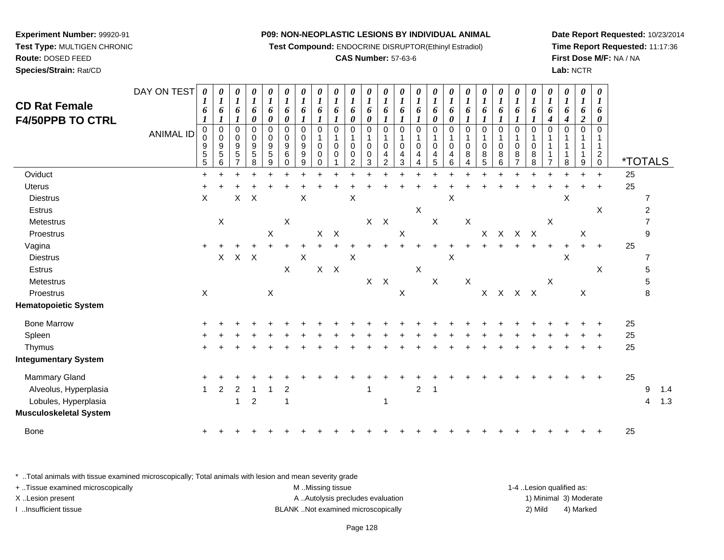**Test Compound:** ENDOCRINE DISRUPTOR(Ethinyl Estradiol)

## **CAS Number:** 57-63-6

**Date Report Requested:** 10/23/2014**Time Report Requested:** 11:17:36**First Dose M/F:** NA / NA**Lab:** NCTR

| <b>CD Rat Female</b><br><b>F4/50PPB TO CTRL</b> | DAY ON TEST<br><b>ANIMAL ID</b> | $\boldsymbol{\theta}$<br>1<br>6<br>$\boldsymbol{l}$<br>0<br>9<br>5<br>5 | $\boldsymbol{\theta}$<br>$\boldsymbol{l}$<br>6<br>$\pmb{0}$<br>$\pmb{0}$<br>9<br>5<br>6 | $\pmb{\theta}$<br>$\boldsymbol{l}$<br>6<br>$\mathsf 0$<br>0<br>9<br>5 | $\pmb{\theta}$<br>$\boldsymbol{l}$<br>6<br>0<br>$\pmb{0}$<br>$\pmb{0}$<br>$\boldsymbol{9}$<br>$\overline{5}$<br>8 | $\pmb{\theta}$<br>$\boldsymbol{l}$<br>6<br>0<br>$\mathbf 0$<br>$\mathbf 0$<br>9<br>5<br>9 | 0<br>$\boldsymbol{l}$<br>6<br>0<br>$\pmb{0}$<br>$\pmb{0}$<br>$\boldsymbol{9}$<br>$\,6$<br>0 | $\boldsymbol{\theta}$<br>$\boldsymbol{l}$<br>6<br>1<br>$\pmb{0}$<br>0<br>9<br>9<br>9 | $\pmb{\theta}$<br>$\boldsymbol{l}$<br>6<br>$\boldsymbol{l}$<br>$\Omega$<br>$\mathbf 0$<br>0<br>$\Omega$ | $\boldsymbol{\theta}$<br>$\boldsymbol{l}$<br>6<br>1<br>$\Omega$<br>$\Omega$<br>$\Omega$ | $\pmb{\theta}$<br>$\boldsymbol{l}$<br>6<br>0<br>$\mathbf 0$<br>$\mathbf 0$<br>0<br>2 | 0<br>$\boldsymbol{l}$<br>6<br>0<br>$\mathbf 0$<br>$\mathbf 0$<br>0<br>3 | $\pmb{\theta}$<br>$\boldsymbol{l}$<br>6<br>$\mathbf 0$<br>$\mathbf{1}$<br>0<br>4<br>$\overline{2}$ | $\pmb{\theta}$<br>$\boldsymbol{l}$<br>6<br>$\pmb{0}$<br>1<br>$\pmb{0}$<br>4<br>3 | 0<br>$\boldsymbol{l}$<br>6<br>$\mathbf 0$<br>$\mathbf{1}$<br>0<br>4 | $\boldsymbol{\theta}$<br>$\boldsymbol{l}$<br>6<br>$\boldsymbol{\theta}$<br>$\pmb{0}$<br>$\mathbf{1}$<br>$\mathbf 0$<br>4<br>5 | 0<br>$\boldsymbol{l}$<br>6<br>0<br>0<br>$\mathbf 0$<br>4<br>6 | $\boldsymbol{\theta}$<br>6<br>$\mathbf 0$<br>$\mathbf 0$<br>8 | 0<br>1<br>6<br>0<br>$\mathbf 0$<br>8<br>5 | 0<br>$\boldsymbol{l}$<br>6<br>$\Omega$<br>$\mathbf 0$<br>8<br>6 | 0<br>$\boldsymbol{l}$<br>6<br>$\mathbf 0$<br>1<br>0<br>8<br>$\overline{7}$ | $\pmb{\theta}$<br>1<br>6<br>$\mathbf 0$<br>1<br>$\mathbf 0$<br>8<br>8 | $\pmb{\theta}$<br>$\bm{l}$<br>6<br>4<br>$\Omega$<br>7 | 0<br>$\boldsymbol{l}$<br>6<br>4<br>$\Omega$<br>8 | $\boldsymbol{\theta}$<br>$\boldsymbol{l}$<br>6<br>$\boldsymbol{2}$<br>$\Omega$<br>9 | $\boldsymbol{\theta}$<br>1<br>6<br>0<br>$\mathbf 0$<br>1<br>$\overline{2}$<br>$\pmb{0}$ | *TOTALS |   |     |
|-------------------------------------------------|---------------------------------|-------------------------------------------------------------------------|-----------------------------------------------------------------------------------------|-----------------------------------------------------------------------|-------------------------------------------------------------------------------------------------------------------|-------------------------------------------------------------------------------------------|---------------------------------------------------------------------------------------------|--------------------------------------------------------------------------------------|---------------------------------------------------------------------------------------------------------|-----------------------------------------------------------------------------------------|--------------------------------------------------------------------------------------|-------------------------------------------------------------------------|----------------------------------------------------------------------------------------------------|----------------------------------------------------------------------------------|---------------------------------------------------------------------|-------------------------------------------------------------------------------------------------------------------------------|---------------------------------------------------------------|---------------------------------------------------------------|-------------------------------------------|-----------------------------------------------------------------|----------------------------------------------------------------------------|-----------------------------------------------------------------------|-------------------------------------------------------|--------------------------------------------------|-------------------------------------------------------------------------------------|-----------------------------------------------------------------------------------------|---------|---|-----|
| Oviduct                                         |                                 | $\ddot{}$                                                               |                                                                                         |                                                                       |                                                                                                                   |                                                                                           |                                                                                             |                                                                                      |                                                                                                         |                                                                                         |                                                                                      |                                                                         |                                                                                                    |                                                                                  |                                                                     |                                                                                                                               |                                                               |                                                               |                                           |                                                                 |                                                                            |                                                                       |                                                       |                                                  |                                                                                     | $\ddot{}$                                                                               | 25      |   |     |
| <b>Uterus</b>                                   |                                 |                                                                         |                                                                                         |                                                                       |                                                                                                                   |                                                                                           |                                                                                             |                                                                                      |                                                                                                         |                                                                                         |                                                                                      |                                                                         |                                                                                                    |                                                                                  |                                                                     |                                                                                                                               |                                                               |                                                               |                                           |                                                                 |                                                                            |                                                                       |                                                       |                                                  |                                                                                     |                                                                                         | 25      |   |     |
| <b>Diestrus</b>                                 |                                 | $\sf X$                                                                 |                                                                                         | X                                                                     | $\mathsf{X}$                                                                                                      |                                                                                           |                                                                                             | $\sf X$                                                                              |                                                                                                         |                                                                                         | X                                                                                    |                                                                         |                                                                                                    |                                                                                  |                                                                     |                                                                                                                               | $\boldsymbol{\mathsf{X}}$                                     |                                                               |                                           |                                                                 |                                                                            |                                                                       |                                                       | $\boldsymbol{\mathsf{X}}$                        |                                                                                     |                                                                                         |         | 7 |     |
| Estrus                                          |                                 |                                                                         |                                                                                         |                                                                       |                                                                                                                   |                                                                                           |                                                                                             |                                                                                      |                                                                                                         |                                                                                         |                                                                                      |                                                                         |                                                                                                    |                                                                                  | X                                                                   |                                                                                                                               |                                                               |                                                               |                                           |                                                                 |                                                                            |                                                                       |                                                       |                                                  |                                                                                     | $\mathsf X$                                                                             |         | 2 |     |
| Metestrus                                       |                                 |                                                                         | $\sf X$                                                                                 |                                                                       |                                                                                                                   |                                                                                           | X                                                                                           |                                                                                      |                                                                                                         |                                                                                         |                                                                                      |                                                                         | $X$ $X$                                                                                            |                                                                                  |                                                                     | $\boldsymbol{X}$                                                                                                              |                                                               | $\boldsymbol{X}$                                              |                                           |                                                                 |                                                                            |                                                                       | X                                                     |                                                  |                                                                                     |                                                                                         |         |   |     |
| Proestrus                                       |                                 |                                                                         |                                                                                         |                                                                       |                                                                                                                   | $\mathsf X$                                                                               |                                                                                             |                                                                                      |                                                                                                         | $X$ $X$                                                                                 |                                                                                      |                                                                         |                                                                                                    | X                                                                                |                                                                     |                                                                                                                               |                                                               |                                                               | $\mathsf{X}$                              | $\mathsf{X}$                                                    | $X$ $X$                                                                    |                                                                       |                                                       |                                                  | X                                                                                   |                                                                                         |         | 9 |     |
| Vagina                                          |                                 | +                                                                       |                                                                                         |                                                                       |                                                                                                                   |                                                                                           |                                                                                             |                                                                                      |                                                                                                         |                                                                                         |                                                                                      |                                                                         |                                                                                                    |                                                                                  |                                                                     |                                                                                                                               |                                                               |                                                               |                                           |                                                                 |                                                                            |                                                                       |                                                       |                                                  |                                                                                     | $+$                                                                                     | 25      |   |     |
| <b>Diestrus</b>                                 |                                 |                                                                         | $\mathsf{X}$                                                                            | $X$ $X$                                                               |                                                                                                                   |                                                                                           |                                                                                             | $\boldsymbol{\mathsf{X}}$                                                            |                                                                                                         |                                                                                         | X                                                                                    |                                                                         |                                                                                                    |                                                                                  |                                                                     |                                                                                                                               | X                                                             |                                                               |                                           |                                                                 |                                                                            |                                                                       |                                                       | $\boldsymbol{\mathsf{X}}$                        |                                                                                     |                                                                                         |         | 7 |     |
| Estrus                                          |                                 |                                                                         |                                                                                         |                                                                       |                                                                                                                   |                                                                                           | X                                                                                           |                                                                                      |                                                                                                         | $\mathsf{X} \quad \mathsf{X}$                                                           |                                                                                      |                                                                         |                                                                                                    |                                                                                  | $\boldsymbol{\mathsf{X}}$                                           |                                                                                                                               |                                                               |                                                               |                                           |                                                                 |                                                                            |                                                                       |                                                       |                                                  |                                                                                     | $\mathsf X$                                                                             |         | 5 |     |
| Metestrus                                       |                                 |                                                                         |                                                                                         |                                                                       |                                                                                                                   |                                                                                           |                                                                                             |                                                                                      |                                                                                                         |                                                                                         |                                                                                      |                                                                         | $X$ $X$                                                                                            |                                                                                  |                                                                     | $\mathsf{X}$                                                                                                                  |                                                               | X                                                             |                                           |                                                                 |                                                                            |                                                                       | X                                                     |                                                  |                                                                                     |                                                                                         |         | 5 |     |
| Proestrus                                       |                                 | $\boldsymbol{\mathsf{X}}$                                               |                                                                                         |                                                                       |                                                                                                                   | $\boldsymbol{\mathsf{X}}$                                                                 |                                                                                             |                                                                                      |                                                                                                         |                                                                                         |                                                                                      |                                                                         |                                                                                                    | $\mathsf X$                                                                      |                                                                     |                                                                                                                               |                                                               |                                                               | $\mathsf{X}$                              | X X X                                                           |                                                                            |                                                                       |                                                       |                                                  | $\boldsymbol{\mathsf{X}}$                                                           |                                                                                         |         | 8 |     |
| <b>Hematopoietic System</b>                     |                                 |                                                                         |                                                                                         |                                                                       |                                                                                                                   |                                                                                           |                                                                                             |                                                                                      |                                                                                                         |                                                                                         |                                                                                      |                                                                         |                                                                                                    |                                                                                  |                                                                     |                                                                                                                               |                                                               |                                                               |                                           |                                                                 |                                                                            |                                                                       |                                                       |                                                  |                                                                                     |                                                                                         |         |   |     |
| <b>Bone Marrow</b>                              |                                 |                                                                         |                                                                                         |                                                                       |                                                                                                                   |                                                                                           |                                                                                             |                                                                                      |                                                                                                         |                                                                                         |                                                                                      |                                                                         |                                                                                                    |                                                                                  |                                                                     |                                                                                                                               |                                                               |                                                               |                                           |                                                                 |                                                                            |                                                                       |                                                       |                                                  |                                                                                     |                                                                                         | 25      |   |     |
| Spleen                                          |                                 |                                                                         |                                                                                         |                                                                       |                                                                                                                   |                                                                                           |                                                                                             |                                                                                      |                                                                                                         |                                                                                         |                                                                                      |                                                                         |                                                                                                    |                                                                                  |                                                                     |                                                                                                                               |                                                               |                                                               |                                           |                                                                 |                                                                            |                                                                       |                                                       |                                                  |                                                                                     |                                                                                         | 25      |   |     |
| Thymus                                          |                                 |                                                                         |                                                                                         |                                                                       |                                                                                                                   |                                                                                           |                                                                                             |                                                                                      |                                                                                                         |                                                                                         |                                                                                      |                                                                         |                                                                                                    |                                                                                  |                                                                     |                                                                                                                               |                                                               |                                                               |                                           |                                                                 |                                                                            |                                                                       |                                                       |                                                  |                                                                                     |                                                                                         | 25      |   |     |
| <b>Integumentary System</b>                     |                                 |                                                                         |                                                                                         |                                                                       |                                                                                                                   |                                                                                           |                                                                                             |                                                                                      |                                                                                                         |                                                                                         |                                                                                      |                                                                         |                                                                                                    |                                                                                  |                                                                     |                                                                                                                               |                                                               |                                                               |                                           |                                                                 |                                                                            |                                                                       |                                                       |                                                  |                                                                                     |                                                                                         |         |   |     |
| Mammary Gland                                   |                                 |                                                                         |                                                                                         |                                                                       |                                                                                                                   |                                                                                           |                                                                                             |                                                                                      |                                                                                                         |                                                                                         |                                                                                      |                                                                         |                                                                                                    |                                                                                  |                                                                     |                                                                                                                               |                                                               |                                                               |                                           |                                                                 |                                                                            |                                                                       |                                                       |                                                  |                                                                                     |                                                                                         | 25      |   |     |
| Alveolus, Hyperplasia                           |                                 | $\mathbf 1$                                                             | $\overline{2}$                                                                          | $\overline{2}$                                                        |                                                                                                                   | 1                                                                                         | $\overline{2}$                                                                              |                                                                                      |                                                                                                         |                                                                                         |                                                                                      | 1                                                                       |                                                                                                    |                                                                                  | $\overline{c}$                                                      | 1                                                                                                                             |                                                               |                                                               |                                           |                                                                 |                                                                            |                                                                       |                                                       |                                                  |                                                                                     |                                                                                         |         | 9 | 1.4 |
| Lobules, Hyperplasia                            |                                 |                                                                         |                                                                                         | $\mathbf{1}$                                                          | $\boldsymbol{2}$                                                                                                  |                                                                                           | $\overline{1}$                                                                              |                                                                                      |                                                                                                         |                                                                                         |                                                                                      |                                                                         |                                                                                                    |                                                                                  |                                                                     |                                                                                                                               |                                                               |                                                               |                                           |                                                                 |                                                                            |                                                                       |                                                       |                                                  |                                                                                     |                                                                                         |         | 4 | 1.3 |
| <b>Musculoskeletal System</b>                   |                                 |                                                                         |                                                                                         |                                                                       |                                                                                                                   |                                                                                           |                                                                                             |                                                                                      |                                                                                                         |                                                                                         |                                                                                      |                                                                         |                                                                                                    |                                                                                  |                                                                     |                                                                                                                               |                                                               |                                                               |                                           |                                                                 |                                                                            |                                                                       |                                                       |                                                  |                                                                                     |                                                                                         |         |   |     |
| Bone                                            |                                 |                                                                         |                                                                                         |                                                                       |                                                                                                                   |                                                                                           |                                                                                             |                                                                                      |                                                                                                         |                                                                                         |                                                                                      |                                                                         |                                                                                                    |                                                                                  |                                                                     |                                                                                                                               |                                                               |                                                               |                                           |                                                                 |                                                                            |                                                                       |                                                       |                                                  |                                                                                     |                                                                                         | 25      |   |     |
|                                                 |                                 |                                                                         |                                                                                         |                                                                       |                                                                                                                   |                                                                                           |                                                                                             |                                                                                      |                                                                                                         |                                                                                         |                                                                                      |                                                                         |                                                                                                    |                                                                                  |                                                                     |                                                                                                                               |                                                               |                                                               |                                           |                                                                 |                                                                            |                                                                       |                                                       |                                                  |                                                                                     |                                                                                         |         |   |     |

\* ..Total animals with tissue examined microscopically; Total animals with lesion and mean severity grade

**Experiment Number:** 99920-91**Test Type:** MULTIGEN CHRONIC

| + Tissue examined microscopically | M Missing tissue                   | 1-4 Lesion qualified as: |                        |
|-----------------------------------|------------------------------------|--------------------------|------------------------|
| X Lesion present                  | A Autolysis precludes evaluation   |                          | 1) Minimal 3) Moderate |
| Insufficient tissue               | BLANK Not examined microscopically | 2) Mild                  | 4) Marked              |